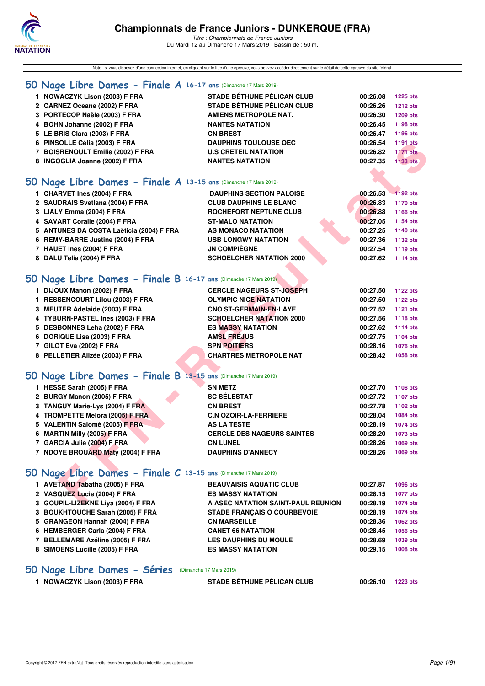

Note : si vous disposez d'une connection internet, en cliquant sur le titre d'une épreuve, vous pouvez accéder directement sur le détail de cette épreuve du site féféral.

### **[50 Nage Libre Dames - Finale A](http://www.ffnatation.fr/webffn/resultats.php?idact=nat&go=epr&idcpt=59271&idepr=1) 16-17 ans** (Dimanche 17 Mars 2019)

| 1 NOWACZYK Lison (2003) F FRA     | <b>STADE BÉTHUNE PÉLICAN CLUB</b> | 00:26.08 | <b>1225 pts</b> |
|-----------------------------------|-----------------------------------|----------|-----------------|
| 2 CARNEZ Oceane (2002) F FRA      | <b>STADE BÉTHUNE PÉLICAN CLUB</b> | 00:26.26 | <b>1212 pts</b> |
| 3 PORTECOP Naële (2003) F FRA     | <b>AMIENS METROPOLE NAT.</b>      | 00:26.30 | <b>1209 pts</b> |
| 4 BOHN Johanne (2002) F FRA       | <b>NANTES NATATION</b>            | 00:26.45 | 1198 pts        |
| 5 LE BRIS Clara (2003) F FRA      | <b>CN BREST</b>                   | 00:26.47 | 1196 pts        |
| 6 PINSOLLE Célia (2003) F FRA     | <b>DAUPHINS TOULOUSE OEC</b>      | 00:26.54 | 1191 pts        |
| 7 BOISRENOULT Emilie (2002) F FRA | <b>U.S CRETEIL NATATION</b>       | 00:26.82 | <b>1171 pts</b> |
| 8 INGOGLIA Joanne (2002) F FRA    | <b>NANTES NATATION</b>            | 00:27.35 | 1133 pts        |
|                                   |                                   |          |                 |

### **[50 Nage Libre Dames - Finale A](http://www.ffnatation.fr/webffn/resultats.php?idact=nat&go=epr&idcpt=59271&idepr=1) 13-15 ans** (Dimanche 17 Mars 2019)

| 6 PINSOLLE Célia (2003) F FRA                                    | <b>DAUPHINS TOULOUSE OEC</b>       | 00:26.54 | 1191 pts        |
|------------------------------------------------------------------|------------------------------------|----------|-----------------|
| 7 BOISRENOULT Emilie (2002) F FRA                                | <b>U.S CRETEIL NATATION</b>        | 00:26.82 | <b>1171 pts</b> |
| 8 INGOGLIA Joanne (2002) F FRA                                   | <b>NANTES NATATION</b>             | 00:27.35 | <b>1133 pts</b> |
|                                                                  |                                    |          |                 |
| iO Nage Libre Dames - Finale A 13-15 ans (Dimanche 17 Mars 2019) |                                    |          |                 |
| 1 CHARVET Ines (2004) F FRA                                      | <b>DAUPHINS SECTION PALOISE</b>    | 00:26.53 | 1192 pts        |
| 2 SAUDRAIS Svetlana (2004) F FRA                                 | <b>CLUB DAUPHINS LE BLANC</b>      | 00:26.83 | 1170 pts        |
| 3 LIALY Emma (2004) F FRA                                        | ROCHEFORT NEPTUNE CLUB             | 00:26.88 | 1166 pts        |
| 4 SAVART Coralie (2004) F FRA                                    | <b>ST-MALO NATATION</b>            | 00:27.05 | 1154 pts        |
| 5 ANTUNES DA COSTA Laëticia (2004) F FRA                         | AS MONACO NATATION                 | 00:27.25 | 1140 pts        |
| 6 REMY-BARRE Justine (2004) F FRA                                | <b>USB LONGWY NATATION</b>         | 00:27.36 | 1132 pts        |
| 7 HAUET Ines (2004) F FRA                                        | <b>JN COMPIÈGNE</b>                | 00:27.54 | 1119 pts        |
| 8 DALU Telia (2004) F FRA                                        | <b>SCHOELCHER NATATION 2000</b>    | 00:27.62 | 1114 pts        |
|                                                                  |                                    |          |                 |
| 10 Nage Libre Dames - Finale B 16-17 ans (Dimanche 17 Mars 2019) |                                    |          |                 |
| 1 DIJOUX Manon (2002) F FRA                                      | <b>CERCLE NAGEURS ST-JOSEPH</b>    | 00:27.50 | <b>1122 pts</b> |
| 1 RESSENCOURT Lilou (2003) F FRA                                 | <b>OLYMPIC NICE NATATION</b>       | 00:27.50 | <b>1122 pts</b> |
| 3 MEUTER Adelaide (2003) F FRA                                   | <b>CNO ST-GERMAIN-EN-LAYE</b>      | 00:27.52 | 1121 pts        |
| 4 TYBURN-PASTEL Ines (2003) F FRA                                | <b>SCHOELCHER NATATION 2000</b>    | 00:27.56 | 1118 pts        |
| 5 DESBONNES Leha (2002) F FRA                                    | <b>ES MASSY NATATION</b>           | 00:27.62 | <b>1114 pts</b> |
| 6 DORIQUE Lisa (2003) F FRA                                      | <b>AMSL FREJUS</b>                 | 00:27.75 | 1104 pts        |
| 7 GILOT Eva (2002) F FRA                                         | <b>SPN POITIERS</b>                | 00:28.16 | 1076 pts        |
| 8 PELLETIER Alizée (2003) F FRA                                  | <b>CHARTRES METROPOLE NAT</b>      | 00:28.42 | 1058 pts        |
|                                                                  |                                    |          |                 |
| iO Nage Libre Dames - Finale B 13-15 ans (Dimanche 17 Mars 2019) |                                    |          |                 |
| 1 HESSE Sarah (2005) F FRA                                       | <b>SN METZ</b>                     | 00:27.70 | 1108 pts        |
| 2 BURGY Manon (2005) F FRA                                       | <b>SC SÉLESTAT</b>                 | 00:27.72 | 1107 pts        |
| 3 TANGUY Marie-Lys (2004) F FRA                                  | <b>CN BREST</b>                    | 00:27.78 | 1102 pts        |
| 4 TROMPETTE Melora (2005) F FRA                                  | <b>C.N OZOIR-LA-FERRIERE</b>       | 00:28.04 | 1084 pts        |
| 5 VALENTIN Salomé (2005) F FRA                                   | <b>AS LA TESTE</b>                 | 00:28.19 | 1074 pts        |
| 6 MARTIN Milly (2005) F FRA                                      | <b>CERCLE DES NAGEURS SAINTES</b>  | 00:28.20 | 1073 pts        |
| 7 GARCIA Julie (2004) F FRA                                      | <b>CN LUNEL</b>                    | 00:28.26 | 1069 pts        |
| 7 NDOYE BROUARD Maty (2004) F FRA                                | <b>DAUPHINS D'ANNECY</b>           | 00:28.26 | 1069 pts        |
|                                                                  |                                    |          |                 |
| iO Nage Libre Dames - Finale C 13-15 ans (Dimanche 17 Mars 2019) |                                    |          |                 |
| 1 AVETAND Tabatha (2005) F FRA                                   | <b>BEAUVAISIS AQUATIC CLUB</b>     | 00:27.87 | 1096 pts        |
| 2 VASQUEZ Lucie (2004) F FRA                                     | <b>ES MASSY NATATION</b>           | 00:28.15 | <b>1077 pts</b> |
| 3 GOUPIL-LIZEKNE Liva (2004) F FRA                               | A ASEC NATATION SAINT-PAUL REUNION | 00:28.19 | <b>1074 pts</b> |

### **[50 Nage Libre Dames - Finale B](http://www.ffnatation.fr/webffn/resultats.php?idact=nat&go=epr&idcpt=59271&idepr=1) 16-17 ans** (Dimanche 17 Mars 2019)

| 1 DIJOUX Manon (2002) F FRA       | <b>CERCLE NAGEURS ST-JOSEPH</b> | 00:27.50 | 1122 pts |
|-----------------------------------|---------------------------------|----------|----------|
| 1 RESSENCOURT Lilou (2003) F FRA  | <b>OLYMPIC NICE NATATION</b>    | 00:27.50 | 1122 pts |
| 3 MEUTER Adelaide (2003) F FRA    | <b>CNO ST-GERMAIN-EN-LAYE</b>   | 00:27.52 | 1121 pts |
| 4 TYBURN-PASTEL Ines (2003) F FRA | <b>SCHOELCHER NATATION 2000</b> | 00:27.56 | 1118 pts |
| 5 DESBONNES Leha (2002) F FRA     | <b>ES MASSY NATATION</b>        | 00:27.62 | 1114 pts |
| 6 DORIQUE Lisa (2003) F FRA       | <b>AMSL FREJUS</b>              | 00:27.75 | 1104 pts |
| 7 GILOT Eva (2002) F FRA          | <b>SPN POITIERS</b>             | 00:28.16 | 1076 pts |
| 8 PELLETIER Alizée (2003) F FRA   | <b>CHARTRES METROPOLE NAT</b>   | 00:28.42 | 1058 pts |
|                                   |                                 |          |          |

### **[50 Nage Libre Dames - Finale B](http://www.ffnatation.fr/webffn/resultats.php?idact=nat&go=epr&idcpt=59271&idepr=1) 13-15 ans** (Dimanche 17 Mars 2019)

| 1 HESSE Sarah (2005) F FRA        | <b>SN METZ</b>                    | 00:27.70 | 1108 pts |
|-----------------------------------|-----------------------------------|----------|----------|
| 2 BURGY Manon (2005) F FRA        | <b>SC SÉLESTAT</b>                | 00:27.72 | 1107 pts |
| 3 TANGUY Marie-Lys (2004) F FRA   | <b>CN BREST</b>                   | 00:27.78 | 1102 pts |
| 4 TROMPETTE Melora (2005) F FRA   | <b>C.N OZOIR-LA-FERRIERE</b>      | 00:28.04 | 1084 pts |
| 5 VALENTIN Salomé (2005) F FRA    | <b>AS LA TESTE</b>                | 00:28.19 | 1074 pts |
| 6 MARTIN Milly (2005) F FRA       | <b>CERCLE DES NAGEURS SAINTES</b> | 00:28.20 | 1073 pts |
| 7 GARCIA Julie (2004) F FRA       | <b>CN LUNEL</b>                   | 00:28.26 | 1069 pts |
| 7 NDOYE BROUARD Maty (2004) F FRA | <b>DAUPHINS D'ANNECY</b>          | 00:28.26 | 1069 pts |
|                                   |                                   |          |          |

# **[50 Nage Libre Dames - Finale C](http://www.ffnatation.fr/webffn/resultats.php?idact=nat&go=epr&idcpt=59271&idepr=1) 13-15 ans** (Dimanche 17 Mars 2019)

| 1 AVETAND Tabatha (2005) F FRA     | <b>BEAUVAISIS AQUATIC CLUB</b>     | 00:27.87 | 1096 pts |
|------------------------------------|------------------------------------|----------|----------|
| 2 VASQUEZ Lucie (2004) F FRA       | <b>ES MASSY NATATION</b>           | 00:28.15 | 1077 pts |
| 3 GOUPIL-LIZEKNE Liva (2004) F FRA | A ASEC NATATION SAINT-PAUL REUNION | 00:28.19 | 1074 pts |
| 3 BOUKHTOUCHE Sarah (2005) F FRA   | <b>STADE FRANCAIS O COURBEVOIE</b> | 00:28.19 | 1074 pts |
| 5 GRANGEON Hannah (2004) F FRA     | <b>CN MARSEILLE</b>                | 00:28.36 | 1062 pts |
| 6 HEMBERGER Carla (2004) F FRA     | <b>CANET 66 NATATION</b>           | 00:28.45 | 1056 pts |
| 7 BELLEMARE Azéline (2005) F FRA   | <b>LES DAUPHINS DU MOULE</b>       | 00:28.69 | 1039 pts |
| 8 SIMOENS Lucille (2005) F FRA     | <b>ES MASSY NATATION</b>           | 00:29.15 | 1008 pts |
|                                    |                                    |          |          |

### **[50 Nage Libre Dames - Séries](http://www.ffnatation.fr/webffn/resultats.php?idact=nat&go=epr&idcpt=59271&idepr=1)** (Dimanche 17 Mars 2019)

| 1 NOWACZYK Lison (2003) F FRA | <b>STADE BÉTHUNE PÉLICAN CLUB</b> | 00:26.10 1223 pts |  |
|-------------------------------|-----------------------------------|-------------------|--|
|-------------------------------|-----------------------------------|-------------------|--|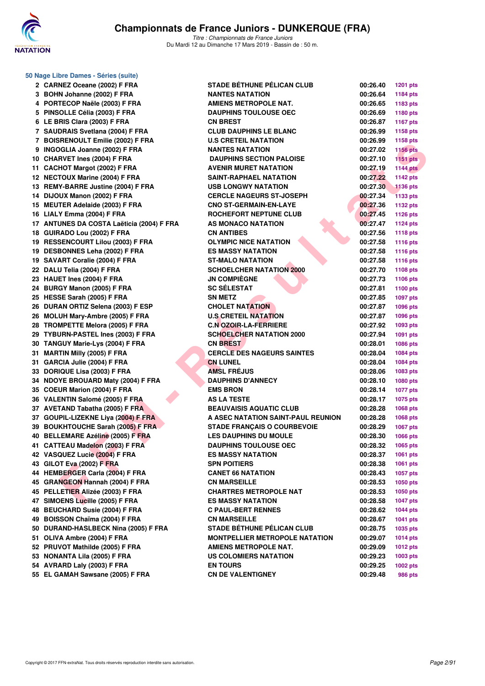

| 50 Nage Libre Dames - Séries (suite)      |                                       |          |                 |
|-------------------------------------------|---------------------------------------|----------|-----------------|
| 2 CARNEZ Oceane (2002) F FRA              | <b>STADE BÉTHUNE PÉLICAN CLUB</b>     | 00:26.40 | <b>1201 pts</b> |
| 3 BOHN Johanne (2002) F FRA               | <b>NANTES NATATION</b>                | 00:26.64 | 1184 pts        |
| 4 PORTECOP Naële (2003) F FRA             | <b>AMIENS METROPOLE NAT.</b>          | 00:26.65 | 1183 pts        |
| 5 PINSOLLE Célia (2003) F FRA             | <b>DAUPHINS TOULOUSE OEC</b>          | 00:26.69 | 1180 pts        |
| 6 LE BRIS Clara (2003) F FRA              | <b>CN BREST</b>                       | 00:26.87 | <b>1167 pts</b> |
| 7 SAUDRAIS Svetlana (2004) F FRA          | <b>CLUB DAUPHINS LE BLANC</b>         | 00:26.99 | 1158 pts        |
| 7 BOISRENOULT Emilie (2002) F FRA         | <b>U.S CRETEIL NATATION</b>           | 00:26.99 | 1158 pts        |
| 9 INGOGLIA Joanne (2002) F FRA            | <b>NANTES NATATION</b>                | 00:27.02 | <b>1156 pts</b> |
| 10 CHARVET Ines (2004) F FRA              | <b>DAUPHINS SECTION PALOISE</b>       | 00:27.10 | $1151$ pts      |
| 11 CACHOT Margot (2002) F FRA             | <b>AVENIR MURET NATATION</b>          | 00:27.19 | <b>1144 pts</b> |
| 12 NECTOUX Marine (2004) F FRA            | <b>SAINT-RAPHAEL NATATION</b>         | 00:27.22 | <b>1142 pts</b> |
| 13 REMY-BARRE Justine (2004) F FRA        | <b>USB LONGWY NATATION</b>            | 00:27.30 | <b>1136 pts</b> |
| 14 DIJOUX Manon (2002) F FRA              | <b>CERCLE NAGEURS ST-JOSEPH</b>       | 00:27.34 | <b>1133 pts</b> |
| 15 MEUTER Adelaide (2003) F FRA           | <b>CNO ST-GERMAIN-EN-LAYE</b>         | 00:27.36 | 1132 pts        |
| 16 LIALY Emma (2004) F FRA                | ROCHEFORT NEPTUNE CLUB                | 00:27.45 | <b>1126 pts</b> |
| 17 ANTUNES DA COSTA Laëticia (2004) F FRA | AS MONACO NATATION                    | 00:27.47 | <b>1124 pts</b> |
| 18 GUIRADO Lou (2002) F FRA               | <b>CN ANTIBES</b>                     | 00:27.56 | <b>1118 pts</b> |
| 19 RESSENCOURT Lilou (2003) F FRA         | <b>OLYMPIC NICE NATATION</b>          | 00:27.58 | <b>1116 pts</b> |
| 19 DESBONNES Leha (2002) F FRA            | <b>ES MASSY NATATION</b>              | 00:27.58 | <b>1116 pts</b> |
| 19 SAVART Coralie (2004) F FRA            | <b>ST-MALO NATATION</b>               | 00:27.58 | <b>1116 pts</b> |
| 22 DALU Telia (2004) F FRA                | <b>SCHOELCHER NATATION 2000</b>       | 00:27.70 | <b>1108 pts</b> |
| 23 HAUET Ines (2004) F FRA                | <b>JN COMPIÈGNE</b>                   | 00:27.73 | 1106 pts        |
| 24 BURGY Manon (2005) F FRA               | <b>SC SÉLESTAT</b>                    | 00:27.81 | 1100 pts        |
| 25 HESSE Sarah (2005) F FRA               | <b>SN METZ</b>                        | 00:27.85 | 1097 pts        |
| 26 DURAN ORTIZ Selena (2003) F ESP        | <b>CHOLET NATATION</b>                | 00:27.87 | 1096 pts        |
| 26 MOLUH Mary-Ambre (2005) F FRA          | <b>U.S CRETEIL NATATION</b>           | 00:27.87 | 1096 pts        |
| 28 TROMPETTE Melora (2005) F FRA          | <b>C.N OZOIR-LA-FERRIERE</b>          | 00:27.92 | 1093 pts        |
| 29 TYBURN-PASTEL Ines (2003) F FRA        | <b>SCHOELCHER NATATION 2000</b>       | 00:27.94 | 1091 pts        |
| 30 TANGUY Marie-Lys (2004) F FRA          | <b>CN BREST</b>                       | 00:28.01 | 1086 pts        |
| 31 MARTIN Milly (2005) F FRA              | <b>CERCLE DES NAGEURS SAINTES</b>     | 00:28.04 |                 |
| 31 GARCIA Julie (2004) F FRA              | <b>CN LUNEL</b>                       |          | 1084 pts        |
| 33 DORIQUE Lisa (2003) F FRA              | <b>AMSL FREJUS</b>                    | 00:28.04 | 1084 pts        |
|                                           | <b>DAUPHINS D'ANNECY</b>              | 00:28.06 | 1083 pts        |
| 34 NDOYE BROUARD Maty (2004) F FRA        |                                       | 00:28.10 | 1080 pts        |
| 35 COEUR Marion (2004) F FRA              | <b>EMS BRON</b>                       | 00:28.14 | <b>1077 pts</b> |
| 36 VALENTIN Salomé (2005) F FRA           | <b>AS LA TESTE</b>                    | 00:28.17 | 1075 pts        |
| 37 AVETAND Tabatha (2005) F FRA           | <b>BEAUVAISIS AQUATIC CLUB</b>        | 00:28.28 | 1068 pts        |
| 37 GOUPIL-LIZEKNE Liva (2004) F FRA       | A ASEC NATATION SAINT-PAUL REUNION    | 00:28.28 | 1068 pts        |
| 39 BOUKHTOUCHE Sarah (2005) F FRA         | <b>STADE FRANÇAIS O COURBEVOIE</b>    | 00:28.29 | 1067 pts        |
| 40 BELLEMARE Azéline (2005) F FRA         | <b>LES DAUPHINS DU MOULE</b>          | 00:28.30 | <b>1066 pts</b> |
| 41 CATTEAU Madelon (2003) F FRA           | <b>DAUPHINS TOULOUSE OEC</b>          | 00:28.32 | 1065 pts        |
| 42 VASQUEZ Lucie (2004) F FRA             | <b>ES MASSY NATATION</b>              | 00:28.37 | 1061 pts        |
| 43 GILOT Eva (2002) F FRA                 | <b>SPN POITIERS</b>                   | 00:28.38 | 1061 pts        |
| 44 HEMBERGER Carla (2004) F FRA           | <b>CANET 66 NATATION</b>              | 00:28.43 | 1057 pts        |
| 45 GRANGEON Hannah (2004) F FRA           | <b>CN MARSEILLE</b>                   | 00:28.53 | 1050 pts        |
| 45 PELLETIER Alizée (2003) F FRA          | <b>CHARTRES METROPOLE NAT</b>         | 00:28.53 | 1050 pts        |
| 47 SIMOENS Lucille (2005) F FRA           | <b>ES MASSY NATATION</b>              | 00:28.58 | <b>1047 pts</b> |
| 48 BEUCHARD Susie (2004) F FRA            | <b>C PAUL-BERT RENNES</b>             | 00:28.62 | <b>1044 pts</b> |
| 49 BOISSON Chaïma (2004) F FRA            | <b>CN MARSEILLE</b>                   | 00:28.67 | <b>1041 pts</b> |
| 50 DURAND-HASLBECK Nina (2005) F FRA      | STADE BÉTHUNE PÉLICAN CLUB            | 00:28.75 | 1035 pts        |
| 51 OLIVA Ambre (2004) F FRA               | <b>MONTPELLIER METROPOLE NATATION</b> | 00:29.07 | <b>1014 pts</b> |
| 52 PRUVOT Mathilde (2005) F FRA           | <b>AMIENS METROPOLE NAT.</b>          | 00:29.09 | <b>1012 pts</b> |
| 53 NONANTA Lila (2005) F FRA              | <b>US COLOMIERS NATATION</b>          | 00:29.23 | 1003 pts        |
| 54 AVRARD Laly (2003) F FRA               | <b>EN TOURS</b>                       | 00:29.25 | 1002 pts        |
| 55 EL GAMAH Sawsane (2005) F FRA          | <b>CN DE VALENTIGNEY</b>              | 00:29.48 | 986 pts         |
|                                           |                                       |          |                 |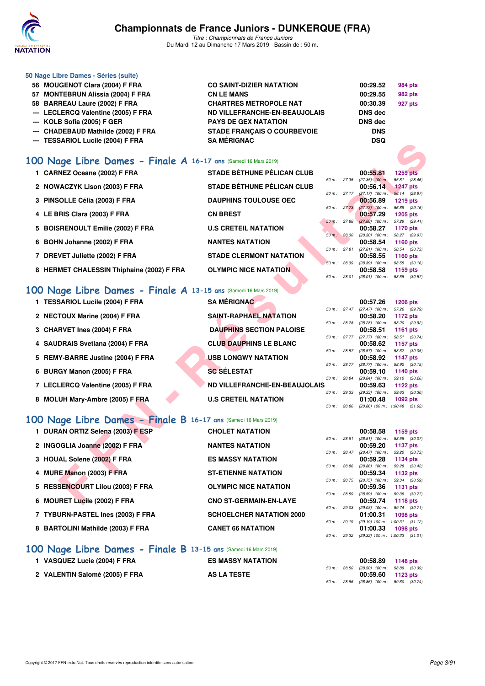

*Titre : Championnats de France Juniors* Du Mardi 12 au Dimanche 17 Mars 2019 - Bassin de : 50 m.

| 50 Nage Libre Dames - Séries (suite) |                                    |            |                |
|--------------------------------------|------------------------------------|------------|----------------|
| 56 MOUGENOT Clara (2004) F FRA       | <b>CO SAINT-DIZIER NATATION</b>    | 00:29.52   | 984 pts        |
| 57 MONTEBRUN Alissia (2004) F FRA    | <b>CN LE MANS</b>                  | 00:29.55   | <b>982 pts</b> |
| 58 BARREAU Laure (2002) F FRA        | <b>CHARTRES METROPOLE NAT</b>      | 00:30.39   | 927 pts        |
| --- LECLERCQ Valentine (2005) F FRA  | ND VILLEFRANCHE-EN-BEAUJOLAIS      | DNS dec    |                |
| --- KOLB Sofia (2005) F GER          | <b>PAYS DE GEX NATATION</b>        | DNS dec    |                |
| --- CHADEBAUD Mathilde (2002) F FRA  | <b>STADE FRANCAIS O COURBEVOIE</b> | <b>DNS</b> |                |
| --- TESSARIOL Lucile (2004) F FRA    | <b>SA MÉRIGNAC</b>                 | <b>DSQ</b> |                |
|                                      |                                    |            |                |

# **[100 Nage Libre Dames - Finale A](http://www.ffnatation.fr/webffn/resultats.php?idact=nat&go=epr&idcpt=59271&idepr=2) 16-17 ans** (Samedi 16 Mars 2019)

| <b>---</b> ILSSANIOL LUCIIE (2004) F FRA                       | JA MENIJINAJ                         |                |              | שטש                                         |                                  |  |
|----------------------------------------------------------------|--------------------------------------|----------------|--------------|---------------------------------------------|----------------------------------|--|
| 00 Nage Libre Dames - Finale A 16-17 ans (Samedi 16 Mars 2019) |                                      |                |              |                                             |                                  |  |
| 1 CARNEZ Oceane (2002) F FRA                                   | <b>STADE BÉTHUNE PÉLICAN CLUB</b>    |                |              | 00:55.81                                    | <b>1259 pts</b>                  |  |
|                                                                |                                      | 50 m : 27.35   |              | $(27.35)$ 100 m:                            | 55.81 (28.46)                    |  |
| 2 NOWACZYK Lison (2003) F FRA                                  | <b>STADE BÉTHUNE PÉLICAN CLUB</b>    |                |              | 00:56.14                                    | 1247 pts                         |  |
| 3 PINSOLLE Célia (2003) F FRA                                  | <b>DAUPHINS TOULOUSE OEC</b>         | 50 m : 27.17   |              | $(27.17)$ 100 m :<br>00:56.89               | 56.14 (28.97)<br><b>1219 pts</b> |  |
|                                                                | <b>CN BREST</b>                      | 50 m: 27.73    |              | $(27.73)$ 100 m :                           | 56.89 (29.16)                    |  |
| 4 LE BRIS Clara (2003) F FRA                                   |                                      | 50 m: 27.88    |              | 00:57.29<br>$(27.88)$ 100 m : 57.29 (29.41) | <b>1205 pts</b>                  |  |
| 5 BOISRENOULT Emilie (2002) F FRA                              | <b>U.S CRETEIL NATATION</b>          |                |              | 00:58.27                                    | 1170 pts                         |  |
|                                                                |                                      | 50 m: 28.30    |              | $(28.30)$ 100 m :                           | 58.27 (29.97)                    |  |
| 6 BOHN Johanne (2002) F FRA                                    | <b>NANTES NATATION</b>               |                |              | 00:58.54                                    | <b>1160 pts</b>                  |  |
|                                                                | <b>STADE CLERMONT NATATION</b>       | 50 m : 27.81   |              | $(27.81)$ 100 m :                           | 58.54 (30.73)                    |  |
| 7 DREVET Juliette (2002) F FRA                                 |                                      | 50 m : 28.39   |              | 00:58.55<br>$(28.39)$ 100 m :               | <b>1160 pts</b><br>58.55 (30.16) |  |
| 8 HERMET CHALESSIN Thiphaine (2002) F FRA                      | <b>OLYMPIC NICE NATATION</b>         |                |              | 00:58.58                                    | 1159 pts                         |  |
|                                                                |                                      | 50 m: 28.01    |              | $(28.01)$ 100 m :                           | 58.58 (30.57)                    |  |
| 00 Nage Libre Dames - Finale A 13-15 ans (Samedi 16 Mars 2019) |                                      |                |              |                                             |                                  |  |
| 1 TESSARIOL Lucile (2004) F FRA                                | <b>SA MÉRIGNAC</b>                   |                |              | 00:57.26                                    | <b>1206 pts</b>                  |  |
|                                                                |                                      |                |              | 50 m: 27.47 (27.47) 100 m: 57.26 (29.79)    |                                  |  |
| 2 NECTOUX Marine (2004) F FRA                                  | SAINT-RAPHAEL NATATION               |                |              | 00:58.20                                    | 1172 pts                         |  |
|                                                                |                                      | 50 m : 28.28   |              | $(28.28)$ 100 m :                           | 58.20 (29.92)                    |  |
| 3 CHARVET Ines (2004) F FRA                                    | <b>DAUPHINS SECTION PALOISE</b>      |                |              | 00:58.51                                    | <b>1161 pts</b>                  |  |
| 4 SAUDRAIS Svetlana (2004) F FRA                               | <b>CLUB DAUPHINS LE BLANC</b>        |                | 50 m : 27.77 | $(27.77)$ 100 m :<br>00:58.62               | 58.51 (30.74)<br>1157 pts        |  |
|                                                                |                                      | 50 m : 28.57   |              | $(28.57)$ 100 m :                           | 58.62 (30.05)                    |  |
| 5 REMY-BARRE Justine (2004) F FRA                              | <b>USB LONGWY NATATION</b>           |                |              | 00:58.92                                    | 1147 pts                         |  |
|                                                                |                                      | 50 m: 28.77    |              | $(28.77)$ 100 m :                           | 58.92 (30.15)                    |  |
| 6 BURGY Manon (2005) F FRA                                     | <b>SC SÉLESTAT</b>                   |                |              | 00:59.10                                    | <b>1140 pts</b>                  |  |
| 7 LECLERCQ Valentine (2005) F FRA                              | <b>ND VILLEFRANCHE-EN-BEAUJOLAIS</b> | 50 m : 28.84   |              | $(28.84)$ 100 m :                           | 59.10 (30.26)                    |  |
|                                                                |                                      | $50 m$ : 29.33 |              | 00:59.63<br>$(29.33)$ 100 m :               | 1122 pts<br>59.63 (30.30)        |  |
| 8 MOLUH Mary-Ambre (2005) F FRA                                | <b>U.S CRETEIL NATATION</b>          |                |              | 01:00.48                                    | 1092 pts                         |  |
|                                                                |                                      | 50 m : 28.86   |              | $(28.86)$ 100 m : 1:00.48 $(31.62)$         |                                  |  |
| 00 Nage Libre Dames - Finale B 16-17 ans (Samedi 16 Mars 2019) |                                      |                |              |                                             |                                  |  |
| 1 DURAN ORTIZ Selena (2003) F ESP                              | <b>CHOLET NATATION</b>               |                |              | 00:58.58                                    | 1159 pts                         |  |
|                                                                |                                      | 50 m : 28.51   |              | $(28.51)$ 100 m :                           | 58.58 (30.07)                    |  |
| 2 INGOGLIA Joanne (2002) F FRA                                 | <b>NANTES NATATION</b>               |                |              | 00:59.20                                    | 1137 pts                         |  |
|                                                                |                                      | 50 m: 28.47    |              | $(28.47)$ 100 m :                           | 59.20 (30.73)                    |  |
| 3 HOUAL Solene (2002) F FRA                                    | <b>ES MASSY NATATION</b>             |                |              | 00:59.28                                    | 1134 pts                         |  |
| 4 MURE Manon (2003) F FRA                                      | <b>ST-ETIENNE NATATION</b>           | 50 m : 28.86   |              | $(28.86)$ 100 m :<br>00:59.34               | 59.28 (30.42)<br>1132 pts        |  |
|                                                                |                                      | 50 m: 28.75    |              | $(28.75)$ 100 m :                           | 59.34 (30.59)                    |  |
| 5 RESSENCOURT Lilou (2003) F FRA                               | <b>OLYMPIC NICE NATATION</b>         |                |              | 00:59.36                                    | <b>1131 pts</b>                  |  |
|                                                                |                                      | 50 m : 28.59   |              | $(28.59)$ 100 m :                           | 59.36 (30.77)                    |  |
| 6 MOURET Lucile (2002) F FRA                                   | <b>CNO ST-GERMAIN-EN-LAYE</b>        |                |              | 00:59.74                                    | <b>1118 pts</b>                  |  |

| 1 TESSARIOL Lucile (2004) F FRA   | <b>SA MÉRIGNAC</b>              |                        | 00:57.26                            | <b>1206 pts</b>           |
|-----------------------------------|---------------------------------|------------------------|-------------------------------------|---------------------------|
|                                   |                                 | $50 \text{ m}$ : 27.47 | $(27.47)$ 100 m :                   | 57.26 (29.79)             |
| 2 NECTOUX Marine (2004) F FRA     | <b>SAINT-RAPHAEL NATATION</b>   |                        | 00:58.20                            | 1172 pts                  |
|                                   |                                 | 50 m: 28.28            | $(28.28)$ 100 m :                   | 58.20 (29.92)             |
| 3 CHARVET Ines (2004) F FRA       | <b>DAUPHINS SECTION PALOISE</b> |                        | 00:58.51                            | 1161 pts                  |
| 4 SAUDRAIS Svetlana (2004) F FRA  | <b>CLUB DAUPHINS LE BLANC</b>   | 50 m: 27.77            | $(27.77)$ 100 m :<br>00:58.62       | 58.51 (30.74)<br>1157 pts |
|                                   |                                 | $50 m$ : 28.57         | $(28.57)$ 100 m :                   | 58.62 (30.05)             |
| 5 REMY-BARRE Justine (2004) F FRA | <b>USB LONGWY NATATION</b>      |                        | 00:58.92                            | 1147 pts                  |
|                                   |                                 | $50 m$ : 28.77         | $(28.77)$ 100 m :                   | 58.92 (30.15)             |
| 6 BURGY Manon (2005) F FRA        | <b>SC SÉLESTAT</b>              |                        | 00:59.10                            | 1140 pts                  |
|                                   |                                 | 50 m: 28.84            | $(28.84)$ 100 m :                   | 59.10 (30.26)             |
| 7 LECLERCQ Valentine (2005) F FRA | ND VILLEFRANCHE-EN-BEAUJOLAIS   |                        | 00:59.63                            | 1122 pts                  |
| 8 MOLUH Mary-Ambre (2005) F FRA   | <b>U.S CRETEIL NATATION</b>     | 50 m: 29.33            | $(29.33)$ 100 m :<br>01:00.48       | 59.63 (30.30)<br>1092 pts |
|                                   |                                 | $50 \text{ m}$ : 28.86 | $(28.86)$ 100 m : 1:00.48 $(31.62)$ |                           |

# **[100 Nage Libre Dames - Finale B](http://www.ffnatation.fr/webffn/resultats.php?idact=nat&go=epr&idcpt=59271&idepr=2) 16-17 ans** (Samedi 16 Mars 2019)

| 1 DURAN ORTIZ Selena (2003) F ESP                                                                                                                                                                                                                                                                                                                                                                                                                                        | <b>CHOLET NATATION</b>          |                | 00:58.58                                             | 1159 $pts$                 |
|--------------------------------------------------------------------------------------------------------------------------------------------------------------------------------------------------------------------------------------------------------------------------------------------------------------------------------------------------------------------------------------------------------------------------------------------------------------------------|---------------------------------|----------------|------------------------------------------------------|----------------------------|
| 2 INGOGLIA Joanne (2002) F FRA                                                                                                                                                                                                                                                                                                                                                                                                                                           | <b>NANTES NATATION</b>          | $50 m$ : 28.51 | $(28.51)$ 100 m :<br>00:59.20                        | 58.58 (30.07<br>1137 pts   |
| 3 HOUAL Solene (2002) F FRA                                                                                                                                                                                                                                                                                                                                                                                                                                              | <b>ES MASSY NATATION</b>        | 50 m: 28.47    | $(28.47)$ 100 m :<br>00:59.28                        | 59.20 (30.73<br>1134 pts   |
| 4 MURE Manon (2003) F FRA                                                                                                                                                                                                                                                                                                                                                                                                                                                | <b>ST-ETIENNE NATATION</b>      | 50 m : 28.86   | $(28.86)$ 100 m :<br>00:59.34                        | 59.28 (30.42)<br>1132 pts  |
| 5 RESSENCOURT Lilou (2003) F FRA                                                                                                                                                                                                                                                                                                                                                                                                                                         | <b>OLYMPIC NICE NATATION</b>    | $50 m$ : 28.75 | $(28.75)$ 100 m :<br>00:59.36                        | 59.34 (30.59<br>1131 $pts$ |
|                                                                                                                                                                                                                                                                                                                                                                                                                                                                          |                                 | 50 m: 28.59    | $(28.59)$ 100 m :                                    | 59.36 (30.77)              |
| 6 MOURET Lucile (2002) F FRA                                                                                                                                                                                                                                                                                                                                                                                                                                             | <b>CNO ST-GERMAIN-EN-LAYE</b>   | 50 m: 29.03    | 00:59.74<br>$(29.03)$ 100 m :                        | 1118 $pts$<br>59.74 (30.71 |
| 7 TYBURN-PASTEL Ines (2003) F FRA                                                                                                                                                                                                                                                                                                                                                                                                                                        | <b>SCHOELCHER NATATION 2000</b> | 50 m: 29.19    | 01:00.31<br>(29.19) 100 m: 1:00.31 (31.12)           | 1098 pts                   |
| 8 BARTOLINI Mathilde (2003) F FRA                                                                                                                                                                                                                                                                                                                                                                                                                                        | <b>CANET 66 NATATION</b>        | 50 m: 29.32    | $01:00.33$ 1098 pts<br>(29.32) 100 m: 1:00.33 (31.01 |                            |
| $\begin{array}{ccccccccccccccccc} \multicolumn{4}{c }{\textbf{A}} & \multicolumn{4}{c }{\textbf{A}} & \multicolumn{4}{c }{\textbf{A}} & \multicolumn{4}{c }{\textbf{A}} & \multicolumn{4}{c }{\textbf{A}} & \multicolumn{4}{c }{\textbf{A}} & \multicolumn{4}{c }{\textbf{A}} & \multicolumn{4}{c }{\textbf{A}} & \multicolumn{4}{c }{\textbf{A}} & \multicolumn{4}{c }{\textbf{A}} & \multicolumn{4}{c }{\textbf{A}} & \multicolumn{4}{c }{\textbf{A}} & \multicolumn{$ |                                 |                |                                                      |                            |

### **[100 Nage Libre Dames - Finale B](http://www.ffnatation.fr/webffn/resultats.php?idact=nat&go=epr&idcpt=59271&idepr=2) 13-15 ans** (Samedi 16 Mars 2019)

| VASQUEZ Lucie (2004) F FRA     | <b>ES MASSY NATATION</b> |  | 00:58.89 1148 pts                                                 |  |
|--------------------------------|--------------------------|--|-------------------------------------------------------------------|--|
| 2 VALENTIN Salomé (2005) F FRA | <b>AS LA TESTE</b>       |  | 50 m : 28.50 (28.50) 100 m : 58.89 (30.39)<br>$00:59.60$ 1123 pts |  |
|                                |                          |  | 50 m : 28.86 (28.86) 100 m : 59.60 (30.74)                        |  |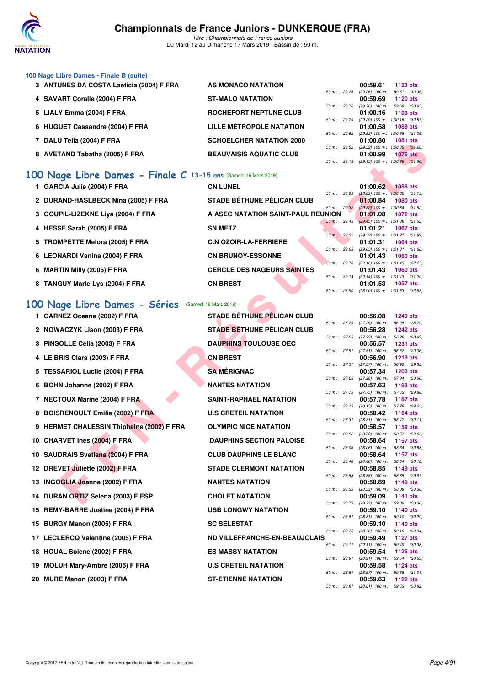

*Titre : Championnats de France Juniors* Du Mardi 12 au Dimanche 17 Mars 2019 - Bassin de : 50 m.

### **100 Nage Libre Dames - Finale B (suite)**

**3 ANTUNES DA COSTA Laëticia (2004) F FRA** AS MONACO NATATION  $\frac{60.59.61}{50 \text{ m} \cdot 29.26}$   $\frac{1123 \text{ pts}}{(29.26) 100 \text{ m} \cdot 59.61}$ *50 m : 29.26 (29.26) 100 m : 59.61 (30.35)* **4 SAVART Coralie (2004) F FRA ST-MALO NATATION 00:59.69 1120 pts** *50 m : 28.76 (28.76) 100 m : 59.69 (30.93)* **5 LIALY Emma (2004) F FRA** ROCHEFORT NEPTUNE CLUB **1000.16 1103 pm 129.29** *50 m : 29.29 (29.29) 100 m : 1:00.16 (30.87)* **6 HUGUET Cassandre (2004) F FRA LILLE MÉTROPOLE NATATION 01:00.58 1089 pts** *50 m : 29.52 (29.52) 100 m : 1:00.58 (31.06)* **7 DALU Telia (2004) F FRA SCHOELCHER NATATION 2000** *50 m : 29.52 (29.52) 100 m : 1:00.80 (31.28)* **8 AVETAND Tabatha (2005) F FRA BEAUVAISIS AQUATIC CLUB 01:00.99 1075 pts** *50 m : 29.13 (29.13) 100 m : 1:00.99 (31.86)*

# **[100 Nage Libre Dames - Finale C](http://www.ffnatation.fr/webffn/resultats.php?idact=nat&go=epr&idcpt=59271&idepr=2) 13-15 ans (Samedi 16 Mars 2019)**

| 1 GARCIA Julie (2004) F FRA         | <b>CN LUNEL</b>                    |                        | 01:00.62                            | <b>1088 pts</b> |  |
|-------------------------------------|------------------------------------|------------------------|-------------------------------------|-----------------|--|
|                                     |                                    | 50 m: 28.89            | $(28.89)$ 100 m : 1:00.62 $(31.73)$ |                 |  |
| 2 DURAND-HASLBECK Nina (2005) F FRA | <b>STADE BÉTHUNE PÉLICAN CLUB</b>  |                        | 01:00.84 1080 pts                   |                 |  |
|                                     |                                    | $50 \text{ m}$ : 29.32 | $(29.32)$ 100 m : 1:00.84 $(31.52)$ |                 |  |
| 3 GOUPIL-LIZEKNE Liva (2004) F FRA  | A ASEC NATATION SAINT-PAUL REUNION |                        | $01:01.08$ 1072 pts                 |                 |  |
|                                     |                                    | 50 m: 29.45            | $(29.45)$ 100 m : 1:01.08 (31.63)   |                 |  |
| 4 HESSE Sarah (2005) F FRA          | <b>SN METZ</b>                     |                        | 01:01.21                            | 1067 pts        |  |
|                                     |                                    | 50 m: 29.32            | (29.32) 100 m: 1:01.21 (31.89)      |                 |  |
| 5 TROMPETTE Melora (2005) F FRA     | <b>C.N OZOIR-LA-FERRIERE</b>       |                        | 01:01.31 1064 pts                   |                 |  |
|                                     |                                    | 50 m: 29.63            | $(29.63)$ 100 m : 1:01.31 $(31.68)$ |                 |  |
| 6 LEONARDI Vanina (2004) F FRA      | <b>CN BRUNOY-ESSONNE</b>           |                        | $01:01.43$ 1060 pts                 |                 |  |
|                                     |                                    | $50 m$ : 29.16         | (29.16) 100 m : 1:01.43 (32.27)     |                 |  |
| 6 MARTIN Milly (2005) F FRA         | <b>CERCLE DES NAGEURS SAINTES</b>  |                        | $01:01.43$ 1060 pts                 |                 |  |
|                                     |                                    | 50 m: 30.14            | $(30.14)$ 100 m : 1:01.43 $(31.29)$ |                 |  |
| 8 TANGUY Marie-Lys (2004) F FRA     | <b>CN BREST</b>                    |                        | $01:01.53$ 1057 pts                 |                 |  |
|                                     |                                    | 50 m : 28.90           | $(28.90)$ 100 m : 1:01.53 $(32.63)$ |                 |  |

### **[100 Nage Libre Dames - Séries](http://www.ffnatation.fr/webffn/resultats.php?idact=nat&go=epr&idcpt=59271&idepr=2)** (Samedi 16 Mars 2019)

|     | <b>DALU ICIIA (ZUUT) F FRA</b>                                      | <b>JUIDELUIEN NATATIUN ZUU</b>     |              | 01.00.00                                        | <b>TUOT PIS</b>                  |         |
|-----|---------------------------------------------------------------------|------------------------------------|--------------|-------------------------------------------------|----------------------------------|---------|
|     | 8 AVETAND Tabatha (2005) F FRA                                      | <b>BEAUVAISIS AQUATIC CLUB</b>     | 50 m : 29.52 | $(29.52)$ 100 m : 1:00.80 $(31.28)$<br>01:00.99 | 1075 pts                         |         |
|     |                                                                     |                                    | 50 m: 29.13  | $(29.13)$ 100 m : 1:00.99 $(31.86)$             |                                  |         |
|     | $100\,$ Nage Libre Dames - Finale C 13-15 ans (Samedi 16 Mars 2019) | <b>CN LUNEL</b>                    |              |                                                 |                                  |         |
|     | 1 GARCIA Julie (2004) F FRA                                         |                                    | 50 m : 28.89 | 01:00.62<br>$(28.89)$ 100 m : 1:00.62 $(31.73)$ | <b>1088 pts</b>                  |         |
|     | 2 DURAND-HASLBECK Nina (2005) F FRA                                 | STADE BÉTHUNE PÉLICAN CLUB         | 50 m : 29.32 | 01:00.84<br>(29.32) 100 m: 1:00.84 (31.52)      | 1080 pts                         |         |
| З   | GOUPIL-LIZEKNE Liya (2004) F FRA                                    | A ASEC NATATION SAINT-PAUL REUNION |              | 01:01.08                                        | 1072 pts                         |         |
| 4   | HESSE Sarah (2005) F FRA                                            | <b>SN METZ</b>                     | 50 m: 29.45  | $(29.45)$ 100 m : 1:01.08 $(31.63)$<br>01:01.21 | 1067 pts                         |         |
| 5   | <b>TROMPETTE Melora (2005) F FRA</b>                                | <b>C.N OZOIR-LA-FERRIERE</b>       | 50 m : 29.32 | (29.32) 100 m: 1:01.21 (31.89)<br>01:01.31      | 1064 pts                         |         |
|     |                                                                     |                                    | 50 m: 29.63  | (29.63) 100 m: 1:01.31 (31.68)                  |                                  |         |
|     | 6 LEONARDI Vanina (2004) F FRA                                      | <b>CN BRUNOY-ESSONNE</b>           | 50 m: 29.16  | 01:01.43<br>(29.16) 100 m: 1:01.43 (32.27)      | <b>1060 pts</b>                  |         |
| 6   | <b>MARTIN Milly (2005) F FRA</b>                                    | <b>CERCLE DES NAGEURS SAINTES</b>  |              | 01:01.43                                        | 1060 pts                         |         |
|     | 8 TANGUY Marie-Lys (2004) F FRA                                     | <b>CN BREST</b>                    | 50 m: 30.14  | (30.14) 100 m: 1:01.43 (31.29)<br>01:01.53      | 1057 pts                         |         |
|     |                                                                     |                                    | 50 m : 28.90 | (28.90) 100 m: 1:01.53 (32.63)                  |                                  |         |
|     | 100 Nage Libre Dames - Séries                                       | (Samedi 16 Mars 2019)              |              |                                                 |                                  |         |
|     | 1 CARNEZ Oceane (2002) F FRA                                        | <b>STADE BÉTHUNE PÉLICAN CLUB</b>  |              | 00:56.08                                        | 1249 pts                         |         |
|     | 2 NOWACZYK Lison (2003) F FRA                                       | STADE BÉTHUNE PÉLICAN CLUB         | 50 m : 27.29 | (27.29) 100 m: 56.08 (28.79)<br>00:56.28        | 1242 pts                         |         |
|     |                                                                     |                                    | 50 m : 27.29 | $(27.29)$ 100 m :                               | 56.28 (28.99)                    |         |
|     | 3 PINSOLLE Célia (2003) F FRA                                       | <b>DAUPHINS TOULOUSE OEC</b>       | 50 m: 27.51  | 00:56.57<br>$(27.51)$ 100 m :                   | 1231 pts<br>56.57 (29.06)        |         |
|     | 4 LE BRIS Clara (2003) F FRA                                        | <b>CN BREST</b>                    |              | 00:56.90                                        | 1219 pts                         |         |
| 5   | <b>TESSARIOL Lucile (2004) F FRA</b>                                | <b>SA MÉRIGNAC</b>                 | 50 m: 27.57  | (27.57) 100 m :<br>00:57.34                     | 56.90 (29.33)<br>1203 pts        |         |
|     |                                                                     | <b>NANTES NATATION</b>             | 50 m: 27.28  | (27.28) 100 m : 57.34 (30.06)                   |                                  |         |
| 6   | BOHN Johanne (2002) F FRA                                           |                                    | 50 m : 27.75 | 00:57.63<br>(27.75) 100 m: 57.63 (29.88)        | 1193 pts                         |         |
|     | 7 NECTOUX Marine (2004) F FRA                                       | <b>SAINT-RAPHAEL NATATION</b>      | 50 m : 28.13 | 00:57.78<br>(28.13) 100 m: 57.78 (29.65)        | 1187 pts                         |         |
| 8   | <b>BOISRENOULT Emilie (2002) F FRA</b>                              | <b>U.S CRETEIL NATATION</b>        |              | 00:58.42                                        | 1164 pts                         |         |
|     | 9 HERMET CHALESSIN Thiphaine (2002) F FRA                           | <b>OLYMPIC NICE NATATION</b>       | 50 m: 28.31  | $(28.31)$ 100 m :<br>00:58.57                   | 58.42 (30.11)<br>1159 pts        |         |
|     |                                                                     |                                    | 50 m: 28.52  | $(28.52)$ 100 m :                               | 58.57 (30.05)                    |         |
|     | 10 CHARVET Ines (2004) F FRA                                        | <b>DAUPHINS SECTION PALOISE</b>    | 50 m : 28.06 | 00:58.64<br>(28.06) 100 m: 58.64 (30.58)        | 1157 pts                         |         |
| 10  | <b>SAUDRAIS Svetlana (2004) F FRA</b>                               | <b>CLUB DAUPHINS LE BLANC</b>      | 50 m: 28.46  | 00:58.64<br>$(28.46)$ 100 m :                   | 1157 pts<br>58.64                | (30.18) |
|     | 12 DREVET Juliette (2002) F FRA                                     | <b>STADE CLERMONT NATATION</b>     |              | 00:58.85                                        | 1149 pts                         |         |
|     | 13 INGOGLIA Joanne (2002) F FRA                                     | <b>NANTES NATATION</b>             | 50 m : 28.88 | $(28.88)$ 100 m :<br>00:58.89                   | 58.85 (29.97)<br><b>1148 pts</b> |         |
|     | 14 DURAN ORTIZ Selena (2003) F ESP                                  | <b>CHOLET NATATION</b>             | 50 m: 28.53  | $(28.53)$ 100 m :<br>00:59.09                   | 58.89 (30.36)                    |         |
|     |                                                                     |                                    | 50 m : 28.73 | $(28.73)$ 100 m :                               | 1141 pts<br>59.09 (30.36)        |         |
|     | 15 REMY-BARRE Justine (2004) F FRA                                  | <b>USB LONGWY NATATION</b>         | 50 m : 28.81 | 00:59.10<br>$(28.81)$ 100 m :                   | <b>1140 pts</b><br>59.10 (30.29) |         |
|     | 15 BURGY Manon (2005) F FRA                                         | <b>SC SÉLESTAT</b>                 |              | 00:59.10                                        | 1140 pts                         |         |
|     | 17 LECLERCQ Valentine (2005) F FRA                                  | ND VILLEFRANCHE-EN-BEAUJOLAIS      | 50 m : 28.76 | (28.76) 100 m: 59.10 (30.34)<br>00:59.49        | 1127 $pts$                       |         |
|     |                                                                     |                                    | 50 m : 29.11 | $(29.11)$ 100 m :                               | 59.49 (30.38)                    |         |
| 18. | <b>HOUAL Solene (2002) F FRA</b>                                    | <b>ES MASSY NATATION</b>           | 50 m : 28.91 | 00:59.54<br>(28.91) 100 m :                     | 1125 pts<br>59.54 (30.63)        |         |
| 19  | MOLUH Mary-Ambre (2005) F FRA                                       | <b>U.S CRETEIL NATATION</b>        | 50 m : 28.57 | 00:59.58<br>$(28.57)$ 100 m : 59.58 $(31.01)$   | 1124 pts                         |         |
|     | 20 MURE Manon (2003) F FRA                                          | <b>ST-ETIENNE NATATION</b>         |              | 00:59.63                                        | <b>1122 pts</b>                  |         |

*50 m : 28.81 (28.81) 100 m : 59.63 (30.82)*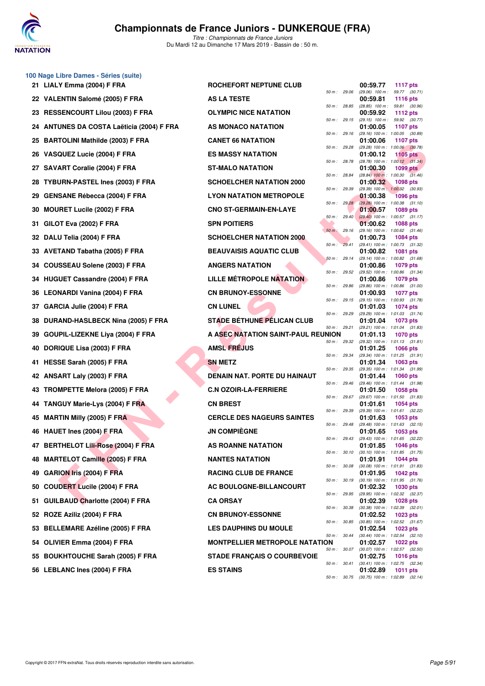

**100 Nage Libre Dames - Séries (suite)**

*Titre : Championnats de France Juniors* Du Mardi 12 au Dimanche 17 Mars 2019 - Bassin de : 50 m.

|    | 21 LIALY Emma (2004) F FRA                | ROCHEFORT NEPTUNE CLUB                |                | 00:59.77                      | <b>1117 pts</b>                                                                               |
|----|-------------------------------------------|---------------------------------------|----------------|-------------------------------|-----------------------------------------------------------------------------------------------|
|    | 22 VALENTIN Salomé (2005) F FRA           | <b>AS LA TESTE</b>                    | 50 m: 29.06    | 00:59.81                      | (29.06) 100 m: 59.77 (30.71)<br><b>1116 pts</b>                                               |
|    | 23 RESSENCOURT Lilou (2003) F FRA         | <b>OLYMPIC NICE NATATION</b>          | 50 m : 28.85   | 00:59.92                      | $(28.85)$ 100 m : 59.81 $(30.96)$<br>1112 $pts$                                               |
|    | 24 ANTUNES DA COSTA Laëticia (2004) F FRA | AS MONACO NATATION                    | 50 m: 29.15    | $(29.15)$ 100 m :<br>01:00.05 | 59.92 (30.77)<br>1107 pts                                                                     |
| 25 | <b>BARTOLINI Mathilde (2003) F FRA</b>    | <b>CANET 66 NATATION</b>              | 50 m : 29.16   | 01:00.06                      | (29.16) 100 m: 1:00.05 (30.89)<br><b>1107 pts</b>                                             |
|    | 26 VASQUEZ Lucie (2004) F FRA             | <b>ES MASSY NATATION</b>              | 50 m: 29.28    | 01:00.12                      | (29.28) 100 m : 1:00.06 (30.78)<br>1105 pts                                                   |
| 27 | <b>SAVART Coralie (2004) F FRA</b>        | <b>ST-MALO NATATION</b>               | 50 m : 28.78   | 01:00.30                      | $(28.78)$ 100 m : 1:00.12 $(31.34)$<br>1099 pts                                               |
| 28 | <b>TYBURN-PASTEL Ines (2003) F FRA</b>    | <b>SCHOELCHER NATATION 2000</b>       | 50 m : 28.84   | 01:00.32                      | $(28.84)$ 100 m : 1:00.30 $(31.46)$<br>1098 pts                                               |
| 29 | <b>GENSANE Rébecca (2004) F FRA</b>       | <b>LYON NATATION METROPOLE</b>        | 50 m : 29.39   | 01:00.38                      | (29.39) 100 m: 1:00.32 (30.93)<br><b>1096 pts</b>                                             |
| 30 | <b>MOURET Lucile (2002) F FRA</b>         | <b>CNO ST-GERMAIN-EN-LAYE</b>         | 50 m: 29.28    | 01:00.57                      | $(29.28)$ 100 m : 1:00.38 $(31.10)$<br>1089 pts                                               |
| 31 | GILOT Eva (2002) F FRA                    | <b>SPN POITIERS</b>                   | 50 m : 29.40   | 01:00.62                      | $(29.40)$ 100 m : 1:00.57 $(31.17)$<br><b>1088 pts</b>                                        |
| 32 | DALU Telia (2004) F FRA                   | <b>SCHOELCHER NATATION 2000</b>       | $50 m$ : 29.16 | 01:00.73                      | (29.16) 100 m: 1:00.62 (31.46)<br>1084 pts                                                    |
|    | 33 AVETAND Tabatha (2005) F FRA           | <b>BEAUVAISIS AQUATIC CLUB</b>        | 50 m: 29.41    | 01:00.82                      | (29.41) 100 m: 1:00.73 (31.32)<br>1081 pts                                                    |
| 34 | COUSSEAU Solene (2003) F FRA              | <b>ANGERS NATATION</b>                | 50 m: 29.14    | 01:00.86                      | (29.14) 100 m: 1:00.82 (31.68)<br>1079 pts                                                    |
|    | 34 HUGUET Cassandre (2004) F FRA          | LILLE MÉTROPOLE NATATION              | 50 m: 29.52    | 01:00.86                      | (29.52) 100 m: 1:00.86 (31.34)<br>1079 pts                                                    |
|    | 36 LEONARDI Vanina (2004) F FRA           | <b>CN BRUNOY-ESSONNE</b>              | 50 m: 29.86    | 01:00.93                      | (29.86) 100 m: 1:00.86 (31.00)<br>1077 pts                                                    |
| 37 | GARCIA Julie (2004) F FRA                 | <b>CN LUNEL</b>                       | 50 m: 29.15    | 01:01.03                      | (29.15) 100 m: 1:00.93 (31.78)<br><b>1074 pts</b>                                             |
| 38 | DURAND-HASLBECK Nina (2005) F FRA         | <b>STADE BÉTHUNE PÉLICAN CLUB</b>     | 50 m : 29.29   | 01:01.04                      | (29.29) 100 m: 1:01.03 (31.74)<br>1073 pts                                                    |
|    |                                           |                                       |                |                               |                                                                                               |
| 39 | GOUPIL-LIZEKNE Liya (2004) F FRA          | A ASEC NATATION SAINT-PAUL REUNION    | 50 m : 29.21   | 01:01.13                      | (29.21) 100 m: 1:01.04 (31.83)<br>1070 pts                                                    |
| 40 | DORIQUE Lisa (2003) F FRA                 | <b>AMSL FREJUS</b>                    | 50 m : 29.32   | 01:01.25                      | (29.32) 100 m: 1:01.13 (31.81)<br>1066 pts                                                    |
| 41 | HESSE Sarah (2005) F FRA                  | <b>SN METZ</b>                        | 50 m : 29.34   | 01:01.34                      | (29.34) 100 m: 1:01.25 (31.91)<br>1063 pts                                                    |
| 42 | ANSART Laly (2003) F FRA                  | DENAIN NAT. PORTE DU HAINAUT          | 50 m : 29.35   | 01:01.44                      | (29.35) 100 m: 1:01.34 (31.99)<br>1060 pts                                                    |
|    | 43 TROMPETTE Melora (2005) F FRA          | <b>C.N OZOIR-LA-FERRIERE</b>          | 50 m : 29.46   | 01:01.50                      | (29.46) 100 m: 1:01.44 (31.98)<br>1058 pts                                                    |
| 44 | <b>TANGUY Marie-Lys (2004) F FRA</b>      | <b>CN BREST</b>                       | 50 m: 29.67    | 01:01.61                      | (29.67) 100 m: 1:01.50 (31.83)<br>1054 pts                                                    |
|    | 45 MARTIN Milly (2005) F FRA              | <b>CERCLE DES NAGEURS SAINTES</b>     | 50 m : 29.39   | 01:01.63                      | (29.39) 100 m: 1:01.61 (32.22)<br>1053 pts                                                    |
|    | 46 HAUET Ines (2004) F FRA                | <b>JN COMPIÈGNE</b>                   | 50 m : 29.48   | 01:01.65                      | (29.48) 100 m: 1:01.63 (32.15)<br>1053 pts                                                    |
|    | 47 BERTHELOT Lili-Rose (2004) F FRA       | <b>AS ROANNE NATATION</b>             | 50 m: 29.43    |                               | (29.43) 100 m: 1:01.65 (32.22)<br>01:01.85 1046 pts                                           |
|    | 48 MARTELOT Camille (2005) F FRA          | <b>NANTES NATATION</b>                |                | 01:01.91                      | 50 m: 30.10 (30.10) 100 m: 1:01.85 (31.75)<br><b>1044 pts</b>                                 |
|    | 49 GARION Iris (2004) F FRA               | <b>RACING CLUB DE FRANCE</b>          | 50 m : 30.08   | 01:01.95                      | $(30.08)$ 100 m : 1:01.91 $(31.83)$<br>1042 pts                                               |
| 50 | <b>COUDERT Lucile (2004) F FRA</b>        | AC BOULOGNE-BILLANCOURT               | 50 m : 30.19   | 01:02.32                      | $(30.19)$ 100 m : 1:01.95 $(31.76)$<br>1030 pts                                               |
| 51 | <b>GUILBAUD Charlotte (2004) F FRA</b>    | <b>CA ORSAY</b>                       | 50 m : 29.95   | 01:02.39                      | (29.95) 100 m: 1:02.32 (32.37)<br><b>1028 pts</b>                                             |
| 52 | ROZE Aziliz (2004) F FRA                  | <b>CN BRUNOY-ESSONNE</b>              | 50 m : 30.38   | 01:02.52                      | $(30.38)$ 100 m : 1:02.39 $(32.01)$<br>1023 pts                                               |
|    | 53 BELLEMARE Azéline (2005) F FRA         | <b>LES DAUPHINS DU MOULE</b>          | 50 m : 30.85   | 01:02.54                      | $(30.85)$ 100 m : 1:02.52 $(31.67)$<br>1023 pts                                               |
|    | 54 OLIVIER Emma (2004) F FRA              | <b>MONTPELLIER METROPOLE NATATION</b> | 50 m : 30.44   | 01:02.57                      | $(30.44)$ 100 m : 1:02.54 $(32.10)$<br><b>1022 pts</b>                                        |
|    | 55 BOUKHTOUCHE Sarah (2005) F FRA         | <b>STADE FRANÇAIS O COURBEVOIE</b>    | 50 m : 30.07   | 01:02.75                      | $(30.07)$ 100 m : 1:02.57 $(32.50)$<br>1016 pts                                               |
|    | 56 LEBLANC Ines (2004) F FRA              | <b>ES STAINS</b>                      | 50 m : 30.41   | 01:02.89                      | $(30.41)$ 100 m : 1:02.75 $(32.34)$<br>1011 pts<br>50 m: 30.75 (30.75) 100 m: 1:02.89 (32.14) |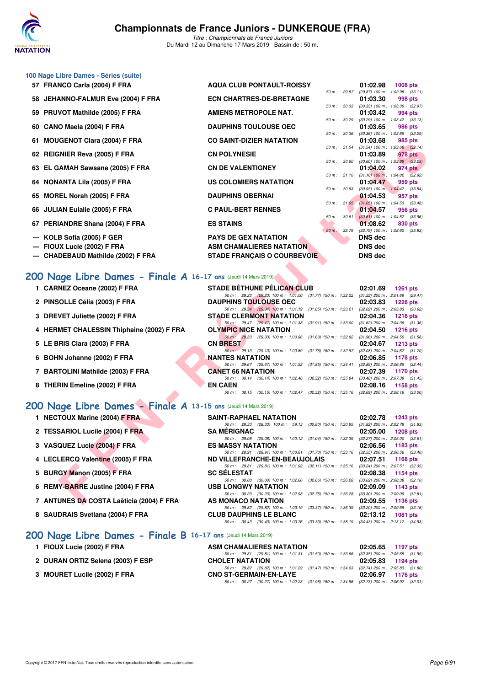

*Titre : Championnats de France Juniors* Du Mardi 12 au Dimanche 17 Mars 2019 - Bassin de : 50 m.

### **100 Nage Libre Dames - Séries (suite)**

- 
- 
- 
- 
- 
- 
- 
- 
- 
- 
- 
- 
- 
- **--- CHADEBAUD Mathilde (2002) F FRA STADE FRANÇAIS O COURBEVOIE DNS dec**
- **57 FRANCO Carla (2004) F FRA AQUA CLUB PONTAULT-ROISSY 01:02.98 1008 pts 67 1008 pts 69 11:02.98 1008 pts** *50 m : 29.87 (29.87) 100 m : 1:02.98 (33.11)* **58 JEHANNO-FALMUR Eve (2004) F FRA ECN CHARTRES-DE-BRETAGNE 01:03.30 998 pts** *50 m : 30.33 (30.33) 100 m : 1:03.30 (32.97)* **59 PRUVOT Mathilde (2005) F FRA AMIENS METROPOLE NAT. 01:03.42 994 pts** *50 m : 30.29 (30.29) 100 m : 1:03.42 (33.13)* **60 CANO Maela (2004) F FRA DAUPHINS TOULOUSE OEC 01:03.65 986 pts** *50 m : 30.36 (30.36) 100 m : 1:03.65 (33.29)* **61 MOUGENOT Clara (2004) F FRA CO SAINT-DIZIER NATATION 01:03.68 91.54 pts 01:03.68 91.54 px 985 pts 985 pts 985 pts 985 pts 985 pts 985 pts 985 pts 985 pts 985 pts 985 pts 985 pts 985 pt** *50 m : 31.54 (31.54) 100 m : 1:03.68 (32.14)* **62 REIGNIER Reva (2005) F FRA CN POLYNESIE 01:03.89 978 pts** *50 m : 30.60 (30.60) 100 m : 1:03.89 (33.29)* **63 EL GAMAH Sawsane (2005) F FRA CN DE VALENTIGNEY 01:04.02 974 pts**<br> **63 EL GAMAH Sawsane (2005) F FRA CN DE VALENTIGNEY 100 1100 1100 1100** 1104 02 (32.9) *50 m : 31.10 (31.10) 100 m : 1:04.02 (32.92)* **64 NONANTA Lila (2005) F FRA US COLOMIERS NATATION 01:04.47 959 pts** *50 m : 30.93 (30.93) 100 m : 1:04.47 (33.54)* **65 MOREL Norah (2005) F FRA DAUPHINS OBERNAI** 65 MOREL Norah (2005) F FRA **DAUPHINS OBERNAI** 50 m = 31.05 100 m = 1:04.53 (33.4 *50 m : 31.05 (31.05) 100 m : 1:04.53 (33.48)* **66 JULIAN Eulalie (2005) F FRA C PAUL-BERT RENNES** 60 m 3061 **01:04.57** 956 pts *50 m : 30.61 (30.61) 100 m : 1:04.57 (33.96)* **67 PERIANDRE Shana (2004) F FRA 67 <b>ES STAINS 1:08.62 830 pts**<br> **67 <b>01:08.62 830 pts**<br> **67 <b>01:08.62 830 pts** *50 m : 32.79 (32.79) 100 m : 1:08.62 (35.83)* **--- KOLB Sofia (2005) F GER PAYS DE GEX NATATION DNS dec --- FIOUX Lucie (2002) F FRA ASM CHAMALIERES NATATION DNS dec**

### **[200 Nage Libre Dames - Finale A](http://www.ffnatation.fr/webffn/resultats.php?idact=nat&go=epr&idcpt=59271&idepr=3) 16-17 ans** (Jeudi 14 Mars 2019)

- **1 CARNEZ Oceane (2002) F FRA STADE BÉTHUNE PÉLICAN CLUB 02:01.69 1261 pts**
- 
- 
- 
- 
- 
- 
- 

### **[200 Nage Libre Dames - Finale A](http://www.ffnatation.fr/webffn/resultats.php?idact=nat&go=epr&idcpt=59271&idepr=3) 13-15 ans** (Jeudi 14 Mars 2019)

- **1 NECTOUX Marine (2004) F FRA**
- 2 TESSARIOL Lucile (2004) F FRA
- **3 VASQUEZ Lucie (2004) F FRA**
- **4 LECLERCQ Valentine (2005) F FRA**
- **5 BURGY Manon (2005) F FRA**
- **6 REMY-BARRE Justine (2004) F FRA**
- **7 ANTUNES DA COSTA Laëticia (2004) F FRA**
- **8 SAUDRAIS Svetlana (2004) F FRA**

### **[200 Nage Libre Dames - Finale B](http://www.ffnatation.fr/webffn/resultats.php?idact=nat&go=epr&idcpt=59271&idepr=3) 16-17 ans** (Jeudi 14 Mars 2019)

- 
- 
- **3 MOURET Lucile (2002) F FRA**

| 2 PINSOLLE Célia (2003) F FRA             | <b>DAUPHINS TOULOUSE OEC</b>                                                             | 02:03.83 | 1226 pts                            |
|-------------------------------------------|------------------------------------------------------------------------------------------|----------|-------------------------------------|
|                                           | 50 m: 29.34 (29.34) 100 m: 1:01.19 (31.85) 150 m: 1:33.21                                |          | $(32.02)$ 200 m : 2:03.83 $(30.62)$ |
| 3 DREVET Juliette (2002) F FRA            | <b>STADE CLERMONT NATATION</b>                                                           | 02:04.36 | 1218 pts                            |
|                                           | 50 m: 29.47 (29.47) 100 m: 1:01.38 (31.91) 150 m: 1:33.00                                |          | $(31.62)$ 200 m : 2:04.36 $(31.36)$ |
| 4 HERMET CHALESSIN Thiphaine (2002) F FRA | <b>OLYMPIC NICE NATATION</b>                                                             |          | $02:04.50$ 1216 pts                 |
|                                           | (29.33) 100 m : 1:00.96 (31.63) 150 m : 1:32.92<br>$50 \text{ m}$ : 29.33                |          | $(31.96)$ 200 m : 2:04.50 $(31.58)$ |
| 5 LE BRIS Clara (2003) F FRA              | <b>CN BREST</b>                                                                          | 02:04.67 | 1213 pts                            |
|                                           | 50 m : 29.13 (29.13) 100 m : 1:00.89 (31.76) 150 m : 1:32.97                             |          | $(32.08)$ 200 m : 2:04.67 $(31.70)$ |
| 6 BOHN Johanne (2002) F FRA               | <b>NANTES NATATION</b>                                                                   |          | 02:06.85 1178 pts                   |
|                                           | 50 m: 29.67 (29.67) 100 m: 1:01.52 (31.85) 150 m: 1:34.41                                |          | $(32.89)$ 200 m : 2:06.85 $(32.44)$ |
| 7 BARTOLINI Mathilde (2003) F FRA         | <b>CANET 66 NATATION</b>                                                                 | 02:07.39 | 1170 pts                            |
|                                           | $(30.14)$ 100 m : 1:02.46 $(32.32)$ 150 m : 1:35.94<br>$50 \text{ m}$ : $30.14$          |          | $(33.48)$ 200 m : 2:07.39 $(31.45)$ |
| 8 THERIN Emeline (2002) F FRA             | <b>EN CAEN</b>                                                                           |          | 02:08.16 1158 pts                   |
|                                           | 50 m: 30.15 (30.15) 100 m: 1:02.47 (32.32) 150 m: 1:35.16 (32.69) 200 m: 2:08.16 (33.00) |          |                                     |

| <b>GENOI UMAQ (2004) F FRA</b>                            | <b>CO SAINT-DIZIER INATATION</b>                                                                                           | 01.00.00<br>່ວຍວັນເຈົ້                                              |
|-----------------------------------------------------------|----------------------------------------------------------------------------------------------------------------------------|---------------------------------------------------------------------|
| <b>iNIER Reva (2005) F FRA</b>                            | <b>CN POLYNESIE</b>                                                                                                        | 50 m: 31.54 (31.54) 100 m: 1:03.68 (32.14)<br>01:03.89<br>978 pts   |
|                                                           |                                                                                                                            | 50 m : 30.60 (30.60) 100 m : 1:03.89 (33.29)                        |
| iAMAH Sawsane (2005) F FRA                                | <b>CN DE VALENTIGNEY</b>                                                                                                   | 01:04.02<br>974 pts<br>50 m: 31.10 (31.10) 100 m: 1:04.02 (32.92)   |
| ANTA Lila (2005) F FRA                                    | US COLOMIERS NATATION                                                                                                      | 01:04.47<br>959 pts                                                 |
| <b>IEL Norah (2005) F FRA</b> :                           | <b>DAUPHINS OBERNAI</b>                                                                                                    | 50 m: 30.93 (30.93) 100 m: 1:04.47 (33.54)<br>01:04.53<br>957 pts   |
|                                                           |                                                                                                                            | 50 m: 31.05 (31.05) 100 m: 1:04.53 (33.48)                          |
| AN Eulalie (2005) F FRA                                   | <b>C PAUL-BERT RENNES</b>                                                                                                  | 01:04.57<br>956 pts                                                 |
| IANDRE Shana (2004) F FRA                                 | <b>ES STAINS</b>                                                                                                           | 50 m : 30.61 (30.61) 100 m : 1:04.57 (33.96)<br>01:08.62<br>830 pts |
|                                                           |                                                                                                                            | 50 m : 32.79 (32.79) 100 m : 1:08.62 (35.83)                        |
| B Sofia (2005) F GER                                      | <b>PAYS DE GEX NATATION</b>                                                                                                | <b>DNS dec</b>                                                      |
| IX Lucie (2002) F FRA                                     | <b>ASM CHAMALIERES NATATION</b>                                                                                            | DNS dec                                                             |
| DEBAUD Mathilde (2002) F FRA                              | <b>STADE FRANÇAIS O COURBEVOIE</b>                                                                                         | <b>DNS dec</b>                                                      |
|                                                           |                                                                                                                            |                                                                     |
| age Libre Dames - Finale A 16-17 ans (Jeudi 14 Mars 2019) |                                                                                                                            |                                                                     |
| NEZ Oceane (2002) F FRA                                   | <b>STADE BÉTHUNE PÉLICAN CLUB</b>                                                                                          | 02:01.69 1261 pts                                                   |
|                                                           | 50 m: 29.23 (29.23) 100 m: 1.01.00 (31.77) 150 m: 1.32.22 (31.22) 200 m: 2.01.69 (29.47)                                   |                                                                     |
| <b>iOLLE Célia (2003) F FRA</b>                           | <b>DAUPHINS TOULOUSE OEC</b>                                                                                               | 02:03.83<br>1226 pts                                                |
| VET Juliette (2002) F FRA                                 | 50 m: 29.34 (29.34) 100 m: 1:01.19 (31.85) 150 m: 1:33.21 (32.02) 200 m: 2:03.83 (30.62)<br><b>STADE CLERMONT NATATION</b> | 02:04.36<br>1218 pts                                                |
|                                                           | 50 m: 29.47 (29.47) 100 m: 1:01.38 (31.91) 150 m: 1:33.00 (31.62) 200 m: 2:04.36 (31.36)                                   |                                                                     |
| MET CHALESSIN Thiphaine (2002) F FRA                      | <b>OLYMPIC NICE NATATION</b>                                                                                               | 02:04.50 1216 pts                                                   |
|                                                           | 50 m: 29.33 (29.33) 100 m: 1:00.96 (31.63) 150 m: 1:32.92 (31.96) 200 m: 2:04.50 (31.58)                                   |                                                                     |
| RIS Clara (2003) F FRA                                    | <b>CN BREST</b><br>50 m: 29.13 (29.13) 100 m: 1:00.89 (31.76) 150 m: 1:32.97 (32.08) 200 m: 2:04.67 (31.70)                | $02:04.67$ 1213 pts                                                 |
| N Johanne (2002) F FRA                                    | NANTES NATATION                                                                                                            | 02:06.85<br>1178 pts                                                |
|                                                           | 50 m: 29.67 (29.67) 100 m: 1:01.52 (31.85) 150 m: 1:34.41 (32.89) 200 m: 2:06.85 (32.44)                                   |                                                                     |
| TOLINI Mathilde (2003) F FRA                              | <b>CANET 66 NATATION</b>                                                                                                   | 02:07.39<br>1170 pts                                                |
| RIN Emeline (2002) F FRA                                  | 50 m: 30.14 (30.14) 100 m: 1:02.46 (32.32) 150 m: 1:35.94 (33.48) 200 m: 2:07.39 (31.45)<br><b>EN CAEN</b>                 | 02:08.16<br>1158 pts                                                |
|                                                           | 50 m: 30.15 (30.15) 100 m: 1:02.47 (32.32) 150 m: 1:35.16 (32.69) 200 m: 2:08.16 (33.00)                                   |                                                                     |
|                                                           |                                                                                                                            |                                                                     |
| age Libre Dames - Finale A 13-15 ans (Jeudi 14 Mars 2019) |                                                                                                                            |                                                                     |
| TOUX Marine (2004) F FRA                                  | <b>SAINT-RAPHAEL NATATION</b>                                                                                              | 02:02.78 1243 pts                                                   |
| SARIOL Lucile (2004) F FRA                                | 50 m: 28.33 (28.33) 100 m: 59.13 (30.80) 150 m: 1:30.95 (31.82) 200 m: 2:02.78 (31.83)<br><b>SA MERIGNAC</b>               | 02:05.00<br>1208 pts                                                |
|                                                           | 50 m: 29.08 (29.08) 100 m: 1:00.12 (31.04) 150 m: 1:32.39 (32.27) 200 m: 2:05.00 (32.61)                                   |                                                                     |
| QUEZ Lucie (2004) F FRA                                   | <b>ES MASSY NATATION</b>                                                                                                   | 02:06.56<br>1183 pts                                                |
|                                                           | 50 m: 28.91 (28.91) 100 m: 1:00.61 (31.70) 150 m: 1:33.16 (32.55) 200 m: 2:06.56 (33.40)                                   |                                                                     |
| LERCQ Valentine (2005) F FRA                              | ND VILLEFRANCHE-EN-BEAUJOLAIS<br>50 m: 29.81 (29.81) 100 m: 1:01.92 (32.11) 150 m: 1:35.16 (33.24) 200 m: 2:07.51 (32.35)  | 02:07.51<br>1168 pts                                                |
| GY Manon (2005) F FRA                                     | <b>SC SELESTAT</b>                                                                                                         | 02:08.38<br>1154 pts                                                |
|                                                           | 50 m: 30.00 (30.00) 100 m: 1:02.66 (32.66) 150 m: 1:36.28 (33.62) 200 m: 2:08.38 (32.10)                                   |                                                                     |
| <b>Y-BARRE Justine (2004) F FRA</b>                       | <b>USB LONGWY NATATION</b>                                                                                                 | 02:09.09 1143 pts                                                   |
| UNES DA COSTA Laëticia (2004) F FRA                       | 50 m: 30.23 (30.23) 100 m: 1:02.98 (32.75) 150 m: 1:36.28 (33.30) 200 m: 2:09.09 (32.81)<br>AS MONACO NATATION             | 02:09.55<br>1136 pts                                                |
|                                                           | 50 m: 29.82 (29.82) 100 m: 1:03.19 (33.37) 150 m: 1:36.39 (33.20) 200 m: 2:09.55 (33.16)                                   |                                                                     |
| DRAIS Svetlana (2004) F FRA                               | <b>CLUB DAUPHINS LE BLANC</b>                                                                                              | 02:13.12 1081 pts                                                   |
|                                                           | 50 m: 30.43 (30.43) 100 m: 1:03.76 (33.33) 150 m: 1:38.19 (34.43) 200 m: 2:13.12 (34.93)                                   |                                                                     |

| 1 FIOUX Lucie (2002) F FRA        | ASM CHAMALIERES NATATION                                                                     | 02:05.65 1197 pts |  |
|-----------------------------------|----------------------------------------------------------------------------------------------|-------------------|--|
|                                   | 50 m : 29.81 (29.81) 100 m : 1:01.31 (31.50) 150 m : 1:33.66 (32.35) 200 m : 2:05.65 (31.99) |                   |  |
| 2 DURAN ORTIZ Selena (2003) F ESP | <b>CHOLET NATATION</b>                                                                       | 02:05.83 1194 pts |  |
|                                   | $50m - 2982$ (29.82) $100m + 10129$ (31.47) $150m + 134.03$ (32.74) $200m - 205.83$ (31.80)  |                   |  |

|  | .50 m : 29.82 (29.82) 100 m : 1:01.29 (31.47) 150 m : 1:34.03 (32.74) 200 m : 2:05.83 (31.80 |  |                   |  |
|--|----------------------------------------------------------------------------------------------|--|-------------------|--|
|  | CNO ST-GERMAIN-EN-LAYE                                                                       |  | 02:06.97 1176 pts |  |
|  | 50 m : 30.27 (30.27) 100 m : 1:02.23 (31.96) 150 m : 1:34.96 (32.73) 200 m : 2:06.97 (32.01  |  |                   |  |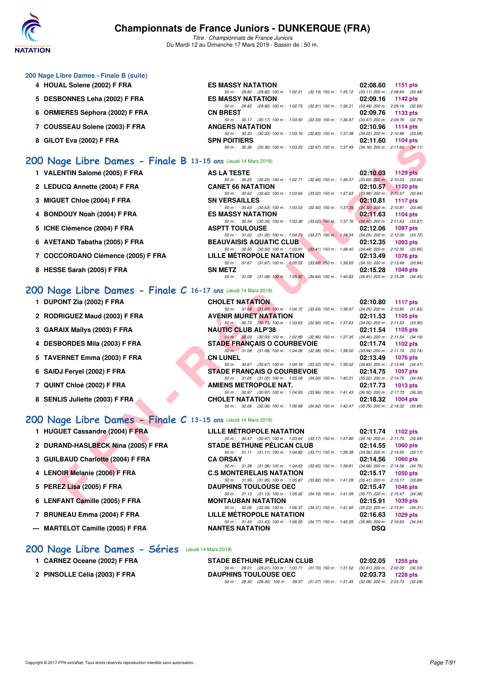

*Titre : Championnats de France Juniors* Du Mardi 12 au Dimanche 17 Mars 2019 - Bassin de : 50 m.

|  |  |  | 200 Nage Libre Dames - Finale B (suite) |  |
|--|--|--|-----------------------------------------|--|
|--|--|--|-----------------------------------------|--|

- **4 HOUAL Solene (2002) F FRA ES MASSY NATATION 02:08.60 1151 pts**
- **5 DESBONNES Leha (2002) F FRA ES MASSY NATATION 02:09.16 1142 pts**
- **6 ORMIERES Séphora (2002) F FRA**
- 7 COUSSEAU Solene (2003) F FRA
- **8 GILOT Eva (2002) F FRA** SPN POITIERS **02:11.60 02:11.60 1104 pts**<br> **80 m**: 30.36 (30.36) 100 m: 1:03.33 (32.97) 150 m: 1:37.49 (34.16) 200 m: 2:11.60 (34.1

### **[200 Nage Libre Dames - Finale B](http://www.ffnatation.fr/webffn/resultats.php?idact=nat&go=epr&idcpt=59271&idepr=3) 13-15 ans** 6

- 1 VALENTIN Salomé (2005) F FRA AS LA
- 2 LEDUCQ Annette (2004) F FRA **CANET**
- **3 MIGUET Chloe (2004) F FRA** SN VERSAILLES 1
- 4 BONDOUY Noah (2004) F FRA ES MAS
- 5 ICHE Clémence (2004) F FRA ASPTT
- **6 AVETAND Tabatha (2005) F FRA BEAUV**
- 7 COCCORDANO Clémence (2005) F FRA LILLE M
- **8 HESSE Sarah (2005) F FRA SN METZ 02:15.28 1049 pts**

### **[200 Nage Libre Dames - Finale C](http://www.ffnatation.fr/webffn/resultats.php?idact=nat&go=epr&idcpt=59271&idepr=3) 16-17 ans** (Jeudi 14 Mars 2019)

- 
- 
- 
- 
- 
- 
- 
- 

# **[200 Nage Libre Dames - Finale C](http://www.ffnatation.fr/webffn/resultats.php?idact=nat&go=epr&idcpt=59271&idepr=3) 13-**

- 
- 2 DURAND-HASLBECK Nina (2005) F FRA
- **3 GUILBAUD Charlotte (2004) F FRA**
- **4 LENOIR Melanie (2006) F FRA**
- **5 PEREZ Lisa (2005) F FRA**
- **6 LENFANT Camille (2005) F FRA**
- **7 BRUNEAU Emma (2004) F FRA LILLE MÉTROPOLE NATATION 02:16.63 1029 pts**
- **--- MARTELOT Camille (2005) F FRA NANTES NATATION DSQ**

| 8 SENLIS Juliette (2003) F FRA                                | <b>CHOLET NATATION</b>                                                                       | 02:18.32 1004 pts                   |
|---------------------------------------------------------------|----------------------------------------------------------------------------------------------|-------------------------------------|
|                                                               | 50 m : 32.06 (32.06) 100 m : 1:06.68 (34.62) 150 m : 1:42.47 (35.79) 200 m : 2:18.32 (35.85) |                                     |
| 00 Nage Libre Dames - Finale C 13-15 ans (Jeudi 14 Mars 2019) |                                                                                              |                                     |
| 1 HUGUET Cassandre (2004) F FRA                               | LILLE MÉTROPOLE NATATION                                                                     | 02:11.74 1102 pts                   |
|                                                               | 50 m: 30.47 (30.47) 100 m: 1:03.64 (33.17) 150 m: 1:37.80                                    | $(34.16)$ 200 m : 2:11.74 $(33.94)$ |
| 2 DURAND-HASLBECK Nina (2005) F FRA                           | <b>STADE BÉTHUNE PELICAN CLUB</b>                                                            | $02:14.55$ 1060 pts                 |
|                                                               | 50 m: 31.11 (31.11) 100 m: 1:04.82 (33.71) 150 m: 1:39.38                                    | $(34.56)$ 200 m : 2:14.55 $(35.17)$ |
| 3 GUILBAUD Charlotte (2004) F FRA                             | <b>CA ORSAY</b>                                                                              | 02:14.56 1060 pts                   |
|                                                               | 50 m: 31.38 (31.38) 100 m: 1:04.83 (33.45) 150 m: 1:39.81                                    | $(34.98)$ 200 m : 2:14.56 $(34.75)$ |
| 4 LENOIR Melanie (2006) F FRA                                 | <b>C.S MONTERELAIS NATATION</b>                                                              | $02:15.17$ 1050 pts                 |
|                                                               | 50 m: 31.95 (31.95) 100 m: 1:05.87 (33.92) 150 m: 1:41.28 (35.41) 200 m: 2:15.17 (33.89)     |                                     |
| 5 PEREZ Lisa (2005) F FRA                                     | <b>DAUPHINS TOULOUSE OEC</b>                                                                 | 02:15.47<br>1046 pts                |
|                                                               | 50 m: 31.13 (31.13) 100 m: 1:05.32 (34.19) 150 m: 1:41.09                                    | $(35.77)$ 200 m : 2:15.47 $(34.38)$ |
| 6 LENFANT Camille (2005) F FRA                                | <b>MONTAUBAN NATATION</b>                                                                    | 02:15.91<br>1039 pts                |
|                                                               | 50 m: 32.06 (32.06) 100 m: 1:06.37 (34.31) 150 m: 1:41.60 (35.23) 200 m: 2:15.91 (34.31)     |                                     |

*50 m : 31.43 (31.43) 100 m : 1:06.20 (34.77) 150 m : 1:42.09 (35.89) 200 m : 2:16.63 (34.54)*<br> **NANTES NATATION** 

*50 m : 29.01 (29.01) 100 m : 1:00.71 (31.70) 150 m : 1:31.52 (30.81) 200 m : 2:02.05 (30.53)*

*50 m : 28.30 (28.30) 100 m : 59.37 (31.07) 150 m : 1:31.45 (32.08) 200 m : 2:03.73 (32.28)*

**[200 Nage Libre Dames - Séries](http://www.ffnatation.fr/webffn/resultats.php?idact=nat&go=epr&idcpt=59271&idepr=3)** (Jeudi 14 Mars 2019)

- **1 CARNEZ Oceane (2002) F FRA STADE BÉTHUNE PÉLICAN CLUB 02:02.05 1255 pts**
- **2 PINSOLLE Célia (2003) F FRA DAUPHINS TOULOUSE OEC 02:03.73 1228 pts**

|                    |                                                              |                           | 50 m : 30.36 (30.36) 100 m : 1:03.33 (32.97) 150 m : 1:37.49 (34.16) 200 m : 2:11.60 (34.11) |  |
|--------------------|--------------------------------------------------------------|---------------------------|----------------------------------------------------------------------------------------------|--|
|                    | (Jeudi 14 Mars 2019)                                         |                           |                                                                                              |  |
| A TESTE            |                                                              |                           | 02:10.03 1129 pts                                                                            |  |
|                    | 50 m : 30.25 (30.25) 100 m : 1:02.71 (32.46) 150 m : 1:36.37 |                           | $(33.66)$ 200 m : 2:10.03 $(33.66)$                                                          |  |
|                    | ET 66 NATATION                                               |                           | 02:10.57 1120 pts                                                                            |  |
|                    | 50 m: 30.62 (30.62) 100 m: 1:03.64 (33.02) 150 m: 1:37.63    |                           | $(33.99)$ 200 m : 2:10.57 $(32.94)$                                                          |  |
| <b>ERSAILLES</b>   |                                                              |                           | 02:10.81 1117 pts                                                                            |  |
|                    | 50 m: 30.63 (30.63) 100 m: 1:03.03 (32.40) 150 m: 1:37.35    |                           | $(34.32)$ 200 m : 2:10.81 $(33.46)$                                                          |  |
|                    | <b>ASSY NATATION</b>                                         |                           | 02:11.63 1104 pts                                                                            |  |
|                    |                                                              |                           | 50 m: 30.34 (30.34) 100 m: 1.03.36 (33.02) 150 m: 1.37.76 (34.40) 200 m: 2.11.63 (33.87)     |  |
| <b>'T TOULOUSE</b> |                                                              |                           | 02:12.06 1097 pts                                                                            |  |
|                    | 50 m: 31.02 (31.02) 100 m: 1:04.29 (33.27) 150 m: 1:38.34    |                           | $(34.05)$ 200 m : 2:12.06 $(33.72)$                                                          |  |
|                    | JVAISIS AQUATIC CLUB                                         |                           | $02:12.35$ 1093 pts                                                                          |  |
|                    | 50 m: 30.50 (30.50) 100 m: 1:03.91                           | $(33.41)$ 150 m : 1:38.40 | $(34.49)$ 200 m : 2:12.35 $(33.95)$                                                          |  |
|                    | E MÉTROPOLE NATATION                                         |                           | 02:13.49 1076 pts                                                                            |  |
|                    | 50 m: 31.67 (31.67) 100 m: 1.05.55                           |                           | $(33.88)$ 150 m : 1:39.65 $(34.10)$ 200 m : 2:13.49 $(33.84)$                                |  |

*50 m : 29.82 (29.82) 100 m : 1:02.01 (32.19) 150 m : 1:35.12 (33.11) 200 m : 2:08.60 (33.48)*

*50 m : 29.82 (29.82) 100 m : 1:02.73 (32.91) 150 m : 1:36.21 (33.48) 200 m : 2:09.16 (32.95)*

*50 m : 30.17 (30.17) 100 m : 1:03.50 (33.33) 150 m : 1:36.97 (33.47) 200 m : 2:09.76 (32.79)*<br>**ANGERS NATATION 02:10.96** 1114 pts

*50 m : 30.33 (30.33) 100 m : 1:03.16 (32.83) 150 m : 1:37.38 (34.22) 200 m : 2:10.96 (33.58)*

| <b>0 GILVI EVA (ZUVZ) F FRA</b>                               | JEN FUITIERJ                                                                                                                                   | <b>UZ.II.UU IIU+U</b> I                         |
|---------------------------------------------------------------|------------------------------------------------------------------------------------------------------------------------------------------------|-------------------------------------------------|
|                                                               | 50 m: 30.36 (30.36) 100 m: 1:03.33 (32.97) 150 m: 1:37.49 (34.16) 200 m: 2:11.60 (34.11)                                                       |                                                 |
| 00 Nage Libre Dames - Finale B 13-15 ans (Jeudi 14 Mars 2019) |                                                                                                                                                |                                                 |
| 1 VALENTIN Salomé (2005) F FRA                                | <b>AS LA TESTE</b><br>02:10.03                                                                                                                 | <b>1129 pts</b>                                 |
|                                                               | 50 m: 30.25 (30.25) 100 m: 1:02.71 (32.46) 150 m: 1:36.37                                                                                      | $(33.66)$ 200 m : 2:10.03 $(33.66)$             |
| 2 LEDUCQ Annette (2004) F FRA                                 | <b>CANET 66 NATATION</b><br>02:10.57                                                                                                           | $1120$ pts                                      |
|                                                               | 50 m : 30.62 (30.62) 100 m : 1:03.64<br>$(33.02)$ 150 m : 1:37.63                                                                              | $(33.99)$ 200 m : 2:10.57 $(32.94)$             |
| 3 MIGUET Chloe (2004) F FRA                                   | <b>SN VERSAILLES</b><br>02:10.81                                                                                                               | <b>1117 pts</b>                                 |
| 4 BONDOUY Noah (2004) F FRA                                   | 50 m: 30.63 (30.63) 100 m: 1:03.03<br>$(32.40)$ 150 m : 1:37.35<br><b>ES MASSY NATATION</b><br>02:11.63                                        | $(34.32)$ 200 m : 2:10.81 $(33.46)$<br>1104 pts |
|                                                               | 50 m: 30.34 (30.34) 100 m: 1:03.36<br>$(33.02)$ 150 m : 1:37.76 $(34.40)$ 200 m : 2:11.63 $(33.87)$                                            |                                                 |
| 5 ICHE Clémence (2004) F FRA                                  | <b>ASPTT TOULOUSE</b><br>02:12.06                                                                                                              | 1097 pts                                        |
|                                                               | 50 m: 31.02 (31.02) 100 m: 1:04.29<br>$(33.27)$ 150 m : 1:38.34 $(34.05)$ 200 m : 2:12.06 $(33.72)$                                            |                                                 |
| 6 AVETAND Tabatha (2005) F FRA                                | <b>BEAUVAISIS AQUATIC CLUB</b><br>02:12.35                                                                                                     | 1093 pts                                        |
|                                                               | 50 m: 30.50 (30.50) 100 m: 1:03.91<br>$(33.41)$ 150 m : 1:38.40 $(34.49)$ 200 m : 2:12.35 $(33.95)$                                            |                                                 |
| 7 COCCORDANO Clémence (2005) F FRA                            | LILLE METROPOLE NATATION<br>02:13.49                                                                                                           | 1076 pts                                        |
| 8 HESSE Sarah (2005) F FRA                                    | 50 m: 31.67 (31.67) 100 m: 1:05.55<br>$(33.88)$ 150 m : 1:39.65 $(34.10)$ 200 m : 2:13.49 $(33.84)$<br><b>SN METZ</b><br>02:15.28              | 1049 pts                                        |
|                                                               | 50 m: 31.08 (31.08) 100 m: 1:05.92 (34.84) 150 m: 1:40.83 (34.91) 200 m: 2:15.28 (34.45)                                                       |                                                 |
|                                                               |                                                                                                                                                |                                                 |
| 00 Nage Libre Dames - Finale C 16-17 ans (Jeudi 14 Mars 2019) |                                                                                                                                                |                                                 |
| 1 DUPONT Zia (2002) F FRA                                     | <b>CHOLET NATATION</b><br>02:10.80                                                                                                             | 1117 pts                                        |
|                                                               | 50 m: 31.09 (31.09) 100 m: 1:04.72 (33.63) 150 m: 1:38.97 (34.25) 200 m: 2:10.80 (31.83)                                                       |                                                 |
| 2 RODRIGUEZ Maud (2003) F FRA                                 | <b>AVENIR MURET NATATION</b><br>02:11.53                                                                                                       | 1105 pts                                        |
|                                                               | 50 m: 30.73 (30.73) 100 m: 1:03.63 (32.90) 150 m: 1:37.63 (34.00) 200 m: 2:11.53 (33.90)                                                       |                                                 |
| 3 GARAIX Maïlys (2003) F FRA                                  | <b>NAUTIC CLUB ALP'38</b><br>02:11.54                                                                                                          | 1105 pts                                        |
| 4 DESBORDES Mila (2003) F FRA                                 | 50 m : 30.03 (30.03) 100 m : 1:02.89 (32.86) 150 m : 1:37.35 (34.46) 200 m : 2:11.54 (34.19)<br><b>STADE FRANCAIS O COURBEVOIE</b><br>02:11.74 | 1102 pts                                        |
|                                                               | 50 m: 31.08 (31.08) 100 m: 1:04.06 (32.98) 150 m: 1:38.00 (33.94) 200 m: 2:11.74 (33.74)                                                       |                                                 |
| 5 TAVERNET Emma (2003) F FRA                                  | <b>CN LUNEL</b><br>02:13.49                                                                                                                    | 1076 pts                                        |
|                                                               | 50 m: 30.67 (30.67) 100 m: 1:04.19 (33.52) 150 m: 1:39.02 (34.83) 200 m: 2:13.49 (34.47)                                                       |                                                 |
| 6 SAIDJ Feryel (2002) F FRA                                   | <b>STADE FRANÇAIS O COURBEVOIE</b><br>02:14.75                                                                                                 | 1057 pts                                        |
|                                                               | 50 m: 31.05 (31.05) 100 m: 1:05.09 (34.04) 150 m: 1:40.31 (35.22) 200 m: 2:14.75 (34.44)                                                       |                                                 |
| 7 QUINT Chloé (2002) F FRA                                    | AMIENS METROPOLE NAT.<br>02:17.73                                                                                                              | $1013$ pts                                      |
|                                                               | 50 m: 30.97 (30.97) 100 m: 1:04.93 (33.96) 150 m: 1:41.43 (36.50) 200 m: 2:17.73 (36.30)                                                       |                                                 |
| 8 SENLIS Juliette (2003) F FRA                                | <b>CHOLET NATATION</b><br>02:18.32<br>50 m: 32.06 (32.06) 100 m: 1:06.68 (34.62) 150 m: 1:42.47 (35.79) 200 m: 2:18.32 (35.85)                 | 1004 pts                                        |
|                                                               |                                                                                                                                                |                                                 |
| 00 Nage Libre Dames - Finale C 13-15 ans (Jeudi 14 Mars 2019) |                                                                                                                                                |                                                 |
| 1 HUGUET Cassandre (2004) F FRA                               | <b>LILLE METROPOLE NATATION</b><br>02:11.74                                                                                                    | 1102 pts                                        |
|                                                               | 50 m: 30.47 (30.47) 100 m: 1:03.64 (33.17) 150 m: 1:37.80 (34.16) 200 m: 2:11.74 (33.94)                                                       |                                                 |
| 2 DURAND-HASLBECK Nina (2005) F FRA                           | <b>STADE BETHUNE PELICAN CLUB</b><br>02:14.55                                                                                                  | <b>1060 pts</b>                                 |
|                                                               | 50 m: 31.11 (31.11) 100 m: 1:04.82 (33.71) 150 m: 1:39.38 (34.56) 200 m: 2:14.55 (35.17)                                                       |                                                 |
| 3 GUILBAUD Charlotte (2004) F FRA                             | <b>CA ORSAY</b><br>02:14.56                                                                                                                    | <b>1060 pts</b>                                 |
|                                                               | 50 m : 31.38 (31.38) 100 m : 1:04.83<br>$(33.45)$ 150 m : 1:39.81                                                                              | $(34.98)$ 200 m : 2:14.56 $(34.75)$             |
| 4 LENOIR Melanie (2006) F FRA                                 | <b>C.S MONTERELAIS NATATION</b><br>02:15.17                                                                                                    | <b>1050 pts</b>                                 |
|                                                               | 50 m: 31.95 (31.95) 100 m: 1.05.87 (33.92) 150 m: 1.41.28 (35.41) 200 m: 2.15.17 (33.89)                                                       |                                                 |
| 5 PEREZ Lisa (2005) F FRA                                     | <b>DAUPHINS TOULOUSE OEC</b><br>02:15.47                                                                                                       | 1046 pts                                        |
| 6 LENFANT Camille (2005) F FRA                                | 50 m: 31.13 (31.13) 100 m: 1:05.32 (34.19) 150 m: 1:41.09 (35.77) 200 m: 2:15.47 (34.38)<br><b>MONTAUBAN NATATION</b><br>02:15.91              | 1039 pts                                        |
|                                                               |                                                                                                                                                |                                                 |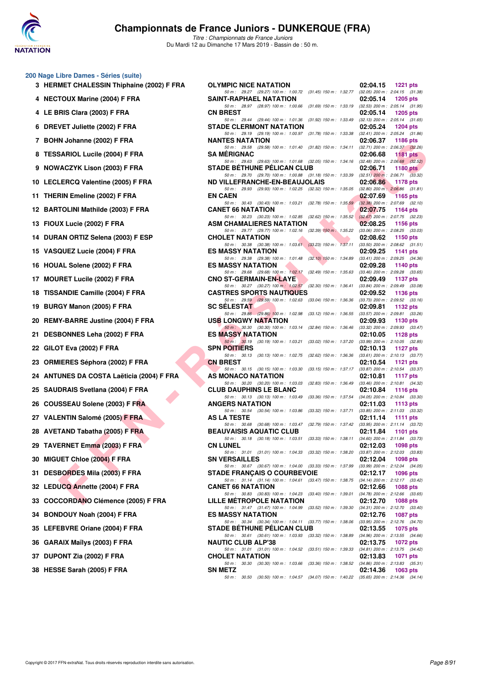

*Titre : Championnats de France Juniors* Du Mardi 12 au Dimanche 17 Mars 2019 - Bassin de : 50 m.

#### **200 Nage Libre Dames - Séries (suite)**

- **3 HERMET CHALESSIN Thiphaine (2002) F FRA 4 NECTOUX Marine (2004) F FRA 4 LE BRIS Clara (2003) F FRA CN BREST 02:05.14 1205 pts 6 DREVET Juliette (2002) F FRA 7 BOHN Johanne (2002) F FRA** 8 TESSARIOL Lucile (2004) F FRA **9 NOWACZYK Lison (2003) F FRA** 10 LECLERCQ Valentine (2005) F FRA
- 11 THERIN Emeline (2002) F FRA
- **12 BARTOLINI Mathilde (2003) F FRA**
- **13 FIOUX Lucie (2002) F FRA**
- 14 DURAN ORTIZ Selena (2003) F ESP
- 15 VASQUEZ Lucie (2004) F FRA
- **16 HOUAL Solene (2002) F FRA**
- **17 MOURET Lucile (2002) F FRA**
- **18 TISSANDIE Camille (2004) F FRA**
- **19 BURGY Manon (2005) F FRA**
- 20 REMY-BARRE Justine (2004) F FRA
- 21 DESBONNES Leha (2002) F FRA
- **22 GILOT Eva (2002) F FRA**
- 23 ORMIERES Séphora (2002) F FRA
- 24 ANTUNES DA COSTA Laëticia (2004) F FRA
- 25 SAUDRAIS Svetlana (2004) F FRA
- 26 COUSSEAU Solene (2003) F FRA
- 27 VALENTIN Salomé (2005) F FRA
- 28 AVETAND Tabatha (2005) F FRA
- **29 TAVERNET Emma (2003) F FRA CN LUNEL 02:12.03 1098 pts**
- **30 MIGUET Chloe (2004) F FRA**
- 31 DESBORDES Mila (2003) F FRA
- **32 LEDUCQ Annette (2004) F FRA**
- 33 COCCORDANO Clémence (2005) F FRA
- **34 BONDOUY Noah (2004) F FRA**
- 35 LEFEBVRE Oriane (2004) F FRA
- **36 GARAIX Maïlys (2003) F FRA**
- **37 DUPONT Zia (2002) F FRA**
- **38 HESSE Sarah (2005) F FRA**

| libre Dames - Series (suite)         |                                                                                                                                                                                                             |                                                                                 |
|--------------------------------------|-------------------------------------------------------------------------------------------------------------------------------------------------------------------------------------------------------------|---------------------------------------------------------------------------------|
| MET CHALESSIN Thiphaine (2002) F FRA | <b>OLYMPIC NICE NATATION</b>                                                                                                                                                                                | 1221 pts<br>02:04.15                                                            |
| TOUX Marine (2004) F FRA             | 50 m: 29.27 (29.27) 100 m: 1:00.72 (31.45) 150 m: 1:32.77 (32.05) 200 m: 2:04.15 (31.38)<br>SAINT-RAPHAEL NATATION                                                                                          | 02:05.14<br>1205 pts                                                            |
|                                      | 50 m: 28.97 (28.97) 100 m: 1:00.66 (31.69) 150 m: 1:33.19 (32.53) 200 m: 2:05.14 (31.95)                                                                                                                    |                                                                                 |
| RIS Clara (2003) F FRA               | <b>CN BREST</b><br>50 m: 29.44 (29.44) 100 m: 1:01.36 (31.92) 150 m: 1:33.49 (32.13) 200 m: 2:05.14 (31.65)                                                                                                 | 02:05.14<br>1205 pts                                                            |
| VET Juliette (2002) F FRA            | <b>STADE CLERMONT NATATION</b><br>50 m: 29.19 (29.19) 100 m: 1:00.97 (31.78) 150 m: 1:33.38 (32.41) 200 m: 2:05.24 (31.86)                                                                                  | 02:05.24<br>1204 pts                                                            |
| N Johanne (2002) F FRA               | <b>NANTES NATATION</b>                                                                                                                                                                                      | 02:06.37<br>1186 pts                                                            |
| <b>SARIOL Lucile (2004) F FRA</b>    | 50 m: 29.58 (29.58) 100 m: 1:01.40 (31.82) 150 m: 1:34.11 (32.71) 200 m: 2:06.37 (32.26)<br><b>SA MERIGNAC</b>                                                                                              | 02:06.68<br>1181 pts                                                            |
| /ACZYK Lison (2003) F FRA            | 50 m: 29.63 (29.63) 100 m: 1:01.68 (32.05) 150 m: 1:34.16 (32.48) 200 m: 2:06.68 (32.52)<br><b>STADE BÉTHUNE PÉLICAN CLUB</b>                                                                               | 02:06.71<br>1180 $pts$                                                          |
| LERCQ Valentine (2005) F FRA         | 50 m: 29.70 (29.70) 100 m: 1:00.88 (31.18) 150 m: 1:33.39 (32.51) 200 m: 2:06.71 (33.32)<br>ND VILLEFRANCHE-EN-BEAUJOLAIS                                                                                   | 02:06.86<br>1178 pts                                                            |
| RIN Emeline (2002) F FRA             | 50 m: 29.93 (29.93) 100 m: 1:02.25 (32.32) 150 m: 1:35.05 (32.80) 200 m: 2:06.86 (31.81)<br><b>EN CAEN</b>                                                                                                  | 02:07.69<br><b>1165 pts</b>                                                     |
| TOLINI Mathilde (2003) F FRA         | 50 m: 30.43 (30.43) 100 m: 1:03.21 (32.78) 150 m: 1:35.59 (32.38) 200 m: 2:07.69 (32.10)<br><b>CANET 66 NATATION</b>                                                                                        | 02:07.75<br>1164 pts                                                            |
| IX Lucie (2002) F FRA                | 50 m: 30.23 (30.23) 100 m: 1:02.85 (32.62) 150 m: 1:35.52 (32.67) 200 m: 2:07.75 (32.23)<br><b>ASM CHAMALIERES NATATION</b>                                                                                 | 02:08.25<br>1156 $pts$                                                          |
|                                      | 50 m : 29.77 (29.77) $100 \text{ m}$ : $1.02.16$ (32.39) $150 \text{ m}$ : $1.35.22$ (33.06) $200 \text{ m}$ : $2.08.25$ (33.03)                                                                            |                                                                                 |
| AN ORTIZ Selena (2003) F ESP         | <b>CHOLET NATATION</b><br>50 m: 30.38 (30.38) 100 m: 1:03.61 (33.23) 150 m: 1:37.11 (33.50) 200 m: 2:08.62 (31.51)                                                                                          | 02:08.62<br>1150 pts                                                            |
| QUEZ Lucie (2004) F FRA              | <b>ES MASSY NATATION</b><br>50 m: 29.38 (29.38) 100 m: 1:01.48 (32.10) 150 m: 1:34.89 (33.41) 200 m: 2:09.25 (34.36)                                                                                        | 02:09.25<br>1141 pts                                                            |
| AL Solene (2002) F FRA               | <b>ES MASSY NATATION</b>                                                                                                                                                                                    | 02:09.28<br>1140 pts                                                            |
| RET Lucile (2002) F FRA              | 50 m: 29.68 (29.68) 100 m: 1:02.17 (32.49) 150 m: 1:35.63 (33.46) 200 m: 2:09.28 (33.65)<br><b>CNO ST-GERMAIN-EN-LAYE</b>                                                                                   | 02:09.49<br><b>1137 pts</b>                                                     |
| ANDIE Camille (2004) F FRA           | 50 m: 30.27 (30.27) 100 m: 1:02.57 (32.30) 150 m: 1:36.41 (33.84) 200 m: 2:09.49 (33.08)<br><b>CASTRES SPORTS NAUTIQUES</b>                                                                                 | 02:09.52<br>1136 pts                                                            |
|                                      | 50 m: 29.59 (29.59) 100 m: 1:02.63 (33.04) 150 m: 1:36.36 (33.73) 200 m: 2:09.52 (33.16)                                                                                                                    |                                                                                 |
| GY Manon (2005) F FRA                | <b>SC SELESTAT</b><br>50 m: 29.86 (29.86) 100 m: 1:02.98 (33.12) 150 m: 1:36.55 (33.57) 200 m: 2:09.81 (33.26)                                                                                              | 02:09.81<br>1132 $pts$                                                          |
| Y-BARRE Justine (2004) F FRA         | <b>USB LONGWY NATATION</b><br>50 m : 30.30 (30.30) 100 m : 1:03.14 (32.84) 150 m : 1:36.46 (33.32) 200 m : 2:09.93 (33.47)                                                                                  | 02:09.93<br>1130 pts                                                            |
| BONNES Leha (2002) F FRA             | <b>ES MASSY NATATION</b>                                                                                                                                                                                    | 02:10.05<br>1128 pts                                                            |
| )T Eva (2002) F FRA                  | 50 m: 30.19 (30.19) 100 m: 1:03.21 (33.02) 150 m: 1:37.20 (33.99) 200 m: 2:10.05 (32.85)<br><b>SPN POITIERS</b><br>50 m: 30.13 (30.13) 100 m: 1:02.75 (32.62) 150 m: 1:36.36 (33.61) 200 m: 2:10.13 (33.77) | 02:10.13<br>1127 $p$ ts                                                         |
| IIERES Séphora (2002) F FRA          | <b>CN BREST</b>                                                                                                                                                                                             | 02:10.54<br>1121 $pts$                                                          |
| UNES DA COSTA Laëticia (2004) F FRA  | 50 m: 30.15 (30.15) 100 m: 1:03.30<br>AS MONACO NATATION                                                                                                                                                    | (33.15) 150 m : 1:37.17 (33.87) 200 m : 2:10.54 (33.37)<br>02:10.81<br>1117 pts |
| DRAIS Svetlana (2004) F FRA          | 50 m: 30.20 (30.20) 100 m: 1:03.03 (32.83) 150 m: 1:36.49 (33.46) 200 m: 2:10.81 (34.32)<br><b>CLUB DAUPHINS LE BLANC</b>                                                                                   | 02:10.84<br>1116 $pts$                                                          |
| SSEAU Solene (2003) F FRA            | 50 m: 30.13 (30.13) 100 m: 1:03.49 (33.36) 150 m: 1:37.54 (34.05) 200 m: 2:10.84 (33.30)<br><b>ANGERS NATATION</b>                                                                                          | 02:11.03<br>1113 $pts$                                                          |
|                                      | 50 m: 30.54 (30.54) 100 m: 1:03.86 (33.32) 150 m: 1:37.71 (33.85) 200 m: 2:11.03 (33.32)<br>AS LA TESTE                                                                                                     | 02:11.14                                                                        |
| ENTIN Salomé (2005) F FRA            | 50 m: 30.68 (30.68) 100 m: 1:03.47 (32.79) 150 m: 1:37.42 (33.95) 200 m: 2:11.14 (33.72)                                                                                                                    | 1111 $pts$                                                                      |
| TAND Tabatha (2005) F FRA            | <b>BEAUVAISIS AQUATIC CLUB</b><br>50 m: 30.18 (30.18) 100 m: 1:03.51 (33.33) 150 m: 1:38.11 (34.60) 200 m: 2:11.84 (33.73)                                                                                  | 02:11.84<br>1101 pts                                                            |
| ERNET Emma (2003) F FRA              | <b>CN LUNEL</b><br>50 m: 31.01 (31.01) 100 m: 1:04.33 (33.32) 150 m: 1:38.20                                                                                                                                | 02:12.03<br>1098 pts<br>$(33.87)$ 200 m : 2:12.03 $(33.83)$                     |
| <b>JET Chloe (2004) F FRA</b>        | <b>SN VERSAILLES</b>                                                                                                                                                                                        | 02:12.04<br><b>1098 pts</b>                                                     |
| BORDES Mila (2003) F FRA             | 50 m : 30.67 (30.67) 100 m : 1:04.00 (33.33) 150 m : 1:37.99<br><b>STADE FRANÇAIS O COURBEVOIE</b>                                                                                                          | $(33.99)$ 200 m : 2:12.04 $(34.05)$<br>02:12.17<br><b>1096 pts</b>              |
| UCQ Annette (2004) F FRA             | 50 m: 31.14 (31.14) 100 m: 1:04.61 (33.47) 150 m: 1:38.75 (34.14) 200 m: 2:12.17 (33.42)<br><b>CANET 66 NATATION</b>                                                                                        | 02:12.66<br><b>1088 pts</b>                                                     |
| <b>CORDANO Clémence (2005) F FRA</b> | 50 m : 30.83 (30.83) 100 m : 1:04.23 (33.40) 150 m : 1:39.01<br>LILLE METROPOLE NATATION                                                                                                                    | $(34.78)$ 200 m : 2:12.66 $(33.65)$<br>02:12.70<br><b>1088 pts</b>              |
| DOUY Noah (2004) F FRA               | 50 m : 31.47 (31.47) 100 m : 1:04.99 (33.52) 150 m : 1:39.30 (34.31) 200 m : 2:12.70 (33.40)<br><b>ES MASSY NATATION</b>                                                                                    | 02:12.76<br><b>1087 pts</b>                                                     |
| EBVRE Oriane (2004) F FRA            | 50 m: 30.34 (30.34) 100 m: 1:04.11 (33.77) 150 m: 1:38.06 (33.95) 200 m: 2:12.76 (34.70)<br><b>STADE BETHUNE PELICAN CLUB</b>                                                                               | 02:13.55<br>1075 pts                                                            |
| AIX Maïlys (2003) F FRA              | 50 m: 30.61 (30.61) 100 m: 1:03.93 (33.32) 150 m: 1:38.89 (34.96) 200 m: 2:13.55 (34.66)<br><b>NAUTIC CLUB ALP'38</b>                                                                                       | 02:13.75<br><b>1072 pts</b>                                                     |
| ONT Zia (2002) F FRA                 | 50 m: 31.01 (31.01) 100 m: 1:04.52 (33.51) 150 m: 1:39.33<br><b>CHOLET NATATION</b>                                                                                                                         | $(34.81)$ 200 m : 2:13.75 $(34.42)$<br>02:13.83<br>1071 pts                     |
|                                      | 50 m: 30.30 (30.30) 100 m: 1:03.66 (33.36) 150 m: 1:38.52 (34.86) 200 m: 2:13.83 (35.31)                                                                                                                    |                                                                                 |
| SE Sarah (2005) F FRA                | <b>SN METZ</b><br>50 m: 30.50 (30.50) 100 m: 1:04.57 (34.07) 150 m: 1:40.22 (35.65) 200 m: 2:14.36 (34.14)                                                                                                  | 02:14.36<br>1063 pts                                                            |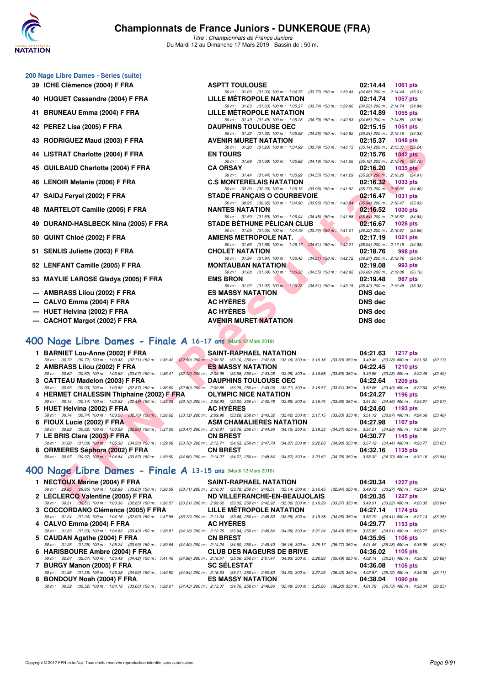

*Titre : Championnats de France Juniors* Du Mardi 12 au Dimanche 17 Mars 2019 - Bassin de : 50 m.

| 200 Nage Libre Dames - Séries (suite) |  |  |
|---------------------------------------|--|--|
|---------------------------------------|--|--|

- 39 ICHE Clémence (2004) F FRA
- **40 HUGUET Cassandre (2004) F FRA**
- **41 BRUNEAU Emma (2004) F FRA LILLE MÉTROPOLE NATATION 02:14.89 1055 pts**
- **42 PEREZ Lisa (2005) F FRA DAUPHINS TOULOUSE OEC 02:15.15 1051 pts**
- 43 RODRIGUEZ Maud (2003) F FRA
- **44 LISTRAT Charlotte (2004) F FRA**
- **45 GUILBAUD Charlotte (2004) F FRA**
- **46 LENOIR Melanie (2006) F FRA**
- **47 SAIDJ Feryel (2002) F FRA**
- **48 MARTELOT Camille (2005) F FRA**
- **49 DURAND-HASLBECK Nina (2005) F FRA**
- **50 QUINT Chloé (2002) F FRA**
- 51 SENLIS Juliette (2003) F FRA
- 52 LENFANT Camille (2005) F FRA
- 53 MAYLIE LAROSE Gladys (2005) F FRA
- **--- AMBRASS Lilou (2002) F FRA**
- **--- CALVO Emma (2004) F FRA**
- **--- HUET Helvina (2002) F FRA**
- **--- CACHOT Margot (2002) F FRA AVENIR MURET NATATION DNS dec**

| <b>ASPTT TOULOUSE</b>        |                                                                                         |                           | 02:14.44 1061 pts                   |                 |         |
|------------------------------|-----------------------------------------------------------------------------------------|---------------------------|-------------------------------------|-----------------|---------|
|                              | 50 m: 31.03 (31.03) 100 m: 1:04.75 (33.72) 150 m: 1:39.43 (34.68) 200 m: 2:14.44 (35.01 |                           |                                     |                 |         |
|                              | <b>LILLE METROPOLE NATATION</b>                                                         |                           | 02:14.74                            | <b>1057 pts</b> |         |
|                              | 50 m: 31.63 (31.63) 100 m: 1:05.37                                                      | (33.74) 150 m : 1:39.90   | (34.53) 200 m : 2:14.74 (34.84)     |                 |         |
|                              | <b>LILLE METROPOLE NATATION</b>                                                         |                           | 02:14.89                            | $1055$ pts      |         |
|                              | 50 m: 31.49 (31.49) 100 m: 1:06.28                                                      | $(34.79)$ 150 m : 1:40.93 | (34.65) 200 m : 2:14.89 (33.96)     |                 |         |
| <b>DAUPHINS TOULOUSE OEC</b> |                                                                                         |                           | 02:15.15                            | 1051 pts        |         |
|                              | 50 m: 31.32 (31.32) 100 m: 1:05.58                                                      | $(34.26)$ 150 m : 1:40.82 | (35.24) 200 m: 2:15.15 (34.33)      |                 |         |
| <b>AVENIR MURET NATATION</b> |                                                                                         |                           | 02:15.37                            | <b>1048 pts</b> |         |
|                              | 50 m: 31.20 (31.20) 100 m: 1:04.99                                                      | $(33.79)$ 150 m : 1:40.13 | (35.14) 200 m : 2:15.37 (35.24)     |                 |         |
| <b>EN TOURS</b>              |                                                                                         |                           | 02:15.76                            | $1042$ pts      |         |
|                              | 50 m: 31.69 (31.69) 100 m: 1:05.88 (34.19) 150 m: 1:41.06                               |                           | (35.18) 200 m : 2:15.76 (34.70)     |                 |         |
| <b>CA ORSAY</b>              |                                                                                         |                           | 02:16.20                            | 1035 pts        |         |
|                              | 50 m: 31.44 (31.44) 100 m: 1:05.99 (34.55) 150 m: 1:41.29 (35.30) 200 m: 2:16.20 (34.91 |                           |                                     |                 |         |
|                              | <b>C.S MONTERELAIS NATATION</b>                                                         |                           | 02:16.32                            | 1033 pts        |         |
|                              | 50 m: 32.20 (32.20) 100 m: 1:06.15 (33.95) 150 m: 1:41.92 (35.77) 200 m: 2:16.32 (34.40 |                           |                                     |                 |         |
|                              | <b>STADE FRANCAIS O COURBEVOIE</b>                                                      |                           | 02:16.47                            | <b>1031 pts</b> |         |
|                              | 50 m: 30.95 (30.95) 100 m: 1:04.90 (33.95) 150 m: 1:40.84                               |                           | (35.94) 200 m : 2:16.47 (35.63)     |                 |         |
| <b>NANTES NATATION</b>       |                                                                                         |                           | 02:16.52                            | <b>1030 pts</b> |         |
|                              | 50 m: 31.59 (31.59) 100 m: 1:06.04 (34.45) 150 m: 1:41.88                               |                           | $(35.84)$ 200 m : 2:16.52 (34.64)   |                 |         |
|                              | <b>STADE BÉTHUNE PÉLICAN CLUB</b>                                                       |                           | 02:16.67 1028 pts                   |                 |         |
|                              | 50 m: 31.05 (31.05) 100 m: 1:04.79 (33.74) 150 m: 1:41.01                               |                           | $(36.22)$ 200 m : 2:16.67 $(35.66)$ |                 |         |
| <b>AMIENS METROPOLE NAT.</b> |                                                                                         |                           | 02:17.19                            | <b>1021 pts</b> |         |
|                              | 50 m: 31.66 (31.66) 100 m: 1:06.17 (34.51) 150 m: 1:42.21                               |                           | (36.04) 200 m: 2:17.19 (34.98)      |                 |         |
| <b>CHOLET NATATION</b>       |                                                                                         |                           | 02:18.76                            |                 | 998 pts |
|                              | 50 m: 31.94 (31.94) 100 m: 1:06.45                                                      | $(34.51)$ 150 m : 1:42.72 | (36.27) 200 m : 2:18.76 (36.04)     |                 |         |
| <b>MONTAUBAN NATATION</b>    |                                                                                         |                           | 02:19.08                            | 993 pts         |         |
|                              | 50 m: 31.68 (31.68) 100 m: 1:06.23 (34.55) 150 m: 1:42.92                               |                           | $(36.69)$ 200 m : 2:19.08 $(36.16)$ |                 |         |
| <b>EMS BRON</b>              |                                                                                         |                           | 02:19.48                            |                 | 987 pts |
|                              | 50 m: 31.92 (31.92) 100 m: 1.06.73 (34.81) 150 m: 1.43.15 (36.42) 200 m: 2.19.48 (36.33 |                           |                                     |                 |         |
| <b>ES MASSY NATATION</b>     |                                                                                         |                           | <b>DNS</b> dec                      |                 |         |
| <b>AC HYÈRES</b>             |                                                                                         |                           | <b>DNS dec</b>                      |                 |         |
|                              |                                                                                         |                           |                                     |                 |         |
| <b>AC HYÈRES</b>             |                                                                                         |                           | <b>DNS</b> dec                      |                 |         |

### **[400 Nage Libre Dames - Finale A](http://www.ffnatation.fr/webffn/resultats.php?idact=nat&go=epr&idcpt=59271&idepr=4) 16-17 ans** (Mardi 12 Mars 2019)

| 3 NODNIGOEZ MAUG (2003) F FRA                                                                                                                                                                                                                                                     | AVENIR MURET NATATION.                                                                                                      | <u>UZ.IJ.JI IU40 ULS</u> |
|-----------------------------------------------------------------------------------------------------------------------------------------------------------------------------------------------------------------------------------------------------------------------------------|-----------------------------------------------------------------------------------------------------------------------------|--------------------------|
| 4 LISTRAT Charlotte (2004) F FRA                                                                                                                                                                                                                                                  | 50 m: 31.20 (31.20) 100 m: 1:04.99 (33.79) 150 m: 1:40.13 (35.14) 200 m: 2:15.37 (35.24)<br><b>EN TOURS</b>                 | $02:15.76$ 1042 pts      |
|                                                                                                                                                                                                                                                                                   | 50 m: 31.69 (31.69) 100 m: 1:05.88 (34.19) 150 m: 1:41.06 (35.18) 200 m: 2:15.76 (34.70)                                    |                          |
| 5 GUILBAUD Charlotte (2004) F FRA                                                                                                                                                                                                                                                 | <b>CA ORSAY</b>                                                                                                             | $02:16.20$ 1035 pts      |
| 6   LENOIR Melanie (2006) F FRA                                                                                                                                                                                                                                                   | 50 m: 31.44 (31.44) 100 m: 1:05.99 (34.55) 150 m: 1:41.29 (35.30) 200 m: 2:16.20 (34.91)<br><b>C.S MONTERELAIS NATATION</b> | $02:16.32$ 1033 pts      |
|                                                                                                                                                                                                                                                                                   | 50 m: 32.20 (32.20) 100 m: 1:06.15 (33.95) 150 m: 1:41.92 (35.77) 200 m: 2:16.32 (34.40)                                    |                          |
| 7 SAIDJ Feryel (2002) F FRA                                                                                                                                                                                                                                                       | <b>STADE FRANÇAIS O COURBEVOIE</b>                                                                                          | $02:16.47$ 1031 pts      |
| 8 MARTELOT Camille (2005) F FRA                                                                                                                                                                                                                                                   | 50 m: 30.95 (30.95) 100 m: 1:04.90 (33.95) 150 m: 1:40.84 (35.94) 200 m: 2:16.47 (35.63)<br><b>NANTES NATATION</b>          | 02:16.52 1030 pts        |
|                                                                                                                                                                                                                                                                                   | 50 m: 31.59 (31.59) 100 m: 1:06.04 (34.45) 150 m: 1:41.88 (35.84) 200 m: 2:16.52 (34.64)                                    |                          |
| 9 DURAND-HASLBECK Nina (2005) F FRA                                                                                                                                                                                                                                               | STADE BÉTHUNE PÉLICAN CLUB                                                                                                  | $02:16.67$ 1028 pts      |
| 0 QUINT Chloé (2002) F FRA                                                                                                                                                                                                                                                        | 50 m: 31.05 (31.05) 100 m: 1:04.79 (33.74) 150 m: 1:41.01 (36.22) 200 m: 2:16.67 (35.66)<br><b>AMIENS METROPOLE NAT.</b>    | 02:17.19 1021 pts        |
|                                                                                                                                                                                                                                                                                   | 50 m: 31.66 (31.66) 100 m: 1:06.17 (34.51) 150 m: 1:42.21 (36.04) 200 m: 2:17.19 (34.98)                                    |                          |
| 1 SENLIS Juliette (2003) F FRA                                                                                                                                                                                                                                                    | <b>CHOLET NATATION</b>                                                                                                      | 02:18.76<br>998 pts      |
| 2 LENFANT Camille (2005) F FRA                                                                                                                                                                                                                                                    | 50 m: 31.94 (31.94) 100 m: 1:06.45 (34.51) 150 m: 1:42.72 (36.27) 200 m: 2:18.76 (36.04)                                    |                          |
|                                                                                                                                                                                                                                                                                   | <b>MONTAUBAN NATATION</b><br>50 m: 31.68 (31.68) 100 m: 1:06.23 (34.55) 150 m: 1:42.92 (36.69) 200 m: 2:19.08 (36.16)       | 02:19.08<br>993 pts      |
| 3 MAYLIE LAROSE Gladys (2005) F FRA                                                                                                                                                                                                                                               | <b>EMS BRON</b>                                                                                                             | 02:19.48<br>987 pts      |
|                                                                                                                                                                                                                                                                                   | 50 m: 31.92 (31.92) $100 \text{ m}$ : $1.06.73$ (34.81) $150 \text{ m}$ : 1:43.15 (36.42) $200 \text{ m}$ : 2:19.48 (36.33) |                          |
| -- AMBRASS Lilou (2002) F FRA                                                                                                                                                                                                                                                     | ES MASSY NATATION                                                                                                           | <b>DNS</b> dec           |
|                                                                                                                                                                                                                                                                                   |                                                                                                                             | <b>DNS dec</b>           |
|                                                                                                                                                                                                                                                                                   |                                                                                                                             | <b>DNS</b> dec           |
| - CALVO Emma (2004) F FRA<br>- HUET Helvina (2002) F FRA AC HYÈRES AC HYÈRES<br>- CACHOT Margot (2002) F FRA AVENIR MURET NATATION                                                                                                                                                |                                                                                                                             | <b>DNS</b> dec           |
|                                                                                                                                                                                                                                                                                   |                                                                                                                             |                          |
| 10 Nage Libre Dames - Finale A 16-17 ans (Mardi 12 Mars 2019)                                                                                                                                                                                                                     |                                                                                                                             |                          |
|                                                                                                                                                                                                                                                                                   | SAINT-RAPHAEL NATATION 04:21.63 1217 pts                                                                                    |                          |
| 1 BARNIET Lou-Anne (2002) F FRA<br>50 m: 30.72 (30.72) 100 m: 1:03.43 (32.71) 150 m: 1:36.42 (32.99) 200 m: 2:09.52 (33.10) 250 m: 2:42.68 (33.16) 300 m: 3:16.18 (33.50) 350 m: 3:49.46 (33.28) 400 m: 4:21.63 (32.17)                                                           |                                                                                                                             |                          |
| 2 AMBRASS Lilou (2002) F FRA                                                                                                                                                                                                                                                      |                                                                                                                             |                          |
| 50 m : 30.62 (30.62) 100 m : 1:03.69 (33.07) 150 m : 1:36.41 (32.72) 200 m : 2:09.99 (33.58) 250 m : 2:43.08 (33.09) 300 m : 3:16.68 (33.60) 350 m : 3:49.96 (33.28) 400 m : 4:22.45 (32.49)                                                                                      |                                                                                                                             | 04:22.45 1210 pts        |
|                                                                                                                                                                                                                                                                                   | <b>ES MASSY NATATION</b>                                                                                                    |                          |
| 3 CATTEAU Madelon (2003) F FRA DAUPHINS TOULOUSE OEC                                                                                                                                                                                                                              |                                                                                                                             | 04:22.64 1209 pts        |
| 50 m : 30.93 (30.93) 100 m : 1:03.80 (32.87) 150 m : 1:36.60 (32.80) 200 m : 2:09.85 (33.25) 250 m : 2:43.06 (33.21) 300 m : 3:16.57 (33.51) 350 m : 3:50.06 (33.49) 400 m : 4:22.64 (32.58)                                                                                      |                                                                                                                             |                          |
| 4 HERMET CHALESSIN Thiphaine (2002) F FRA OLYMPIC NICE NATATION                                                                                                                                                                                                                   |                                                                                                                             | 04:24.27 1196 pts        |
| 50 m: 30.14 (30.14) 100 m: 1:02.63 (32.49) 150 m: 1:35.73 (33.10) 200 m: 2:08.93 (33.20) 250 m: 2:42.78 (33.85) 300 m: 3:16.74 (33.96) 350 m: 3:51.20 (34.46) 400 m: 4:24.27 (33.07)<br>5 HUET Helvina (2002) F FRA AC HYÈRES                                                     |                                                                                                                             | 04:24.60 1193 pts        |
| 50 m: 30.74 (30.74) 100 m: 1:03.50 (32.76) 150 m: 1:36.62 (33.12) 200 m: 2:09.90 (33.28) 250 m: 2:43.32 (33.42) 300 m: 3:17.15 (33.83) 350 m: 3:51.12 (33.97) 400 m: 4:24.60 (33.48)                                                                                              |                                                                                                                             |                          |
|                                                                                                                                                                                                                                                                                   |                                                                                                                             |                          |
| 6 FIOUX Lucie (2002) F FRA ASM CHAMALIERES NATATION 04:27.98 1167 pts<br>50 m: 30.62 (30.62) 100 m: 1:03.58 (32.96) 150 m: 1:37.05 (33.47) 200 m: 2:10.81 (33.76) 250 m: 2:44.96 (34.15) 300 m: 3:19.33 (34.37) 350 m: 3:54.21 (34.88) 400 m: 4:27.98 (33.77)                     |                                                                                                                             |                          |
| 50 m: 31.08 (31.08) 100 m: 1:05.38 (34.30) 150 m: 1:39.08 (33.70) 200 m: 2:13.71 (34.63) 250 m: 2:47.78 (34.07) 300 m: 3:22.68 (34.90) 350 m: 3:57.12 (34.44) 400 m: 4:30.77 (33.65)                                                                                              |                                                                                                                             | 04:30.77 1145 pts        |
|                                                                                                                                                                                                                                                                                   |                                                                                                                             | 04:32.16 1135 pts        |
| 7 LE BRIS Clara (2003) F FRA CN BREST<br>8 ORMIERES Séphora (2002) F FRA CN BREST<br>50 m : 30.97 (30.97) 100 m : 1.04.84 (33.87) 150 m : 1:39.50 (34.66) 200 m : 2:14.27 (34.77) 250 m : 2:48.84 (34.57) 300 m : 3:23.62 (34.78) 350 m : 3:58.32 (34.70) 400 m : 4:32.16 (33.84) |                                                                                                                             |                          |
| 00 Nage Libre Dames - Finale A 13-15 ans (Mardi 12 Mars 2019)                                                                                                                                                                                                                     |                                                                                                                             |                          |
|                                                                                                                                                                                                                                                                                   |                                                                                                                             | 04:20.34 1227 pts        |
| 1 NECTOUX Marine (2004) F FRA<br>50 m : 29.85 (29.85) 100 m : 1:02.88 (33.03) 150 m : 1:36.59 (33.71) 200 m : 2:10.37 (33.78) 250 m : 2:43.51 (33.14) 300 m : 3:16.45 (32.94) 350 m : 3:49.72 (33.27) 400 m : 4:20.34 (30.62)                                                     | SAINT-RAPHAEL NATATION                                                                                                      |                          |
| 2 LECLERCQ Valentine (2005) F FRA <b>ND VILLEFRANCHE-EN-BEAUJOLAIS</b> 04:20.35 1227 pts<br>50 m: 30.51 (30.51) 100 m: 1:03.36 (32.85) 150 m: 1:36.57 (33.21) 200 m: 2:09.62 (33.05) 250 m: 2:42.92 (33.30) 300 m: 3:16.29 (33.37) 350 m: 3:49.51 (33.22) 400 m: 4:20.35 (30.84)  |                                                                                                                             |                          |

### **[400 Nage Libre Dames - Finale A](http://www.ffnatation.fr/webffn/resultats.php?idact=nat&go=epr&idcpt=59271&idepr=4) 13-15 ans** (Mardi 12 Mars 2019)

| 1 NECTOUX Marine (2004) F FRA     | SAINT-RAPHAEL NATATION 04:20.34 1227 pts                                                                                                                                             |                      |
|-----------------------------------|--------------------------------------------------------------------------------------------------------------------------------------------------------------------------------------|----------------------|
|                                   | 50 m: 29.85 (29.85) 100 m: 1:02.88 (33.03) 150 m: 1:36.59 (33.71) 200 m: 2:10.37 (33.78) 250 m: 2:43.51 (33.14) 300 m: 3:16.45 (32.94) 350 m: 3:49.72 (33.27) 400 m: 4:20.34 (30.62) |                      |
| 2 LECLERCQ Valentine (2005) F FRA | ND VILLEFRANCHE-EN-BEAUJOLAIS 04:20.35 1227 pts                                                                                                                                      |                      |
|                                   | 50 m: 30.51 (30.51) 100 m: 1:03.36 (32.85) 150 m: 1:36.57 (33.21) 200 m: 2:09.62 (33.05) 250 m: 2:42.92 (33.30) 300 m: 3:16.29 (33.37) 350 m: 3:49.51 (33.22) 400 m: 4:20.35 (30.84) |                      |
|                                   | 3 COCCORDANO Clémence (2005) F FRA LILLE MÉTROPOLE NATATION 04:27.14                                                                                                                 | 1174 pts             |
|                                   | 50 m: 31.24 (31.24) 100 m: 1:04.16 (32.92) 150 m: 1:37.88 (33.72) 200 m: 2:11.34 (33.46) 250 m: 2:45.33 (33.99) 300 m: 3:19.38 (34.05) 350 m: 3:53.79 (34.41) 400 m: 4:27.14 (33.35) |                      |
| 4 CALVO Emma (2004) F FRA         | AC HYERES AND THE STATE OF THE STATE OF THE STATE OF THE STATE OF THE STATE OF THE STATE OF THE STATE OF THE ST                                                                      | 04:29.77 1153 pts    |
|                                   | 50 m: 31.23 (31.23) 100 m: 1:04.63 (33.40) 150 m: 1:38.81 (34.18) 200 m: 2:12.75 (33.94) 250 m: 2:46.84 (34.09) 300 m: 3:21.24 (34.40) 350 m: 3:55.85 (34.61) 400 m: 4:29.77 (33.92) |                      |
| 5 CAUDAN Agathe (2004) F FRA      | <b>CN BREST</b>                                                                                                                                                                      | 04:35.95 1106 pts    |
|                                   | 50 m: 31.25 (31.25) 100 m: 1:05.24 (33.99) 150 m: 1:39.64 (34.40) 200 m: 2:14.24 (34.60) 250 m: 2:49.40 (35.16) 300 m: 3:25.17 (35.77) 350 m: 4:01.45 (36.28) 400 m: 4:35.95 (34.50) |                      |
|                                   | 6 HARISBOURE Ambre (2004) F FRA CLUB DES NAGEURS DE BRIVE 6 14:36.02 1105 pts                                                                                                        |                      |
|                                   | 50 m: 32.07 (32.07) 100 m: 1:06.49 (34.42) 150 m: 1:41.45 (34.96) 200 m: 2:16.51 (35.06) 250 m: 2:51.44 (34.93) 300 m: 3:26.93 (35.49) 350 m: 4:02.14 (35.21) 400 m: 4:36.02 (33.88) |                      |
|                                   | 7 BURGY Manon (2005) F FRA SC SELESTAT                                                                                                                                               | 04:36.08 1105 pts    |
|                                   | 50 m: 31.36 (31.36) 100 m: 1:06.28 (34.92) 150 m: 1:40.82 (34.54) 200 m: 2:16.53 (35.71) 250 m: 2:50.83 (34.30) 300 m: 3:27.25 (36.42) 350 m: 4:02.97 (35.72) 400 m: 4:36.08 (33.11) |                      |
| 8 BONDOUY Noah (2004) F FRA       | <b>ES MASSY NATATION</b>                                                                                                                                                             | 04:38.04<br>1090 pts |
|                                   | 50 m: 30.52 (30.52) 100 m: 1:04.18 (33.66) 150 m: 1:38.61 (34.43) 200 m: 2:13.37 (34.76) 250 m: 2:48.86 (35.49) 300 m: 3:25.06 (36.20) 350 m: 4:01.79 (36.73) 400 m: 4:38.04 (36.25) |                      |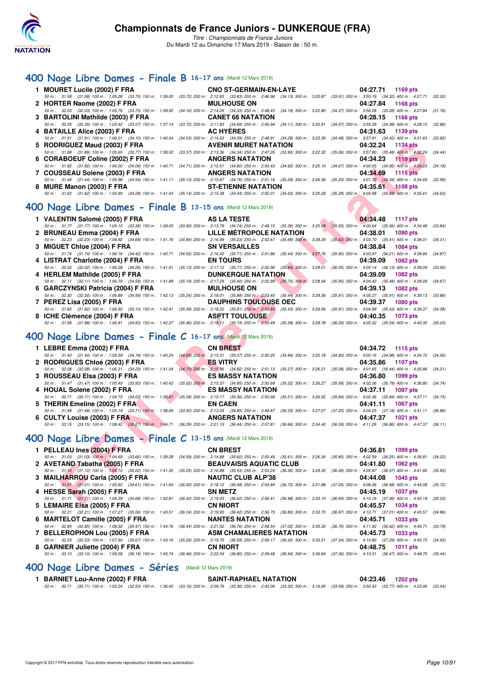

### **[400 Nage Libre Dames - Finale B](http://www.ffnatation.fr/webffn/resultats.php?idact=nat&go=epr&idcpt=59271&idepr=4) 16-17 ans** (Mardi 12 Mars 2019)

| 1 MOURET Lucile (2002) F FRA CNO ST-GERMAIN-EN-LAYE 04:27.71 1169 pts |                                                                                                                                                                                              |
|-----------------------------------------------------------------------|----------------------------------------------------------------------------------------------------------------------------------------------------------------------------------------------|
|                                                                       | 50 m: 31.58 (31.58) 100 m: 1:05.28 (33.70) 150 m: 1:39.00 (33.72) 200 m: 2:12.83 (33.83) 250 m: 2:46.96 (34.13) 300 m: 3:20.87 (33.91) 350 m: 3:55.19 (34.32) 400 m: 4:27.71 (32.52)         |
| 2 HORTER Naome (2002) F FRA MULHOUSE ON                               | 04:27.84 1168 pts                                                                                                                                                                            |
|                                                                       | 50 m: 32.03 (32.03) 100 m: 1:05.76 (33.73) 150 m: 1:39.92 (34.16) 200 m: 2:14.25 (34.33) 250 m: 2:48.43 (34.18) 300 m: 3:22.80 (34.37) 350 m: 3:56.08 (33.28) 400 m: 4:27.84 (31.76)         |
| 3 BARTOLINI Mathilde (2003) F FRA CANET 66 NATATION                   | 04:28.15 1166 pts                                                                                                                                                                            |
|                                                                       | 50 m: 30.35 (30.35) 100 m: 1:03.42 (33.07) 150 m: 1:37.14 (33.72) 200 m: 2:11.83 (34.69) 250 m: 2:45.94 (34.11) 300 m: 3:20.91 (34.97) 350 m: 3:55.29 (34.38) 400 m: 4:28.15 (32.86)         |
|                                                                       | 04:31.63 1139 pts                                                                                                                                                                            |
|                                                                       | 50 m: 31.91 (31.91) 100 m: 1:06.01 (34.10) 150 m: 1:40.04 (34.03) 200 m: 2:14.63 (34.59) 250 m: 2:48.91 (34.28) 300 m: 3:23.39 (34.48) 350 m: 3:57.81 (34.42) 400 m: 4:31.63 (33.82)         |
| 5 RODRIGUEZ Maud (2003) F FRA AVENIR MURET NATATION 04:32.24 1134 pts |                                                                                                                                                                                              |
|                                                                       | 50 m: 31.88 (31.88) 100 m: 1:05.65 (33.77) 150 m: 1:39.02 (33.37) 200 m: 2:13.36 (34.34) 250 m: 2:47.26 (33.90) 300 m: 3:22.32 (35.06) 350 m: 3:57.80 (35.48) 400 m: 4:32.24 (34.44)         |
|                                                                       | 04:34.23 1119 pts                                                                                                                                                                            |
|                                                                       | 50 m : 31.92 (31.92) 100 m : 1:06.00 (34.08) 150 m : 1:40.71 (34.71) 200 m : 2:15.51 (34.80) 250 m : 2:50.43 (34.92) 300 m : 3:25.10 (34.67) 350 m : 4:00.05 (34.95) 400 m : 4:34.23 (34.18) |
|                                                                       | 04:34.69 1115 pts                                                                                                                                                                            |
|                                                                       | 50 m: 31.44 (31.44) 100 m: 1:05.98 (34.54) 150 m: 1:41.11 (35.13) 200 m: 2:15.87 (34.76) 250 m: 2:51.16 (35.29) 300 m: 3:26.36 (35.20) 350 m: 4:01.70 (35.34) 400 m: 4:34.69 (32.99)         |
| 8 MURE Manon (2003) F FRA ST-ETIENNE NATATION                         | 04:35.61 1108 pts                                                                                                                                                                            |
|                                                                       | 50 m: 31.62 (31.62) 100 m: 1:05.90 (34.28) 150 m: 1:41.04 (35.14) 200 m: 2:15.38 (34.34) 250 m: 2:50.01 (34.63) 300 m: 3:25.29 (35.29) 350 m: 4:00.98 (35.69) 400 m: 4:35.61 (34.63)         |
|                                                                       |                                                                                                                                                                                              |

# **[400 Nage Libre Dames - Finale B](http://www.ffnatation.fr/webffn/resultats.php?idact=nat&go=epr&idcpt=59271&idepr=4) 13-15 ans** (Mardi 12 Mars 2019)

| 5 RODRIGUEZ Maud (2003) F FRA                                                                           | <b>AVENIR MURET NATATION</b>                                                                                                                                                                 | 04:32.24<br>1134 pts                                                                     |
|---------------------------------------------------------------------------------------------------------|----------------------------------------------------------------------------------------------------------------------------------------------------------------------------------------------|------------------------------------------------------------------------------------------|
|                                                                                                         | 50 m: 31.88 (31.88) 100 m: 1:05.65 (33.77) 150 m: 1:39.02 (33.37) 200 m: 2:13.36 (34.34) 250 m: 2:47.26 (33.90) 300 m: 3:22.32 (35.06) 350 m: 3:57.80 (35.48) 400 m: 4:32.24                 | (34.44)                                                                                  |
| 6 CORABOEUF Coline (2002) F FRA                                                                         | <b>ANGERS NATATION</b>                                                                                                                                                                       | 04:34.23<br><b>1119 pts</b>                                                              |
|                                                                                                         | 50 m: 31.92 (31.92) 100 m: 1:06.00 (34.08) 150 m: 1:40.71 (34.71) 200 m: 2:15.51 (34.80) 250 m: 2:50.43 (34.92) 300 m: 3:25.10 (34.67) 350 m: 4:00.05 (34.95) 400 m: 4:34.23 (34.18)         |                                                                                          |
| 7 COUSSEAU Solene (2003) F FRA                                                                          | <b>ANGERS NATATION</b>                                                                                                                                                                       | 04:34.69<br>1115 pts                                                                     |
|                                                                                                         | 50 m: 31.44 (31.44) 100 m: 1:05.98 (34.54) 150 m: 1:41.11 (35.13) 200 m: 2:15.87 (34.76) 250 m: 2:51.16 (35.29) 300 m: 3:26.36 (35.20) 350 m: 4:01.70 (35.34) 400 m: 4:34.69                 | (32.99)                                                                                  |
| 8 MURE Manon (2003) F FRA                                                                               | <b>ST-ETIENNE NATATION</b>                                                                                                                                                                   | 04:35.61<br>$1108$ pts                                                                   |
|                                                                                                         | 50 m: 31.62 (31.62) 100 m: 1:05.90 (34.28) 150 m: 1:41.04 (35.14) 200 m: 2:15.38 (34.34) 250 m: 2:50.01 (34.63) 300 m: 3:25.29 (35.28) 350 m: 4:00.98 (35.69) 400 m: 4:35.61 (34.63)         |                                                                                          |
|                                                                                                         |                                                                                                                                                                                              |                                                                                          |
| 00 Nage Libre Dames - Finale B 13-15 ans (Mardi 12 Mars 2019)                                           |                                                                                                                                                                                              |                                                                                          |
| 1 VALENTIN Salomé (2005) F FRA                                                                          | AS LA TESTE                                                                                                                                                                                  | 04:34.48<br><b>1117 pts</b>                                                              |
|                                                                                                         | 50 m: 31.77 (31.77) 100 m: 1:05.15 (33.38) 150 m: 1:39.05 (33.90) 200 m: 2:13.79 (34.74) 250 m: 2:49.15 (35.36) 300 m: 3:25.08 (35.93) 350 m: 4:00.64 (35.56) 400 m: 4:34.48                 | (33.84)                                                                                  |
| 2 BRUNEAU Emma (2004) F FRA                                                                             | <b>LILLE METROPOLE NATATION</b>                                                                                                                                                              | <b>START OF</b><br>04:38.01<br>1090 pts                                                  |
|                                                                                                         | 50 m : 32.23 (32.23) 100 m : 1:06.92 (34.69) 150 m : 1:41.76 (34.84) 200 m : 2:16.99 (35.23) 250 m : 2:52.67 (35.68) 300 m : 3:28.29 (35.62) 350 m : 4:03.70 (35.41) 400 m : 4:38.01 (34.31) |                                                                                          |
| 3 MIGUET Chloe (2004) F FRA                                                                             | <b>SN VERSAILLES</b>                                                                                                                                                                         | 04:38.84<br><b>1084 pts</b>                                                              |
|                                                                                                         | 50 m : 31.74 (31.74) 100 m : 1:06.16 (34.42) 150 m : 1:40.71 (34.55) 200 m : 2:16.42 (35.71) 250 m : 2:51.86 (35.44) 300 m : 3:27.76                                                         | (35.90) 350 m : 4:03.97 (36.21) 400 m : 4:38.84<br>(34.87)                               |
| 4 LISTRAT Charlotte (2004) F FRA                                                                        | <b>EN TOURS</b>                                                                                                                                                                              | 04:39.09<br>1082 pts                                                                     |
|                                                                                                         | 50 m : 32.02 (32.02) 100 m : 1:06.28 (34.26) 150 m : 1:41.41 (35.13) 200 m : 2:17.12 (35.71) 250 m : 2:52.96 (35.84) 300 m : 3:29.01                                                         | $(36.05)$ 350 m : 4:05.14 $(36.13)$ 400 m : 4:39.09<br>(33.95)                           |
| 4 HERLEM Mathilde (2005) F FRA                                                                          | <b>DUNKERQUE NATATION</b>                                                                                                                                                                    | 04:39.09<br><b>1082 pts</b>                                                              |
|                                                                                                         | 50 m : 32.11 (32.11) 100 m : 1:06.70 (34.59) 150 m : 1:41.89 (35.19) 200 m : 2:17.29 (35.40) 250 m : 2:52.99 (35.70) 300 m : 3:28.94 (35.95) 350 m : 4:04.42 (35.48) 400 m : 4:39.09         | (34.67)                                                                                  |
| 6 GARCZYNSKI Patricia (2004) F FRA                                                                      | <b>MULHOUSE ON</b>                                                                                                                                                                           | 04:39.13<br><b>1082 pts</b>                                                              |
|                                                                                                         | 50 m: 32.30 (32.30) 100 m: 1:06.89 (34.59) 150 m: 1:42.13 (35.24) 200 m: 2:18.01 (35.88) 250 m: 2:53.45 (35.44) 300 m: 3:29.36 (35.91) 350 m: 4:05.27 (35.91) 400 m: 4:39.13                 | (33.86)                                                                                  |
| 7 PEREZ Lisa (2005) F FRA                                                                               | <b>DAUPHINS TOULOUSE OEC</b>                                                                                                                                                                 | 04:39.37<br><b>1080 pts</b>                                                              |
|                                                                                                         | 50 m: 31.82 (31.82) 100 m: 1:06.92 (35.10) 150 m: 1:42.41 (35.49) 200 m: 2:18.22 (35.81) 250 m: 2:53.65 (35.43) 300 m: 3:29.56 (35.91) 350 m: 4:04.99 (35.43) 400 m: 4:29.56                 |                                                                                          |
| 8 ICHE Clémence (2004) F FRA                                                                            | <b>ASPTT TOULOUSE</b>                                                                                                                                                                        | 04:40.35<br><b>1073 pts</b>                                                              |
|                                                                                                         | 50 m : 31.98 (31.98) 100 m : 1:06.91 (34.93) 150 m : 1:42.37 (35.46) 200 m : 2:18.11 (35.74) 250 m : 2:53.49 (35.38) 300 m : 3:29.78 (36.29) 350 m : 4:05.32 (35.54) 400 m : 4:40.35 (35.03) |                                                                                          |
|                                                                                                         |                                                                                                                                                                                              |                                                                                          |
| 00 Nage Libre Dames - Finale C 16-17 ans (Mardi 12 Mars 2019)                                           |                                                                                                                                                                                              |                                                                                          |
|                                                                                                         |                                                                                                                                                                                              |                                                                                          |
| 1 LEBRE Emma (2002) F FRA                                                                               | <b>CN BREST</b>                                                                                                                                                                              | 04:34.72<br>1115 pts                                                                     |
|                                                                                                         | 50 m : 31.40 (31.40) 100 m : 1:05.59 (34.19) 150 m : 1:40.24 (34.65) 200 m : 2:15.31 (35.07) 250 m : 2:50.25 (34.94) 300 m : 3:25.18 (34.93) 350 m : 4:00.16 (34.98) 400 m : 4:34.72         | (34.56)                                                                                  |
| 2 RODRIGUES Chloé (2003) F FRA                                                                          | <b>ES VITRY</b>                                                                                                                                                                              | 04:35.86<br>1107 pts                                                                     |
|                                                                                                         | 50 m: 32.08 (32.08) 100 m: 1:06.31 (34.23) 150 m: 1:41.04 (34.73) 200 m: 2:15.86 (34.82) 250 m: 2:51.13 (35.27) 300 m: 3:26.21 (35.08) 350 m: 4:01.65 (35.44) 400 m: 4:35.86                 | (34.21)                                                                                  |
| 3 ROUSSEAU Elsa (2003) F FRA                                                                            | <b>ES MASSY NATATION</b>                                                                                                                                                                     | 04:36.80<br>1099 pts                                                                     |
| 50 m: 31.47 (31.47) 100 m: 1:05.40 (33.93) 150 m: 1:40.42 (35.02) 200 m: 2:15.37 (34.95) 250 m: 2:50.69 |                                                                                                                                                                                              | $(35.32)$ 300 m : 3:26.27 $(35.58)$ 350 m : 4:02.06 $(35.79)$ 400 m : 4:36.80<br>(34.74) |
|                                                                                                         |                                                                                                                                                                                              |                                                                                          |
| 4 HOUAL Solene (2002) F FRA                                                                             | <b>ES MASSY NATATION</b>                                                                                                                                                                     | 04:37.11<br><b>1097 pts</b>                                                              |
| 50 m: 30.71 (30.71) 100 m: 1:04.73 (34.02) 150 m: 1:39.81 (35.08) 200 m: 2:15.17 (35.36) 250 m: 2:50.68 |                                                                                                                                                                                              | $(35.51)$ 300 m : 3:26.52 $(35.84)$ 350 m : 4:02.36 $(35.84)$ 400 m : 4:37.11<br>(34.75) |
| 5 THERIN Emeline (2002) F FRA                                                                           | <b>EN CAEN</b>                                                                                                                                                                               | 04:41.11<br><b>1067 pts</b>                                                              |
|                                                                                                         | 50 m: 31.48 (31.48) 100 m: 1:05.19 (33.71) 150 m: 1:38.69 (33.50) 200 m: 2:13.54 (34.85) 250 m: 2:49.87 (36.33) 300 m: 3:27.07 (37.20) 350 m: 4:04.25 (37.18) 400 m: 4:41.11 (36.86)         |                                                                                          |
| 6 CULTY Louise (2003) F FRA                                                                             | <b>ANGERS NATATION</b>                                                                                                                                                                       | 04:47.37<br><b>1021 pts</b>                                                              |
|                                                                                                         | 50 m: 33.15 (33.15) 100 m: 1:08.42 (35.27) 150 m: 1:44.71 (36.29) 200 m: 2:21.15 (36.44) 250 m: 2:57.81 (36.66) 300 m: 3:34.40 (36.59) 350 m: 4:11.26 (36.86) 400 m: 4:47.37 (36.11)         |                                                                                          |
|                                                                                                         |                                                                                                                                                                                              |                                                                                          |
| 00 Nage Libre Dames - Finale C 13-15 ans (Mardi 12 Mars 2019)                                           |                                                                                                                                                                                              |                                                                                          |
| 1 PELLEAU Ines (2004) F FRA                                                                             | <b>CN BREST</b>                                                                                                                                                                              | 04:36.81<br><b>1099 pts</b>                                                              |
|                                                                                                         | 50 m : 31.03 (31.03) 100 m : 1:04.69 (33.66) 150 m : 1:39.28 (34.59) 200 m : 2:14.88 (35.60) 250 m : 2:50.49 (35.61) 300 m : 3:26.34 (35.85) 350 m : 4:02.59 (36.25) 400 m : 4:36.81         | (34.22)                                                                                  |
| 2 AVETAND Tabatha (2005) F FRA                                                                          | <b>BEAUVAISIS AQUATIC CLUB</b>                                                                                                                                                               | 04:41.80<br>1062 pts                                                                     |
|                                                                                                         | 50 m: 31.10 (31.10) 100 m: 1:06.10 (35.00) 150 m: 1:41.35 (35.25) 200 m: 2:16.88 (35.53) 250 m: 2:53.24 (36.36) 300 m: 3:29.30 (36.06) 350 m: 4:05.87 (36.57) 400 m: 4:41.80                 | (35.93)                                                                                  |
| 3 MAILHARROU Carla (2005) F FRA                                                                         | <b>NAUTIC CLUB ALP'38</b>                                                                                                                                                                    | 04:44.08<br>1045 pts                                                                     |
|                                                                                                         | 50 m: 31.01 (31.01) 100 m: 1:05.62 (34.61) 150 m: 1:41.64 (36.02) 200 m: 2:18.12 (36.48) 250 m: 2:54.84 (36.72) 300 m: 3:31.88 (37.04) 350 m: 4:08.36 (36.48) 400 m: 4:44.08 (35.72)         |                                                                                          |
| 4 HESSE Sarah (2005) F FRA                                                                              | <b>SN METZ</b>                                                                                                                                                                               | 04:45.19<br><b>1037 pts</b>                                                              |
| $I EMAIDE E1000 (000E) E EDA$ (and a set of $I = 0.0000$ )                                              | 50 m: 31.71 (31.71) 100 m: 1:06.39 (34.68) 150 m: 1:42.81 (36.42) 200 m: 2:19.43 (36.62) 250 m: 2:56.41 (36.98) 300 m: 3:33.10 (36.69) 350 m: 4:10.16 (37.06) 400 m: 4:45.19 (35.03)         | $0.4 \cdot 45.7$ $1024 \text{ m/s}$                                                      |

### **[400 Nage Libre Dames - Finale C](http://www.ffnatation.fr/webffn/resultats.php?idact=nat&go=epr&idcpt=59271&idepr=4) 16-17 ans** (Mardi 12 Mars 2019)

| 1 LEBRE Emma (2002) F FRA                                                                                                                                                            | <b>CN BREST</b>               | 04:34.72 1115 pts    |  |
|--------------------------------------------------------------------------------------------------------------------------------------------------------------------------------------|-------------------------------|----------------------|--|
| 50 m: 31.40 (31.40) 100 m: 1:05.59 (34.19) 150 m: 1:40.24 (34.65) 200 m: 2:15.31 (35.07) 250 m: 2:50.25 (34.94) 300 m: 3:25.18 (34.93) 350 m: 4:00.16 (34.98) 400 m: 4:34.72 (34.56) |                               |                      |  |
| 2 RODRIGUES Chloé (2003) F FRA                                                                                                                                                       | <b>ES VITRY ES</b> VITRY      | 04:35.86 1107 pts    |  |
| 50 m: 32.08 (32.08) 100 m: 1:06.31 (34.23) 150 m: 1:41.04 (34.73) 200 m: 2:15.86 (34.82) 250 m: 2:51.13 (35.27) 300 m: 3:26.21 (35.08) 350 m: 4:01.65 (35.44) 400 m: 4:35.86 (34.21) |                               |                      |  |
| 3 ROUSSEAU EIsa (2003) F FRA ES MASSY NATATION                                                                                                                                       |                               | 04:36.80 1099 pts    |  |
| 50 m: 31.47 (31.47) 100 m: 1:05.40 (33.93) 150 m: 1:40.42 (35.02) 200 m: 2:15.37 (34.95) 250 m: 2:50.69 (35.32) 300 m: 3:26.27 (35.58) 350 m: 4:02.06 (35.79) 400 m: 4:36.80 (34.74) |                               |                      |  |
| 4 HOUAL Solene (2002) F FRA                                                                                                                                                          | <b>ES MASSY NATATION</b>      | 04:37.11 1097 pts    |  |
| 50 m: 30.71 (30.71) 100 m: 1:04.73 (34.02) 150 m: 1:39.81 (35.08) 200 m: 2:15.17 (35.36) 250 m: 2:50.68 (35.51) 300 m: 3:26.52 (35.84) 350 m: 4:02.36 (35.84) 400 m: 4:37.11 (34.75) |                               |                      |  |
| 5 THERIN Emeline (2002) F FRA                                                                                                                                                        | <b>EN CAEN</b>                | 04:41.11 1067 pts    |  |
| 50 m: 31.48 (31.48) 100 m: 1:05.19 (33.71) 150 m: 1:38.69 (33.50) 200 m: 2:13.54 (34.85) 250 m: 2:49.87 (36.33) 300 m: 3:27.07 (37.20) 350 m: 4:04.25 (37.18) 400 m: 4:41.11 (36.86) |                               |                      |  |
| 6 CULTY Louise (2003) F FRA                                                                                                                                                          | ANGERS NATATION <b>ANGERS</b> | 04:47.37<br>1021 pts |  |
| 50 m: 33.15 (33.15) 100 m: 1:08.42 (35.27) 150 m: 1:44.71 (36.29) 200 m: 2:21.15 (36.44) 250 m: 2:57.81 (36.66) 300 m: 3:34.40 (36.59) 350 m: 4:11.26 (36.86) 400 m: 4:47.37 (36.11) |                               |                      |  |

# **[400 Nage Libre Dames - Finale C](http://www.ffnatation.fr/webffn/resultats.php?idact=nat&go=epr&idcpt=59271&idepr=4) 13-15 ans** (Mardi 12 Mars 2019)

|                                                                                                                                                                                             |                |                                  | 04:36.81 1099 pts           |  |
|---------------------------------------------------------------------------------------------------------------------------------------------------------------------------------------------|----------------|----------------------------------|-----------------------------|--|
| 50 m : 31.03 (31.03) 100 m : 1:04.69 (33.66) 150 m : 1:39.28 (34.59) 200 m : 2:14.88 (35.60) 250 m : 2:50.49 (35.61) 300 m : 3:26.34 (35.85) 350 m : 4:02.59 (36.25) 400 m : 4:36.81 (34.22 |                |                                  |                             |  |
| 2 AVETAND Tabatha (2005) F FRA                                                                                                                                                              |                | BEAUVAISIS AQUATIC CLUB 04:41.80 | $1062$ pts                  |  |
| 50 m: 31.10 (31.10) 100 m: 1:06.10 (35.00) 150 m: 1:41.35 (35.25) 200 m: 2:16.88 (35.53) 250 m: 2:53.24 (36.36) 300 m: 3:29.30 (36.06) 350 m: 4:05.87 (36.57) 400 m: 4:41.80 (35.93         |                |                                  |                             |  |
| 3 MAILHARROU Carla (2005) F FRA NAUTIC CLUB ALP'38                                                                                                                                          |                |                                  | 04:44.08 1045 pts           |  |
| 50 m: 31.01 (31.01) 100 m: 1:05.62 (34.61) 150 m: 1:41.64 (36.02) 200 m: 2:18.12 (36.48) 250 m: 2:54.84 (36.72) 300 m: 3:31.88 (37.04) 350 m: 4:08.36 (36.48) 400 m: 4:44.08 (35.72)        |                |                                  |                             |  |
| 4 HESSE Sarah (2005) F FRA                                                                                                                                                                  | <b>SN METZ</b> |                                  | 04:45.19<br>1037 pts        |  |
| 50 m: 31.71 (31.71) 100 m: 1:06.39 (34.68) 150 m: 1:42.81 (36.42) 200 m: 2:19.43 (36.62) 250 m: 2:56.41 (36.98) 300 m: 3:33.10 (36.69) 350 m: 4:10.16 (37.06) 400 m: 4:45.19 (35.03         |                |                                  |                             |  |
| 5 LEMAIRE EIsa (2005) F FRA                                                                                                                                                                 | CN NIORT       |                                  | 04:45.57<br>1034 pts        |  |
| 50 m: 32.21 (32.21) 100 m: 1:07.27 (35.06) 150 m: 1:43.51 (36.24) 200 m: 2:19.93 (36.42) 250 m: 2:56.73 (36.80) 300 m: 3:33.70 (36.97) 350 m: 4:10.71 (37.01) 400 m: 4:45.57 (34.86         |                |                                  |                             |  |
|                                                                                                                                                                                             |                |                                  | 04:45.71<br>1033 pts        |  |
| 50 m: 32.85 (32.85) 100 m: 1:08.32 (35.47) 150 m: 1:44.76 (36.44) 200 m: 2:21.52 (36.76) 250 m: 2:58.54 (37.02) 300 m: 3:35.30 (36.76) 350 m: 4:11.92 (36.62) 400 m: 4:45.71 (33.79)        |                |                                  |                             |  |
|                                                                                                                                                                                             |                |                                  | 04:45.73<br>1033 pts        |  |
| 50 m : 32.23 (32.23) 100 m : 1:07.90 (35.67) 150 m : 1:43.16 (35.26) 200 m : 2:19.75 (36.59) 250 m : 2:56.17 (36.42) 300 m : 3:33.51 (37.34) 350 m : 4:10.80 (37.29) 400 m : 4:45.73 (34.93 |                |                                  |                             |  |
| 8 GARNIER Juliette (2004) F FRA CN NIORT                                                                                                                                                    |                |                                  | 04:48.75<br><b>1011 pts</b> |  |
| 50 m: 33.10 (33.10) 100 m: 1:09.28 (36.18) 150 m: 1:45.74 (36.46) 200 m: 2:22.54 (36.80) 250 m: 2:59.48 (36.94) 300 m: 3:36.84 (37.36) 350 m: 4:13.31 (36.47) 400 m: 4:48.75 (35.44)        |                |                                  |                             |  |
|                                                                                                                                                                                             |                |                                  |                             |  |

### **[400 Nage Libre Dames - Séries](http://www.ffnatation.fr/webffn/resultats.php?idact=nat&go=epr&idcpt=59271&idepr=4)** (Mardi 12 Mars 2019)

1 BARNIET Lou-Anne (2002) F FRA SAINT-RAPHAEL NATATION 04:23.46 1202 pts<br>50 m : 30.71 (30.71) 100 m : 1:03.24 (32.53) 150 m : 1:36.40 (33.16) 200 m : 2:09.76 (33.36) 250 m : 2:43.06 (33.30) 300 m : 3:16.65 (33.59) 350 m :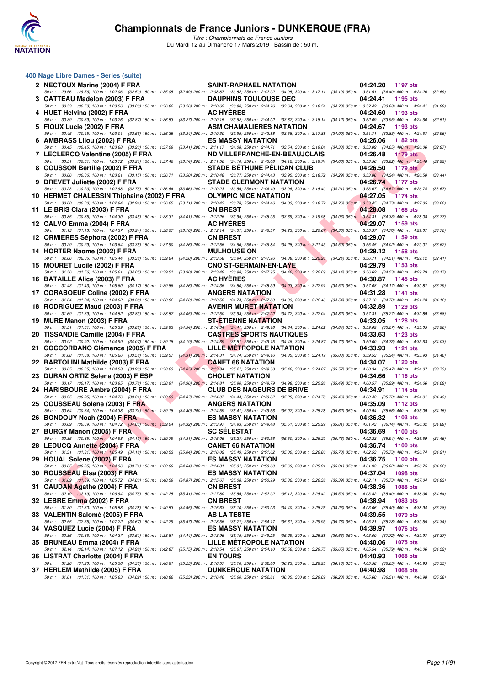

*Titre : Championnats de France Juniors* Du Mardi 12 au Dimanche 17 Mars 2019 - Bassin de : 50 m.

| 400 Nage Libre Dames - Séries (suite)                                                                                                                                                                                              |                                                                                                                                                             |                                                                                                                 |         |
|------------------------------------------------------------------------------------------------------------------------------------------------------------------------------------------------------------------------------------|-------------------------------------------------------------------------------------------------------------------------------------------------------------|-----------------------------------------------------------------------------------------------------------------|---------|
| 2 NECTOUX Marine (2004) F FRA                                                                                                                                                                                                      | <b>SAINT-RAPHAEL NATATION</b>                                                                                                                               | 04:24.20<br>1197 pts                                                                                            |         |
| 50 m: 29.56 (29.56) 100 m: 1:02.06 (32.50) 150 m: 1:35.05 (32.99) 200 m: 2:08.87 (33.82) 250 m: 2:42.92 (34.05) 300 m: 3:17.11 (34.19) 350 m: 3:51.51 (34.40) 400 m: 4:24.20<br>3   CATTEAU Madelon (2003) F FRA                   | <b>DAUPHINS TOULOUSE OEC</b>                                                                                                                                | 04:24.41<br>1195 pts                                                                                            | (32.69) |
| 50 m: 30.53 (30.53) 100 m: 1:03.56 (33.03) 150 m: 1:36.82<br>4 HUET Helvina (2002) F FRA                                                                                                                                           | (33.26) 200 m : 2:10.62 (33.80) 250 m : 2:44.26 (33.64) 300 m : 3:18.54 (34.28) 350 m : 3:52.42 (33.88) 400 m : 4:24.41<br><b>AC HYERES</b>                 | 04:24.60<br>1193 pts                                                                                            | (31.99) |
| 50 m: 30.39 (30.39) 100 m: 1:03.26 (32.87) 150 m: 1:36.53                                                                                                                                                                          | (33.27) 200 m : 2:10.15 (33.62) 250 m : 2:44.02 (33.87) 300 m : 3:18.14 (34.12) 350 m : 3:52.09 (33.95) 400 m : 4:24.60                                     |                                                                                                                 | (32.51) |
| 5 FIOUX Lucie (2002) F FRA<br>50 m: 30.45 (30.45) 100 m: 1:03.01 (32.56) 150 m: 1:36.35                                                                                                                                            | ASM CHAMALIERES NATATION<br>(33.34) 200 m : 2:10.30 (33.95) 250 m : 2:43.88 (33.58) 300 m : 3:17.88 (34.00) 350 m : 3:51.71 (33.83) 400 m : 4:24.67         | 04:24.67<br>1193 pts                                                                                            | (32.96) |
| 6 AMBRASS Lilou (2002) F FRA<br>50 m: 30.45 (30.45) 100 m: 1:03.68 (33.23) 150 m: 1:37.09                                                                                                                                          | <b>ES MASSY NATATION</b><br>(33.41) 200 m: 2:11.17 (34.08) 250 m: 2:44.71 (33.54) 300 m: 3:19.04 (34.33) 350 m: 3:53.09 (34.05) 400 m: 4:26.06              | 04:26.06<br>1182 pts                                                                                            | (32.97) |
| 7 LECLERCQ Valentine (2005) F FRA                                                                                                                                                                                                  | ND VILLEFRANCHE-EN-BEAUJOLAIS                                                                                                                               | 04:26.48<br><b>1179 pts</b>                                                                                     |         |
| 50 m : 30.51 (30.51) 100 m : 1:03.72 (33.21) 150 m : 1:37.46 (33.74) 200 m : 2:11.56 (34.10) 250 m : 2:45.68 (34.12) 300 m : 3:19.74 (34.06) 350 m : 3:53.56 (33.82) 400 m : 4:26.48<br>8 COUSSON Bertille (2002) F FRA            | <b>STADE BETHUNE PELICAN CLUB</b>                                                                                                                           | 04:26.50<br><b>1179 pts</b>                                                                                     | (32.92) |
| 50 m: 30.06 (30.06) 100 m: 1:03.21 (33.15) 150 m: 1:36.71 (33.50) 200 m: 2:10.48 (33.77) 250 m: 2:44.43 (33.95) 300 m: 3:18.72 (34.29) 350 m: 3:53.06 (34.34) 400 m: 4:26.50<br>9 DREVET Juliette (2002) F FRA                     | <b>STADE CLERMONT NATATION</b>                                                                                                                              | 04:26.74<br>1177 pts                                                                                            | (33.44) |
| 50 m : 30.23 (30.23) 100 m : 1:02.98 (32.75) 150 m : 1:36.64 (33.66) 200 m : 2:10.23 (33.58) 250 m : 2:44.19 (33.96) 300 m : 3:18.40 (34.21) 350 m : 3:53.07 (34.67) 400 m : 4:26.74<br>10 HERMET CHALESSIN Thiphaine (2002) F FRA | <b>OLYMPIC NICE NATATION</b>                                                                                                                                | 04:27.05<br><b>1174 pts</b>                                                                                     | (33.67) |
| 50 m : 30.00 (30.00) 100 m : 1:02.94 (32.94) 150 m : 1:36.65 (33.71) 200 m : 2:10.43 (33.78) 250 m : 2:44.46 (34.03) 300 m : 3:18.72 (34.26) 350 m : 3:53.45 (34.73) 400 m : 4:27.05                                               |                                                                                                                                                             |                                                                                                                 | (33.60) |
| 11 LE BRIS Clara (2003) F FRA<br>50 m: 30.85 (30.85) 100 m: 1:04.30 (33.45) 150 m: 1:38.31                                                                                                                                         | <b>CN BREST</b><br>(34.01) 200 m : 2:12.26 (33.95) 250 m : 2:45.95 (33.69) 300 m : 3:19.98 (34.03) 350 m : 3:54.31 (34.33) 400 m : 4:28.08                  | 04:28.08<br>1166 pts                                                                                            | (33.77) |
| 12 CALVO Emma (2004) F FRA<br>50 m : 31.13 (31.13) 100 m : 1:04.37 (33.24) 150 m : 1:38.07 (33.70) 200 m : 2:12.14 (34.07) 250 m : 2:46.37 (34.23) 300 m : 3:20.67 (34.30) 350 m : 3:55.37 (34.70) 400 m : 4:29.07                 | <b>AC HYERES</b>                                                                                                                                            | 04:29.07<br>1159 pts                                                                                            | (33.70) |
| 12 ORMIERES Séphora (2002) F FRA                                                                                                                                                                                                   | <b>CN BREST</b>                                                                                                                                             | 04:29.07<br>1159 pts                                                                                            |         |
| 50 m: 30.29 (30.29) 100 m: 1:03.64 (33.35) 150 m: 1:37.90<br>14 HORTER Naome (2002) F FRA                                                                                                                                          | (34.26) 200 m : 2:12.56 (34.66) 250 m : 2:46.84 (34.28) 300 m : 3:21.43 (34.59) 350 m : 3:55.45 (34.02) 400 m : 4:29.07<br><b>MULHOUSE ON</b>               | 04:29.12<br>1158 pts                                                                                            | (33.62) |
| 50 m : 32.06 (32.06) 100 m : 1:05.44 (33.38) 150 m : 1:39.64<br>15 MOURET Lucile (2002) F FRA                                                                                                                                      | (34.20) 200 m : 2:13.58 (33.94) 250 m : 2:47.96 (34.38) 300 m : 3:22.20<br><b>CNO ST-GERMAIN-EN-LAYE</b>                                                    | (34.24) 350 m : 3:56.71 (34.51) 400 m : 4:29.12<br>04:29.79<br>1153 pts                                         | (32.41) |
| 50 m: 31.56 (31.56) 100 m: 1:05.61 (34.05) 150 m: 1:39.51                                                                                                                                                                          | $(33.90)$ 200 m : 2:13.49 $(33.98)$ 250 m : 2:47.95 $(34.46)$ 300 m : 3:22.09                                                                               | (34.14) 350 m : 3:56.62 (34.53) 400 m : 4:29.79                                                                 | (33.17) |
| 16 BATAILLE Alice (2003) F FRA<br>50 m: 31.43 (31.43) 100 m: 1:05.60 (34.17) 150 m: 1:39.86                                                                                                                                        | <b>AC HYERES</b><br>(34.26) 200 m : 2:14.36 (34.50) 250 m : 2:48.39 (34.03) 300 m : 3:22.91 (34.52) 350 m : 3:57.08 (34.17) 400 m : 4:30.87                 | 04:30.87<br>1145 pts                                                                                            | (33.79) |
| 17 CORABOEUF Coline (2002) F FRA<br>50 m: 31.24 (31.24) 100 m: 1:04.62 (33.38) 150 m: 1:38.82                                                                                                                                      | <b>ANGERS NATATION</b><br>$(34.20)$ 200 m : 2:13.56 $(34.74)$ 250 m : 2:47.89 $(34.33)$ 300 m : 3:22.43 $(34.54)$ 350 m : 3:57.16 $(34.73)$ 400 m : 4:31.28 | 04:31.28<br>1141 pts                                                                                            | (34.12) |
| 18 RODRIGUEZ Maud (2003) F FRA                                                                                                                                                                                                     | <b>AVENIR MURET NATATION</b>                                                                                                                                | 04:32.89<br>1129 pts                                                                                            |         |
| 50 m: 31.69 (31.69) 100 m: 1:04.52 (32.83) 150 m: 1:38.57<br>19 MURE Manon (2003) F FRA                                                                                                                                            | (34.05) 200 m : 2:12.50 (33.93) 250 m : 2:47.22 (34.72) 300 m : 3:22.04 (34.82) 350 m : 3:57.31 (35.27) 400 m : 4:32.89<br><b>ST-ETIENNE NATATION</b>       | 04:33.05<br>1128 pts                                                                                            | (35.58) |
| 50 m : 31.51 (31.51) 100 m : 1:05.39 (33.88) 150 m : 1:39.93 (34.54) 200 m : 2:14.34 (34.41) 250 m : 2:49.18 (34.84) 300 m : 3:24.02 (34.84) 350 m : 3:59.09 (35.07) 400 m : 4:33.05 (33.96)<br>20 TISSANDIE Camille (2004) F FRA  | <b>CASTRES SPORTS NAUTIQUES</b>                                                                                                                             | 04:33.63<br>1123 pts                                                                                            |         |
| 50 m : 30.92 (30.92) 100 m : 1:04.99 (34.07) 150 m : 1:39.18 (34.19) 200 m : 2:14.69 (35.51) 250 m : 2:49.15 (34.46) 300 m : 3:24.87<br>21 COCCORDANO Clémence (2005) F FRA                                                        | LILLE METROPOLE NATATION                                                                                                                                    | $(35.72)$ 350 m : 3:59.60 $(34.73)$ 400 m : 4:33.63<br>04:33.93<br>1121 pts                                     | (34.03) |
| 50 m: 31.68 (31.68) 100 m: 1:05.26 (33.58) 150 m: 1:39.57                                                                                                                                                                          | $(34.31)$ 200 m : 2:14.31 $(34.74)$ 250 m : 2:49.16 $(34.85)$ 300 m : 3:24.19                                                                               | $(35.03)$ 350 m : 3:59.53 $(35.34)$ 400 m : 4:33.93                                                             | (34.40) |
| 22 BARTOLINI Mathilde (2003) F FRA<br>50 m: 30.65 (30.65) 100 m: 1:04.58 (33.93) 150 m: 1:38.63                                                                                                                                    | <b>CANET 66 NATATION</b><br>(34.05) 200 m : 2:13.84 (35.21) 250 m : 2:49.30 (35.46) 300 m : 3:24.87 (35.57) 350 m : 4:00.34 (35.47) 400 m : 4:34.07         | 04:34.07<br>1120 pts                                                                                            | (33.73) |
| 23 DURAN ORTIZ Selena (2003) F ESP<br>50 m : 30.17 (30.17) 100 m : 1:03.95 (33.78) 150 m : 1:38.91                                                                                                                                 | <b>CHOLET NATATION</b><br>(34.96) 200 m : 2:14.81 (35.90) 250 m : 2:49.79 (34.98) 300 m : 3:25.28 (35.49) 350 m : 4:00.57 (35.29) 400 m : 4:34.66           | 04:34.66<br><b>1116 pts</b>                                                                                     | (34.09) |
| 24 HARISBOURE Ambre (2004) F FRA                                                                                                                                                                                                   | <b>CLUB DES NAGEURS DE BRIVE</b>                                                                                                                            | 04:34.91<br><b>1114 pts</b>                                                                                     |         |
| 50 m: 30.95 (30.95) 100 m: 1:04.76 (33.81) 150 m: 1:39.63 (34.87) 200 m: 2:14.07 (34.44) 250 m: 2:49.32 (35.25) 300 m: 3:24.78 (35.46) 350 m: 4:00.48 (35.70) 400 m: 4:34.91<br>25 COUSSEAU Solene (2003) F FRA                    | <b>ANGERS NATATION</b>                                                                                                                                      | 04:35.09<br><b>1112 pts</b>                                                                                     | (34.43) |
| 50 m : 30.64 (30.64) 100 m : 1:04.38 (33.74) 150 m : 1:39.18 (34.80) 200 m : 2:14.59 (35.41) 250 m : 2:49.66 (35.07) 300 m : 3:25.28<br>26 BONDOUY Noah (2004) F FRA                                                               | <b>ES MASSY NATATION</b>                                                                                                                                    | (35.62) 350 m : 4:00.94 (35.66) 400 m : 4:35.09 (34.15)<br>04:36.32<br>1103 pts                                 |         |
| 50 m : 30.69 (30.69) 100 m : 1:04.72 (34.03) 150 m : 1:39.04 (34.32) 200 m : 2:13.97 (34.93) 250 m : 2:49.48 (35.51) 300 m : 3:25.29 (35.81) 350 m : 4:01.43 (36.14) 400 m : 4:36.32 (34.89)                                       |                                                                                                                                                             |                                                                                                                 |         |
| 27 BURGY Manon (2005) F FRA<br>50 m : 30.85 (30.85) 100 m : 1:04.98 (34.13) 150 m : 1:39.79 (34.81) 200 m : 2:15.06 (35.27) 250 m : 2:50.56 (35.50) 300 m : 3:26.29 (35.73) 350 m : 4:02.23 (35.94) 400 m : 4:36.69                | <b>SC SÉLESTAT</b>                                                                                                                                          | 04:36.69 1100 pts                                                                                               | (34.46) |
| 28 LEDUCQ Annette (2004) F FRA<br>50 m : 31.31 (31.31) 100 m : 1:05.49 (34.18) 150 m : 1:40.53 (35.04) 200 m : 2:16.02 (35.49) 250 m : 2:51.02 (35.00) 300 m : 3:26.80                                                             | <b>CANET 66 NATATION</b>                                                                                                                                    | 04:36.74<br>1100 pts<br>(35.78) 350 m : 4:02.53 (35.73) 400 m : 4:36.74                                         | (34.21) |
| 29 HOUAL Solene (2002) F FRA<br>50 m: 30.65 (30.65) 100 m: 1:04.36 (33.71) 150 m: 1:39.00 (34.64) 200 m: 2:14.31 (35.31) 250 m: 2:50.00 (35.69) 300 m: 3:25.91 (35.91) 350 m: 4:01.93 (36.02) 400 m: 4:36.75                       | <b>ES MASSY NATATION</b>                                                                                                                                    | 04:36.75<br>1100 pts                                                                                            | (34.82) |
| 30 ROUSSEAU Elsa (2003) F FRA                                                                                                                                                                                                      | <b>ES MASSY NATATION</b>                                                                                                                                    | 04:37.04<br>1098 pts                                                                                            |         |
| 50 m: 31.69 (31.69) 100 m: 1:05.72 (34.03) 150 m: 1:40.59<br>31 CAUDAN Agathe (2004) F FRA                                                                                                                                         | (34.87) 200 m : 2:15.67 (35.08) 250 m : 2:50.99 (35.32) 300 m : 3:26.38<br><b>CN BREST</b>                                                                  | (35.39) 350 m : 4:02.11 (35.73) 400 m : 4:37.04<br>04:38.36<br><b>1088 pts</b>                                  | (34.93) |
| 50 m: 32.19 (32.19) 100 m: 1:06.94 (34.75) 150 m: 1:42.25<br>32 LEBRE Emma (2002) F FRA                                                                                                                                            | (35.31) 200 m : 2:17.80 (35.55) 250 m : 2:52.92 (35.12) 300 m : 3:28.42 (35.50) 350 m : 4:03.82 (35.40) 400 m : 4:38.36<br><b>CN BREST</b>                  | 04:38.94<br>1083 pts                                                                                            | (34.54) |
| 50 m: 31.30 (31.30) 100 m: 1:05.58 (34.28) 150 m: 1:40.53 (34.95) 200 m: 2:15.63 (35.10) 250 m: 2:50.03 (34.40) 300 m: 3:28.26                                                                                                     |                                                                                                                                                             | (38.23) 350 m : 4:03.66 (35.40) 400 m : 4:38.94                                                                 | (35.28) |
| 33 VALENTIN Salomé (2005) F FRA<br>50 m: 32.55 (32.55) 100 m: 1:07.22 (34.67) 150 m: 1:42.79                                                                                                                                       | <b>AS LA TESTE</b><br>$(35.57)$ 200 m : 2:18.56 $(35.77)$ 250 m : 2:54.17 $(35.61)$ 300 m : 3:29.93                                                         | 04:39.55<br>1079 pts<br>(35.76) 350 m : 4:05.21 (35.28) 400 m : 4:39.55                                         | (34.34) |
| 34 VASQUEZ Lucie (2004) F FRA<br>50 m : 30.86 (30.86) 100 m : 1:04.37 (33.51) 150 m : 1:38.81 (34.44) 200 m : 2:13.96 (35.15) 250 m : 2:49.25 (35.29) 300 m : 3:25.88                                                              | <b>ES MASSY NATATION</b>                                                                                                                                    | 04:39.97<br><b>1076 pts</b><br>$(36.63) \ 350 \ m \colon \ 4.03.60 \quad \, (37.72) \ 400 \ m \colon \ 4.39.97$ | (36.37) |
| 35 BRUNEAU Emma (2004) F FRA                                                                                                                                                                                                       | LILLE METROPOLE NATATION                                                                                                                                    | 04:40.06<br>1075 pts                                                                                            |         |
| 50 m : 32.14 (32.14) 100 m : 1:07.12 (34.98) 150 m : 1:42.87 (35.75) 200 m : 2:18.54 (35.67) 250 m : 2:54.10 (35.56) 300 m : 3:29.75<br>36 LISTRAT Charlotte (2004) F FRA                                                          | <b>EN TOURS</b>                                                                                                                                             | (35.65) 350 m : 4:05.54 (35.79) 400 m : 4:40.06<br>04:40.93<br><b>1068 pts</b>                                  | (34.52) |
| 50 m : 31.20 (31.20) 100 m : 1:05.56 (34.36) 150 m : 1:40.81 (35.25) 200 m : 2:16.57 (35.76) 250 m : 2:52.80 (36.23) 300 m : 3:28.93 (36.13) 350 m : 4:05.58 (36.65) 400 m : 4:40.93 (35.35)<br>37 HERLEM Mathilde (2005) F FRA    | <b>DUNKERQUE NATATION</b>                                                                                                                                   | 04:40.98<br>1068 pts                                                                                            |         |
| 50 m : 31.61 (31.61) 100 m : 1:05.63 (34.02) 150 m : 1:40.86 (35.23) 200 m : 2:16.46 (35.60) 250 m : 2:52.81 (36.35) 300 m : 3:29.09 (36.28) 350 m : 4:05.60 (36.51) 400 m : 4:40.98 (35.38)                                       |                                                                                                                                                             |                                                                                                                 |         |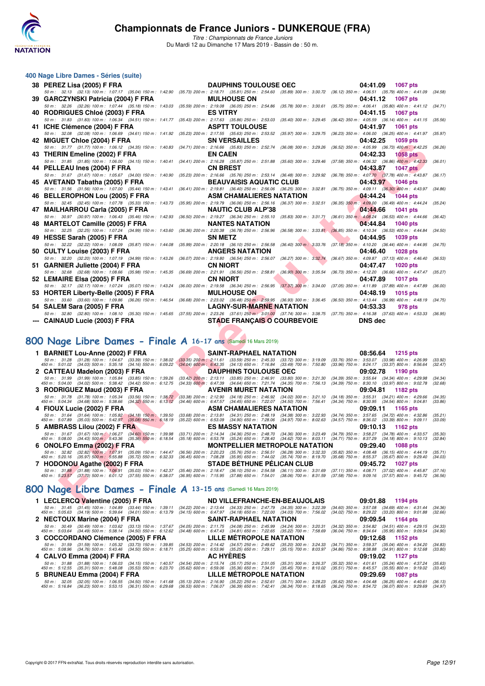

*Titre : Championnats de France Juniors* Du Mardi 12 au Dimanche 17 Mars 2019 - Bassin de : 50 m.

| 400 Nage Libre Dames - Séries (suite) |  |  |  |  |
|---------------------------------------|--|--|--|--|
|---------------------------------------|--|--|--|--|

| 38 PEREZ Lisa (2005) F FRA                                                                                                                                                                                  | <b>DAUPHINS TOULOUSE OEC</b>                                                                                                                                                                                                     |                           | 04:41.09                                                                                                                  | <b>1067 pts</b>            |
|-------------------------------------------------------------------------------------------------------------------------------------------------------------------------------------------------------------|----------------------------------------------------------------------------------------------------------------------------------------------------------------------------------------------------------------------------------|---------------------------|---------------------------------------------------------------------------------------------------------------------------|----------------------------|
| 50 m : 32.13 (32.13) 100 m : 1:07.17 (35.04) 150 m : 1:42.90 (35.73) 200 m : 2:18.71 (35.81) 250 m : 2:54.60 (35.89) 300 m : 3:30.72                                                                        |                                                                                                                                                                                                                                  |                           | (36.12) 350 m: 4:06.51 (35.79) 400 m: 4:41.09                                                                             | (34.58)                    |
| 39 GARCZYNSKI Patricia (2004) F FRA<br>50 m : 32.26 (32.26) 100 m : 1:07.44 (35.18) 150 m : 1:43.03 (35.59) 200 m : 2:19.08 (36.05) 250 m : 2:54.86 (35.78) 300 m : 3:30.61                                 | <b>MULHOUSE ON</b>                                                                                                                                                                                                               |                           | 04:41.12<br>(35.75) 350 m: 4:06.41 (35.80) 400 m: 4:41.12                                                                 | <b>1067 pts</b><br>(34.71) |
| 40 RODRIGUES Chloé (2003) F FRA                                                                                                                                                                             | <b>ES VITRY</b>                                                                                                                                                                                                                  |                           | 04:41.15                                                                                                                  | <b>1067 pts</b>            |
| 50 m: 31.83 (31.83) 100 m: 1:06.34 (34.51) 150 m: 1:41.77                                                                                                                                                   | (35.43) 200 m : 2:17.63 (35.86) 250 m : 2:53.03 (35.40) 300 m : 3:29.45                                                                                                                                                          |                           | (36.42) 350 m: 4:05.59 (36.14) 400 m: 4:41.15                                                                             | (35.56)                    |
| 41 ICHE Clémence (2004) F FRA                                                                                                                                                                               | <b>ASPTT TOULOUSE</b>                                                                                                                                                                                                            |                           | 04:41.97                                                                                                                  | 1061 pts                   |
| 50 m: 32.08 (32.08) 100 m: 1:06.69 (34.61) 150 m: 1:41.92<br>42 MIGUET Chloe (2004) F FRA                                                                                                                   | (35.23) 200 m : 2:17.55 (35.63) 250 m : 2:53.52 (35.97) 300 m : 3:29.75<br><b>SN VERSAILLES</b>                                                                                                                                  |                           | (36.23) 350 m: 4:06.00 (36.25) 400 m: 4:41.97 (35.97)<br>04:42.25                                                         | 1059 pts                   |
| 50 m: 31.77 (31.77) 100 m: 1:06.12 (34.35) 150 m: 1:40.83                                                                                                                                                   | (34.71) 200 m: 2:16.66 (35.83) 250 m: 2:52.74 (36.08) 300 m: 3:29.26                                                                                                                                                             |                           | (36.52) 350 m : 4:05.99 (36.73) 400 m : 4:42.25                                                                           | (36.26)                    |
| 43 THERIN Emeline (2002) F FRA                                                                                                                                                                              | <b>EN CAEN</b>                                                                                                                                                                                                                   |                           | 04:42.33                                                                                                                  | <b>1058 pts</b>            |
| 50 m: 31.85 (31.85) 100 m: 1:06.00 (34.15) 150 m: 1:40.41                                                                                                                                                   | $(34.41) \ 200 \ m : \ 2:16.28 \quad \  (35.87) \ 250 \ m : \ 2:51.88 \quad \  (35.60) \ 300 \ m : \ 3:29.46$                                                                                                                    |                           | (37.58) 350 m : 4:06.32 (36.86) 400 m : 4:42.33                                                                           | (36.01)                    |
| 44 PELLEAU Ines (2004) F FRA<br>50 m: 31.67 (31.67) 100 m: 1:05.67 (34.00) 150 m: 1:40.90                                                                                                                   | <b>CN BREST</b><br>(35.23) 200 m : 2:16.66 (35.76) 250 m : 2:53.14 (36.48) 300 m : 3:29.92                                                                                                                                       |                           | 04:43.87<br>(36.78) 350 m: 4:07.70 (37.78) 400 m: 4:43.87                                                                 | <b>1047 pts</b><br>(36.17) |
| 45 AVETAND Tabatha (2005) F FRA                                                                                                                                                                             | <b>BEAUVAISIS AQUATIC CLUB</b>                                                                                                                                                                                                   |                           | 04:43.97                                                                                                                  | <b>1046 pts</b>            |
| 50 m: 31.56 (31.56) 100 m: 1:07.00 (35.44) 150 m: 1:43.41                                                                                                                                                   | (36.41) 200 m : 2:19.81 (36.40) 250 m : 2:56.06 (36.25) 300 m : 3:32.81                                                                                                                                                          |                           | (36.75) 350 m : 4:09.11 (36.30) 400 m : 4:43.97                                                                           | (34.86)                    |
| 46 BELLEROPHON Lou (2005) F FRA                                                                                                                                                                             | <b>ASM CHAMALIERES NATATION</b>                                                                                                                                                                                                  |                           | 04:44.24                                                                                                                  | <b>1044 pts</b>            |
| 50 m: 32.45 (32.45) 100 m: 1:07.78 (35.33) 150 m: 1:43.73                                                                                                                                                   | (35.95) 200 m : 2:19.79 (36.06) 250 m : 2:56.16 (36.37) 300 m : 3:32.51                                                                                                                                                          |                           | $(36.35)$ 350 m : 4:09.00 $(36.49)$ 400 m : 4:44.24                                                                       | (35.24)                    |
| 47 MAILHARROU Carla (2005) F FRA<br>50 m: 30.97 (30.97) 100 m: 1:06.43 (35.46) 150 m: 1:42.93                                                                                                               | <b>NAUTIC CLUB ALP'38</b><br>(36.50) 200 m : 2:19.27 (36.34) 250 m : 2:55.10 (35.83) 300 m : 3:31.71                                                                                                                             |                           | 04:44.66<br>$(36.61)$ 350 m : 4:08.24 $(36.53)$ 400 m : 4:44.66                                                           | <b>1041 pts</b><br>(36.42) |
| 48 MARTELOT Camille (2005) F FRA                                                                                                                                                                            | <b>NANTES NATATION</b>                                                                                                                                                                                                           |                           | 04:44.84                                                                                                                  | <b>1040 pts</b>            |
| 50 m: 32.25 (32.25) 100 m: 1:07.24 (34.99) 150 m: 1:43.60                                                                                                                                                   |                                                                                                                                                                                                                                  |                           | (36.36) 200 m : 2:20.38 (36.78) 250 m : 2:56.96 (36.58) 300 m : 3:33.81 (36.85) 350 m : 4:10.34 (36.53) 400 m : 4:44.84   | (34.50)                    |
| 49 HESSE Sarah (2005) F FRA                                                                                                                                                                                 | <b>SN METZ</b>                                                                                                                                                                                                                   |                           | 04:44.95                                                                                                                  | <b>1039 pts</b>            |
| 50 m: 32.22 (32.22) 100 m: 1:08.09 (35.87) 150 m: 1:44.08<br>50 CULTY Louise (2003) F FRA                                                                                                                   | $(35.99)$ 200 m : 2:20.18 $(36.10)$ 250 m : 2:56.58 $(36.40)$ 300 m : 3:33.76<br><b>ANGERS NATATION</b>                                                                                                                          |                           | $(37.18)$ 350 m : 4:10.20 $(36.44)$ 400 m : 4:44.95<br>04:46.40                                                           | (34.75)<br>1028 pts        |
| 50 m: 32.20 (32.20) 100 m: 1:07.19 (34.99) 150 m: 1:43.26                                                                                                                                                   | (36.07) 200 m : 2:19.80 (36.54) 250 m : 2:56.07 (36.27) 300 m : 3:32.74                                                                                                                                                          |                           | (36.67) 350 m: 4:09.87 (37.13) 400 m: 4:46.40                                                                             | (36.53)                    |
| 51 GARNIER Juliette (2004) F FRA                                                                                                                                                                            | <b>CN NIORT</b>                                                                                                                                                                                                                  |                           | 04:47.47                                                                                                                  | <b>1020 pts</b>            |
| 50 m: 32.68 (32.68) 100 m: 1:08.66 (35.98) 150 m: 1:45.35                                                                                                                                                   | (36.69) 200 m : 2:21.91 (36.56) 250 m : 2:58.81                                                                                                                                                                                  | $(36.90)$ 300 m : 3:35.54 | (36.73) 350 m: 4:12.20 (36.66) 400 m: 4:47.47                                                                             | (35.27)                    |
| 52 LEMAIRE Elsa (2005) F FRA                                                                                                                                                                                | <b>CN NIORT</b>                                                                                                                                                                                                                  |                           | 04:47.89                                                                                                                  | <b>1017 pts</b>            |
| 50 m: 32.17 (32.17) 100 m: 1:07.24 (35.07) 150 m: 1:43.24<br>53 HORTER Liberty-Belle (2005) F FRA                                                                                                           | $(36.00)$ 200 m : 2:19.58 $(36.34)$ 250 m : 2:56.95 $(37.37)$ 300 m : 3:34.00<br><b>MULHOUSE ON</b>                                                                                                                              |                           | (37.05) 350 m: 4:11.89 (37.89) 400 m: 4:47.89<br>04:48.19                                                                 | (36.00)<br><b>1015 pts</b> |
| 50 m : 33.60 (33.60) 100 m : 1:09.86 (36.26) 150 m : 1:46.54                                                                                                                                                |                                                                                                                                                                                                                                  |                           | (36.68) 200 m : 2:23.02 (36.48) 250 m : 2:59.95 (36.93) 300 m : 3:36.45 (36.50) 350 m : 4:13.44 (36.99) 400 m : 4:48.19   | (34.75)                    |
| 54 SALEM Sara (2005) F FRA                                                                                                                                                                                  | <b>LAGNY-SUR-MARNE NATATION</b>                                                                                                                                                                                                  |                           | 04:53.33                                                                                                                  | 978 pts                    |
| 50 m : 32.80 (32.80) 100 m : 1:08.10 (35.30) 150 m : 1:45.65 (37.55) 200 m : 2:23.26 (37.61) 250 m : 3:01.00 (37.74) 300 m : 3:38.75 (37.75) 350 m : 4:16.38 (37.63) 400 m : 4:53.33 (36.95)                |                                                                                                                                                                                                                                  |                           |                                                                                                                           |                            |
| --- CAINAUD Lucie (2003) F FRA                                                                                                                                                                              | <b>STADE FRANÇAIS O COURBEVOIE</b>                                                                                                                                                                                               |                           | <b>DNS</b> dec                                                                                                            |                            |
|                                                                                                                                                                                                             |                                                                                                                                                                                                                                  |                           |                                                                                                                           |                            |
| <b>100 Nage Libre Dames - Finale A 16-17 ans (Samedi 16 Mars 2019)</b>                                                                                                                                      |                                                                                                                                                                                                                                  |                           |                                                                                                                           |                            |
| 1 BARNIET Lou-Anne (2002) F FRA                                                                                                                                                                             | <b>SAINT-RAPHAEL NATATION</b>                                                                                                                                                                                                    |                           | 08:56.64                                                                                                                  | <b>1215 pts</b>            |
| $\begin{array}{cccc} 50\,m: & 31.28 & (31.28) \ 100\,m: & 1.04.67 & (33.39) \ 150\,m: & 1.38.02 \\ 450\,m: & 5.01.02 & (34.03) \ 500\,m: & 5.35.18 & (34.16) \ 550\,m: & 6.09.22 \end{array}$               | $(33.35)$ 200 m : 2:11.61 $(33.59)$ 250 m : 2:45.33 $(33.72)$ 300 m : 3:19.09<br>$(34.04)$ 600 m; 6:43.35 $(34.13)$ 650 m; 7:16.84 $(33.49)$ 700 m; 7:50.80                                                                      |                           | $(33.76)$ 350 m : 3:53.07 $(33.98)$ 400 m : 4:26.99<br>(33.96) 750 m : 8:24.17 (33.37) 800 m : 8:56.64                    | (33.92)<br>(32.47)         |
| 2 CATTEAU Madelon (2003) F FRA                                                                                                                                                                              | <b>DAUPHINS TOULOUSE OEC</b>                                                                                                                                                                                                     |                           | 09:02.78                                                                                                                  | 1190 pts                   |
| $\begin{array}{cccc} 50\,m: & 31.99 & (31.99) \ 100\,m: & 1.05.84 & (33.85) \ 150\,m: & 1.39.26 \\ 450\,m: & 5.04.00 & (34.02) \ 500\,m: & 5.38.42 & (34.42) \ 550\,m: & 6.12.75 \end{array}$               | $(33.42)$ 200 m : 2:13.11 $(33.85)$ 250 m : 2:46.91 $(33.80)$ 300 m : 3:21.30<br>$(34.33)$ 600 m : 6:47.39 $(34.64)$ 650 m : 7:21.74 $(34.35)$ 700 m : 7:56.13                                                                   |                           | $(34.39)$ 350 m : 3:55.64 $(34.34)$ 400 m : 4:29.98                                                                       | (34.34)                    |
| 3 RODRIGUEZ Maud (2003) F FRA                                                                                                                                                                               | AVENIR MURET NATATION                                                                                                                                                                                                            |                           | $(34.39)$ 750 m : 8:30.10 $(33.97)$ 800 m : 9:02.78<br>09:04.81                                                           | (32.68)<br>1182 pts        |
|                                                                                                                                                                                                             | $(33.38)$ 200 m : 2:12.90 $(34.18)$ 250 m : 2:46.92 $(34.02)$ 300 m : 3:21.10                                                                                                                                                    |                           | $(34.18)$ 350 m : 3:55.31 $(34.21)$ 400 m : 4:29.66                                                                       | (34.35)                    |
| $\begin{array}{cccc} 50\ m:\quad 31.78 & (31.78)\ 100\ m:\quad 1.05.34 & (33.56)\ 150\ m:\quad 1.38.72 \\ 450\ m:\quad 5.04.34 & (34.68)\ 500\ m:\quad 5.38.66 & (34.32)\ 550\ m:\quad 6.13.12 \end{array}$ | (34.46) 600 m : 6:47.57 (34.45) 650 m : 7:22.07 (34.50) 700 m : 7:56.41                                                                                                                                                          |                           | (34.34) 750 m : 8:30.95 (34.54) 800 m : 9:04.81                                                                           | (33.86)                    |
| 4 FIOUX Lucie (2002) F FRA                                                                                                                                                                                  | <b>ASM CHAMALIERES NATATION</b><br>(33.68) 200 m: 2:13.81 (34.31) 250 m: 2:48.19 (34.38) 300 m: 3:22.93                                                                                                                          |                           | 09:09.11<br>(34.74) 350 m: 3:57.65 (34.72) 400 m: 4:32.86                                                                 | 1165 pts<br>(35.21)        |
| 50 m : 31.64 (31.64) 100 m : 1:05.82 (34.18) 150 m : 1:39.50<br>450 m : 5:07.89 (35.03) 500 m : 5:42.97 (35.08) 550 m : 6:18.19                                                                             | (35.22) 600 m : 6:53.09 (34.90) 650 m : 7:28.06                                                                                                                                                                                  | $(34.97)$ 700 m : 8:02.63 | $(34.57)$ 750 m : 8:36.02<br>$(33.39)$ 800 m : 9:09.11                                                                    | (33.09)                    |
| 5 AMBRASS Lilou (2002) F FRA                                                                                                                                                                                | <b>ES MASSY NATATION</b>                                                                                                                                                                                                         |                           | 09:10.13                                                                                                                  | 1162 pts                   |
| 50 m: 31.67 (31.67) 100 m: 1:06.27 (34.60) 150 m: 1:39.98<br>450 m : 5:08.00 (34.43) 500 m : 5:43.36 (35.36) 550 m : 6:18.54                                                                                | (33.71) 200 m: 2:14.34 (34.36) 250 m: 2:48.70 (34.36) 300 m: 3:23.49<br>(35.18) 600 m: 6:53.78 (35.24) 650 m: 7:28.40 (34.62) 700 m: 8:03.11                                                                                     |                           | $(34.79)$ 350 m : 3:58.27 $(34.78)$ 400 m : 4:33.57<br>(34.71) 750 m : 8:37.29 (34.18) 800 m : 9:10.13                    | (35.30)<br>(32.84)         |
| 6 ONOLFO Emma (2002) F FRA                                                                                                                                                                                  | <b>MONTPELLIER METROPOLE NATATION</b>                                                                                                                                                                                            |                           | 09:29.40                                                                                                                  | <b>1088 pts</b>            |
| 50 m : 32.82 (32.82) 100 m : 1:07.91 (35.09) 150 m : 1:44.47<br>450 m : 5:20.16 (35.97) 500 m : 5:55.88 (35.72) 550 m : 6:32.33                                                                             | $\begin{array}{cccc} (36.56) \ 200 \ m : & 2:20.23 & (35.76) \ 250 \ m : & 2:56.51 & (36.28) \ 300 \ m : & 3:32.33 \\ (36.45) \ 600 \ m : & 7:08.28 & (35.95) \ 650 \ m : & 7:44.02 & (35.74) \ 700 \ m : & 8:19.70 \end{array}$ |                           | $(35.82) \ 350 \ m : \ 4.08.48 \quad \, (36.15) \ 400 \ m : \ 4.44.19$<br>(35.68) 750 m : 8:55.37 (35.67) 800 m : 9:29.40 | (35.71)<br>(34.03)         |
| 7 HODONOU Agathe (2002) F FRA                                                                                                                                                                               | <b>STADE BETHUNE PELICAN CLUB</b>                                                                                                                                                                                                |                           | 09:45.72                                                                                                                  | <b>1027 pts</b>            |
| $50 \text{ m}: 31.88$ $(31.88) 100 \text{ m}: 1.06.91$ $(35.03) 150 \text{ m}: 1.42.37$<br>$450 \text{ m}: 5.23.57$ $(37.70) 500 \text{ m}: 6.01.12$ $(37.55) 550 \text{ m}: 6.38.07$                       | $(35.46)$ 200 m : 2:18.47 $(36.10)$ 250 m : 2:54.58 $(36.11)$ 300 m : 3:31.69 $(36.95)$ 600 m : 7:15.95 $(37.88)$ 650 m : 7:54.01 $(38.06)$ 700 m : 8:31.59                                                                      |                           | (37.11) 350 m: 4:08.71 (37.02) 400 m: 4:45.87                                                                             | (37.16)                    |
|                                                                                                                                                                                                             |                                                                                                                                                                                                                                  |                           | $(37.58)$ 750 m : $9.09.16$<br>$(37.57)$ 800 m : 9:45.72                                                                  | (36.56)                    |
| <b>100 Nage Libre Dames - Finale A 13-15 ans (Samedi 16 Mars 2019)</b>                                                                                                                                      |                                                                                                                                                                                                                                  |                           |                                                                                                                           |                            |
| 1 LECLERCQ Valentine (2005) F FRA                                                                                                                                                                           | ND VILLEFRANCHE-EN-BEAUJOLAIS                                                                                                                                                                                                    |                           | 09:01.88                                                                                                                  | 1194 pts                   |
|                                                                                                                                                                                                             |                                                                                                                                                                                                                                  |                           |                                                                                                                           |                            |

# **[800 Nage Libre Dames - Finale A](http://www.ffnatation.fr/webffn/resultats.php?idact=nat&go=epr&idcpt=59271&idepr=5) 16-17 ans** (Samedi 16 Mars 2019)

|                                                                             | 1 BARNIET Lou-Anne (2002) F FRA SAINT-RAPHAEL NATATION 08:56.64 1215 pts                                                                                                                                                                                                  |                                                                                                                                      |
|-----------------------------------------------------------------------------|---------------------------------------------------------------------------------------------------------------------------------------------------------------------------------------------------------------------------------------------------------------------------|--------------------------------------------------------------------------------------------------------------------------------------|
|                                                                             | 50 m : 31.28 (31.28) 100 m : 1:04.67 (33.39) 150 m : 1:38.02 (33.35) 200 m : 2:11.61 (33.59) 250 m : 2:45.33 (33.72) 300 m : 3:19.09<br>450 m: 5:01.02 (34.03) 500 m: 5:35.18 (34.16) 550 m: 6:09.22 (34.04) 600 m: 6:43.35 (34.13) 650 m: 7:16.84 (33.49) 700 m: 7:50.80 | $(33.76)$ 350 m : 3:53.07 $(33.98)$ 400 m : 4:26.99<br>(33.92)<br>(33.96) 750 m : 8:24.17 (33.37) 800 m : 8:56.64<br>(32.47)         |
|                                                                             | 2 CATTEAU Madelon (2003) F FRA <b>DAUPHINS TOULOUSE OEC</b> 09:02.78 1190 pts                                                                                                                                                                                             |                                                                                                                                      |
|                                                                             | 50 m: 31.99 (31.99) 100 m: 1:05.84 (33.85) 150 m: 1:39.26 (33.42) 200 m: 2:13.11 (33.85) 250 m: 2:46.91 (33.80) 300 m: 3:21.30<br>450 m: 5:04.00 (34.02) 500 m: 5:38.42 (34.42) 550 m: 6:12.75 (34.33) 600 m: 6:47.39 (34.64) 650 m: 7:21.74 (34.35) 700 m: 7:56.13       | $(34.39)$ 350 m : 3:55.64 $(34.34)$ 400 m : 4:29.98<br>(34.34)<br>$(34.39)$ 750 m : $8.30.10$ $(33.97)$ 800 m : $9.02.78$<br>(32.68) |
|                                                                             | 3 RODRIGUEZ Maud (2003) F FRA <b>AVENIR MURET NATATION</b> 09:04.81 1182 pts                                                                                                                                                                                              |                                                                                                                                      |
|                                                                             | 50 m: 31.78 (31.78) 100 m: 1:05.34 (33.56) 150 m: 1:38.72 (33.38) 200 m: 2:12.90 (34.18) 250 m: 2:46.92 (34.02) 300 m: 3:21.10<br>450 m: 5:04.34 (34.68) 500 m: 5:38.66 (34.32) 550 m: 6:13.12 (34.46) 600 m: 6:47.57 (34.45) 650 m: 7:22.07 (34.50) 700 m: 7:56.41       | $(34.18)$ 350 m : 3:55.31 $(34.21)$ 400 m : 4:29.66<br>(34.35)<br>(34.34) 750 m : 8:30.95 (34.54) 800 m : 9:04.81<br>(33.86)         |
| 4 FIOUX Lucie (2002) F FRA                                                  | <b>Example 3 ASM CHAMALIERES NATATION</b> 09:09.11 1165 pts                                                                                                                                                                                                               |                                                                                                                                      |
| 450 m : 5:07.89 (35.03) 500 m : 5:42.97 (35.08) 550 m : 6:18.19             | 50 m: 31.64 (31.64) 100 m: 1:05.82 (34.18) 150 m: 1:39.50 (33.68) 200 m: 2:13.81 (34.31) 250 m: 2:48.19 (34.38) 300 m: 3:22.93<br>$(35.22)$ 600 m : 6:53.09 $(34.90)$ 650 m : 7:28.06 $(34.97)$ 700 m : 8:02.63                                                           | $(34.74)$ 350 m : 3:57.65 $(34.72)$ 400 m : 4:32.86<br>(35.21)<br>$(34.57)$ 750 m : $8.36.02$ $(33.39)$ 800 m : $9.09.11$<br>(33.09) |
| 5 AMBRASS Lilou (2002) F FRA                                                | <b>ES MASSY NATATION</b>                                                                                                                                                                                                                                                  | 09:10.13 1162 pts                                                                                                                    |
| 450 m : 5:08.00 (34.43) 500 m : 5:43.36 (35.36) 550 m : 6:18.54             | 50 m : 31.67 (31.67) 100 m : 1:06.27 (34.60) 150 m : 1:39.98 (33.71) 200 m : 2:14.34 (34.36) 250 m : 2:48.70 (34.36) 300 m : 3:23.49<br>(35.18) 600 m: 6:53.78 (35.24) 650 m: 7:28.40 (34.62) 700 m: 8:03.11                                                              | $(34.79)$ 350 m : 3:58.27 $(34.78)$ 400 m : 4:33.57<br>(35.30)<br>(34.71) 750 m : 8:37.29 (34.18) 800 m : 9:10.13<br>(32.84)         |
| 6 ONOLFO Emma (2002) F FRA<br>and the company of the company of the company | <b>MONTPELLIER METROPOLE NATATION</b>                                                                                                                                                                                                                                     | 09:29.40 1088 pts                                                                                                                    |
|                                                                             | 50 m: 32.82 (32.82) 100 m: 1:07.91 (35.09) 150 m: 1:44.47 (36.56) 200 m: 2:20.23 (35.76) 250 m: 2:56.51 (36.28) 300 m: 3:32.33<br>450 m : 5:20.16 (35.97) 500 m : 5:55.88 (35.72) 550 m : 6:32.33 (36.45) 600 m : 7:08.28 (35.95) 650 m : 7:44.02 (35.74) 700 m : 8:19.70 | $(35.82)$ 350 m : 4:08.48 $(36.15)$ 400 m : 4:44.19<br>(35.71)<br>(35.68) 750 m : 8:55.37 (35.67) 800 m : 9:29.40<br>(34.03)         |
|                                                                             | 7 HODONOU Agathe (2002) F FRA STADE BETHUNE PELICAN CLUB 09:45.72 1027 pts                                                                                                                                                                                                |                                                                                                                                      |
|                                                                             | 50 m: 31.88 (31.88) 100 m: 1:06.91 (35.03) 150 m: 1:42.37 (35.46) 200 m: 2:18.47 (36.10) 250 m: 2:54.58 (36.11) 300 m: 3:31.69<br>450 m : 5:23.57 (37.70) 500 m : 6:01.12 (37.55) 550 m : 6:38.07 (36.95) 600 m : 7:15.95 (37.88) 650 m : 7:54.01 (38.06) 700 m : 8:31.59 | $(37.11)$ 350 m : 4:08.71 $(37.02)$ 400 m : 4:45.87<br>(37.16)<br>(37.58) 750 m : 9:09.16 (37.57) 800 m : 9:45.72<br>(36.56)         |

# **[800 Nage Libre Dames - Finale A](http://www.ffnatation.fr/webffn/resultats.php?idact=nat&go=epr&idcpt=59271&idepr=5) 13-15 ans** (Samedi 16 Mars 2019)

| 1 LECLERCQ Valentine (2005) F FRA                                                                                               | ND VILLEFRANCHE-EN-BEAUJOLAIS                                                                                                                                  | 09:01.88 1194 pts                                                                                                                    |
|---------------------------------------------------------------------------------------------------------------------------------|----------------------------------------------------------------------------------------------------------------------------------------------------------------|--------------------------------------------------------------------------------------------------------------------------------------|
| 50 m : 31.45 (31.45) 100 m : 1:04.89 (33.44) 150 m : 1:39.11<br>450 m : 5:05.63 (34.19) 500 m : 5:39.64 (34.01) 550 m : 6:13.79 | (34.22) 200 m : 2:13.44 (34.33) 250 m : 2:47.79 (34.35) 300 m : 3:22.39<br>(34.15) 600 m : 6:47.97 (34.18) 650 m : 7:22.00 (34.03) 700 m : 7:56.02             | $(34.60)$ 350 m : 3:57.08 $(34.69)$ 400 m : 4:31.44<br>(34.36)<br>$(34.02)$ 750 m : 8:29.22 $(33.20)$ 800 m : 9:01.88<br>(32.66)     |
| 2 NECTOUX Marine (2004) F FRA                                                                                                   | <b>SAINT-RAPHAEL NATATION</b>                                                                                                                                  | 09:09.54 1164 pts                                                                                                                    |
| 50 m : 30.49 (30.49) 100 m : 1.03.62 (33.13) 150 m : 1.37.67<br>450 m : 5:03.64 (34.49) 500 m : 5:38.14 (34.50) 550 m : 6:12.62 | (34.05) 200 m : 2:11.75 (34.08) 250 m : 2:45.99 (34.24) 300 m : 3:20.31<br>(34.48) 600 m: 6:47.43 (34.81) 650 m: 7:22.65 (35.22) 700 m: 7:58.69                | $(34.32)$ 350 m : 3:54.82 $(34.51)$ 400 m : 4:29.15<br>(34.33)<br>$(36.04)$ 750 m : 8:34.64 $(35.95)$ 800 m : 9:09.54<br>(34.90)     |
| 3 COCCORDANO Clémence (2005) F FRA                                                                                              | LILLE MÉTROPOLE NATATION                                                                                                                                       | 09:12.68 1152 pts                                                                                                                    |
| 50 m : 31.59 (31.59) 100 m : 1:05.32 (33.73) 150 m : 1:39.85<br>450 m : 5:08.96 (34.76) 500 m : 5:43.46 (34.50) 550 m : 6:18.71 | $(34.53)$ 200 m : 2:14.42 $(34.57)$ 250 m : 2:49.62 $(35.20)$ 300 m : 3:24.33<br>(35.25) 600 m : 6.53.96 (35.25) 650 m : 7:29.11 (35.15) 700 m : 8:03.97       | $(34.71)$ 350 m : 3:59.37 $(35.04)$ 400 m : 4:34.20<br>(34.83)<br>$(34.86)$ 750 m : $8.38.88$ $(34.91)$ 800 m : $9.12.68$<br>(33.80) |
| 4 CALVO Emma (2004) F FRA                                                                                                       | <b>AC HYERES</b>                                                                                                                                               | 09:19.02 1127 pts                                                                                                                    |
| 50 m : 31.88 (31.88) 100 m : 1:06.03 (34.15) 150 m : 1:40.57<br>450 m : 5:12.55 (35.31) 500 m : 5:48.08 (35.53) 550 m : 6:23.70 | (34.54) 200 m : 2:15.74 (35.17) 250 m : 2:51.05 (35.31) 300 m : 3:26.37<br>(35.62) 600 m : 6:59.06 (35.36) 650 m : 7:34.51 (35.45) 700 m : 8:10.02             | (35.32) 350 m : 4:01.61 (35.24) 400 m : 4:37.24<br>(35.63)<br>(35.51) 750 m : 8:45.57 (35.55) 800 m : 9:19.02<br>(33.45)             |
| 5 BRUNEAU Emma (2004) F FRA                                                                                                     | LILLE MÉTROPOLE NATATION                                                                                                                                       | 09:29.69 1087 pts                                                                                                                    |
| 50 m : 32.05 (32.05) 100 m : 1:06.55 (34.50) 150 m : 1:41.68<br>450 m : 5:16.84 (36.23) 500 m : 5:53.15 (36.31) 550 m : 6:29.68 | $(35.13)$ 200 m : 2:16.90 $(35.22)$ 250 m : 2:52.61 $(35.71)$ 300 m : 3:28.23<br>$(36.53)$ 600 m : 7:06.07 $(36.39)$ 650 m : 7:42.41 $(36.34)$ 700 m : 8:18.65 | $(35.62)$ 350 m : 4:04.48 $(36.25)$ 400 m : 4:40.61<br>(36.13)<br>(36.24) 750 m : 8:54.72 (36.07) 800 m : 9:29.69<br>(34.97)         |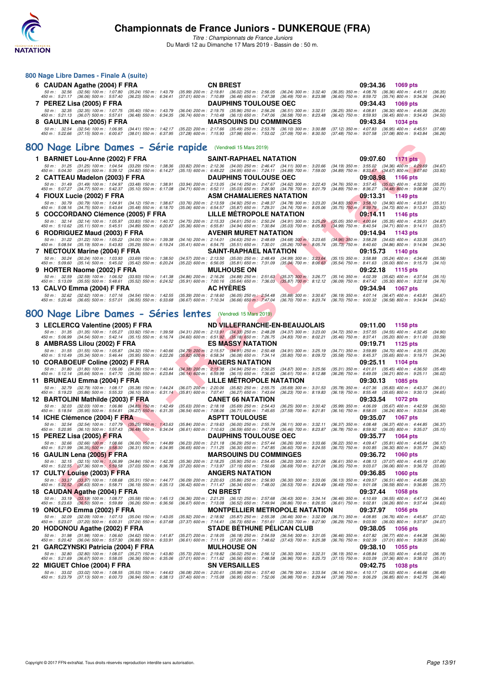

*Titre : Championnats de France Juniors* Du Mardi 12 au Dimanche 17 Mars 2019 - Bassin de : 50 m.

| 800 Nage Libre Dames - Finale A (suite)                                                                                      |                                                                            |                                                                                                                                                    |                                                        |                                                                                                              |                    |
|------------------------------------------------------------------------------------------------------------------------------|----------------------------------------------------------------------------|----------------------------------------------------------------------------------------------------------------------------------------------------|--------------------------------------------------------|--------------------------------------------------------------------------------------------------------------|--------------------|
| 6 CAUDAN Agathe (2004) F FRA                                                                                                 |                                                                            | <b>CN BREST</b>                                                                                                                                    |                                                        | 09:34.36<br>1069 pts                                                                                         |                    |
| 50 m : 32.56 (32.56) 100 m : 1:07.80<br>450 m : 5:21.17 (36.06) 500 m : 5:57.40                                              | (35.24) 150 m : 1:43.79<br>$(36.23)$ 550 m : 6:34.41                       | (35.99) 200 m : 2:19.81 (36.02) 250 m : 2:56.05 (36.24) 300 m : 3:32.40<br>(37.01) 600 m : 7:10.89 (36.48) 650 m : 7:47.38 (36.49) 700 m : 8:23.98 |                                                        | (36.35) 350 m : 4:08.76 (36.36) 400 m : 4:45.11<br>(36.60) 750 m : 8:59.72 (35.74) 800 m : 9:34.36           | (36.35)<br>(34.64) |
| 7 PEREZ Lisa (2005) F FRA                                                                                                    |                                                                            | <b>DAUPHINS TOULOUSE OEC</b>                                                                                                                       |                                                        | 09:34.43<br>1069 pts                                                                                         |                    |
| 50 m: 32.35 (32.35) 100 m: 1:07.75<br>450 m : 5:21.13 (36.07) 500 m : 5:57.61                                                | (35.40) 150 m : 1:43.79<br>$(36.48)$ 550 m : 6:34.35                       | (36.04) 200 m: 2:19.75 (35.96) 250 m: 2:56.26 (36.51) 300 m: 3:32.51<br>(36.74) 600 m: 7:10.48 (36.13) 650 m: 7:47.06 (36.58) 700 m: 8:23.48       |                                                        | $(36.25)$ 350 m : 4:08.81 $(36.30)$ 400 m : 4:45.06<br>(36.42) 750 m : 8:59.93 (36.45) 800 m : 9:34.43       | (36.25)<br>(34.50) |
| 8 GAULIN Lena (2005) F FRA                                                                                                   |                                                                            | <b>MARSOUINS DU COMMINGES</b>                                                                                                                      |                                                        | 09:43.84<br>1034 pts                                                                                         |                    |
| 50 m: 32.54 (32.54) 100 m: 1:06.95 (34.41) 150 m: 1:42.17                                                                    |                                                                            | (35.22) 200 m : 2:17.66 (35.49) 250 m : 2:53.76                                                                                                    | $(36.10)$ 300 m : 3:30.88                              | (37.12) 350 m : 4:07.83<br>$(36.95)$ 400 m : 4:45.51                                                         | (37.68)            |
| 450 m : 5:22.66 (37.15) 500 m : 6:00.67 (38.01) 550 m : 6:37.95                                                              |                                                                            | (37.28) 600 m : 7:15.93 (37.98) 650 m : 7:53.02 (37.09) 700 m : 8:30.50                                                                            |                                                        | (37.48) 750 m : 9:07.58 (37.08) 800 m : 9:43.84                                                              | (36.26)            |
| 800 Nage Libre Dames - Série rapide (Vendredi 15 Mars 2019)                                                                  |                                                                            |                                                                                                                                                    |                                                        |                                                                                                              |                    |
| 1 BARNIET Lou-Anne (2002) F FRA                                                                                              |                                                                            | <b>SAINT-RAPHAEL NATATION</b>                                                                                                                      |                                                        | 09:07.60<br><b>1171 pts</b>                                                                                  |                    |
| 50 m: 31.25 (31.25) 100 m: 1:04.54 (33.29) 150 m: 1:38.36                                                                    |                                                                            | (33.82) 200 m : 2:12.36 (34.00) 250 m : 2:46.47                                                                                                    | $(34.11)$ 300 m : 3:20.66                              | (34.19) 350 m : 3:55.02 (34.36) 400 m : 4:29.69                                                              | (34.67)            |
| 450 m : 5:04.30                                                                                                              | $(34.61)$ 500 m : 5:39.12 $(34.82)$ 550 m : 6:14.27                        | (35.15) 600 m: 6:49.22 (34.95) 650 m: 7:24.11 (34.89) 700 m: 7:59.00                                                                               |                                                        | $(34.89)$ 750 m : 8:33.67 $(34.67)$ 800 m : 9:07.60                                                          | (33.93)            |
| 2 CATTEAU Madelon (2003) F FRA<br>50 m: 31.49 (31.49) 100 m: 1:04.97 (33.48) 150 m: 1:38.91                                  |                                                                            | <b>DAUPHINS TOULOUSE OEC</b><br>(33.94) 200 m: 2:13.05 (34.14) 250 m: 2:47.67 (34.62) 300 m: 3:22.43                                               |                                                        | 09:08.98<br><b>1166 pts</b><br>$(34.76)$ 350 m : 3:57.45 $(35.02)$ 400 m : 4:32.50                           | (35.05)            |
| 450 m : 5:07.27 (34.77) 500 m : 5:42.37                                                                                      | $(35.10)$ 550 m : 6:17.08                                                  | (34.71) 600 m: 6:52.11 (35.03) 650 m: 7:26.90 (34.79) 700 m: 8:01.79                                                                               |                                                        | $(34.89)$ 750 m : 8:36.27 $(34.48)$ 800 m : 9:08.98                                                          | (32.71)            |
| 4 FIOUX Lucie (2002) F FRA<br>50 m: 30.79 (30.79) 100 m: 1:04.91 (34.12) 150 m: 1:38.67                                      |                                                                            | ASM CHAMALIERES NATATION<br>(33.76) 200 m : 2:13.59 (34.92) 250 m : 2:48.37 (34.78) 300 m : 3:23.20                                                |                                                        | 09:13.31<br>1149 pts<br>$(34.83)$ 350 m : 3:58.10 $(34.90)$ 400 m : 4:33.41                                  | (35.31)            |
| 450 m : 5:08.16 (34.75) 500 m : 5:43.64 (35.48) 550 m : 6:18.70                                                              |                                                                            | (35.06) 600 m: 6:54.57 (35.87) 650 m: 7:29.31 (34.74) 700 m: 8:05.06                                                                               |                                                        | (35.75) 750 m . 8:39.79 (34.73) 800 m . 9:13.31                                                              | (33.52)            |
| 5 COCCORDANO Clémence (2005) F FRA                                                                                           |                                                                            | LILLE METROPOLE NATATION                                                                                                                           |                                                        | 09:14.11<br><b>1146 pts</b>                                                                                  |                    |
| 50 m: 32.14 (32.14) 100 m: 1:05.97 (33.83) 150 m: 1:40.72<br>450 m : 5:10.62 (35.11) 500 m : 5:45.51 (34.89) 550 m : 6:20.87 |                                                                            | (34.75) 200 m : 2:15.33 (34.61) 250 m : 2:50.24 (34.91) 300 m : 3:25.29<br>(35.36) 600 m: 6:55.81 (34.94) 650 m: 7:30.84                           | $(35.03)$ 700 m : 8:05.83                              | $(35.05)$ 350 m : 4:00.64 $(35.35)$ 400 m : 4:35.51<br>$(34.99)$ 750 m : 8:40.54 $(34.71)$ 800 m : 9:14.11   | (34.87)<br>(33.57) |
| 6 RODRIGUEZ Maud (2003) F FRA                                                                                                |                                                                            | <b>AVENIR MURET NATATION</b>                                                                                                                       |                                                        | 09:14.94<br>1143 pts                                                                                         |                    |
| 50 m: 31.22 (31.22) 100 m: 1:05.22 (34.00) 150 m: 1:39.38<br>450 m : 5:08.54 (35.19) 500 m : 5:43.83 (35.29) 550 m : 6:19.24 |                                                                            | (34.16) 200 m : 2:14.01 (34.63) 250 m : 2:48.69<br>$(35.41)$ 600 m : 6:54.75 $(35.51)$ 650 m : 7:30.01                                             | $(34.68)$ 300 m; 3:23.65<br>$(35.26)$ 700 m : 8:05.74  | $(34.96)$ 350 m : 3:58.28 $(34.63)$ 400 m : 4:33.35<br>(35.73) 750 m : 8:40.60 (34.86) 800 m : 9:14.94       | (35.07)<br>(34.34) |
| 7 NECTOUX Marine (2004) F FRA                                                                                                |                                                                            | SAINT-RAPHAEL NATATION                                                                                                                             |                                                        | 09:15.73<br>1140 pts                                                                                         |                    |
| 50 m: 30.24 (30.24) 100 m: 1:03.93 (33.69) 150 m: 1:38.50<br>(35.14) 500 m : 5:45.02<br>450 m : 5:09.60                      | $(35.42)$ 550 m : 6:20.24                                                  | (34.57) 200 m: 2:13.50 (35.00) 250 m: 2:48.49<br>(35.22) 600 m: 6:56.05 (35.81) 650 m: 7:31.09                                                     | $(34.99)$ 300 m : 3:23.64<br>$(35.04)$ 700 m : 8:06.63 | (35.15) 350 m : 3:58.88 (35.24) 400 m : 4:34.46<br>(35.54) 750 m : 8:41.63 (35.00) 800 m : 9:15.73           | (35.58)<br>(34.10) |
| 9 HORTER Naome (2002) F FRA                                                                                                  |                                                                            | <b>MULHOUSE ON</b>                                                                                                                                 |                                                        | 09:22.18<br><b>1115 pts</b>                                                                                  |                    |
| 50 m: 32.59 (32.59) 100 m: 1:06.52 (33.93) 150 m: 1:41.38<br>450 m : 5:13.09 (35.55) 500 m : 5:48.61 (35.52) 550 m : 6:24.52 |                                                                            | $(34.86)$ 200 m : 2:16.26 $(34.88)$ 250 m : 2:51.63<br>(35.91) 600 m : 7:00.16 (35.64) 650 m : 7:36.03                                             | $(35.37)$ 300 m : 3:26.77<br>$(35.87)$ 700 m : 8:12.12 | (35.14) 350 m : 4:02.39 (35.62) 400 m : 4:37.54<br>(36.09) 750 m : 8:47.42 (35.30) 800 m : 9:22.18           | (35.15)<br>(34.76) |
| 13 CALVO Emma (2004) F FRA                                                                                                   |                                                                            | <b>AC HYERES</b>                                                                                                                                   |                                                        | 09:34.94<br><b>1067 pts</b>                                                                                  |                    |
| 50 m: 32.62 (32.62) 100 m: 1:07.16 (34.54) 150 m: 1:42.55<br>450 m : 5:20.46                                                 | (36.65) 500 m: 5:57.01 (36.55) 550 m: 6:33.68                              | (35.39) 200 m : 2:18.60 (36.05) 250 m : 2:54.48<br>(36.67) 600 m : 7:10.34 (36.66) 650 m : 7:47.04                                                 | $(35.88)$ 300 m : 3:30.67<br>$(36.70)$ 700 m : 8:23.74 | (36.19) 350 m : 4:07.14 (36.47) 400 m : 4:43.81<br>(36.70) 750 m : 9:00.32 (36.58) 800 m : 9:34.94           | (36.67)<br>(34.62) |
|                                                                                                                              |                                                                            |                                                                                                                                                    |                                                        |                                                                                                              |                    |
| 800 Nage Libre Dames - Séries lentes (Vendredi 15 Mars 2019)                                                                 |                                                                            |                                                                                                                                                    |                                                        |                                                                                                              |                    |
|                                                                                                                              |                                                                            |                                                                                                                                                    |                                                        |                                                                                                              |                    |
| 3 LECLERCQ Valentine (2005) F FRA                                                                                            |                                                                            | ND VILLEFRANCHE-EN-BEAUJOLAIS                                                                                                                      |                                                        | 09:11.00<br>1158 pts                                                                                         |                    |
| 50 m: 31.35 (31.35) 100 m: 1:05.27 (33.92) 150 m: 1:39.58<br>450 m : 5:06.99                                                 |                                                                            | (34.31) 200 m : 2:13.91 (34.33) 250 m : 2:48.28                                                                                                    | $(34.37)$ 300 m : 3:23.00                              | (34.72) 350 m : 3:57.55<br>$(34.55)$ 400 m : 4:32.45<br>$(35.46)$ 750 m : 8:37.41                            | (34.90)<br>(33.59) |
| 8 AMBRASS Lilou (2002) F FRA                                                                                                 | (34.54) 500 m: 5:42.14 (35.15) 550 m: 6:16.74                              | $(34.60)$ 600 m : 6:51.92 $(35.18)$ 650 m : 7:26.75<br><b>ES MASSY NATATION</b>                                                                    | $(34.83)$ 700 m : 8:02.21                              | $(35.20)$ 800 m : 9:11.00<br>09:19.71<br>1125 pts                                                            |                    |
| 50 m: 31.55 (31.55) 100 m: 1:05.87 (34.32) 150 m: 1:40.66                                                                    |                                                                            | (34.79) 200 m : 2:15.57 (34.91) 250 m : 2:50.48                                                                                                    | $(34.91)$ 300 m : 3:25.19                              | $(34.71)$ 350 m : 3:59.89 $(34.70)$ 400 m : 4:35.15                                                          | (35.26)            |
| 450 m : 5:10.49 (35.34) 500 m : 5:46.44 (35.95) 550 m : 6:22.26<br>10 CORABOEUF Coline (2002) F FRA                          |                                                                            | (35.82) 600 m : 6:58.34 (36.08) 650 m : 7:34.14<br><b>ANGERS NATATION</b>                                                                          | $(35.80)$ 700 m : 8:09.72                              | $(35.58)$ 750 m : 8:45.37<br>$(35.65)$ 800 m : 9:19.71<br>09:25.11<br>1104 pts                               | (34.34)            |
| 50 m: 31.80 (31.80) 100 m: 1:06.06 (34.26) 150 m: 1:40.44                                                                    |                                                                            | $(34.38)$ 200 m : 2:15.38 $(34.94)$ 250 m : 2:50.25                                                                                                | $(34.87)$ 300 m : 3:25.56                              | $(35.31)$ 350 m : 4:01.01<br>$(35.45)$ 400 m : 4:36.50                                                       | (35.49)            |
| 450 m : 5:12.14 (35.64) 500 m : 5:47.70 (35.56) 550 m : 6:23.84<br>11 BRUNEAU Emma (2004) F FRA                              |                                                                            | $(36.14)$ 600 m : 6:59.99 $(36.15)$ 650 m : 7:36.60<br><b>LILLE METROPOLE NATATION</b>                                                             | $(36.61)$ 700 m : 8:12.88                              | $(36.28)$ 750 m : 8:49.09<br>$(36.21)$ 800 m : 9:25.11<br>09:30.13<br><b>1085 pts</b>                        | (36.02)            |
| 50 m: 32.79 (32.79) 100 m: 1:08.17 (35.38) 150 m: 1:44.24                                                                    |                                                                            | (36.07) 200 m : 2:20.06 (35.82) 250 m : 2:55.75                                                                                                    | $(35.69)$ 300 m : 3:31.53                              | (35.78) 350 m : 4:07.36 (35.83) 400 m : 4:43.37                                                              | (36.01)            |
| 450 m : 5:19.23 (35.86) 500 m : 5:55.33 (36.10) 550 m : 6:31.14                                                              |                                                                            | (35.81) 600 m : 7:07.41 (36.27) 650 m : 7:43.64                                                                                                    | $(36.23)$ 700 m : 8:19.83                              | (36.19) 750 m : 8:55.48 (35.65) 800 m : 9:30.13                                                              | (34.65)            |
| 12 BARTOLINI Mathilde (2003) F FRA<br>50 m: 32.03 (32.03) 100 m: 1:06.86 (34.83) 150 m: 1:42.49                              |                                                                            | <b>CANET 66 NATATION</b><br>(35.63) 200 m : 2:18.18 (35.69) 250 m : 2:54.43                                                                        | $(36.25)$ 300 m : 3:30.42                              | 09:33.54<br>1072 pts<br>(35.99) 350 m : 4:06.09 (35.67) 400 m : 4:42.59                                      | (36.50)            |
| 450 m : 5:18.54 (35.95) 500 m : 5:54.81 (36.27) 550 m : 6:31.35                                                              |                                                                            | (36.54) 600 m : 7:08.06 (36.71) 650 m : 7:45.65                                                                                                    | $(37.59)$ 700 m : 8:21.81                              | (36.16) 750 m : 8:58.05<br>$(36.24)$ 800 m : 9:33.54                                                         | (35.49)            |
| 14 ICHE Clémence (2004) F FRA<br>50 m : 32.54 (32.54) 100 m : 1:07.79 (35.25) 150 m : 1:43.63                                |                                                                            | <b>ASPTT TOULOUSE</b><br>(35.84) 200 m : 2:19.63 (36.00) 250 m : 2:55.74                                                                           | $(36.11)$ 300 m : 3:32.11                              | 09:35.07<br>1067 pts<br>$(36.37)$ 350 m : 4:08.48 $(36.37)$ 400 m : 4:44.85                                  | (36.37)            |
| 450 m : 5:20.95 (36.10) 500 m : 5:57.43 (36.48) 550 m : 6:34.04                                                              |                                                                            | (36.61) 600 m : 7:10.63 (36.59) 650 m : 7:47.09                                                                                                    | $(36.46)$ 700 m : 8:23.87                              | (36.78) 750 m : 8:59.92 (36.05) 800 m : 9:35.07                                                              | (35.15)            |
| 15 PEREZ Lisa (2005) F FRA<br>50 m : 32.66                                                                                   | (32.66) 100 m: 1:08.66 (36.00) 150 m: 1:44.89                              | <b>DAUPHINS TOULOUSE OEC</b><br>(36.23) 200 m: 2:21.18 (36.29) 250 m: 2:57.44                                                                      | $(36.26)$ 300 m : 3:33.66                              | 09:35.77<br><b>1064 pts</b><br>(36.22) 350 m: 4:09.47 (35.81) 400 m: 4:45.64                                 | (36.17)            |
| 450 m : 5:21.99 (36.35) 500 m : 5:58.30                                                                                      | (36.31) 550 m : 6:34.95                                                    | (36.65) 600 m: 7:11.25 (36.30) 650 m: 7:47.85                                                                                                      | $(36.60)$ 700 m : 8:24.55                              | (36.70) 750 m : 9:00.85 (36.30) 800 m : 9:35.77                                                              | (34.92)            |
| 16 GAULIN Lena (2005) F FRA<br>50 m: 32.15 (32.15) 100 m: 1:06.99 (34.84) 150 m: 1:42.35                                     |                                                                            | <b>MARSOUINS DU COMMINGES</b><br>(35.36) 200 m: 2:18.25 (35.90) 250 m: 2:54.45                                                                     | $(36.20)$ 300 m : 3:31.06                              | 09:36.72<br><b>1060 pts</b><br>(36.61) 350 m : 4:08.13 (37.07) 400 m : 4:45.19                               | (37.06)            |
| 450 m : 5:22.55 (37.36) 500 m : 5:59.58 (37.03) 550 m : 6:36.78                                                              |                                                                            | (37.20) 600 m : 7:13.97 (37.19) 650 m : 7:50.66                                                                                                    | $(36.69)$ 700 m : 8:27.01                              | (36.35) 750 m : 9:03.07 (36.06) 800 m : 9:36.72                                                              | (33.65)            |
| 17 CULTY Louise (2003) F FRA<br>50 m: 33.37 (33.37) 100 m: 1:08.68 (35.31) 150 m: 1:44.77                                    |                                                                            | <b>ANGERS NATATION</b><br>(36.09) 200 m : 2:20.63 (35.86) 250 m : 2:56.93                                                                          | $(36.30)$ 300 m : 3:33.06                              | 09:36.85<br><b>1060 pts</b><br>(36.13) 350 m : 4:09.57 (36.51) 400 m : 4:45.89                               | (36.32)            |
| 450 m : 5:22.52 (36.63) 500 m : 5:58.71 (36.19) 550 m : 6:35.13                                                              |                                                                            | (36.42) 600 m : 7:11.47 (36.34) 650 m : 7:48.00                                                                                                    | $(36.53)$ 700 m : 8:24.49                              | (36.49) 750 m : 9:01.08 (36.59) 800 m : 9:36.85                                                              | (35.77)            |
| 18 CAUDAN Agathe (2004) F FRA                                                                                                |                                                                            | <b>CN BREST</b>                                                                                                                                    |                                                        | 09:37.44<br><b>1058 pts</b>                                                                                  |                    |
| 50 m: 33.19 (33.19) 100 m: 1:08.77 (35.58) 150 m: 1:45.13<br>450 m : 5:23.63 (36.50) 500 m : 5:59.89 (36.26) 550 m : 6:36.56 |                                                                            | (36.36) 200 m : 2:21.25 (36.12) 250 m : 2:57.68<br>(36.67) 600 m : 7:13.08 (36.52) 650 m : 7:49.94                                                 | $(36.43)$ 300 m : 3:34.14<br>$(36.86)$ 700 m : 8:26.55 | $(36.46)$ 350 m : 4:10.69 $(36.55)$ 400 m : 4:47.13<br>(36.61) 750 m : 9:02.81 (36.26) 800 m : 9:37.44       | (36.44)<br>(34.63) |
| 19 ONOLFO Emma (2002) F FRA                                                                                                  |                                                                            | <b>MONTPELLIER METROPOLE NATATION</b>                                                                                                              |                                                        | 09:37.97<br><b>1056 pts</b>                                                                                  |                    |
| 50 m : 32.09<br>$(37.20)$ 500 m : 6:00.31<br>450 m : 5:23.07                                                                 | (32.09) 100 m: 1:07.13 (35.04) 150 m: 1:43.05<br>$(37.24)$ 550 m : 6:37.68 | (35.92) 200 m : 2:18.92 (35.87) 250 m : 2:55.38<br>(37.37) 600 m : 7:14.41 (36.73) 650 m : 7:51.61                                                 | $(36.46)$ 300 m : 3:32.09<br>$(37.20)$ 700 m : 8:27.90 | (36.71) 350 m : 4:08.85 (36.76) 400 m : 4:45.87<br>(36.29) 750 m : 9:03.90 (36.00) 800 m : 9:37.97           | (37.02)<br>(34.07) |
| 20 HODONOU Agathe (2002) F FRA                                                                                               |                                                                            | <b>STADE BETHUNE PELICAN CLUB</b>                                                                                                                  |                                                        | 09:38.05<br><b>1056 pts</b>                                                                                  |                    |
| 50 m: 31.98 (31.98) 100 m: 1:06.60 (34.62) 150 m: 1:41.87<br>450 m : 5:20.42 (36.04) 500 m : 5:57.30 (36.88) 550 m : 6:33.91 |                                                                            | (35.27) 200 m : 2:18.05 (36.18) 250 m : 2:54.59<br>(36.61) 600 m: 7:11.19 (37.28) 650 m: 7:48.62                                                   | $(36.54)$ 300 m : 3:31.05<br>$(37.43)$ 700 m : 8:25.38 | (36.46) 350 m : 4:07.82 (36.77) 400 m : 4:44.38<br>(36.76) 750 m : 9:02.39 (37.01) 800 m : 9:38.05           | (36.56)<br>(35.66) |
| 21 GARCZYNSKI Patricia (2004) F FRA                                                                                          |                                                                            | <b>MULHOUSE ON</b>                                                                                                                                 |                                                        | 09:38.10<br>1055 pts                                                                                         |                    |
| 50 m: 32.80 (32.80) 100 m: 1:08.07 (35.27) 150 m: 1:43.80<br>450 m : 5:21.69 (36.67) 500 m : 5:58.05 (36.36) 550 m : 6:35.06 |                                                                            | (35.73) 200 m : 2:19.82 (36.02) 250 m : 2:56.12<br>(37.01) 600 m : 7:11.62 (36.56) 650 m : 7:48.58                                                 | $(36.30)$ 300 m : 3:32.31<br>$(36.96)$ 700 m : 8:25.73 | $(36.53)$ 400 m : 4:45.02<br>(36.19) 350 m : 4:08.84<br>(37.15) 750 m : 9:03.09<br>$(37.36)$ 800 m : 9:38.10 | (36.18)<br>(35.01) |
| 22 MIGUET Chloe (2004) F FRA<br>50 m: 33.02 (33.02) 100 m: 1:08.55 (35.53) 150 m: 1:44.63                                    |                                                                            | <b>SN VERSAILLES</b><br>(36.08) 200 m : 2:20.61 (35.98) 250 m : 2:57.40 (36.79) 300 m : 3:33.54                                                    |                                                        | 09:42.75<br><b>1038 pts</b><br>$(36.14)$ 350 m : 4:10.17 $(36.63)$ 400 m : 4:46.66                           | (36.49)            |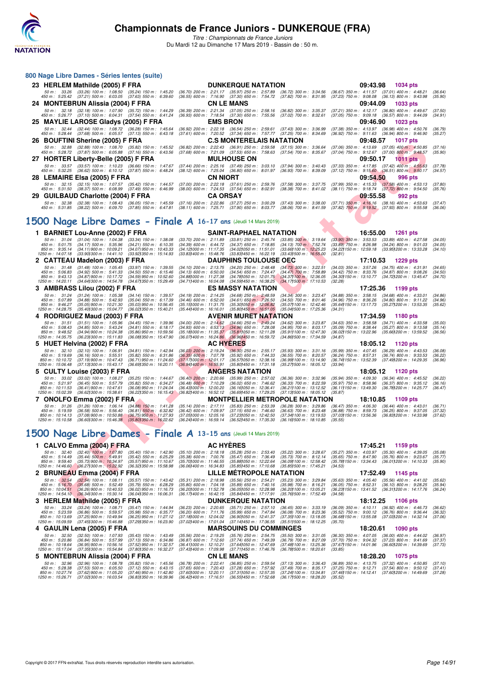

|                                       | 800 Nage Libre Dames - Séries lentes (suite)                                           |                                                                                                                              |                                                                        |                                                                                                                                                 |                                                               |                                                         |          |                                                                                                          |                    |
|---------------------------------------|----------------------------------------------------------------------------------------|------------------------------------------------------------------------------------------------------------------------------|------------------------------------------------------------------------|-------------------------------------------------------------------------------------------------------------------------------------------------|---------------------------------------------------------------|---------------------------------------------------------|----------|----------------------------------------------------------------------------------------------------------|--------------------|
|                                       | 23 HERLEM Mathilde (2005) F FRA                                                        |                                                                                                                              |                                                                        | <b>DUNKERQUE NATATION</b>                                                                                                                       |                                                               |                                                         | 09:43.98 | 1034 pts                                                                                                 |                    |
|                                       | 50 m: 33.26 (33.26) 100 m: 1:08.50 (35.24) 150 m: 1:45.20                              |                                                                                                                              |                                                                        | (36.70) 200 m : 2:21.17 (35.97) 250 m : 2:57.89                                                                                                 | $(36.72)$ 300 m : 3:34.56                                     |                                                         |          | (36.67) 350 m: 4:11.57 (37.01) 400 m: 4:48.21                                                            | (36.64)            |
|                                       |                                                                                        | 450 m : 5:25.42 (37.21) 500 m : 6:03.05 (37.63) 550 m : 6:39.60                                                              |                                                                        | (36.55) 600 m: 7:16.90 (37.30) 650 m: 7:54.72 (37.82) 700 m: 8:31.95                                                                            |                                                               |                                                         |          | (37.23) 750 m : 9:08.08 (36.13) 800 m : 9:43.98                                                          | (35.90)            |
|                                       | 24 MONTEBRUN Alissia (2004) F FRA                                                      |                                                                                                                              |                                                                        | <b>CN LE MANS</b>                                                                                                                               |                                                               |                                                         | 09:44.09 | <b>1033 pts</b>                                                                                          |                    |
|                                       | 50 m: 32.18 (32.18) 100 m: 1:07.90 (35.72) 150 m: 1:44.29                              | 450 m : 5:26.77 (37.10) 500 m : 6:04.31 (37.54) 550 m : 6:41.24                                                              |                                                                        | (36.39) 200 m : 2:21.34 (37.05) 250 m : 2:58.16<br>(36.93) 600 m: 7:18.54 (37.30) 650 m: 7:55.56                                                | $(36.82)$ 300 m : 3:35.37<br>$(37.02)$ 700 m : 8:32.61        |                                                         |          | (37.21) 350 m: 4:12.17 (36.80) 400 m: 4:49.67<br>$(37.05)$ 750 m : $9:09.18$ $(36.57)$ 800 m : $9:44.09$ | (37.50)<br>(34.91) |
|                                       | 25 MAYLIE LAROSE Gladys (2005) F FRA                                                   |                                                                                                                              |                                                                        | <b>EMS BRON</b>                                                                                                                                 |                                                               |                                                         | 09:46.90 | <b>1023 pts</b>                                                                                          |                    |
|                                       | 50 m: 32.44 (32.44) 100 m: 1:08.72 (36.28) 150 m: 1:45.64                              | 450 m : 5:28.44 (37.68) 500 m : 6:05.57 (37.13) 550 m : 6:43.18                                                              |                                                                        | (36.92) 200 m : 2:22.18 (36.54) 250 m : 2:59.61 (37.43) 300 m : 3:36.99<br>(37.61) 600 m: 7:20.52 (37.34) 650 m: 7:57.77 (37.25) 700 m: 8:34.69 |                                                               |                                                         |          | (37.38) 350 m : 4:13.97 (36.98) 400 m : 4:50.76<br>(36.92) 750 m : 9:11.63 (36.94) 800 m : 9:46.90       | (36.79)<br>(35.27) |
|                                       | 26 BOUFTINI Sherine (2005) F FRA                                                       |                                                                                                                              |                                                                        | <b>C.S MONTERELAIS NATATION</b>                                                                                                                 |                                                               |                                                         | 09:48.57 | <b>1017 pts</b>                                                                                          |                    |
|                                       |                                                                                        | 50 m: 32.88 (32.88) 100 m: 1:08.70 (35.82) 150 m: 1:45.52                                                                    |                                                                        | (36.82) 200 m : 2:22.43 (36.91) 250 m : 2:59.58                                                                                                 | $(37.15)$ 300 m : 3:36.64                                     |                                                         |          | (37.06) 350 m : 4:13.69 (37.05) 400 m : 4:50.85                                                          | (37.16)            |
|                                       | 450 m : 5:28.72 (37.87) 500 m : 6:05.88 (37.16) 550 m : 6:43.56                        |                                                                                                                              |                                                                        | (37.68) 600 m : 7:21.09 (37.53) 650 m : 7:58.63                                                                                                 | $(37.54)$ 700 m : 8:35.67                                     |                                                         | 09:50.17 | (37.04) 750 m : 9:12.67 (37.00) 800 m : 9:48.57                                                          | (35.90)            |
|                                       | 27 HORTER Liberty-Belle (2005) F FRA                                                   | 50 m: 33.57 (33.57) 100 m: 1:10.23 (36.66) 150 m: 1:47.67                                                                    |                                                                        | <b>MULHOUSE ON</b><br>(37.44) 200 m: 2:25.16 (37.49) 250 m: 3:03.10                                                                             | (37.94) 300 m : 3:40.43                                       |                                                         |          | <b>1011 pts</b><br>(37.33) 350 m: 4:17.85 (37.42) 400 m: 4:55.63                                         | (37.78)            |
|                                       |                                                                                        | 450 m : 5:32.25 (36.62) 500 m : 6:10.12 (37.87) 550 m : 6:48.24                                                              |                                                                        | (38.12) 600 m : 7:25.04 (36.80) 650 m : 8:01.97                                                                                                 | (36.93) 700 m : 8:39.09                                       |                                                         |          | $(37.12)$ 750 m : $9:15.60$ $(36.51)$ 800 m : $9:50.17$                                                  | (34.57)            |
|                                       | 28 LEMAIRE Elsa (2005) F FRA                                                           |                                                                                                                              | CN NIORT                                                               |                                                                                                                                                 |                                                               |                                                         | 09:54.50 | 996 pts                                                                                                  |                    |
|                                       |                                                                                        | 50 m: 32.15 (32.15) 100 m: 1:07.57 (35.42) 150 m: 1:44.57<br>450 m : 5:31.50 (38.37) 500 m : 6:08.99 (37.49) 550 m : 6:46.99 |                                                                        | (37.00) 200 m : 2:22.18 (37.61) 250 m : 2:59.76<br>(38.00) 600 m : 7:24.53 (37.54) 650 m : 8:02.91                                              | $(37.58)$ 300 m : 3:37.75<br>$(38.38)$ 700 m : $8:41.02$      |                                                         |          | $(37.99)$ 350 m : 4:15.33 $(37.58)$ 400 m : 4:53.13<br>(38.11) 750 m : 9:18.74 (37.72) 800 m : 9:54.50   | (37.80)<br>(35.76) |
|                                       | 29 GUILBAUD Charlotte (2004) F FRA                                                     |                                                                                                                              | <b>CA ORSAY</b>                                                        |                                                                                                                                                 |                                                               |                                                         | 09:55.58 | 992 pts                                                                                                  |                    |
|                                       |                                                                                        | 50 m : 32.38 (32.38) 100 m : 1:08.43 (36.05) 150 m : 1:45.59 (37.16) 200 m : 2:22.86 (37.27) 250 m : 3:00.29                 |                                                                        |                                                                                                                                                 | $(37.43)$ 300 m : 3:38.00                                     |                                                         |          | $(37.71)$ 350 m : 4:16.16 $(38.16)$ 400 m : 4:53.63                                                      | (37.47)            |
|                                       |                                                                                        |                                                                                                                              |                                                                        | 450 m : 5:31.85 (38.22) 500 m : 6:09.70 (37.85) 550 m : 6:47.81 (38.11) 600 m : 7:25.71 (37.90) 650 m : 8:03.77 (38.06) 700 m : 8:41.59         |                                                               |                                                         |          | (37.82) 750 m: 9:19.52 (37.93) 800 m: 9:55.58                                                            | (36.06)            |
|                                       |                                                                                        |                                                                                                                              |                                                                        | 1500 Nage Libre Dames - Finale A 16-17 ans (Jeudi 14 Mars 2019)                                                                                 |                                                               |                                                         |          |                                                                                                          |                    |
|                                       |                                                                                        |                                                                                                                              |                                                                        |                                                                                                                                                 |                                                               |                                                         |          |                                                                                                          |                    |
| 50 m : 31.04                          | 1 BARNIET Lou-Anne (2002) F FRA<br>$(31.04)$ 100 m : 1:04.38                           | $(33.34)$ 150 m : 1:38.08                                                                                                    | $(33.70)$ 200 m : 2:11.89                                              | <b>SAINT-RAPHAEL NATATION</b><br>$(33.81)$ 250 m : 2:45.74                                                                                      | $(33.85)$ 300 m : 3:19.64                                     | $(33.90)$ 350 m : 3:53.53                               | 16:55.00 | <b>1261 pts</b><br>$(33.89)$ 400 m : 4:27.58                                                             | (34.05)            |
| 450 m : 5:01.75                       | $(34.17)$ 500 m : 5:35.96                                                              | $(34.21)$ 550 m : 6:10.35                                                                                                    | $(34.39)$ 600 m : 6:44.72                                              | $(34.37)$ 650 m : 7:18.85                                                                                                                       | $(34.13)$ 700 m : 7:52.74                                     | $(33.89)$ 750 m : 8:26.98                               |          | $(34.24)$ 800 m : 9:01.03                                                                                | (34.05)            |
| 850 m: 9:35.14<br>1250 m : 14:07.18   | $(34.11)900 \text{ m}$ : 10:09.21<br>(33.901300 m: 14.41.10)                           | $(34.07)$ 950 m : 10:43.33<br>(33.92) 350 m : 15:14.93                                                                       | $(34.12)000 \text{ m}$ : 11:17.35<br>$(33.83)400 \text{ m}$ : 15:48.76 | (34.02)050 m : 11.51.01<br>(33.83) 450 m : 16:22.19                                                                                             | $(33.661100 \text{ m} : 12.25.23)$<br>(33.431500 m : 16:55.00 | (34.22) 150 m : 12:59.18<br>(32.81)                     |          | (33.95) 200 m : 13:33.28                                                                                 | (34.10)            |
|                                       | 2 CATTEAU Madelon (2003) F FRA                                                         |                                                                                                                              |                                                                        | <b>DAUPHINS TOULOUSE OEC</b>                                                                                                                    |                                                               |                                                         | 17:10.53 | 1229 pts                                                                                                 |                    |
| 50 m: 31.48<br>450 m : 5:06.83        | $(31.48)$ 100 m : 1:05.45<br>$(34.92)$ 500 m : 5:41.33                                 | $(33.97)$ 150 m : 1:39.55<br>$(34.50)$ 550 m : 6:15.46                                                                       | $(34.10)$ 200 m : 2:13.75<br>$(34.13)$ 600 m : 6:50.00                 | $(34.20)$ 250 m : 2:48.48<br>(34.54) 650 m : 7:24.47                                                                                            | $(34.73)$ 300 m : 3:22.51<br>$(34.47)$ 700 m : 7:58.89        | (34.42) 750 m : 8:33.76                                 |          | (34.03) 350 m : 3:57.26 (34.75) 400 m : 4:31.91<br>$(34.87)$ 800 m : 9:08.26                             | (34.65)<br>(34.50) |
| 850 m: 9:43.13                        | $(34.87)900 \text{ m}$ : 10:17.72                                                      | $(34.59)$ 950 m : 10:52.60                                                                                                   | (34.88) 000 m: 11:27.38                                                | (34.781050 m : 12:01.75                                                                                                                         | $(34.37)100 \text{ m}$ : 12:36.05                             |                                                         |          | (34.30) 150 m: 13:10.77 (34.72) 200 m: 13:45.47                                                          | (34.70)            |
|                                       | 1250 m: 14:20.11 (34.64) 300 m: 14:54.78                                               | (34.67) 350 m : 15:29.49                                                                                                     | (34.711400 m : 16:04.08                                                | (34.59) 450 m : 16:38.25                                                                                                                        | (34.171500 m : 17:10.53)                                      | (32.28)                                                 | 17:25.36 |                                                                                                          |                    |
| 50 m: 31.24                           | 3 AMBRASS Lilou (2002) F FRA<br>$(31.24)$ 100 m : 1:05.38                              | $(34.14)$ 150 m : 1:39.57                                                                                                    | $(34.19)$ 200 m : 2:14.25                                              | <b>ES MASSY NATATION</b><br>$(34.68)$ 250 m : 2:48.59                                                                                           | $(34.34)$ 300 m : 3:23.47                                     |                                                         |          | 1199 pts<br>(34.88) 350 m: 3:58.15 (34.68) 400 m: 4:33.01                                                | (34.86)            |
| 450 m : 5:07.89                       | $(34.88)$ 500 m : 5:42.93<br>850 m: 9:46.27 (35.05) 900 m: 10:21.30                    | (35.04) 550 m : 6:17.39<br>$(35.03)$ 950 m : 10:56.45                                                                        | $(34.46)$ 600 m : 6:52.00<br>$(35.15)000 \text{ m}$ : 11:31.75         | $(34.61)$ 650 m : 7:26.50<br>(35.30) 050 m : 12:06.82                                                                                           | $(34.50)$ 700 m : 8:01.46<br>(35.07) 100 m : 12:42.46         |                                                         |          | (34.96) 750 m : 8:36.26 (34.80) 800 m : 9:11.22<br>(35.64) 150 m: 13:17.73 (35.27) 200 m: 13:53.35       | (34.96)<br>(35.62) |
|                                       | 1250 m: 14:28.75 (35.40) 300 m: 15:04.77                                               | (36.02) 350 m : 15:40.21                                                                                                     | $(35.44)400 \text{ m}$ : 16:16.01                                      | $(35.80)450 \text{ m}$ : 16:51.05                                                                                                               | (35.041500 m: 17:25.36                                        | (34.31)                                                 |          |                                                                                                          |                    |
|                                       |                                                                                        |                                                                                                                              |                                                                        |                                                                                                                                                 |                                                               |                                                         |          |                                                                                                          |                    |
|                                       | 4 RODRIGUEZ Maud (2003) F FRA                                                          |                                                                                                                              |                                                                        | <b>AVENIR MURET NATATION</b>                                                                                                                    |                                                               |                                                         | 17:34.59 | 1180 pts                                                                                                 |                    |
| 50 m: 31.51                           | $(31.51)$ 100 m : 1:05.96                                                              | $(34.45)$ 150 m : 1:39.96                                                                                                    | $(34.00)$ 200 m : 2:14.62                                              | $(34.66)$ 250 m : 2:49.24                                                                                                                       | $(34.62)$ 300 m : 3:23.87                                     | $(34.63)$ 350 m : 3:58.58                               |          | $(34.71)$ 400 m : 4:33.58                                                                                | (35.00)            |
| 450 m : 5:08.43<br>850 m : 9:48.52    | $(34.85)$ 500 m : 5:43.24<br>(34.94) 900 m : 10:24.38                                  | $(34.81)$ 550 m : 6:18.17<br>$(35.86)$ 950 m : 10:59.56                                                                      | $(34.93)$ 600 m : 6:53.13<br>(35.18) 000 m: 11:35.37                   | $(34.96)$ 650 m : 7:28.08<br>(35.81)050 m : 12:11.28                                                                                            | $(34.95)$ 700 m : 8:03.17<br>(35.911100 m: 12:47.30           | $(35.09)$ 750 m : 8:38.44<br>(36.02) 150 m : 13:22.96   |          | $(35.27)$ 800 m : 9:13.58<br>(35.66) 200 m : 13:59.52                                                    | (35.14)<br>(36.56) |
| 1250 m: 14:35.75                      | (36.23) 300 m : 15:11.83                                                               | (36.081350 m: 15:47.90                                                                                                       |                                                                        | (36.07) 400 m : 16:24.86 (36.96) 450 m : 16:59.72                                                                                               | (34.86) 500 m : 17:34.59                                      | (34.87)                                                 |          |                                                                                                          |                    |
| 50 m: 32.10                           | 5 HUET Helvina (2002) F FRA<br>$(32.10)$ 100 m : 1:06.91                               | $(34.81)$ 150 m : 1:42.94                                                                                                    | $(36.03)$ 200 m : 2:19.24                                              | <b>AC HYERES</b><br>$(36.30)$ 250 m : 2:55.17                                                                                                   | $(35.93)$ 300 m : $3:31.16$                                   |                                                         | 18:05.12 | 1120 pts<br>(35.99) 350 m: 4:07.45 (36.29) 400 m: 4:43.53                                                | (36.08)            |
| 450 m: 5:19.69                        | $(36.16)$ 500 m : 5:55.51                                                              | $(35.82)$ 550 m : 6:31.86                                                                                                    | $(36.35)$ 600 m : 7:07.78                                              | $(35.92)$ 650 m : 7:44.33                                                                                                                       | (36.55) 700 m : 8:20.57                                       | (36.24) 750 m : 8:57.31                                 |          | $(36.74)$ 800 m : 9:33.53                                                                                | (36.22)            |
| 850 m: 10:10.72<br>1250 m : 15:06.48  | (37.19) 900 m : 10:47.43<br>(37.13) 300 m : 15:43.17                                   | $(36.71)$ 950 m : 11:24.60<br>(36.691350 m : 16:20.11)                                                                       | (37.17) 000 m : 12:01.17<br>$(36.94)400 \text{ m}$ : 16:55.91          | (36.57) 050 m : 12:38.16<br>(35.80) 450 m : 17:31.18                                                                                            | (36.99) 100 m : 13:14.90<br>(35.271500 m: 18:05.12)           | (33.94)                                                 |          | (36.74) 150 m : 13:52.39 (37.49) 200 m : 14:29.35                                                        | (36.96)            |
|                                       | 5 CULTY Louise (2003) F FRA                                                            |                                                                                                                              |                                                                        | <b>ANGERS NATATION</b>                                                                                                                          |                                                               |                                                         | 18:05.12 | 1120 pts                                                                                                 |                    |
| 450 m : 5:21.97                       | 50 m: 33.02 (33.02) 100 m: 1:08.27<br>$(36.45)$ 500 m : 5:57.79                        | $(35.25)$ 150 m : 1:44.67<br>$(35.82)$ 550 m : 6:34.27                                                                       | $(36.40)$ 200 m : 2:20.66<br>$(36.48)$ 600 m : 7:10.29                 | $(35.99)$ 250 m : 2:57.02<br>$(36.02)$ 650 m : 7:46.62                                                                                          | $(36.36)$ 300 m : 3:32.96<br>$(36.33)$ 700 m : 8:22.59        | $(35.97)$ 750 m : 8:58.96                               |          | (35.94) 350 m: 4:09.30 (36.34) 400 m: 4:45.52<br>$(36.37)$ 800 m : 9:35.12                               | (36.22)<br>(36.16) |
| 1250 m : 15:02.39                     | 850 m : 10:11.53 (36.41) 900 m : 10:47.61                                              | (36.08) 950 m : 11:24.04                                                                                                     | $(36.43)000 \text{ m}$ : 12:00.20                                      | (36.16) 050 m : 12:36.41<br>(36.691450 m : 17:29.25                                                                                             | (36.21) 100 m : 13:12.52                                      | (36.11) 150 m : 13:49.30                                |          | (36.78) 200 m : 14:25.77                                                                                 | (36.47)            |
|                                       | (36.62) 300 m : 15:38.61<br>7 ONOLFO Emma (2002) F FRA                                 | $(36.22)$ 350 m : 16:15.43                                                                                                   | $(36.82)400 \text{ m}$ : 16:52.12                                      | <b>MONTPELLIER METROPOLE NATATION</b>                                                                                                           | (37.131500 m : 18:05.12                                       | (35.87)                                                 | 18:10.85 | 1109 pts                                                                                                 |                    |
| 50 m: 31.26                           | $(31.26)$ 100 m : 1:06.14                                                              | $(34.88)$ 150 m : 1:41.28                                                                                                    | $(35.14)$ 200 m : 2:17.11                                              | $(35.83)$ 250 m : 2:53.39                                                                                                                       | $(36.28)$ 300 m : 3:29.86                                     | $(36.47)$ 350 m : 4:06.30                               |          | $(36.44)$ 400 m : 4:43.01                                                                                | (36.71)            |
| 450 m : 5:19.59<br>850 m : 10:14.13   | $(36.58)$ 500 m : 5:56.40<br>$(37.08)$ 900 m : 10:50.88                                | $(36.81)$ 550 m : 6:32.82<br>$(36.75)$ 950 m : 11:27.93                                                                      | $(36.42)$ 600 m : 7:09.97<br>$(37.05)000 \text{ m}$ : 12:05.16         | $(37.15)$ 650 m : 7:46.60<br>(37.23) 050 m : 12:42.50                                                                                           | $(36.63)$ 700 m : 8:23.48<br>(37.341100 m: 13:19.53)          | $(36.88)$ 750 m : $8:59.73$<br>(37.03) 150 m : 13:56.36 |          | $(36.25)$ 800 m : 9:37.05<br>(36.831200 m: 14:33.98)                                                     | (37.32)<br>(37.62) |
| 1250 m: 15:10.58                      | (36.601300 m : 15:46.38)                                                               | $(35.801350 \text{ m} : 16.22.62)$                                                                                           | (36.24) 400 m : 16:59.14                                               | (36.52) 450 m : 17:35.30                                                                                                                        | (36.16) 500 m : 18:10.85                                      | (35.55)                                                 |          |                                                                                                          |                    |
|                                       |                                                                                        |                                                                                                                              |                                                                        |                                                                                                                                                 |                                                               |                                                         |          |                                                                                                          |                    |
|                                       |                                                                                        |                                                                                                                              |                                                                        | 500 Nage Libre Dames - Finale A 13-15 ans (Jeudi 14 Mars 2019)                                                                                  |                                                               |                                                         |          |                                                                                                          |                    |
|                                       | 1 CALVO Emma (2004) F FRA                                                              |                                                                                                                              |                                                                        | <b>AC HYÈRES</b>                                                                                                                                |                                                               |                                                         | 17:45.21 | 1159 pts                                                                                                 |                    |
| 450 m : 5:14.49                       | 50 m: 32.40 (32.40) 100 m: 1:07.80<br>$(35.44)$ 500 m : 5:49.91                        | $(35.40)$ 150 m : 1:42.90<br>$(35.42)$ 550 m : 6:25.29                                                                       | $(35.10)$ 200 m : 2:18.18<br>$(35.38)$ 600 m : 7:00.76                 | $(35.28)$ 250 m : 2:53.40<br>$(35.47)$ 650 m : 7:36.49                                                                                          | $(35.22)$ 300 m : 3:28.67<br>$(35.73)$ 700 m : 8:12.14        |                                                         |          | $(35.27)$ 350 m : 4:03.97 $(35.30)$ 400 m : 4:39.05<br>(35.65) 750 m : 8:47.90 (35.76) 800 m : 9:23.67   | (35.08)<br>(35.77) |
|                                       | 850 m : 9:59.40 (35.73) 900 m : 10:34.97<br>1250 m : 14:46.60 (36.27) 300 m : 15:22.92 | $(35.57)$ 950 m : 11:10.67<br>(36.321350 m: 15:58.98)                                                                        | (35.70) 000 m: 11:46.55<br>$(36.06)400 \text{ m}$ : 16:34.83           | (35.88) 050 m : 12:22.64<br>(35.85) 450 m : 17:10.68                                                                                            | (36.09) 100 m : 12:58.42<br>(35.851500 m: 17:45.21            | (34.53)                                                 |          | (35.781150 m: 13:34.43 (36.011200 m: 14:10.33)                                                           | (35.90)            |
|                                       | 2 BRUNEAU Emma (2004) F FRA                                                            |                                                                                                                              |                                                                        | <b>LILLE METROPOLE NATATION</b>                                                                                                                 |                                                               |                                                         | 17:52.49 | 1145 pts                                                                                                 |                    |
| $50 m$ : $32.54$                      | $(32.54)$ 100 m : 1:08.11                                                              | $(35.57)$ 150 m : 1:43.42                                                                                                    | $(35.31)$ 200 m : 2:18.98                                              | $(35.56)$ 250 m : 2:54.21                                                                                                                       | (35.23) 300 m : 3:29.84                                       |                                                         |          | $(35.63)$ 350 m : 4:05.40 $(35.56)$ 400 m : 4:41.02                                                      | (35.62)            |
| 450 m : 5:16.70<br>850 m : 10:04.51   | (35.68) 500 m : 5.52.49<br>$(36.26)$ 900 m : 10:40.53                                  | (35.79) 550 m : 6:28.29<br>$(36.02)$ 950 m : 11:16.73                                                                        | $(35.80)$ 600 m : 7:04.18<br>(36.201000 m: 11:52.78)                   | $(35.89)$ 650 m : 7:40.16<br>(36.051050 m : 12:28.98                                                                                            | $(35.98)$ 700 m : 8:16.21<br>(36.201100 m: 13.05.21           |                                                         |          | (36.05) 750 m : 8:52.31 (36.10) 800 m : 9:28.25<br>(36.23) 150 m: 13:41.52 (36.31) 200 m: 14:17.76       | (35.94)<br>(36.24) |
|                                       | 1250 m: 14:54.10 (36.341300 m: 15:30.14)                                               | (36.041350 m : 16.06.31                                                                                                      | $(36.17)400 \text{ m}$ : 16:42.15                                      | (35.84) 450 m : 17:17.91                                                                                                                        | (35.761500 m : 17:52.49                                       | (34.58)                                                 |          |                                                                                                          |                    |
|                                       | 3 HERLEM Mathilde (2005) F FRA                                                         |                                                                                                                              |                                                                        | <b>DUNKERQUE NATATION</b>                                                                                                                       |                                                               |                                                         | 18:12.25 | <b>1106 pts</b>                                                                                          |                    |
| 50 m: 33.24<br>450 m : 5:23.59        | $(33.24)$ 100 m : 1:08.71<br>$(36.86)$ 500 m : 5:59.57                                 | $(35.47)$ 150 m : 1:44.94<br>$(35.98)$ 550 m : 6:35.77                                                                       | $(36.23)$ 200 m : 2:20.65<br>$(36.20)$ 600 m : 7:11.76                 | $(35.71)$ 250 m : 2:57.10<br>(35.99) 650 m : 7:47.84                                                                                            | $(36.45)$ 300 m : 3:33.19<br>$(36.08)$ 700 m : 8:23.36        |                                                         |          | (36.09) 350 m: 4:10.11 (36.92) 400 m: 4:46.73<br>(35.52) 750 m : 9:00.12 (36.76) 800 m : 9:36.44         | (36.62)<br>(36.32) |
| 850 m : 10:13.69<br>1250 m : 15:09.59 | (37.25) 900 m : 10:49.94<br>(37.45) 300 m : 15:46.88                                   | $(36.25)$ 950 m : 11:27.12<br>(37.29) 350 m : 16:23.90                                                                       | (37.181000 m : 12:04.02<br>(37.021400 m: 17:01.04                      | (36.901050 m: 12:41.37)<br>(37.14) 450 m : 17:36.55                                                                                             | (37.35) 100 m : 13:18.05<br>(35.511500 m: 18:12.25            | (35.70)                                                 |          | (36.68) 150 m: 13:55.08 (37.03) 200 m: 14:32.14                                                          | (37.06)            |
|                                       | 4 GAULIN Lena (2005) F FRA                                                             |                                                                                                                              |                                                                        | <b>MARSOUINS DU COMMINGES</b>                                                                                                                   |                                                               |                                                         | 18:20.61 | 1090 pts                                                                                                 |                    |
| 50 m : 32.50<br>450 m : 5:20.86       | $(32.50)$ 100 m : 1:07.93<br>$(36.84)$ 500 m : 5:57.99                                 | $(35.43)$ 150 m : 1:43.49<br>$(37.13)$ 550 m : 6:34.86                                                                       | $(35.56)$ 200 m : 2:19.25<br>$(36.87)$ 600 m : 7:12.60                 | $(35.76)$ 250 m : 2:54.75<br>$(37.74)$ 650 m : 7:49.39                                                                                          | $(35.50)$ 300 m : 3:31.05<br>$(36.79)$ 700 m : 8:27.09        | $(36.30)$ 350 m : 4:07.05<br>$(37.70)$ 750 m : 9:04.32  |          | (36.00) 400 m : 4:44.02<br>$(37.23)$ 800 m : 9:41.69                                                     | (36.97)<br>(37.37) |

**5 MONTEBRUN Alissia (2004) F FRA CN LE MANS 18:28.20 1075 pts** 50 m : 32.96 (32.96) 100 m : 1:08.78 (35.82) 150 m : 1:45.56 (36.78) 200 m : 2:22.41 (36.85) 250 m : 2:53.54 (37.13) 300 m : 3:36.43 (36.89) 350 m : 4:13.75 (37.32) 400 m : 4:50.85 (37.10)<br>450 m : 10:27.74 (37.62) 300 m :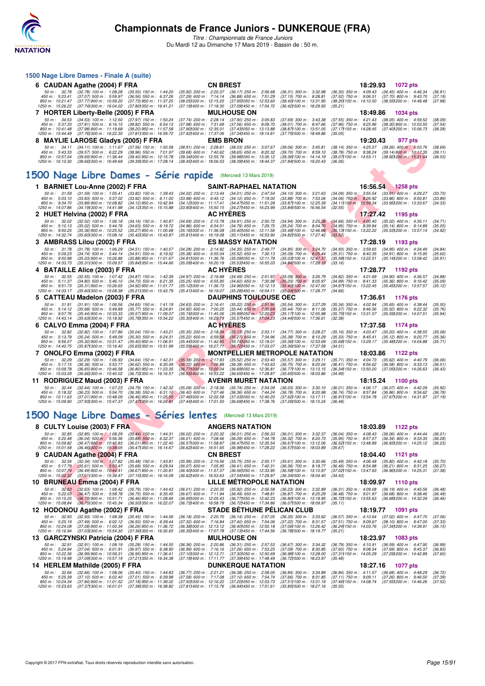

*Titre : Championnats de France Juniors* Du Mardi 12 au Dimanche 17 Mars 2019 - Bassin de : 50 m.

| 1500 Nage Libre Dames - Finale A (suite)                                                                                                                                                                                                                                                                              |                                                                                                                                                                                                                                                                                                                                                                                                                                                                        |                                                                                                                                                                                                               |  |  |  |  |
|-----------------------------------------------------------------------------------------------------------------------------------------------------------------------------------------------------------------------------------------------------------------------------------------------------------------------|------------------------------------------------------------------------------------------------------------------------------------------------------------------------------------------------------------------------------------------------------------------------------------------------------------------------------------------------------------------------------------------------------------------------------------------------------------------------|---------------------------------------------------------------------------------------------------------------------------------------------------------------------------------------------------------------|--|--|--|--|
| 6 CAUDAN Agathe (2004) F FRA                                                                                                                                                                                                                                                                                          | <b>CN BREST</b>                                                                                                                                                                                                                                                                                                                                                                                                                                                        | 18:29.93 1072 pts                                                                                                                                                                                             |  |  |  |  |
| 50 m : 32.78<br>$(32.78)$ 100 m : 1:08.28<br>$(35.50)$ 150 m : 1:44.20<br>450 m : 5:23.41<br>$(37.07)$ 500 m : 5:59.97<br>$(36.56)$ 550 m : 6:37.26<br>850 m : 10:21.47<br>(37.77) 900 m : 10:59.20<br>(37.73) 950 m : 11:37.25<br>1250 m : 15:26.22<br>(37.741300 m : 16:04.02<br>(37.80) 350 m : 16:41.21           | $(35.92)$ 200 m : 2:20.37<br>$(36.31)$ 300 m : 3:32.98<br>$(36.17)$ 250 m : 2:56.68<br>(37.29) 600 m : 7:14.14<br>$(36.88)$ 650 m : 7:51.29<br>(37.15) 700 m : 8:28.81<br>(38.051000 m: 12:15.20<br>(37.95) 050 m: 12:53.60<br>(38.40) 100 m : 13:31.95<br>(37.19) 400 m : 17:18.30<br>(37.09) 450 m : 17:54.72<br>(36.42) 500 m : 18:29.93<br>(35.21)                                                                                                                 | (36.30) 350 m : 4:09.43 (36.45) 400 m : 4:46.34<br>(36.91)<br>$(37.52)$ 750 m : $9:06.51$<br>$(37.70)$ 800 m : 9:43.70<br>(37.19)<br>(38.55) 200 m : 14:48.48<br>(38.35) 150 m : 14:10.50<br>(37.98)          |  |  |  |  |
| 7 HORTER Liberty-Belle (2005) F FRA                                                                                                                                                                                                                                                                                   | <b>MULHOUSE ON</b>                                                                                                                                                                                                                                                                                                                                                                                                                                                     | 18:49.86<br>1034 pts                                                                                                                                                                                          |  |  |  |  |
| 50 m: 34.53<br>(34.53) 100 m : 1:12.50 (37.97) 150 m : 1:50.24<br>450 m: 5:37.33<br>$(37.81)$ 500 m : 6:16.15<br>$(38.82)$ 550 m : 6:54.13<br>850 m : 10:41.48<br>$(37.98)$ 900 m : 11:19.68<br>$(38.20)$ 950 m : 11:57.58<br>1250 m: 15:44.49<br>(37.76) 300 m : 16:22.30<br>(37.811350 m : 16:59.72                 | (37.74) 200 m : 2:28.14<br>$(37.90)$ 250 m : 3:05.83<br>$(37.69)$ 300 m : 3:43.38<br>(37.98) 600 m : 7:31.69<br>$(37.56)$ 650 m : 8:09.70<br>$(38.01)$ 700 m : 8:47.66<br>(37.901000 m: 12:35.01<br>(38.871100 m: 13:51.05<br>(37.43) 050 m : 13:13.88<br>(37.42) 400 m : 17:37.06<br>(37.34) 450 m : 18:14.81<br>(37.751500 m: 18:49.86<br>(35.05)                                                                                                                    | $(37.55)$ 350 m : 4:21.43<br>$(38.05)$ 400 m : 4:59.52<br>(38.09)<br>(37.96) 750 m : 9:25.96<br>(38.30) 800 m : 10.03.50<br>(37.54)<br>(37.17) 150 m: 14:28.45 (37.40) 200 m: 15:06.73<br>(38.28)             |  |  |  |  |
| 8 MAYLIE LAROSE Gladys (2005) F FRA                                                                                                                                                                                                                                                                                   | <b>EMS BRON</b>                                                                                                                                                                                                                                                                                                                                                                                                                                                        | 19:20.43<br>977 pts                                                                                                                                                                                           |  |  |  |  |
| (34.11) 100 m: 1:11.67 (37.56) 150 m: 1:50.58<br>50 m : 34.11<br>450 m : 5:43.33<br>$(39.57)$ 500 m : 6:22.29<br>$(38.96)$ 550 m : 7:01.97<br>850 m : 10:57.04<br>$(39.69)$ 900 m : 11:36.44<br>$(39.40)$ 950 m : 12:15.78<br>(38.66) 300 m : 16:49.69<br>(39.391350 m : 17:28.14<br>1250 m : 16:10.30                | $(38.91)$ 200 m : 2:28.61<br>(38.03) 250 m : 3:07.67<br>(39.06) 300 m : 3:45.81<br>$(39.68)$ 600 m : 7:40.62<br>$(38.65)$ 650 m : 8:20.32<br>(39.70) 700 m : 8:59.10<br>(39.341000 m : 12:55.76<br>(39.98) 050 m : 13:35.12<br>(39.36) 100 m: 14:14.19<br>(38.45) 400 m : 18:06.53<br>(38.391450 m: 18.44.37)<br>(37.841500 m: 19:20.43<br>(36.06)                                                                                                                     | (38.14) 350 m : 4:25.07<br>$(39.26)$ 400 m : 5:03.76<br>(38.69)<br>$(38.78)$ 750 m : 9:38.24<br>$(39.14)800 \text{ m}$ : 10:17.35<br>(39.11)<br>(39.07) 150 m : 14:53.11<br>(38.921200 m: 15:31.64<br>(38.53) |  |  |  |  |
| 1500 Nage Libre Dames - Série rapide (Mercredi 13 Mars 2019)                                                                                                                                                                                                                                                          |                                                                                                                                                                                                                                                                                                                                                                                                                                                                        |                                                                                                                                                                                                               |  |  |  |  |
| 1 BARNIET Lou-Anne (2002) F FRA                                                                                                                                                                                                                                                                                       | <b>SAINT-RAPHAEL NATATION</b>                                                                                                                                                                                                                                                                                                                                                                                                                                          | 16:56.54<br><b>1258 pts</b>                                                                                                                                                                                   |  |  |  |  |
| 50 m: 31.59 (31.59) 100 m: 1:05.41<br>$(33.82)$ 150 m : 1:39.43<br>450 m : 5:03.10<br>$(33.83)$ 500 m : 5:37.02<br>$(33.92)$ 550 m : 6:11.00<br>850 m: 9:34.70<br>$(33.89)$ 900 m : 10:08.82<br>$(34.12)$ 950 m : 10:42.94<br>(34.19) 300 m : 14:41.98<br>(34.12) 350 m : 15:15.88<br>1250 m : 14:07.86               | $(34.02)$ 200 m : 2:13.44<br>$(34.01)$ 250 m : 2:47.54<br>$(34.10)$ 300 m : 3:21.63<br>$(34.12)$ 650 m : 7:19.00<br>(33.88) 700 m : 7:53.06<br>$(33.98)$ 600 m : 6:45.12<br>(33.87) 100 m : 12:25.39<br>(34.12) 000 m: 11:17.41<br>(34.47) 050 m : 11:51.28<br>(33.90) 400 m : 15:50.15<br>(34.27) 450 m : 16:23.99<br>(33.841500 m: 16:56.54<br>(32.55)                                                                                                               | $(34.09)$ 350 m : 3:55.54<br>$(33.91)$ 400 m : 4:29.27<br>(33.73)<br>$(34.06)$ 750 m : 8.26.92<br>$(33.86)$ 800 m : 9:00.81<br>(33.89)<br>(34.11) 150 m : 12:59.34<br>(33.95) 200 m : 13:33.67<br>(34.33)     |  |  |  |  |
| 2 HUET Helvina (2002) F FRA                                                                                                                                                                                                                                                                                           | <b>AC HYERES</b>                                                                                                                                                                                                                                                                                                                                                                                                                                                       | 17:27.42<br>1195 pts                                                                                                                                                                                          |  |  |  |  |
| $(32.02)$ 100 m : 1:06.18<br>50 m : 32.02<br>$(34.16)$ 150 m : 1:40.87<br>$(35.02)$ 500 m : 5:44.76<br>450 m: 5:10.13<br>$(34.63)$ 550 m : 6:19.72<br>850 m: 9:50.25<br>$(35.36)$ 900 m : 10:25.52<br>$(35.27)$ 950 m : 11:00.68<br>1250 m : 14:32.74<br>(35.60) 300 m : 15:08.16<br>(35.42) 350 m : 15:43.97         | $(34.69)$ 200 m : 2:15.78<br>$(34.91)$ 250 m : 2:50.72<br>(34.94) 300 m : 3:25.38<br>$(34.96)$ 600 m : 6:54.51<br>$(34.79)$ 650 m : 7:29.75<br>(35.24) 700 m : 8:04.70<br>(35.16) 000 m: 11:36.08<br>(35.40) 050 m: 12:11.56<br>(35.48) 100 m : 12:46.69<br>(35.811400 m: 16:19.08<br>(35.11) 450 m : 16:53.90<br>(34.82) 500 m : 17:27.42<br>(33.52)                                                                                                                  | $(34.66)$ 350 m : 4:00.40<br>$(35.02)$ 400 m : 4:35.11<br>(34.71)<br>$(34.95)$ 750 m : 8:39.84<br>$(35.14)$ 800 m : 9:14.89<br>(35.05)<br>(35.13)150 m : 13.22.22<br>(35.53) 200 m : 13:57.14<br>(34.92)      |  |  |  |  |
| 3 AMBRASS Lilou (2002) F FRA                                                                                                                                                                                                                                                                                          | <b>ES MASSY NATATION</b>                                                                                                                                                                                                                                                                                                                                                                                                                                               | 17:28.19<br>1193 pts                                                                                                                                                                                          |  |  |  |  |
| 50 m: 31.78<br>$(31.78)$ 100 m : 1:06.29<br>$(34.51)$ 150 m : 1:40.57<br>450 m : 5:09.23<br>$(34.74)$ 500 m : 5:44.14<br>$(34.91)$ 550 m : 6:19.52<br>850 m : 9:50.98<br>$(35.03)$ 900 m : 10:26.86<br>(35.88) 950 m : 11:01.67<br>1250 m : 14:33.73<br>(35.311300 m: 15:09.57<br>(35.841350 m : 15:44.66             | (34.28) 200 m : 2:14.92<br>$(34.85)$ 300 m : 3:24.70<br>(34.35) 250 m : 2:49.77<br>(35.38) 600 m : 6:55.04<br>$(35.52)$ 650 m : 7:30.13<br>(35.09) 700 m : 8:05.44<br>(34.811000 m: 11:36.76<br>(35.09) 050 m: 12:11.79<br>(35.031100 m: 12:47.37)<br>(35.09) 400 m : 16:20.19<br>(35.53) 450 m : 16:55.03<br>(34.841500 m: 17:28.19)<br>(33.16)                                                                                                                       | (34.93) 350 m: 3:59.65 (34.95) 400 m: 4:34.49<br>(34.84)<br>$(35.31)$ 750 m : 8:40.35<br>$(34.91)$ 800 m : 9:15.95<br>(35.60)<br>(35.58) 150 m : 13:22.51<br>(35.14) 200 m : 13:58.42<br>(35.91)              |  |  |  |  |
| 4 BATAILLE Alice (2003) F FRA                                                                                                                                                                                                                                                                                         | <b>AC HYERES</b>                                                                                                                                                                                                                                                                                                                                                                                                                                                       | 17:28.77<br>1192 pts                                                                                                                                                                                          |  |  |  |  |
| 50 m: 32.55<br>$(32.55)$ 100 m : 1:07.42<br>$(34.87)$ 150 m : 1:42.39<br>450 m: 5:11.37<br>$(34.80)$ 500 m : 5:46.10<br>$(34.73)$ 550 m : 6:21.35<br>$(35.31)$ 900 m : 10:26.65<br>850 m : 9:51.73<br>$(34.92)$ 950 m : 11:01.77<br>1250 m: 14:33.17<br>(35.60) 300 m : 15:08.38<br>(35.211350 m: 15:43.79)           | $(34.97)$ 200 m : 2:16.88<br>(34.49) 250 m : 2:51.97<br>$(35.09)$ 300 m : 3:26.79<br>$(35.25)$ 600 m : 6:55.95<br>$(34.60)$ 650 m : 7:30.98<br>$(35.03)$ 700 m : 8:05.97<br>(34.96) 050 m: 12:12.13<br>(35.121000 m: 11:36.73<br>(35.40) 100 m : 12:47.00<br>(35.411400 m: 16:19.07<br>(35.28) 450 m : 16:54.11<br>(35.04) 500 m : 17:28.77<br>(34.66)                                                                                                                 | $(34.82)$ 350 m : 4:01.69<br>$(34.90)$ 400 m : 4:36.57<br>(34.88)<br>$(34.99)$ 750 m : 8:41.33<br>$(35.36)$ 800 m : 9:16.42<br>(35.09)<br>(34.87) 150 m : 13:22.45<br>(35.45) 200 m : 13:57.57<br>(35.12)     |  |  |  |  |
| 5 CATTEAU Madelon (2003) F FRA                                                                                                                                                                                                                                                                                        | <b>DAUPHINS TOULOUSE OEC</b>                                                                                                                                                                                                                                                                                                                                                                                                                                           | 17:36.61<br>1176 pts                                                                                                                                                                                          |  |  |  |  |
| $(31.91)$ 100 m : 1:06.56<br>50 m : 31.91<br>$(34.65)$ 150 m : 1:41.19<br>(35.68) 500 m : 5:49.89<br>450 m : 5:14.12<br>$(35.77)$ 550 m : 6:24.81<br>850 m : 9:57.76<br>$(35.44)$ 900 m : 10:33.33<br>(35.57) 950 m : 11:09.07<br>1250 m : 14:43.14<br>(35.63) 300 m : 15:18.92<br>(35.78) 350 m : 15:54.22           | $(35.22)$ 250 m : 2:51.95<br>$(34.63)$ 200 m : 2:16.41<br>(35.54) 300 m : 3:27.29<br>$(35.44)$ 650 m : 7:35.69<br>(35.44) 700 m : 8:11.06<br>(34.92) 600 m : 7:00.25<br>(35.741000 m: 11:45.06<br>(35.99) 050 m : 12:20.23<br>(35.17) 100 m : 12:55.98<br>(35.30) 400 m : 16:29.79<br>(35.57) 450 m : 17:04.23<br>(34.44) 500 m: 17:36.61<br>(32.38)                                                                                                                   | $(35.34)$ 350 m : 4:02.94<br>$(35.65)$ 400 m : 4:38.44<br>(35.50)<br>(35.37) 750 m : 8:46.56<br>$(35.50)$ 800 m : 9:22.32<br>(35.76)<br>(35.75) 150 m : 13:31.57<br>(35.59) 200 m : 14:07.51<br>(35.94)       |  |  |  |  |
| 6 CALVO Emma (2004) F FRA                                                                                                                                                                                                                                                                                             | <b>AC HYERES</b>                                                                                                                                                                                                                                                                                                                                                                                                                                                       | 17:37.58<br>1174 pts                                                                                                                                                                                          |  |  |  |  |
| 50 m : 32.82<br>$(32.82)$ 100 m : 1:07.86<br>$(35.04)$ 150 m : 1:43.21<br>450 m : 5:13.79<br>(35.24) 500 m : 5:49.09<br>$(35.30)$ 550 m : 6:24.31<br>850 m : 9:56.07<br>$(35.30)$ 900 m : 10:31.47<br>(35.40) 950 m: 11:06.91<br>1250 m : 14:40.75<br>$(35.87)300 \text{ m}$ : 15:16.40<br>(35.65) 350 m : 15:51.99   | (35.35) 200 m : 2:18.34<br>$(35.13)$ 250 m : 2:53.11<br>(34.77) 300 m : 3:28.27<br>(35.22) 600 m : 6:59.58<br>$(35.27)$ 650 m : 7:34.96<br>(35.38) 700 m : 8:10.29<br>(35.741050 m : 12:18.01)<br>(35.36) 100 m : 12:53.69<br>(35.441000 m: 11:42.65)<br>(35.59) 400 m : 16:27.71<br>(35.72)450 m : 17:03.07<br>(35.36) 500 m : 17:37.58<br>(34.51)                                                                                                                    | (35.16) 350 m: 4:03.47 (35.20) 400 m: 4:38.55<br>(35.08)<br>(35.33) 750 m : 8:45.41<br>$(35.12)$ 800 m : 9:20.77<br>(35.36)<br>(35.68) 150 m: 13:29.17 (35.48) 200 m: 14:04.88<br>(35.71)                     |  |  |  |  |
| 7 ONOLFO Emma (2002) F FRA                                                                                                                                                                                                                                                                                            | <b>MONTPELLIER METROPOLE NATATION</b>                                                                                                                                                                                                                                                                                                                                                                                                                                  | 18:03.86<br>1122 pts                                                                                                                                                                                          |  |  |  |  |
| 50 m: 32.29<br>$(32.29)$ 100 m : 1:06.93<br>(34.64) 150 m : 1:42.31<br>450 m: 5:17.15<br>$(36.36)$ 500 m : 5:53.77<br>$(36.62)$ 550 m : 6:30.49<br>850 m : 10:09.78<br>$(36.65)$ 900 m : 10:46.58<br>$(36.80)$ 950 m : 11:23.35<br>1250 m : 15:03.29<br>$(36.66)300 \text{ m}$ : 15:40.02<br>(36.73) 350 m : 16:16.57 | $(35.38)$ 200 m : 2:17.83<br>(35.52) 250 m : 2:53.40<br>(35.57) 300 m : 3:29.11<br>$(36.72)$ 600 m : 7:06.88<br>$(36.39)$ 650 m : 7:43.63<br>(36.75) 700 m : 8:20.04<br>(36.77) 000 m : 12:00.04<br>(36.69) 050 m: 12:36.81<br>(36.77) 100 m : 13:13.15<br>(36.55) 400 m : 16:53.22<br>(36.65) 450 m : 17:28.87<br>(35.65) 500 m : 18:03.86<br>(34.99)                                                                                                                 | $(35.71)$ 350 m : 4:04.73<br>$(35.62)$ 400 m : 4:40.79<br>(36.06)<br>$(36.41)$ 750 m : 8:56.62<br>$(36.58)$ 800 m : 9:33.13<br>(36.51)<br>(36.34) 150 m : 13:50.20<br>(37.05) 200 m : 14:26.63<br>(36.43)     |  |  |  |  |
| 11 RODRIGUEZ Maud (2003) F FRA                                                                                                                                                                                                                                                                                        | <b>AVENIR MURET NATATION</b>                                                                                                                                                                                                                                                                                                                                                                                                                                           | 18:15.24<br>1100 pts                                                                                                                                                                                          |  |  |  |  |
| 50 m : 32.44<br>$(32.44)$ 100 m : 1:07.23<br>$(34.79)$ 150 m : 1:42.32<br>450 m : 5:18.32<br>$(36.23)$ 500 m : 5:54.70<br>$(36.38)$ 550 m : 6:31.10<br>$(37.01)$ 900 m : 10:48.09<br>850 m : 10:11.63<br>1250 m : 15:09.90<br>(37.93) 300 m : 15:47.37                                                                | $(35.09)$ 200 m : 2:18.06<br>$(35.74)$ 250 m : 2:54.09<br>$(36.03)$ 300 m : 3:30.10<br>$(36.40)$ 600 m : 7:07.46<br>(36.36) 650 m : 7:44.24<br>(36.78) 700 m : 8:20.98<br>(37.62) 100 m : 13:17.11<br>(36.46) 950 m: 11:25.55 (37.461000 m: 12:02.58<br>(37.03) 050 m : 12:40.20<br>(37.47) 350 m : 16:24.81 (37.44) 400 m : 17:01.50<br>(36.691450 m : 17:38.76)<br>(37.261500 m: 18:15.24<br>(36.48)                                                                 | $(36.01)$ 350 m : 4:06.17<br>$(36.07)$ 400 m : 4:42.09<br>(35.92)<br>(36.74) 750 m : 8:57.84<br>$(36.86)$ 800 m : 9:34.62<br>(36.78)<br>(36.91) 150 m : 13:54.78<br>(37.671200 m: 14:31.97<br>(37.19)         |  |  |  |  |
| 1500 Nage Libre Dames - Séries lentes (Mercredi 13 Mars 2019)                                                                                                                                                                                                                                                         |                                                                                                                                                                                                                                                                                                                                                                                                                                                                        |                                                                                                                                                                                                               |  |  |  |  |
| 8 CULTY Louise (2003) F FRA                                                                                                                                                                                                                                                                                           | <b>ANGERS NATATION</b>                                                                                                                                                                                                                                                                                                                                                                                                                                                 | 18:03.89<br>1122 pts                                                                                                                                                                                          |  |  |  |  |
| $(35.88)$ 550 m : 6:32.37<br>450 m :   5:20.48<br>$(36.04)$ 500 m : 5:56.36<br>850 m : 10:09.82<br>$(36.47)900 \text{ m}$ : 10:45.83<br>(36.01) 950 m : 11:22.40<br>(36.461300 m : 15:38.05)<br>(36.47) 350 m : 16:14.67<br>1250 m : 15:01.58                                                                         | 50 m: 32.85 (32.85) 100 m; 1:08.29 (35.44) 150 m: 1:44.31 (36.02) 200 m: 2:20.32 (36.01) 250 m: 2:56.33 (36.01) 300 m: 3:32.37 (36.04) 350 m: 4:08.43 (36.06) 400 m: 4:44.44<br>(36.32) 700 m : 8:20.73 (35.95) 750 m : 8:57.07<br>$(36.01)$ 600 m : 7:08.46<br>$(36.09)$ 650 m : 7:44.78<br>(36.57) 000 m : 11:58.87<br>(36.67) 100 m : 13:12.06<br>(36.47) 050 m : 12:35.54<br>(36.62) 400 m: 16:51.65 (36.98) 450 m: 17:28.22<br>(36.571500 m: 18:03.89)<br>(35.67) | (36.01)<br>$(36.34)$ 800 m : 9:33.35<br>(36.28)<br>(36.52) 150 m : 13:48.89 (36.83) 200 m : 14:25.12 (36.23)                                                                                                  |  |  |  |  |
| 9 CAUDAN Agathe (2004) F FRA                                                                                                                                                                                                                                                                                          | <b>CN BREST</b>                                                                                                                                                                                                                                                                                                                                                                                                                                                        | 18:04.40<br>1121 pts                                                                                                                                                                                          |  |  |  |  |
| 50 m: 32.34 (32.34) 100 m: 1:07.82<br>$(35.48)$ 150 m : 1:43.81<br>450 m: 5:17.79<br>$(35.61)$ 500 m : 5:53.47<br>(35.68) 550 m : 6:29.54<br>850 m : 10:07.74 (36.49) 900 m : 10:44.41<br>$(36.67)$ 950 m : 11:20.81<br>1250 m : 15:02.32 (37.011300 m : 15:39.47<br>(37.15)350 m : 16.16.09                          | $(35.99)$ 200 m : 2:19.56<br>$(35.75)$ 250 m : 2:55.17<br>$(35.61)$ 300 m : 3:30.66<br>(36.07) 600 m : 7:05.95<br>(36.41) 650 m : 7:42.31<br>(36.36) 700 m : 8:18.77<br>(36.401000 m: 11:57.37)<br>(36.561050 m: 12:33.95)<br>(36.58) 100 m : 13:10.97<br>$(36.62)$ 400 m : 16:53.63<br>(37.541450 m : 17:29.97<br>(36.341500 m : 18:04.40<br>(34.43)                                                                                                                  | (35.49) 350 m : 4:06.48 (35.82) 400 m : 4:42.18<br>(35.70)<br>(36.46) 750 m : 8:54.98<br>$(36.21)$ 800 m : 9:31.25<br>(36.27)<br>(37.02) 150 m : 13:47.93 (36.96) 200 m : 14:25.31<br>(37.38)                 |  |  |  |  |
| 10 BRUNEAU Emma (2004) F FRA                                                                                                                                                                                                                                                                                          | LILLE METROPOLE NATATION                                                                                                                                                                                                                                                                                                                                                                                                                                               | 18:09.97<br>1110 pts                                                                                                                                                                                          |  |  |  |  |
| 50 m: 32.63 (32.63) 100 m: 1:08.42 (35.79) 150 m: 1:44.43<br>450 m : 5:22.03 (36.47) 500 m : 5:58.78<br>$(36.75)$ 550 m : 6:35.45<br>850 m : 10:15.25<br>$(36.79)$ 900 m : 10:51.71<br>$(36.46)$ 950 m : 11:28.66                                                                                                     | $(36.01)$ 200 m : 2:20.35<br>$(35.92)$ 250 m : 2:56.58<br>$(36.23)$ 300 m : 3:32.89<br>$(36.49)$ 650 m : 7:48.81<br>$(36.87)$ 700 m : 8:25.29<br>$(36.67)$ 600 m : 7:11.94<br>(36.951000 m: 12:05.43)<br>(36.77) 050 m : 12:42.23<br>(36.801100 m: 13:18.95)<br>1250 m : 15:08.84 (36.751300 m : 15:45.34 (36.501350 m : 16:22.07 (36.731400 m : 16:58.79 (36.721450 m : 17:34.86 (36.071500 m : 18:09.97<br>(35.11)                                                   | $(36.31)$ 350 m : 4:09.08 $(36.19)$ 400 m : 4:45.56<br>(36.48)<br>$(36.48)$ 750 m : $9.01.97$<br>$(36.68)$ 800 m : 9:38.46<br>(36.49)<br>(36.72) 150 m : 13:55.63 (36.68) 200 m : 14:32.09<br>(36.46)         |  |  |  |  |

# **[1500 Nage Libre Dames - Séries lentes](http://www.ffnatation.fr/webffn/resultats.php?idact=nat&go=epr&idcpt=59271&idepr=6)** (Mercredi 13 Mars 2019)

|                                                                                  | 8 CULTY Louise (2003) F FRA                                                                                                                                           |                                                                                                                 |                                                                                                                | <b>ANGERS NATATION</b>                                                                                        |                                                                                                                 | 18:03.89                                                                                        | 1122 pts                                                                           |                                |
|----------------------------------------------------------------------------------|-----------------------------------------------------------------------------------------------------------------------------------------------------------------------|-----------------------------------------------------------------------------------------------------------------|----------------------------------------------------------------------------------------------------------------|---------------------------------------------------------------------------------------------------------------|-----------------------------------------------------------------------------------------------------------------|-------------------------------------------------------------------------------------------------|------------------------------------------------------------------------------------|--------------------------------|
| $50 \text{ m}$ : 32.85<br>450 m : 5:20.48<br>850 m: 10:09.82<br>1250 m: 15:01.58 | $(32.85)$ 100 m $: 1.08.29$<br>$(36.04)$ 500 m : 5:56.36<br>$(36.47)900 \text{ m}$ : 10:45.83<br>(36.461300 m : 15:38.05)                                             | $(35.44)$ 150 m : 1:44.31<br>$(35.88)$ 550 m : 6:32.37<br>$(36.01)$ 950 m : 11:22.40<br>(36.471350 m : 16:14.67 | $(36.02)$ 200 m : 2:20.32<br>$(36.01)$ 600 m : 7:08.46<br>(36.571000 m: 11:58.87<br>$(36.62)$ 400 m : 16:51.65 | $(36.01)$ 250 m : 2:56.33<br>$(36.09)$ 650 m : 7:44.78<br>(36.47) 050 m : 12:35.54<br>(36.981450 m : 17:28.22 | $(36.01)$ 300 m : 3:32.37<br>$(36.32)$ 700 m : 8:20.73<br>(36.671100 m : 13:12.06)<br>(36.571500 m : 18:03.89   | $(36.04)$ 350 m : 4:08.43<br>$(35.95)$ 750 m : 8:57.07<br>(36.52) 150 m : 13:48.89<br>(35.67)   | $(36.06)$ 400 m : 4:44.44<br>$(36.34)$ 800 m : 9:33.35<br>(36.831200 m : 14:25.12) | (36.01)<br>(36.28)<br>(36.23)  |
|                                                                                  | <b>CAUDAN Agathe (2004) F FRA</b>                                                                                                                                     |                                                                                                                 | <b>CN BREST</b>                                                                                                |                                                                                                               |                                                                                                                 | 18:04.40                                                                                        | 1121 $pts$                                                                         |                                |
| $50 \text{ m}$ : 32.34<br>450 m : 5:17.79                                        | $(32.34)$ 100 m : 1:07.82<br>$(35.61)$ 500 m : 5:53.47<br>850 m : 10:07.74 (36.49) 900 m : 10:44.41<br>1250 m: 15:02.32 (37.011300 m: 15:39.47 (37.151350 m: 16:16.09 | $(35.48)$ 150 m : 1:43.81<br>$(35.68)$ 550 m : 6:29.54<br>(36.67) 950 m : 11:20.81                              | $(35.99)$ 200 m : 2:19.56<br>$(36.07)$ 600 m : 7:05.95<br>(36.401000 m: 11:57.37<br>$(36.62)$ 400 m : 16:53.63 | $(35.75)$ 250 m : 2:55.17<br>$(36.41)$ 650 m : 7:42.31<br>(36.561050 m : 12:33.95)<br>(37.541450 m : 17:29.97 | $(35.61)$ 300 m : 3:30.66<br>$(36.36)$ 700 m : 8:18.77<br>(36.581100 m : 13:10.97<br>(36.341500 m : 18:04.40    | $(35.49)$ 350 m : 4:06.48<br>$(36.46)$ 750 m : $8.54.98$<br>(37.02) 150 m : 13:47.93<br>(34.43) | $(35.82)$ 400 m : 4:42.18<br>$(36.21)$ 800 m : 9:31.25<br>(36.961200 m: 14:25.31   | (35, 70)<br>(36.27)<br>(37.38) |
|                                                                                  | 10 BRUNEAU Emma (2004) F FRA                                                                                                                                          |                                                                                                                 |                                                                                                                | <b>LILLE METROPOLE NATATION</b>                                                                               |                                                                                                                 | 18:09.97                                                                                        | <b>1110 pts</b>                                                                    |                                |
| $450 \text{ m}$ : 5:22.03<br>850 m : 10:15.25<br>1250 m : 15:08.84               | 50 m : 32.63 (32.63) 100 m : 1:08.42<br>$(36.47)$ 500 m : 5:58.78<br>$(36.79)$ 900 m : 10:51.71<br>(36,751300 m : 15:45.34)                                           | (35.79) 150 m : 1:44.43<br>$(36.75)$ 550 m : 6:35.45<br>$(36.46)$ 950 m : 11:28.66<br>(36.501350 m : 16:22.07   | $(36.01)$ 200 m : 2:20.35<br>$(36.67)$ 600 m : 7:11.94<br>(36.951000 m : 12:05.43<br>(36.731400 m : 16:58.79)  | $(35.92)$ 250 m : 2:56.58<br>$(36.49)$ 650 m : 7:48.81<br>(36.771050 m : 12:42.23<br>(36.72) 450 m : 17:34.86 | $(36.23)$ 300 m : 3:32.89<br>$(36.87)$ 700 m : $8.25.29$<br>(36.80) 100 m : 13:18.95<br>(36.071500 m : 18:09.97 | $(36.31)$ 350 m : 4:09.08<br>$(36.48)$ 750 m : 9:01.97<br>(36.72) 150 m : 13:55.63<br>(35, 11)  | $(36.19)$ 400 m : 4:45.56<br>$(36.68)$ 800 m : 9:38.46<br>(36.681200 m : 14:32.09  | (36.48)<br>(36.49)<br>(36.46)  |
|                                                                                  | 12 HODONOU Agathe (2002) F FRA                                                                                                                                        |                                                                                                                 |                                                                                                                | <b>STADE BETHUNE PELICAN CLUB</b>                                                                             |                                                                                                                 | 18:19.77                                                                                        | <b>1091 pts</b>                                                                    |                                |
| $50 \text{ m}$ : 32.93<br>450 m : 5:25.19<br>850 m : 10:24.08                    | $(32.93)$ 100 m : 1.08.38<br>(37.49) 500 m : 6:02.12<br>(37.08) 900 m : 11:00.34<br>1250 m : 15:16.94 (37.031300 m : 15:54.30                                         | $(35.45)$ 150 m : 1:44.56<br>$(36.93)$ 550 m : 6:39.44<br>$(36.26)$ 950 m : 11:36.72<br>(37.361350 m: 16:30.65  | (36.18) 200 m : 2:20.70<br>$(37.32)$ 600 m : 7:16.84<br>(36.381000 m : 12:13.12)<br>(36.351400 m : 17:07.78    | $(36.14)$ 250 m : 2:57.05<br>$(37.40)$ 650 m : 7:54.06<br>(36.401050 m : 12:50.18)<br>(37.131450 m : 17:44.56 | $(36.35)$ 300 m : 3:33.62<br>$(37.22)$ 700 m : $8:31.57$<br>(37.061100 m : 13:26.42)<br>(36.781500 m : 18:19.77 | $(36.57)$ 350 m : 4:10.64<br>$(37.51)$ 750 m : $9.09.67$<br>(36.24) 150 m : 14:03.76<br>(35.21) | $(37.02)$ 400 m : 4:47.70<br>$(38.10)$ 800 m : 9:47.00<br>(37.341200 m : 14:39.91  | (37.06)<br>(37.33)<br>(36.15)  |
|                                                                                  | 13 GARCZYNSKI Patricia (2004) F FRA                                                                                                                                   |                                                                                                                 |                                                                                                                | <b>MULHOUSE ON</b>                                                                                            |                                                                                                                 | 18:23.97                                                                                        | 1083 pts                                                                           |                                |
| $50 \text{ m}$ : 32.91<br>450 m : 5:24.94                                        | $(32.91)$ 100 m : 1.08.19<br>$(37.04)$ 500 m : 6:01.91                                                                                                                | (35.28) 150 m : 1:44.55<br>$(36.97)$ 550 m : 6:38.90                                                            | $(36.36)$ 200 m : 2:20.86<br>$(36.99)$ 600 m : 7:16.16                                                         | $(36.31)$ 250 m : 2:57.53<br>$(37.26)$ 650 m : 7:53.25                                                        | $(36.67)$ 300 m : 3:34.32<br>$(37.09)$ 700 m : $8:30.85$                                                        | $(36.79)$ 350 m : 4:10.91<br>$(37.60)$ 750 m : 9:08.54                                          | $(36.59)$ 400 m : 4:47.90<br>$(37.69)$ 800 m : 9:45.37                             | (36.99)<br>(36.83)             |
| 850 m : 10:22.36<br>1250 m: 15:19.98                                             | (36.99) 900 m : 10:59.31<br>(37.091300 m : 15:57.19)                                                                                                                  | $(36.95)$ 950 m : 11:36.41<br>(37.211350 m: 16:34.38)                                                           | (37.101000 m : 12:13.71<br>(37.191400 m : 17:11.77                                                             | (37.301050 m: 12:50.69<br>(37.391450 m : 17:48.49)                                                            | (36.98) 100 m : 13:28.00<br>(36.721500 m : 18:23.97                                                             | (37.311150 m : 14:05.29<br>(35.48)                                                              | (37.291200 m : 14:42.89                                                            | (37.60)                        |
|                                                                                  | 14 HERLEM Mathilde (2005) F FRA                                                                                                                                       |                                                                                                                 |                                                                                                                | <b>DUNKERQUE NATATION</b>                                                                                     |                                                                                                                 | 18:27.16                                                                                        | <b>1077 pts</b>                                                                    |                                |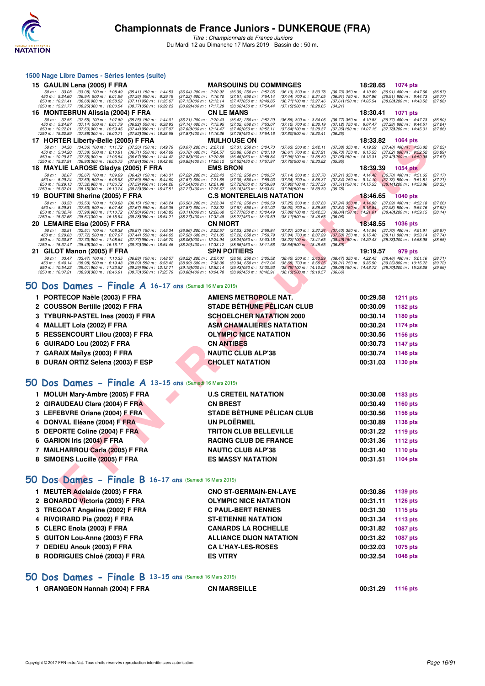

*Titre : Championnats de France Juniors* Du Mardi 12 au Dimanche 17 Mars 2019 - Bassin de : 50 m.

|     | 1500 Nage Libre Dames - Séries lentes (suite)                                                                                                                                                                                                                                                                                                                                                                                                                      |                                                                                                                                                                                                                                                                                                                                                 |                                                                                                                                                              |
|-----|--------------------------------------------------------------------------------------------------------------------------------------------------------------------------------------------------------------------------------------------------------------------------------------------------------------------------------------------------------------------------------------------------------------------------------------------------------------------|-------------------------------------------------------------------------------------------------------------------------------------------------------------------------------------------------------------------------------------------------------------------------------------------------------------------------------------------------|--------------------------------------------------------------------------------------------------------------------------------------------------------------|
|     | 15 GAULIN Lena (2005) F FRA                                                                                                                                                                                                                                                                                                                                                                                                                                        | <b>MARSOUINS DU COMMINGES</b>                                                                                                                                                                                                                                                                                                                   | 18:28.65<br>1074 pts                                                                                                                                         |
|     | 50 m: 33.08<br>$(33.08)$ 100 m : 1:08.49<br>$(36.04)$ 200 m : 2:20.92<br>$(35.41)$ 150 m : 1:44.53<br>450 m : 5:24.60<br>$(37.23)$ 600 m : 7:16.70<br>$(36.94)$ 500 m : 6:01.96<br>$(37.36)$ 550 m : 6:39.19<br>850 m: 10:21.41<br>$(36.68)$ 900 m : 10:58.52<br>(37.11) 950 m: 11:35.67<br>(37.15) 000 m: 12:13.14                                                                                                                                                | $(36.39)$ 250 m : 2:57.05<br>$(36.13)$ 300 m : 3:33.78<br>$(36.73)$ 350 m : 4:10.69<br>$(37.51)$ 650 m : 7:54.14<br>$(37.44)$ 700 m : 8:31.05<br>$(36.91)$ 750 m : $9.07.96$<br>(37.61) 150 m : 14:05.54<br>(37.47) 050 m : 12:49.85<br>(36.71) 100 m : 13:27.46                                                                                | $(36.91)$ 400 m : 4:47.66<br>(36.97)<br>$(36.91)$ 800 m : 9:44.73<br>(36.77)<br>(38.08) 200 m : 14:43.52<br>(37.98)                                          |
|     | 1250 m: 15:21.77<br>(38.25) 300 m : 16:00.54<br>(38.77) 350 m : 16:39.23<br>(38.69) 400 m : 17:17.29                                                                                                                                                                                                                                                                                                                                                               | (38.06) 450 m : 17:54.44<br>(37.151500 m: 18:28.65<br>(34.21)                                                                                                                                                                                                                                                                                   |                                                                                                                                                              |
|     | 16 MONTEBRUN Alissia (2004) F FRA<br>$(32.55)$ 100 m : 1:07.80<br>$(36.21)$ 200 m : 2:20.43<br>50 m: 32.55<br>$(35.25)$ 150 m : 1:44.01<br>450 m : 5:24.87<br>$(37.14)$ 500 m : 6:01.79<br>$(36.92)$ 550 m : 6:38.93<br>$(37.14)$ 600 m : 7:15.95<br>850 m : 10:22.01<br>$(37.50)$ 900 m : 10:59.45<br>(37.44) 950 m : 11:37.07<br>(37.621000 m: 12:14.47)<br>1250 m: 15:22.89<br>(37.87) 400 m : 17:16.36<br>(37.88) 300 m : 16:00.71<br>(37.82) 350 m : 16:38.58 | <b>CN LE MANS</b><br>$(36.42)$ 250 m : 2:57.29<br>$(36.77)$ 350 m : 4:10.83<br>(36.86) 300 m : 3:34.06<br>(37.02) 650 m : 7:53.07<br>(37.12) 700 m : 8:30.19<br>$(37.12)$ 750 m : 9:07.47<br>(37.40) 050 m: 12:52.11<br>(37.26) 150 m : 14:07.15<br>(37.64) 100 m : 13:29.37<br>(37.78) 450 m : 17:54.16<br>(37.80) 500 m : 18:30.41<br>(36.25) | 18:30.41<br>1071 pts<br>$(36.77)$ 400 m : 4:47.73<br>(36.90)<br>$(37.28)$ 800 m : 9:44.51<br>(37.04)<br>(37.78) 200 m : 14:45.01<br>(37.86)                  |
|     | 17 HORTER Liberty-Belle (2005) F FRA                                                                                                                                                                                                                                                                                                                                                                                                                               | <b>MULHOUSE ON</b>                                                                                                                                                                                                                                                                                                                              | 18:33.82<br>1064 pts                                                                                                                                         |
|     | 50 m: 34.36<br>$(34.36)$ 100 m : 1:11.72<br>(37.36) 150 m : 1:49.79<br>(38.07) 200 m : 2:27.10<br>450 m : 5:34.20<br>$(37.38)$ 500 m : 6:10.91<br>$(36.71)$ 550 m : 6:47.69<br>(36.78) 600 m : 7:24.57<br>850 m: 10:29.87<br>(36.67) 950 m : 11:44.42<br>(37.88) 000 m : 12:20.88<br>(37.35) 900 m : 11:06.54<br>(37.841350 m : 16:42.60<br>1250 m : 15:27.91<br>(36.93) 300 m : 16:05.75<br>(36.85) 400 m : 17:20.12                                              | $(37.31)$ 250 m : 3:04.73<br>$(37.63)$ 300 m : 3:42.11<br>$(37.38)$ 350 m : 4:19.59<br>(36.88) 650 m : 8:01.18<br>$(36.61)$ 700 m : 8:37.91<br>$(36.73)$ 750 m : $9:15.53$<br>(36.461050 m : 12:58.84<br>(37.96) 100 m : 13:35.89<br>(37.05) 150 m : 14:13.31<br>(37.52) 450 m : 17:57.87<br>(37.75) 500 m : 18:33.82<br>(35.95)                | $(37.48)$ 400 m : 4:56.82<br>(37.23)<br>$(37.62)$ 800 m : 9:52.52<br>(36.99)<br>(37.421200 m: 14.50.98<br>(37.67)                                            |
|     | 18 MAYLIE LAROSE Gladys (2005) F FRA                                                                                                                                                                                                                                                                                                                                                                                                                               | <b>EMS BRON</b>                                                                                                                                                                                                                                                                                                                                 | 18:39.39<br><b>1054 pts</b>                                                                                                                                  |
|     | 50 m: 32.67<br>$(32.67)$ 100 m : 1:09.09<br>$(36.42)$ 150 m : 1:46.31<br>(37.22) 200 m : 2:23.43<br>450 m : 5:29.24<br>$(37.59)$ 500 m : 6:06.93<br>$(37.69)$ 550 m : 6:44.60<br>(37.67) 600 m : 7:21.69<br>850 m: 10:29.13<br>(37.32) 900 m : 11:06.72<br>(37.59) 950 m : 11:44.26<br>(37.541000 m: 12:21.98<br>1250 m: 15:32.01<br>(38.15) 300 m : 16:10.24<br>(38.23) 350 m : 16:47.51<br>(37.271400 m: 17:25.67                                                | $(37.12)$ 250 m : 3:00.57<br>(37.14) 300 m : 3:37.78<br>$(37.09)$ 650 m : 7:59.03<br>(37.34) 700 m : 8:36.37<br>(37.72) 050 m: 12:59.88<br>(37.90) 100 m : 13:37.39<br>$(37.51)150 \text{ m}: 14.15.53$<br>(38.16) 450 m : 18:03.61<br>(37.941500 m: 18:39.39)<br>(35.78)                                                                       | (37.21) 350 m: 4:14.48 (36.70) 400 m: 4:51.65<br>(37.17)<br>(37.34) 750 m : 9:14.10 (37.73) 800 m : 9:51.81<br>(37.71)<br>(38.141200 m : 14:53.86<br>(38.33) |
| 19. | <b>BOUFTINI Sherine (2005) F FRA</b>                                                                                                                                                                                                                                                                                                                                                                                                                               | <b>C.S MONTERELAIS NATATION</b>                                                                                                                                                                                                                                                                                                                 | 18:46.65<br><b>1040 pts</b>                                                                                                                                  |
|     | 50 m: 33.53<br>$(33.53)$ 100 m : 1:09.68<br>(36.56) 200 m : 2:23.34<br>$(36.15)$ 150 m : 1:46.24<br>450 m: 5:29.81<br>$(37.63)$ 500 m : 6:07.48<br>(37.67) 550 m : 6:45.35<br>(37.87) 600 m : 7:23.02<br>850 m : 10:32.74<br>(37.98) 900 m : 11:10.72<br>(37.98) 950 m : 11:48.83<br>(38.111000 m: 12:26.60<br>1250 m: 15:37.66<br>(38.511300 m: 16:15.94)<br>(38.28) 350 m : 16:54.21<br>(38.27) 400 m : 17:32.48                                                 | $(37.10)$ 250 m : 3:00.59<br>(37.25) 300 m : 3:37.83<br>$(37.67)$ 650 m : 8:01.02<br>$(38.00)$ 700 m : 8:38.86<br>$(37.84)$ 750 m : 9:16.84<br>(37.77) 050 m : 13:04.49<br>(37.89) 100 m : 13:42.53<br>$(38.04)150 \text{ m}$ : 14:21.01<br>(38.27) 450 m : 18:10.59<br>(38.111500 m: 18:46.65<br>(36.06)                                       | (37.24) 350 m: 4:14.92 (37.09) 400 m: 4:52.18<br>(37.26)<br>(37.98) 800 m : 9:54.76<br>(37.92)<br>(38.48) 200 m : 14:59.15<br>(38.14)                        |
|     | 20 LEMAIRE Elsa (2005) F FRA<br>(36.96) 200 m : 2:22.57                                                                                                                                                                                                                                                                                                                                                                                                            | <b>CN NIORT</b>                                                                                                                                                                                                                                                                                                                                 | 18:48.55<br><b>1036 pts</b>                                                                                                                                  |
|     | 50 m: 32.51<br>$(32.51)$ 100 m : 1:08.38<br>$(35.87)$ 150 m : 1:45.34<br>450 m : 5:29.63<br>$(37.72)$ 500 m : 6:07.07<br>$(37.58)$ 600 m : 7:21.85<br>$(37.44)$ 550 m : 6:44.65<br>850 m: 10:30.87<br>(37.73) 900 m : 11:08.64<br>(37.77) 950 m : 11:46.70<br>(38.061000 m: 12:24.94<br>1250 m : 15:37.47<br>$(38.49)300 \text{ m}$ : 16:16.17<br>(38.701350 m : 16:54.46<br>(38.29) 400 m : 17:33.12                                                              | (37.23) 250 m : 2:59.84<br>(37.27) 300 m : 3:37.24<br>$(37.40)$ 350 m : 4:14.94<br>(37.94) 700 m : 8:37.29<br>$(37.50)$ 750 m : 9:15.40<br>(37.20) 650 m : 7:59.79<br>(38.24) 050 m : 13:03.16<br>(38.22) 100 m : 13:41.65<br>(38.49) 150 m : 14:20.43<br>(38.661450 m : 18:11.66<br>(38.54) 500 m : 18:48.55<br>(36.89)                        | $(37.70)$ 400 m : 4:51.91<br>(36.97)<br>$(38.11)$ 800 m : 9:53.14<br>(37.74)<br>(38.78) 200 m : 14:58.98<br>(38.55)                                          |
|     | 21 GILOT Manon (2005) F FRA<br>50 m: 33.47<br>$(33.47)$ 100 m : 1:10.35<br>(38.22) 200 m : 2:27.07<br>$(36.88)$ 150 m : 1:48.57                                                                                                                                                                                                                                                                                                                                    | <b>SPN POITIERS</b><br>$(38.50)$ 250 m : 3:05.52<br>(38.45) 300 m : 3:43.99<br>$(38.47)$ 350 m : 4:22.45                                                                                                                                                                                                                                        | 19:19.57<br>979 pts<br>$(38.46)$ 400 m : 5:01.16<br>(38.71)                                                                                                  |
|     | $(39.29)$ 550 m : 6:58.42<br>450 m : 5:40.14<br>$(38.98)$ 500 m : 6:19.43<br>(38.99) 600 m : 7:38.36<br>(39.29) 950 m : 12:12.71<br>850 m : 10:54.23<br>$(39.01)$ 900 m : 11:33.52<br>(39.191000 m: 12:52.14<br>1250 m : 16:07.21<br>(38.931300 m : 16:46.91<br>(39.70) 350 m : 17:25.79<br>(38.88) 400 m : 18:04.78                                                                                                                                               | $(39.94)$ 650 m : 8:17.04<br>$(38.68)$ 700 m : $8.56.25$<br>$(39.21)$ 750 m : $9:35.50$<br>(38.791100 m: 14:10.02)<br>(39.09) 150 m : 14:48.72<br>(39.431050 m: 13:30.93)<br>(38.991450 m: 18.42.91<br>(38.131500 m: 19:19.57<br>(36.66)                                                                                                        | $(39.25) 800$ m : 10:15.22<br>(39.72)<br>(38.70) 200 m : 15:28.28<br>(39.56)                                                                                 |
| 50  | Dos Dames - Finale A 16-17 ans (Samedi 16 Mars 2019)                                                                                                                                                                                                                                                                                                                                                                                                               |                                                                                                                                                                                                                                                                                                                                                 |                                                                                                                                                              |
|     | 1 PORTECOP Naële (2003) F FRA                                                                                                                                                                                                                                                                                                                                                                                                                                      | AMIENS METROPOLE NAT.                                                                                                                                                                                                                                                                                                                           | 00:29.58<br><b>1211 pts</b>                                                                                                                                  |
|     | 2 COUSSON Bertille (2002) F FRA                                                                                                                                                                                                                                                                                                                                                                                                                                    | <b>STADE BÉTHUNE PÉLICAN CLUB</b>                                                                                                                                                                                                                                                                                                               | 00:30.09<br>1182 pts                                                                                                                                         |
|     | <b>TYBURN-PASTEL Ines (2003) F FRA</b>                                                                                                                                                                                                                                                                                                                                                                                                                             | <b>SCHOELCHER NATATION 2000</b>                                                                                                                                                                                                                                                                                                                 | 00:30.14<br>1180 pts                                                                                                                                         |
| 4   | MALLET Lola (2002) F FRA                                                                                                                                                                                                                                                                                                                                                                                                                                           | <b>ASM CHAMALIERES NATATION</b>                                                                                                                                                                                                                                                                                                                 | 00:30.24<br><b>1174 pts</b>                                                                                                                                  |
| 5   | <b>RESSENCOURT Lilou (2003) F FRA</b>                                                                                                                                                                                                                                                                                                                                                                                                                              | <b>OLYMPIC NICE NATATION</b>                                                                                                                                                                                                                                                                                                                    | 00:30.56<br>1156 pts                                                                                                                                         |
| 6   | GUIRADO Lou (2002) F FRA                                                                                                                                                                                                                                                                                                                                                                                                                                           | <b>CN ANTIBES</b>                                                                                                                                                                                                                                                                                                                               | 00:30.73<br><b>1147 pts</b>                                                                                                                                  |
| 7   | <b>GARAIX Maïlys (2003) F FRA</b>                                                                                                                                                                                                                                                                                                                                                                                                                                  | <b>NAUTIC CLUB ALP'38</b>                                                                                                                                                                                                                                                                                                                       | 00:30.74<br><b>1146 pts</b>                                                                                                                                  |
| 8   | DURAN ORTIZ Selena (2003) F ESP                                                                                                                                                                                                                                                                                                                                                                                                                                    | <b>CHOLET NATATION</b>                                                                                                                                                                                                                                                                                                                          | 00:31.03<br>1130 pts                                                                                                                                         |
|     | 50 Dos Dames - Finale A 13-15 ans (Samedi 16 Mars 2019)                                                                                                                                                                                                                                                                                                                                                                                                            |                                                                                                                                                                                                                                                                                                                                                 |                                                                                                                                                              |
|     | 1 MOLUH Mary-Ambre (2005) F FRA                                                                                                                                                                                                                                                                                                                                                                                                                                    | <b>U.S CRETEIL NATATION</b>                                                                                                                                                                                                                                                                                                                     | 00:30.08<br>1183 pts                                                                                                                                         |
|     | 2 GIRAUDEAU Clara (2004) F FRA                                                                                                                                                                                                                                                                                                                                                                                                                                     | <b>CN BREST</b>                                                                                                                                                                                                                                                                                                                                 | 00:30.49<br><b>1160 pts</b>                                                                                                                                  |
|     | 3 LEFEBVRE Oriane (2004) F FRA                                                                                                                                                                                                                                                                                                                                                                                                                                     | STADE BÉTHUNE PÉLICAN CLUB                                                                                                                                                                                                                                                                                                                      | 00:30.56<br>1156 pts                                                                                                                                         |
| 4   | DONVAL Eléane (2004) F FRA                                                                                                                                                                                                                                                                                                                                                                                                                                         | <b>UN PLOËRMEL</b>                                                                                                                                                                                                                                                                                                                              | 00:30.89                                                                                                                                                     |
| 5.  | DEPORTE Coline (2004) F FRA                                                                                                                                                                                                                                                                                                                                                                                                                                        | <b>TRITON CLUB BELLEVILLE</b>                                                                                                                                                                                                                                                                                                                   | 1138 pts<br>00:31.22                                                                                                                                         |
|     | 6 GARION Iris (2004) F FRA                                                                                                                                                                                                                                                                                                                                                                                                                                         | <b>RACING CLUB DE FRANCE</b>                                                                                                                                                                                                                                                                                                                    | <b>1119 pts</b><br>00:31.36<br><b>1112 pts</b>                                                                                                               |
|     | 7 MAILHARROU Carla (2005) F FRA                                                                                                                                                                                                                                                                                                                                                                                                                                    | <b>NAUTIC CLUB ALP'38</b>                                                                                                                                                                                                                                                                                                                       | 00:31.40<br>1110 pts                                                                                                                                         |
|     |                                                                                                                                                                                                                                                                                                                                                                                                                                                                    | <b>ES MASSY NATATION</b>                                                                                                                                                                                                                                                                                                                        | 00:31.51                                                                                                                                                     |
|     | 8 SIMOENS Lucille (2005) F FRA                                                                                                                                                                                                                                                                                                                                                                                                                                     |                                                                                                                                                                                                                                                                                                                                                 | 1104 pts                                                                                                                                                     |
|     | 50 Dos Dames - Finale B 16-17 ans (Samedi 16 Mars 2019)                                                                                                                                                                                                                                                                                                                                                                                                            |                                                                                                                                                                                                                                                                                                                                                 |                                                                                                                                                              |
|     | 1 MEUTER Adelaide (2003) F FRA                                                                                                                                                                                                                                                                                                                                                                                                                                     | <b>CNO ST-GERMAIN-EN-LAYE</b>                                                                                                                                                                                                                                                                                                                   | 00:30.86<br>1139 pts                                                                                                                                         |
|     | 2 BONARDO Victoria (2003) F FRA                                                                                                                                                                                                                                                                                                                                                                                                                                    | <b>OLYMPIC NICE NATATION</b>                                                                                                                                                                                                                                                                                                                    | 00:31.11<br><b>1126 pts</b>                                                                                                                                  |

# **[50 Dos Dames - Finale A](http://www.ffnatation.fr/webffn/resultats.php?idact=nat&go=epr&idcpt=59271&idepr=11) 16-17 ans** (Samedi 16 Mars 2019)

| 1 PORTECOP Naële (2003) F FRA     | <b>AMIENS METROPOLE NAT.</b>      | 00:29.58 | <b>1211 pts</b> |
|-----------------------------------|-----------------------------------|----------|-----------------|
| 2 COUSSON Bertille (2002) F FRA   | <b>STADE BÉTHUNE PÉLICAN CLUB</b> | 00:30.09 | 1182 pts        |
| 3 TYBURN-PASTEL Ines (2003) F FRA | <b>SCHOELCHER NATATION 2000</b>   | 00:30.14 | 1180 pts        |
| 4 MALLET Lola (2002) F FRA        | <b>ASM CHAMALIERES NATATION</b>   | 00:30.24 | <b>1174 pts</b> |
| 5 RESSENCOURT Lilou (2003) F FRA  | <b>OLYMPIC NICE NATATION</b>      | 00:30.56 | 1156 pts        |
| 6 GUIRADO Lou (2002) F FRA        | <b>CN ANTIBES</b>                 | 00:30.73 | 1147 pts        |
| 7 GARAIX Maïlys (2003) F FRA      | <b>NAUTIC CLUB ALP'38</b>         | 00:30.74 | 1146 pts        |
| 8 DURAN ORTIZ Selena (2003) F ESP | <b>CHOLET NATATION</b>            | 00:31.03 | 1130 pts        |

### **[50 Dos Dames - Finale A](http://www.ffnatation.fr/webffn/resultats.php?idact=nat&go=epr&idcpt=59271&idepr=11) 13-15 ans** (Samedi 16 Mars 2019)

| 1 MOLUH Mary-Ambre (2005) F FRA | <b>U.S CRETEIL NATATION</b>       | 00:30.08 | 1183 pts |
|---------------------------------|-----------------------------------|----------|----------|
| 2 GIRAUDEAU Clara (2004) F FRA  | <b>CN BREST</b>                   | 00:30.49 | 1160 pts |
| 3 LEFEBVRE Oriane (2004) F FRA  | <b>STADE BÉTHUNE PÉLICAN CLUB</b> | 00:30.56 | 1156 pts |
| 4 DONVAL Eléane (2004) F FRA    | UN PLOËRMEL                       | 00:30.89 | 1138 pts |
| 5 DEPORTE Coline (2004) F FRA   | <b>TRITON CLUB BELLEVILLE</b>     | 00:31.22 | 1119 pts |
| 6 GARION Iris (2004) F FRA      | <b>RACING CLUB DE FRANCE</b>      | 00:31.36 | 1112 pts |
| 7 MAILHARROU Carla (2005) F FRA | <b>NAUTIC CLUB ALP'38</b>         | 00:31.40 | 1110 pts |
| 8 SIMOENS Lucille (2005) F FRA  | <b>ES MASSY NATATION</b>          | 00:31.51 | 1104 pts |
|                                 |                                   |          |          |

# **[50 Dos Dames - Finale B](http://www.ffnatation.fr/webffn/resultats.php?idact=nat&go=epr&idcpt=59271&idepr=11) 16-17 ans** (Samedi 16 Mars 2019)

| 1 MEUTER Adelaide (2003) F FRA  | <b>CNO ST-GERMAIN-EN-LAYE</b>  | 00:30.86 | 1139 pts |
|---------------------------------|--------------------------------|----------|----------|
| 2 BONARDO Victoria (2003) F FRA | <b>OLYMPIC NICE NATATION</b>   | 00:31.11 | 1126 pts |
| 3 TREGOAT Angeline (2002) F FRA | <b>C PAUL-BERT RENNES</b>      | 00:31.30 | 1115 pts |
| 4 RIVOIRARD Pia (2002) F FRA    | <b>ST-ETIENNE NATATION</b>     | 00:31.34 | 1113 pts |
| 5 CLERC Enola (2003) F FRA      | <b>CANARDS LA ROCHELLE</b>     | 00:31.82 | 1087 pts |
| 5 GUITON Lou-Anne (2003) F FRA  | <b>ALLIANCE DIJON NATATION</b> | 00:31.82 | 1087 pts |
| 7 DEDIEU Anouk (2003) F FRA     | <b>CA L'HAY-LES-ROSES</b>      | 00:32.03 | 1075 pts |
| 8 RODRIGUES Chloé (2003) F FRA  | <b>ES VITRY</b>                | 00:32.54 | 1048 pts |
|                                 |                                |          |          |

### **[50 Dos Dames - Finale B](http://www.ffnatation.fr/webffn/resultats.php?idact=nat&go=epr&idcpt=59271&idepr=11) 13-15 ans** (Samedi 16 Mars 2019)

| 1 GRANGEON Hannah (2004) F FRA | <b>CN MARSEILLE</b> | 00:31.29 | 1116 pts |
|--------------------------------|---------------------|----------|----------|
|                                |                     |          |          |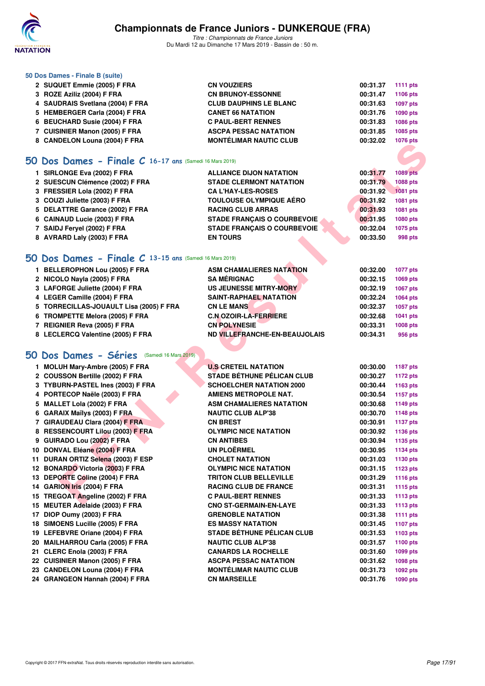

*Titre : Championnats de France Juniors* Du Mardi 12 au Dimanche 17 Mars 2019 - Bassin de : 50 m.

### **50 Dos Dames - Finale B (suite)**

| 2 SUQUET Emmie (2005) F FRA      | <b>CN VOUZIERS</b>            | 00:31.37 | <b>1111 pts</b> |
|----------------------------------|-------------------------------|----------|-----------------|
| 3 ROZE Aziliz (2004) F FRA       | <b>CN BRUNOY-ESSONNE</b>      | 00:31.47 | 1106 pts        |
| 4 SAUDRAIS Svetlana (2004) F FRA | <b>CLUB DAUPHINS LE BLANC</b> | 00:31.63 | <b>1097 pts</b> |
| 5 HEMBERGER Carla (2004) F FRA   | <b>CANET 66 NATATION</b>      | 00:31.76 | 1090 pts        |
| 6 BEUCHARD Susie (2004) F FRA    | <b>C PAUL-BERT RENNES</b>     | 00:31.83 | <b>1086 pts</b> |
| 7 CUISINIER Manon (2005) F FRA   | <b>ASCPA PESSAC NATATION</b>  | 00:31.85 | 1085 pts        |
| 8 CANDELON Louna (2004) F FRA    | <b>MONTÉLIMAR NAUTIC CLUB</b> | 00:32.02 | 1076 pts        |

### **[50 Dos Dames - Finale C](http://www.ffnatation.fr/webffn/resultats.php?idact=nat&go=epr&idcpt=59271&idepr=11) 16-17 ans** (Samedi 16 Mars 2019)

| 1 SIRLONGE Eva (2002) F FRA                               | <b>ALLIANCE DIJON NATATION</b>     | 00:31.77    | <b>1089 pts</b> |
|-----------------------------------------------------------|------------------------------------|-------------|-----------------|
| 2 SUESCUN Clémence (2002) F FRA                           | <b>STADE CLERMONT NATATION</b>     | 00:31.79    | 1088 pts        |
| 3 FRESSIER Lola (2002) F FRA                              | <b>CA L'HAY-LES-ROSES</b>          | 00:31.92    | <b>1081 pts</b> |
| 3 COUZI Juliette (2003) F FRA                             | <b>TOULOUSE OLYMPIQUE AÉRO</b>     | 00:31.92    | 1081 pts        |
| 5 DELATTRE Garance (2002) F FRA                           | <b>RACING CLUB ARRAS</b>           | 00:31.93    | 1081 pts        |
| 6 CAINAUD Lucie (2003) F FRA                              | <b>STADE FRANCAIS O COURBEVOIE</b> | 00:31.95    | 1080 pts        |
| 7 SAIDJ Fervel (2002) F FRA                               | <b>STADE FRANCAIS O COURBEVOIE</b> | 00:32.04    | 1075 pts        |
| 8 AVRARD Laly (2003) F FRA                                | <b>EN TOURS</b>                    | 00:33.50    | 998 pts         |
|                                                           |                                    |             |                 |
| 50 Dos Dames - Finale $C$ 13-15 ans (Samedi 16 Mars 2019) |                                    |             |                 |
| 1 RELLERODHON Lou (2005) E ERA                            | ASM CHAMALIERES NATATION           | በበ - ? ን በበ | $1077$ nte      |

| 1 BELLEROPHON LOU (2005) F FRA          | ASM CHAMALIERES NATATION      | 00.32.00 | <b>1077 pts</b> |
|-----------------------------------------|-------------------------------|----------|-----------------|
| 2 NICOLO Nayla (2005) F FRA             | <b>SA MÉRIGNAC</b>            | 00:32.15 | 1069 pts        |
| 3 LAFORGE Juliette (2004) F FRA         | US JEUNESSE MITRY-MORY        | 00:32.19 | <b>1067 pts</b> |
| 4 LEGER Camille (2004) F FRA            | <b>SAINT-RAPHAEL NATATION</b> | 00:32.24 | 1064 pts        |
| 5 TORRECILLAS-JOUAULT Lisa (2005) F FRA | <b>CN LE MANS</b>             | 00:32.37 | 1057 pts        |
| 6 TROMPETTE Melora (2005) F FRA         | <b>C.N.OZOIR-LA-FERRIERE</b>  | 00:32.68 | 1041 pts        |
| 7 REIGNIER Reva (2005) F FRA            | <b>CN POLYNESIE</b>           | 00:33.31 | 1008 pts        |
| 8 LECLERCQ Valentine (2005) F FRA       | ND VILLEFRANCHE-EN-BEAUJOLAIS | 00:34.31 | 956 pts         |

# **[50 Dos Dames - Séries](http://www.ffnatation.fr/webffn/resultats.php?idact=nat&go=epr&idcpt=59271&idepr=11)** (Samedi 16 Mars 2019)

| 0 CANDELON LOUND (2004) F FRA                             |                                    |          | <b>TUTU PIS</b> |
|-----------------------------------------------------------|------------------------------------|----------|-----------------|
|                                                           |                                    |          |                 |
| $50$ Dos Dames - Finale C 16-17 ans (Samedi 16 Mars 2019) |                                    |          |                 |
| 1 SIRLONGE Eva (2002) F FRA                               | <b>ALLIANCE DIJON NATATION</b>     | 00:31.77 | <b>1089 pts</b> |
| 2 SUESCUN Clémence (2002) F FRA                           | <b>STADE CLERMONT NATATION</b>     | 00:31.79 | 1088 pts        |
| 3 FRESSIER Lola (2002) F FRA                              | <b>CA L'HAY-LES-ROSES</b>          | 00:31.92 | <b>1081 pts</b> |
| 3 COUZI Juliette (2003) F FRA                             | <b>TOULOUSE OLYMPIQUE AERO</b>     | 00:31.92 | 1081 pts        |
| 5 DELATTRE Garance (2002) F FRA                           | <b>RACING CLUB ARRAS</b>           | 00:31.93 | 1081 pts        |
| 6 CAINAUD Lucie (2003) F FRA                              | <b>STADE FRANÇAIS O COURBEVOIE</b> | 00:31.95 | 1080 pts        |
| 7 SAIDJ Feryel (2002) F FRA                               | <b>STADE FRANÇAIS O COURBEVOIE</b> | 00:32.04 | 1075 pts        |
| 8 AVRARD Laly (2003) F FRA                                | <b>EN TOURS</b>                    | 00:33.50 | 998 pts         |
|                                                           |                                    |          |                 |
| 50 Dos Dames - Finale C 13-15 ans (Samedi 16 Mars 2019)   |                                    |          |                 |
| 1 BELLEROPHON Lou (2005) F FRA                            | <b>ASM CHAMALIERES NATATION</b>    | 00:32.00 | <b>1077 pts</b> |
| 2 NICOLO Nayla (2005) F FRA                               | <b>SA MÉRIGNAC</b>                 | 00:32.15 | 1069 pts        |
| 3 LAFORGE Juliette (2004) F FRA                           | <b>US JEUNESSE MITRY-MORY</b>      | 00:32.19 | 1067 pts        |
| 4 LEGER Camille (2004) F FRA                              | SAINT-RAPHAEL NATATION             | 00:32.24 | 1064 pts        |
| 5 TORRECILLAS-JOUAULT Lisa (2005) F FRA                   | <b>CN LE MANS</b>                  | 00:32.37 | 1057 pts        |
| 6 TROMPETTE Melora (2005) F FRA                           | <b>C.N OZOIR-LA-FERRIERE</b>       | 00:32.68 | 1041 pts        |
| 7 REIGNIER Reva (2005) F FRA                              | <b>CN POLYNESIE</b>                | 00:33.31 | <b>1008 pts</b> |
| 8 LECLERCQ Valentine (2005) F FRA                         | ND VILLEFRANCHE-EN-BEAUJOLAIS      | 00:34.31 | 956 pts         |
|                                                           |                                    |          |                 |
|                                                           |                                    |          |                 |
| <b>50 Dos Dames - Séries</b> (Samedi 16 Mars 2019)        |                                    |          |                 |
| 1 MOLUH Mary-Ambre (2005) F FRA                           | <b>U.S CRETEIL NATATION</b>        | 00:30.00 | 1187 pts        |
| 2 COUSSON Bertille (2002) F FRA                           | <b>STADE BÉTHUNE PÉLICAN CLUB</b>  | 00:30.27 | 1172 pts        |
| 3 TYBURN-PASTEL Ines (2003) F FRA                         | <b>SCHOELCHER NATATION 2000</b>    | 00:30.44 | 1163 pts        |
| 4 PORTECOP Naële (2003) F FRA                             | <b>AMIENS METROPOLE NAT.</b>       | 00:30.54 | 1157 pts        |
| 5 MALLET Lola (2002) F FRA                                | <b>ASM CHAMALIERES NATATION</b>    | 00:30.68 | <b>1149 pts</b> |
| 6 GARAIX Maïlys (2003) F FRA                              | <b>NAUTIC CLUB ALP'38</b>          | 00:30.70 | 1148 pts        |
| 7 GIRAUDEAU Clara (2004) F FRA                            | <b>CN BREST</b>                    | 00:30.91 | <b>1137 pts</b> |
| 8 RESSENCOURT Lilou (2003) F FRA                          | <b>OLYMPIC NICE NATATION</b>       | 00:30.92 | 1136 pts        |
| 9 GUIRADO Lou (2002) F FRA                                | <b>CN ANTIBES</b>                  | 00:30.94 | 1135 pts        |
| 10 DONVAL Eléane (2004) F FRA                             | <b>UN PLOËRMEL</b>                 | 00:30.95 | 1134 pts        |
| 11 DURAN ORTIZ Selena (2003) F ESP                        | <b>CHOLET NATATION</b>             | 00:31.03 | 1130 pts        |
| 12 BONARDO Victoria (2003) F FRA                          | <b>OLYMPIC NICE NATATION</b>       | 00:31.15 | 1123 pts        |
| 13 DEPORTE Coline (2004) F FRA                            | <b>TRITON CLUB BELLEVILLE</b>      | 00:31.29 | 1116 pts        |
| 14 GARION Iris (2004) F FRA                               | <b>RACING CLUB DE FRANCE</b>       | 00:31.31 | <b>1115 pts</b> |
| 15 TREGOAT Angeline (2002) F FRA                          | <b>C PAUL-BERT RENNES</b>          | 00:31.33 | <b>1113 pts</b> |
| 15 MEUTER Adelaide (2003) F FRA                           | <b>CNO ST-GERMAIN-EN-LAYE</b>      | 00:31.33 | 1113 pts        |
| 17 DIOP Oumy (2003) F FRA                                 | <b>GRENOBLE NATATION</b>           | 00:31.38 | 1111 pts        |
| 18 SIMOENS Lucille (2005) F FRA                           | <b>ES MASSY NATATION</b>           | 00:31.45 | <b>1107 pts</b> |
| 19 LEFEBVRE Oriane (2004) F FRA                           | <b>STADE BÉTHUNE PÉLICAN CLUB</b>  | 00:31.53 | 1103 pts        |
| 20 MAILHARROU Carla (2005) F FRA                          | <b>NAUTIC CLUB ALP'38</b>          | 00:31.57 | 1100 pts        |
| 21 CLERC Enola (2003) F FRA                               | <b>CANARDS LA ROCHELLE</b>         | 00:31.60 | 1099 pts        |
| 22 CUISINIER Manon (2005) F FRA                           | <b>ASCPA PESSAC NATATION</b>       | 00:31.62 | 1098 pts        |
| 23 CANDELON Louna (2004) F FRA                            | <b>MONTÉLIMAR NAUTIC CLUB</b>      | 00:31.73 | 1092 pts        |
| 24 GRANGEON Hannah (2004) F FRA                           | <b>CN MARSEILLE</b>                | 00:31.76 | 1090 pts        |
|                                                           |                                    |          |                 |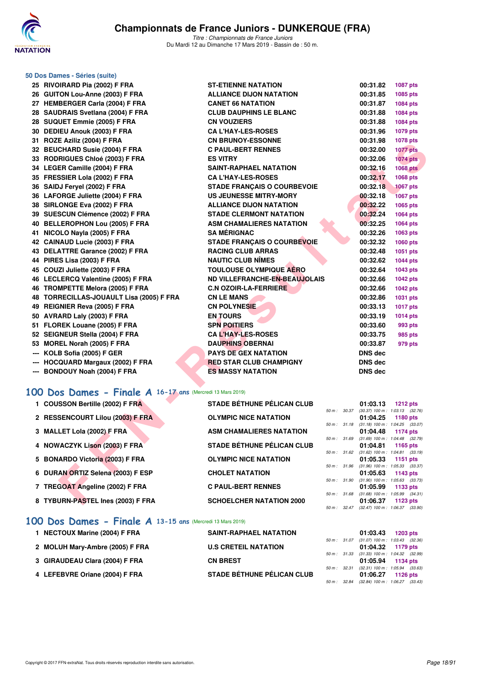

|                               | <b>ST-ETIENNE NATATION</b>                                                                                                                                                                                                                                                                                                                                                                                                                                                                                                                                                                                                                                                                                                                                                                                                                                                                                                                                                                                                                                                                                                                                                                                                                                                                                                                                                                                   |                                                                                                                                                                                                                                                                                                                                                                                                                                                                                                                                                                                                                                                                                              |                                                                                              | 1087 pts                                                                                                                                                                                                                                                                                                                                                                                                                                                                                                                                                                                                                                                                                                                                                                             |
|-------------------------------|--------------------------------------------------------------------------------------------------------------------------------------------------------------------------------------------------------------------------------------------------------------------------------------------------------------------------------------------------------------------------------------------------------------------------------------------------------------------------------------------------------------------------------------------------------------------------------------------------------------------------------------------------------------------------------------------------------------------------------------------------------------------------------------------------------------------------------------------------------------------------------------------------------------------------------------------------------------------------------------------------------------------------------------------------------------------------------------------------------------------------------------------------------------------------------------------------------------------------------------------------------------------------------------------------------------------------------------------------------------------------------------------------------------|----------------------------------------------------------------------------------------------------------------------------------------------------------------------------------------------------------------------------------------------------------------------------------------------------------------------------------------------------------------------------------------------------------------------------------------------------------------------------------------------------------------------------------------------------------------------------------------------------------------------------------------------------------------------------------------------|----------------------------------------------------------------------------------------------|--------------------------------------------------------------------------------------------------------------------------------------------------------------------------------------------------------------------------------------------------------------------------------------------------------------------------------------------------------------------------------------------------------------------------------------------------------------------------------------------------------------------------------------------------------------------------------------------------------------------------------------------------------------------------------------------------------------------------------------------------------------------------------------|
|                               | <b>ALLIANCE DIJON NATATION</b>                                                                                                                                                                                                                                                                                                                                                                                                                                                                                                                                                                                                                                                                                                                                                                                                                                                                                                                                                                                                                                                                                                                                                                                                                                                                                                                                                                               |                                                                                                                                                                                                                                                                                                                                                                                                                                                                                                                                                                                                                                                                                              |                                                                                              | 1085 pts                                                                                                                                                                                                                                                                                                                                                                                                                                                                                                                                                                                                                                                                                                                                                                             |
|                               | <b>CANET 66 NATATION</b>                                                                                                                                                                                                                                                                                                                                                                                                                                                                                                                                                                                                                                                                                                                                                                                                                                                                                                                                                                                                                                                                                                                                                                                                                                                                                                                                                                                     |                                                                                                                                                                                                                                                                                                                                                                                                                                                                                                                                                                                                                                                                                              |                                                                                              | 1084 pts                                                                                                                                                                                                                                                                                                                                                                                                                                                                                                                                                                                                                                                                                                                                                                             |
|                               | <b>CLUB DAUPHINS LE BLANC</b>                                                                                                                                                                                                                                                                                                                                                                                                                                                                                                                                                                                                                                                                                                                                                                                                                                                                                                                                                                                                                                                                                                                                                                                                                                                                                                                                                                                |                                                                                                                                                                                                                                                                                                                                                                                                                                                                                                                                                                                                                                                                                              |                                                                                              | 1084 pts                                                                                                                                                                                                                                                                                                                                                                                                                                                                                                                                                                                                                                                                                                                                                                             |
|                               | <b>CN VOUZIERS</b>                                                                                                                                                                                                                                                                                                                                                                                                                                                                                                                                                                                                                                                                                                                                                                                                                                                                                                                                                                                                                                                                                                                                                                                                                                                                                                                                                                                           |                                                                                                                                                                                                                                                                                                                                                                                                                                                                                                                                                                                                                                                                                              |                                                                                              | 1084 pts                                                                                                                                                                                                                                                                                                                                                                                                                                                                                                                                                                                                                                                                                                                                                                             |
|                               | <b>CA L'HAY-LES-ROSES</b>                                                                                                                                                                                                                                                                                                                                                                                                                                                                                                                                                                                                                                                                                                                                                                                                                                                                                                                                                                                                                                                                                                                                                                                                                                                                                                                                                                                    |                                                                                                                                                                                                                                                                                                                                                                                                                                                                                                                                                                                                                                                                                              |                                                                                              | 1079 pts                                                                                                                                                                                                                                                                                                                                                                                                                                                                                                                                                                                                                                                                                                                                                                             |
|                               | <b>CN BRUNOY-ESSONNE</b>                                                                                                                                                                                                                                                                                                                                                                                                                                                                                                                                                                                                                                                                                                                                                                                                                                                                                                                                                                                                                                                                                                                                                                                                                                                                                                                                                                                     |                                                                                                                                                                                                                                                                                                                                                                                                                                                                                                                                                                                                                                                                                              |                                                                                              | 1078 pts                                                                                                                                                                                                                                                                                                                                                                                                                                                                                                                                                                                                                                                                                                                                                                             |
|                               | <b>C PAUL-BERT RENNES</b>                                                                                                                                                                                                                                                                                                                                                                                                                                                                                                                                                                                                                                                                                                                                                                                                                                                                                                                                                                                                                                                                                                                                                                                                                                                                                                                                                                                    |                                                                                                                                                                                                                                                                                                                                                                                                                                                                                                                                                                                                                                                                                              |                                                                                              | <b>1077 pts</b>                                                                                                                                                                                                                                                                                                                                                                                                                                                                                                                                                                                                                                                                                                                                                                      |
|                               | <b>ES VITRY</b>                                                                                                                                                                                                                                                                                                                                                                                                                                                                                                                                                                                                                                                                                                                                                                                                                                                                                                                                                                                                                                                                                                                                                                                                                                                                                                                                                                                              |                                                                                                                                                                                                                                                                                                                                                                                                                                                                                                                                                                                                                                                                                              |                                                                                              | <b>1074</b> pts                                                                                                                                                                                                                                                                                                                                                                                                                                                                                                                                                                                                                                                                                                                                                                      |
|                               |                                                                                                                                                                                                                                                                                                                                                                                                                                                                                                                                                                                                                                                                                                                                                                                                                                                                                                                                                                                                                                                                                                                                                                                                                                                                                                                                                                                                              |                                                                                                                                                                                                                                                                                                                                                                                                                                                                                                                                                                                                                                                                                              |                                                                                              | <b>1068 pts</b>                                                                                                                                                                                                                                                                                                                                                                                                                                                                                                                                                                                                                                                                                                                                                                      |
|                               | <b>CA L'HAY-LES-ROSES</b>                                                                                                                                                                                                                                                                                                                                                                                                                                                                                                                                                                                                                                                                                                                                                                                                                                                                                                                                                                                                                                                                                                                                                                                                                                                                                                                                                                                    |                                                                                                                                                                                                                                                                                                                                                                                                                                                                                                                                                                                                                                                                                              |                                                                                              | 1068 pts                                                                                                                                                                                                                                                                                                                                                                                                                                                                                                                                                                                                                                                                                                                                                                             |
|                               |                                                                                                                                                                                                                                                                                                                                                                                                                                                                                                                                                                                                                                                                                                                                                                                                                                                                                                                                                                                                                                                                                                                                                                                                                                                                                                                                                                                                              |                                                                                                                                                                                                                                                                                                                                                                                                                                                                                                                                                                                                                                                                                              |                                                                                              | <b>1067 pts</b>                                                                                                                                                                                                                                                                                                                                                                                                                                                                                                                                                                                                                                                                                                                                                                      |
|                               |                                                                                                                                                                                                                                                                                                                                                                                                                                                                                                                                                                                                                                                                                                                                                                                                                                                                                                                                                                                                                                                                                                                                                                                                                                                                                                                                                                                                              |                                                                                                                                                                                                                                                                                                                                                                                                                                                                                                                                                                                                                                                                                              |                                                                                              | <b>1067 pts</b>                                                                                                                                                                                                                                                                                                                                                                                                                                                                                                                                                                                                                                                                                                                                                                      |
|                               |                                                                                                                                                                                                                                                                                                                                                                                                                                                                                                                                                                                                                                                                                                                                                                                                                                                                                                                                                                                                                                                                                                                                                                                                                                                                                                                                                                                                              |                                                                                                                                                                                                                                                                                                                                                                                                                                                                                                                                                                                                                                                                                              |                                                                                              | 1065 pts                                                                                                                                                                                                                                                                                                                                                                                                                                                                                                                                                                                                                                                                                                                                                                             |
|                               |                                                                                                                                                                                                                                                                                                                                                                                                                                                                                                                                                                                                                                                                                                                                                                                                                                                                                                                                                                                                                                                                                                                                                                                                                                                                                                                                                                                                              |                                                                                                                                                                                                                                                                                                                                                                                                                                                                                                                                                                                                                                                                                              |                                                                                              | 1064 pts                                                                                                                                                                                                                                                                                                                                                                                                                                                                                                                                                                                                                                                                                                                                                                             |
|                               |                                                                                                                                                                                                                                                                                                                                                                                                                                                                                                                                                                                                                                                                                                                                                                                                                                                                                                                                                                                                                                                                                                                                                                                                                                                                                                                                                                                                              |                                                                                                                                                                                                                                                                                                                                                                                                                                                                                                                                                                                                                                                                                              |                                                                                              | 1064 pts                                                                                                                                                                                                                                                                                                                                                                                                                                                                                                                                                                                                                                                                                                                                                                             |
|                               |                                                                                                                                                                                                                                                                                                                                                                                                                                                                                                                                                                                                                                                                                                                                                                                                                                                                                                                                                                                                                                                                                                                                                                                                                                                                                                                                                                                                              |                                                                                                                                                                                                                                                                                                                                                                                                                                                                                                                                                                                                                                                                                              |                                                                                              | 1063 pts                                                                                                                                                                                                                                                                                                                                                                                                                                                                                                                                                                                                                                                                                                                                                                             |
|                               |                                                                                                                                                                                                                                                                                                                                                                                                                                                                                                                                                                                                                                                                                                                                                                                                                                                                                                                                                                                                                                                                                                                                                                                                                                                                                                                                                                                                              |                                                                                                                                                                                                                                                                                                                                                                                                                                                                                                                                                                                                                                                                                              |                                                                                              | 1060 pts                                                                                                                                                                                                                                                                                                                                                                                                                                                                                                                                                                                                                                                                                                                                                                             |
|                               |                                                                                                                                                                                                                                                                                                                                                                                                                                                                                                                                                                                                                                                                                                                                                                                                                                                                                                                                                                                                                                                                                                                                                                                                                                                                                                                                                                                                              |                                                                                                                                                                                                                                                                                                                                                                                                                                                                                                                                                                                                                                                                                              |                                                                                              | 1051 pts<br><b>1044 pts</b>                                                                                                                                                                                                                                                                                                                                                                                                                                                                                                                                                                                                                                                                                                                                                          |
|                               |                                                                                                                                                                                                                                                                                                                                                                                                                                                                                                                                                                                                                                                                                                                                                                                                                                                                                                                                                                                                                                                                                                                                                                                                                                                                                                                                                                                                              |                                                                                                                                                                                                                                                                                                                                                                                                                                                                                                                                                                                                                                                                                              |                                                                                              | 1043 pts                                                                                                                                                                                                                                                                                                                                                                                                                                                                                                                                                                                                                                                                                                                                                                             |
|                               |                                                                                                                                                                                                                                                                                                                                                                                                                                                                                                                                                                                                                                                                                                                                                                                                                                                                                                                                                                                                                                                                                                                                                                                                                                                                                                                                                                                                              |                                                                                                                                                                                                                                                                                                                                                                                                                                                                                                                                                                                                                                                                                              |                                                                                              | <b>1042 pts</b>                                                                                                                                                                                                                                                                                                                                                                                                                                                                                                                                                                                                                                                                                                                                                                      |
|                               |                                                                                                                                                                                                                                                                                                                                                                                                                                                                                                                                                                                                                                                                                                                                                                                                                                                                                                                                                                                                                                                                                                                                                                                                                                                                                                                                                                                                              |                                                                                                                                                                                                                                                                                                                                                                                                                                                                                                                                                                                                                                                                                              |                                                                                              | <b>1042 pts</b>                                                                                                                                                                                                                                                                                                                                                                                                                                                                                                                                                                                                                                                                                                                                                                      |
|                               |                                                                                                                                                                                                                                                                                                                                                                                                                                                                                                                                                                                                                                                                                                                                                                                                                                                                                                                                                                                                                                                                                                                                                                                                                                                                                                                                                                                                              |                                                                                                                                                                                                                                                                                                                                                                                                                                                                                                                                                                                                                                                                                              |                                                                                              | 1031 pts                                                                                                                                                                                                                                                                                                                                                                                                                                                                                                                                                                                                                                                                                                                                                                             |
|                               |                                                                                                                                                                                                                                                                                                                                                                                                                                                                                                                                                                                                                                                                                                                                                                                                                                                                                                                                                                                                                                                                                                                                                                                                                                                                                                                                                                                                              |                                                                                                                                                                                                                                                                                                                                                                                                                                                                                                                                                                                                                                                                                              |                                                                                              | <b>1017 pts</b>                                                                                                                                                                                                                                                                                                                                                                                                                                                                                                                                                                                                                                                                                                                                                                      |
|                               |                                                                                                                                                                                                                                                                                                                                                                                                                                                                                                                                                                                                                                                                                                                                                                                                                                                                                                                                                                                                                                                                                                                                                                                                                                                                                                                                                                                                              |                                                                                                                                                                                                                                                                                                                                                                                                                                                                                                                                                                                                                                                                                              |                                                                                              | <b>1014 pts</b>                                                                                                                                                                                                                                                                                                                                                                                                                                                                                                                                                                                                                                                                                                                                                                      |
|                               | <b>SPN POITIERS</b>                                                                                                                                                                                                                                                                                                                                                                                                                                                                                                                                                                                                                                                                                                                                                                                                                                                                                                                                                                                                                                                                                                                                                                                                                                                                                                                                                                                          |                                                                                                                                                                                                                                                                                                                                                                                                                                                                                                                                                                                                                                                                                              |                                                                                              | 993 pts                                                                                                                                                                                                                                                                                                                                                                                                                                                                                                                                                                                                                                                                                                                                                                              |
|                               | <b>CA L'HAY-LES-ROSES</b>                                                                                                                                                                                                                                                                                                                                                                                                                                                                                                                                                                                                                                                                                                                                                                                                                                                                                                                                                                                                                                                                                                                                                                                                                                                                                                                                                                                    |                                                                                                                                                                                                                                                                                                                                                                                                                                                                                                                                                                                                                                                                                              |                                                                                              | 985 pts                                                                                                                                                                                                                                                                                                                                                                                                                                                                                                                                                                                                                                                                                                                                                                              |
|                               | <b>DAUPHINS OBERNAI</b>                                                                                                                                                                                                                                                                                                                                                                                                                                                                                                                                                                                                                                                                                                                                                                                                                                                                                                                                                                                                                                                                                                                                                                                                                                                                                                                                                                                      |                                                                                                                                                                                                                                                                                                                                                                                                                                                                                                                                                                                                                                                                                              |                                                                                              | 979 pts                                                                                                                                                                                                                                                                                                                                                                                                                                                                                                                                                                                                                                                                                                                                                                              |
|                               | <b>PAYS DE GEX NATATION</b>                                                                                                                                                                                                                                                                                                                                                                                                                                                                                                                                                                                                                                                                                                                                                                                                                                                                                                                                                                                                                                                                                                                                                                                                                                                                                                                                                                                  |                                                                                                                                                                                                                                                                                                                                                                                                                                                                                                                                                                                                                                                                                              |                                                                                              |                                                                                                                                                                                                                                                                                                                                                                                                                                                                                                                                                                                                                                                                                                                                                                                      |
| HOCQUARD Margaux (2002) F FRA | <b>RED STAR CLUB CHAMPIGNY</b>                                                                                                                                                                                                                                                                                                                                                                                                                                                                                                                                                                                                                                                                                                                                                                                                                                                                                                                                                                                                                                                                                                                                                                                                                                                                                                                                                                               |                                                                                                                                                                                                                                                                                                                                                                                                                                                                                                                                                                                                                                                                                              |                                                                                              |                                                                                                                                                                                                                                                                                                                                                                                                                                                                                                                                                                                                                                                                                                                                                                                      |
|                               | <b>ES MASSY NATATION</b>                                                                                                                                                                                                                                                                                                                                                                                                                                                                                                                                                                                                                                                                                                                                                                                                                                                                                                                                                                                                                                                                                                                                                                                                                                                                                                                                                                                     |                                                                                                                                                                                                                                                                                                                                                                                                                                                                                                                                                                                                                                                                                              |                                                                                              |                                                                                                                                                                                                                                                                                                                                                                                                                                                                                                                                                                                                                                                                                                                                                                                      |
|                               |                                                                                                                                                                                                                                                                                                                                                                                                                                                                                                                                                                                                                                                                                                                                                                                                                                                                                                                                                                                                                                                                                                                                                                                                                                                                                                                                                                                                              |                                                                                                                                                                                                                                                                                                                                                                                                                                                                                                                                                                                                                                                                                              |                                                                                              |                                                                                                                                                                                                                                                                                                                                                                                                                                                                                                                                                                                                                                                                                                                                                                                      |
|                               |                                                                                                                                                                                                                                                                                                                                                                                                                                                                                                                                                                                                                                                                                                                                                                                                                                                                                                                                                                                                                                                                                                                                                                                                                                                                                                                                                                                                              |                                                                                                                                                                                                                                                                                                                                                                                                                                                                                                                                                                                                                                                                                              |                                                                                              |                                                                                                                                                                                                                                                                                                                                                                                                                                                                                                                                                                                                                                                                                                                                                                                      |
|                               |                                                                                                                                                                                                                                                                                                                                                                                                                                                                                                                                                                                                                                                                                                                                                                                                                                                                                                                                                                                                                                                                                                                                                                                                                                                                                                                                                                                                              |                                                                                                                                                                                                                                                                                                                                                                                                                                                                                                                                                                                                                                                                                              |                                                                                              | <b>1212 pts</b>                                                                                                                                                                                                                                                                                                                                                                                                                                                                                                                                                                                                                                                                                                                                                                      |
|                               |                                                                                                                                                                                                                                                                                                                                                                                                                                                                                                                                                                                                                                                                                                                                                                                                                                                                                                                                                                                                                                                                                                                                                                                                                                                                                                                                                                                                              |                                                                                                                                                                                                                                                                                                                                                                                                                                                                                                                                                                                                                                                                                              |                                                                                              |                                                                                                                                                                                                                                                                                                                                                                                                                                                                                                                                                                                                                                                                                                                                                                                      |
|                               |                                                                                                                                                                                                                                                                                                                                                                                                                                                                                                                                                                                                                                                                                                                                                                                                                                                                                                                                                                                                                                                                                                                                                                                                                                                                                                                                                                                                              |                                                                                                                                                                                                                                                                                                                                                                                                                                                                                                                                                                                                                                                                                              |                                                                                              | <b>1180 pts</b>                                                                                                                                                                                                                                                                                                                                                                                                                                                                                                                                                                                                                                                                                                                                                                      |
|                               | <b>ASM CHAMALIERES NATATION</b>                                                                                                                                                                                                                                                                                                                                                                                                                                                                                                                                                                                                                                                                                                                                                                                                                                                                                                                                                                                                                                                                                                                                                                                                                                                                                                                                                                              |                                                                                                                                                                                                                                                                                                                                                                                                                                                                                                                                                                                                                                                                                              |                                                                                              | <b>1174 pts</b>                                                                                                                                                                                                                                                                                                                                                                                                                                                                                                                                                                                                                                                                                                                                                                      |
|                               |                                                                                                                                                                                                                                                                                                                                                                                                                                                                                                                                                                                                                                                                                                                                                                                                                                                                                                                                                                                                                                                                                                                                                                                                                                                                                                                                                                                                              |                                                                                                                                                                                                                                                                                                                                                                                                                                                                                                                                                                                                                                                                                              |                                                                                              |                                                                                                                                                                                                                                                                                                                                                                                                                                                                                                                                                                                                                                                                                                                                                                                      |
|                               |                                                                                                                                                                                                                                                                                                                                                                                                                                                                                                                                                                                                                                                                                                                                                                                                                                                                                                                                                                                                                                                                                                                                                                                                                                                                                                                                                                                                              |                                                                                                                                                                                                                                                                                                                                                                                                                                                                                                                                                                                                                                                                                              |                                                                                              | 1165 pts                                                                                                                                                                                                                                                                                                                                                                                                                                                                                                                                                                                                                                                                                                                                                                             |
|                               | <b>OLYMPIC NICE NATATION</b>                                                                                                                                                                                                                                                                                                                                                                                                                                                                                                                                                                                                                                                                                                                                                                                                                                                                                                                                                                                                                                                                                                                                                                                                                                                                                                                                                                                 |                                                                                                                                                                                                                                                                                                                                                                                                                                                                                                                                                                                                                                                                                              |                                                                                              | 1151 pts                                                                                                                                                                                                                                                                                                                                                                                                                                                                                                                                                                                                                                                                                                                                                                             |
|                               |                                                                                                                                                                                                                                                                                                                                                                                                                                                                                                                                                                                                                                                                                                                                                                                                                                                                                                                                                                                                                                                                                                                                                                                                                                                                                                                                                                                                              |                                                                                                                                                                                                                                                                                                                                                                                                                                                                                                                                                                                                                                                                                              |                                                                                              | 1143 pts                                                                                                                                                                                                                                                                                                                                                                                                                                                                                                                                                                                                                                                                                                                                                                             |
|                               |                                                                                                                                                                                                                                                                                                                                                                                                                                                                                                                                                                                                                                                                                                                                                                                                                                                                                                                                                                                                                                                                                                                                                                                                                                                                                                                                                                                                              |                                                                                                                                                                                                                                                                                                                                                                                                                                                                                                                                                                                                                                                                                              |                                                                                              |                                                                                                                                                                                                                                                                                                                                                                                                                                                                                                                                                                                                                                                                                                                                                                                      |
|                               | <b>C PAUL-BERT RENNES</b>                                                                                                                                                                                                                                                                                                                                                                                                                                                                                                                                                                                                                                                                                                                                                                                                                                                                                                                                                                                                                                                                                                                                                                                                                                                                                                                                                                                    |                                                                                                                                                                                                                                                                                                                                                                                                                                                                                                                                                                                                                                                                                              |                                                                                              | 1133 pts                                                                                                                                                                                                                                                                                                                                                                                                                                                                                                                                                                                                                                                                                                                                                                             |
|                               | <b>SCHOELCHER NATATION 2000</b>                                                                                                                                                                                                                                                                                                                                                                                                                                                                                                                                                                                                                                                                                                                                                                                                                                                                                                                                                                                                                                                                                                                                                                                                                                                                                                                                                                              |                                                                                                                                                                                                                                                                                                                                                                                                                                                                                                                                                                                                                                                                                              |                                                                                              | 1123 pts                                                                                                                                                                                                                                                                                                                                                                                                                                                                                                                                                                                                                                                                                                                                                                             |
|                               | 50 Dos Dames - Séries (suite)<br>25 RIVOIRARD Pia (2002) F FRA<br>26 GUITON Lou-Anne (2003) F FRA<br>27 HEMBERGER Carla (2004) F FRA<br>28 SAUDRAIS Svetlana (2004) F FRA<br>28 SUQUET Emmie (2005) F FRA<br>30 DEDIEU Anouk (2003) F FRA<br>31 ROZE Aziliz (2004) F FRA<br>32 BEUCHARD Susie (2004) F FRA<br>33 RODRIGUES Chloé (2003) F FRA<br>34 LEGER Camille (2004) F FRA<br>35 FRESSIER Lola (2002) F FRA<br>36 SAIDJ Feryel (2002) F FRA<br>36 LAFORGE Juliette (2004) F FRA<br>38 SIRLONGE Eva (2002) F FRA<br>39 SUESCUN Clémence (2002) F FRA<br>40 BELLEROPHON Lou (2005) F FRA<br>41 NICOLO Nayla (2005) F FRA<br>42 CAINAUD Lucie (2003) F FRA<br>43 DELATTRE Garance (2002) F FRA<br>44 PIRES Lisa (2003) F FRA<br>45 COUZI Juliette (2003) F FRA<br>46 LECLERCQ Valentine (2005) F FRA<br>46 TROMPETTE Melora (2005) F FRA<br>48 TORRECILLAS-JOUAULT Lisa (2005) F FRA<br>49 REIGNIER Reva (2005) F FRA<br>50 AVRARD Laly (2003) F FRA<br>51 FLOREK Louane (2005) F FRA<br>52 SEIGNEUR Stella (2004) F FRA<br>53 MOREL Norah (2005) F FRA<br>--- KOLB Sofia (2005) F GER<br>--- BONDOUY Noah (2004) F FRA<br>1 COUSSON Bertille (2002) F FRA<br>2 RESSENCOURT Lilou (2003) F FRA<br>3 MALLET Lola (2002) F FRA<br>4 NOWACZYK Lison (2003) F FRA<br>5 BONARDO Victoria (2003) F FRA<br>DURAN ORTIZ Selena (2003) F ESP<br>7 TREGOAT Angeline (2002) F FRA<br>8 TYBURN-PASTEL Ines (2003) F FRA | <b>SAINT-RAPHAEL NATATION</b><br><b>STADE FRANCAIS O COURBEVOIE</b><br>US JEUNESSE MITRY-MORY<br><b>ALLIANCE DIJON NATATION</b><br><b>STADE CLERMONT NATATION</b><br><b>ASM CHAMALIERES NATATION</b><br><b>SA MÉRIGNAC</b><br><b>STADE FRANÇAIS O COURBEVOIE</b><br><b>RACING CLUB ARRAS</b><br><b>NAUTIC CLUB NIMES</b><br><b>TOULOUSE OLYMPIQUE AÉRO</b><br>ND VILLEFRANCHE-EN-BEAUJOLAIS<br><b>C.N OZOIR-LA-FERRIERE</b><br><b>CN LE MANS</b><br><b>CN POLYNESIE</b><br><b>EN TOURS</b><br>100 Dos Dames - Finale A 16-17 ans (Mercredi 13 Mars 2019)<br><b>STADE BÉTHUNE PÉLICAN CLUB</b><br><b>OLYMPIC NICE NATATION</b><br><b>STADE BÉTHUNE PÉLICAN CLUB</b><br><b>CHOLET NATATION</b> | 50 m : 30.37<br>50 m : 31.18<br>50 m : 31.69<br>50 m : 31.96<br>50 m : 31.90<br>50 m : 31.68 | 00:31.82<br>00:31.85<br>00:31.87<br>00:31.88<br>00:31.88<br>00:31.96<br>00:31.98<br>00:32.00<br>00:32.06<br>00:32.16<br>00:32.17<br>00:32.18<br>00:32.18<br>00:32.22<br>00:32.24<br>00:32.25<br>00:32.26<br>00:32.32<br>00:32.48<br>00:32.62<br>00:32.64<br>00:32.66<br>00:32.66<br>00:32.86<br>00:33.13<br>00:33.19<br>00:33.60<br>00:33.75<br>00:33.87<br>DNS dec<br>DNS dec<br><b>DNS dec</b><br>01:03.13<br>$(30.37)$ 100 m : 1:03.13 $(32.76)$<br>01:04.25<br>$(31.18)$ 100 m : 1:04.25 $(33.07)$<br>01:04.48<br>(31.69) 100 m : 1:04.48 (32.79)<br>01:04.81<br>50 m: 31.62 (31.62) 100 m: 1:04.81 (33.19)<br>01:05.33<br>$(31.96)$ 100 m : 1:05.33 $(33.37)$<br>01:05.63<br>$(31.90)$ 100 m : 1:05.63 $(33.73)$<br>01:05.99<br>$(31.68)$ 100 m : 1:05.99 $(34.31)$<br>01:06.37 |

### **[100 Dos Dames - Finale A](http://www.ffnatation.fr/webffn/resultats.php?idact=nat&go=epr&idcpt=59271&idepr=12) 16-17 ans** (Mercredi 13 Mars 2019)

| 1 COUSSON Bertille (2002) F FRA   | <b>STADE BÉTHUNE PÉLICAN CLUB</b> |             |                  | 01:03.13                                        | 1212 $pts$          |
|-----------------------------------|-----------------------------------|-------------|------------------|-------------------------------------------------|---------------------|
| 2 RESSENCOURT Lilou (2003) F FRA  | <b>OLYMPIC NICE NATATION</b>      | 50 m: 30.37 |                  | $(30.37)$ 100 m : 1:03.13 $(32.76)$<br>01:04.25 | 1180 $pts$          |
| 3 MALLET Lola (2002) F FRA        | <b>ASM CHAMALIERES NATATION</b>   | 50 m: 31.18 |                  | $(31.18)$ 100 m : 1:04.25 $(33.07)$             | 01:04.48 1174 pts   |
| 4 NOWACZYK Lison (2003) F FRA     | <b>STADE BÉTHUNE PÉLICAN CLUB</b> |             | 50 m: 31.69      | (31.69) 100 m: 1:04.48 (32.79                   |                     |
|                                   |                                   |             |                  | 50 m: 31.62 (31.62) 100 m: 1:04.81 (33.19       | $01:04.81$ 1165 pts |
| 5 BONARDO Victoria (2003) F FRA   | <b>OLYMPIC NICE NATATION</b>      | 50 m: 31.96 |                  | 01:05.33<br>(31.96) 100 m: 1:05.33 (33.37       | 1151 $pts$          |
| 6 DURAN ORTIZ Selena (2003) F ESP | <b>CHOLET NATATION</b>            | 50 m: 31.90 |                  | 01:05.63<br>$(31.90)$ 100 m : 1:05.63 $(33.73)$ | 1143 pts            |
| 7 TREGOAT Angeline (2002) F FRA   | <b>C PAUL-BERT RENNES</b>         | 50 m: 31.68 |                  | 01:05.99<br>$(31.68)$ 100 m : 1:05.99 $(34.31)$ | 1133 pts            |
| 8 TYBURN-PASTEL Ines (2003) F FRA | <b>SCHOELCHER NATATION 2000</b>   |             |                  | 01:06.37                                        | 1123 pts            |
| AANNA                             |                                   |             | $50 m$ : $32.47$ | $(32.47)$ 100 m : 1.06.37 $(33.90)$             |                     |

### **[100 Dos Dames - Finale A](http://www.ffnatation.fr/webffn/resultats.php?idact=nat&go=epr&idcpt=59271&idepr=12) 13-15 ans** (Mercredi 13 Mars 2019)

| 1 NECTOUX Marine (2004) F FRA   | <b>SAINT-RAPHAEL NATATION</b>     |                        | 01:03.43                                                 | <b>1203 pts</b> |            |
|---------------------------------|-----------------------------------|------------------------|----------------------------------------------------------|-----------------|------------|
| 2 MOLUH Mary-Ambre (2005) F FRA | <b>U.S CRETEIL NATATION</b>       | 50 m: 31.07            | $(31.07)$ 100 m : 1:03.43 $(32.36)$<br>01:04.32 1179 pts |                 |            |
|                                 |                                   | 50 m : 31.33           | $(31.33)$ 100 m : 1:04.32 $(32.99)$                      |                 |            |
| 3 GIRAUDEAU Clara (2004) F FRA  | <b>CN BREST</b>                   | $50 \text{ m}$ : 32.31 | 01:05.94 1134 pts<br>$(32.31)$ 100 m : 1:05.94 $(33.63)$ |                 |            |
| 4 LEFEBVRE Oriane (2004) F FRA  | <b>STADE BÉTHUNE PÉLICAN CLUB</b> |                        | 01:06.27                                                 |                 | 1126 $pts$ |
|                                 |                                   | 50 m : 32.84           | $(32.84)$ 100 m : 1:06.27 $(33.43)$                      |                 |            |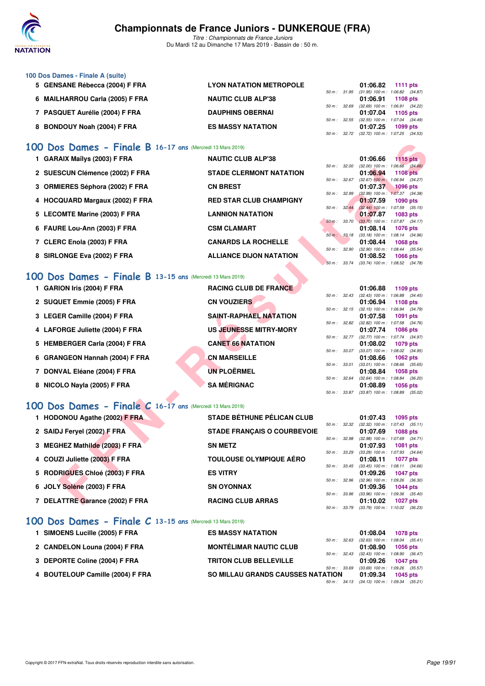

*Titre : Championnats de France Juniors* Du Mardi 12 au Dimanche 17 Mars 2019 - Bassin de : 50 m.

| 100 Dos Dames - Finale A (suite) |                                |                          |          |                                              |
|----------------------------------|--------------------------------|--------------------------|----------|----------------------------------------------|
| 5 GENSANE Rébecca (2004) F FRA   | <b>LYON NATATION METROPOLE</b> |                          | 01:06.82 | <b>1111 pts</b>                              |
|                                  |                                | 50 m: 31.95              |          | $(31.95)$ 100 m : 1:06.82 $(34.87)$          |
| 6 MAILHARROU Carla (2005) F FRA  | <b>NAUTIC CLUB ALP'38</b>      |                          |          | 01:06.91 1108 pts                            |
|                                  |                                | $50 \text{ m}$ : 32.69   |          | $(32.69)$ 100 m : 1:06.91 $(34.22)$          |
| 7 PASQUET Aurélie (2004) F FRA   | <b>DAUPHINS OBERNAI</b>        |                          |          | 01:07.04 1105 pts                            |
|                                  |                                | $50 \text{ m}$ : $32.55$ |          | $(32.55)$ 100 m : 1:07.04 $(34.49)$          |
| 8 BONDOUY Noah (2004) F FRA      | <b>ES MASSY NATATION</b>       |                          | 01:07.25 | 1099 pts                                     |
|                                  |                                |                          |          | 50 m : 32.72 (32.72) 100 m : 1:07.25 (34.53) |

### **[100 Dos Dames - Finale B](http://www.ffnatation.fr/webffn/resultats.php?idact=nat&go=epr&idcpt=59271&idepr=12) 16-17 ans** (Mercredi 13 Mars 2019)

| 1 GARAIX Maïlys (2003) F FRA    | <b>NAUTIC CLUB ALP'38</b>      |                  |              | 01:06.66                                        | $1115$ pts                    |  |
|---------------------------------|--------------------------------|------------------|--------------|-------------------------------------------------|-------------------------------|--|
|                                 |                                | 50 m: 32.00      |              | $(32.00)$ 100 m : 1:06.66 $(34.66)$             |                               |  |
| 2 SUESCUN Clémence (2002) F FRA | <b>STADE CLERMONT NATATION</b> |                  |              | 01:06.94                                        | 1108 pts                      |  |
| 3 ORMIERES Séphora (2002) F FRA | <b>CN BREST</b>                | $50 m$ : $32.67$ |              | $(32.67)$ 100 m :<br>01:07.37                   | 1:06.94 (34.27)<br>$1096$ pts |  |
|                                 |                                | 50 m: 32.99      |              | $(32.99)$ 100 m : 1:07.37 $(34.38)$             |                               |  |
| 4 HOCQUARD Margaux (2002) F FRA | <b>RED STAR CLUB CHAMPIGNY</b> |                  |              | 01:07.59                                        | $1090$ pts                    |  |
|                                 |                                |                  | 50 m: 32.44  | $(32.44)$ 100 m : 1:07.59 $(35.15)$             |                               |  |
| 5 LECOMTE Marine (2003) F FRA   | <b>LANNION NATATION</b>        |                  |              | 01:07.87                                        | <b>1083 pts</b>               |  |
|                                 |                                |                  | 50 m : 33.70 | $(33.70)$ 100 m : 1:07.87 $(34.17)$             |                               |  |
| 6 FAURE Lou-Ann (2003) F FRA    | <b>CSM CLAMART</b>             |                  |              | 01:08.14                                        | <b>1076 pts</b>               |  |
| 7 CLERC Enola (2003) F FRA      | <b>CANARDS LA ROCHELLE</b>     | 50 m: 33.18      |              | $(33.18)$ 100 m : 1:08.14 $(34.96)$<br>01:08.44 | <b>1068 pts</b>               |  |
|                                 |                                | 50 m: 32.90      |              | $(32.90)$ 100 m : 1:08.44 $(35.54)$             |                               |  |
| 8 SIRLONGE Eva (2002) F FRA     | <b>ALLIANCE DIJON NATATION</b> |                  |              | 01:08.52                                        | <b>1066 pts</b>               |  |
|                                 |                                | 50 m: 33.74      |              | $(33.74)$ 100 m : 1:08.52 $(34.78)$             |                               |  |

# **[100 Dos Dames - Finale B](http://www.ffnatation.fr/webffn/resultats.php?idact=nat&go=epr&idcpt=59271&idepr=12) 13-15 ans** (Mercredi 13 Mars 2019)

| 00        | Dos Dames - Finale B 16-17 ans (Mercredi 13 Mars 2019) |                                    |              |              |                                                 |                 |  |
|-----------|--------------------------------------------------------|------------------------------------|--------------|--------------|-------------------------------------------------|-----------------|--|
|           | 1 GARAIX Maïlys (2003) F FRA                           | <b>NAUTIC CLUB ALP'38</b>          |              |              | 01:06.66                                        | $1115$ pts      |  |
|           | 2 SUESCUN Clémence (2002) F FRA                        | <b>STADE CLERMONT NATATION</b>     | 50 m: 32.00  |              | $(32.00)$ 100 m : 1:06.66 $(34.66)$<br>01:06.94 | <b>1108 pts</b> |  |
|           | 3 ORMIERES Séphora (2002) F FRA                        | <b>CN BREST</b>                    | 50 m: 32.67  |              | $(32.67)$ 100 m : 1:06.94 $(34.27)$<br>01:07.37 | 1096 pts        |  |
|           | 4 HOCQUARD Margaux (2002) F FRA                        | <b>RED STAR CLUB CHAMPIGNY</b>     | 50 m : 32.99 |              | (32.99) 100 m: 1:07.37 (34.38)<br>01:07.59      | 1090 pts        |  |
|           | 5 LECOMTE Marine (2003) F FRA                          | <b>LANNION NATATION</b>            | 50 m: 32.44  |              | $(32.44)$ 100 m : 1:07.59 $(35.15)$<br>01:07.87 | 1083 pts        |  |
|           | 6 FAURE Lou-Ann (2003) F FRA                           | <b>CSM CLAMART</b>                 | 50 m : 33.70 |              | $(33.70)$ 100 m : 1:07.87 $(34.17)$<br>01:08.14 | <b>1076 pts</b> |  |
|           | 7 CLERC Enola (2003) F FRA                             | <b>CANARDS LA ROCHELLE</b>         | 50 m: 33.18  |              | $(33.18)$ 100 m : 1:08.14 $(34.96)$<br>01:08.44 | <b>1068 pts</b> |  |
|           | 8 SIRLONGE Eva (2002) F FRA                            | <b>ALLIANCE DIJON NATATION</b>     | 50 m: 32.90  |              | (32.90) 100 m: 1:08.44 (35.54)<br>01:08.52      | 1066 pts        |  |
|           |                                                        |                                    | 50 m: 33.74  |              | $(33.74)$ 100 m : 1:08.52 $(34.78)$             |                 |  |
| <b>OO</b> | Dos Dames - Finale B 13-15 ans (Mercredi 13 Mars 2019) |                                    |              |              |                                                 |                 |  |
|           | 1 GARION Iris (2004) F FRA                             | <b>RACING CLUB DE FRANCE</b>       |              |              | 01:06.88                                        | 1109 pts        |  |
|           |                                                        | <b>CN VOUZIERS</b>                 | 50 m: 32.43  |              | $(32.43)$ 100 m : 1:06.88 $(34.45)$             |                 |  |
|           | 2 SUQUET Emmie (2005) F FRA                            |                                    | 50 m: 32.15  |              | 01:06.94<br>$(32.15)$ 100 m : 1:06.94 $(34.79)$ | 1108 pts        |  |
|           | 3 LEGER Camille (2004) F FRA                           | SAINT-RAPHAEL NATATION             |              |              | 01:07.58                                        | 1091 pts        |  |
|           |                                                        |                                    |              | 50 m : 32.82 | $(32.82)$ 100 m : 1:07.58 $(34.76)$             |                 |  |
|           | 4 LAFORGE Juliette (2004) F FRA                        | US JEUNESSE MITRY-MORY             |              | 50 m : 32.77 | 01:07.74<br>(32.77) 100 m: 1:07.74 (34.97)      | <b>1086 pts</b> |  |
|           | 5 HEMBERGER Carla (2004) F FRA                         | <b>CANET 66 NATATION</b>           |              |              | 01:08.02                                        | 1079 pts        |  |
|           |                                                        |                                    | 50 m: 33.07  |              | $(33.07)$ 100 m : 1:08.02 $(34.95)$             |                 |  |
|           | 6 GRANGEON Hannah (2004) F FRA                         | <b>CN MARSEILLE</b>                |              |              | 01:08.66                                        | 1062 pts        |  |
|           |                                                        |                                    | 50 m: 33.01  |              | $(33.01)$ 100 m : 1:08.66 $(35.65)$             |                 |  |
|           | 7 DONVAL Eléane (2004) F FRA                           | <b>UN PLOËRMEL</b>                 | 50 m: 32.64  |              | 01:08.84<br>(32.64) 100 m: 1:08.84 (36.20)      | 1058 pts        |  |
|           | 8 NICOLO Nayla (2005) F FRA                            | <b>SA MÉRIGNAC</b>                 |              |              | 01:08.89                                        | 1056 pts        |  |
|           |                                                        |                                    | 50 m : 33.87 |              | $(33.87)$ 100 m : 1:08.89 $(35.02)$             |                 |  |
| 00        | Dos Dames - Finale C 16-17 ans (Mercredi 13 Mars 2019) |                                    |              |              |                                                 |                 |  |
|           | 1 HODONOU Agathe (2002) F FRA                          | <b>STADE BÉTHUNE PÉLICAN CLUB</b>  |              |              | 01:07.43                                        | 1095 pts        |  |
|           | 2 SAIDJ Feryel (2002) F FRA                            | <b>STADE FRANÇAIS O COURBEVOIE</b> | 50 m : 32.32 |              | $(32.32)$ 100 m : 1:07.43 $(35.11)$<br>01:07.69 | <b>1088 pts</b> |  |
|           |                                                        |                                    | 50 m: 32.98  |              | $(32.98)$ 100 m : 1:07.69 $(34.71)$             |                 |  |
|           | 3 MEGHEZ Mathilde (2003) F FRA                         | <b>SN METZ</b>                     |              |              | 01:07.93                                        | 1081 pts        |  |
|           | 4 COUZI Juliette (2003) F FRA                          | TOULOUSE OLYMPIQUE AÉRO            | 50 m : 33.29 |              | (33.29) 100 m: 1:07.93 (34.64)<br>01:08.11      | <b>1077 pts</b> |  |
|           |                                                        |                                    | 50 m: 33.45  |              | $(33.45)$ 100 m : 1:08.11 $(34.66)$             |                 |  |
|           | 5 RODRIGUES Chloé (2003) F FRA                         | <b>ES VITRY</b>                    |              |              | 01:09.26                                        | <b>1047 pts</b> |  |
|           |                                                        |                                    | 50 m: 32.96  |              | (32.96) 100 m: 1:09.26 (36.30)                  |                 |  |
|           | 6 JOLY Solène (2003) F FRA                             | <b>SN OYONNAX</b>                  | 50 m : 33.96 |              | 01:09.36<br>$(33.96)$ 100 m : 1:09.36 $(35.40)$ | 1044 pts        |  |
|           | 7 DELATTRE Garance (2002) F FRA                        | <b>RACING CLUB ARRAS</b>           |              |              | 01:10.02                                        | <b>1027 pts</b> |  |

# **[100 Dos Dames - Finale C](http://www.ffnatation.fr/webffn/resultats.php?idact=nat&go=epr&idcpt=59271&idepr=12) 16-17 ans** (Mercredi 13 Mars 2019)

| 1 HODONOU Agathe (2002) F FRA   | <b>STADE BÉTHUNE PÉLICAN CLUB</b>  |                        |                  | 01:07.43                                                 | $1095$ pts      |  |
|---------------------------------|------------------------------------|------------------------|------------------|----------------------------------------------------------|-----------------|--|
|                                 |                                    | $50 \text{ m}$ : 32.32 |                  | $(32.32)$ 100 m : 1:07.43 $(35.11)$                      |                 |  |
| 2 SAIDJ Fervel (2002) F FRA     | <b>STADE FRANCAIS O COURBEVOIE</b> | 50 m: 32.98            |                  | 01:07.69<br>$(32.98)$ 100 m : 1:07.69 $(34.71)$          | 1088 pts        |  |
| 3 MEGHEZ Mathilde (2003) F FRA  | <b>SN METZ</b>                     |                        |                  | 01:07.93                                                 | <b>1081 pts</b> |  |
|                                 |                                    | 50 m: 33.29            |                  | $(33.29)$ 100 m : 1:07.93 $(34.64)$                      |                 |  |
| 4 COUZI Juliette (2003) F FRA   | TOULOUSE OLYMPIQUE AÉRO            |                        |                  | 01:08.11                                                 | <b>1077 pts</b> |  |
| 5 RODRIGUES Chloé (2003) F FRA  | <b>ES VITRY</b>                    |                        | $50 m$ : $33.45$ | $(33.45)$ 100 m : 1:08.11 $(34.66)$<br>01:09.26 1047 pts |                 |  |
|                                 |                                    | $50 \text{ m}$ : 32.96 |                  | $(32.96)$ 100 m : 1:09.26 $(36.30)$                      |                 |  |
| 6 JOLY Solène (2003) F FRA      | <b>SN OYONNAX</b>                  |                        |                  | 01:09.36                                                 | $1044$ pts      |  |
|                                 |                                    | 50 m: 33.96            |                  | $(33.96)$ 100 m : 1:09.36 $(35.40)$                      |                 |  |
| 7 DELATTRE Garance (2002) F FRA | <b>RACING CLUB ARRAS</b>           |                        |                  | 01:10.02                                                 | 1027 $p$ ts     |  |
|                                 |                                    |                        | 50 m : 33.79     | $(33.79)$ 100 m : 1:10.02 $(36.23)$                      |                 |  |

### **[100 Dos Dames - Finale C](http://www.ffnatation.fr/webffn/resultats.php?idact=nat&go=epr&idcpt=59271&idepr=12) 13-15 ans** (Mercredi 13 Mars 2019)

| 1 SIMOENS Lucille (2005) F FRA   | <b>ES MASSY NATATION</b>                 |             | 01:08.04                                                        | <b>1078 pts</b> |  |
|----------------------------------|------------------------------------------|-------------|-----------------------------------------------------------------|-----------------|--|
| 2 CANDELON Louna (2004) F FRA    | <b>MONTÉLIMAR NAUTIC CLUB</b>            |             | 50 m: 32.63 (32.63) 100 m: 1:08.04 (35.41)<br>01:08.90          | 1056 pts        |  |
| 3 DEPORTE Coline (2004) F FRA    | <b>TRITON CLUB BELLEVILLE</b>            |             | 50 m: 32.43 (32.43) 100 m: 1:08.90 (36.47)<br>01:09.26 1047 pts |                 |  |
| 4 BOUTELOUP Camille (2004) F FRA | <b>SO MILLAU GRANDS CAUSSES NATATION</b> | 50 m: 33.69 | $(33.69)$ 100 m : 1:09.26 $(35.57)$<br>01:09.34                 | 1045 pts        |  |
|                                  |                                          |             | 50 m: 34.13 (34.13) 100 m: 1:09.34 (35.21)                      |                 |  |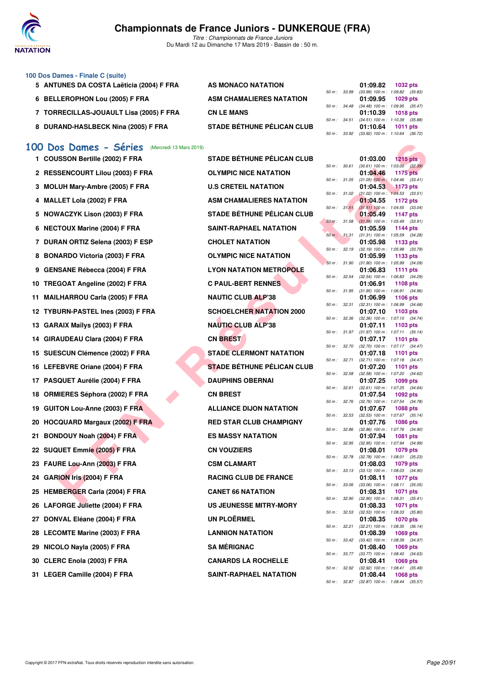

*Titre : Championnats de France Juniors* Du Mardi 12 au Dimanche 17 Mars 2019 - Bassin de : 50 m.

### **100 Dos Dames - Finale C (suite)**

- 5 ANTUNES DA COSTA Laëticia (2004) F FRA AS MONACO NATATION
- 6 BELLEROPHON Lou (2005) F FRA ASM CHAMALIERES NATATION
- **7 TORRECILLAS-JOUAULT Lisa (2005) F FRA CN LE MANS 01:10.39 1018 pts**
- 8 DURAND-HASLBECK Nina (2005) F FRA STADE BÉTHUNE PÉLICAN CLUB

### **[100 Dos Dames - Séries](http://www.ffnatation.fr/webffn/resultats.php?idact=nat&go=epr&idcpt=59271&idepr=12)** (Mercredi 13 Mars 2019)

| 1 COUSSON Bertille (2002) F FRA    | <b>STADE BÉTHUNE PÉLICAN CLUB</b> |              |              | 01:03.00<br><b>1215 pts</b>                                   |
|------------------------------------|-----------------------------------|--------------|--------------|---------------------------------------------------------------|
| 2 RESSENCOURT Lilou (2003) F FRA   | <b>OLYMPIC NICE NATATION</b>      |              | 50 m : 30.61 | $(30.61)$ 100 m : 1:03.00 $(32.$<br>01:04.46<br>1175 pts      |
| 3 MOLUH Mary-Ambre (2005) F FRA    | <b>U.S CRETEIL NATATION</b>       | 50 m : 31.05 |              | $(31.05)$ 100 m : 1:04.46 (33.<br>01:04.53<br>1173 pts        |
|                                    | <b>ASM CHAMALIERES NATATION</b>   | 50 m: 31.02  |              | $(31.02)$ 100 m : 1:04.53 (33.                                |
| 4 MALLET Lola (2002) F FRA         |                                   | 50 m: 31.51  |              | 01:04.55<br>1172 pts<br>$(31.51)$ 100 m : 1:04.55 (33.        |
| 5 NOWACZYK Lison (2003) F FRA      | <b>STADE BÉTHUNE PÉLICAN CLUB</b> | 50 m: 31.58  |              | 01:05.49<br><b>1147 pts</b><br>$(31.58)$ 100 m : 1:05.49 (33. |
| 6 NECTOUX Marine (2004) F FRA      | SAINT-RAPHAEL NATATION            |              |              | 01:05.59<br>1144 pts<br>$(31.31)$ 100 m : 1:05.59 (34.        |
| 7 DURAN ORTIZ Selena (2003) F ESP  | <b>CHOLET NATATION</b>            |              | 50 m : 31.31 | 01:05.98<br>1133 pts                                          |
| 8 BONARDO Victoria (2003) F FRA    | <b>OLYMPIC NICE NATATION</b>      |              | 50 m: 32.19  | (32.19) 100 m: 1:05.98 (33.<br>01:05.99<br>1133 pts           |
| 9 GENSANE Rébecca (2004) F FRA     | <b>LYON NATATION METROPOLE</b>    |              | 50 m : 31.90 | $(31.90)$ 100 m : 1:05.99 (34.<br>01:06.83<br><b>1111 pts</b> |
|                                    |                                   | 50 m: 32.54  |              | (32.54) 100 m: 1:06.83 (34.                                   |
| 10 TREGOAT Angeline (2002) F FRA   | <b>C PAUL-BERT RENNES</b>         |              | 50 m : 31.95 | 01:06.91<br>1108 pts<br>$(31.95)$ 100 m : 1:06.91 (34.        |
| 11 MAILHARROU Carla (2005) F FRA   | <b>NAUTIC CLUB ALP'38</b>         | 50 m: 32.31  |              | 01:06.99<br>1106 pts<br>$(32.31)$ 100 m : 1:06.99 (34.        |
| 12 TYBURN-PASTEL Ines (2003) F FRA | <b>SCHOELCHER NATATION 2000</b>   |              |              | 01:07.10<br>1103 pts                                          |
| 13 GARAIX Maïlys (2003) F FRA      | <b>NAUTIC CLUB ALP'38</b>         |              | 50 m : 32.36 | $(32.36)$ 100 m : 1:07.10 $(34.$<br>01:07.11<br>1103 pts      |
| 14 GIRAUDEAU Clara (2004) F FRA    | <b>CN BREST</b>                   |              | 50 m : 31.97 | $(31.97)$ 100 m : 1:07.11 (35.<br>01:07.17<br>1101 pts        |
|                                    |                                   | 50 m: 32.70  |              | (32.70) 100 m: 1:07.17 (34.                                   |
| 15 SUESCUN Clémence (2002) F FRA   | <b>STADE CLERMONT NATATION</b>    | 50 m: 32.71  |              | 01:07.18<br>1101 pts<br>(32.71) 100 m: 1:07.18 (34.           |
| 16 LEFEBVRE Oriane (2004) F FRA    | <b>STADE BÉTHUNE PÉLICAN CLUB</b> | 50 m: 32.58  |              | 01:07.20<br>1101 pts                                          |
| 17 PASQUET Aurélie (2004) F FRA    | <b>DAUPHINS OBERNAI</b>           |              |              | (32.58) 100 m: 1:07.20 (34.<br>01:07.25<br>1099 pts           |
| 18 ORMIERES Séphora (2002) F FRA   | <b>CN BREST</b>                   |              | 50 m : 32.61 | $(32.61)$ 100 m : 1:07.25 (34.<br>01:07.54<br>1092 pts        |
| 19 GUITON Lou-Anne (2003) F FRA    | <b>ALLIANCE DIJON NATATION</b>    | 50 m : 32.76 |              | (32.76) 100 m : 1:07.54 (34.<br>01:07.67<br>1088 pts          |
|                                    |                                   | 50 m: 32.53  |              | $(32.53)$ 100 m : 1:07.67 (35.                                |
| 20 HOCQUARD Margaux (2002) F FRA   | <b>RED STAR CLUB CHAMPIGNY</b>    | 50 m : 32.86 |              | 01:07.76<br>1086 pts<br>(32.86) 100 m: 1:07.76 (34.           |
| 21 BONDOUY Noah (2004) F FRA       | <b>ES MASSY NATATION</b>          |              | 50 m : 32.95 | 01:07.94<br>1081 pts<br>(32.95) 100 m: 1:07.94 (34.           |
| 22 SUQUET Emmie (2005) F FRA       | <b>CN VOUZIERS</b>                |              |              | 1079 pts<br>01:08.01                                          |
| 23 FAURE Lou-Ann (2003) F FRA      | <b>CSM CLAMART</b>                |              | 50 m : 32.78 | $(32.78)$ 100 m : 1:08.01 (35.<br>01:08.03<br>1079 pts        |
| 24 GARION Iris (2004) F FRA        | <b>RACING CLUB DE FRANCE</b>      | 50 m: 33.13  |              | $(33.13)$ 100 m : 1:08.03 (34.<br>01:08.11<br>1077 pts        |
|                                    |                                   | 50 m : 33.06 |              | $(33.06)$ 100 m : 1:08.11 (35.                                |
| 25 HEMBERGER Carla (2004) F FRA    | <b>CANET 66 NATATION</b>          | 50 m: 32.90  |              | 01:08.31<br>1071 pts<br>$(32.90)$ 100 m : 1:08.31 (35.        |
| 26 LAFORGE Juliette (2004) F FRA   | <b>US JEUNESSE MITRY-MORY</b>     |              | 50 m : 32.53 | 01:08.33<br>1071 pts<br>$(32.53)$ 100 m : 1:08.33 (35.        |
| 27 DONVAL Eléane (2004) F FRA      | UN PLOËRMEL                       |              |              | 01:08.35<br><b>1070 pts</b>                                   |
| 28 LECOMTE Marine (2003) F FRA     | <b>LANNION NATATION</b>           | 50 m: 32.21  |              | (32.21) 100 m: 1:08.35 (36.<br>01:08.39<br>1069 pts           |
|                                    | <b>SA MÉRIGNAC</b>                | 50 m : 33.42 |              | (33.42) 100 m: 1:08.39 (34.<br>01:08.40                       |
| 29 NICOLO Nayla (2005) F FRA       |                                   |              | 50 m : 33.77 | 1069 pts<br>(33.77) 100 m : 1:08.40 (34.                      |
| 30 CLERC Enola (2003) F FRA        | <b>CANARDS LA ROCHELLE</b>        | 50 m: 32.92  |              | 01:08.41<br>1069 pts<br>$(32.92)$ 100 m : 1:08.41 (35.        |
| 31 LEGER Camille (2004) F FRA      | <b>SAINT-RAPHAEL NATATION</b>     |              |              | 01:08.44<br>1068 pts                                          |

| os Dames - Séries<br>(Mercredi 13 Mars 2019) |                                   |              |       |                                                                       |                 |  |
|----------------------------------------------|-----------------------------------|--------------|-------|-----------------------------------------------------------------------|-----------------|--|
| SSON Bertille (2002) F FRA                   | <b>STADE BÉTHUNE PÉLICAN CLUB</b> |              |       | 01:03.00                                                              | 1215 $pts$      |  |
| <b>SENCOURT Lilou (2003) F FRA</b>           | <b>OLYMPIC NICE NATATION</b>      | 50 m : 30.61 |       | $(30.61)$ 100 m : 1:03.00 $(32.39)$<br>01:04.46                       | <b>1175 pts</b> |  |
| UH Mary-Ambre (2005) F FRA                   | <b>U.S CRETEIL NATATION</b>       | 50 m : 31.05 |       | $(31.05)$ 100 m : 1:04.46 $(33.41)$<br>01:04.53                       | 1173 pts        |  |
| LET Lola (2002) F FRA                        | <b>ASM CHAMALIERES NATATION</b>   | 50 m: 31.02  |       | $(31.02)$ 100 m : 1:04.53 $(33.51)$<br>01:04.55                       | 1172 pts        |  |
|                                              |                                   |              |       | 50 m: 31.51 (31.51) 100 m: 1:04.55 (33.04)                            |                 |  |
| /ACZYK Lison (2003) F FRA                    | STADE BÉTHUNE PÉLICAN CLUB        |              |       | 01:05.49<br>50 m : 31.58 (31.58) 100 m : 1:05.49 (33.91)              | 1147 pts        |  |
| TOUX Marine (2004) F FRA                     | <b>SAINT-RAPHAEL NATATION</b>     |              |       | 01:05.59                                                              | 1144 pts        |  |
| AN ORTIZ Selena (2003) F ESP                 | <b>CHOLET NATATION</b>            | 50 m : 31.31 |       | $(31.31)$ 100 m : 1:05.59 $(34.28)$<br>01:05.98                       | 1133 pts        |  |
| ARDO Victoria (2003) F FRA                   | <b>OLYMPIC NICE NATATION</b>      | 50 m : 32.19 |       | $(32.19)$ 100 m : 1:05.98 $(33.79)$<br>01:05.99                       | 1133 pts        |  |
| SANE Rébecca (2004) F FRA                    | <b>LYON NATATION METROPOLE</b>    | 50 m : 31.90 |       | $(31.90)$ 100 m : 1:05.99 $(34.09)$<br>01:06.83                       | 1111 $pts$      |  |
| GOAT Angeline (2002) F FRA                   | <b>C PAUL-BERT RENNES</b>         | 50 m : 32.54 |       | $(32.54)$ 100 m : 1:06.83 $(34.29)$<br>01:06.91                       | 1108 pts        |  |
|                                              | <b>NAUTIC CLUB ALP'38</b>         | 50 m : 31.95 |       | $(31.95)$ 100 m : 1:06.91 $(34.96)$                                   |                 |  |
| .HARROU Carla (2005) F FRA                   |                                   | 50 m : 32.31 |       | 01:06.99<br>$(32.31)$ 100 m : 1:06.99 $(34.68)$                       | <b>1106 pts</b> |  |
| URN-PASTEL Ines (2003) F FRA                 | <b>SCHOELCHER NATATION 2000</b>   | 50 m : 32.36 |       | 01:07.10<br>$(32.36)$ 100 m : 1:07.10 $(34.74)$                       | 1103 pts        |  |
| AIX Maïlys (2003) F FRA                      | <b>NAUTIC CLUB ALP'38</b>         |              |       | 01:07.11                                                              | 1103 $pts$      |  |
| <b>NUDEAU Clara (2004) F FRA</b>             | <b>CN BREST</b>                   |              |       | 50 m: 31.97 (31.97) 100 m: 1:07.11 (35.14)<br>01:07.17                | 1101 $pts$      |  |
|                                              |                                   | 50 m : 32.70 |       | $(32.70)$ 100 m : 1:07.17 $(34.47)$                                   |                 |  |
| SCUN Clémence (2002) F FRA                   | <b>STADE CLERMONT NATATION</b>    | 50 m : 32.71 |       | 01:07.18<br>$(32.71)$ 100 m : 1:07.18 $(34.47)$                       | 1101 pts        |  |
| EBVRE Oriane (2004) F FRA                    | <b>STADE BÉTHUNE PÉLICAN CLUB</b> |              |       | 01:07.20                                                              | 1101 $pts$      |  |
| QUET Aurélie (2004) F FRA                    | <b>DAUPHINS OBERNAI</b>           | 50 m : 32.58 |       | $(32.58)$ 100 m : 1:07.20 $(34.62)$<br>01:07.25                       | 1099 pts        |  |
| IIERES Séphora (2002) F FRA                  | <b>CN BREST</b>                   | 50 m : 32.61 |       | $(32.61)$ 100 m : 1:07.25 $(34.64)$<br>01:07.54                       | 1092 pts        |  |
| ON Lou-Anne (2003) F FRA                     | <b>ALLIANCE DIJON NATATION</b>    |              |       | 50 m: 32.76 (32.76) 100 m: 1:07.54 (34.78)<br>01:07.67                | <b>1088 pts</b> |  |
| QUARD Margaux (2002) F FRA                   | <b>RED STAR CLUB CHAMPIGNY</b>    | 50 m :       | 32.53 | $(32.53)$ 100 m : 1:07.67 $(35.14)$<br>01:07.76                       | <b>1086 pts</b> |  |
|                                              |                                   | 50 m: 32.86  |       | $(32.86)$ 100 m : 1:07.76 $(34.90)$                                   |                 |  |
| DOUY Noah (2004) F FRA                       | <b>ES MASSY NATATION</b>          | 50 m: 32.95  |       | 01:07.94<br>(32.95) 100 m : 1:07.94 (34.99)                           | 1081 pts        |  |
| UET Emmie (2005) F FRA                       | <b>CN VOUZIERS</b>                |              |       | 01:08.01                                                              | 1079 pts        |  |
| RE Lou-Ann (2003) F FRA                      | <b>CSM CLAMART</b>                | 50 m : 32.78 |       | $(32.78)$ 100 m : 1:08.01 $(35.23)$<br>01:08.03                       | 1079 pts        |  |
| ION Iris (2004) F FRA                        | <b>RACING CLUB DE FRANCE</b>      |              |       | 50 m: 33.13 (33.13) 100 m: 1:08.03 (34.90)<br>01:08.11                | 1077 pts        |  |
|                                              |                                   | 50 m : 33.06 |       | $(33.06)$ 100 m : 1:08.11 $(35.05)$                                   |                 |  |
| <b>BERGER Carla (2004) F FRA</b>             | <b>CANET 66 NATATION</b>          | 50 m : 32.90 |       | 01:08.31<br>$(32.90)$ 100 m : 1:08.31 $(35.41)$                       | 1071 pts        |  |
| ORGE Juliette (2004) F FRA                   | <b>US JEUNESSE MITRY-MORY</b>     |              |       | 01:08.33                                                              | <b>1071 pts</b> |  |
| VAL Eléane (2004) F FRA                      | <b>UN PLOËRMEL</b>                |              |       | 50 m: 32.53 (32.53) 100 m: 1:08.33 (35.80)<br>01:08.35                | 1070 pts        |  |
| OMTE Marine (2003) F FRA                     | <b>LANNION NATATION</b>           |              |       | 50 m: 32.21 (32.21) 100 m: 1:08.35 (36.14)<br>01:08.39                | 1069 pts        |  |
|                                              |                                   |              |       | 50 m: 33.42 (33.42) 100 m: 1:08.39 (34.97)                            |                 |  |
| )LO Nayla (2005) F FRA                       | <b>SA MÉRIGNAC</b>                |              |       | 01:08.40<br>50 m: 33.77 (33.77) 100 m: 1:08.40 (34.63)                | 1069 pts        |  |
| RC Enola (2003) F FRA                        | <b>CANARDS LA ROCHELLE</b>        |              |       | 01:08.41                                                              | 1069 pts        |  |
| FR Camille (2004) F FRA                      | SAINT-RAPHAFI NATATION            |              |       | 50 m: 32.92 (32.92) 100 m: 1:08.41 (35.49)<br>$01.08$ $44$ $1068$ nts |                 |  |

|              | 01:09.82                       | 1032 pts            |  |
|--------------|--------------------------------|---------------------|--|
| 50 m : 33.99 | $(33.99)$ 100 m :              | 1:09.82 (35.83)     |  |
|              | 01:09.95                       | 1029 pts            |  |
| 50 m : 34.48 | $(34.48) 100 m$ :              | 1:09.95 (35.47)     |  |
|              | 01:10.39                       | <b>1018 pts</b>     |  |
| 50 m : 34.51 | $(34.51)$ 100 m :              | 1:10.39 (35.88)     |  |
|              | 01:10.64 1011 pts              |                     |  |
| 50 m : 33.92 | (33.92) 100 m: 1:10.64 (36.72) |                     |  |
|              |                                |                     |  |
|              |                                |                     |  |
|              |                                |                     |  |
|              |                                |                     |  |
|              | 01:03.00                       | 1215 $p$ ts         |  |
| 50 m : 30.61 | $(30.61)$ 100 m :              | $1:03.00$ $(32.39)$ |  |
|              | 01:04.46                       | 1175 pts            |  |
| 50 m : 31.05 | $(31.05)$ 100 m :              | $1:04.46$ $(33.41)$ |  |
|              | 01:04.53                       | $1173$ pts          |  |
| 50 m : 31.02 | $(31.02)$ 100 m :              | $1:04.53$ $(33.51)$ |  |
|              | 01:04.55                       | 1172 pts            |  |
| 50 m: 31.51  | $(31.51)$ 100 m :              | $1:04.55$ $(33.04)$ |  |
|              | 01:05.49                       | 1147 pts            |  |

| $50 m$ : | 30.61 | $(30.61)$ 100 m :             | 1:03.00<br>(32.39)     |
|----------|-------|-------------------------------|------------------------|
|          |       | 01:04.46                      | <b>1175 pts</b>        |
| $50 m$ : | 31.05 | $(31.05)$ 100 m :             | 1:04.46<br>(33.41)     |
|          |       | 01:04.53                      | 1173 pts               |
| $50 m$ : | 31.02 | $(31.02) 100 m$ :             | 1:04.53<br>(33.51)     |
|          |       | 01:04.55                      | 1172 pts               |
| $50 m$ : | 31.51 | $(31.51) 100 m$ :             | 1:04.55<br>(33.04)     |
|          |       | 01:05.49                      | 1147<br>pts            |
| $50 m$ : | 31.58 | $(31.58) 100 m$ :             | 1:05.49<br>(33.91)     |
|          |       | 01:05.59                      | 1144 pts               |
| $50 m$ : | 31.31 | $(31.31)$ 100 m :<br>01:05.98 | 1:05.59<br>(34.28)     |
|          |       | $(32.19) 100 m$ :             | 1133<br>pts<br>1:05.98 |
| 50 m :   | 32.19 | 01:05.99                      | (33.79)<br>1133 pts    |
| $50 m$ : | 31.90 | $(31.90) 100 m$ :             | 1:05.99<br>(34.09)     |
|          |       | 01:06.83                      | 1111<br>pts            |
| $50 m$ : | 32.54 | $(32.54) 100 m$ :             | 1:06.83<br>(34.29)     |
|          |       | 01:06.91                      | 1108<br>pts            |
| $50 m$ : | 31.95 | $(31.95) 100 m$ :             | 1:06.91<br>(34.96)     |
|          |       | 01:06.99                      | 1106 pts               |
| $50 m$ : | 32.31 | $(32.31)$ 100 m :             | 1:06.99<br>(34.68)     |
|          |       | 01:07.10                      | 1103<br>pts            |
| $50 m$ : | 32.36 | $(32.36) 100 m$ :             | 1:07.10<br>(34.74)     |
|          |       | 01:07.11                      | 1103 pts               |
| $50 m$ : | 31.97 | $(31.97) 100 m$ :             | 1:07.11<br>(35.14)     |
|          |       | 01:07.17                      | 1101<br>pts            |
| $50 m$ : | 32.70 | $(32.70)$ 100 m :             | 1:07.17<br>(34.47)     |
|          |       | 01:07.18                      | 1101<br>pts            |
| $50 m$ : | 32.71 | $(32.71)$ 100 m :             | 1:07.18<br>(34.47)     |
|          |       | 01:07.20                      | 1101<br>pts            |
| $50 m$ : | 32.58 | $(32.58)$ 100 m :             | 1:07.20<br>(34.62)     |
|          |       | 01:07.25                      | 1099<br>pts            |
| $50 m$ : | 32.61 | $(32.61)$ 100 m :             | 1:07.25<br>(34.64)     |
|          |       | 01:07.54                      | 1092<br>pts            |
| 50 m :   | 32.76 | $(32.76)$ 100 m :             | 1:07.54<br>(34.78)     |
|          |       | 01:07.67                      | 1088 pts               |
| $50 m$ : | 32.53 | $(32.53)$ 100 m :             | 1:07.67<br>(35.14)     |
|          |       | 01:07.76                      | 1086 pts               |
| $50 m$ : | 32.86 | $(32.86)$ 100 m :             | 1:07.76<br>(34.90)     |
|          |       | 01:07.94                      | 1081<br>pts            |
| $50 m$ : | 32.95 | $(32.95)$ 100 m :             | 1:07.94<br>(34.99)     |
|          |       | 01:08.01                      | 1079 pts               |
| $50 m$ : | 32.78 | $(32.78) 100 m$ :             | 1:08.01<br>(35.23)     |
|          |       | 01:08.03                      | 1079<br>pts            |
| $50 m$ : | 33.13 | $(33.13) 100 m$ :             | 1:08.03<br>(34.90)     |
| $50 m$ : | 33.06 | 01:08.11                      | 1077<br>pts<br>1:08.11 |
|          |       | $(33.06)$ 100 m :<br>01:08.31 | (35.05)<br>1071<br>pts |
| $50 m$ : | 32.90 | $(32.90)$ 100 m :             | 1:08.31<br>(35.41)     |
|          |       | 01:08.33                      | 1071<br>pts            |
| $50 m$ : | 32.53 | $(32.53)$ 100 m :             | 1:08.33<br>(35.80)     |
|          |       | 01:08.35                      | 1070<br>pts            |
| 50 m :   | 32.21 | $(32.21)$ 100 m :             | 1:08.35<br>(36.14)     |
|          |       | 01:08.39                      | 1069 pts               |
| $50 m$ : | 33.42 | $(33.42)$ 100 m :             | 1:08.39<br>(34.97)     |
|          |       | 01:08.40                      | 1069<br>pts            |
| $50 m$ : | 33.77 | $(33.77) 100 m$ :             | 1:08.40<br>(34.63)     |
|          |       | 01:08.41                      | 1069 pts               |
| $50 m$ : | 32.92 | $(32.92)$ 100 m :             | 1:08.41<br>(35.49)     |
|          |       | 01:08.44                      | 1068 pts               |
| 50 m:    | 32.87 | $(32.87)$ 100 m :             | 1:08.44 (35.57)        |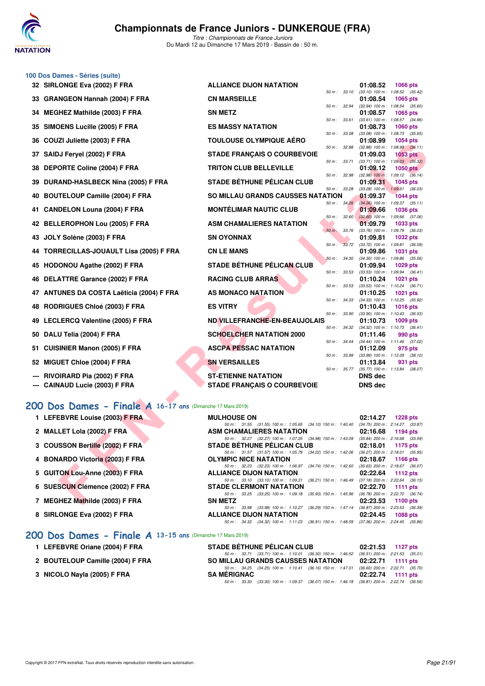

**100 Dos Dames - Séries (suite)**

*Titre : Championnats de France Juniors* Du Mardi 12 au Dimanche 17 Mars 2019 - Bassin de : 50 m.

|    | 32 SIRLONGE Eva (2002) F FRA                               | <b>ALLIANCE DIJON NATATION</b>                                                                 | 01:08.52<br>1066 pts                                                |
|----|------------------------------------------------------------|------------------------------------------------------------------------------------------------|---------------------------------------------------------------------|
| 33 | <b>GRANGEON Hannah (2004) F FRA</b>                        | 50 m: 33.10<br><b>CN MARSEILLE</b>                                                             | $(33.10)$ 100 m : 1:08.52 $(35.42)$<br>01:08.54<br>1065 pts         |
| 34 | <b>MEGHEZ Mathilde (2003) F FRA</b>                        | 50 m : 32.94<br><b>SN METZ</b>                                                                 | $(32.94)$ 100 m : 1:08.54 $(35.60)$<br>01:08.57<br>1065 pts         |
| 35 | SIMOENS Lucille (2005) F FRA                               | 50 m: 33.61<br><b>ES MASSY NATATION</b>                                                        | (33.61) 100 m: 1:08.57 (34.96)<br>01:08.73<br>1060 pts              |
| 36 | COUZI Juliette (2003) F FRA                                | 50 m : 33.08<br><b>TOULOUSE OLYMPIQUE AÉRO</b>                                                 | $(33.08)$ 100 m : 1:08.73 $(35.65)$<br>01:08.99<br>1054 pts         |
|    |                                                            | 50 m: 32.88                                                                                    | $(32.88)$ 100 m : 1:08.99 $(36.11)$                                 |
| 37 | SAIDJ Feryel (2002) F FRA                                  | <b>STADE FRANÇAIS O COURBEVOIE</b><br>50 m : 33.71                                             | 01:09.03<br>1053 pts<br>$(33.71)$ 100 m : 1:09.03 $(35.32)$         |
| 38 | <b>DEPORTE Coline (2004) F FRA</b>                         | <b>TRITON CLUB BELLEVILLE</b>                                                                  | 01:09.12<br><b>1050 pts</b>                                         |
| 39 | DURAND-HASLBECK Nina (2005) F FRA                          | 50 m : 32.98<br><b>STADE BÉTHUNE PÉLICAN CLUB</b>                                              | $(32.98)$ 100 m : 1:09.12 $(36.14)$<br>01:09.31<br>1045 pts         |
| 40 | <b>BOUTELOUP Camille (2004) F FRA</b>                      | 50 m : 33.28<br>SO MILLAU GRANDS CAUSSES NATATION                                              | $(33.28)$ 100 m : 1:09.31 $(36.03)$<br>01:09.37<br><b>1044 pts</b>  |
| 41 | <b>CANDELON Louna (2004) F FRA</b>                         | 50 m: 34.26<br><b>MONTÉLIMAR NAUTIC CLUB</b>                                                   | $(34.26)$ 100 m : 1:09.37 $(35.11)$<br>01:09.66<br><b>1036 pts</b>  |
| 42 | <b>BELLEROPHON Lou (2005) F FRA</b>                        | 50 m: 32.60<br><b>ASM CHAMALIERES NATATION</b>                                                 | $(32.60)$ 100 m : 1:09.66 $(37.06)$<br>01:09.79<br>1033 pts         |
|    |                                                            | 50 m : 33.76                                                                                   | (33.76) 100 m : 1:09.79 (36.03)                                     |
| 43 | JOLY Solène (2003) F FRA                                   | <b>SN OYONNAX</b><br>50 m : 33.72                                                              | 01:09.81<br><b>1032 pts</b><br>(33.72) 100 m : 1:09.81<br>(36.09)   |
| 44 | <b>TORRECILLAS-JOUAULT Lisa (2005) F FRA</b>               | <b>CN LE MANS</b>                                                                              | 01:09.86<br>1031 pts                                                |
| 45 | HODONOU Agathe (2002) F FRA                                | 50 m: 34.30<br><b>STADE BÉTHUNE PÉLICAN CLUB</b>                                               | $(34.30)$ 100 m : 1:09.86<br>(35.56)<br>01:09.94<br>1029 pts        |
|    |                                                            | 50 m: 33.53                                                                                    | $(33.53)$ 100 m : 1:09.94<br>(36.41)                                |
| 46 | DELATTRE Garance (2002) F FRA                              | <b>RACING CLUB ARRAS</b><br>50 m : 33.53                                                       | 01:10.24<br>1021 pts<br>(33.53) 100 m: 1:10.24 (36.71)              |
| 47 | <b>ANTUNES DA COSTA Laëticia (2004) F FRA</b>              | AS MONACO NATATION                                                                             | 01:10.25<br>1021 pts                                                |
| 48 | <b>RODRIGUES Chloé (2003) F FRA</b>                        | 50 m : 34.33<br><b>ES VITRY</b>                                                                | (34.33) 100 m: 1:10.25 (35.92)<br>01:10.43<br><b>1016 pts</b>       |
|    | 49 LECLERCQ Valentine (2005) F FRA                         | 50 m: 33.90<br>ND VILLEFRANCHE-EN-BEAUJOLAIS                                                   | $(33.90)$ 100 m : 1:10.43 $(36.53)$<br>01:10.73<br>1009 pts         |
|    |                                                            | 50 m: 34.32                                                                                    | (34.32) 100 m: 1:10.73 (36.41)                                      |
| 50 | DALU Telia (2004) F FRA                                    | <b>SCHOELCHER NATATION 2000</b><br>50 m : 34.44                                                | 01:11.46<br>990 pts<br>(34.44) 100 m: 1:11.46 (37.02)               |
| 51 | <b>CUISINIER Manon (2005) F FRA</b>                        | <b>ASCPA PESSAC NATATION</b>                                                                   | 01:12.09<br>975 pts                                                 |
| 52 | MIGUET Chloe (2004) F FRA                                  | 50 m : 33.99<br><b>SN VERSAILLES</b>                                                           | $(33.99)$ 100 m : 1:12.09 $(38.10)$<br>01:13.84<br>931 pts          |
|    |                                                            | 50 m: 35.77                                                                                    | $(35.77)$ 100 m : 1:13.84 $(38.07)$                                 |
|    | RIVOIRARD Pia (2002) F FRA                                 | <b>ST-ETIENNE NATATION</b>                                                                     | <b>DNS</b> dec                                                      |
|    | <b>CAINAUD Lucie (2003) F FRA</b>                          | <b>STADE FRANÇAIS O COURBEVOIE</b>                                                             | <b>DNS dec</b>                                                      |
|    | 200 Dos Dames - Finale A 16-17 ans (Dimanche 17 Mars 2019) |                                                                                                |                                                                     |
|    | 1 LEFEBVRE Louise (2003) F FRA                             | <b>MULHOUSE ON</b>                                                                             |                                                                     |
|    |                                                            | 50 m: 31.55 (31.55) 100 m: 1:05.65 (34.10) 150 m: 1:40.40                                      | 02:14.27<br><b>1228 pts</b><br>(34.75) 200 m : 2:14.27 (33.87)      |
|    | 2 MALLET Lola (2002) F FRA                                 | <b>ASM CHAMALIERES NATATION</b>                                                                | 02:16.68<br>1194 pts                                                |
|    | <b>COUSSON Bertille (2002) F FRA</b>                       | 50 m: 32.27 (32.27) 100 m: 1:07.25 (34.98) 150 m: 1:43.09<br><b>STADE BETHUNE PELICAN CLUB</b> | $(35.84)$ 200 m : 2:16.68 $(33.59)$<br>02:18.01<br>1175 pts         |
|    |                                                            | 50 m: 31.57 (31.57) 100 m: 1:05.79 (34.22) 150 m: 1:42.06                                      | (36.27) 200 m : 2:18.01 (35.95)                                     |
| 4  | <b>BONARDO Victoria (2003) F FRA</b>                       | OLYMPIC NICE NATATION<br>50 m : 32.23 (32.23) 100 m : 1:06.97<br>$(34.74)$ 150 m : 1:42.60     | 02:18.67<br>1166 pts<br>$(35.63)$ 200 m : 2:18.67 $(36.07)$         |
| 5  | <b>GUITON Lou-Anne (2003) F FRA</b>                        | <b>ALLIANCE DIJON NATATION</b>                                                                 | 02:22.64<br><b>1112 pts</b>                                         |
| 6  | SUESCUN Clémence (2002) F FRA                              | 50 m: 33.10 (33.10) 100 m: 1:09.31 (36.21) 150 m: 1:46.49<br><b>STADE CLERMONT NATATION</b>    | $(37.18)$ 200 m : 2:22.64<br>(36.15)<br>02:22.70<br><b>1111 pts</b> |
|    |                                                            | 50 m: 33.25 (33.25) 100 m: 1:09.18 (35.93) 150 m: 1:45.96                                      | $(36.78)$ 200 m : 2:22.70 $(36.74)$                                 |
|    | 7 MEGHEZ Mathilde (2003) F FRA                             | <b>SN METZ</b>                                                                                 | 02:23.53<br>1100 pts                                                |

# **[200 Dos Dames - Finale A](http://www.ffnatation.fr/webffn/resultats.php?idact=nat&go=epr&idcpt=59271&idepr=13) 16-17 ans** (Dimanche 17 Mars 2019)

| 1 LEFEBVRE Louise (2003) F FRA |  |
|--------------------------------|--|
| 2 MALLET Lola (2002) F FRA     |  |

- **3 COUSSON Bertille (2002) F FRA**
- **4 BONARDO Victoria (2003) F FRA**
- **5 GUITON Lou-Anne (2003) F FRA**
- **6 SUESCUN Clémence (2002) F FRA**
- **7 MEGHEZ Mathilde (2003) F FRA**
- **8 SIRLONGE Eva (2002) F FRA**

### **[200 Dos Dames - Finale A](http://www.ffnatation.fr/webffn/resultats.php?idact=nat&go=epr&idcpt=59271&idepr=13) 13-15 ans** (Dimanche 17 Mars 2019)

- **1 LEFEBVRE Oriane (2004) F FRA STADE BÉTHUNE PÉLICAN CLUB 02:21.53 1127 pts**
- 2 BOUTELOUP Camille (2004) F FRA SO MILLAU GRANDS CAUSSES NATATION
- **3 NICOLO Nayla (2005) F FRA** SA MÉRIGNAC SA MERIGNAC 02:22.74 1111 pts

| 1 LEFEBVRE Louise (2003) F FRA  | <b>MULHOUSE ON</b>                                                                            |          | $02:14.27$ 1228 pts                 |
|---------------------------------|-----------------------------------------------------------------------------------------------|----------|-------------------------------------|
|                                 | 50 m: 31.55 (31.55) 100 m: 1:05.65 (34.10) 150 m: 1:40.40                                     |          | (34.75) 200 m : 2:14.27 (33.87)     |
| 2 MALLET Lola (2002) F FRA      | ASM CHAMALIERES NATATION                                                                      |          | $02:16.68$ 1194 pts                 |
|                                 | 50 m : 32.27 (32.27) 100 m : 1:07.25 (34.98) 150 m : 1:43.09                                  |          | $(35.84)$ 200 m : 2:16.68 $(33.59)$ |
| 3 COUSSON Bertille (2002) F FRA | <b>STADE BÉTHUNE PÉLICAN CLUB</b>                                                             |          | $02:18.01$ 1175 pts                 |
|                                 | 50 m: 31.57 (31.57) 100 m: 1:05.79 (34.22) 150 m: 1:42.06                                     |          | $(36.27)$ 200 m : 2:18.01 $(35.95)$ |
| 4 BONARDO Victoria (2003) F FRA | <b>OLYMPIC NICE NATATION</b>                                                                  |          | $02:18.67$ 1166 pts                 |
|                                 | 50 m : 32.23 (32.23) 100 m : 1:06.97 (34.74) 150 m : 1:42.60                                  |          | $(35.63)$ 200 m : 2:18.67 $(36.07)$ |
| 5 GUITON Lou-Anne (2003) F FRA  | <b>ALLIANCE DIJON NATATION</b>                                                                |          | $02:22.64$ 1112 pts                 |
|                                 | (36.21) 150 m : 1:46.49<br>50 m: 33.10 (33.10) 100 m: 1:09.31                                 |          | $(37.18)$ 200 m : 2:22.64 $(36.15)$ |
| 6 SUESCUN Clémence (2002) F FRA | <b>STADE CLERMONT NATATION</b>                                                                | 02:22.70 | 1111 pts                            |
|                                 | $(35.93)$ 150 m : 1:45.96<br>50 m : 33.25 (33.25) 100 m : 1:09.18                             |          | (36.78) 200 m : 2:22.70 (36.74)     |
| 7 MEGHEZ Mathilde (2003) F FRA  | <b>SN METZ</b>                                                                                | 02:23.53 | 1100 pts                            |
|                                 | (36.29) 150 m : 1:47.14 (36.87) 200 m : 2:23.53 (36.39)<br>50 m: 33.98 (33.98) 100 m: 1:10.27 |          |                                     |
| 8 SIRLONGE Eva (2002) F FRA     | <b>ALLIANCE DIJON NATATION</b>                                                                | 02:24.45 | 1088 pts                            |
|                                 | (34.32) 100 m: 1:11.23 (36.91) 150 m: 1:48.59 (37.36) 200 m: 2:24.45 (35.86<br>50 m : 34.32   |          |                                     |
|                                 |                                                                                               |          |                                     |

**50 m : 33.71 (33.71) 100 m : 1:10.01 (36.30) 150 m : 1:46.52 (36.51) 200 m : 2:21.53 (35.01)**<br>**IILLAU GRANDS CAUSSES NATATION 02:22.71** 1111 pts

*50 m : 33.30 (33.30) 100 m : 1:09.37 (36.07) 150 m : 1:46.18 (36.81) 200 m : 2:22.74 (36.56)*

*50 m : 34.25 (34.25) 100 m : 1:10.41 (36.16) 150 m : 1:47.01 (36.60) 200 m : 2:22.71 (35.70)*<br> **SA MÉRIGNAC** 02:22.74 1111 pts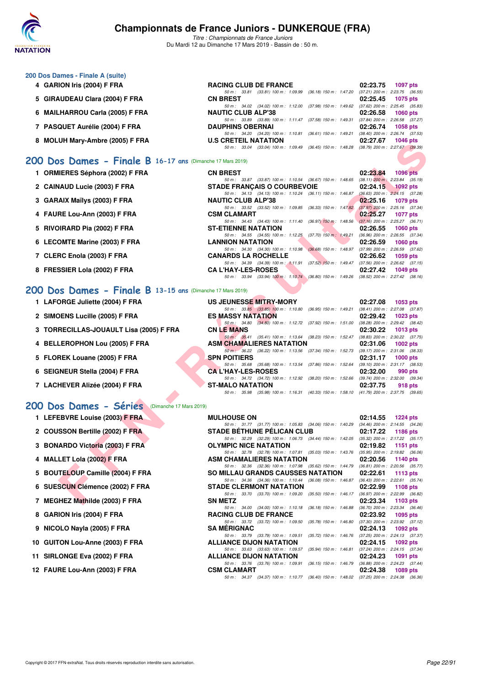

*Titre : Championnats de France Juniors* Du Mardi 12 au Dimanche 17 Mars 2019 - Bassin de : 50 m.

### **200 Dos Dames - Finale A (suite)**

**4 GARION Iris (2004) F FRA RACING CLUB DE FRANCE 02:23.75 1097 pts** *50 m : 33.81 (33.81) 100 m : 1:09.99 (36.18) 150 m : 1:47.20 (37.21) 200 m : 2:23.75 (36.55)* **5 GIRAUDEAU Clara (2004) F FRA CN BREST 02:25.45 1075 pts** *50 m : 34.02 (34.02) 100 m : 1:12.00 (37.98) 150 m : 1:49.62 (37.62) 200 m : 2:25.45 (35.83)*<br>**NAUTIC CLUB ALP'38** 02:26.58 1060 pts **6 MAILHARROU Carla (2005) F FRA** *50 m : 33.89 (33.89) 100 m : 1:11.47 (37.58) 150 m : 1:49.31 (37.84) 200 m : 2:26.58 (37.27)* **DAUPHINS OBERNAI 7 PASQUET Aurélie (2004) F FRA DAUPHINS OBERNAI 02:26.74 1058 pts** *50 m : 34.20 (34.20) 100 m : 1:10.81 (36.61) 150 m : 1:49.21 (38.40) 200 m : 2:26.74 (37.53)* 8 MOLUH Mary-Ambre (2005) F FRA **U.S CRETEIL NATATION** *50 m : 33.04 (33.04) 100 m : 1:09.49 (36.45) 150 m : 1:48.28 (38.79) 200 m : 2:27.67 (39.39)*

### **[200 Dos Dames - Finale B](http://www.ffnatation.fr/webffn/resultats.php?idact=nat&go=epr&idcpt=59271&idepr=13) 16-17 ans** (Dimanche 17 Mars 2019)

**ET CHARGE SHOP THAN SET AND THE SHOP CONSUMER SEP AND THE SHOP CONSUMER SEP AND THE SET AND THE SET AND THE SET AND THE SET AND THE SET AND THE SET AND THE SET AND THE SET AND THE SET AND THE SET AND THE SET AND THE SET 1 ORMIERES Séphora (2002) F FRA CN BREST 02:23.84 1096 pts** *50 m : 33.87 (33.87) 100 m : 1:10.54 (36.67) 150 m : 1:48.65 (38.11) 200 m : 2:23.84 (35.19)*<br>**IE FRANCAIS O COURBEVOIE** 02:24.15 1092 pts **2 CAINAUD Lucie (2003) F FRA** STADE FRANÇAIS O COURBEVOIE 02:24.15 **1092 pts**<br>  $\frac{50 \text{ m} \div 34.13}$  (34.13) 100 m: 1:10.24 (36.11) 150 m: 1:46.87 (36.63) 200 m: 2:24.15 (37.28) *50 m : 34.13 (34.13) 100 m : 1:10.24 (36.11) 150 m : 1:46.87*<br>**NAUTIC CLUB ALP'38 3 GARAIX Maïlys (2003) F FRA** NAUTIC CLUB ALP'38 **D2:25.16 02:25.16 1079 pts 50m:** 33.52 (33.52) 100 m: 1:09.85 (36.33) 150 m: 1:47.82 (37.97) 200 m: 2:25.16 (37.34) *50 m : 33.52 (33.52) 100 m : 1:09.85 (36.33) 150 m : 1:47.82* **4 FAURE Lou-Ann (2003) F FRA CSM CLAMART CSM CLAMART CONSERVATION CONSERVATION CONSERVATION CONSERVATION CONSERVATION CONSERVATION CONSERVATION CONSERVATION CONSERVATION CONSERVATION CONSERVATION CONSERVATION CONSERVATION** *50 m : 34.43 (34.43) 100 m : 1:11.40 (36.97) 150 m : 1:48.56 (37.16) 200 m : 2:25.27 (36.71)* **5 RIVOIRARD Pia (2002) F FRA ST-ETIENNE NATATION 02:26.55 1060 pts** *50 m : 34.55 (34.55) 100 m : 1:12.25 (37.70) 150 m : 1:49.21 (36.96) 200 m : 2:26.55 (37.34)* **6 LECOMTE Marine (2003) F FRA LANNION NATATION 02:26.59 1060 pts** *50 m : 34.30 (34.30) 100 m : 1:10.98 (36.68) 150 m : 1:48.97 (37.99) 200 m : 2:26.59 (37.62)* **7 CLERC Enola (2003) F FRA CANARDS LA ROCHELLE 02:26.62 1059 pts** *50 m : 34.39 (34.39) 100 m : 1:11.91 (37.52) 150 m : 1:49.47 (37.56) 200 m : 2:26.62 (37.15)* **8 FRESSIER Lola (2002) F FRA CA L'HAY-LES-ROSES 02:27.42 1049 pts** *50 m : 33.94 (33.94) 100 m : 1:10.74 (36.80) 150 m : 1:49.26 (38.52) 200 m : 2:27.42 (38.16)*

### **[200 Dos Dames - Finale B](http://www.ffnatation.fr/webffn/resultats.php?idact=nat&go=epr&idcpt=59271&idepr=13) 13-15 ans** (Dimanche 17 Mars 2019)

| 1 LAFORGE Juliette (2004) F FRA         | US JEUNESSE MITRY-MORY                                                                       | 02:27.08<br>1053 pts                |
|-----------------------------------------|----------------------------------------------------------------------------------------------|-------------------------------------|
|                                         | 50 m: 33.85 (33.85) 100 m: 1:10.80 (36.95) 150 m: 1:49.21                                    | $(38.41)$ 200 m : 2:27.08 $(37.87)$ |
| 2 SIMOENS Lucille (2005) F FRA          | <b>ES MASSY NATATION</b>                                                                     | $02:29.42$ 1023 pts                 |
|                                         | 50 m: 34.80 (34.80) 100 m: 1:12.72 (37.92) 150 m: 1:51.00                                    | $(38.28)$ 200 m : 2:29.42 $(38.42)$ |
| 3 TORRECILLAS-JOUAULT Lisa (2005) F FRA | <b>CN LE MANS</b>                                                                            | $02:30.22$ 1013 pts                 |
|                                         | 50 m : 35.41 (35.41) 100 m : 1:13.64 (38.23) 150 m : 1:52.47                                 | $(38.83)$ 200 m : 2:30.22 $(37.75)$ |
| 4 BELLEROPHON Lou (2005) F FRA          | <b>ASM CHAMALIERES NATATION</b>                                                              | $02:31.06$ 1002 pts                 |
|                                         | 50 m · 36.22 (36.22) 100 m : 1:13.56 (37.34) 150 m : 1:52.73 (39.17) 200 m : 2:31.06 (38.33) |                                     |
| 5 FLOREK Louane (2005) F FRA            | <b>SPN POITIERS</b>                                                                          | 02:31.17<br>$1000$ pts              |
|                                         | 50 m: 35.68 (35.68) 100 m: 1:13.54 (37.86) 150 m: 1:52.64 (39.10) 200 m: 2:31.17 (38.53)     |                                     |
| 6 SEIGNEUR Stella (2004) F FRA          | <b>CAL'HAY-LES-ROSES</b>                                                                     | 02:32.00<br>990 pts                 |
|                                         | 50 m: 34.72 (34.72) 100 m: 1:12.92 (38.20) 150 m: 1:52.66 (39.74) 200 m: 2:32.00 (39.34)     |                                     |
| 7 LACHEVER Alizée (2004) F FRA          | <b>ST-MALO NATATION</b>                                                                      | 02:37.75<br>918 pts                 |
|                                         | 50 m: 35.98 (35.98) 100 m: 1:16.31 (40.33) 150 m: 1:58.10 (41.79) 200 m: 2:37.75 (39.65)     |                                     |
| $\sim$ $\sim$ $\sim$                    |                                                                                              |                                     |

| 200 Dos Dames - Séries (Dimanche 17 Mars 2019) |                    |
|------------------------------------------------|--------------------|
| 1 LEFEBVRE Louise (2003) F FRA                 | <b>MULHOUSE ON</b> |

- **1 LEFEBVRE Louise (2003) F FRA**
- 2 COUSSON Bertille (2002) F FRA STADE BETHUNE **PELICAN CLUB 02:17.22**
- **3 BONARDO Victoria (2003) F FRA OLYMPIC NATALE OR ORIGINAL CONSTRUCTS**
- **4 MALLET Lola (2002) F FRA ASSAULTED ASSAULTED ASSAULTED ASSAULTED ASSAULTED ASSAULTED ASSAULTED ASSAULTED ASSAULTED ASSAULTED ASSAULTED ASSAULTED ASSAULTED ASSAULTED ASSAULTED ASSAULTED ASSAULTED ASSAULTED ASSAULTED ASSA**
- **5 BOUTELOUP Camille (2004) F FRA SOUTER**
- 6 SUESCUN Clémence (2002) F FRA STADE STADE STADE STADE STADE STADE STADE STADE STADE STADE STADE STADE STADE STADE STADE STADE STADE STADE STADE STADE STADE STADE STADE STADE STADE STADE STADE STADE STADE STADE STADE STAD
- **7 MEGHEZ Mathilde (2003) F FRA SN 83.342.34**
- **8 GARION Iris (2004) F FRA RACING CLUB DE FR**
- **9 NICOLO Nayla (2005) F FRA SA MÉRIGNAC 02:24.13 PTS**
- 10 GUITON Lou-Anne (2003) F FRA **ALLIANCE DI**
- **11 SIRLONGE Eva (2002) F FRA ALLIANCE DISPONENT MATERIAL REPORT OF ALCIANCE DISPONENT MATERIAL PTS**
- **12 FAURE Lou-Ann (2003) F FRA CSM CLAMART 02:24.38 1089 pts**

| <b>MULHOUSE ON</b>                                                                       | 02:14.55 1224 pts                   |
|------------------------------------------------------------------------------------------|-------------------------------------|
| 50 m: 31.77 (31.77) 100 m: 1:05.83 (34.06) 150 m: 1:40.29                                | $(34.46)$ 200 m : 2:14.55 $(34.26)$ |
| <b>STADE BÉTHUNE PÉLICAN CLUB</b>                                                        | 02:17.22 1186 pts                   |
| 50 m: 32.29 (32.29) 100 m: 1:06.73 (34.44) 150 m: 1:42.05                                | $(35.32)$ 200 m : 2:17.22 $(35.17)$ |
| <b>DLYMPIC NICE NATATION</b>                                                             | 02:19.82 1151 pts                   |
| 50 m: 32.78 (32.78) 100 m: 1:07.81 (35.03) 150 m: 1:43.76                                | $(35.95)$ 200 m : 2:19.82 $(36.06)$ |
| <b>\SM CHAMALIERES NATATION</b>                                                          | 02:20.56 1140 pts                   |
| 50 m: 32.36 (32.36) 100 m: 1:07.98 (35.62) 150 m: 1:44.79                                | $(36.81)$ 200 m : 2:20.56 $(35.77)$ |
| SO MILLAU GRANDS CAUSSES NATATION                                                        | $02:22.61$ 1113 pts                 |
| 50 m: 34.36 (34.36) 100 m: 1:10.44 (36.08) 150 m: 1:46.87 (36.43) 200 m: 2:22.61 (35.74) |                                     |
| STADE CLERMONT NATATION                                                                  | 02:22.99 1108 pts                   |
| 50 m: 33.70 (33.70) 100 m: 1:09.20 (35.50) 150 m: 1:46.17                                | $(36.97)$ 200 m : 2:22.99 $(36.82)$ |
| SN METZ                                                                                  | $02:23.34$ 1103 pts                 |
| 50 m: 34.00 (34.00) 100 m: 1:10.18 (36.18) 150 m: 1:46.88                                | $(36.70)$ 200 m : 2:23.34 $(36.46)$ |
| <b>RACING CLUB DE FRANCE</b>                                                             | 02:23.92 1095 pts                   |
| 50 m: 33.72 (33.72) 100 m: 1:09.50 (35.78) 150 m: 1:46.80                                | $(37.30)$ 200 m : 2:23.92 $(37.12)$ |
| SA MÉRIGNAC                                                                              | 02:24.13 1092 pts                   |
| 50 m: 33.79 (33.79) 100 m: 1:09.51 (35.72) 150 m: 1:46.76                                | $(37.25)$ 200 m : 2:24.13 $(37.37)$ |
| <b>ILLIANCE DIJON NATATION</b>                                                           | $02:24.15$ 1092 pts                 |
| 50 m: 33.63 (33.63) 100 m: 1:09.57<br>$(35.94)$ 150 m : 1:46.81                          | $(37.24)$ 200 m : 2:24.15 $(37.34)$ |
| <b>ILLIANCE DIJON NATATION</b>                                                           | 02:24.23 1091 pts                   |
| 50 m: 33.76 (33.76) 100 m: 1:09.91 (36.15) 150 m: 1:46.79 (36.88) 200 m: 2:24.23 (37.44) |                                     |
| CSM CLAMART:                                                                             | 02:24.38 1089 pts                   |
| 50 m: 34.37 (34.37) 100 m: 1:10.77 (36.40) 150 m: 1:48.02 (37.25) 200 m: 2:24.38 (36.36) |                                     |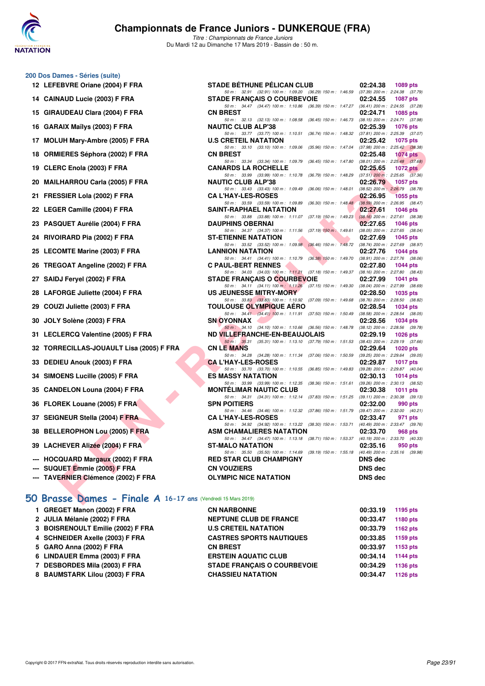

*Titre : Championnats de France Juniors* Du Mardi 12 au Dimanche 17 Mars 2019 - Bassin de : 50 m.

#### **200 Dos Dames - Séries (suite)**

- **12 LEFEBVRE Oriane (2004) F FRA STADE BÉTHUNE PÉLICAN CLUB 02:24.38 1089 pts**
- 14 CAINAUD Lucie (2003) F FRA
- 15 GIRAUDEAU Clara (2004) F FRA
- 16 GARAIX Maïlys (2003) F FRA
- 17 MOLUH Mary-Ambre (2005) F FRA
- 18 ORMIERES Séphora (2002) F FRA
- **19 CLERC Enola (2003) F FRA**
- 20 MAILHARROU Carla (2005) F FRA
- 21 FRESSIER Lola (2002) **F FRA**
- 22 LEGER Camille (2004) F FRA
- 23 PASQUET Aurélie (2004) F FRA
- 24 RIVOIRARD Pia (2002) F FRA
- 25 LECOMTE Marine (2003) F FRA
- 26 TREGOAT Angeline (2002) F FRA
- 27 SAIDJ Feryel (2002) **F FRA**
- 28 LAFORGE Juliette (2004) F FRA
- 29 COUZI Juliette (2003) F FRA
- **30 JOLY Solène (2003) F FRA**
- **31 LECLERCQ Valentine (2005) F FRA**
- **32 TORRECILLAS-JOUAULT Lisa (2005) F FRA**
- **33 DEDIEU Anouk (2003) F FRA**
- 34 SIMOENS Lucille (2005) F FRA
- **35 CANDELON Louna (2004) F FRA**
- **36 FLOREK Louane (2005) F FRA**
- **37 SEIGNEUR Stella (2004) F FRA**
- **38 BELLEROPHON Lou (2005) F FRA**
- 39 LACHEVER Alizée (2004) F FRA
- --- HOCQUARD Margaux (2002) F FRA
- **--- SUQUET Emmie (2005) F FRA**
- **--- TAVERNIER Clémence (2002) F FRA**

### **[50 Brasse Dames - Finale A](http://www.ffnatation.fr/webffn/resultats.php?idact=nat&go=epr&idcpt=59271&idepr=21) 16-17 ans** (Vendredi 15 Mars 2019)

| 1 GREGET Manon (2002) F FRA       | <b>CN NARBONNE</b>                 | 00:33.19 | 1195 pts        |
|-----------------------------------|------------------------------------|----------|-----------------|
| 2 JULIA Mélanie (2002) F FRA      | <b>NEPTUNE CLUB DE FRANCE</b>      | 00:33.47 | 1180 pts        |
| 3 BOISRENOULT Emilie (2002) F FRA | <b>U.S CRETEIL NATATION</b>        | 00:33.79 | 1162 pts        |
| 4 SCHNEIDER Axelle (2003) F FRA   | <b>CASTRES SPORTS NAUTIQUES</b>    | 00:33.85 | 1159 pts        |
| 5 GARO Anna (2002) F FRA          | <b>CN BREST</b>                    | 00:33.97 | 1153 pts        |
| 6 LINDAUER Emma (2003) F FRA      | <b>ERSTEIN AQUATIC CLUB</b>        | 00:34.14 | <b>1144 pts</b> |
| 7 DESBORDES Mila (2003) F FRA     | <b>STADE FRANCAIS O COURBEVOIE</b> | 00:34.29 | 1136 pts        |
| 8 BAUMSTARK Lilou (2003) F FRA    | <b>CHASSIEU NATATION</b>           | 00:34.47 | 1126 pts        |
|                                   |                                    |          |                 |

| <b>IAUD Lucie (2003) F FRA</b>     | 50 m: 32.91 (32.91) 100 m: 1:09.20 (36.29) 150 m: 1:46.59 (37.39) 200 m: 2:24.38 (37.79)<br><b>STADE FRANCAIS O COURBEVOIE</b> | 02:24.55<br>1087 pts        |
|------------------------------------|--------------------------------------------------------------------------------------------------------------------------------|-----------------------------|
| <b>AUDEAU Clara (2004) F FRA</b>   | 50 m: 34.47 (34.47) 100 m: 1:10.86 (36.39) 150 m: 1:47.27 (36.41) 200 m: 2:24.55 (37.28)<br><b>CN BREST</b>                    | 02:24.71<br><b>1085 pts</b> |
| AIX Maïlys (2003) F FRA            | 50 m: 32.13 (32.13) 100 m: 1:08.58 (36.45) 150 m: 1:46.73 (38.15) 200 m: 2:24.71 (37.98)<br><b>NAUTIC CLUB ALP'38</b>          | 02:25.39<br>1076 pts        |
|                                    | 50 m: 33.77 (33.77) 100 m: 1:10.51 (36.74) 150 m: 1:48.32 (37.81) 200 m: 2:25.39 (37.07)                                       |                             |
| UH Mary-Ambre (2005) F FRA         | <b>U.S CRETEIL NATATION</b><br>50 m: 33.10 (33.10) 100 m: 1:09.06 (35.96) 150 m: 1:47.04 (37.98) 200 m: 2:25.42 (38.38)        | 02:25.42<br>1075 pts        |
| IIERES Séphora (2002) F FRA        | <b>CN BREST</b>                                                                                                                | 02:25.48<br><b>1074 pts</b> |
| RC Enola (2003) F FRA              | 50 m: 33.34 (33.34) 100 m: 1:09.79 (36.45) 150 m: 1:47.80 (38.01) 200 m: 2:25.48 (37.68)<br><b>CANARDS LA ROCHELLE</b>         | 02:25.65<br>1072 pts        |
|                                    | 50 m: 33.99 (33.99) 100 m: 1:10.78 (36.79) 150 m: 1:48.29 (37.51) 200 m: 2:25.65 (37.36)<br><b>NAUTIC CLUB ALP'38</b>          | 02:26.79<br>1057 pts        |
| .HARROU Carla (2005) F FRA         | 50 m: 33.43 (33.43) 100 m: 1:09.49 (36.06) 150 m: 1:48.01 (38.52) 200 m: 2:26.79 (38.78)                                       |                             |
| SSIER Lola (2002) F FRA            | <b>CAL'HAY-LES-ROSES</b><br>50 m: 33.59 (33.59) 100 m: 1:09.89 (36.30) 150 m: 1:48.48 (38.59) 200 m: 2:26.95 (38.47)           | 02:26.95<br><b>1055 pts</b> |
| ER Camille (2004) F FRA            | <b>SAINT-RAPHAEL NATATION</b>                                                                                                  | 02:27.61<br><b>1046 pts</b> |
| QUET Aurélie (2004) F FRA          | 50 m: 33.88 (33.88) 100 m: 1:11.07 (37.19) 150 m: 1:49.23 (38.16) 200 m: 2:27.61 (38.38)<br><b>DAUPHINS OBERNAI</b>            | 02:27.65<br>1046 $pts$      |
|                                    | 50 m: 34.37 (34.37) 100 m: 1:11.56 (37.19) 150 m: 1:49.61 (38.05) 200 m: 2:27.65 (38.04)                                       |                             |
| )IRARD Pia (2002) F FRA            | <b>ST-ETIENNE NATATION</b><br>50 m: 33.52 (33.52) 100 m: 1:09.98 (36.46) 150 m: 1:48.72 (38.74) 200 m: 2:27.69 (38.97)         | 02:27.69<br>$1045$ pts      |
| OMTE Marine (2003) F FRA           | <b>LANNION NATATION</b>                                                                                                        | 02:27.76<br>1044 pts        |
|                                    | 50 m: 34.41 (34.41) 100 m: 1:10.79 (36.38) 150 m: 1:49.70 (38.91) 200 m: 2:27.76 (38.06)                                       |                             |
| GOAT Angeline (2002) F FRA         | <b>C PAUL-BERT RENNES</b><br>50 m: 34.03 (34.03) 100 m: 1:11.21 (37.18) 150 m: 1:49.37 (38.16) 200 m: 2:27.80 (38.43)          | 02:27.80<br>1044 pts        |
| <b>JJ Feryel (2002) F FRA</b>      | <b>STADE FRANCAIS O COURBEVOIE</b>                                                                                             | 02:27.99<br><b>1041 pts</b> |
|                                    | 50 m: 34.11 (34.11) 100 m: 1:11.26 (37.15) 150 m: 1:49.30 (38.04) 200 m: 2:27.99 (38.69)                                       |                             |
| <b>DRGE Juliette (2004) F FRA</b>  | US JEUNESSE MITRY-MORY<br>50 m: 33.83 (33.83) 100 m: 1:10.92 (37.09) 150 m: 1:49.68 (38.76) 200 m: 2:28.50 (38.82)             | 02:28.50<br>1035 pts        |
| ZI Juliette (2003) F FRA           | <b>TOULOUSE OLYMPIQUE AERO</b>                                                                                                 | 02:28.54<br><b>1034 pts</b> |
| Y Solène (2003) F FRA              | 50 m: 34.41 (34.41) 100 m: 1:11.91 (37.50) 150 m: 1:50.49 (38.58) 200 m: 2:28.54 (38.05)<br>SN OYONNAX                         | 02:28.56<br>1034 pts        |
|                                    | 50 m: 34.10 (34.10) 100 m: 1:10.66 (36.56) 150 m: 1:48.78 (38.12) 200 m: 2:28.56 (39.78)                                       |                             |
| LERCQ Valentine (2005) F FRA       | ND VILLEFRANCHE-EN-BEAUJOLAIS                                                                                                  | 02:29.19<br><b>1026 pts</b> |
| RECILLAS-JOUAULT Lisa (2005) F FRA | 50 m: 35.31 (35.31) 100 m: 1:13.10 (37.79) 150 m: 1:51.53 (38.43) 200 m: 2:29.19 (37.66)<br><b>CN LE MANS</b>                  | 02:29.64<br><b>1020 pts</b> |
|                                    | 50 m: 34.28 (34.28) 100 m: 1:11.34 (37.06) 150 m: 1:50.59 (39.25) 200 m: 2:29.64 (39.05)                                       |                             |
| IEU Anouk (2003) F FRA             | <b>CA L'HAY-LES-ROSES</b><br>50 m: 33.70 (33.70) 100 m: 1:10.55 (36.85) 150 m: 1:49.83 (39.28) 200 m: 2:29.87 (40.04)          | 02:29.87<br><b>1017 pts</b> |
| <b>DENS Lucille (2005) F FRA</b>   | <b>ES MASSY NATATION</b>                                                                                                       | 02:30.13<br>1014 pts        |
|                                    | 50 m: 33.99 (33.99) 100 m: 1:12.35 (38.36) 150 m: 1:51.61 (39.26) 200 m: 2:30.13 (38.52)                                       |                             |
| DELON Louna (2004) F FRA           | <b>MONTELIMAR NAUTIC CLUB</b><br>50 m: 34.31 (34.31) 100 m: 1:12.14 (37.83) 150 m: 1:51.25 (39.11) 200 m: 2:30.38 (39.13)      | 02:30.38<br>1011 $pts$      |
| REK Louane (2005) F FRA            | <b>SPN POITIERS</b>                                                                                                            | 02:32.00<br>990 pts         |
|                                    | 50 m: 34.46 (34.46) 100 m: 1:12.32 (37.86) 150 m: 1:51.79 (39.47) 200 m: 2:32.00 (40.21)                                       |                             |
| INEUR Stella (2004) F FRA          | <b>CA L'HAY-LES-ROSES</b><br>50 m: 34.92 (34.92) 100 m: 1:13.22 (38.30) 150 m: 1:53.71 (40.49) 200 m: 2:33.47 (39.76)          | 02:33.47<br>971 pts         |
| LEROPHON Lou (2005) F FRA          | <b>ASM CHAMALIERES NATATION</b>                                                                                                | 02:33.70<br>968 pts         |
|                                    | 50 m: 34.47 (34.47) 100 m: 1:13.18 (38.71) 150 m: 1:53.37 (40.19) 200 m: 2:33.70 (40.33)                                       |                             |
| HEVER Alizée (2004) F FRA l        | <b>ST-MALO NATATION</b><br>50 m: 35.50 (35.50) 100 m: 1:14.69 (39.19) 150 m: 1:55.18 (40.49) 200 m: 2:35.16 (39.98)            | 02:35.16<br>950 pts         |
| QUARD Margaux (2002) F FRA         | <b>RED STAR CLUB CHAMPIGNY</b>                                                                                                 | <b>DNS</b> dec              |
| UET Emmie (2005) F FRA             | <b>CN VOUZIERS</b>                                                                                                             | DNS dec                     |
| ERNIER Clémence (2002) F FRA       | <b>OLYMPIC NICE NATATION</b>                                                                                                   | <b>DNS dec</b>              |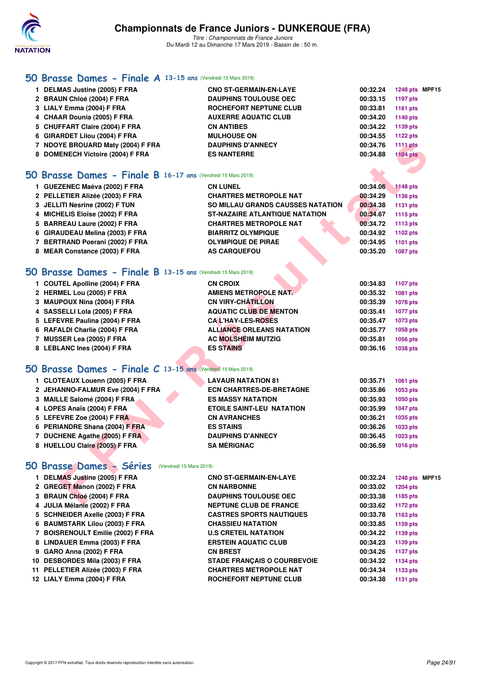

### **[50 Brasse Dames - Finale A](http://www.ffnatation.fr/webffn/resultats.php?idact=nat&go=epr&idcpt=59271&idepr=21) 13-15 ans** (Vendredi 15 Mars 2019)

| 1 DELMAS Justine (2005) F FRA     | <b>CNO ST-GERMAIN-EN-LAYE</b> | 00:32.24 | 1248 pts MPF15  |
|-----------------------------------|-------------------------------|----------|-----------------|
| 2 BRAUN Chloé (2004) F FRA        | <b>DAUPHINS TOULOUSE OEC</b>  | 00:33.15 | 1197 pts        |
| 3 LIALY Emma (2004) F FRA         | ROCHEFORT NEPTUNE CLUB        | 00:33.81 | 1161 $pts$      |
| 4 CHAAR Dounia (2005) F FRA       | <b>AUXERRE AQUATIC CLUB</b>   | 00:34.20 | 1140 pts        |
| 5 CHUFFART Claire (2004) F FRA    | <b>CN ANTIBES</b>             | 00:34.22 | 1139 pts        |
| 6 GIRARDET Lilou (2004) F FRA     | <b>MULHOUSE ON</b>            | 00:34.55 | 1122 pts        |
| 7 NDOYE BROUARD Maty (2004) F FRA | <b>DAUPHINS D'ANNECY</b>      | 00:34.76 | 1111 pts        |
| 8 DOMENECH Victoire (2004) F FRA  | <b>ES NANTERRE</b>            | 00:34.88 | <b>1104 pts</b> |
|                                   |                               |          |                 |

### **[50 Brasse Dames - Finale B](http://www.ffnatation.fr/webffn/resultats.php?idact=nat&go=epr&idcpt=59271&idepr=21) 16-17 ans** (Vendredi 15 Mars 2019)

| 7 NDOYE BROUARD Maty (2004) F FRA                           | <b>DAUPHINS D'ANNECY</b>                 | 00:34.76 | 1111 pts        |  |
|-------------------------------------------------------------|------------------------------------------|----------|-----------------|--|
| 8 DOMENECH Victoire (2004) F FRA                            | <b>ES NANTERRE</b>                       | 00:34.88 | <b>1104 pts</b> |  |
|                                                             |                                          |          |                 |  |
| O Brasse Dames - Finale B 16-17 ans (Vendredi 15 Mars 2019) |                                          |          |                 |  |
| 1 GUEZENEC Maéva (2002) F FRA                               | <b>CN LUNEL</b>                          | 00:34.06 | <b>1148 pts</b> |  |
| 2 PELLETIER Alizée (2003) F FRA                             | <b>CHARTRES METROPOLE NAT</b>            | 00:34.29 | <b>1136 pts</b> |  |
| 3 JELLITI Nesrine (2002) F TUN                              | <b>SO MILLAU GRANDS CAUSSES NATATION</b> | 00:34.38 | 1131 pts        |  |
| 4 MICHELIS Eloïse (2002) F FRA                              | <b>ST-NAZAIRE ATLANTIQUE NATATION</b>    | 00:34.67 | 1115 pts        |  |
| 5 BARREAU Laure (2002) F FRA                                | <b>CHARTRES METROPOLE NAT</b>            | 00:34.72 | 1113 pts        |  |
| 6 GIRAUDEAU Melina (2003) F FRA                             | <b>BIARRITZ OLYMPIQUE</b>                | 00:34.92 | 1102 pts        |  |
| 7 BERTRAND Poerani (2002) F FRA                             | <b>OLYMPIQUE DE PIRAE</b>                | 00:34.95 | 1101 pts        |  |
| 8 MEAR Constance (2003) F FRA                               | <b>AS CARQUEFOU</b>                      | 00:35.20 | 1087 pts        |  |
|                                                             |                                          |          |                 |  |
| O Brasse Dames - Finale B 13-15 ans (Vendredi 15 Mars 2019) |                                          |          |                 |  |
| 1 COUTEL Apolline (2004) F FRA                              | <b>CN CROIX</b>                          | 00:34.83 | 1107 pts        |  |
| 2 HERMEL Lou (2005) F FRA                                   | <b>AMIENS METROPOLE NAT.</b>             | 00:35.32 | 1081 pts        |  |
| 3 MAUPOUX Nina (2004) F FRA                                 | <b>CN VIRY-CHATILLON</b>                 | 00:35.39 | <b>1078 pts</b> |  |
| 4 SASSELLI Lola (2005) F FRA                                | <b>AQUATIC CLUB DE MENTON</b>            | 00:35.41 | <b>1077 pts</b> |  |
| 5 LEFEVRE Paulina (2004) F FRA                              | <b>CAL'HAY-LES-ROSES</b>                 | 00:35.47 | 1073 pts        |  |
| 6 RAFALDI Charlie (2004) F FRA                              | <b>ALLIANCE ORLEANS NATATION</b>         | 00:35.77 | 1058 pts        |  |
| 7 MUSSER Lea (2005) F FRA                                   | <b>AC MOLSHEIM MUTZIG</b>                | 00:35.81 | 1056 pts        |  |
| 8 LEBLANC Ines (2004) F FRA                                 | <b>ES STAINS</b>                         | 00:36.16 | 1038 pts        |  |
| O Brasse Dames - Finale C 13-15 ans (Vendredi 15 Mars 2019) |                                          |          |                 |  |
|                                                             |                                          |          |                 |  |
| 1 CLOTEAUX Louenn (2005) F FRA                              | <b>LAVAUR NATATION 81</b>                | 00:35.71 | 1061 pts        |  |
| 2 JEHANNO-FALMUR Eve (2004) F FRA                           | <b>ECN CHARTRES-DE-BRETAGNE</b>          | 00:35.86 | 1053 pts        |  |
| 3 MAILLE Salomé (2004) F FRA                                | <b>ES MASSY NATATION</b>                 | 00:35.93 | 1050 pts        |  |
| 4 LOPES Anaïs (2004) F FRA                                  | <b>ETOILE SAINT-LEU NATATION</b>         | 00:35.99 | <b>1047 pts</b> |  |
| 5 LEFEVRE Zoe (2004) F FRA                                  | <b>CN AVRANCHES</b>                      | 00:36.21 | 1035 pts        |  |
| 6 PERIANDRE Shana (2004) F FRA                              | <b>ES STAINS</b>                         | 00:36.26 | 1033 pts        |  |
| 7 DUCHENE Agathe (2005) F FRA                               | <b>DAUPHINS D'ANNECY</b>                 | 00:36.45 | 1023 pts        |  |
| 8 HUELLOU Claire (2005) F FRA                               | <b>SA MÉRIGNAC</b>                       | 00:36.59 | <b>1016 pts</b> |  |
|                                                             |                                          |          |                 |  |
| O Brasse Dames - Séries (Vendredi 15 Mars 2019)             |                                          |          |                 |  |
| 1 DELMAS Justine (2005) F FRA                               | <b>CNO ST-GERMAIN-EN-LAYE</b>            | 00:32.24 | 1248 pts MPF1   |  |
| 2 GREGET Manon (2002) F FRA                                 | <b>CN NARBONNE</b>                       | 00:33.02 | <b>1204 pts</b> |  |
| 3 BRAUN Chloé (2004) F FRA                                  | <b>DAUPHINS TOULOUSE OEC</b>             | 00:33.38 | 1185 pts        |  |
| $A$ UUIA Málania (0000) E EDA                               | NEDTINE OLID DE EDANCE                   | 00.226   | $-4.470 - 44$   |  |

# **[50 Brasse Dames - Finale B](http://www.ffnatation.fr/webffn/resultats.php?idact=nat&go=epr&idcpt=59271&idepr=21) 13-15 ans** (Vendredi 15 Mars 2019)

| 1 COUTEL Apolline (2004) F FRA | <b>CN CROIX</b>                  | 00:34.83 | 1107 pts |
|--------------------------------|----------------------------------|----------|----------|
| 2 HERMEL Lou (2005) F FRA      | AMIENS METROPOLE NAT.            | 00:35.32 | 1081 pts |
| 3 MAUPOUX Nina (2004) F FRA    | <b>CN VIRY-CHÂTILLON</b>         | 00:35.39 | 1078 pts |
| 4 SASSELLI Lola (2005) F FRA   | <b>AQUATIC CLUB DE MENTON</b>    | 00:35.41 | 1077 pts |
| 5 LEFEVRE Paulina (2004) F FRA | <b>CAL'HAY-LES-ROSES</b>         | 00:35.47 | 1073 pts |
| 6 RAFALDI Charlie (2004) F FRA | <b>ALLIANCE ORLEANS NATATION</b> | 00:35.77 | 1058 pts |
| 7 MUSSER Lea (2005) F FRA      | <b>AC MOLSHEIM MUTZIG</b>        | 00:35.81 | 1056 pts |
| 8 LEBLANC Ines (2004) F FRA    | <b>ES STAINS</b>                 | 00:36.16 | 1038 pts |
|                                |                                  |          |          |

# **[50 Brasse Dames - Finale C](http://www.ffnatation.fr/webffn/resultats.php?idact=nat&go=epr&idcpt=59271&idepr=21) 13-15 ans** (Vendredi 15 Mars 2019)

| <b>LAVAUR NATATION 81</b>        | 00:35.71 | <b>1061 pts</b> |
|----------------------------------|----------|-----------------|
| <b>ECN CHARTRES-DE-BRETAGNE</b>  | 00:35.86 | 1053 pts        |
| <b>ES MASSY NATATION</b>         | 00:35.93 | 1050 pts        |
| <b>ETOILE SAINT-LEU NATATION</b> | 00:35.99 | 1047 pts        |
| <b>CN AVRANCHES</b>              | 00:36.21 | 1035 pts        |
| <b>ES STAINS</b>                 | 00:36.26 | 1033 pts        |
| <b>DAUPHINS D'ANNECY</b>         | 00:36.45 | 1023 pts        |
| <b>SA MÉRIGNAC</b>               | 00:36.59 | 1016 pts        |
|                                  |          |                 |

# **[50 Brasse Dames - Séries](http://www.ffnatation.fr/webffn/resultats.php?idact=nat&go=epr&idcpt=59271&idepr=21)** (Vendredi 15 Mars 2019)

| 1 DELMAS Justine (2005) F FRA<br>2 GREGET Manon (2002) F FRA<br>3 BRAUN Chloé (2004) F FRA | <b>CNO ST-GERMAIN-EN-LAYE</b><br><b>CN NARBONNE</b><br><b>DAUPHINS TOULOUSE OEC</b> | 00:32.24<br>00:33.02<br>00:33.38 | 1248 pts MPF15<br><b>1204 pts</b><br>1185 pts |  |
|--------------------------------------------------------------------------------------------|-------------------------------------------------------------------------------------|----------------------------------|-----------------------------------------------|--|
| 4 JULIA Mélanie (2002) F FRA                                                               | <b>NEPTUNE CLUB DE FRANCE</b>                                                       | 00:33.62                         | 1172 pts                                      |  |
| 5 SCHNEIDER Axelle (2003) F FRA                                                            | <b>CASTRES SPORTS NAUTIQUES</b>                                                     | 00:33.78                         | 1163 pts                                      |  |
| 6 BAUMSTARK Lilou (2003) F FRA                                                             | <b>CHASSIEU NATATION</b>                                                            | 00:33.85                         | 1159 pts                                      |  |
| 7 BOISRENOULT Emilie (2002) F FRA                                                          | <b>U.S CRETEIL NATATION</b>                                                         | 00:34.22                         | 1139 pts                                      |  |
| 8 LINDAUER Emma (2003) F FRA                                                               | <b>ERSTEIN AQUATIC CLUB</b>                                                         | 00:34.23                         | 1139 pts                                      |  |
| 9 GARO Anna (2002) F FRA                                                                   | <b>CN BREST</b>                                                                     | 00:34.26                         | 1137 pts                                      |  |
| 10 DESBORDES Mila (2003) F FRA                                                             | <b>STADE FRANÇAIS O COURBEVOIE</b>                                                  | 00:34.32                         | 1134 pts                                      |  |
| 11 PELLETIER Alizée (2003) F FRA                                                           | <b>CHARTRES METROPOLE NAT</b>                                                       | 00:34.34                         | 1133 pts                                      |  |
| 12 LIALY Emma (2004) F FRA                                                                 | ROCHEFORT NEPTUNE CLUB                                                              | 00:34.38                         | 1131 pts                                      |  |
|                                                                                            |                                                                                     |                                  |                                               |  |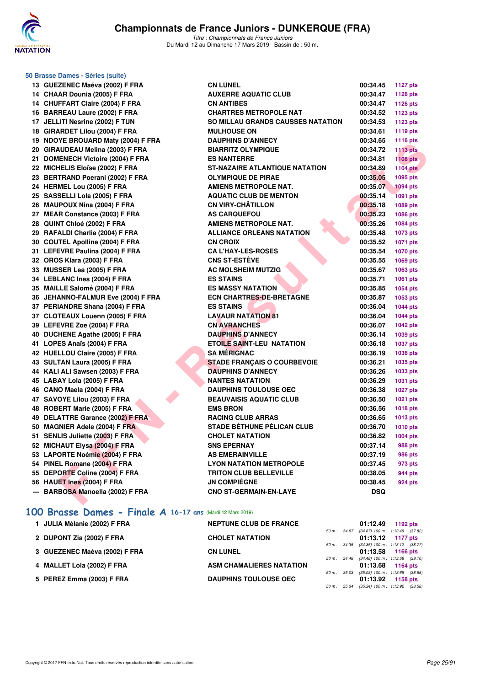

**50 Brasse Dames - Séries (suite)**

# **Championnats de France Juniors - DUNKERQUE (FRA)**

*Titre : Championnats de France Juniors* Du Mardi 12 au Dimanche 17 Mars 2019 - Bassin de : 50 m.

| 13 GUEZENEC Maéva (2002) F FRA     | <b>CN LUNEL</b>                          | 00:34.45   | 1127 pts        |
|------------------------------------|------------------------------------------|------------|-----------------|
| 14 CHAAR Dounia (2005) F FRA       | <b>AUXERRE AQUATIC CLUB</b>              | 00:34.47   | 1126 pts        |
| 14 CHUFFART Claire (2004) F FRA    | <b>CN ANTIBES</b>                        | 00:34.47   | <b>1126 pts</b> |
| 16 BARREAU Laure (2002) F FRA      | <b>CHARTRES METROPOLE NAT</b>            | 00:34.52   | 1123 pts        |
| 17 JELLITI Nesrine (2002) F TUN    | <b>SO MILLAU GRANDS CAUSSES NATATION</b> | 00:34.53   | 1123 pts        |
| 18 GIRARDET Lilou (2004) F FRA     | <b>MULHOUSE ON</b>                       | 00:34.61   | 1119 pts        |
| 19 NDOYE BROUARD Maty (2004) F FRA | <b>DAUPHINS D'ANNECY</b>                 | 00:34.65   | 1116 pts        |
| 20 GIRAUDEAU Melina (2003) F FRA   | <b>BIARRITZ OLYMPIQUE</b>                | 00:34.72   | <b>1113 pts</b> |
| 21 DOMENECH Victoire (2004) F FRA  | <b>ES NANTERRE</b>                       | 00:34.81   | <b>1108 pts</b> |
| 22 MICHELIS Eloïse (2002) F FRA    | <b>ST-NAZAIRE ATLANTIQUE NATATION</b>    | 00:34.89   | <b>1104 pts</b> |
| 23 BERTRAND Poerani (2002) F FRA   | <b>OLYMPIQUE DE PIRAE</b>                | 00:35.05   | 1095 pts        |
| 24 HERMEL Lou (2005) F FRA         | <b>AMIENS METROPOLE NAT.</b>             | 00:35.07   | <b>1094 pts</b> |
| 25 SASSELLI Lola (2005) F FRA      | <b>AQUATIC CLUB DE MENTON</b>            | 00:35.14   | <b>1091 pts</b> |
| 26 MAUPOUX Nina (2004) F FRA       | <b>CN VIRY-CHÂTILLON</b>                 | 00:35.18   | 1089 pts        |
| 27 MEAR Constance (2003) F FRA     | <b>AS CARQUEFOU</b>                      | 00:35.23   | 1086 pts        |
| 28 QUINT Chloé (2002) F FRA        | <b>AMIENS METROPOLE NAT.</b>             | 00:35.26   | 1084 pts        |
| 29 RAFALDI Charlie (2004) F FRA    | <b>ALLIANCE ORLEANS NATATION</b>         | 00:35.48   | 1073 pts        |
| 30 COUTEL Apolline (2004) F FRA    | <b>CN CROIX</b>                          | 00:35.52   | 1071 pts        |
| 31 LEFEVRE Paulina (2004) F FRA    | <b>CA L'HAY-LES-ROSES</b>                | 00:35.54   | 1070 pts        |
| 32 OROS Klara (2003) F FRA         | <b>CNS ST-ESTÈVE</b>                     | 00:35.55   | 1069 pts        |
| 33 MUSSER Lea (2005) F FRA         | <b>AC MOLSHEIM MUTZIG</b>                | 00:35.67   | 1063 pts        |
| 34 LEBLANC Ines (2004) F FRA       | <b>ES STAINS</b>                         | 00:35.71   | 1061 pts        |
| 35 MAILLE Salomé (2004) F FRA      | <b>ES MASSY NATATION</b>                 | 00:35.85   | 1054 pts        |
| 36 JEHANNO-FALMUR Eve (2004) F FRA | <b>ECN CHARTRES-DE-BRETAGNE</b>          | 00:35.87   | 1053 pts        |
| 37 PERIANDRE Shana (2004) F FRA    | <b>ES STAINS</b>                         | 00:36.04   | 1044 pts        |
| 37 CLOTEAUX Louenn (2005) F FRA    | <b>LAVAUR NATATION 81</b>                | 00:36.04   | 1044 pts        |
| 39 LEFEVRE Zoe (2004) F FRA        | <b>CN AVRANCHES</b>                      | 00:36.07   | 1042 pts        |
| 40 DUCHENE Agathe (2005) F FRA     | <b>DAUPHINS D'ANNECY</b>                 | 00:36.14   | 1039 pts        |
| 41 LOPES Anaïs (2004) F FRA        | <b>ETOILE SAINT-LEU NATATION</b>         | 00:36.18   | <b>1037 pts</b> |
| 42 HUELLOU Claire (2005) F FRA     | <b>SA MÉRIGNAC</b>                       | 00:36.19   | 1036 pts        |
| 43 SULTAN Laura (2005) F FRA       | <b>STADE FRANÇAIS O COURBEVOIE</b>       | 00:36.21   | 1035 pts        |
| 44 KALI ALI Sawsen (2003) F FRA    | <b>DAUPHINS D'ANNECY</b>                 | 00:36.26   | 1033 pts        |
| 45 LABAY Lola (2005) F FRA         | <b>NANTES NATATION</b>                   | 00:36.29   | 1031 pts        |
| 46 CANO Maela (2004) F FRA         | <b>DAUPHINS TOULOUSE OEC</b>             | 00:36.38   | <b>1027 pts</b> |
| 47 SAVOYE Lilou (2003) F FRA       | <b>BEAUVAISIS AQUATIC CLUB</b>           | 00:36.50   | 1021 pts        |
| 48 ROBERT Marie (2005) F FRA       | <b>EMS BRON</b>                          | 00:36.56   | 1018 pts        |
| 49 DELATTRE Garance (2002) F FRA   | <b>RACING CLUB ARRAS</b>                 | 00:36.65   | <b>1013 pts</b> |
| 50 MAGNIER Adele (2004) F FRA      | <b>STADE BÉTHUNE PÉLICAN CLUB</b>        | 00:36.70   | 1010 pts        |
| 51 SENLIS Juliette (2003) F FRA    | <b>CHOLET NATATION</b>                   | 00:36.82   | 1004 pts        |
| 52 MICHAUT Elysa (2004) F FRA      | <b>SNS EPERNAY</b>                       | 00:37.14   | 988 pts         |
| 53 LAPORTE Noémie (2004) F FRA     | <b>AS EMERAINVILLE</b>                   | 00:37.19   | <b>986 pts</b>  |
| 54 PINEL Romane (2004) F FRA       | <b>LYON NATATION METROPOLE</b>           | 00:37.45   | 973 pts         |
| 55 DEPORTE Coline (2004) F FRA     | <b>TRITON CLUB BELLEVILLE</b>            | 00:38.05   | <b>944 pts</b>  |
| 56 HAUET Ines (2004) F FRA         | <b>JN COMPIÈGNE</b>                      | 00:38.45   | 924 pts         |
| --- BARBOSA Manoella (2002) F FRA  | <b>CNO ST-GERMAIN-EN-LAYE</b>            | <b>DSQ</b> |                 |
|                                    |                                          |            |                 |

|  |  |  |  |  |  |  |  | 100 Brasse Dames - Finale A 16-17 ans (Mardi 12 Mars 2019) |  |
|--|--|--|--|--|--|--|--|------------------------------------------------------------|--|
|--|--|--|--|--|--|--|--|------------------------------------------------------------|--|

| 1 JULIA Mélanie (2002) F FRA  | <b>NEPTUNE CLUB DE FRANCE</b>   |                  | 01:12.49                                                          | 1192 $pts$ |
|-------------------------------|---------------------------------|------------------|-------------------------------------------------------------------|------------|
| 2 DUPONT Zia (2002) F FRA     | <b>CHOLET NATATION</b>          | $50 m$ : $34.67$ | $(34.67)$ 100 m : 1:12.49 $(37.82)$<br>$01:13.12$ 1177 pts        |            |
|                               |                                 |                  | 50 m: 34.35 (34.35) 100 m: 1:13.12 (38.77)                        |            |
| 3 GUEZENEC Maéva (2002) F FRA | <b>CN LUNEL</b>                 |                  | 01:13.58 1166 pts                                                 |            |
| 4 MALLET Lola (2002) F FRA    | <b>ASM CHAMALIERES NATATION</b> |                  | 50 m: 34.48 (34.48) 100 m: 1:13.58 (39.10)<br>$01:13.68$ 1164 pts |            |
| 5 PEREZ Emma (2003) F FRA     | <b>DAUPHINS TOULOUSE OEC</b>    | 50 m: 35.03      | $(35.03)$ 100 m : 1:13.68 $(38.65)$<br>01:13.92                   | 1158 pts   |
|                               |                                 | 50 m : 35.34     | $(35.34)$ 100 m : 1:13.92 $(38.58)$                               |            |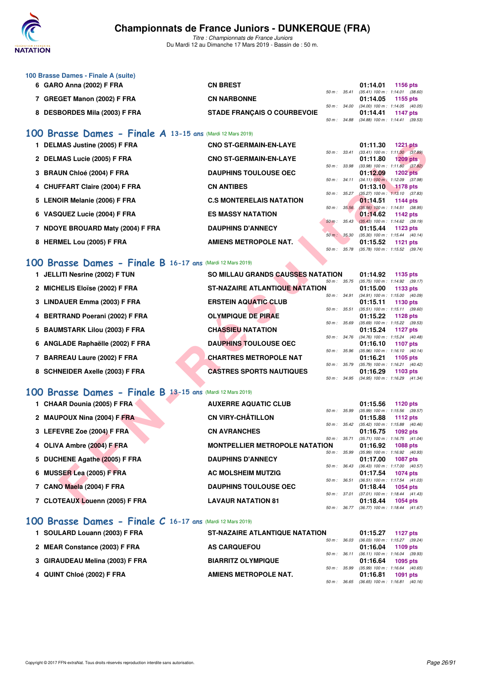

*Titre : Championnats de France Juniors* Du Mardi 12 au Dimanche 17 Mars 2019 - Bassin de : 50 m.

| 100 Brasse Dames - Finale A (suite) |                                    |  |                                              |  |
|-------------------------------------|------------------------------------|--|----------------------------------------------|--|
| 6 GARO Anna (2002) F FRA            | <b>CN BREST</b>                    |  | 01:14.01 1156 pts                            |  |
|                                     |                                    |  | 50 m : 35.41 (35.41) 100 m : 1:14.01 (38.60) |  |
| <b>GREGET Manon (2002) F FRA</b>    | <b>CN NARBONNE</b>                 |  | $01:14.05$ 1155 pts                          |  |
|                                     |                                    |  | 50 m : 34.00 (34.00) 100 m : 1:14.05 (40.05) |  |
| <b>DESBORDES Mila (2003) F FRA</b>  | <b>STADE FRANCAIS O COURBEVOIE</b> |  | $01:14.41$ 1147 pts                          |  |
|                                     |                                    |  | 50 m : 34.88 (34.88) 100 m : 1:14.41 (39.53) |  |

### **[100 Brasse Dames - Finale A](http://www.ffnatation.fr/webffn/resultats.php?idact=nat&go=epr&idcpt=59271&idepr=22) 13-15 ans** (Mardi 12 Mars 2019)

| 1 DELMAS Justine (2005) F FRA                             | <b>CNO ST-GERMAIN-EN-LAYE</b>   |              |             | 01:11.30                            | <b>1221 pts</b> |  |
|-----------------------------------------------------------|---------------------------------|--------------|-------------|-------------------------------------|-----------------|--|
|                                                           |                                 | 50 m: 33.41  |             | $(33.41)$ 100 m : 1:11.30 $(37.89)$ |                 |  |
| 2 DELMAS Lucie (2005) F FRA                               | <b>CNO ST-GERMAIN-EN-LAYE</b>   |              |             | 01:11.80                            | $1209$ pts      |  |
|                                                           |                                 | 50 m: 33.98  |             | $(33.98)$ 100 m : 1:11.80 $(37.82)$ |                 |  |
| 3 BRAUN Chloé (2004) F FRA                                | <b>DAUPHINS TOULOUSE OEC</b>    |              |             | 01:12.09                            | <b>1202 pts</b> |  |
|                                                           |                                 | 50 m: 34.11  |             | $(34.11)$ 100 m : 1:12.09 $(37.98)$ |                 |  |
| 4 CHUFFART Claire (2004) F FRA                            | <b>CN ANTIBES</b>               |              |             | 01:13.10                            | <b>1178 pts</b> |  |
|                                                           |                                 | 50 m: 35.27  |             | $(35.27)$ 100 m : 1:13.10 $(37.83)$ |                 |  |
| 5 LENOIR Melanie (2006) F FRA                             | <b>C.S MONTERELAIS NATATION</b> |              |             | 01:14.51                            | 1144 $pts$      |  |
|                                                           |                                 |              | 50 m: 35.56 | $(35.56)$ 100 m : 1:14.51 $(38.95)$ |                 |  |
| 6 VASQUEZ Lucie (2004) F FRA                              | <b>ES MASSY NATATION</b>        |              |             | 01:14.62                            | 1142 $pts$      |  |
|                                                           |                                 | 50 m : 35.43 |             | $(35.43)$ 100 m : 1:14.62 $(39.19)$ |                 |  |
| 7 NDOYE BROUARD Maty (2004) F FRA                         | <b>DAUPHINS D'ANNECY</b>        |              |             | 01:15.44                            | 1123 $pts$      |  |
|                                                           |                                 | 50 m: 35.30  |             | $(35.30)$ 100 m : 1:15.44 $(40.14)$ |                 |  |
| 8 HERMEL Lou (2005) F FRA                                 | <b>AMIENS METROPOLE NAT.</b>    |              |             | 01:15.52                            | $1121$ pts      |  |
|                                                           |                                 | 50 m: 35.78  |             | $(35.78)$ 100 m : 1:15.52 $(39.74)$ |                 |  |
|                                                           |                                 |              |             |                                     |                 |  |
| 00 Brasse Dames - Finale B 16-17 ans (Mardi 12 Mars 2019) |                                 |              |             |                                     |                 |  |

### **[100 Brasse Dames - Finale B](http://www.ffnatation.fr/webffn/resultats.php?idact=nat&go=epr&idcpt=59271&idepr=22) 16-17 ans** (Mardi 12 Mars 2019)

| 1 DELMAS Justine (2005) F FRA                             | <b>CNO ST-GERMAIN-EN-LAYE</b>         |                  |              | 01:11.30                                               | <b>1221 pts</b> |  |
|-----------------------------------------------------------|---------------------------------------|------------------|--------------|--------------------------------------------------------|-----------------|--|
| 2 DELMAS Lucie (2005) F FRA                               | <b>CNO ST-GERMAIN-EN-LAYE</b>         |                  | 50 m : 33.41 | $(33.41)$ 100 m : 1:11.30 $(37.89)$<br>01:11.80        | <b>1209 pts</b> |  |
|                                                           | <b>DAUPHINS TOULOUSE OEC</b>          | 50 m : 33.98     |              | $(33.98)$ 100 m : 1:11.80 $(37.82)$                    | <b>1202 pts</b> |  |
| 3 BRAUN Chloé (2004) F FRA                                |                                       | $50 m$ : $34.11$ |              | 01:12.09<br>$(34.11)$ 100 m : 1:12.09 $(37.98)$        |                 |  |
| 4 CHUFFART Claire (2004) F FRA                            | <b>CN ANTIBES</b>                     |                  |              | 01:13.10                                               | 1178 pts        |  |
| 5 LENOIR Melanie (2006) F FRA                             | <b>C.S MONTERELAIS NATATION</b>       | 50 m : 35.27     |              | $(35.27)$ 100 m : 1:13.10 $(37.83)$<br>01:14.51        | 1144 pts        |  |
|                                                           |                                       | 50 m: 35.56      |              | $(35.56)$ 100 m : 1:14.51 $(38.95)$                    |                 |  |
| 6 VASQUEZ Lucie (2004) F FRA                              | <b>ES MASSY NATATION</b>              | 50 m: 35.43      |              | 01:14.62<br>$(35.43)$ 100 m : 1:14.62 $(39.19)$        | 1142 pts        |  |
| 7 NDOYE BROUARD Maty (2004) F FRA                         | <b>DAUPHINS D'ANNECY</b>              |                  |              | 01:15.44                                               | 1123 pts        |  |
|                                                           |                                       | 50 m: 35.30      |              | $(35.30)$ 100 m : 1:15.44 $(40.14)$                    |                 |  |
| 8 HERMEL Lou (2005) F FRA                                 | <b>AMIENS METROPOLE NAT.</b>          |                  |              | 01:15.52                                               | <b>1121 pts</b> |  |
|                                                           |                                       | 50 m : 35.78     |              | $(35.78)$ 100 m : 1:15.52 $(39.74)$                    |                 |  |
| 00 Brasse Dames - Finale B 16-17 ans (Mardi 12 Mars 2019) |                                       |                  |              |                                                        |                 |  |
| 1 JELLITI Nesrine (2002) F TUN                            | SO MILLAU GRANDS CAUSSES NATATION     |                  |              | 01:14.92                                               | 1135 pts        |  |
|                                                           |                                       | 50 m: 35.75      |              | $(35.75)$ 100 m : 1:14.92 $(39.17)$                    |                 |  |
| 2 MICHELIS Eloïse (2002) F FRA                            | <b>ST-NAZAIRE ATLANTIQUE NATATION</b> |                  |              | 01:15.00                                               | 1133 pts        |  |
| 3 LINDAUER Emma (2003) F FRA                              | <b>ERSTEIN AQUATIC CLUB</b>           | 50 m : 34.91     |              | $(34.91)$ 100 m : 1:15.00 $(40.09)$<br>01:15.11        | 1130 pts        |  |
|                                                           |                                       |                  | 50 m : 35.51 | $(35.51)$ 100 m : 1:15.11 $(39.60)$                    |                 |  |
| 4 BERTRAND Poerani (2002) F FRA                           | <b>OLYMPIQUE DE PIRAE</b>             |                  |              | 01:15.22                                               | 1128 pts        |  |
|                                                           |                                       | 50 m : 35.69     |              | $(35.69)$ 100 m : 1:15.22 $(39.53)$                    |                 |  |
| 5 BAUMSTARK Lilou (2003) F FRA                            | <b>CHASSIEU NATATION</b>              |                  | 50 m : 34.76 | 01:15.24<br>$(34.76)$ 100 m : 1:15.24 $(40.48)$        | <b>1127 pts</b> |  |
| 6 ANGLADE Raphaëlle (2002) F FRA                          | <b>DAUPHINS TOULOUSE OEC</b>          |                  |              | 01:16.10                                               | 1107 pts        |  |
|                                                           |                                       | 50 m : 35.96     |              | $(35.96)$ 100 m : 1:16.10 $(40.14)$                    |                 |  |
| 7 BARREAU Laure (2002) F FRA                              | <b>CHARTRES METROPOLE NAT</b>         |                  |              | 01:16.21                                               | 1105 pts        |  |
| 8 SCHNEIDER Axelle (2003) F FRA                           | <b>CASTRES SPORTS NAUTIQUES</b>       | 50 m : 35.79     |              | $(35.79)$ 100 m : 1:16.21 $(40.42)$                    |                 |  |
|                                                           |                                       |                  |              | 01:16.29<br>50 m: 34.95 (34.95) 100 m: 1:16.29 (41.34) | 1103 pts        |  |
|                                                           |                                       |                  |              |                                                        |                 |  |
| 00 Brasse Dames - Finale B 13-15 ans (Mardi 12 Mars 2019) |                                       |                  |              |                                                        |                 |  |
| 1 CHAAR Dounia (2005) F FRA                               | <b>AUXERRE AQUATIC CLUB</b>           |                  |              | 01:15.56                                               | 1120 pts        |  |
|                                                           |                                       | 50 m : 35.99     |              | $(35.99)$ 100 m : 1:15.56 $(39.57)$                    |                 |  |
| 2 MAUPOUX Nina (2004) F FRA                               | <b>CN VIRY-CHÂTILLON</b>              |                  | 50 m : 35.42 | 01:15.88<br>$(35.42)$ 100 m : 1:15.88 $(40.46)$        | 1112 pts        |  |
| 3 LEFEVRE Zoe (2004) F FRA                                | <b>CN AVRANCHES</b>                   |                  |              | 01:16.75                                               | 1092 pts        |  |
|                                                           |                                       | 50 m : 35.71     |              | (35.71) 100 m: 1:16.75 (41.04)                         |                 |  |
| 4 OLIVA Ambre (2004) F FRA                                | <b>MONTPELLIER METROPOLE NATATION</b> |                  |              | 01:16.92                                               | <b>1088 pts</b> |  |
| 5 DUCHENE Agathe (2005) F FRA                             | <b>DAUPHINS D'ANNECY</b>              | 50 m : 35.99     |              | $(35.99)$ 100 m : 1:16.92 $(40.93)$<br>01:17.00        | <b>1087 pts</b> |  |
|                                                           |                                       | 50 m : 36.43     |              | $(36.43)$ 100 m : 1:17.00 $(40.57)$                    |                 |  |
| 6 MUSSER Lea (2005) F FRA                                 | <b>AC MOLSHEIM MUTZIG</b>             |                  |              | 01:17.54                                               | <b>1074 pts</b> |  |
|                                                           |                                       | 50 m: 36.51      |              | $(36.51)$ 100 m : 1:17.54 $(41.03)$                    |                 |  |
| 7 CANO Maela (2004) F FRA                                 | <b>DAUPHINS TOULOUSE OEC</b>          |                  | 50 m : 37.01 | 01:18.44<br>$(37.01)$ 100 m : 1:18.44 $(41.43)$        | 1054 pts        |  |
| 7 CLOTEAUX Louenn (2005) F FRA                            | <b>LAVAUR NATATION 81</b>             |                  |              | 01:18.44                                               | <b>1054 pts</b> |  |

# **[100 Brasse Dames - Finale B](http://www.ffnatation.fr/webffn/resultats.php?idact=nat&go=epr&idcpt=59271&idepr=22) 13-15 ans** (Mardi 12 Mars 2019)

| 1 CHAAR Dounia (2005) F FRA    | <b>AUXERRE AQUATIC CLUB</b>           |                        | 01:15.56                            | 1120 $pts$      |  |
|--------------------------------|---------------------------------------|------------------------|-------------------------------------|-----------------|--|
|                                |                                       | 50 m : 35.99           | (35.99) 100 m: 1:15.56 (39.57)      |                 |  |
| 2 MAUPOUX Nina (2004) F FRA    | <b>CN VIRY-CHÂTILLON</b>              |                        | 01:15.88                            | 1112 $pts$      |  |
|                                |                                       | $50 m$ : $35.42$       | $(35.42)$ 100 m : 1:15.88 $(40.46)$ |                 |  |
| 3 LEFEVRE Zoe (2004) F FRA     | <b>CN AVRANCHES</b>                   |                        | 01:16.75                            | 1092 pts        |  |
|                                |                                       | $50 m$ : $35.71$       | $(35.71)$ 100 m : 1:16.75 $(41.04)$ |                 |  |
| 4 OLIVA Ambre (2004) F FRA     | <b>MONTPELLIER METROPOLE NATATION</b> |                        | 01:16.92                            | <b>1088 pts</b> |  |
|                                |                                       | 50 m : 35.99           | $(35.99)$ 100 m : 1:16.92 $(40.93)$ |                 |  |
| 5 DUCHENE Agathe (2005) F FRA  | <b>DAUPHINS D'ANNECY</b>              |                        | 01:17.00                            | <b>1087 pts</b> |  |
|                                |                                       | $50 m$ : $36.43$       | $(36.43)$ 100 m : 1:17.00 $(40.57)$ |                 |  |
| 6 MUSSER Lea (2005) F FRA      | <b>AC MOLSHEIM MUTZIG</b>             |                        | 01:17.54                            | <b>1074 pts</b> |  |
|                                |                                       | $50 m$ : $36.51$       | $(36.51)$ 100 m : 1:17.54 $(41.03)$ |                 |  |
| 7 CANO Maela (2004) F FRA      | <b>DAUPHINS TOULOUSE OEC</b>          |                        | 01:18.44                            | <b>1054 pts</b> |  |
|                                |                                       | 50 m: 37.01            | $(37.01)$ 100 m : 1:18.44 $(41.43)$ |                 |  |
| 7 CLOTEAUX Louenn (2005) F FRA | <b>LAVAUR NATATION 81</b>             |                        | 01:18.44                            | $1054$ pts      |  |
|                                |                                       | $50 \text{ m}$ : 36.77 | $(36.77)$ 100 m : 1:18.44 $(41.67)$ |                 |  |

### **[100 Brasse Dames - Finale C](http://www.ffnatation.fr/webffn/resultats.php?idact=nat&go=epr&idcpt=59271&idepr=22) 16-17 ans** (Mardi 12 Mars 2019)

| 1 SOULARD Louann (2003) F FRA   | <b>ST-NAZAIRE ATLANTIQUE NATATION</b> |              | 01:15.27                                                          | 1127 $p$ ts     |  |
|---------------------------------|---------------------------------------|--------------|-------------------------------------------------------------------|-----------------|--|
| 2 MEAR Constance (2003) F FRA   | <b>AS CARQUEFOU</b>                   | 50 m : 36.03 | $(36.03)$ 100 m : 1:15.27 $(39.24)$<br>$01:16.04$ 1109 pts        |                 |  |
| 3 GIRAUDEAU Melina (2003) F FRA | <b>BIARRITZ OLYMPIQUE</b>             |              | 50 m: 36.11 (36.11) 100 m: 1:16.04 (39.93)<br>$01:16.64$ 1095 pts |                 |  |
| 4 QUINT Chloé (2002) F FRA      | AMIENS METROPOLE NAT.                 | 50 m : 35.99 | $(35.99)$ 100 m : 1:16.64 $(40.65)$<br>01:16.81                   | <b>1091 pts</b> |  |
|                                 |                                       |              | 50 m : 36.65 (36.65) 100 m : 1:16.81 (40.16)                      |                 |  |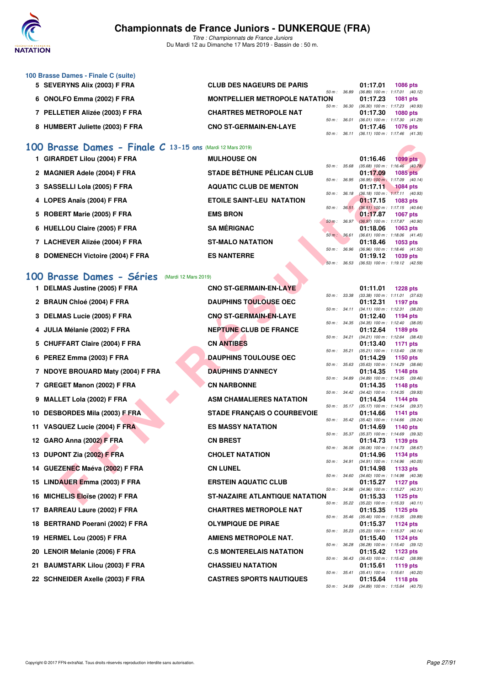

*Titre : Championnats de France Juniors* Du Mardi 12 au Dimanche 17 Mars 2019 - Bassin de : 50 m.

| 100 Brasse Dames - Finale C (suite) |                                       |                                     |
|-------------------------------------|---------------------------------------|-------------------------------------|
| 5 SEVERYNS Alix (2003) F FRA        | <b>CLUB DES NAGEURS DE PARIS</b>      | <b>1086 pts</b><br>01:17.01         |
|                                     | $50 m$ : $36.89$                      | $(36.89)$ 100 m : 1:17.01 $(40.12)$ |
| 6 ONOLFO Emma (2002) F FRA          | <b>MONTPELLIER METROPOLE NATATION</b> | 01:17.23<br><b>1081 pts</b>         |
|                                     | 50 m : 36.30                          | $(36.30)$ 100 m : 1:17.23 $(40.93)$ |
| 7 PELLETIER Alizée (2003) F FRA     | <b>CHARTRES METROPOLE NAT</b>         | 01:17.30<br>1080 pts                |
|                                     | $50 m$ : $36.01$                      | $(36.01)$ 100 m : 1:17.30 $(41.29)$ |
| 8 HUMBERT Juliette (2003) F FRA     | <b>CNO ST-GERMAIN-EN-LAYE</b>         | 01:17.46<br><b>1076 pts</b>         |
|                                     | 50 m : 36.11                          | $(36.11)$ 100 m : 1:17.46 $(41.35)$ |

# **[100 Brasse Dames - Finale C](http://www.ffnatation.fr/webffn/resultats.php?idact=nat&go=epr&idcpt=59271&idepr=22) 13-15 ans** (Mardi 12 Mars 2019)

| 1 GIRARDET Lilou (2004) F FRA    | <b>MULHOUSE ON</b>                |                  | 01:16.46                            | $1099$ pts      |  |
|----------------------------------|-----------------------------------|------------------|-------------------------------------|-----------------|--|
|                                  |                                   | 50 m: 35.68      | $(35.68)$ 100 m : 1:16.46 $(40.78)$ |                 |  |
| 2 MAGNIER Adele (2004) F FRA     | <b>STADE BÉTHUNE PÉLICAN CLUB</b> |                  | 01:17.09                            | <b>1085 pts</b> |  |
|                                  |                                   | $50 m$ : $36.95$ | $(36.95)$ 100 m : 1:17.09 $(40.14)$ |                 |  |
| 3 SASSELLI Lola (2005) F FRA     | <b>AQUATIC CLUB DE MENTON</b>     |                  | 01:17.11                            | $1084$ pts      |  |
|                                  |                                   | $50 m$ : $36.18$ | $(36.18)$ 100 m : 1:17.11 $(40.93)$ |                 |  |
| 4 LOPES Anaïs (2004) F FRA       | <b>ETOILE SAINT-LEU NATATION</b>  |                  | 01:17.15                            | <b>1083 pts</b> |  |
|                                  |                                   | 50 m: 36.51      | $(36.51)$ 100 m : 1:17.15 $(40.64)$ |                 |  |
| 5 ROBERT Marie (2005) F FRA      | <b>EMS BRON</b>                   |                  | 01:17.87                            | <b>1067 pts</b> |  |
|                                  |                                   | 50 m : 36.97     | $(36.97)$ 100 m : 1:17.87 $(40.90)$ |                 |  |
| 6 HUELLOU Claire (2005) F FRA    | <b>SA MÉRIGNAC</b>                |                  | 01:18.06                            | $1063$ pts      |  |
|                                  |                                   | 50 m: 36.61      | $(36.61)$ 100 m : 1:18.06 $(41.45)$ |                 |  |
| 7 LACHEVER Alizée (2004) F FRA   | <b>ST-MALO NATATION</b>           |                  | 01:18.46                            | 1053 pts        |  |
|                                  |                                   | 50 m: 36.96      | $(36.96)$ 100 m : 1:18.46 $(41.50)$ |                 |  |
| 8 DOMENECH Victoire (2004) F FRA | <b>ES NANTERRE</b>                |                  | 01:19.12                            | <b>1039 pts</b> |  |
|                                  |                                   | 50 m: 36.53      | $(36.53)$ 100 m : 1:19.12 $(42.59)$ |                 |  |

# **[100 Brasse Dames - Séries](http://www.ffnatation.fr/webffn/resultats.php?idact=nat&go=epr&idcpt=59271&idepr=22)** (Mardi 12 Mars 2019)

| 00 | Brasse Dames - Finale C 13-15 ans (Mardi 12 Mars 2019) |                                    |                |              |          |                                                        |
|----|--------------------------------------------------------|------------------------------------|----------------|--------------|----------|--------------------------------------------------------|
|    | 1 GIRARDET Lilou (2004) F FRA                          | <b>MULHOUSE ON</b>                 |                |              | 01:16.46 | $1099$ pts                                             |
|    | 2 MAGNIER Adele (2004) F FRA                           | <b>STADE BÉTHUNE PÉLICAN CLUB</b>  | 50 m : 35.68   |              | 01:17.09 | $(35.68)$ 100 m : 1:16.46 $(40.78)$<br><b>1085 pts</b> |
|    | 3 SASSELLI Lola (2005) F FRA                           | <b>AQUATIC CLUB DE MENTON</b>      | 50 m: 36.95    |              | 01:17.11 | $(36.95)$ 100 m : 1:17.09 $(40.14)$<br><b>1084 pts</b> |
|    | 4 LOPES Anaïs (2004) F FRA                             | <b>ETOILE SAINT-LEU NATATION</b>   | 50 m: 36.18    |              |          | $(36.18)$ 100 m : 1:17.11 $(40.93)$                    |
|    |                                                        |                                    | 50 m: 36.51    |              | 01:17.15 | 1083 pts<br>$(36.51)$ 100 m : 1:17.15 $(40.64)$        |
| 5  | ROBERT Marie (2005) F FRA                              | <b>EMS BRON</b>                    | 50 m: 36.97    |              | 01:17.87 | <b>1067 pts</b><br>$(36.97)$ 100 m : 1:17.87 $(40.90)$ |
| 6  | <b>HUELLOU Claire (2005) F FRA</b>                     | <b>SA MÉRIGNAC</b>                 |                |              | 01:18.06 | 1063 pts                                               |
|    | 7 LACHEVER Alizée (2004) F FRA                         | <b>ST-MALO NATATION</b>            | 50 m: 36.61    |              | 01:18.46 | $(36.61)$ 100 m : 1:18.06 $(41.45)$<br>1053 pts        |
|    | 8 DOMENECH Victoire (2004) F FRA                       | <b>ES NANTERRE</b>                 | 50 m : 36.96   |              | 01:19.12 | $(36.96)$ 100 m : 1:18.46 $(41.50)$<br>1039 pts        |
|    |                                                        |                                    | $50 m$ : 36.53 |              |          | (36.53) 100 m: 1:19.12 (42.59)                         |
|    | <b>00 Brasse Dames - Séries</b> (Mardi 12 Mars 2019)   |                                    |                |              |          |                                                        |
|    | 1 DELMAS Justine (2005) F FRA                          | <b>CNO ST-GERMAIN-EN-LAYE</b>      |                |              | 01:11.01 | <b>1228 pts</b>                                        |
|    | 2 BRAUN Chloé (2004) F FRA                             | <b>DAUPHINS TOULOUSE OEC</b>       | 50 m : 33.38   |              | 01:12.31 | $(33.38)$ 100 m : 1:11.01 $(37.63)$<br>1197 pts        |
|    |                                                        |                                    |                | 50 m : 34.11 |          | (34.11) 100 m: 1:12.31 (38.20)                         |
|    | 3 DELMAS Lucie (2005) F FRA                            | <b>CNO ST-GERMAIN-EN-LAYE</b>      |                | 50 m: 34.35  | 01:12.40 | 1194 pts<br>$(34.35)$ 100 m : 1:12.40 $(38.05)$        |
| 4  | JULIA Mélanie (2002) F FRA                             | <b>NEPTUNE CLUB DE FRANCE</b>      |                |              | 01:12.64 | 1189 pts                                               |
|    | 5 CHUFFART Claire (2004) F FRA                         | <b>CN ANTIBES</b>                  | 50 m: 34.21    |              | 01:13.40 | (34.21) 100 m: 1:12.64 (38.43)<br><b>1171 pts</b>      |
|    |                                                        |                                    | 50 m: 35.21    |              |          | $(35.21)$ 100 m : 1:13.40 $(38.19)$                    |
|    | 6 PEREZ Emma (2003) F FRA                              | <b>DAUPHINS TOULOUSE OEC</b>       | 50 m: 35.63    |              | 01:14.29 | 1150 pts<br>(35.63) 100 m: 1:14.29 (38.66)             |
|    | 7 NDOYE BROUARD Maty (2004) F FRA                      | <b>DAUPHINS D'ANNECY</b>           |                |              | 01:14.35 | 1148 pts                                               |
|    | 7 GREGET Manon (2002) F FRA                            | <b>CN NARBONNE</b>                 | 50 m : 34.89   |              | 01:14.35 | (34.89) 100 m: 1:14.35 (39.46)<br>1148 pts             |
| 9  | <b>MALLET Lola (2002) F FRA</b>                        | <b>ASM CHAMALIERES NATATION</b>    |                | 50 m: 34.42  | 01:14.54 | (34.42) 100 m: 1:14.35 (39.93)<br>1144 pts             |
|    | 10 DESBORDES Mila (2003) F FRA                         | <b>STADE FRANÇAIS O COURBEVOIE</b> |                | 50 m : 35.17 | 01:14.66 | (35.17) 100 m: 1:14.54 (39.37)<br>1141 pts             |
|    | 11 VASQUEZ Lucie (2004) F FRA                          | <b>ES MASSY NATATION</b>           |                | 50 m: 35.42  | 01:14.69 | $(35.42)$ 100 m : 1:14.66 $(39.24)$<br><b>1140 pts</b> |
|    |                                                        |                                    | 50 m: 35.37    |              |          | (35.37) 100 m: 1:14.69 (39.32)                         |
|    | 12 GARO Anna (2002) F FRA                              | <b>CN BREST</b>                    | 50 m : 36.06   |              | 01:14.73 | 1139 pts<br>(36.06) 100 m: 1:14.73 (38.67)             |
| 13 | DUPONT Zia (2002) F FRA                                | <b>CHOLET NATATION</b>             | 50 m : 34.91   |              | 01:14.96 | 1134 pts<br>(34.91) 100 m: 1:14.96 (40.05)             |
|    | 14 GUEZENEC Maéva (2002) F FRA                         | <b>CN LUNEL</b>                    |                |              | 01:14.98 | 1133 pts                                               |
|    | 15 LINDAUER Emma (2003) F FRA                          | <b>ERSTEIN AQUATIC CLUB</b>        |                | 50 m : 34.60 | 01:15.27 | (34.60) 100 m: 1:14.98 (40.38)<br>1127 pts             |
|    |                                                        |                                    | 50 m: 34.96    |              |          | $(34.96)$ 100 m : 1:15.27 $(40.31)$                    |
|    | 16 MICHELIS Eloïse (2002) F FRA                        | ST-NAZAIRE ATLANTIQUE NATATION     |                | 50 m: 35.22  | 01:15.33 | <b>1125 pts</b><br>$(35.22)$ 100 m : 1:15.33 $(40.11)$ |
|    | 17 BARREAU Laure (2002) F FRA                          | CHARTRES METROPOLE NAT             |                |              | 01:15.35 | 1125 pts                                               |
|    | 18 BERTRAND Poerani (2002) F FRA                       | <b>OLYMPIQUE DE PIRAE</b>          |                | 50 m: 35.46  | 01:15.37 | (35.46) 100 m: 1:15.35 (39.89)<br><b>1124 pts</b>      |
| 19 | <b>HERMEL Lou (2005) F FRA</b>                         | <b>AMIENS METROPOLE NAT.</b>       |                | 50 m : 35.23 | 01:15.40 | (35.23) 100 m: 1:15.37 (40.14)<br>1124 pts             |
| 20 |                                                        | <b>C.S MONTERELAIS NATATION</b>    | 50 m : 36.28   |              |          | $(36.28)$ 100 m : 1:15.40 $(39.12)$                    |
|    | LENOIR Melanie (2006) F FRA                            |                                    |                | 50 m : 36.43 | 01:15.42 | 1123 pts<br>$(36.43)$ 100 m : 1:15.42 $(38.99)$        |
| 21 | <b>BAUMSTARK Lilou (2003) F FRA</b>                    | <b>CHASSIEU NATATION</b>           |                | 50 m : 35.41 | 01:15.61 | 1119 pts<br>$(35.41)$ 100 m : 1:15.61 $(40.20)$        |
|    | 22 SCHNEIDER Axelle (2003) F FRA                       | <b>CASTRES SPORTS NAUTIQUES</b>    |                |              | 01:15.64 | 1118 pts                                               |
|    |                                                        |                                    |                |              |          | 50 m : 34.89 (34.89) 100 m : 1:15.64 (40.75)           |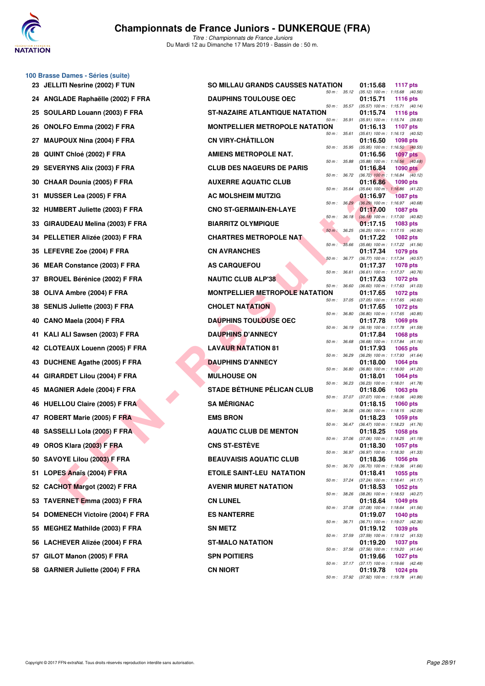

**100 Brasse Dames - Séries (suite)**

# **Championnats de France Juniors - DUNKERQUE (FRA)**

*Titre : Championnats de France Juniors* Du Mardi 12 au Dimanche 17 Mars 2019 - Bassin de : 50 m.

|    | 23 JELLITI Nesrine (2002) F TUN     | <b>SO MILLAU GRANDS CAUSSES NATATION</b>              |                  | 01:15.68                                                 | 1117 pts        |
|----|-------------------------------------|-------------------------------------------------------|------------------|----------------------------------------------------------|-----------------|
|    | 24 ANGLADE Raphaëlle (2002) F FRA   | 50 m: 35.12<br><b>DAUPHINS TOULOUSE OEC</b>           |                  | $(35.12)$ 100 m : 1:15.68 $(40.56)$<br>01:15.71          | <b>1116 pts</b> |
| 25 | SOULARD Louann (2003) F FRA         | 50 m: 35.57<br><b>ST-NAZAIRE ATLANTIQUE NATATION</b>  |                  | (35.57) 100 m: 1:15.71 (40.14)<br>01:15.74               | <b>1116 pts</b> |
| 26 | <b>ONOLFO Emma (2002) F FRA</b>     | 50 m : 35.91<br><b>MONTPELLIER METROPOLE NATATION</b> |                  | (35.91) 100 m: 1:15.74 (39.83)<br>01:16.13               | 1107 pts        |
| 27 | <b>MAUPOUX Nina (2004) F FRA</b>    | 50 m : 35.61<br><b>CN VIRY-CHÂTILLON</b>              |                  | (35.61) 100 m: 1:16.13 (40.52)<br>01:16.50               | 1098 pts        |
| 28 | QUINT Chloé (2002) F FRA            | 50 m : 35.95<br><b>AMIENS METROPOLE NAT.</b>          |                  | (35.95) 100 m: 1:16.50 (40.55)<br>01:16.56               | <b>1097 pts</b> |
| 29 | <b>SEVERYNS Alix (2003) F FRA</b>   | 50 m : 35.88<br><b>CLUB DES NAGEURS DE PARIS</b>      |                  | $(35.88)$ 100 m : 1:16.56 $(40.68)$<br>01:16.84          | <b>1090 pts</b> |
|    | 30 CHAAR Dounia (2005) F FRA        | 50 m : 36.72<br><b>AUXERRE AQUATIC CLUB</b>           |                  | $(36.72)$ 100 m : 1:16.84 $(40.12)$<br>01:16.86          | <b>1090 pts</b> |
| 31 | <b>MUSSER Lea (2005) F FRA</b>      | 50 m :<br><b>AC MOLSHEIM MUTZIG</b>                   | 35.64            | (35.64) 100 m: 1:16.86 (41.22)<br>01:16.97               | <b>1087 pts</b> |
|    | 32 HUMBERT Juliette (2003) F FRA    | 50 m: 36.29<br><b>CNO ST-GERMAIN-EN-LAYE</b>          |                  | (36.29) 100 m : 1:16.97 (40.68)<br>01:17.00              | <b>1087 pts</b> |
|    | 33 GIRAUDEAU Melina (2003) F FRA    | <b>BIARRITZ OLYMPIQUE</b>                             | $50 m$ : $36.18$ | $(36.18)$ 100 m : 1:17.00 $(40.82)$<br>01:17.15          | 1083 pts        |
|    | 34 PELLETIER Alizée (2003) F FRA    | $50 m$ :<br><b>CHARTRES METROPOLE NAT</b>             | 36.25            | (36.25) 100 m: 1:17.15 (40.90)<br>01:17.22               | <b>1082 pts</b> |
|    | 35 LEFEVRE Zoe (2004) F FRA         | 50 m: 35.66<br><b>CN AVRANCHES</b>                    |                  | $(35.66)$ 100 m : 1:17.22 $(41.56)$<br>01:17.34          | 1079 pts        |
|    | 36 MEAR Constance (2003) F FRA      | $50 m$ : $36.77$<br><b>AS CARQUEFOU</b>               |                  | (36.77) 100 m : 1:17.34 (40.57)<br>01:17.37              | <b>1078 pts</b> |
| 37 | <b>BROUEL Bérénice (2002) F FRA</b> | 50 m : 36.61<br><b>NAUTIC CLUB ALP'38</b>             |                  | (36.61) 100 m: 1:17.37 (40.76)<br>01:17.63               | <b>1072 pts</b> |
| 38 | OLIVA Ambre (2004) F FRA            | 50 m : 36.60<br><b>MONTPELLIER METROPOLE NATATION</b> |                  | $(36.60)$ 100 m : 1:17.63 $(41.03)$<br>01:17.65          | 1072 pts        |
| 38 | <b>SENLIS Juliette (2003) F FRA</b> | <b>CHOLET NATATION</b>                                | 50 m : 37.05     | (37.05) 100 m: 1:17.65 (40.60)<br>01:17.65               | 1072 pts        |
| 40 | CANO Maela (2004) F FRA             | 50 m : 36.80<br><b>DAUPHINS TOULOUSE OEC</b>          |                  | (36.80) 100 m: 1:17.65 (40.85)<br>01:17.78               | <b>1069 pts</b> |
| 41 | KALI ALI Sawsen (2003) F FRA        | 50 m : 36.19<br><b>DAUPHINS D'ANNECY</b>              |                  | (36.19) 100 m: 1:17.78 (41.59)<br>01:17.84               | 1068 pts        |
|    | 42 CLOTEAUX Louenn (2005) F FRA     | 50 m : 36.68<br><b>LAVAUR NATATION 81</b>             |                  | $(36.68)$ 100 m : 1:17.84 $(41.16)$<br>01:17.93          | <b>1065 pts</b> |
|    | 43 DUCHENE Agathe (2005) F FRA      | 50 m : 36.29<br><b>DAUPHINS D'ANNECY</b>              |                  | (36.29) 100 m: 1:17.93 (41.64)<br>01:18.00               | 1064 pts        |
| 44 | <b>GIRARDET Lilou (2004) F FRA</b>  | 50 m : 36.80<br><b>MULHOUSE ON</b>                    |                  | (36.80) 100 m: 1:18.00 (41.20)<br>01:18.01               | 1064 pts        |
| 45 | <b>MAGNIER Adele (2004) F FRA</b>   | 50 m : 36.23<br><b>STADE BÉTHUNE PÉLICAN CLUB</b>     |                  | (36.23) 100 m: 1:18.01 (41.78)<br>01:18.06               | 1063 pts        |
| 46 | <b>HUELLOU Claire (2005) F FRA</b>  | <b>SA MÉRIGNAC</b>                                    | 50 m : 37.07     | (37.07) 100 m: 1:18.06 (40.99)<br>01:18.15               | <b>1060 pts</b> |
| 47 | ROBERT Marie (2005) F FRA           | <b>EMS BRON</b>                                       | 50 m : 36.06     | $(36.06)$ 100 m : 1:18.15 $(42.09)$<br>01:18.23          | 1059 pts        |
|    | 48 SASSELLI Lola (2005) F FRA       | 50 m : 36.47<br><b>AQUATIC CLUB DE MENTON</b>         |                  | (36.47) 100 m: 1:18.23 (41.76)<br>01:18.25               | 1058 pts        |
|    | 49 OROS Klara (2003) F FRA          | 50 m : 37.06<br><b>CNS ST-ESTÈVE</b>                  |                  | $(37.06)$ 100 m : 1:18.25 $(41.19)$<br>01:18.30          | <b>1057 pts</b> |
|    | 50 SAVOYE Lilou (2003) F FRA        | 50 m : 36.97<br><b>BEAUVAISIS AQUATIC CLUB</b>        |                  | $(36.97)$ 100 m : 1:18.30 $(41.33)$<br>01:18.36          | 1056 pts        |
|    | 51 LOPES Anaïs (2004) F FRA         | 50 m : 36.70<br><b>ETOILE SAINT-LEU NATATION</b>      |                  | (36.70) 100 m: 1:18.36 (41.66)<br>01:18.41               | <b>1055 pts</b> |
|    | 52 CACHOT Margot (2002) F FRA       | <b>AVENIR MURET NATATION</b>                          | 50 m : 37.24     | $(37.24)$ 100 m : 1:18.41 $(41.17)$<br>01:18.53          | 1052 pts        |
|    | 53 TAVERNET Emma (2003) F FRA       | <b>CN LUNEL</b>                                       | 50 m : 38.26     | (38.26) 100 m: 1:18.53 (40.27)<br>01:18.64               | <b>1049 pts</b> |
|    | 54 DOMENECH Victoire (2004) F FRA   | 50 m : 37.08<br><b>ES NANTERRE</b>                    |                  | $(37.08)$ 100 m : 1:18.64 $(41.56)$<br>01:19.07          | <b>1040 pts</b> |
|    | 55 MEGHEZ Mathilde (2003) F FRA     | <b>SN METZ</b>                                        | 50 m : 36.71     | (36.71) 100 m : 1:19.07 (42.36)<br>01:19.12              | 1039 pts        |
|    | 56 LACHEVER Alizée (2004) F FRA     | 50 m : 37.59<br><b>ST-MALO NATATION</b>               |                  | (37.59) 100 m: 1:19.12 (41.53)<br>01:19.20               | <b>1037 pts</b> |
|    | 57 GILOT Manon (2005) F FRA         | <b>SPN POITIERS</b>                                   | 50 m : 37.56     | (37.56) 100 m: 1:19.20 (41.64)<br>01:19.66               | <b>1027 pts</b> |
|    | 58 GARNIER Juliette (2004) F FRA    | <b>CN NIORT</b>                                       |                  | 50 m : 37.17 (37.17) 100 m : 1:19.66 (42.49)<br>01:19.78 | 1024 pts        |
|    |                                     |                                                       |                  | 50 m: 37.92 (37.92) 100 m: 1:19.78 (41.86)               |                 |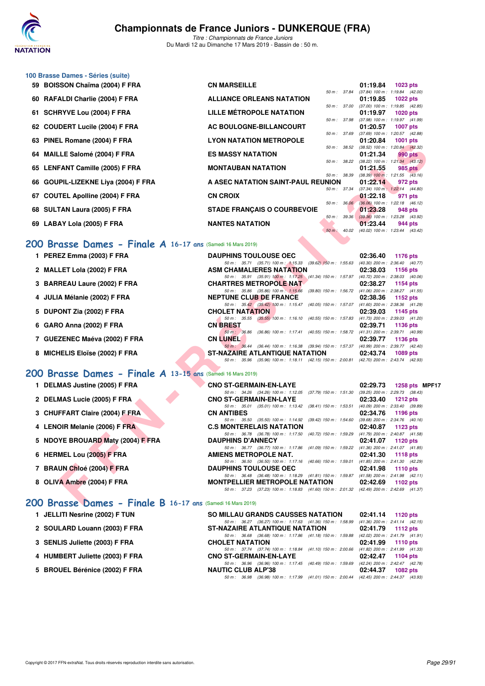

*Titre : Championnats de France Juniors* Du Mardi 12 au Dimanche 17 Mars 2019 - Bassin de : 50 m.

|    | 100 Brasse Dames - Séries (suite)<br>59 BOISSON Chaïma (2004) F FRA | <b>CN MARSEILLE</b>                                                                                                         | 01:19.84<br>1023 pts                                               |
|----|---------------------------------------------------------------------|-----------------------------------------------------------------------------------------------------------------------------|--------------------------------------------------------------------|
| 60 | RAFALDI Charlie (2004) F FRA                                        | 50 m : 37.84<br><b>ALLIANCE ORLEANS NATATION</b>                                                                            | (37.84) 100 m: 1:19.84 (42.00)<br>01:19.85<br><b>1022 pts</b>      |
|    |                                                                     |                                                                                                                             | 50 m: 37.00 (37.00) 100 m: 1:19.85 (42.85)                         |
| 61 | <b>SCHRYVE Lou (2004) F FRA</b>                                     | LILLE MÉTROPOLE NATATION<br>50 m : 37.98                                                                                    | <b>1020 pts</b><br>01:19.97<br>(37.98) 100 m: 1:19.97 (41.99)      |
|    | 62 COUDERT Lucile (2004) F FRA                                      | AC BOULOGNE-BILLANCOURT                                                                                                     | 01:20.57<br><b>1007 pts</b>                                        |
|    | 63 PINEL Romane (2004) F FRA                                        | 50 m : 37.69<br><b>LYON NATATION METROPOLE</b>                                                                              | (37.69) 100 m : 1:20.57 (42.88)<br>01:20.84<br>1001 pts            |
| 64 | <b>MAILLE Salomé (2004) F FRA</b>                                   | 50 m: 38.52<br><b>ES MASSY NATATION</b>                                                                                     | (38.52) 100 m : 1:20.84 (42.32)<br>01:21.34<br>990 pts             |
|    | 65 LENFANT Camille (2005) F FRA                                     | 50 m : 38.22<br><b>MONTAUBAN NATATION</b>                                                                                   | $(38.22)$ 100 m : 1:21.34 $(43.12)$<br>01:21.55<br>985 pts         |
| 66 | GOUPIL-LIZEKNE Liya (2004) F FRA                                    | 50 m: 38.39<br>A ASEC NATATION SAINT-PAUL REUNION                                                                           | $(38.39)$ 100 m : 1:21.55 $(43.16)$<br>01:22.14<br>972 pts         |
| 67 | <b>COUTEL Apolline (2004) F FRA</b>                                 | 50 m : 37.34<br><b>CN CROIX</b>                                                                                             | $(37.34)$ 100 m : 1:22.14 $(44.80)$<br>01:22.18<br>971 pts         |
|    | 68 SULTAN Laura (2005) F FRA                                        | $50 m$ : $36.06$<br><b>STADE FRANÇAIS O COURBEVOIE</b>                                                                      | (36.06) 100 m : 1:22.18 (46.12)<br>01:23.28<br>948 pts             |
|    | 69 LABAY Lola (2005) F FRA                                          | 50 m : 39.36<br><b>NANTES NATATION</b>                                                                                      | $(39.36)$ 100 m : 1:23.28 $(43.92)$<br>01:23.44<br>944 pts         |
|    |                                                                     | 50 m: 40.02                                                                                                                 | (40.02) 100 m : 1:23.44 (43.42)                                    |
|    | 200 Brasse Dames - Finale A 16-17 ans (Samedi 16 Mars 2019)         |                                                                                                                             |                                                                    |
|    | 1 PEREZ Emma (2003) F FRA                                           | <b>DAUPHINS TOULOUSE OEC</b>                                                                                                | 02:36.40<br>1176 pts                                               |
|    | 2 MALLET Lola (2002) F FRA                                          | 50 m: 35.71 (35.71) 100 m: 1:15.33 (39.62) 150 m: 1:55.63<br>ASM CHAMALIERES NATATION                                       | $(40.30)$ 200 m : 2:36.40 $(40.77)$<br>02:38.03<br>1156 pts        |
|    | 3 BARREAU Laure (2002) F FRA                                        | 50 m: 35.91 (35.91) 100 m: 1:17.25 (41.34) 150 m: 1:57.97 (40.72) 200 m: 2:38.03 (40.06)<br><b>CHARTRES METROPOLE NAT</b>   | 02:38.27<br>1154 pts                                               |
|    | 4 JULIA Mélanie (2002) F FRA                                        | 50 m: 35.86 (35.86) 100 m: 1:15.66 (39.80) 150 m: 1:56.72 (41.06) 200 m: 2:38.27 (41.55)<br><b>NEPTUNE CLUB DE FRANCE</b>   | 02:38.36<br>1152 pts                                               |
|    |                                                                     | 50 m: 35.42 (35.42) 100 m: 1:15.47 (40.05) 150 m: 1:57.07                                                                   | (41.60) 200 m : 2:38.36 (41.29)                                    |
|    | 5 DUPONT Zia (2002) F FRA                                           | <b>CHOLET NATATION</b><br>50 m: 35.55 (35.55) 100 m: 1:16.10 (40.55) 150 m: 1:57.83                                         | 02:39.03<br>1145 pts<br>(41.73) 200 m : 2:39.03 (41.20)            |
|    | 6 GARO Anna (2002) F FRA                                            | <b>CN BREST</b><br>50 m: 36.86 (36.86) 100 m: 1:17.41 (40.55) 150 m: 1:58.72 (41.31) 200 m: 2:39.71 (40.99)                 | 02:39.71<br>1136 pts                                               |
|    | 7 GUEZENEC Maéva (2002) F FRA                                       | <b>CN LUNEL</b>                                                                                                             | 02:39.77<br>1136 pts                                               |
|    | 8 MICHELIS Eloïse (2002) F FRA                                      | 50 m: 36.44 (36.44) 100 m: 1:16.38 (39.94) 150 m: 1:57.37 (40.99) 200 m: 2:39.77 (42.40)<br>ST-NAZAIRE ATLANTIQUE NATATION  | 02:43.74<br><b>1089 pts</b>                                        |
|    |                                                                     | 50 m: 35.96 (35.96) 100 m: 1:18.11 (42.15) 150 m: 2:00.81 (42.70) 200 m: 2:43.74 (42.93)                                    |                                                                    |
|    | 200 Brasse Dames - Finale A 13-15 ans (Samedi 16 Mars 2019)         |                                                                                                                             |                                                                    |
|    | 1 DELMAS Justine (2005) F FRA                                       | <b>CNO ST-GERMAIN-EN-LAYE</b>                                                                                               | 02:29.73<br>1258 pts MPF1<br>(39.25) 200 m : 2:29.73 (38.43)       |
|    | 2 DELMAS Lucie (2005) F FRA                                         | 50 m: 34.26 (34.26) 100 m: 1:12.05<br>(37.79) 150 m : 1:51.30<br><b>CNO ST-GERMAIN-EN-LAYE</b>                              | 02:33.40<br><b>1212 pts</b>                                        |
|    | 3 CHUFFART Claire (2004) F FRA                                      | 50 m: 35.01 (35.01) 100 m: 1:13.42<br>(38.41) 150 m : 1:53.51<br><b>CN ANTIBES</b>                                          | (40.09) 200 m : 2:33.40 (39.89)<br>02:34.76<br>1196 pts            |
|    | 4 LENOIR Melanie (2006) F FRA                                       | 50 m: 35.50 (35.50) 100 m: 1:14.92 (39.42) 150 m: 1:54.60 (39.68) 200 m: 2:34.76 (40.16)<br><b>C.S MONTERELAIS NATATION</b> | 02:40.87<br>1123 pts                                               |
|    | 5 NDOYE BROUARD Maty (2004) F FRA                                   | 50 m : 36.78 (36.78) 100 m : 1:17.50<br>(40.72) 150 m : 1:59.29<br><b>DAUPHINS D'ANNECY</b>                                 | (41.79) 200 m : 2:40.87 (41.58)<br>02:41.07<br><b>1120 pts</b>     |
|    |                                                                     | 50 m : 36.77 (36.77) 100 m : 1:17.86 (41.09) 150 m : 1:59.22                                                                | (41.36) 200 m : 2:41.07 (41.85)                                    |
|    | 6 HERMEL Lou (2005) F FRA                                           | AMIENS METROPOLE NAT.<br>50 m: 36.50 (36.50) 100 m: 1:17.16 (40.66) 150 m: 1:59.01 (41.85) 200 m: 2:41.30 (42.29)           | 02:41.30<br><b>1118 pts</b>                                        |
|    | 7 BRAUN Chloé (2004) F FRA                                          | <b>DAUPHINS TOULOUSE OEC</b><br>50 m: 36.48 (36.48) 100 m: 1:18.29 (41.81) 150 m: 1:59.87                                   | 02:41.98<br><b>1110 pts</b><br>$(41.58)$ 200 m : 2:41.98 $(42.11)$ |
|    | 8 OLIVA Ambre (2004) F FRA                                          | <b>MONTPELLIER METROPOLE NATATION</b>                                                                                       | 02:42.69<br>1102 pts                                               |
|    | 200 Brasse Dames - Finale B 16-17 ans (Samedi 16 Mars 2019)         | 50 m: 37.23 (37.23) 100 m: 1:18.83 (41.60) 150 m: 2:01.32 (42.49) 200 m: 2:42.69 (41.37)                                    |                                                                    |

### **[200 Brasse Dames - Finale A](http://www.ffnatation.fr/webffn/resultats.php?idact=nat&go=epr&idcpt=59271&idepr=23) 16-17 ans** (Samedi 16 Mars 2019)

| 1 PEREZ Emma (2003) F FRA      | <b>DAUPHINS TOULOUSE OEC</b>                                                                           | 02:36.40 | 1176 pts                            |
|--------------------------------|--------------------------------------------------------------------------------------------------------|----------|-------------------------------------|
|                                | 50 m: 35.71 (35.71) 100 m: 1:15.33 (39.62) 150 m: 1:55.63                                              |          | $(40.30)$ 200 m : 2:36.40 $(40.77)$ |
| 2 MALLET Lola (2002) F FRA     | <b>ASM CHAMALIERES NATATION</b>                                                                        | 02:38.03 | 1156 $pts$                          |
|                                | 50 m: 35.91 (35.91) 100 m: 1:17.25 (41.34) 150 m: 1:57.97                                              |          | $(40.72)$ 200 m : 2:38.03 $(40.06)$ |
| 3 BARREAU Laure (2002) F FRA   | <b>CHARTRES METROPOLE NAT</b>                                                                          | 02:38.27 | 1154 pts                            |
|                                | 50 m: 35.86 (35.86) 100 m: 1:15.66 (39.80) 150 m: 1:56.72                                              |          | $(41.06)$ 200 m : 2:38.27 $(41.55)$ |
| 4 JULIA Mélanie (2002) F FRA   | <b>NEPTUNE CLUB DE FRANCE</b>                                                                          | 02:38.36 | 1152 pts                            |
|                                | 50 m: 35.42 (35.42) 100 m: 1:15.47 (40.05) 150 m: 1:57.07                                              |          | $(41.60)$ 200 m : 2:38.36 $(41.29)$ |
| 5 DUPONT Zia (2002) F FRA      | <b>CHOLET NATATION</b>                                                                                 | 02:39.03 | 1145 pts                            |
|                                | $(35.55)$ 100 m : 1:16.10 $(40.55)$ 150 m : 1:57.83<br>50 m: 35.55                                     |          | $(41.73)$ 200 m : 2:39.03 $(41.20)$ |
| 6 GARO Anna (2002) F FRA       | <b>CN BREST</b>                                                                                        | 02:39.71 | 1136 pts                            |
|                                | (36.86) 100 m: 1:17.41 (40.55) 150 m: 1:58.72 (41.31) 200 m: 2:39.71 (40.99)<br>$50 \text{ m}$ : 36.86 |          |                                     |
| 7 GUEZENEC Maéva (2002) F FRA  | <b>CN LUNEL</b>                                                                                        | 02:39.77 | $1136$ pts                          |
|                                | 50 m: 36.44 (36.44) 100 m: 1:16.38 (39.94) 150 m: 1:57.37                                              |          | (40.99) 200 m : 2:39.77 (42.40)     |
| 8 MICHELIS Eloïse (2002) F FRA | <b>ST-NAZAIRE ATLANTIQUE NATATION</b>                                                                  | 02:43.74 | <b>1089 pts</b>                     |
|                                | 50 m: 35.96 (35.96) 100 m: 1:18.11 (42.15) 150 m: 2:00.81 (42.70) 200 m: 2:43.74 (42.93)               |          |                                     |

### **[200 Brasse Dames - Finale A](http://www.ffnatation.fr/webffn/resultats.php?idact=nat&go=epr&idcpt=59271&idepr=23) 13-15 ans** (Samedi 16 Mars 2019)

| 1 DELMAS Justine (2005) F FRA     | <b>CNO ST-GERMAIN-EN-LAYE</b>                                                                      | 02:29.73<br>1258 pts MPF17                               |
|-----------------------------------|----------------------------------------------------------------------------------------------------|----------------------------------------------------------|
| 2 DELMAS Lucie (2005) F FRA       | 50 m: 34.26 (34.26) 100 m: 1:12.05 (37.79) 150 m: 1:51.30<br><b>CNO ST-GERMAIN-EN-LAYE</b>         | $(39.25)$ 200 m : 2:29.73 $(38.43)$<br>02:33.40 1212 pts |
| 3 CHUFFART Claire (2004) F FRA    | 50 m: 35.01 (35.01) 100 m: 1:13.42 (38.41) 150 m: 1:53.51<br><b>CN ANTIBES</b>                     | $(40.09)$ 200 m : 2:33.40 $(39.89)$<br>02:34.76 1196 pts |
| 4 LENOIR Melanie (2006) F FRA     | 50 m: 35.50 (35.50) 100 m: 1:14.92 (39.42) 150 m: 1:54.60<br><b>C.S MONTERELAIS NATATION</b>       | $(39.68)$ 200 m : 2:34.76 $(40.16)$<br>02:40.87 1123 pts |
| 5 NDOYE BROUARD Maty (2004) F FRA | 50 m: 36.78 (36.78) 100 m: 1:17.50 (40.72) 150 m: 1:59.29<br><b>DAUPHINS D'ANNECY</b>              | $(41.79)$ 200 m : 2:40.87 $(41.58)$<br>02:41.07 1120 pts |
| 6 HERMEL Lou (2005) F FRA         | 50 m: 36.77 (36.77) 100 m: 1:17.86 (41.09) 150 m: 1:59.22<br>AMIENS METROPOLE NAT.                 | $(41.36)$ 200 m : 2:41.07 $(41.85)$<br>02:41.30 1118 pts |
| 7 BRAUN Chloé (2004) F FRA        | 50 m: 36.50 (36.50) 100 m: 1:17.16 (40.66) 150 m: 1:59.01<br><b>DAUPHINS TOULOUSE OEC</b>          | $(41.85)$ 200 m : 2:41.30 $(42.29)$<br>02:41.98 1110 pts |
| 8 OLIVA Ambre (2004) F FRA        | 50 m: 36.48 (36.48) 100 m: 1:18.29 (41.81) 150 m: 1:59.87<br><b>MONTPELLIER METROPOLE NATATION</b> | $(41.58)$ 200 m : 2:41.98 $(42.11)$<br>02:42.69 1102 pts |
|                                   | 50 m: 37.23 (37.23) 100 m: 1:18.83 (41.60) 150 m: 2:01.32                                          | $(42.49)$ 200 m : 2:42.69 $(41.37)$                      |

### **[200 Brasse Dames - Finale B](http://www.ffnatation.fr/webffn/resultats.php?idact=nat&go=epr&idcpt=59271&idepr=23) 16-17 ans** (Samedi 16 Mars 2019)

| 1 JELLITI Nesrine (2002) F TUN  | <b>SO MILLAU GRANDS CAUSSES NATATION</b>                                                     |          | 02:41.14 1120 pts                   |
|---------------------------------|----------------------------------------------------------------------------------------------|----------|-------------------------------------|
|                                 | 50 m: 36.27 (36.27) 100 m: 1:17.63 (41.36) 150 m: 1:58.99                                    |          | $(41.36)$ 200 m : 2:41.14 $(42.15)$ |
| 2 SOULARD Louann (2003) F FRA   | <b>ST-NAZAIRE ATLANTIQUE NATATION</b>                                                        |          | 02:41.79 1112 pts                   |
|                                 | 50 m: 36.68 (36.68) 100 m: 1:17.86 (41.18) 150 m: 1:59.88                                    |          | $(42.02)$ 200 m : 2:41.79 $(41.91)$ |
| 3 SENLIS Juliette (2003) F FRA  | <b>CHOLET NATATION</b>                                                                       |          | 02:41.99 1110 pts                   |
|                                 | 50 m: 37.74 (37.74) 100 m: 1:18.84 (41.10) 150 m: 2:00.66                                    |          | $(41.82)$ 200 m : 2:41.99 $(41.33)$ |
| 4 HUMBERT Juliette (2003) F FRA | <b>CNO ST-GERMAIN-EN-LAYE</b>                                                                |          | 02:42.47 1104 pts                   |
|                                 | 50 m: 36.96 (36.96) 100 m: 1:17.45 (40.49) 150 m: 1:59.69                                    |          | (42.24) 200 m : 2:42.47 (42.78)     |
| 5 BROUEL Bérénice (2002) F FRA  | <b>NAUTIC CLUB ALP'38</b>                                                                    | 02:44.37 | $1082$ pts                          |
|                                 | (36.98) 100 m: 1:17.99 (41.01) 150 m: 2:00.44 (42.45) 200 m: 2:44.37 (43.93)<br>50 m : 36.98 |          |                                     |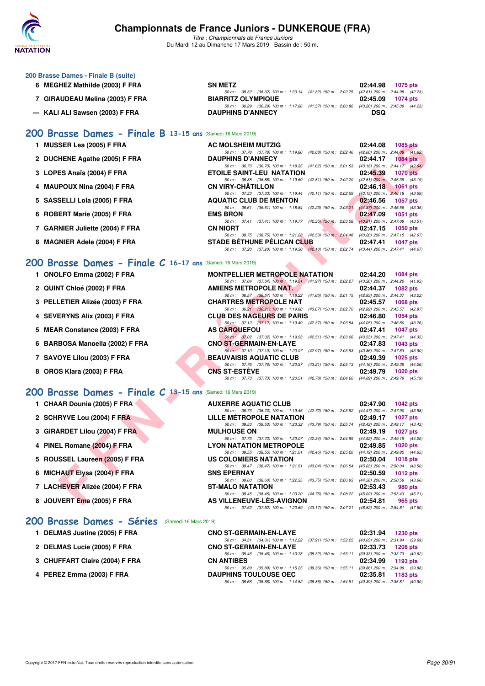

*Titre : Championnats de France Juniors* Du Mardi 12 au Dimanche 17 Mars 2019 - Bassin de : 50 m.

| 200 Brasse Dames - Finale B (suite) |                                                                                             |                      |
|-------------------------------------|---------------------------------------------------------------------------------------------|----------------------|
| MEGHEZ Mathilde (2003) F FRA<br>6.  | <b>SN METZ</b>                                                                              | 02:44.98 1075 pts    |
|                                     | 50 m : 38.32 (38.32) 100 m : 1:20.14 (41.82) 150 m : 2:02.75 (42.61) 200 m : 2:44.98 (42.23 |                      |
| 7 GIRAUDEAU Melina (2003) F FRA     | <b>BIARRITZ OLYMPIQUE</b>                                                                   | 02:45.09<br>1074 pts |
|                                     | 50 m : 36.29 (36.29) 100 m : 1:17.66 (41.37) 150 m : 2:00.86 (43.20) 200 m : 2:45.09 (44.23 |                      |
| --- KALI ALI Sawsen (2003) F FRA    | <b>DAUPHINS D'ANNECY</b>                                                                    | <b>DSQ</b>           |

### **[200 Brasse Dames - Finale B](http://www.ffnatation.fr/webffn/resultats.php?idact=nat&go=epr&idcpt=59271&idepr=23) 13-15 ans** (Samedi 16 Mars 2019)

|  | 1 MUSSER Lea (2005) F FRA |  |  |  |  |  |
|--|---------------------------|--|--|--|--|--|
|--|---------------------------|--|--|--|--|--|

- **2 DUCHENE Agathe (2005) F FRA** DAUPHINS D'ANNECY 02:44.17 1084 pts<br>  $\frac{50 \text{ m} \div 36.73 \div 50 \text{ m}}{36.73 \div 108.73 \div 108.73 \div 108.73 \div 108.73 \div 108.73 \div 108.73 \div 108.73 \div 108.73 \div 108.73 \div 108.73 \div 108.73 \div 108.73 \div 108.73 \$
- **3 LOPES Anaïs (2004) F FRA ETOILE SAINT-LEU NATATION 02:45.39 1070 pts**
- **4 MAUPOUX Nina (2004) F FRA** CN VIRY-CHÂTILLON 02:46.18 1061 pts 02:46.18 1061 pts 50m: 37.33 (37.33) 100 m: 1:19.44 (42.11) 150 m: 2:02.59 (43.15) 200 m: 2:46.18 (43.59)
- **5 SASSELLI Lola (2005) F FRA** AQUATIC CLUB DE MENTON 02:46.56 1057 pts 681 03214 02:23 150 m: 20021 02:46.56 1057 pts
- **6 ROBERT Marie (2005) F FRA** EMS BRON<br>
50 m: 37.41 (37.41) 100 m: 1:19.77 (42.36) 150 m: 2:03.58 (43.81) 200 m: 2:47.09 (43.51)
- **7 GARNIER Juliette (2004) F FRA CN NIORT 50.75 (38.75) 100 m: 1:21.28** (42.53) 150 m: 2:04.48 (43.20) 200 m: 2:47.15 1050 pts
- 8 MAGNIER Adele (2004) F FRA STADE BÉTHUNE PÉLICAN CLUB

### **[200 Brasse Dames - Finale C](http://www.ffnatation.fr/webffn/resultats.php?idact=nat&go=epr&idcpt=59271&idepr=23) 16-17 ans** (Samedi 16 Mars 2019)

| 1 MUSSER Lea (2005) F FRA                                     | AC MOLSHEIM MUTZIG                                                                                                           | 02:44.08<br><b>1085 pts</b> |
|---------------------------------------------------------------|------------------------------------------------------------------------------------------------------------------------------|-----------------------------|
|                                                               | 50 m: 37.78 (37.78) 100 m: 1:19.86 (42.08) 150 m: 2:02.46 (42.60) 200 m: 2:44.08 (41.62)                                     |                             |
| 2 DUCHENE Agathe (2005) F FRA                                 | <b>DAUPHINS D'ANNECY</b>                                                                                                     | 02:44.17<br>$1084$ pts      |
| 3 LOPES Anaïs (2004) F FRA                                    | 50 m: 36.73 (36.73) 100 m: 1:18.35 (41.62) 150 m: 2:01.53 (43.18) 200 m: 2:44.17 (42.64)<br><b>ETOILE SAINT-LEU NATATION</b> | 02:45.39<br><b>1070 pts</b> |
|                                                               | 50 m: 36.88 (36.88) 100 m: 1:19.69 (42.81) 150 m: 2:02.20 (42.51) 200 m: 2:45.39 (43.19)                                     |                             |
| 4 MAUPOUX Nina (2004) F FRA                                   | <b>CN VIRY-CHATILLON</b>                                                                                                     | 02:46.18<br>1061 pts        |
|                                                               | 50 m: 37.33 (37.33) 100 m: 1:19.44 (42.11) 150 m: 2:02.59 (43.15) 200 m: 2:46.18 (43.59)                                     |                             |
| 5 SASSELLI Lola (2005) F FRA                                  | <b>AQUATIC CLUB DE MENTON</b>                                                                                                | 02:46.56<br><b>1057 pts</b> |
|                                                               | 50 m: 36.61 (36.61) 100 m: 1:18.84 (42.23) 150 m: 2:03.21 (44.37) 200 m: 2:46.56 (43.35)                                     |                             |
| 6 ROBERT Marie (2005) F FRA                                   | <b>EMS BRON</b>                                                                                                              | 02:47.09<br><b>1051 pts</b> |
|                                                               | 50 m: 37.41 (37.41) 100 m: 1:19.77 (42.36) 150 m: 2:03.58 (43.81) 200 m: 2:47.09 (43.51)<br><b>CN NIORT</b>                  | <b>1050 pts</b>             |
| 7 GARNIER Juliette (2004) F FRA                               | 50 m: 38.75 (38.75) 100 m: 1:21.28 (42.53) 150 m: 2:04.48 (43.20) 200 m: 2:47.15 (42.67)                                     | 02:47.15                    |
| 8 MAGNIER Adele (2004) F FRA                                  | <b>STADE BETHUNE PELICAN CLUB</b>                                                                                            | 02:47.41<br><b>1047 pts</b> |
|                                                               | 50 m: 37.20 (37.20) 100 m: 1:19.30 (42.10) 150 m: 2:02.74 (43.44) 200 m: 2:47.41 (44.67)                                     |                             |
|                                                               |                                                                                                                              |                             |
| $200$ Brasse Dames - Finale C 16-17 ans (Samedi 16 Mars 2019) |                                                                                                                              |                             |
| 1 ONOLFO Emma (2002) F FRA                                    | <b>MONTPELLIER METROPOLE NATATION</b>                                                                                        | 02:44.20                    |
|                                                               | 50 m: 37.04 (37.04) 100 m: 1:19.01 (41.97) 150 m: 2:02.27 (43.26) 200 m: 2:44.20 (41.93)                                     | <b>1084 pts</b>             |
| 2 QUINT Chloé (2002) F FRA                                    | <b>AMIENS METROPOLE NAT.</b>                                                                                                 | 02:44.37<br>1082 pts        |
|                                                               | 50 m: 36.57 (36.57) 100 m: 1:18.22 (41.65) 150 m: 2:01.15 (42.93) 200 m: 2:44.37 (43.22)                                     |                             |
| 3 PELLETIER Alizée (2003) F FRA                               | <b>CHARTRES METROPOLE NAT</b>                                                                                                | 02:45.57<br>1068 pts        |
|                                                               | 50 m: 36.21 (36.21) 100 m: 1:19.88 (43.67) 150 m: 2:02.70 (42.82) 200 m: 2:45.57 (42.87)                                     |                             |
| 4 SEVERYNS Alix (2003) F FRA                                  | <b>CLUB DES NAGEURS DE PARIS</b>                                                                                             | 02:46.80<br><b>1054 pts</b> |
|                                                               | 50 m: 37.12 (37.12) 100 m: 1:19.49 (42.37) 150 m: 2:03.54 (44.05) 200 m: 2:46.80 (43.26)                                     |                             |
| 5 MEAR Constance (2003) F FRA                                 | <b>AS CARQUEFOU</b>                                                                                                          | 02:47.41<br><b>1047 pts</b> |
|                                                               | 50 m : 37.02 (37.02) 100 m : 1:19.53 (42.51) 150 m : 2:03.06 (43.53) 200 m : 2:47.41 (44.35)                                 |                             |
| 6 BARBOSA Manoella (2002) F FRA                               | <b>CNO ST-GERMAIN-EN-LAYE</b><br>50 m: 37.10 (37.10) 100 m: 1:20.07 (42.97) 150 m: 2:03.93 (43.86) 200 m: 2:47.83 (43.90)    | 02:47.83<br>1043 pts        |
| 7 SAVOYE Lilou (2003) F FRA                                   | <b>BEAUVAISIS AQUATIC CLUB</b>                                                                                               | 02:49.39<br>1025 pts        |
|                                                               | 50 m: 37.76 (37.76) 100 m: 1:20.97 (43.21) 150 m: 2:05.13 (44.16) 200 m: 2:49.39 (44.26)                                     |                             |
| 8 OROS Klara (2003) F FRA                                     | <b>CNS ST-ESTEVE</b>                                                                                                         | 02:49.79<br>1020 pts        |
|                                                               | 50 m: 37.73 (37.73) 100 m: 1:20.51 (42.78) 150 m: 2:04.60 (44.09) 200 m: 2:49.79 (45.19)                                     |                             |
|                                                               |                                                                                                                              |                             |
| COO Brasse Dames - Finale C 13-15 ans (Samedi 16 Mars 2019)   |                                                                                                                              |                             |
| 1 CHAAR Dounia (2005) F FRA                                   | <b>AUXERRE AQUATIC CLUB</b>                                                                                                  | 02:47.90<br>1042 pts        |
|                                                               | 50 m: 36.73 (36.73) 100 m: 1:19.45 (42.72) 150 m: 2:03.92 (44.47) 200 m: 2:47.90 (43.98)                                     |                             |
| 2 SCHRYVE Lou (2004) F FRA                                    | LILLE METROPOLE NATATION                                                                                                     | 02:49.17<br><b>1027 pts</b> |
|                                                               | 50 m: 39.53 (39.53) 100 m: 1:23.32 (43.79) 150 m: 2:05.74 (42.42) 200 m: 2:49.17 (43.43)                                     |                             |
| 3 GIRARDET Lilou (2004) F FRA                                 | <b>MULHOUSE ON</b>                                                                                                           | 02:49.19<br>1027 $p$ ts     |
|                                                               | 50 m: 37.73 (37.73) 100 m: 1:20.07 (42.34) 150 m: 2:04.99 (44.92) 200 m: 2:49.19 (44.20)                                     |                             |
| 4 PINEL Romane (2004) F FRA                                   | <b>LYON NATATION METROPOLE</b>                                                                                               | 02:49.85<br><b>1020 pts</b> |
| 5 ROUSSEL Laureen (2005) F FRA                                | 50 m: 38.55 (38.55) 100 m: 1:21.01 (42.46) 150 m: 2:05.20 (44.19) 200 m: 2:49.85 (44.65)<br>US COLOMIERS NATATION            | 02:50.04<br>1018 $pts$      |
|                                                               | 50 m: 38.47 (38.47) 100 m: 1:21.51 (43.04) 150 m: 2:06.54 (45.03) 200 m: 2:50.04 (43.50)                                     |                             |
| 6 MICHAUT Elysa (2004) F FRA                                  | <b>SNS EPERNAY</b>                                                                                                           | 02:50.59<br>1012 $pts$      |
|                                                               | 50 m: 38.60 (38.60) 100 m: 1:22.35 (43.75) 150 m: 2:06.93 (44.58) 200 m: 2:50.59 (43.66)                                     |                             |
| 7 LACHEVER Alizée (2004) F FRA                                | <b>ST-MALO NATATION</b>                                                                                                      | 02:53.43<br>980 pts         |
|                                                               | 50 m: 38.45 (38.45) 100 m: 1:23.20 (44.75) 150 m: 2:08.22 (45.02) 200 m: 2:53.43 (45.21)                                     |                             |
| 8 JOUVERT Ema (2005) F FRA                                    | <b>AS VILLENEUVE-LES-AVIGNON</b>                                                                                             | 02:54.81<br>965 pts         |

### **[200 Brasse Dames - Finale C](http://www.ffnatation.fr/webffn/resultats.php?idact=nat&go=epr&idcpt=59271&idepr=23) 13-15 ans** (Samedi 16 Mars 2019)

| <b>AUXERRE AQUATIC CLUB</b>                                                              | 02:47.90 1042 pts                   |
|------------------------------------------------------------------------------------------|-------------------------------------|
| 50 m : 36.73 (36.73) 100 m : 1:19.45 (42.72) 150 m : 2:03.92                             | (44.47) 200 m : 2:47.90 (43.98)     |
| <b>LILLE METROPOLE NATATION</b>                                                          | 02:49.17 1027 pts                   |
| 50 m: 39.53 (39.53) 100 m: 1:23.32 (43.79) 150 m: 2:05.74                                | $(42.42)$ 200 m : 2:49.17 $(43.43)$ |
| <b>MULHOUSE ON</b>                                                                       | 02:49.19 1027 pts                   |
| 50 m: 37.73 (37.73) 100 m: 1:20.07 (42.34) 150 m: 2:04.99                                | $(44.92)$ 200 m : 2:49.19 $(44.20)$ |
| <b>LYON NATATION METROPOLE</b>                                                           | 02:49.85 1020 pts                   |
| 50 m: 38.55 (38.55) 100 m: 1:21.01 (42.46) 150 m: 2:05.20                                | $(44.19)$ 200 m : 2:49.85 $(44.65)$ |
| <b>US COLOMIERS NATATION</b>                                                             | 02:50.04 1018 pts                   |
| 50 m: 38.47 (38.47) 100 m: 1:21.51 (43.04) 150 m: 2:06.54                                | $(45.03)$ 200 m : 2:50.04 $(43.50)$ |
| <b>SNS EPERNAY</b>                                                                       | 02:50.59 1012 pts                   |
| 50 m: 38.60 (38.60) 100 m: 1:22.35 (43.75) 150 m: 2:06.93                                | $(44.58)$ 200 m : 2:50.59 $(43.66)$ |
| <b>ST-MALO NATATION</b>                                                                  | 02:53.43<br>980 pts                 |
| 50 m: 38.45 (38.45) 100 m: 1:23.20 (44.75) 150 m: 2:08.22                                | (45.02) 200 m : 2:53.43 (45.21)     |
| AS VILLENEUVE-LÈS-AVIGNON                                                                | 02:54.81<br>965 pts                 |
| 50 m: 37.52 (37.52) 100 m: 1:20.69 (43.17) 150 m: 2:07.21 (46.52) 200 m: 2:54.81 (47.60) |                                     |
|                                                                                          |                                     |

### **[200 Brasse Dames - Séries](http://www.ffnatation.fr/webffn/resultats.php?idact=nat&go=epr&idcpt=59271&idepr=23)** (Samedi 16 Mars 2019)

| 1 DELMAS Justine (2005) F FRA  | <b>CNO ST-GERMAIN-EN-LAYE</b>                                                               | 02:31.94                        | 1230 pts          |
|--------------------------------|---------------------------------------------------------------------------------------------|---------------------------------|-------------------|
|                                | 50 m: 34.31 (34.31) 100 m: 1:12.22 (37.91) 150 m: 1:52.25                                   | (40.03) 200 m : 2:31.94 (39.69) |                   |
| 2 DELMAS Lucie (2005) F FRA    | <b>CNO ST-GERMAIN-EN-LAYE</b>                                                               |                                 | 02:33.73 1208 pts |
|                                | 50 m: 35.46 (35.46) 100 m: 1:13.78 (38.32) 150 m: 1:53.11 (39.33) 200 m: 2:33.73 (40.62     |                                 |                   |
| 3 CHUFFART Claire (2004) F FRA | <b>CN ANTIBES</b>                                                                           |                                 | 02:34.99 1193 pts |
|                                | 50 m: 35.89 (35.89) 100 m: 1:15.25 (39.36) 150 m: 1:55.11                                   | (39.86) 200 m : 2:34.99 (39.88) |                   |
| 4 PEREZ Emma (2003) F FRA      | <b>DAUPHINS TOULOUSE OEC</b>                                                                | 02:35.81                        | 1183 pts          |
|                                | 50 m : 35.66 (35.66) 100 m : 1:14.52 (38.86) 150 m : 1:54.91 (40.39) 200 m : 2:35.81 (40.90 |                                 |                   |
|                                |                                                                                             |                                 |                   |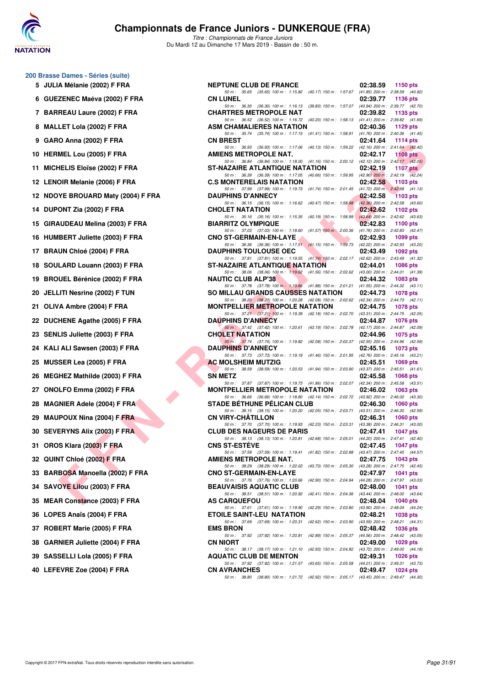

**200 Brasse Dames - Séries (suite)**

# **Championnats de France Juniors - DUNKERQUE (FRA)**

*Titre : Championnats de France Juniors* Du Mardi 12 au Dimanche 17 Mars 2019 - Bassin de : 50 m.

|    | 5 JULIA Mélanie (2002) F FRA        | ľ |
|----|-------------------------------------|---|
| 6  | <b>GUEZENEC Maéva (2002) F FRA</b>  | C |
|    | 7 BARREAU Laure (2002) F FRA        | C |
|    | 8 MALLET Lola (2002) F FRA          |   |
|    | 9 GARO Anna (2002) F FRA            | C |
|    | 10 HERMEL Lou (2005) F FRA          |   |
| 11 | MICHELIS Eloïse (2002) F FRA        | s |
|    | 12 LENOIR Melanie (2006) F FRA      | C |
|    | 12 NDOYE BROUARD Maty (2004) F FRA  | I |
|    | 14 DUPONT Zia (2002) F FRA          | ( |
|    | 15 GIRAUDEAU Melina (2003) F FRA    | E |
|    | 16 HUMBERT Juliette (2003) F FRA    | C |
|    | 17 BRAUN Chloé (2004) F FRA         | I |
|    | 18 SOULARD Louann (2003) F FRA      | s |
| 19 | <b>BROUEL Bérénice (2002) F FRA</b> | ľ |
|    | 20 JELLITI Nesrine (2002) F TUN     | Ś |
|    | 21 OLIVA Ambre (2004) F FRA         | ľ |
|    | 22 DUCHENE Agathe (2005) F FRA      | I |
|    | 23 SENLIS Juliette (2003) F FRA     | C |
|    | 24 KALI ALI Sawsen (2003) F FRA     | I |
| 25 | <b>MUSSER Lea (2005) F FRA</b>      |   |
| 26 | <b>MEGHEZ Mathilde (2003) F FRA</b> |   |
|    | 27 ONOLFO Emma (2002) F FRA         | ľ |
|    | 28 MAGNIER Adele (2004) F FRA       |   |
|    | 29 MAUPOUX Nina (2004) FFRA         | C |
|    | 30 SEVERYNS Alix (2003) F FRA       | C |
|    | 31 OROS Klara (2003) F FRA          |   |
|    | 32 QUINT Chloé (2002) F FRA         |   |
|    | 33 BARBOSA Manoella (2002) F FRA    |   |
|    | 34 SAVOYE Lilou (2003) F FRA        |   |
|    | 35 MEAR Constance (2003) F FRA      |   |
|    | 36 LOPES Anaïs (2004) F FRA         |   |
| 37 | ROBERT Marie (2005) F FRA           | E |

| 38 GARNIER Juliette (2004) F FRA |  |
|----------------------------------|--|
|----------------------------------|--|

- **39 SASSELLI Lola (2005) F FRA All 2006 pts**
- **40 LEFEVRE Zoe (2004) F FRA CN AVRANCHES 02:49.47 1024 pts**

| 0 Brasse Dames - Series (suite)    |                                                                                                                                                                                     |          |                                                    |
|------------------------------------|-------------------------------------------------------------------------------------------------------------------------------------------------------------------------------------|----------|----------------------------------------------------|
| 5 JULIA Mélanie (2002) F FRA       | <b>NEPTUNE CLUB DE FRANCE</b>                                                                                                                                                       | 02:38.59 | 1150 pts                                           |
| 6 GUEZENEC Maéva (2002) F FRA      | 50 m: 35.65 (35.65) 100 m: 1:15.82 (40.17) 150 m: 1:57.67 (41.85) 200 m: 2:38.59 (40.92)<br><b>CN LUNEL</b>                                                                         | 02:39.77 | 1136 pts                                           |
| 7 BARREAU Laure (2002) F FRA       | 50 m: 36.30 (36.30) 100 m: 1:16.13 (39.83) 150 m: 1:57.07 (40.94) 200 m: 2:39.77 (42.70)<br><b>CHARTRES METROPOLE NAT</b>                                                           | 02:39.82 | 1135 pts                                           |
| 8 MALLET Lola (2002) F FRA         | 50 m: 36.52 (36.52) 100 m: 1:16.72 (40.20) 150 m: 1:58.13 (41.41) 200 m: 2:39.82 (41.69)<br>ASM CHAMALIERES NATATION                                                                | 02:40.36 | 1129 $pts$                                         |
| 9 GARO Anna (2002) F FRA           | 50 m: 35.74 (35.74) 100 m: 1:17.15 (41.41) 150 m: 1:58.91 (41.76) 200 m: 2:40.36 (41.45)<br><b>CN BREST</b>                                                                         | 02:41.64 | 1114 pts                                           |
|                                    | 50 m: 36.93 (36.93) 100 m: 1:17.06 (40.13) 150 m: 1:59.22 (42.16) 200 m: 2:41.64 (42.42)                                                                                            |          |                                                    |
| 10 HERMEL Lou (2005) F FRA         | AMIENS METROPOLE NAT.<br>50 m: 36.84 (36.84) 100 m: 1:18.00 (41.16) 150 m: 2:00.12 (42.12) 200 m: 2:42.17 (42.05)                                                                   | 02:42.17 | 1108 $pts$                                         |
| 11 MICHELIS Eloïse (2002) F FRA    | ST-NAZAIRE ATLANTIQUE NATATION<br>50 m: 36.39 (36.39) 100 m: 1:17.05 (40.66) 150 m: 1:59.95 (42.90) 200 m: 2:42.19 (42.24)                                                          | 02:42.19 | 1107 $pts$                                         |
| 12 LENOIR Melanie (2006) F FRA     | <b>C.S MONTERELAIS NATATION</b><br>50 m: 37.99 (37.99) 100 m: 1:19.73 (41.74) 150 m: 2:01.45 (41.72) 200 m: 2:42.58 (41.13)                                                         |          | 02:42.58 1103 pts                                  |
| 12 NDOYE BROUARD Maty (2004) F FRA | <b>DAUPHINS D'ANNECY</b><br>50 m: 36.15 (36.15) 100 m: 1:16.62 (40.47) 150 m: 1:58.98 (42.36) 200 m: 2:42.58 (43.60)                                                                | 02:42.58 | <b>1103 pts</b>                                    |
| 14 DUPONT Zia (2002) F FRA         | <b>CHOLET NATATION</b><br>50 m: 35.16 (35.16) 100 m: 1:15.35 (40.19) 150 m: 1:58.99 (43.64) 200 m: 2:42.62 (43.63)                                                                  | 02:42.62 | 1102 pts                                           |
| 15 GIRAUDEAU Melina (2003) F FRA   | <b>Service Contracts</b><br><b>BIARRITZ OLYMPIQUE</b>                                                                                                                               | 02:42.83 | 1100 pts                                           |
| 16 HUMBERT Juliette (2003) F FRA   | 50 m: 37.03 (37.03) 100 m: 1:18.60 (41.57) 150 m: 2:00.36 (41.76) 200 m: 2:42.83 (42.47)<br>in 1970.<br>Prima politik<br><b>CNO ST-GERMAIN-EN-LAYE</b><br><b>The Second Service</b> | 02:42.93 | 1099 pts                                           |
| 17 BRAUN Chloé (2004) F FRA        | 50 m: 36.36 (36.36) 100 m: 1:17.51 (41.15) 150 m: 1:59.73 (42.22) 200 m: 2:42.93 (43.20)<br><b>The Community of the Community</b><br><b>DAUPHINS TOULOUSE OEC</b>                   | 02:43.49 | 1092 $pts$                                         |
| 18 SOULARD Louann (2003) F FRA     | 50 m: 37.81 (37.81) 100 m: 1:19.55 (41.74) 150 m: 2:02.17 (42.62) 200 m: 2:43.49 (41.32)<br>ST-NAZAIRE ATLANTIQUE NATATION                                                          | 02:44.01 | 1086 pts                                           |
| 19 BROUEL Bérénice (2002) F FRA    | 50 m: 38.06 (38.06) 100 m: 1:19.62 (41.56) 150 m: 2:02.62 (43.00) 200 m: 2:44.01 (41.39)<br><b>NAUTIC CLUB ALP'38</b>                                                               | 02:44.32 | 1083 pts                                           |
|                                    | 50 m: 37.78 (37.78) 100 m: 1:19.66 (41.88) 150 m: 2:01.21 (41.55) 200 m: 2:44.32 (43.11)                                                                                            |          |                                                    |
| 20 JELLITI Nesrine (2002) F TUN    | SO MILLAU GRANDS CAUSSES NATATION<br>50 m: 38.20 (38.20) 100 m: 1:20.28 (42.08) 150 m: 2:02.62 (42.34) 200 m: 2:44.73 (42.11)                                                       | 02:44.73 | 1078 pts                                           |
| 21 OLIVA Ambre (2004) F FRA        | <b>MONTPELLIER METROPOLE NATATION</b><br>50 m: 37.21 (37.21) 100 m: 1:19.39 (42.18) 150 m: 2:02.70 (43.31) 200 m: 2:44.75 (42.05)                                                   | 02:44.75 | 1078 pts                                           |
| 22 DUCHENE Agathe (2005) F FRA     | <b>DAUPHINS D'ANNECY</b><br>50 m: 37.42 (37.42) 100 m: 1:20.61 (43.19) 150 m: 2:02.78 (42.17) 200 m: 2:44.87 (42.09)                                                                | 02:44.87 | <b>1076 pts</b>                                    |
| 23 SENLIS Juliette (2003) F FRA    | <b>CHOLET NATATION</b><br>50 m: 37.74 (37.74) 100 m: 1:19.82 (42.08) 150 m: 2:02.37 (42.55) 200 m: 2:44.96 (42.59)                                                                  | 02:44.96 | 1075 pts                                           |
| 24 KALI ALI Sawsen (2003) F FRA    | <b>DAUPHINS D'ANNECY</b>                                                                                                                                                            | 02:45.16 | 1073 pts                                           |
| 25 MUSSER Lea (2005) F FRA         | 50 m: 37.73 (37.73) 100 m: 1:19.19 (41.46) 150 m: 2:01.95 (42.76) 200 m: 2:45.16 (43.21)<br><b>AC MOLSHEIM MUTZIG</b>                                                               | 02:45.51 | 1069 pts                                           |
| 26 MEGHEZ Mathilde (2003) F FRA    | 50 m: 38.59 (38.59) 100 m: 1:20.53 (41.94) 150 m: 2:03.90 (43.37) 200 m: 2:45.51 (41.61)<br><b>SN METZ</b>                                                                          | 02:45.58 | 1068 pts                                           |
| 27 ONOLFO Emma (2002) F FRA        | 50 m: 37.87 (37.87) 100 m: 1:19.73 (41.86) 150 m: 2:02.07 (42.34) 200 m: 2:45.58 (43.51)<br><b>MONTPELLIER METROPOLE NATATION</b>                                                   | 02:46.02 | $1063$ pts                                         |
| 28 MAGNIER Adele (2004) F FRA      | 50 m: 36.66 (36.66) 100 m: 1:18.80 (42.14) 150 m: 2:02.72 (43.92) 200 m: 2:46.02 (43.30)<br><b>STADE BETHUNE PELICAN CLUB</b>                                                       | 02:46.30 | 1060 pts                                           |
| 29 MAUPOUX Nina (2004) F FRA       | 50 m: 38.15 (38.15) 100 m: 1:20.20 (42.05) 150 m: 2:03.71 (43.51) 200 m: 2:46.30 (42.59)<br>CN VIRY-CHATILLON                                                                       | 02:46.31 | 1060 pts                                           |
|                                    | 50 m: 37.70 (37.70) 100 m: 1:19.93 (42.23) 150 m: 2:03.31 (43.38) 200 m: 2:46.31 (43.00)<br><b>CLUB DES NAGEURS DE PARIS</b>                                                        |          |                                                    |
| 30 SEVERYNS Alix (2003) F FRA      | 50 m: 38.13 (38.13) 100 m: 1:20.81 (42.68) 150 m: 2:05.01 (44.20) 200 m: 2:47.41 (42.40)                                                                                            | 02:47.41 | 1047 pts                                           |
| 31 OROS Klara (2003) F FRA         | <b>CNS ST-ESTÈVE</b><br>50 m: 37.59 (37.59) 100 m: 1:19.41 (41.82) 150 m: 2:02.88 (43.47) 200 m: 2:47.45 (44.57)                                                                    | 02:47.45 | <b>1047 pts</b>                                    |
| 32   QUINT Chloé (2002) F FRA      | <b>AMIENS METROPOLE NAT.</b><br>50 m: 38.29 (38.29) 100 m: 1:22.02 (43.73) 150 m: 2:05.30 (43.28) 200 m: 2:47.75 (42.45)                                                            | 02:47.75 | 1043 pts                                           |
| 33 BARBOSA Manoella (2002) F FRA   | <b>CNO ST-GERMAIN-EN-LAYE</b><br>50 m: 37.76 (37.76) 100 m: 1:20.66 (42.90) 150 m: 2:04.94 (44.28) 200 m: 2:47.97 (43.03)                                                           | 02:47.97 | 1041 pts                                           |
| 34 SAVOYE Lilou (2003) F FRA       | <b>BEAUVAISIS AQUATIC CLUB</b><br>50 m: 38.51 (38.51) 100 m: 1:20.92 (42.41) 150 m: 2:04.36                                                                                         | 02:48.00 | 1041 pts<br>(43.44) 200 m : 2:48.00 (43.64)        |
| 35 MEAR Constance (2003) F FRA     | <b>AS CARQUEFOU</b>                                                                                                                                                                 | 02:48.04 | 1040 pts                                           |
| 36 LOPES Anaïs (2004) F FRA        | 50 m: 37.61 (37.61) 100 m: 1:19.90 (42.29) 150 m: 2:03.80<br><b>ETOILE SAINT-LEU NATATION</b>                                                                                       | 02:48.21 | (43.90) 200 m : 2:48.04 (44.24)<br><b>1038 pts</b> |
| 37 ROBERT Marie (2005) F FRA       | 50 m: 37.69 (37.69) 100 m: 1:20.31 (42.62) 150 m: 2:03.90 (43.59) 200 m: 2:48.21 (44.31)<br><b>EMS BRON</b>                                                                         | 02:48.42 | <b>1036 pts</b>                                    |
| 38 GARNIER Juliette (2004) F FRA   | 50 m: 37.92 (37.92) 100 m: 1:20.81<br>(42.89) 150 m : 2:05.37<br><b>CN NIORT</b>                                                                                                    | 02:49.00 | (44.56) 200 m : 2:48.42 (43.05)<br><b>1029 pts</b> |
| 39   SASSELLI Lola (2005) F FRA    | 50 m: 38.17 (38.17) 100 m: 1:21.10 (42.93) 150 m: 2:04.82 (43.72) 200 m: 2:49.00 (44.18)<br><b>AQUATIC CLUB DE MENTON</b>                                                           | 02:49.31 | <b>1026 pts</b>                                    |
|                                    | 50 m: 37.92 (37.92) 100 m: 1:21.57 (43.65) 150 m: 2:05.58 (44.01) 200 m: 2:49.31 (43.73)                                                                                            |          |                                                    |
| 40 LEFEVRE Zoe (2004) F FRA        | <b>CN AVRANCHES</b><br>50 m: 38.80 (38.80) 100 m: 1:21.72 (42.92) 150 m: 2:05.17 (43.45) 200 m: 2:49.47 (44.30)                                                                     | 02:49.47 | 1024 pts                                           |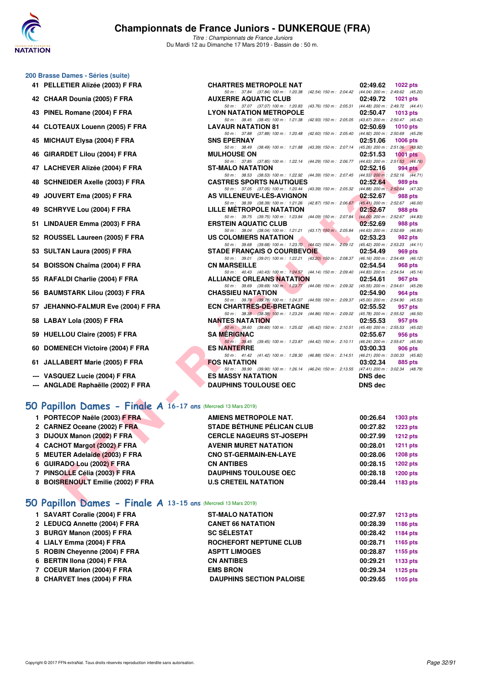

*Titre : Championnats de France Juniors* Du Mardi 12 au Dimanche 17 Mars 2019 - Bassin de : 50 m.

### **200 Brasse Dames - Séries (suite)**

- **41 PELLETIER Alizée (2003) F FRA CHARTRES METROPOLE NAT 02:49.62 1022 pts**
- **42 CHAAR Dounia (2005) F FRA**
- **43 PINEL Romane (2004) F FRA**
- **44 CLOTEAUX Louenn (2005) F FRA**
- **45 MICHAUT Elysa (2004) F FRA**
- **46 GIRARDET Lilou (2004) F FRA**
- **47 LACHEVER Alizée (2004) F FRA**
- **48 SCHNEIDER Axelle (2003) F FRA**
- **49 JOUVERT Ema (2005) F FRA**
- **49 SCHRYVE Lou (2004) F FRA LILLE MÉTROPOLE NATATION 02:52.67 988 pts**
- 51 LINDAUER Emma (2003) F FRA
- 52 ROUSSEL Laureen (2005) F FRA
- **53 SULTAN Laura (2005) F FRA**
- 54 BOISSON Chaïma (2004) F FRA
- 55 RAFALDI Charlie (2004) F FRA
- **56 BAUMSTARK Lilou (2003) F FRA**
- 57 JEHANNO-FALMUR Eve (2004) F FRA
- **58 LABAY Lola (2005) F FRA NANTES NATATION 02:55.53 957 pts**
- 59 HUELLOU Claire (2005) F FRA
- **60 DOMENECH Victoire (2004) F FRA**
- **61 JALLABERT Marie (2005) F FRA**
- --- VASQUEZ Lucie (2004) F FRA
- 

### **[50 Papillon Dames - Finale A](http://www.ffnatation.fr/webffn/resultats.php?idact=nat&go=epr&idcpt=59271&idepr=31) 16-17 ans** (Mercredi 13 Mars 2019)

| 1 PORTECOP Naële (2003) F FRA     | AMIENS METROPOLE NAT.             | 00:26.64 | 1303 pts        |
|-----------------------------------|-----------------------------------|----------|-----------------|
| 2 CARNEZ Oceane (2002) F FRA      | <b>STADE BÉTHUNE PÉLICAN CLUB</b> | 00:27.82 | 1223 pts        |
| 3 DIJOUX Manon (2002) F FRA       | <b>CERCLE NAGEURS ST-JOSEPH</b>   | 00:27.99 | 1212 pts        |
| 4 CACHOT Margot (2002) F FRA      | <b>AVENIR MURET NATATION</b>      | 00:28.01 | 1211 pts        |
| 5 MEUTER Adelaide (2003) F FRA    | <b>CNO ST-GERMAIN-EN-LAYE</b>     | 00:28.06 | <b>1208 pts</b> |
| 6 GUIRADO Lou (2002) F FRA        | <b>CN ANTIBES</b>                 | 00:28.15 | 1202 pts        |
| 7 PINSOLLE Célia (2003) F FRA     | <b>DAUPHINS TOULOUSE OEC</b>      | 00:28.18 | 1200 pts        |
| 8 BOISRENOULT Emilie (2002) F FRA | <b>U.S CRETEIL NATATION</b>       | 00:28.44 | 1183 pts        |

### **[50 Papillon Dames - Finale A](http://www.ffnatation.fr/webffn/resultats.php?idact=nat&go=epr&idcpt=59271&idepr=31) 13-15 ans** (Mercredi 13 Mars 2019)

| 1 SAVART Coralie (2004) F FRA | <b>ST-MALO NATATION</b>         | 00:27.97 | <b>1213 pts</b> |
|-------------------------------|---------------------------------|----------|-----------------|
| 2 LEDUCQ Annette (2004) F FRA | <b>CANET 66 NATATION</b>        | 00:28.39 | 1186 pts        |
| 3 BURGY Manon (2005) F FRA    | <b>SC SÉLESTAT</b>              | 00:28.42 | 1184 pts        |
| 4 LIALY Emma (2004) F FRA     | ROCHEFORT NEPTUNE CLUB          | 00:28.71 | 1165 pts        |
| 5 ROBIN Chevenne (2004) F FRA | <b>ASPTT LIMOGES</b>            | 00:28.87 | 1155 pts        |
| 6 BERTIN Ilona (2004) F FRA   | <b>CN ANTIBES</b>               | 00:29.21 | 1133 pts        |
| 7 COEUR Marion (2004) F FRA   | <b>EMS BRON</b>                 | 00:29.34 | 1125 pts        |
| 8 CHARVET Ines (2004) F FRA   | <b>DAUPHINS SECTION PALOISE</b> | 00:29.65 | 1105 pts        |
|                               |                                 |          |                 |

| 42 CHAAR Dounia (2005) F FRA                                         | <b>AUXERRE AQUATIC CLUB</b><br>02:49.72                                                                                                             | 1021 pts        |  |
|----------------------------------------------------------------------|-----------------------------------------------------------------------------------------------------------------------------------------------------|-----------------|--|
| 43 PINEL Romane (2004) F FRA                                         | 50 m: 37.07 (37.07) 100 m: 1:20.83 (43.76) 150 m: 2:05.31 (44.48) 200 m: 2:49.72 (44.41)<br><b>LYON NATATION METROPOLE</b><br>02:50.47              | 1013 pts        |  |
|                                                                      | 50 m: 38.45 (38.45) 100 m: 1:21.38 (42.93) 150 m: 2:05.05 (43.67) 200 m: 2:50.47 (45.42)                                                            |                 |  |
| 44 CLOTEAUX Louenn (2005) F FRA                                      | <b>LAVAUR NATATION 81</b><br>02:50.69                                                                                                               | $1010$ pts      |  |
| 45 MICHAUT Elysa (2004) F FRA                                        | 50 m: 37.88 (37.88) 100 m: 1:20.48 (42.60) 150 m: 2:05.40 (44.92) 200 m: 2:50.69 (45.29)<br>02:51.06<br><b>SNS EPERNAY</b>                          | 1006 pts        |  |
| 46 GIRARDET Lilou (2004) F FRA                                       | 50 m: 38.49 (38.49) 100 m: 1:21.88 (43.39) 150 m: 2:07.14 (45.26) 200 m: 2:51.06 (43.92)<br><b>MULHOUSE ON</b><br>02:51.53                          | $1001$ pts      |  |
|                                                                      | 50 m: 37.85 (37.85) 100 m: 1:22.14 (44.29) 150 m: 2:06.77 (44.63) 200 m: 2:51.53 (44.76)                                                            |                 |  |
| 47 LACHEVER Alizée (2004) F FRA                                      | ST-MALO NATATION<br>02:52.16                                                                                                                        | 994 pts         |  |
| 48 SCHNEIDER Axelle (2003) F FRA                                     | 50 m: 38.53 (38.53) 100 m: 1:22.92 (44.39) 150 m: 2:07.45 (44.53) 200 m: 2:52.16 (44.71)<br><b>CASTRES SPORTS NAUTIQUES</b><br>02:52.64             | 989 pts         |  |
| 49 JOUVERT Ema (2005) F FRA                                          | 50 m: 37.05 (37.05) 100 m: 1:20.44 (43.39) 150 m: 2:05.32 (44.88) 200 m: 2:52.64 (47.32)<br>AS VILLENEUVE-LES-AVIGNON<br>02:52.67                   | 988 pts         |  |
| 49 SCHRYVE Lou (2004) F FRA                                          | 50 m: 38.39 (38.39) 100 m: 1:21.26 (42.87) 150 m: 2:06.67 (45.41) 200 m: 2:52.67 (46.00)<br>LILLE METROPOLE NATATION<br>02:52.67                    | 988 pts         |  |
|                                                                      | 50 m: 39.75 (39.75) 100 m: 1:23.84 (44.09) 150 m: 2:07.84 (44.00) 200 m: 2:52.67 (44.83)                                                            |                 |  |
| 51 LINDAUER Emma (2003) F FRA                                        | <b>START</b><br><b>ERSTEIN AQUATIC CLUB</b><br>02:52.69<br>50 m: 38.04 (38.04) 100 m: 1:21.21 (43.17) 150 m: 2:05.84 (44.63) 200 m: 2:52.69 (46.85) | 988 pts         |  |
| 52 ROUSSEL Laureen (2005) F FRA                                      | US COLOMIERS NATATION<br>02:53.23                                                                                                                   | 982 pts         |  |
|                                                                      | 50 m: 39.68 (39.68) 100 m: 1:23.70 (44.02) 150 m: 2:09.12 (45.42) 200 m: 2:53.23 (44.11)<br><b>STADE FRANCAIS O COURBEVOIE</b><br>02:54.49          | 969 pts         |  |
| 53 SULTAN Laura (2005) F FRA                                         | 50 m: 39.01 (39.01) 100 m: 1:22.21 (43.20) 150 m: 2:08.37 (46.16) 200 m: 2:54.49 (46.12)                                                            |                 |  |
| 54 BOISSON Chaïma (2004) F FRA                                       | <b>CN MARSEILLE</b><br>02:54.54                                                                                                                     | 968 pts         |  |
| 55 RAFALDI Charlie (2004) F FRA                                      | 50 m: 40.43 (40.43) 100 m: 1:24.57 (44.14) 150 m: 2:09.40 (44.83) 200 m: 2:54.54 (45.14)<br><b>ALLIANCE ORLEANS NATATION</b><br>02:54.61            | 967 pts         |  |
|                                                                      | 50 m: 39.69 (39.69) 100 m: 1:23.77 (44.08) 150 m: 2:09.32 (45.55) 200 m: 2:54.61 (45.29)                                                            |                 |  |
| 56 BAUMSTARK Lilou (2003) F FRA                                      | <b>CHASSIEU NATATION</b><br>02:54.90<br>50 m: 39.78 (39.78) 100 m: 1:24.37 (44.59) 150 m: 2:09.37 (45.00) 200 m: 2:54.90 (45.53)                    | 964 pts         |  |
| 57 JEHANNO-FALMUR Eve (2004) F FRA                                   | <b>ECN CHARTRES-DE-BRETAGNE</b><br>02:55.52                                                                                                         | 957 pts         |  |
|                                                                      | 50 m : 38.38 (38.38) 100 m : 1:23.24 (44.86) 150 m : 2:09.02 (45.78) 200 m : 2:55.52 (46.50)                                                        |                 |  |
| 58 LABAY Lola (2005) F FRA                                           | <b>NANTES NATATION</b><br>02:55.53<br>50 m: 39.60 (39.60) 100 m: 1:25.02 (45.42) 150 m: 2:10.51 (45.49) 200 m: 2:55.53 (45.02)                      | 957 pts         |  |
| 59 HUELLOU Claire (2005) F FRA                                       | <b>SA MERIGNAC</b><br>02:55.67<br>50 m: 39.45 (39.45) 100 m: 1:23.87 (44.42) 150 m: 2:10.11 (46.24) 200 m: 2:55.67 (45.56)                          | 956 pts         |  |
| 60 DOMENECH Victoire (2004) F FRA                                    | <b>ES NANTERRE</b><br>03:00.33                                                                                                                      | 906 pts         |  |
| 61 JALLABERT Marie (2005) F FRA                                      | 50 m: 41.42 (41.42) 100 m: 1:28.30 (46.88) 150 m: 2:14.51 (46.21) 200 m: 3:00.33 (45.82)<br><b>FOS NATATION</b><br>03:02.34                         | 885 pts         |  |
|                                                                      | 50 m: 39.90 (39.90) 100 m: 1:26.14 (46.24) 150 m: 2:13.55 (47.41) 200 m: 3:02.34 (48.79)<br><b>DNS dec</b>                                          |                 |  |
| --- VASQUEZ Lucie (2004) F FRA<br>--- ANGLADE Raphaëlle (2002) F FRA | <b>ES MASSY NATATION</b><br><b>DAUPHINS TOULOUSE OEC</b><br><b>DNS dec</b>                                                                          |                 |  |
|                                                                      |                                                                                                                                                     |                 |  |
| O Papillon Dames - Finale A 16-17 ans (Mercredi 13 Mars 2019)        |                                                                                                                                                     |                 |  |
| 1 PORTECOP Naële (2003) F FRA                                        | <b>AMIENS METROPOLE NAT.</b><br>00:26.64                                                                                                            | 1303 pts        |  |
| 2 CARNEZ Oceane (2002) F FRA                                         | <b>STADE BETHUNE PELICAN CLUB</b><br>00:27.82                                                                                                       | <b>1223 pts</b> |  |
| 3 DIJOUX Manon (2002) F FRA                                          | <b>CERCLE NAGEURS ST-JOSEPH</b><br>00:27.99                                                                                                         | <b>1212 pts</b> |  |
| 4 CACHOT Margot (2002) F FRA                                         | <b>AVENIR MURET NATATION</b><br>00:28.01                                                                                                            | <b>1211 pts</b> |  |
| 5 MEUTER Adelaide (2003) F FRA                                       | <b>CNO ST-GERMAIN-EN-LAYE</b><br>00:28.06                                                                                                           | <b>1208 pts</b> |  |
| 6 GUIRADO Lou (2002) F FRA                                           | 00:28.15<br><b>CN ANTIBES</b>                                                                                                                       | <b>1202 pts</b> |  |
| 7 PINSOLLE Célia (2003) F FRA                                        | <b>DAUPHINS TOULOUSE OEC</b><br>00:28.18                                                                                                            | <b>1200 pts</b> |  |
| 8 BOISRENOULT Emilie (2002) F FRA                                    | <b>U.S CRETEIL NATATION</b><br>00:28.44                                                                                                             | 1183 pts        |  |
| <b>O Panillon Dames - Finale 4 13-15 ans (Mercredi 13 Mars 2019)</b> |                                                                                                                                                     |                 |  |

*50 m : 37.84 (37.84) 100 m : 1:20.38 (42.54) 150 m : 2:04.42 (44.04) 200 m : 2:49.62 (45.20)*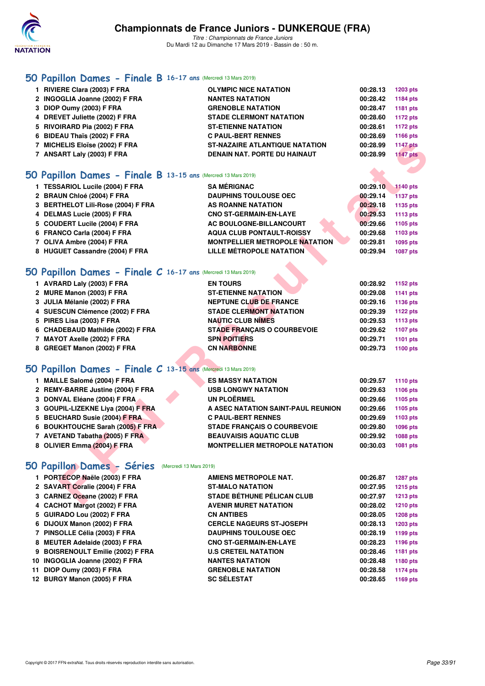

# **[50 Papillon Dames - Finale B](http://www.ffnatation.fr/webffn/resultats.php?idact=nat&go=epr&idcpt=59271&idepr=31) 16-17 ans** (Mercredi 13 Mars 2019)

| 1 RIVIERE Clara (2003) F FRA   | <b>OLYMPIC NICE NATATION</b>          | 00:28.13 | 1203 pts        |
|--------------------------------|---------------------------------------|----------|-----------------|
| 2 INGOGLIA Joanne (2002) F FRA | <b>NANTES NATATION</b>                | 00:28.42 | 1184 pts        |
| 3 DIOP Oumy (2003) F FRA       | <b>GRENOBLE NATATION</b>              | 00:28.47 | 1181 pts        |
| 4 DREVET Juliette (2002) F FRA | <b>STADE CLERMONT NATATION</b>        | 00:28.60 | 1172 pts        |
| 5 RIVOIRARD Pia (2002) F FRA   | <b>ST-ETIENNE NATATION</b>            | 00:28.61 | 1172 pts        |
| 6 BIDEAU Thaïs (2002) F FRA    | <b>C PAUL-BERT RENNES</b>             | 00:28.69 | 1166 pts        |
| 7 MICHELIS Eloïse (2002) F FRA | <b>ST-NAZAIRE ATLANTIQUE NATATION</b> | 00:28.99 | <b>1147 pts</b> |
| 7 ANSART Laly (2003) F FRA     | <b>DENAIN NAT. PORTE DU HAINAUT</b>   | 00:28.99 | <b>1147 pts</b> |
|                                |                                       |          |                 |

## **[50 Papillon Dames - Finale B](http://www.ffnatation.fr/webffn/resultats.php?idact=nat&go=epr&idcpt=59271&idepr=31) 13-15 ans** (Mercredi 13 Mars 2019)

| 1 TESSARIOL Lucile (2004) F FRA    | <b>SA MÉRIGNAC</b>                    | 00:29.10 | 1140 pts        |
|------------------------------------|---------------------------------------|----------|-----------------|
| 2 BRAUN Chloé (2004) F FRA         | <b>DAUPHINS TOULOUSE OEC</b>          | 00:29.14 | <b>1137 pts</b> |
| 3 BERTHELOT Lili-Rose (2004) F FRA | <b>AS ROANNE NATATION</b>             | 00:29.18 | 1135 pts        |
| 4 DELMAS Lucie (2005) F FRA        | <b>CNO ST-GERMAIN-EN-LAYE</b>         | 00:29.53 | 1113 pts        |
| 5 COUDERT Lucile (2004) F FRA      | AC BOULOGNE-BILLANCOURT               | 00:29.66 | 1105 pts        |
| 6 FRANCO Carla (2004) F FRA        | <b>AQUA CLUB PONTAULT-ROISSY</b>      | 00:29.68 | 1103 pts        |
| 7 OLIVA Ambre (2004) F FRA         | <b>MONTPELLIER METROPOLE NATATION</b> | 00:29.81 | 1095 pts        |
| 8 HUGUET Cassandre (2004) F FRA    | LILLE MÉTROPOLE NATATION              | 00:29.94 | 1087 pts        |

# **[50 Papillon Dames - Finale C](http://www.ffnatation.fr/webffn/resultats.php?idact=nat&go=epr&idcpt=59271&idepr=31) 16-17 ans** (Mercredi 13 Mars 2019)

| 1 AVRARD Laly (2003) F FRA        | <b>EN TOURS</b>                    | 00:28.92<br>1152 pts |
|-----------------------------------|------------------------------------|----------------------|
| 2 MURE Manon (2003) F FRA         | <b>ST-ETIENNE NATATION</b>         | 00:29.08<br>1141 pts |
| 3 JULIA Mélanie (2002) F FRA      | <b>NEPTUNE CLUB DE FRANCE</b>      | 00:29.16<br>1136 pts |
| 4 SUESCUN Clémence (2002) F FRA   | <b>STADE CLERMONT NATATION</b>     | 00:29.39<br>1122 pts |
| 5 PIRES Lisa (2003) F FRA         | <b>NAUTIC CLUB NIMES</b>           | 00:29.53<br>1113 pts |
| 6 CHADEBAUD Mathilde (2002) F FRA | <b>STADE FRANCAIS O COURBEVOIE</b> | 00:29.62<br>1107 pts |
| 7 MAYOT Axelle (2002) F FRA       | <b>SPN POITIERS</b>                | 00:29.71<br>1101 pts |
| 8 GREGET Manon (2002) F FRA       | <b>CN NARBONNE</b>                 | 00:29.73<br>1100 pts |

### **[50 Papillon Dames - Finale C](http://www.ffnatation.fr/webffn/resultats.php?idact=nat&go=epr&idcpt=59271&idepr=31) 13-15 ans** (Mercredi 13 Mars 2019)

| 7 MICHELIS Eloïse (2002) F FRA                                   | <b>ST-NAZAIRE ATLANTIQUE NATATION</b> | 00:28.99 | <b>1147 pts</b> |
|------------------------------------------------------------------|---------------------------------------|----------|-----------------|
| 7 ANSART Laly (2003) F FRA                                       | <b>DENAIN NAT. PORTE DU HAINAUT</b>   | 00:28.99 | <b>1147 pts</b> |
|                                                                  |                                       |          |                 |
| 50 Papillon Dames - Finale B 13-15 ans (Mercredi 13 Mars 2019)   |                                       |          |                 |
| 1 TESSARIOL Lucile (2004) F FRA                                  | <b>SA MÉRIGNAC</b>                    | 00:29.10 | <b>1140 pts</b> |
| 2 BRAUN Chloé (2004) F FRA                                       | <b>DAUPHINS TOULOUSE OEC</b>          | 00:29.14 | <b>1137 pts</b> |
| 3 BERTHELOT Lili-Rose (2004) F FRA                               | <b>AS ROANNE NATATION</b>             | 00:29.18 | 1135 pts        |
| 4 DELMAS Lucie (2005) F FRA                                      | <b>CNO ST-GERMAIN-EN-LAYE</b>         | 00:29.53 | 1113 pts        |
| 5 COUDERT Lucile (2004) F FRA                                    | <b>AC BOULOGNE-BILLANCOURT</b>        | 00:29.66 | 1105 pts        |
| 6 FRANCO Carla (2004) F FRA                                      | <b>AQUA CLUB PONTAULT-ROISSY</b>      | 00:29.68 | 1103 pts        |
| 7 OLIVA Ambre (2004) F FRA                                       | <b>MONTPELLIER METROPOLE NATATION</b> | 00:29.81 | 1095 pts        |
| 8 HUGUET Cassandre (2004) F FRA                                  | <b>LILLE MÉTROPOLE NATATION</b>       | 00:29.94 | 1087 pts        |
|                                                                  |                                       |          |                 |
| $50$ Papillon Dames - Finale C 16-17 ans (Mercredi 13 Mars 2019) |                                       |          |                 |
| 1 AVRARD Laly (2003) F FRA                                       | <b>EN TOURS</b>                       | 00:28.92 | 1152 pts        |
| 2 MURE Manon (2003) F FRA                                        | <b>ST-ETIENNE NATATION</b>            | 00:29.08 | 1141 pts        |
| 3 JULIA Mélanie (2002) F FRA                                     | <b>NEPTUNE CLUB DE FRANCE</b>         | 00:29.16 | 1136 pts        |
| 4 SUESCUN Clémence (2002) F FRA                                  | <b>STADE CLERMONT NATATION</b>        | 00:29.39 | <b>1122 pts</b> |
| 5 PIRES Lisa (2003) F FRA                                        | <b>NAUTIC CLUB NÎMES</b>              | 00:29.53 | <b>1113 pts</b> |
| 6 CHADEBAUD Mathilde (2002) F FRA                                | <b>STADE FRANÇAIS O COURBEVOIE</b>    | 00:29.62 | <b>1107 pts</b> |
| 7 MAYOT Axelle (2002) F FRA                                      | <b>SPN POITIERS</b>                   | 00:29.71 | 1101 pts        |
| 8 GREGET Manon (2002) F FRA                                      | <b>CN NARBONNE</b>                    | 00:29.73 | 1100 pts        |
|                                                                  |                                       |          |                 |
| $50$ Papillon Dames - Finale C 13-15 ans (Mercredi 13 Mars 2019) |                                       |          |                 |
| 1 MAILLE Salomé (2004) F FRA                                     | <b>ES MASSY NATATION</b>              | 00:29.57 | <b>1110 pts</b> |
| 2 REMY-BARRE Justine (2004) F FRA                                | <b>USB LONGWY NATATION</b>            | 00:29.63 | 1106 pts        |
| 3 DONVAL Eléane (2004) F FRA                                     | <b>UN PLOËRMEL</b>                    | 00:29.66 | 1105 pts        |
| 3 GOUPIL-LIZEKNE Liya (2004) F FRA                               | A ASEC NATATION SAINT-PAUL REUNION    | 00:29.66 | 1105 pts        |
| 5 BEUCHARD Susie (2004) F FRA                                    | <b>C PAUL-BERT RENNES</b>             | 00:29.69 | 1103 pts        |
| 6 BOUKHTOUCHE Sarah (2005) F FRA                                 | <b>STADE FRANÇAIS O COURBEVOIE</b>    | 00:29.80 | 1096 pts        |
| 7 AVETAND Tabatha (2005) F FRA                                   | <b>BEAUVAISIS AQUATIC CLUB</b>        | 00:29.92 | 1088 pts        |
| 8 OLIVIER Emma (2004) F FRA                                      | <b>MONTPELLIER METROPOLE NATATION</b> | 00:30.03 | 1081 pts        |
|                                                                  |                                       |          |                 |
| 50 Papillon Dames - Séries<br>(Mercredi 13 Mars 2019)            |                                       |          |                 |
| 1 PORTECOP Naële (2003) F FRA                                    | <b>AMIENS METROPOLE NAT.</b>          | 00:26.87 | <b>1287 pts</b> |
| 2 SAVART Coralie (2004) F FRA                                    | <b>ST-MALO NATATION</b>               | 00:27.95 | <b>1215 pts</b> |
| 3 CARNEZ Oceane (2002) F FRA                                     | <b>STADE BÉTHUNE PÉLICAN CLUB</b>     | 00:27.97 | <b>1213 pts</b> |
| A CHOT Maynet (0000) E EDA                                       | AVENID MUDET MATATION                 | 00.00.00 | $4040 - 44$     |

# **[50 Papillon Dames - Séries](http://www.ffnatation.fr/webffn/resultats.php?idact=nat&go=epr&idcpt=59271&idepr=31)** (Mercredi 13 Mars 2019)

| 1 PORTECOP Naële (2003) F FRA     | AMIENS METROPOLE NAT.             | 00:26.87 | <b>1287 pts</b> |
|-----------------------------------|-----------------------------------|----------|-----------------|
| 2 SAVART Coralie (2004) F FRA     | <b>ST-MALO NATATION</b>           | 00:27.95 | <b>1215 pts</b> |
| 3 CARNEZ Oceane (2002) F FRA      | <b>STADE BÉTHUNE PÉLICAN CLUB</b> | 00:27.97 | <b>1213 pts</b> |
| 4 CACHOT Margot (2002) F FRA      | <b>AVENIR MURET NATATION</b>      | 00:28.02 | <b>1210 pts</b> |
| 5 GUIRADO Lou (2002) F FRA        | <b>CN ANTIBES</b>                 | 00:28.05 | <b>1208 pts</b> |
| 6 DIJOUX Manon (2002) F FRA       | <b>CERCLE NAGEURS ST-JOSEPH</b>   | 00:28.13 | <b>1203 pts</b> |
| 7 PINSOLLE Célia (2003) F FRA     | <b>DAUPHINS TOULOUSE OEC</b>      | 00:28.19 | 1199 pts        |
| 8 MEUTER Adelaide (2003) F FRA    | <b>CNO ST-GERMAIN-EN-LAYE</b>     | 00:28.23 | 1196 pts        |
| 9 BOISRENOULT Emilie (2002) F FRA | <b>U.S CRETEIL NATATION</b>       | 00:28.46 | 1181 pts        |
| 10 INGOGLIA Joanne (2002) F FRA   | <b>NANTES NATATION</b>            | 00:28.48 | <b>1180 pts</b> |
| 11 DIOP Oumy (2003) F FRA         | <b>GRENOBLE NATATION</b>          | 00:28.58 | <b>1174 pts</b> |
| 12 BURGY Manon (2005) F FRA       | <b>SC SÉLESTAT</b>                | 00:28.65 | 1169 pts        |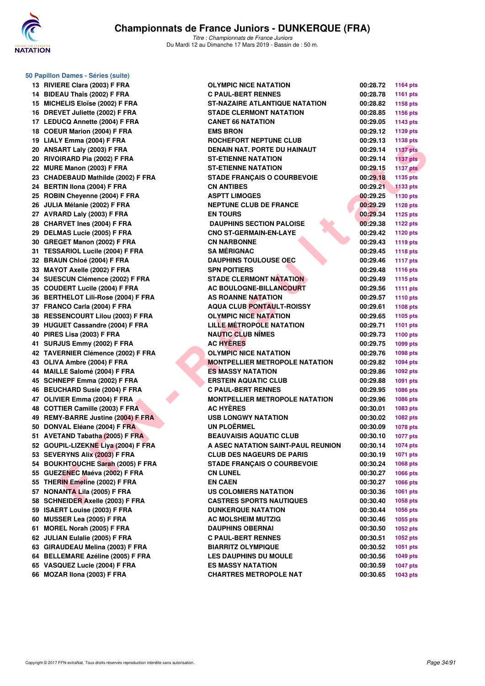

**50 Papillon Dames - Séries (suite)**

*Titre : Championnats de France Juniors* Du Mardi 12 au Dimanche 17 Mars 2019 - Bassin de : 50 m.

| 13 | RIVIERE Clara (2003) F FRA              |
|----|-----------------------------------------|
| 14 | BIDEAU Thaïs (2002) F FRA               |
| 15 | MICHELIS Eloïse (2002) F FRA            |
| 16 | DREVET Juliette (2002) F FRA            |
| 17 | <b>LEDUCQ Annette (2004) F FRA</b>      |
| 18 | COEUR Marion (2004) F FRA               |
| 19 | LIALY Emma (2004) F FRA                 |
| 20 | ANSART Laly (2003) F FRA                |
| 20 | RIVOIRARD Pia (2002) F FRA              |
| 22 | MURE Manon (2003) F FRA                 |
| 23 | <b>CHADEBAUD Mathilde (2002) F FRA</b>  |
| 24 | BERTIN IIona (2004) F FRA               |
| 25 | ROBIN Cheyenne (2004) F FRA             |
| 26 | JULIA Mélanie (2002) F FRA              |
| 27 | AVRARD Laly (2003) F FRA                |
| 28 | CHARVET Ines (2004) F FRA               |
| 29 | DELMAS Lucie (2005) F FRA               |
| 30 | GREGET Manon (2002) F FRA               |
| 31 | <b>TESSARIOL Lucile (2004) F FRA</b>    |
| 32 | <b>BRAUN Chloé (2004) F FRA</b>         |
| 33 | MAYOT Axelle (2002) F FRA               |
| 34 | SUESCUN Clémence (2002) F FRA           |
| 35 | <b>COUDERT Lucile (2004) F FRA</b>      |
| 36 | <b>BERTHELOT Lili-Rose (2004) F FRA</b> |
| 37 | FRANCO Carla (2004) F FRA               |
| 38 | <b>RESSENCOURT Lilou (2003) F FRA</b>   |
| 39 | HUGUET Cassandre (2004) F FRA           |
| 40 | PIRES Lisa (2003) F FRA                 |
| 41 | SURJUS Emmy (2002) F FRA                |
| 42 | TAVERNIER Clémence (2002) F FRA         |
| 43 | OLIVA Ambre (2004) F FRA                |
| 44 | MAILLE Salomé (2004) F FRA              |
| 45 | SCHNEPF Emma (2002) F FRA               |
| 46 | <b>BEUCHARD Susie (2004) F FRA</b>      |
| 47 | OLIVIER Emma (2004) F FRA               |
| 48 | COTTIER Camille (2003) F FRA            |
| 49 | REMY-BARRE Justine (2004) F FRA         |
| 50 | DONVAL Eléane (2004) F FRA              |
| 51 | AVETAND Tabatha (2005) F FRA            |
| 52 | GOUPIL-LIZEKNE Liya (2004) F FRA        |
| 53 | SEVERYNS Alix (2003) F FRA              |
| 54 | <b>BOUKHTOUCHE Sarah (2005) F FRA</b>   |
| 55 | GUEZENEC Maéva (2002) F FRA             |
| 55 | THERIN Emeline (2002) F FRA             |
| 57 | <b>NONANTA Lila (2005) F FRA</b>        |
| 58 |                                         |
|    | <b>SCHNEIDER Axelle (2003) F FRA</b>    |
| 59 | ISAERT Louise (2003) F FRA              |
| 60 | MUSSER Lea (2005) F FRA                 |
| 61 | MOREL Norah (2005) F FRA                |
| 62 | JULIAN Eulalie (2005) F FRA             |
| 63 | <b>GIRAUDEAU Melina (2003) F FRA</b>    |
| 64 | <b>BELLEMARE Azéline (2005) F FRA</b>   |
| 65 | VASQUEZ Lucie (2004) F FRA              |
| 66 | MOZAR IIona (2003) F FRA                |

| 13 RIVIERE Clara (2003) F FRA       | <b>OLYMPIC NICE NATATION</b>          | 00:28.72          | 1164 pts        |
|-------------------------------------|---------------------------------------|-------------------|-----------------|
| 14 BIDEAU Thaïs (2002) F FRA        | <b>C PAUL-BERT RENNES</b>             | 00:28.78          | 1161 pts        |
| 15 MICHELIS Eloïse (2002) F FRA     | <b>ST-NAZAIRE ATLANTIQUE NATATION</b> | 00:28.82          | 1158 pts        |
| 16 DREVET Juliette (2002) F FRA     | <b>STADE CLERMONT NATATION</b>        | 00:28.85          | <b>1156 pts</b> |
| 17 LEDUCQ Annette (2004) F FRA      | <b>CANET 66 NATATION</b>              | 00:29.05          | 1143 pts        |
| 18 COEUR Marion (2004) F FRA        | <b>EMS BRON</b>                       | 00:29.12          | 1139 pts        |
| 19 LIALY Emma (2004) F FRA          | ROCHEFORT NEPTUNE CLUB                | 00:29.13          | 1138 pts        |
| 20 ANSART Laly (2003) F FRA         | DENAIN NAT. PORTE DU HAINAUT          | 00:29.14          | <b>1137 pts</b> |
| 20 RIVOIRARD Pia (2002) F FRA       | <b>ST-ETIENNE NATATION</b>            | 00:29.14          | $1137$ pts      |
| 22 MURE Manon (2003) F FRA          | <b>ST-ETIENNE NATATION</b>            | 00:29.15          | <b>1137 pts</b> |
| 23 CHADEBAUD Mathilde (2002) F FRA  | <b>STADE FRANÇAIS O COURBEVOIE</b>    | 00:29.18          | 1135 pts        |
| 24 BERTIN Ilona (2004) F FRA        | <b>CN ANTIBES</b>                     | 00:29.21          | <b>1133 pts</b> |
| 25 ROBIN Chevenne (2004) F FRA      | <b>ASPTT LIMOGES</b>                  | 00:29.25          | <b>1130 pts</b> |
| 26 JULIA Mélanie (2002) F FRA       | <b>NEPTUNE CLUB DE FRANCE</b>         | 00:29.29          | <b>1128 pts</b> |
| 27 AVRARD Laly (2003) F FRA         | <b>EN TOURS</b>                       | 00:29.34          | <b>1125 pts</b> |
| 28 CHARVET Ines (2004) F FRA        | <b>DAUPHINS SECTION PALOISE</b>       | 00:29.38          | <b>1122 pts</b> |
| 29 DELMAS Lucie (2005) F FRA        | <b>CNO ST-GERMAIN-EN-LAYE</b>         | 00:29.42          | <b>1120 pts</b> |
| 30 GREGET Manon (2002) F FRA        | <b>CN NARBONNE</b>                    | 00:29.43          | 1119 pts        |
| 31 TESSARIOL Lucile (2004) F FRA    | <b>SA MÉRIGNAC</b>                    | 00:29.45          | 1118 pts        |
| 32 BRAUN Chloé (2004) F FRA         | <b>DAUPHINS TOULOUSE OEC</b>          | 00:29.46          | <b>1117 pts</b> |
| 33 MAYOT Axelle (2002) F FRA        | <b>SPN POITIERS</b>                   | 00:29.48          | <b>1116 pts</b> |
| 34 SUESCUN Clémence (2002) F FRA    | <b>STADE CLERMONT NATATION</b>        | 00:29.49          | <b>1115 pts</b> |
| 35 COUDERT Lucile (2004) F FRA      | <b>AC BOULOGNE-BILLANCOURT</b>        | 00:29.56          | 1111 pts        |
| 36 BERTHELOT Lili-Rose (2004) F FRA | AS ROANNE NATATION                    | 00:29.57          | <b>1110 pts</b> |
| 37 FRANCO Carla (2004) F FRA        | <b>AQUA CLUB PONTAULT-ROISSY</b>      | 00:29.61          | 1108 pts        |
| 38 RESSENCOURT Lilou (2003) F FRA   | <b>OLYMPIC NICE NATATION</b>          | 00:29.65          | 1105 pts        |
| 39 HUGUET Cassandre (2004) F FRA    | LILLE MÉTROPOLE NATATION              | 00:29.71          | <b>1101 pts</b> |
| 40 PIRES Lisa (2003) F FRA          | <b>NAUTIC CLUB NÎMES</b>              | 00:29.73          | 1100 $pts$      |
| 41 SURJUS Emmy (2002) F FRA         | <b>AC HYERES</b>                      | 00:29.75          | 1099 pts        |
| 42 TAVERNIER Clémence (2002) F FRA  | <b>OLYMPIC NICE NATATION</b>          | 00:29.76          | 1098 pts        |
| 43 OLIVA Ambre (2004) F FRA         | <b>MONTPELLIER METROPOLE NATATION</b> | 00:29.82          | <b>1094 pts</b> |
| 44 MAILLE Salomé (2004) F FRA       | <b>ES MASSY NATATION</b>              | 00:29.86          | 1092 pts        |
| 45 SCHNEPF Emma (2002) F FRA        | <b>ERSTEIN AQUATIC CLUB</b>           | 00:29.88          | 1091 pts        |
| 46 BEUCHARD Susie (2004) F FRA      | <b>C PAUL-BERT RENNES</b>             | 00:29.95          | <b>1086 pts</b> |
| 47 OLIVIER Emma (2004) F FRA        | <b>MONTPELLIER METROPOLE NATATION</b> | 00:29.96          | 1086 pts        |
| 48 COTTIER Camille (2003) F FRA     | <b>AC HYERES</b>                      | 00:30.01          | 1083 pts        |
| 49 REMY-BARRE Justine (2004) F FRA  | <b>USB LONGWY NATATION</b>            | 00:30.02          | 1082 pts        |
| 50 DONVAL Eléane (2004) F FRA       | <b>UN PLOËRMEL</b>                    | 00:30.09          | 1078 pts        |
| 51 AVETAND Tabatha (2005) F FRA     | <b>BEAUVAISIS AQUATIC CLUB</b>        | 00:30.10          | <b>1077 pts</b> |
| 52 GOUPIL-LIZEKNE Liya (2004) F FRA | A ASEC NATATION SAINT-PAUL REUNION    | 00:30.14 1074 pts |                 |
| 53 SEVERYNS Alix (2003) F FRA       | <b>CLUB DES NAGEURS DE PARIS</b>      | 00:30.19          | 1071 pts        |
| 54 BOUKHTOUCHE Sarah (2005) F FRA   | <b>STADE FRANÇAIS O COURBEVOIE</b>    | 00:30.24          | 1068 pts        |
| 55 GUEZENEC Maéva (2002) F FRA      | <b>CN LUNEL</b>                       | 00:30.27          | 1066 pts        |
| 55 THERIN Emeline (2002) F FRA      | <b>EN CAEN</b>                        | 00:30.27          | 1066 pts        |
| 57 NONANTA Lila (2005) F FRA        | US COLOMIERS NATATION                 | 00:30.36          | <b>1061 pts</b> |
| 58 SCHNEIDER Axelle (2003) F FRA    | <b>CASTRES SPORTS NAUTIQUES</b>       | 00:30.40          | 1058 pts        |
| 59 ISAERT Louise (2003) F FRA       | <b>DUNKERQUE NATATION</b>             | 00:30.44          | 1056 pts        |
| 60 MUSSER Lea (2005) F FRA          | <b>AC MOLSHEIM MUTZIG</b>             | 00:30.46          | 1055 pts        |
| 61 MOREL Norah (2005) F FRA         | <b>DAUPHINS OBERNAI</b>               | 00:30.50          | 1052 pts        |
| 62 JULIAN Eulalie (2005) F FRA      | <b>C PAUL-BERT RENNES</b>             | 00:30.51          | 1052 pts        |
| 63 GIRAUDEAU Melina (2003) F FRA    | <b>BIARRITZ OLYMPIQUE</b>             | 00:30.52          | 1051 pts        |
| 64 BELLEMARE Azéline (2005) F FRA   | <b>LES DAUPHINS DU MOULE</b>          | 00:30.56          | 1049 pts        |
| 65 VASQUEZ Lucie (2004) F FRA       | <b>ES MASSY NATATION</b>              | 00:30.59          | <b>1047 pts</b> |
| 66 MOZAR Ilona (2003) F FRA         | <b>CHARTRES METROPOLE NAT</b>         | 00:30.65          | 1043 pts        |
|                                     |                                       |                   |                 |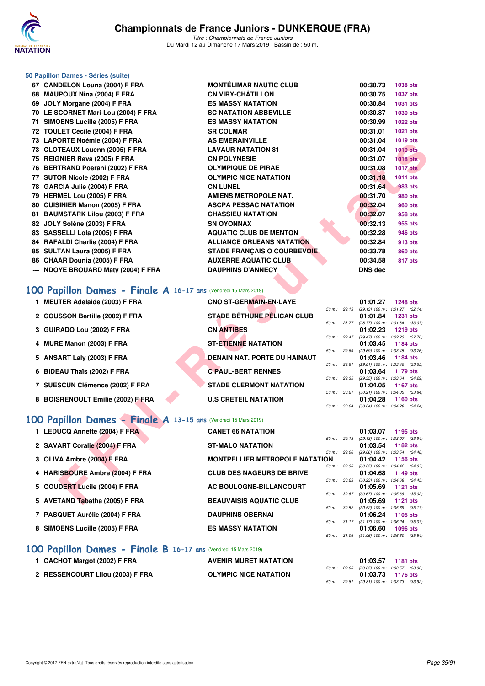

|                                          | <b>MONTÉLIMAR NAUTIC CLUB</b>                                                                                                                                                                                                                                                                                                                                                                                                                                                                                                                                                                                                                                                                                                                                                                                                                                                                                                                                                                                                                                                                                                                   |                                                                                                                                                                                                                                                                                                                                                                                                                                                                                                                                                                                                                                                                              | 00:30.73                                                                              | 1038 pts                                                                                                                                                                                                                                                                                                                                                                                                                                                                                                                 |
|------------------------------------------|-------------------------------------------------------------------------------------------------------------------------------------------------------------------------------------------------------------------------------------------------------------------------------------------------------------------------------------------------------------------------------------------------------------------------------------------------------------------------------------------------------------------------------------------------------------------------------------------------------------------------------------------------------------------------------------------------------------------------------------------------------------------------------------------------------------------------------------------------------------------------------------------------------------------------------------------------------------------------------------------------------------------------------------------------------------------------------------------------------------------------------------------------|------------------------------------------------------------------------------------------------------------------------------------------------------------------------------------------------------------------------------------------------------------------------------------------------------------------------------------------------------------------------------------------------------------------------------------------------------------------------------------------------------------------------------------------------------------------------------------------------------------------------------------------------------------------------------|---------------------------------------------------------------------------------------|--------------------------------------------------------------------------------------------------------------------------------------------------------------------------------------------------------------------------------------------------------------------------------------------------------------------------------------------------------------------------------------------------------------------------------------------------------------------------------------------------------------------------|
|                                          | <b>CN VIRY-CHÂTILLON</b>                                                                                                                                                                                                                                                                                                                                                                                                                                                                                                                                                                                                                                                                                                                                                                                                                                                                                                                                                                                                                                                                                                                        |                                                                                                                                                                                                                                                                                                                                                                                                                                                                                                                                                                                                                                                                              | 00:30.75                                                                              | <b>1037 pts</b>                                                                                                                                                                                                                                                                                                                                                                                                                                                                                                          |
|                                          | <b>ES MASSY NATATION</b>                                                                                                                                                                                                                                                                                                                                                                                                                                                                                                                                                                                                                                                                                                                                                                                                                                                                                                                                                                                                                                                                                                                        |                                                                                                                                                                                                                                                                                                                                                                                                                                                                                                                                                                                                                                                                              | 00:30.84                                                                              | 1031 pts                                                                                                                                                                                                                                                                                                                                                                                                                                                                                                                 |
|                                          | <b>SC NATATION ABBEVILLE</b>                                                                                                                                                                                                                                                                                                                                                                                                                                                                                                                                                                                                                                                                                                                                                                                                                                                                                                                                                                                                                                                                                                                    |                                                                                                                                                                                                                                                                                                                                                                                                                                                                                                                                                                                                                                                                              | 00:30.87                                                                              | 1030 pts                                                                                                                                                                                                                                                                                                                                                                                                                                                                                                                 |
|                                          | <b>ES MASSY NATATION</b>                                                                                                                                                                                                                                                                                                                                                                                                                                                                                                                                                                                                                                                                                                                                                                                                                                                                                                                                                                                                                                                                                                                        |                                                                                                                                                                                                                                                                                                                                                                                                                                                                                                                                                                                                                                                                              | 00:30.99                                                                              | <b>1022 pts</b>                                                                                                                                                                                                                                                                                                                                                                                                                                                                                                          |
|                                          | <b>SR COLMAR</b>                                                                                                                                                                                                                                                                                                                                                                                                                                                                                                                                                                                                                                                                                                                                                                                                                                                                                                                                                                                                                                                                                                                                |                                                                                                                                                                                                                                                                                                                                                                                                                                                                                                                                                                                                                                                                              | 00:31.01                                                                              | 1021 pts                                                                                                                                                                                                                                                                                                                                                                                                                                                                                                                 |
|                                          | <b>AS EMERAINVILLE</b>                                                                                                                                                                                                                                                                                                                                                                                                                                                                                                                                                                                                                                                                                                                                                                                                                                                                                                                                                                                                                                                                                                                          |                                                                                                                                                                                                                                                                                                                                                                                                                                                                                                                                                                                                                                                                              | 00:31.04                                                                              | 1019 pts                                                                                                                                                                                                                                                                                                                                                                                                                                                                                                                 |
|                                          | <b>LAVAUR NATATION 81</b>                                                                                                                                                                                                                                                                                                                                                                                                                                                                                                                                                                                                                                                                                                                                                                                                                                                                                                                                                                                                                                                                                                                       |                                                                                                                                                                                                                                                                                                                                                                                                                                                                                                                                                                                                                                                                              | 00:31.04                                                                              | <b>1019 pts</b>                                                                                                                                                                                                                                                                                                                                                                                                                                                                                                          |
|                                          | <b>CN POLYNESIE</b>                                                                                                                                                                                                                                                                                                                                                                                                                                                                                                                                                                                                                                                                                                                                                                                                                                                                                                                                                                                                                                                                                                                             |                                                                                                                                                                                                                                                                                                                                                                                                                                                                                                                                                                                                                                                                              | 00:31.07                                                                              | <b>1018 pts</b>                                                                                                                                                                                                                                                                                                                                                                                                                                                                                                          |
|                                          |                                                                                                                                                                                                                                                                                                                                                                                                                                                                                                                                                                                                                                                                                                                                                                                                                                                                                                                                                                                                                                                                                                                                                 |                                                                                                                                                                                                                                                                                                                                                                                                                                                                                                                                                                                                                                                                              |                                                                                       | <b>1017 pts</b>                                                                                                                                                                                                                                                                                                                                                                                                                                                                                                          |
|                                          |                                                                                                                                                                                                                                                                                                                                                                                                                                                                                                                                                                                                                                                                                                                                                                                                                                                                                                                                                                                                                                                                                                                                                 |                                                                                                                                                                                                                                                                                                                                                                                                                                                                                                                                                                                                                                                                              |                                                                                       | <b>1011 pts</b>                                                                                                                                                                                                                                                                                                                                                                                                                                                                                                          |
|                                          |                                                                                                                                                                                                                                                                                                                                                                                                                                                                                                                                                                                                                                                                                                                                                                                                                                                                                                                                                                                                                                                                                                                                                 |                                                                                                                                                                                                                                                                                                                                                                                                                                                                                                                                                                                                                                                                              |                                                                                       | 983 pts                                                                                                                                                                                                                                                                                                                                                                                                                                                                                                                  |
|                                          |                                                                                                                                                                                                                                                                                                                                                                                                                                                                                                                                                                                                                                                                                                                                                                                                                                                                                                                                                                                                                                                                                                                                                 |                                                                                                                                                                                                                                                                                                                                                                                                                                                                                                                                                                                                                                                                              |                                                                                       | 980 pts                                                                                                                                                                                                                                                                                                                                                                                                                                                                                                                  |
|                                          |                                                                                                                                                                                                                                                                                                                                                                                                                                                                                                                                                                                                                                                                                                                                                                                                                                                                                                                                                                                                                                                                                                                                                 |                                                                                                                                                                                                                                                                                                                                                                                                                                                                                                                                                                                                                                                                              |                                                                                       | 960 pts                                                                                                                                                                                                                                                                                                                                                                                                                                                                                                                  |
|                                          |                                                                                                                                                                                                                                                                                                                                                                                                                                                                                                                                                                                                                                                                                                                                                                                                                                                                                                                                                                                                                                                                                                                                                 |                                                                                                                                                                                                                                                                                                                                                                                                                                                                                                                                                                                                                                                                              |                                                                                       | 958 pts                                                                                                                                                                                                                                                                                                                                                                                                                                                                                                                  |
|                                          |                                                                                                                                                                                                                                                                                                                                                                                                                                                                                                                                                                                                                                                                                                                                                                                                                                                                                                                                                                                                                                                                                                                                                 |                                                                                                                                                                                                                                                                                                                                                                                                                                                                                                                                                                                                                                                                              |                                                                                       | 955 pts                                                                                                                                                                                                                                                                                                                                                                                                                                                                                                                  |
|                                          |                                                                                                                                                                                                                                                                                                                                                                                                                                                                                                                                                                                                                                                                                                                                                                                                                                                                                                                                                                                                                                                                                                                                                 |                                                                                                                                                                                                                                                                                                                                                                                                                                                                                                                                                                                                                                                                              |                                                                                       | 946 pts                                                                                                                                                                                                                                                                                                                                                                                                                                                                                                                  |
|                                          |                                                                                                                                                                                                                                                                                                                                                                                                                                                                                                                                                                                                                                                                                                                                                                                                                                                                                                                                                                                                                                                                                                                                                 |                                                                                                                                                                                                                                                                                                                                                                                                                                                                                                                                                                                                                                                                              |                                                                                       | 913 pts                                                                                                                                                                                                                                                                                                                                                                                                                                                                                                                  |
|                                          |                                                                                                                                                                                                                                                                                                                                                                                                                                                                                                                                                                                                                                                                                                                                                                                                                                                                                                                                                                                                                                                                                                                                                 |                                                                                                                                                                                                                                                                                                                                                                                                                                                                                                                                                                                                                                                                              |                                                                                       | 860 pts<br>817 pts                                                                                                                                                                                                                                                                                                                                                                                                                                                                                                       |
|                                          |                                                                                                                                                                                                                                                                                                                                                                                                                                                                                                                                                                                                                                                                                                                                                                                                                                                                                                                                                                                                                                                                                                                                                 |                                                                                                                                                                                                                                                                                                                                                                                                                                                                                                                                                                                                                                                                              |                                                                                       |                                                                                                                                                                                                                                                                                                                                                                                                                                                                                                                          |
|                                          |                                                                                                                                                                                                                                                                                                                                                                                                                                                                                                                                                                                                                                                                                                                                                                                                                                                                                                                                                                                                                                                                                                                                                 |                                                                                                                                                                                                                                                                                                                                                                                                                                                                                                                                                                                                                                                                              |                                                                                       |                                                                                                                                                                                                                                                                                                                                                                                                                                                                                                                          |
|                                          |                                                                                                                                                                                                                                                                                                                                                                                                                                                                                                                                                                                                                                                                                                                                                                                                                                                                                                                                                                                                                                                                                                                                                 |                                                                                                                                                                                                                                                                                                                                                                                                                                                                                                                                                                                                                                                                              |                                                                                       |                                                                                                                                                                                                                                                                                                                                                                                                                                                                                                                          |
|                                          | <b>CNO ST-GERMAIN-EN-LAYE</b>                                                                                                                                                                                                                                                                                                                                                                                                                                                                                                                                                                                                                                                                                                                                                                                                                                                                                                                                                                                                                                                                                                                   |                                                                                                                                                                                                                                                                                                                                                                                                                                                                                                                                                                                                                                                                              | 01:01.27                                                                              | <b>1248 pts</b>                                                                                                                                                                                                                                                                                                                                                                                                                                                                                                          |
|                                          | <b>STADE BÉTHUNE PÉLICAN CLUB</b>                                                                                                                                                                                                                                                                                                                                                                                                                                                                                                                                                                                                                                                                                                                                                                                                                                                                                                                                                                                                                                                                                                               |                                                                                                                                                                                                                                                                                                                                                                                                                                                                                                                                                                                                                                                                              | (29.13) 100 m: 1:01.27 (32.14)<br>01:01.84                                            | <b>1231 pts</b>                                                                                                                                                                                                                                                                                                                                                                                                                                                                                                          |
|                                          |                                                                                                                                                                                                                                                                                                                                                                                                                                                                                                                                                                                                                                                                                                                                                                                                                                                                                                                                                                                                                                                                                                                                                 |                                                                                                                                                                                                                                                                                                                                                                                                                                                                                                                                                                                                                                                                              |                                                                                       | <b>1219 pts</b>                                                                                                                                                                                                                                                                                                                                                                                                                                                                                                          |
|                                          |                                                                                                                                                                                                                                                                                                                                                                                                                                                                                                                                                                                                                                                                                                                                                                                                                                                                                                                                                                                                                                                                                                                                                 |                                                                                                                                                                                                                                                                                                                                                                                                                                                                                                                                                                                                                                                                              |                                                                                       | (29.47) 100 m : 1:02.23 (32.76)                                                                                                                                                                                                                                                                                                                                                                                                                                                                                          |
|                                          |                                                                                                                                                                                                                                                                                                                                                                                                                                                                                                                                                                                                                                                                                                                                                                                                                                                                                                                                                                                                                                                                                                                                                 |                                                                                                                                                                                                                                                                                                                                                                                                                                                                                                                                                                                                                                                                              | 01:03.45                                                                              | 1184 pts                                                                                                                                                                                                                                                                                                                                                                                                                                                                                                                 |
|                                          |                                                                                                                                                                                                                                                                                                                                                                                                                                                                                                                                                                                                                                                                                                                                                                                                                                                                                                                                                                                                                                                                                                                                                 |                                                                                                                                                                                                                                                                                                                                                                                                                                                                                                                                                                                                                                                                              |                                                                                       | 1184 pts                                                                                                                                                                                                                                                                                                                                                                                                                                                                                                                 |
|                                          |                                                                                                                                                                                                                                                                                                                                                                                                                                                                                                                                                                                                                                                                                                                                                                                                                                                                                                                                                                                                                                                                                                                                                 |                                                                                                                                                                                                                                                                                                                                                                                                                                                                                                                                                                                                                                                                              |                                                                                       | $(29.81)$ 100 m : 1:03.46 $(33.65)$                                                                                                                                                                                                                                                                                                                                                                                                                                                                                      |
|                                          |                                                                                                                                                                                                                                                                                                                                                                                                                                                                                                                                                                                                                                                                                                                                                                                                                                                                                                                                                                                                                                                                                                                                                 |                                                                                                                                                                                                                                                                                                                                                                                                                                                                                                                                                                                                                                                                              |                                                                                       | 1179 pts                                                                                                                                                                                                                                                                                                                                                                                                                                                                                                                 |
|                                          | <b>STADE CLERMONT NATATION</b>                                                                                                                                                                                                                                                                                                                                                                                                                                                                                                                                                                                                                                                                                                                                                                                                                                                                                                                                                                                                                                                                                                                  |                                                                                                                                                                                                                                                                                                                                                                                                                                                                                                                                                                                                                                                                              | 01:04.05                                                                              | <b>1167 pts</b>                                                                                                                                                                                                                                                                                                                                                                                                                                                                                                          |
|                                          |                                                                                                                                                                                                                                                                                                                                                                                                                                                                                                                                                                                                                                                                                                                                                                                                                                                                                                                                                                                                                                                                                                                                                 |                                                                                                                                                                                                                                                                                                                                                                                                                                                                                                                                                                                                                                                                              |                                                                                       | $(30.21)$ 100 m : 1:04.05 $(33.84)$                                                                                                                                                                                                                                                                                                                                                                                                                                                                                      |
|                                          |                                                                                                                                                                                                                                                                                                                                                                                                                                                                                                                                                                                                                                                                                                                                                                                                                                                                                                                                                                                                                                                                                                                                                 |                                                                                                                                                                                                                                                                                                                                                                                                                                                                                                                                                                                                                                                                              |                                                                                       | 1160 pts                                                                                                                                                                                                                                                                                                                                                                                                                                                                                                                 |
|                                          |                                                                                                                                                                                                                                                                                                                                                                                                                                                                                                                                                                                                                                                                                                                                                                                                                                                                                                                                                                                                                                                                                                                                                 |                                                                                                                                                                                                                                                                                                                                                                                                                                                                                                                                                                                                                                                                              |                                                                                       |                                                                                                                                                                                                                                                                                                                                                                                                                                                                                                                          |
|                                          |                                                                                                                                                                                                                                                                                                                                                                                                                                                                                                                                                                                                                                                                                                                                                                                                                                                                                                                                                                                                                                                                                                                                                 |                                                                                                                                                                                                                                                                                                                                                                                                                                                                                                                                                                                                                                                                              |                                                                                       |                                                                                                                                                                                                                                                                                                                                                                                                                                                                                                                          |
|                                          | <b>CANET 66 NATATION</b>                                                                                                                                                                                                                                                                                                                                                                                                                                                                                                                                                                                                                                                                                                                                                                                                                                                                                                                                                                                                                                                                                                                        |                                                                                                                                                                                                                                                                                                                                                                                                                                                                                                                                                                                                                                                                              | 01:03.07                                                                              | 1195 pts                                                                                                                                                                                                                                                                                                                                                                                                                                                                                                                 |
|                                          |                                                                                                                                                                                                                                                                                                                                                                                                                                                                                                                                                                                                                                                                                                                                                                                                                                                                                                                                                                                                                                                                                                                                                 |                                                                                                                                                                                                                                                                                                                                                                                                                                                                                                                                                                                                                                                                              | (29.13) 100 m : 1:03.07 (33.94)                                                       | 1182 pts                                                                                                                                                                                                                                                                                                                                                                                                                                                                                                                 |
|                                          |                                                                                                                                                                                                                                                                                                                                                                                                                                                                                                                                                                                                                                                                                                                                                                                                                                                                                                                                                                                                                                                                                                                                                 |                                                                                                                                                                                                                                                                                                                                                                                                                                                                                                                                                                                                                                                                              |                                                                                       | (29.06) 100 m: 1:03.54 (34.48)                                                                                                                                                                                                                                                                                                                                                                                                                                                                                           |
|                                          |                                                                                                                                                                                                                                                                                                                                                                                                                                                                                                                                                                                                                                                                                                                                                                                                                                                                                                                                                                                                                                                                                                                                                 |                                                                                                                                                                                                                                                                                                                                                                                                                                                                                                                                                                                                                                                                              | 01:04.42                                                                              | 1156 pts                                                                                                                                                                                                                                                                                                                                                                                                                                                                                                                 |
|                                          |                                                                                                                                                                                                                                                                                                                                                                                                                                                                                                                                                                                                                                                                                                                                                                                                                                                                                                                                                                                                                                                                                                                                                 |                                                                                                                                                                                                                                                                                                                                                                                                                                                                                                                                                                                                                                                                              |                                                                                       |                                                                                                                                                                                                                                                                                                                                                                                                                                                                                                                          |
|                                          |                                                                                                                                                                                                                                                                                                                                                                                                                                                                                                                                                                                                                                                                                                                                                                                                                                                                                                                                                                                                                                                                                                                                                 |                                                                                                                                                                                                                                                                                                                                                                                                                                                                                                                                                                                                                                                                              |                                                                                       |                                                                                                                                                                                                                                                                                                                                                                                                                                                                                                                          |
| 4 HARISBOURE Ambre (2004) F FRA          | <b>CLUB DES NAGEURS DE BRIVE</b>                                                                                                                                                                                                                                                                                                                                                                                                                                                                                                                                                                                                                                                                                                                                                                                                                                                                                                                                                                                                                                                                                                                | 50 m: 30.23                                                                                                                                                                                                                                                                                                                                                                                                                                                                                                                                                                                                                                                                  | 01:04.68                                                                              | 1149 pts<br>(30.23) 100 m: 1:04.68 (34.45)                                                                                                                                                                                                                                                                                                                                                                                                                                                                               |
| <b>COUDERT Lucile (2004) F FRA</b><br>5. | AC BOULOGNE-BILLANCOURT                                                                                                                                                                                                                                                                                                                                                                                                                                                                                                                                                                                                                                                                                                                                                                                                                                                                                                                                                                                                                                                                                                                         | 50 m : 30.67                                                                                                                                                                                                                                                                                                                                                                                                                                                                                                                                                                                                                                                                 | 01:05.69                                                                              | <b>1121 pts</b><br>$(30.67)$ 100 m : 1:05.69 $(35.02)$                                                                                                                                                                                                                                                                                                                                                                                                                                                                   |
|                                          | 50 Papillon Dames - Séries (suite)<br>67 CANDELON Louna (2004) F FRA<br>68 MAUPOUX Nina (2004) F FRA<br>69 JOLY Morgane (2004) F FRA<br>70 LE SCORNET Mari-Lou (2004) F FRA<br>71 SIMOENS Lucille (2005) F FRA<br>72 TOULET Cécile (2004) F FRA<br>73 LAPORTE Noémie (2004) F FRA<br>73 CLOTEAUX Louenn (2005) F FRA<br>75 REIGNIER Reva (2005) F FRA<br>76 BERTRAND Poerani (2002) F FRA<br>77 SUTOR Nicole (2002) F FRA<br>78 GARCIA Julie (2004) F FRA<br>79 HERMEL Lou (2005) F FRA<br>80 CUISINIER Manon (2005) F FRA<br>81 BAUMSTARK Lilou (2003) F FRA<br>82 JOLY Solène (2003) F FRA<br>83 SASSELLI Lola (2005) F FRA<br>84 RAFALDI Charlie (2004) F FRA<br>85 SULTAN Laura (2005) F FRA<br>86 CHAAR Dounia (2005) F FRA<br>--- NDOYE BROUARD Maty (2004) F FRA<br>1 MEUTER Adelaide (2003) F FRA<br>2 COUSSON Bertille (2002) F FRA<br>3 GUIRADO Lou (2002) F FRA<br>MURE Manon (2003) F FRA<br>4<br>5 ANSART Laly (2003) F FRA<br>6 BIDEAU Thaïs (2002) F FRA<br>7 SUESCUN Clémence (2002) F FRA<br>8 BOISRENOULT Emilie (2002) F FRA<br>1 LEDUCQ Annette (2004) F FRA<br>2 SAVART Coralie (2004) F FRA<br>3 OLIVA Ambre (2004) F FRA | <b>OLYMPIQUE DE PIRAE</b><br><b>OLYMPIC NICE NATATION</b><br><b>CN LUNEL</b><br>AMIENS METROPOLE NAT.<br><b>ASCPA PESSAC NATATION</b><br><b>CHASSIEU NATATION</b><br><b>SN OYONNAX</b><br><b>AQUATIC CLUB DE MENTON</b><br><b>ALLIANCE ORLEANS NATATION</b><br><b>STADE FRANÇAIS O COURBEVOIE</b><br><b>AUXERRE AQUATIC CLUB</b><br><b>DAUPHINS D'ANNECY</b><br>100 Papillon Dames - Finale A 16-17 ans (Vendredi 15 Mars 2019)<br><b>CN ANTIBES</b><br><b>ST-ETIENNE NATATION</b><br>DENAIN NAT. PORTE DU HAINAUT<br><b>C PAUL-BERT RENNES</b><br><b>U.S CRETEIL NATATION</b><br>100 Papillon Dames - Finale A 13-15 ans (Vendredi 15 Mars 2019)<br><b>ST-MALO NATATION</b> | 50 m : 29.13<br>50 m : 29.06<br><b>MONTPELLIER METROPOLE NATATION</b><br>50 m : 30.35 | 00:31.08<br>00:31.18<br>00:31.64<br>00:31.70<br>00:32.04<br>00:32.07<br>00:32.13<br>00:32.28<br>00:32.84<br>00:33.78<br>00:34.58<br><b>DNS dec</b><br>50 m : 29.13<br>(28.77) 100 m: 1:01.84 (33.07)<br>50 m : 28.77<br>01:02.23<br>50 m : 29.47<br>50 m : 29.69<br>(29.69) 100 m: 1:03.45 (33.76)<br>01:03.46<br>50 m : 29.81<br>01:03.64<br>(29.35) 100 m: 1:03.64 (34.29)<br>50 m : 29.35<br>50 m : 30.21<br>01:04.28<br>(30.04) 100 m: 1:04.28 (34.24)<br>50 m : 30.04<br>01:03.54<br>(30.35) 100 m: 1:04.42 (34.07) |

# **[100 Papillon Dames - Finale A](http://www.ffnatation.fr/webffn/resultats.php?idact=nat&go=epr&idcpt=59271&idepr=32) 16-17 ans** (Vendredi 15 Mars 2019)

| 1 MEUTER Adelaide (2003) F FRA    | <b>CNO ST-GERMAIN-EN-LAYE</b>     |                  | 01:01.27                                        | <b>1248 pts</b> |  |
|-----------------------------------|-----------------------------------|------------------|-------------------------------------------------|-----------------|--|
| 2 COUSSON Bertille (2002) F FRA   | <b>STADE BÉTHUNE PÉLICAN CLUB</b> | 50 m: 29.13      | (29.13) 100 m: 1:01.27 (32.14)<br>01:01.84      | <b>1231 pts</b> |  |
|                                   |                                   | $50 m$ : 28.77   | (28.77) 100 m : 1:01.84 (33.07)                 |                 |  |
| 3 GUIRADO Lou (2002) F FRA        | <b>CN ANTIBES</b>                 | $50 m$ : 29.47   | 01:02.23<br>(29.47) 100 m : 1:02.23 (32.76)     | $1219$ pts      |  |
| 4 MURE Manon (2003) F FRA         | <b>ST-ETIENNE NATATION</b>        | 50 m: 29.69      | 01:03.45<br>$(29.69)$ 100 m : 1:03.45 $(33.76)$ | 1184 pts        |  |
| 5 ANSART Laly (2003) F FRA        | DENAIN NAT. PORTE DU HAINAUT      |                  | 01:03.46                                        | 1184 pts        |  |
| 6 BIDEAU Thaïs (2002) F FRA       | <b>C PAUL-BERT RENNES</b>         | 50 m: 29.81      | $(29.81)$ 100 m : 1:03.46 $(33.65)$<br>01:03.64 | 1179 pts        |  |
| 7 SUESCUN Clémence (2002) F FRA   | <b>STADE CLERMONT NATATION</b>    | $50 m$ : 29.35   | (29.35) 100 m: 1:03.64 (34.29)<br>01:04.05      | 1167 pts        |  |
|                                   |                                   | $50 m$ : $30.21$ | $(30.21)$ 100 m : 1:04.05 $(33.84)$             |                 |  |
| 8 BOISRENOULT Emilie (2002) F FRA | <b>U.S CRETEIL NATATION</b>       | 50 m : 30.04     | 01:04.28<br>$(30.04)$ 100 m : 1:04.28 $(34.24)$ | 1160 $pts$      |  |

# **[100 Papillon Dames - Finale A](http://www.ffnatation.fr/webffn/resultats.php?idact=nat&go=epr&idcpt=59271&idepr=32) 13-15 ans** (Vendredi 15 Mars 2019)

| 1 LEDUCQ Annette (2004) F FRA   | <b>CANET 66 NATATION</b>              |              | 01:03.07 | 1195 pts                                        |
|---------------------------------|---------------------------------------|--------------|----------|-------------------------------------------------|
|                                 |                                       | 50 m: 29.13  |          | (29.13) 100 m: 1:03.07 (33.94                   |
| 2 SAVART Coralie (2004) F FRA   | <b>ST-MALO NATATION</b>               |              | 01:03.54 | 1182 pts                                        |
|                                 |                                       | 50 m: 29.06  |          | (29.06) 100 m : 1:03.54 (34.48)                 |
| 3 OLIVA Ambre (2004) F FRA      | <b>MONTPELLIER METROPOLE NATATION</b> |              | 01:04.42 | 1156 pts                                        |
|                                 |                                       | 50 m: 30.35  |          | (30.35) 100 m: 1:04.42 (34.07                   |
| 4 HARISBOURE Ambre (2004) F FRA | <b>CLUB DES NAGEURS DE BRIVE</b>      |              |          | $01:04.68$ 1149 pts                             |
|                                 |                                       | 50 m: 30.23  |          | $(30.23)$ 100 m : 1:04.68 $(34.45)$             |
| 5 COUDERT Lucile (2004) F FRA   | AC BOULOGNE-BILLANCOURT               |              | 01:05.69 | 1121 pts                                        |
|                                 |                                       | 50 m: 30.67  |          | $(30.67)$ 100 m : 1:05.69 $(35.02)$             |
| 5 AVETAND Tabatha (2005) F FRA  | <b>BEAUVAISIS AQUATIC CLUB</b>        |              | 01:05.69 | 1121 $pts$                                      |
|                                 |                                       | 50 m: 30.52  |          | (30.52) 100 m : 1:05.69 (35.17                  |
| 7 PASQUET Aurélie (2004) F FRA  | <b>DAUPHINS OBERNAI</b>               |              | 01:06.24 | 1105 $pts$                                      |
|                                 | <b>ES MASSY NATATION</b>              | 50 m: 31.17  |          | $(31.17)$ 100 m : 1:06.24 $(35.07)$             |
| 8 SIMOENS Lucille (2005) F FRA  |                                       | 50 m : 31.06 | 01:06.60 | 1096 pts<br>$(31.06)$ 100 m : 1:06.60 $(35.54)$ |
|                                 |                                       |              |          |                                                 |
|                                 |                                       |              |          |                                                 |

### **[100 Papillon Dames - Finale B](http://www.ffnatation.fr/webffn/resultats.php?idact=nat&go=epr&idcpt=59271&idepr=32) 16-17 ans** (Vendredi 15 Mars 2019)

| 1 CACHOT Margot (2002) F FRA     | <b>AVENIR MURET NATATION</b> |  | 01:03.57 1181 pts                                              |  |
|----------------------------------|------------------------------|--|----------------------------------------------------------------|--|
| 2 RESSENCOURT Lilou (2003) F FRA | <b>OLYMPIC NICE NATATION</b> |  | 50 m: 29.65 (29.65) 100 m: 1:03.57 (33.92<br>01:03.73 1176 pts |  |
|                                  |                              |  | 50 m: 29.81 (29.81) 100 m: 1:03.73 (33.92                      |  |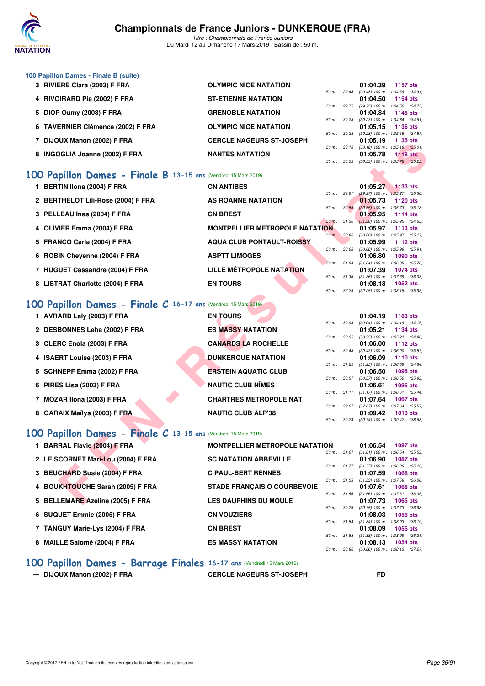

*Titre : Championnats de France Juniors* Du Mardi 12 au Dimanche 17 Mars 2019 - Bassin de : 50 m.

| 100 Papillon Dames - Finale B (suite)    |                                 |                |                          |          |                                     |
|------------------------------------------|---------------------------------|----------------|--------------------------|----------|-------------------------------------|
| 3 RIVIERE Clara (2003) F FRA             | <b>OLYMPIC NICE NATATION</b>    |                |                          | 01:04.39 | 1157 $p$ ts                         |
|                                          |                                 |                | $50 \text{ m}$ : 29.48   |          | (29.48) 100 m : 1:04.39 (34.91)     |
| 4 RIVOIRARD Pia (2002) F FRA             | <b>ST-ETIENNE NATATION</b>      |                |                          | 01:04.50 | <b>1154 pts</b>                     |
|                                          |                                 | $50 m$ : 29.75 |                          |          | (29.75) 100 m : 1:04.50 (34.75)     |
| 5 DIOP Oumy (2003) F FRA                 | <b>GRENOBLE NATATION</b>        |                |                          | 01:04.84 | 1145 pts                            |
|                                          |                                 |                | $50 \text{ m}$ : $30.23$ |          | $(30.23)$ 100 m : 1:04.84 $(34.61)$ |
| 6 TAVERNIER Clémence (2002) F FRA        | <b>OLYMPIC NICE NATATION</b>    |                |                          | 01:05.15 | 1136 $pts$                          |
|                                          |                                 |                | $50 \text{ m}$ : $30.28$ |          | $(30.28)$ 100 m : 1:05.15 $(34.87)$ |
| 7 DIJOUX Manon (2002) F FRA              | <b>CERCLE NAGEURS ST-JOSEPH</b> |                |                          | 01:05.19 | <b>1135 pts</b>                     |
|                                          |                                 | 50 m: 30.18    |                          |          | $(30.18)$ 100 m : 1.05.19 $(35.01)$ |
| <b>INGOGLIA Joanne (2002) F FRA</b><br>8 | <b>NANTES NATATION</b>          |                |                          | 01:05.78 | $1118$ pts                          |
|                                          |                                 |                | $50 m$ : $30.53$         |          | $(30.53)$ 100 m : 1:05.78 $(35.25)$ |

# **[100 Papillon Dames - Finale B](http://www.ffnatation.fr/webffn/resultats.php?idact=nat&go=epr&idcpt=59271&idepr=32) 13-15 ans** (Vendredi 15 Mars 2019)

| 1 BERTIN Ilona (2004) F FRA        | <b>CN ANTIBES</b>                     |                        | 01:05.27                            | $1133$ pts      |  |
|------------------------------------|---------------------------------------|------------------------|-------------------------------------|-----------------|--|
|                                    |                                       | $50 m$ : 29.97         | (29.97) 100 m : 1:05.27 (35.30)     |                 |  |
| 2 BERTHELOT Lili-Rose (2004) F FRA | <b>AS ROANNE NATATION</b>             |                        | 01:05.73                            | 1120 pts        |  |
|                                    |                                       | 50 m: 30.55            | $(30.55)$ 100 m : 1:05.73 $(35.18)$ |                 |  |
| 3 PELLEAU Ines (2004) F FRA        | <b>CN BREST</b>                       |                        | 01:05.95                            | 1114 $pts$      |  |
|                                    |                                       | $50 \text{ m}$ : 31.30 | $(31.30)$ 100 m : 1:05.95 $(34.65)$ |                 |  |
| 4 OLIVIER Emma (2004) F FRA        | <b>MONTPELLIER METROPOLE NATATION</b> |                        | 01:05.97                            | 1113 $pts$      |  |
|                                    |                                       | 50 m: 30.80            | $(30.80)$ 100 m : 1:05.97 $(35.17)$ |                 |  |
| 5 FRANCO Carla (2004) F FRA        | <b>AQUA CLUB PONTAULT-ROISSY</b>      |                        | 01:05.99                            | 1112 $pts$      |  |
|                                    |                                       | 50 m: 30.08            | $(30.08)$ 100 m : 1:05.99 $(35.91)$ |                 |  |
| 6 ROBIN Chevenne (2004) F FRA      | <b>ASPTT LIMOGES</b>                  |                        | 01:06.80                            | <b>1090 pts</b> |  |
|                                    |                                       | $50 \text{ m}$ : 31.04 | $(31.04)$ 100 m : 1:06.80 $(35.76)$ |                 |  |
| 7 HUGUET Cassandre (2004) F FRA    | <b>LILLE MÉTROPOLE NATATION</b>       |                        | 01:07.39                            | <b>1074 pts</b> |  |
|                                    |                                       | 50 m: 31.36            | $(31.36)$ 100 m : 1:07.39 $(36.03)$ |                 |  |
| 8 LISTRAT Charlotte (2004) F FRA   | <b>EN TOURS</b>                       |                        | 01:08.18                            | $1052$ pts      |  |
|                                    |                                       | 50 m: 32.25            | $(32.25)$ 100 m : 1:08.18 $(35.93)$ |                 |  |

# **[100 Papillon Dames - Finale C](http://www.ffnatation.fr/webffn/resultats.php?idact=nat&go=epr&idcpt=59271&idepr=32) 16-17 ans** (Vendredi 15 Mars 2019)

| $\mu$ DIJOUA MAHUH (2002) F FRA                                       | CERCLE MAGEORS 31-JOSEFII             |              | U I .UJ. I J                                           | ່ 11 ປີປີ ປີເວ  |         |  |
|-----------------------------------------------------------------------|---------------------------------------|--------------|--------------------------------------------------------|-----------------|---------|--|
| 8 INGOGLIA Joanne (2002) F FRA                                        | <b>NANTES NATATION</b>                |              | 50 m: 30.18 (30.18) 100 m: 1:05.19 (35.01)<br>01:05.78 | <b>1118 pts</b> |         |  |
|                                                                       |                                       | 50 m: 30.53  | $(30.53)$ 100 m : 1:05.78 $(35.25)$                    |                 |         |  |
|                                                                       |                                       |              |                                                        |                 |         |  |
| 00 Papillon Dames - Finale B 13-15 ans (Vendredi 15 Mars 2019)        |                                       |              |                                                        |                 |         |  |
| 1 BERTIN Ilona (2004) F FRA                                           | <b>CN ANTIBES</b>                     |              | 01:05.27                                               | $1133$ pts      |         |  |
|                                                                       |                                       | 50 m: 29.97  | (29.97) 100 m : 1:05.27 (35.30)                        |                 |         |  |
| 2 BERTHELOT Lili-Rose (2004) F FRA                                    | AS ROANNE NATATION                    | 50 m: 30.55  | 01:05.73                                               | <b>1120 pts</b> |         |  |
| 3 PELLEAU Ines (2004) F FRA                                           | <b>CN BREST</b>                       |              | $(30.55)$ 100 m : 1:05.73 $(35.18)$<br>01:05.95        | 1114 pts        |         |  |
|                                                                       |                                       | 50 m: 31.30  | $(31.30)$ 100 m : 1:05.95 $(34.65)$                    |                 |         |  |
| 4 OLIVIER Emma (2004) F FRA                                           | <b>MONTPELLIER METROPOLE NATATION</b> |              | 01:05.97                                               | 1113 pts        |         |  |
|                                                                       |                                       | 50 m: 30.80  | $(30.80)$ 100 m : 1:05.97 $(35.17)$                    |                 |         |  |
| 5 FRANCO Carla (2004) F FRA                                           | <b>AQUA CLUB PONTAULT-ROISSY</b>      |              | 01:05.99                                               | 1112 pts        |         |  |
|                                                                       | <b>ASPTT LIMOGES</b>                  | 50 m : 30.08 | $(30.08)$ 100 m : 1:05.99 $(35.91)$                    |                 |         |  |
| 6 ROBIN Cheyenne (2004) F FRA                                         |                                       | 50 m: 31.04  | 01:06.80<br>$(31.04)$ 100 m : 1:06.80 $(35.76)$        | 1090 pts        |         |  |
| 7 HUGUET Cassandre (2004) F FRA                                       | <b>LILLE MÉTROPOLE NATATION</b>       |              | 01:07.39                                               | <b>1074 pts</b> |         |  |
|                                                                       |                                       | 50 m : 31.36 | $(31.36)$ 100 m : 1:07.39 $(36.03)$                    |                 |         |  |
| 8 LISTRAT Charlotte (2004) F FRA                                      | <b>EN TOURS</b>                       |              | 01:08.18                                               | <b>1052 pts</b> |         |  |
|                                                                       |                                       |              | 50 m: 32.25 (32.25) 100 m: 1:08.18 (35.93)             |                 |         |  |
| <b>00 Papillon Dames - Finale C 16-17 ans (Vendredi 15 Mars 2019)</b> |                                       |              |                                                        |                 |         |  |
|                                                                       |                                       |              |                                                        |                 |         |  |
| 1 AVRARD Laly (2003) F FRA                                            | <b>EN TOURS</b>                       |              | 01:04.19                                               | 1163 pts        |         |  |
|                                                                       | <b>ES MASSY NATATION</b>              | 50 m : 30.04 | $(30.04)$ 100 m : 1:04.19 $(34.15)$                    |                 |         |  |
| 2 DESBONNES Leha (2002) F FRA                                         |                                       | 50 m : 30.35 | 01:05.21<br>$(30.35)$ 100 m : 1:05.21 $(34.86)$        | 1134 pts        |         |  |
| 3 CLERC Enola (2003) F FRA                                            | <b>CANARDS LA ROCHELLE</b>            |              | 01:06.00                                               | <b>1112 pts</b> |         |  |
|                                                                       |                                       | 50 m : 30.43 | $(30.43)$ 100 m : 1:06.00 $(35.57)$                    |                 |         |  |
| 4 ISAERT Louise (2003) F FRA                                          | <b>DUNKERQUE NATATION</b>             |              | 01:06.09                                               | <b>1110 pts</b> |         |  |
|                                                                       |                                       | 50 m: 31.25  | $(31.25)$ 100 m : 1:06.09 $(34.84)$                    |                 |         |  |
| 5 SCHNEPF Emma (2002) F FRA                                           | <b>ERSTEIN AQUATIC CLUB</b>           |              | 01:06.50                                               | 1098 pts        |         |  |
| 6 PIRES Lisa (2003) F FRA                                             | <b>NAUTIC CLUB NÎMES</b>              | 50 m : 30.57 | $(30.57)$ 100 m : 1:06.50 $(35.93)$<br>01:06.61        | 1095 pts        |         |  |
|                                                                       |                                       |              | 50 m: 31.17 (31.17) 100 m: 1:06.61 (35.44)             |                 |         |  |
| 7 MOZAR IIona (2003) F FRA                                            | <b>CHARTRES METROPOLE NAT</b>         |              | 01:07.64                                               | <b>1067 pts</b> |         |  |
|                                                                       |                                       |              | 50 m: 32.07 (32.07) 100 m: 1:07.64 (35.57)             |                 |         |  |
| 8 GARAIX Maïlys (2003) F FRA                                          | <b>NAUTIC CLUB ALP'38</b>             |              | 01:09.42                                               | 1019 pts        |         |  |
|                                                                       |                                       | 50 m : 30.74 | $(30.74)$ 100 m : 1:09.42 $(38.68)$                    |                 |         |  |
| 00 Papillon Dames - Finale C 13-15 ans (Vendredi 15 Mars 2019)        |                                       |              |                                                        |                 |         |  |
|                                                                       |                                       |              |                                                        |                 |         |  |
| 1 BARRAL Flavie (2004) F FRA                                          | <b>MONTPELLIER METROPOLE NATATION</b> |              | 01:06.54                                               | 1097 pts        |         |  |
| 2 LE SCORNET Mari-Lou (2004) F FRA                                    | <b>SC NATATION ABBEVILLE</b>          | 50 m: 31.01  | $(31.01)$ 100 m : 1:06.54 $(35.53)$<br>01:06.90        |                 |         |  |
|                                                                       |                                       |              | 50 m: 31.77 (31.77) 100 m: 1:06.90 (35.13)             | <b>1087 pts</b> |         |  |
| 3 BEUCHARD Susie (2004) F FRA                                         | <b>C PAUL-BERT RENNES</b>             |              | 01:07.59                                               | <b>1068 pts</b> |         |  |
|                                                                       |                                       | 50 m : 31.53 | (31.53) 100 m : 1:07.59                                |                 | (36.06) |  |
| 4 BOUKHTOUCHE Sarah (2005) F FRA                                      | <b>STADE FRANÇAIS O COURBEVOIE</b>    |              | 01:07.61                                               | 1068 pts        |         |  |
|                                                                       |                                       |              | 50 m: 31.56 (31.56) 100 m: 1:07.61 (36.05)             |                 |         |  |
| 5 BELLEMARE Azéline (2005) F FRA                                      | <b>LES DAUPHINS DU MOULE</b>          |              | 01:07.73                                               | 1065 pts        |         |  |

# **[100 Papillon Dames - Finale C](http://www.ffnatation.fr/webffn/resultats.php?idact=nat&go=epr&idcpt=59271&idepr=32) 13-15 ans** (Vendredi 15 Mars 2019)

| 1 BARRAL Flavie (2004) F FRA       | <b>MONTPELLIER METROPOLE NATATION</b> |                  | 01:06.54                                  | 1097 pts |
|------------------------------------|---------------------------------------|------------------|-------------------------------------------|----------|
|                                    |                                       | 50 m: 31.01      | $(31.01)$ 100 m : 1:06.54 $(35.53)$       |          |
| 2 LE SCORNET Mari-Lou (2004) F FRA | <b>SC NATATION ABBEVILLE</b>          |                  | 01:06.90                                  | 1087 pts |
|                                    |                                       | $50 m$ : $31.77$ | $(31.77)$ 100 m : 1:06.90 $(35.13)$       |          |
| 3 BEUCHARD Susie (2004) F FRA      | <b>C PAUL-BERT RENNES</b>             |                  | 01:07.59                                  | 1068 pts |
|                                    |                                       | 50 m: 31.53      | (31.53) 100 m: 1:07.59 (36.06             |          |
| 4 BOUKHTOUCHE Sarah (2005) F FRA   | <b>STADE FRANCAIS O COURBEVOIE</b>    |                  | 01:07.61                                  | 1068 pts |
| 5 BELLEMARE Azéline (2005) F FRA   | <b>LES DAUPHINS DU MOULE</b>          | $50 m$ : $31.56$ | (31.56) 100 m: 1:07.61 (36.05<br>01:07.73 | 1065 pts |
|                                    |                                       | 50 m: 30.75      | (30.75) 100 m : 1:07.73 (36.98            |          |
| 6 SUQUET Emmie (2005) F FRA        | <b>CN VOUZIERS</b>                    |                  | 01:08.03                                  | 1056 pts |
|                                    |                                       | 50 m: 31.84      | (31.84) 100 m: 1:08.03 (36.19)            |          |
| 7 TANGUY Marie-Lys (2004) F FRA    | <b>CN BREST</b>                       |                  | 01:08.09                                  | 1055 pts |
|                                    |                                       | 50 m: 31.88      | $(31.88)$ 100 m : 1:08.09 $(36.21)$       |          |
| 8 MAILLE Salomé (2004) F FRA       | <b>ES MASSY NATATION</b>              |                  | 01:08.13                                  | 1054 pts |
|                                    |                                       | 50 m : 30.86     | (30.86) 100 m: 1:08.13 (37.27             |          |

### **[100 Papillon Dames - Barrage Finales](http://www.ffnatation.fr/webffn/resultats.php?idact=nat&go=epr&idcpt=59271&idepr=32) 16-17 ans** (Vendredi 15 Mars 2019)

**--- DIJOUX Manon (2002) F FRA CERCLE NAGEURS ST-JOSEPH FD**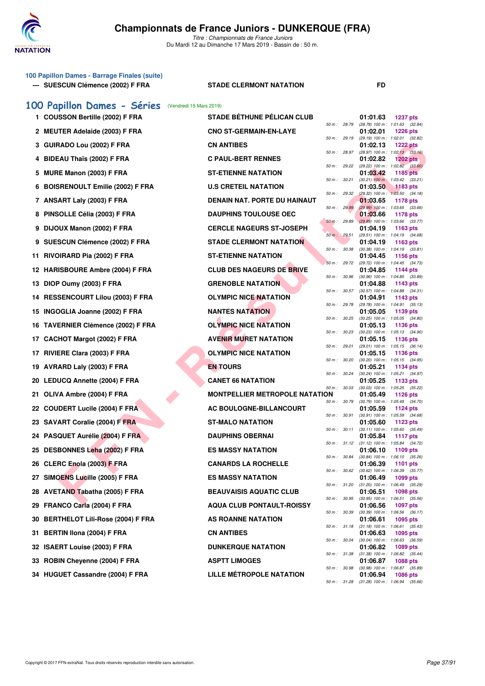

| 100 Papillon Dames - Barrage Finales (suite)<br>--- SUESCUN Clémence (2002) F FRA | <b>STADE CLERMONT NATATION</b>        |              |              | FD                                                                   |
|-----------------------------------------------------------------------------------|---------------------------------------|--------------|--------------|----------------------------------------------------------------------|
| 100 Papillon Dames - Séries                                                       | (Vendredi 15 Mars 2019)               |              |              |                                                                      |
| 1 COUSSON Bertille (2002) F FRA                                                   | <b>STADE BÉTHUNE PÉLICAN CLUB</b>     |              |              | 01:01.63<br><b>1237 pts</b>                                          |
| 2 MEUTER Adelaide (2003) F FRA                                                    | <b>CNO ST-GERMAIN-EN-LAYE</b>         | 50 m : 28.79 |              | (28.79) 100 m : 1:01.63 (32.84)<br>01:02.01<br><b>1226 pts</b>       |
| 3 GUIRADO Lou (2002) F FRA                                                        | <b>CN ANTIBES</b>                     | 50 m : 29.19 |              | (29.19) 100 m: 1:02.01 (32.82)<br>01:02.13<br><b>1222 pts</b>        |
| 4 BIDEAU Thaïs (2002) F FRA                                                       | <b>C PAUL-BERT RENNES</b>             | 50 m: 28.97  |              | (28.97) 100 m : 1:02.13 (33.16)<br>01:02.82<br><b>1202 pts</b>       |
| 5 MURE Manon (2003) F FRA                                                         | <b>ST-ETIENNE NATATION</b>            | 50 m : 29.22 |              | $(29.22)$ 100 m : 1:02.82 $(33.60)$<br>01:03.42<br>1185 pts          |
| 6 BOISRENOULT Emilie (2002) F FRA                                                 | <b>U.S CRETEIL NATATION</b>           | 50 m: 30.21  |              | $(30.21)$ 100 m : 1:03.42 $(33.21)$<br>01:03.50<br>1183 pts          |
| 7 ANSART Laly (2003) F FRA                                                        | DENAIN NAT. PORTE DU HAINAUT          | 50 m: 29.32  |              | (29.32) 100 m: 1:03.50 (34.18)<br>01:03.65<br>1178 pts               |
| 8 PINSOLLE Célia (2003) F FRA                                                     | <b>DAUPHINS TOULOUSE OEC</b>          | 50 m: 29.99  |              | $(29.99)$ 100 m : 1:03.65 $(33.66)$<br>01:03.66<br>1178 pts          |
| DIJOUX Manon (2002) F FRA<br>9                                                    | <b>CERCLE NAGEURS ST-JOSEPH</b>       | 50 m: 29.89  |              | $(29.89)$ 100 m : 1:03.66 $(33.77)$<br>01:04.19<br>1163 pts          |
| 9 SUESCUN Clémence (2002) F FRA                                                   | <b>STADE CLERMONT NATATION</b>        | 50 m: 29.51  |              | (29.51) 100 m: 1:04.19 (34.68)<br>01:04.19<br>1163 pts               |
| 11 RIVOIRARD Pia (2002) F FRA                                                     | <b>ST-ETIENNE NATATION</b>            | 50 m : 30.38 |              | $(30.38)$ 100 m : 1:04.19 $(33.81)$<br>01:04.45<br>1156 pts          |
| 12 HARISBOURE Ambre (2004) F FRA                                                  | <b>CLUB DES NAGEURS DE BRIVE</b>      | 50 m: 29.72  |              | (29.72) 100 m: 1:04.45 (34.73)<br>01:04.85<br>1144 pts               |
| 13 DIOP Oumy (2003) F FRA                                                         | <b>GRENOBLE NATATION</b>              | 50 m : 30.96 |              | (30.96) 100 m : 1:04.85 (33.89)<br>01:04.88<br>1143 pts              |
| 14 RESSENCOURT Lilou (2003) F FRA                                                 | <b>OLYMPIC NICE NATATION</b>          | 50 m : 30.57 |              | (30.57) 100 m: 1:04.88 (34.31)<br>01:04.91<br>1143 pts               |
| 15 INGOGLIA Joanne (2002) F FRA                                                   | <b>NANTES NATATION</b>                | 50 m : 29.78 |              | (29.78) 100 m: 1:04.91 (35.13)<br>01:05.05<br>1139 pts               |
| 16 TAVERNIER Clémence (2002) F FRA                                                | <b>OLYMPIC NICE NATATION</b>          | 50 m : 30.25 |              | (30.25) 100 m: 1:05.05 (34.80)<br>01:05.13<br>1136 pts               |
| 17 CACHOT Margot (2002) F FRA                                                     | <b>AVENIR MURET NATATION</b>          | 50 m: 30.23  |              | (30.23) 100 m: 1:05.13 (34.90)<br>01:05.15<br>1136 pts               |
| 17 RIVIERE Clara (2003) F FRA                                                     | <b>OLYMPIC NICE NATATION</b>          | 50 m: 29.01  |              | (29.01) 100 m: 1:05.15 (36.14)<br>01:05.15<br>1136 pts               |
| 19 AVRARD Laly (2003) F FRA                                                       | <b>EN TOURS</b>                       | 50 m : 30.20 |              | (30.20) 100 m: 1:05.15 (34.95)<br>01:05.21<br>1134 pts               |
| 20 LEDUCQ Annette (2004) F FRA                                                    | <b>CANET 66 NATATION</b>              | 50 m: 30.24  |              | (30.24) 100 m: 1:05.21 (34.97)<br>01:05.25<br>1133 pts               |
| 21 OLIVA Ambre (2004) F FRA                                                       | <b>MONTPELLIER METROPOLE NATATION</b> | 50 m: 30.03  |              | (30.03) 100 m: 1:05.25 (35.22)<br>01:05.49<br><b>1126 pts</b>        |
| 22 COUDERT Lucile (2004) F FRA                                                    | AC BOULOGNE-BILLANCOURT               | 50 m : 30.79 |              | $(30.79)$ 100 m : 1:05.49 $(34.70)$<br>01:05.59<br><b>1124 pts</b>   |
| 23 SAVART Coralie (2004) F FRA                                                    | ST-MALO NATATION                      | 50 m : 30.91 |              | $(30.91)$ 100 m : 1:05.59 $(34.68)$<br>01:05.60<br>1123 pts          |
| 24 PASQUET Aurélie (2004) F FRA                                                   | <b>DAUPHINS OBERNAI</b>               | 50 m: 30.11  |              | $(30.11)$ 100 m : 1:05.60 $(35.49)$<br>01:05.84<br><b>1117 pts</b>   |
| 25 DESBONNES Leha (2002) F FRA                                                    | <b>ES MASSY NATATION</b>              |              |              | 50 m : 31.12 (31.12) 100 m : 1:05.84 (34.72)<br>01:06.10<br>1109 pts |
| 26 CLERC Enola (2003) F FRA                                                       | <b>CANARDS LA ROCHELLE</b>            | 50 m : 30.84 |              | $(30.84)$ 100 m : 1:06.10 $(35.26)$<br>01:06.39<br><b>1101 pts</b>   |
| 27 SIMOENS Lucille (2005) F FRA                                                   | <b>ES MASSY NATATION</b>              | 50 m : 30.62 |              | $(30.62)$ 100 m : 1:06.39 $(35.77)$<br>01:06.49<br>1099 pts          |
| 28 AVETAND Tabatha (2005) F FRA                                                   | <b>BEAUVAISIS AQUATIC CLUB</b>        |              | 50 m : 31.20 | $(31.20)$ 100 m : 1:06.49 $(35.29)$<br>01:06.51<br><b>1098 pts</b>   |
| 29 FRANCO Carla (2004) F FRA                                                      | <b>AQUA CLUB PONTAULT-ROISSY</b>      | 50 m : 30.95 |              | (30.95) 100 m: 1:06.51 (35.56)<br>01:06.56<br>1097 pts               |
| 30 BERTHELOT Lili-Rose (2004) F FRA                                               | AS ROANNE NATATION                    | 50 m : 30.39 |              | $(30.39)$ 100 m : 1:06.56 $(36.17)$<br>01:06.61<br>1095 pts          |
| <b>BERTIN IIona (2004) F FRA</b><br>31                                            | <b>CN ANTIBES</b>                     | 50 m : 31.18 |              | $(31.18)$ 100 m : 1:06.61 $(35.43)$<br>01:06.63<br>1095 pts          |
| 32 ISAERT Louise (2003) F FRA                                                     | <b>DUNKERQUE NATATION</b>             | 50 m : 30.04 |              | $(30.04)$ 100 m : 1:06.63 $(36.59)$<br>01:06.82<br>1089 pts          |
| 33 ROBIN Cheyenne (2004) F FRA                                                    | <b>ASPTT LIMOGES</b>                  | 50 m : 31.38 |              | $(31.38)$ 100 m : 1:06.82 $(35.44)$<br>01:06.87<br>1088 pts          |
| 34 HUGUET Cassandre (2004) F FRA                                                  | LILLE MÉTROPOLE NATATION              | 50 m : 30.98 |              | (30.98) 100 m : 1:06.87 (35.89)<br>01:06.94<br>1086 pts              |
|                                                                                   |                                       |              |              | 50 m: 31.28 (31.28) 100 m: 1:06.94 (35.66)                           |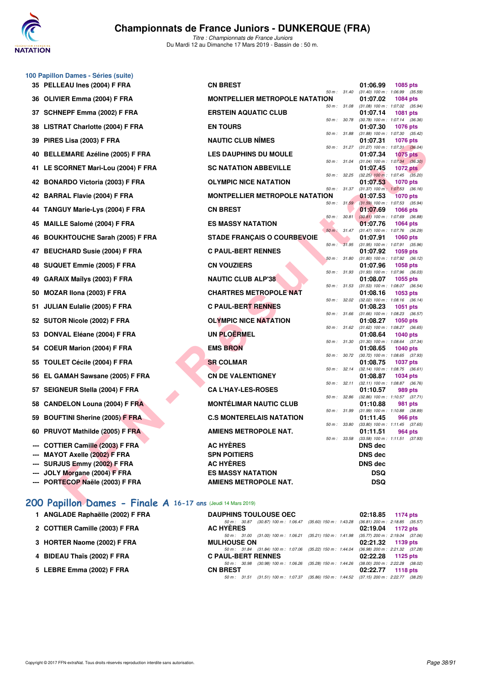

*Titre : Championnats de France Juniors* Du Mardi 12 au Dimanche 17 Mars 2019 - Bassin de : 50 m.

|    | 100 Papillon Dames - Séries (suite)<br>35 PELLEAU Ines (2004) F FRA | <b>CN BREST</b>                       |                  |              | 01:06.99       | <b>1085 pts</b>                                        |
|----|---------------------------------------------------------------------|---------------------------------------|------------------|--------------|----------------|--------------------------------------------------------|
|    | 36 OLIVIER Emma (2004) F FRA                                        | <b>MONTPELLIER METROPOLE NATATION</b> | 50 m: 31.40      |              | 01:07.02       | $(31.40)$ 100 m : 1:06.99 $(35.59)$<br><b>1084 pts</b> |
| 37 | SCHNEPF Emma (2002) F FRA                                           | <b>ERSTEIN AQUATIC CLUB</b>           |                  | 50 m : 31.08 | 01:07.14       | $(31.08)$ 100 m : 1:07.02 $(35.94)$<br>1081 pts        |
|    | 38 LISTRAT Charlotte (2004) F FRA                                   | <b>EN TOURS</b>                       | 50 m : 30.78     |              | 01:07.30       | (30.78) 100 m: 1:07.14 (36.36)<br><b>1076 pts</b>      |
|    |                                                                     |                                       | 50 m : 31.88     |              |                | $(31.88)$ 100 m : 1:07.30 $(35.42)$                    |
| 39 | PIRES Lisa (2003) F FRA                                             | <b>NAUTIC CLUB NIMES</b>              | 50 m : 31.27     |              | 01:07.31       | <b>1076 pts</b><br>$(31.27)$ 100 m : 1:07.31 $(36.04)$ |
| 40 | <b>BELLEMARE Azéline (2005) F FRA</b>                               | <b>LES DAUPHINS DU MOULE</b>          |                  |              | 01:07.34       | <b>1075 pts</b>                                        |
|    | 41 LE SCORNET Mari-Lou (2004) F FRA                                 | <b>SC NATATION ABBEVILLE</b>          | 50 m : 31.04     |              | 01:07.45       | $(31.04)$ 100 m : 1:07.34 $(36.30)$<br><b>1072 pts</b> |
|    | 42 BONARDO Victoria (2003) F FRA                                    | <b>OLYMPIC NICE NATATION</b>          | 50 m : 32.25     |              | 01:07.53       | $(32.25)$ 100 m : 1:07.45 $(35.20)$<br><b>1070 pts</b> |
|    | 42 BARRAL Flavie (2004) F FRA                                       | <b>MONTPELLIER METROPOLE NATATION</b> |                  | 50 m : 31.37 | 01:07.53       | $(31.37)$ 100 m : 1:07.53 $(36.16)$<br><b>1070 pts</b> |
| 44 | <b>TANGUY Marie-Lys (2004) F FRA</b>                                | <b>CN BREST</b>                       |                  | 50 m: 31.59  | 01:07.69       | $(31.59)$ 100 m : 1:07.53 $(35.94)$<br><b>1066 pts</b> |
|    |                                                                     |                                       | 50 m: 30.81      |              |                | $(30.81)$ 100 m : 1:07.69 $(36.88)$                    |
| 45 | <b>MAILLE Salomé (2004) F FRA</b>                                   | <b>ES MASSY NATATION</b>              | $50 m$ : $31.47$ |              | 01:07.76       | 1064 pts<br>(31.47) 100 m: 1:07.76 (36.29)             |
| 46 | <b>BOUKHTOUCHE Sarah (2005) F FRA</b>                               | <b>STADE FRANÇAIS O COURBEVOIE</b>    |                  |              | 01:07.91       | <b>1060 pts</b>                                        |
| 47 | <b>BEUCHARD Susie (2004) F FRA</b>                                  | <b>C PAUL-BERT RENNES</b>             | 50 m: 31.95      |              | 01:07.92       | $(31.95)$ 100 m : 1:07.91 $(35.96)$<br>1059 pts        |
|    |                                                                     |                                       | 50 m: 31.80      |              |                | $(31.80)$ 100 m : 1:07.92 $(36.12)$                    |
| 48 | SUQUET Emmie (2005) F FRA                                           | <b>CN VOUZIERS</b>                    | 50 m : 31.93     |              | 01:07.96       | 1058 pts                                               |
| 49 | GARAIX Maïlys (2003) F FRA                                          | <b>NAUTIC CLUB ALP'38</b>             |                  |              | 01:08.07       | (31.93) 100 m: 1:07.96 (36.03)<br>1055 pts             |
| 50 | MOZAR IIona (2003) F FRA                                            | <b>CHARTRES METROPOLE NAT</b>         | 50 m: 31.53      |              | 01:08.16       | $(31.53)$ 100 m : 1:08.07 $(36.54)$<br>1053 pts        |
|    | 51 JULIAN Eulalie (2005) F FRA                                      | <b>C PAUL-BERT RENNES</b>             | 50 m: 32.02      |              | 01:08.23       | $(32.02)$ 100 m : 1:08.16 $(36.14)$<br>1051 pts        |
|    |                                                                     |                                       | 50 m: 31.66      |              |                | $(31.66)$ 100 m : 1:08.23 $(36.57)$                    |
|    | 52 SUTOR Nicole (2002) F FRA                                        | <b>OLYMPIC NICE NATATION</b>          | 50 m: 31.62      |              | 01:08.27       | 1050 pts<br>(31.62) 100 m: 1:08.27 (36.65)             |
| 53 | DONVAL Eléane (2004) F FRA                                          | <b>UN PLOERMEL</b>                    | 50 m: 31.30      |              | 01:08.64       | 1040 pts                                               |
| 54 | <b>COEUR Marion (2004) F FRA</b>                                    | <b>EMS BRON</b>                       |                  |              | 01:08.65       | $(31.30)$ 100 m : 1:08.64 $(37.34)$<br>1040 pts        |
| 55 | <b>TOULET Cécile (2004) F FRA</b>                                   | <b>SR COLMAR</b>                      |                  | 50 m : 30.72 | 01:08.75       | (30.72) 100 m: 1:08.65 (37.93)<br><b>1037 pts</b>      |
|    |                                                                     |                                       | 50 m: 32.14      |              |                | $(32.14)$ 100 m : 1:08.75 $(36.61)$                    |
| 56 | EL GAMAH Sawsane (2005) F FRA                                       | <b>CN DE VALENTIGNEY</b>              | 50 m: 32.11      |              | 01:08.87       | 1034 pts<br>$(32.11)$ 100 m : 1:08.87 $(36.76)$        |
|    | 57 SEIGNEUR Stella (2004) F FRA                                     | <b>CA L'HAY-LES-ROSES</b>             |                  |              | 01:10.57       | 989 pts                                                |
| 58 | <b>CANDELON Louna (2004) F FRA</b>                                  | <b>MONTÉLIMAR NAUTIC CLUB</b>         | 50 m: 32.86      |              | 01:10.88       | (32.86) 100 m: 1:10.57 (37.71)<br>981 pts              |
|    |                                                                     |                                       | 50 m: 31.99      |              |                | $(31.99)$ 100 m : 1:10.88 $(38.89)$                    |
| 59 | <b>BOUFTINI Sherine (2005) F FRA</b>                                | <b>C.S MONTERELAIS NATATION</b>       | 50 m : 33.80     |              | 01:11.45       | <b>966 pts</b><br>$(33.80)$ 100 m : 1:11.45 $(37.65)$  |
|    | 60 PRUVOT Mathilde (2005) F FRA                                     | <b>AMIENS METROPOLE NAT.</b>          |                  |              | 01:11.51       | 964 pts                                                |
|    | --- COTTIER Camille (2003) F FRA                                    | <b>AC HYÈRES</b>                      |                  | 50 m : 33.58 | <b>DNS</b> dec | $(33.58)$ 100 m : 1:11.51 $(37.93)$                    |
|    | MAYOT Axelle (2002) F FRA                                           | <b>SPN POITIERS</b>                   |                  |              | <b>DNS dec</b> |                                                        |
|    | --- SURJUS Emmy (2002) F FRA                                        | <b>AC HYÈRES</b>                      |                  |              | <b>DNS dec</b> |                                                        |
|    | --- JOLY Morgane (2004) F FRA                                       | <b>ES MASSY NATATION</b>              |                  |              | <b>DSQ</b>     |                                                        |
|    | --- PORTECOP Naële (2003) F FRA                                     | <b>AMIENS METROPOLE NAT.</b>          |                  |              | <b>DSQ</b>     |                                                        |
|    | 200 Papillon Dames - Finale A 16-17 ans (Jeudi 14 Mars 2019)        |                                       |                  |              |                |                                                        |

## **[200 Papillon Dames - Finale A](http://www.ffnatation.fr/webffn/resultats.php?idact=nat&go=epr&idcpt=59271&idepr=33) 16-17 ans** (Jeudi 14 Mars 2019)

| <b>DAUPHINS TOULOUSE OEC</b> |                                                                                         |  | 02:18.85 1174 pts   |  |
|------------------------------|-----------------------------------------------------------------------------------------|--|---------------------|--|
|                              | 50 m: 30.87 (30.87) 100 m: 1:06.47 (35.60) 150 m: 1:43.28 (36.81) 200 m: 2:18.85 (35.57 |  |                     |  |
| <b>AC HYÈRES</b>             |                                                                                         |  | $02:19.04$ 1172 pts |  |
|                              | 50 m: 31.00 (31.00) 100 m: 1:06.21 (35.21) 150 m: 1:41.98 (35.77) 200 m: 2:19.04 (37.06 |  |                     |  |
| <b>MULHOUSE ON</b>           |                                                                                         |  | 02:21.32 1139 pts   |  |
|                              | 50 m: 31.84 (31.84) 100 m: 1.07.06 (35.22) 150 m: 1.44.04 (36.98) 200 m: 2:21.32 (37.28 |  |                     |  |
| <b>C PAUL-BERT RENNES</b>    |                                                                                         |  | 02:22.28 1125 pts   |  |
|                              | 50 m: 30.98 (30.98) 100 m: 1:06.26 (35.28) 150 m: 1:44.26 (38.00) 200 m: 2:22.28 (38.02 |  |                     |  |
| <b>CN BREST</b>              |                                                                                         |  | 02:22.77 1118 pts   |  |
|                              | 50 m: 31.51 (31.51) 100 m: 1:07.37 (35.86) 150 m: 1:44.52 (37.15) 200 m: 2:22.77 (38.25 |  |                     |  |

**1 ANGLADE Raphaëlle (2002) F FRA** 

**2 COTTIER Camille (2003) F FRA** 

**3 HORTER Naome (2002) F FRA** 

**4 BIDEAU Thaïs (2002) F FRA** 

**5 LEBRE Emma (2002) F FRA CN BREST 02:22.77 1118 pts**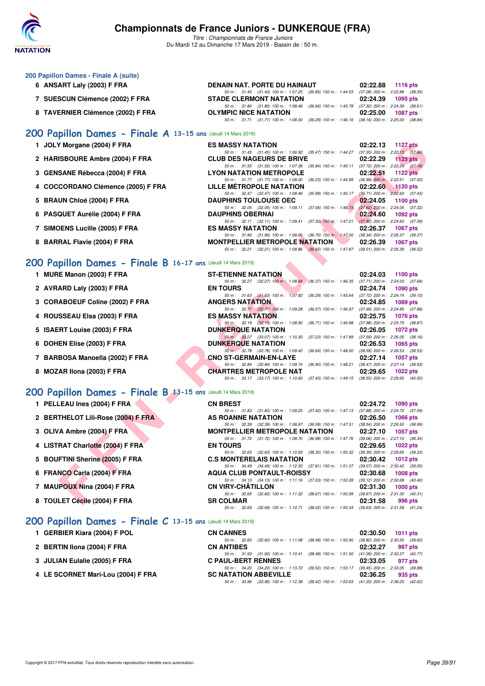

*Titre : Championnats de France Juniors* Du Mardi 12 au Dimanche 17 Mars 2019 - Bassin de : 50 m.

| 200 Papillon Dames - Finale A (suite)                        |                                                                                             |                             |
|--------------------------------------------------------------|---------------------------------------------------------------------------------------------|-----------------------------|
| 6 ANSART Laly (2003) F FRA                                   | DENAIN NAT. PORTE DU HAINAUT 02:22.88                                                       | 1116 $pts$                  |
|                                                              | 50 m: 31.40 (31.40) 100 m: 1:07.25 (35.85) 150 m: 1:44.53 (37.28) 200 m: 2:22.88 (38.35     |                             |
| 7 SUESCUN Clémence (2002) F FRA                              | <b>STADE CLERMONT NATATION</b>                                                              | 02:24.39<br>1095 pts        |
|                                                              | 50 m: 31.80 (31.80) 100 m: 1:08.46 (36.66) 150 m: 1:45.78 (37.32) 200 m: 2:24.39 (38.61     |                             |
| 8 TAVERNIER Clémence (2002) F FRA                            | OLYMPIC NICE NATATION                                                                       | 02:25.00<br>1087 pts        |
|                                                              | 50 m: 31.71 (31.71) 100 m: 1:08.00 (36.29) 150 m: 1:46.16 (38.16) 200 m: 2:25.00 (38.84     |                             |
| 200 Papillon Dames - Finale A 13-15 ans (Jeudi 14 Mars 2019) |                                                                                             |                             |
| 1 JOLY Morgane (2004) F FRA                                  | <b>ES MASSY NATATION</b>                                                                    | 02:22.13<br>1127 pts        |
|                                                              | 50 m: 31.45 (31.45) 100 m: 1:06.92 (35.47) 150 m: 1:44.27 (37.35) 200 m: 2:22.13 (37.86     |                             |
| 2 HARISBOURE Ambre (2004) F FRA                              | <b>CLUB DES NAGEURS DE BRIVE</b>                                                            | 02:22.29<br>1125 $p$ ts     |
|                                                              | 50 m: 31.55 (31.55) 100 m: 1:07.39 (35.84) 150 m: 1:45.11 (37.72) 200 m: 2:22.29 (37.18     |                             |
| 3 GENSANE Rébecca (2004) F FRA                               | <b>LYON NATATION METROPOLE</b>                                                              | 02:22.51<br>1122 $p$ ts     |
|                                                              | 50 m: 31.77 (31.77) 100 m: 1:08.00 (36.23) 150 m: 1:44.99 (36.99) 200 m: 2:22.51 (37.52     |                             |
| 4 COCCORDANO Clémence (2005) F FRA                           | LILLE MÉTROPOLE NATATION                                                                    | 02:22.60<br><b>1120 pts</b> |
|                                                              | 50 m: 32.47 (32.47) 100 m: 1:08.46 (35.99) 150 m: 1:45.17 (36.71) 200 m: 2:22.60 (37.43     |                             |
| 5 BRAUN Chloé (2004) F FRA                                   | <b>DAUPHINS TOULOUSE OEC</b>                                                                | 02:24.05<br>1100 $pts$      |
|                                                              | 50 m: 32.05 (32.05) 100 m: 1:09.11 (37.06) 150 m: 1:46.73 (37.62) 200 m: 2:24.05 (37.32     |                             |
| 6 PASQUET Aurélie (2004) F FRA                               | <b>DAUPHINS OBERNAI</b>                                                                     | 02:24.60<br>1092 pts        |
|                                                              | 50 m: 32.11 (32.11) 100 m: 1:09.41 (37.30) 150 m: 1:47.21 (37.80) 200 m: 2:24.60 (37.39     |                             |
| 7 SIMOENS Lucille (2005) F FRA                               | <b>ES MASSY NATATION</b>                                                                    | 02:26.37<br>1067 pts        |
|                                                              | 50 m : 31.90 (31.90) 100 m : 1:08.66 (36.76) 150 m : 1:47.00 (38.34) 200 m : 2:26.37 (39.37 |                             |

## **[200 Papillon Dames - Finale B](http://www.ffnatation.fr/webffn/resultats.php?idact=nat&go=epr&idcpt=59271&idepr=33) 16-17 ans** (Jeudi 14 Mars 2019)

| 1 JOLY Morgane (2004) F FRA                                 | <b>ES MASSY NATATION</b>              |                                      |  |                                                                                          | 02:22.13                                                | <b>1127 pts</b> |         |
|-------------------------------------------------------------|---------------------------------------|--------------------------------------|--|------------------------------------------------------------------------------------------|---------------------------------------------------------|-----------------|---------|
|                                                             |                                       |                                      |  | 50 m: 31.45 (31.45) 100 m: 1:06.92 (35.47) 150 m: 1:44.27 (37.35) 200 m: 2:22.13 (37.86) |                                                         |                 |         |
| 2 HARISBOURE Ambre (2004) F FRA                             | <b>CLUB DES NAGEURS DE BRIVE</b>      |                                      |  |                                                                                          | 02:22.29                                                | 1125 $p$ ts     |         |
| 3 GENSANE Rébecca (2004) F FRA                              | <b>LYON NATATION METROPOLE</b>        | 50 m: 31.55 (31.55) 100 m: 1:07.39   |  | $(35.84)$ 150 m : 1:45.11 $(37.72)$ 200 m : 2:22.29 $(37.18)$                            | 02:22.51                                                | <b>1122 pts</b> |         |
|                                                             |                                       | 50 m: 31.77 (31.77) 100 m: 1:08.00   |  | $(36.23)$ 150 m : 1:44.99                                                                | $(36.99)$ 200 m : 2:22.51 $(37.52)$                     |                 |         |
| 4 COCCORDANO Clémence (2005) F FRA                          | <b>LILLE METROPOLE NATATION</b>       |                                      |  |                                                                                          | 02:22.60                                                | 1120 pts        |         |
|                                                             |                                       |                                      |  | 50 m: 32.47 (32.47) 100 m: 1:08.46 (35.99) 150 m: 1:45.17                                | $(36.71)$ 200 m : 2:22.60 $(37.43)$                     |                 |         |
| 5 BRAUN Chloé (2004) F FRA                                  | <b>DAUPHINS TOULOUSE OEC</b>          |                                      |  |                                                                                          | 02:24.05                                                | 1100 $pts$      |         |
|                                                             |                                       | 50 m: 32.05 (32.05) 100 m: 1:09.11   |  | $(37.06)$ 150 m : 1:46.73                                                                | $(37.62)$ 200 m : 2:24.05 $(37.32)$                     |                 |         |
| 6 PASQUET Aurélie (2004) F FRA                              | <b>DAUPHINS OBERNAI</b>               |                                      |  |                                                                                          | 02:24.60                                                | <b>1092 pts</b> |         |
|                                                             |                                       |                                      |  | 50 m: 32.11 (32.11) 100 m: 1:09.41 (37.30) 150 m: 1:47.21 (37.80) 200 m: 2:24.60 (37.39) |                                                         |                 |         |
| 7 SIMOENS Lucille (2005) F FRA                              | <b>ES MASSY NATATION</b>              |                                      |  |                                                                                          | 02:26.37                                                | <b>1067 pts</b> |         |
| 8 BARRAL Flavie (2004) F FRA                                | <b>MONTPELLIER METROPOLE NATATION</b> |                                      |  | 50 m: 31.90 (31.90) 100 m: 1:08.66 (36.76) 150 m: 1:47.00 (38.34) 200 m: 2:26.37 (39.37) | 02:26.39                                                |                 |         |
|                                                             |                                       |                                      |  | 50 m: 32.21 (32.21) 100 m: 1:08.86 (36.65) 150 m: 1:47.87 (39.01) 200 m: 2:26.39 (38.52) |                                                         | <b>1067 pts</b> |         |
|                                                             |                                       |                                      |  |                                                                                          |                                                         |                 |         |
| 00 Papillon Dames - Finale B 16-17 ans (Jeudi 14 Mars 2019) |                                       |                                      |  |                                                                                          |                                                         |                 |         |
|                                                             |                                       |                                      |  |                                                                                          |                                                         |                 |         |
| 1 MURE Manon (2003) F FRA                                   | <b>ST-ETIENNE NATATION</b>            |                                      |  |                                                                                          | 02:24.03                                                | 1100 $pts$      |         |
| 2 AVRARD Laly (2003) F FRA                                  | <b>EN TOURS</b>                       |                                      |  | 50 m: 32.27 (32.27) 100 m: 1:08.64 (36.37) 150 m: 1:46.35 (37.71) 200 m: 2:24.03 (37.68) | 02:24.74                                                | <b>1090 pts</b> |         |
|                                                             |                                       | 50 m: 31.63 (31.63) 100 m: 1:07.92   |  | (36.29) 150 m : 1:45.64 (37.72) 200 m : 2:24.74 (39.10)                                  |                                                         |                 |         |
| 3 CORABOEUF Coline (2002) F FRA                             | <b>ANGERS NATATION</b>                |                                      |  |                                                                                          | 02:24.85                                                | 1089 pts        |         |
|                                                             |                                       | 50 m: 32.71 (32.71) 100 m: 1:09.28   |  | (36.57) 150 m: 1:46.97 (37.69) 200 m: 2:24.85 (37.88)                                    |                                                         |                 |         |
| 4 ROUSSEAU Elsa (2003) F FRA                                | <b>ES MASSY NATATION</b>              |                                      |  |                                                                                          | 02:25.75                                                | <b>1076 pts</b> |         |
|                                                             |                                       | 50 m: 32.19 (32.19) 100 m: 1:08.90   |  |                                                                                          | (36.71) 150 m : 1:46.88 (37.98) 200 m : 2:25.75 (38.87) |                 |         |
| 5 ISAERT Louise (2003) F FRA                                | <b>DUNKERQUE NATATION</b>             |                                      |  |                                                                                          | 02:26.05                                                | <b>1072 pts</b> |         |
|                                                             |                                       | 50 m: 33.07 (33.07) 100 m: 1:10.30   |  | (37.23) 150 m: 1:47.89 (37.59) 200 m: 2:26.05 (38.16)                                    |                                                         |                 |         |
| 6 DOHEN Elise (2003) F FRA                                  | <b>DUNKERQUE NATATION</b>             |                                      |  |                                                                                          | 02:26.53                                                | <b>1065 pts</b> |         |
| 7 BARBOSA Manoella (2002) F FRA                             | <b>CNO ST-GERMAIN-EN-LAYE</b>         | 50 m : 32.78 (32.78) 100 m : 1:09.42 |  | (36.64) 150 m : 1:48.00                                                                  | $(38.58)$ 200 m : 2:26.53 $(38.53)$<br>02:27.14         | <b>1057 pts</b> |         |
|                                                             |                                       | 50 m : 32.84 (32.84) 100 m : 1:09.74 |  | (36.90) 150 m : 1:48.21 (38.47) 200 m : 2:27.14 (38.93)                                  |                                                         |                 |         |
| 8 MOZAR IIona (2003) F FRA                                  | <b>CHARTRES METROPOLE NAT</b>         |                                      |  |                                                                                          | 02:29.65                                                | 1022 pts        |         |
|                                                             |                                       |                                      |  | 50 m: 33.17 (33.17) 100 m: 1:10.60 (37.43) 150 m: 1:49.15 (38.55) 200 m: 2:29.65 (40.50) |                                                         |                 |         |
|                                                             |                                       |                                      |  |                                                                                          |                                                         |                 |         |
| 00 Papillon Dames - Finale B 13-15 ans (Jeudi 14 Mars 2019) |                                       |                                      |  |                                                                                          |                                                         |                 |         |
| 1 PELLEAU Ines (2004) F FRA                                 | <b>CN BREST</b>                       |                                      |  |                                                                                          | 02:24.72                                                | <b>1090 pts</b> |         |
|                                                             |                                       |                                      |  | 50 m: 31.83 (31.83) 100 m: 1:09.25 (37.42) 150 m: 1:47.13 (37.88) 200 m: 2:24.72 (37.59) |                                                         |                 |         |
| 2 BERTHELOT Lili-Rose (2004) F FRA                          | AS ROANNE NATATION                    |                                      |  |                                                                                          | 02:26.50                                                | <b>1066 pts</b> |         |
|                                                             |                                       |                                      |  | 50 m: 32.39 (32.39) 100 m: 1:08.97 (36.58) 150 m: 1:47.51 (38.54) 200 m: 2:26.50 (38.99) |                                                         |                 |         |
| 3 OLIVA Ambre (2004) F FRA                                  | <b>MONTPELLIER METROPOLE NATATION</b> |                                      |  |                                                                                          | 02:27.10                                                | <b>1057 pts</b> |         |
|                                                             |                                       |                                      |  | 50 m: 31.72 (31.72) 100 m: 1:08.70 (36.98) 150 m: 1:47.76 (39.06) 200 m: 2:27.10 (39.34) |                                                         |                 |         |
| 4 LISTRAT Charlotte (2004) F FRA                            | <b>EN TOURS</b>                       |                                      |  |                                                                                          | 02:29.65                                                | <b>1022 pts</b> |         |
| 5 BOUFTINI Sherine (2005) F FRA                             | <b>C.S MONTERELAIS NATATION</b>       |                                      |  | 50 m: 32.63 (32.63) 100 m: 1:10.93 (38.30) 150 m: 1:50.32 (39.39) 200 m: 2:29.65 (39.33) | 02:30.42                                                |                 |         |
|                                                             |                                       |                                      |  | 50 m: 34.49 (34.49) 100 m: 1:12.30 (37.81) 150 m: 1:51.37                                | $(39.07)$ 200 m : 2:30.42 $(39.05)$                     | 1012 $pts$      |         |
| 6 FRANCO Carla (2004) F FRA                                 | <b>AQUA CLUB PONTAULT-ROISSY</b>      |                                      |  |                                                                                          | 02:30.68                                                | <b>1008 pts</b> |         |
|                                                             |                                       |                                      |  | 50 m: 34.13 (34.13) 100 m: 1:11.16 (37.03) 150 m: 1:50.28 (39.12) 200 m: 2:30.68 (40.40) |                                                         |                 |         |
| 7 MAUPOUX Nina (2004) F FRA                                 | <b>CN VIRY-CHATILLON</b>              |                                      |  |                                                                                          | 02:31.30                                                | $1000$ pts      |         |
|                                                             |                                       |                                      |  | 50 m: 32.65 (32.65) 100 m: 1:11.32 (38.67) 150 m: 1:50.99 (39.67) 200 m: 2:31.30 (40.31) |                                                         |                 |         |
| 8 TOULET Cécile (2004) F FRA                                | <b>SR COLMAR</b>                      |                                      |  |                                                                                          | 02:31.58                                                |                 | 996 pts |

#### **[200 Papillon Dames - Finale B](http://www.ffnatation.fr/webffn/resultats.php?idact=nat&go=epr&idcpt=59271&idepr=33) 13-15 ans** (Jeudi 14 Mars 2019)

- 2 BERTHELOT Lili-Rose (2004) F FRA
- **3 OLIVA Ambre (2004) F FRA**
- **4 LISTRAT Charlotte (2004) F FRA**
- **5 BOUFTINI Sherine (2005) F FRA**
- **6 FRANCO Carla (2004) F FRA**
- **7 MAUPOUX Nina (2004) F FRA**
- **8 TOULET Cécile (2004) F FRA**

## **[200 Papillon Dames - Finale C](http://www.ffnatation.fr/webffn/resultats.php?idact=nat&go=epr&idcpt=59271&idepr=33) 13-15 ans** (Jeudi 14 Mars 2019)

| 1 GERBIER Kiara (2004) F POL |  |
|------------------------------|--|
|------------------------------|--|

|                           | 50 m: 31.83 (31.83) 100 m: 1:09.25 (37.42) 150 m: 1:47.13 (37.88) 200 m: 2:24.72 (37.59) |  |                                     |  |
|---------------------------|------------------------------------------------------------------------------------------|--|-------------------------------------|--|
| <b>AS ROANNE NATATION</b> |                                                                                          |  | 02:26.50 1066 pts                   |  |
|                           | 50 m: 32.39 (32.39) 100 m: 1:08.97 (36.58) 150 m: 1:47.51                                |  | $(38.54)$ 200 m : 2:26.50 $(38.99)$ |  |
|                           | <b>MONTPELLIER METROPOLE NATATION</b>                                                    |  | 02:27.10 1057 pts                   |  |
|                           | 50 m: 31.72 (31.72) 100 m: 1:08.70 (36.98) 150 m: 1:47.76                                |  | $(39.06)$ 200 m : 2:27.10 $(39.34)$ |  |
| <b>EN TOURS</b>           |                                                                                          |  | 02:29.65 1022 pts                   |  |
|                           | 50 m: 32.63 (32.63) 100 m: 1:10.93 (38.30) 150 m: 1:50.32                                |  | $(39.39)$ 200 m : 2:29.65 $(39.33)$ |  |
|                           | <b>C.S MONTERELAIS NATATION</b>                                                          |  | 02:30.42 1012 pts                   |  |
|                           | 50 m: 34.49 (34.49) 100 m: 1:12.30 (37.81) 150 m: 1:51.37                                |  | $(39.07)$ 200 m : 2:30.42 $(39.05)$ |  |
|                           | <b>AQUA CLUB PONTAULT-ROISSY</b>                                                         |  | 02:30.68 1008 pts                   |  |
|                           | 50 m: 34.13 (34.13) 100 m: 1:11.16 (37.03) 150 m: 1:50.28                                |  | $(39.12)$ 200 m : 2:30.68 $(40.40)$ |  |
| <b>CN VIRY-CHÄTILLON</b>  |                                                                                          |  | $02:31.30$ 1000 pts                 |  |
|                           | 50 m: 32.65 (32.65) 100 m: 1:11.32 (38.67) 150 m: 1:50.99                                |  | $(39.67)$ 200 m : 2:31.30 $(40.31)$ |  |
| <b>SR COLMAR</b>          |                                                                                          |  | 02:31.58 996 pts                    |  |
|                           | 50 m: 32.69 (32.69) 100 m: 1:10.71 (38.02) 150 m: 1:50.34 (39.63) 200 m: 2:31.58 (41.24) |  |                                     |  |
|                           |                                                                                          |  |                                     |  |

| 1 GERBIER Kiara (2004) F POL       | <b>CN CANNES</b>                                                                            | 02:30.50 | 1011 $pts$ |
|------------------------------------|---------------------------------------------------------------------------------------------|----------|------------|
|                                    | (32.60) 100 m: 1:11.08 (38.48) 150 m: 1:50.90 (39.82) 200 m: 2:30.50 (39.60<br>50 m : 32.60 |          |            |
| 2 BERTIN Ilona (2004) F FRA        | <b>CN ANTIBES</b>                                                                           | 02:32.27 | 987 pts    |
|                                    | 50 m: 31.93 (31.93) 100 m: 1:10.41 (38.48) 150 m: 1:51.50 (41.09) 200 m: 2:32.27 (40.77     |          |            |
| 3 JULIAN Eulalie (2005) F FRA      | <b>C PAUL-BERT RENNES</b>                                                                   | 02:33.05 | 977 pts    |
|                                    | 50 m : 34.20 (34.20) 100 m : 1:13.72 (39.52) 150 m : 1:53.17 (39.45) 200 m : 2:33.05 (39.88 |          |            |
| 4 LE SCORNET Mari-Lou (2004) F FRA | <b>SC NATATION ABBEVILLE</b>                                                                | 02:36.25 | 935 pts    |
|                                    | 50 m: 33.96 (33.96) 100 m: 1:12.38 (38.42) 150 m: 1:53.63 (41.25) 200 m: 2:36.25 (42.62)    |          |            |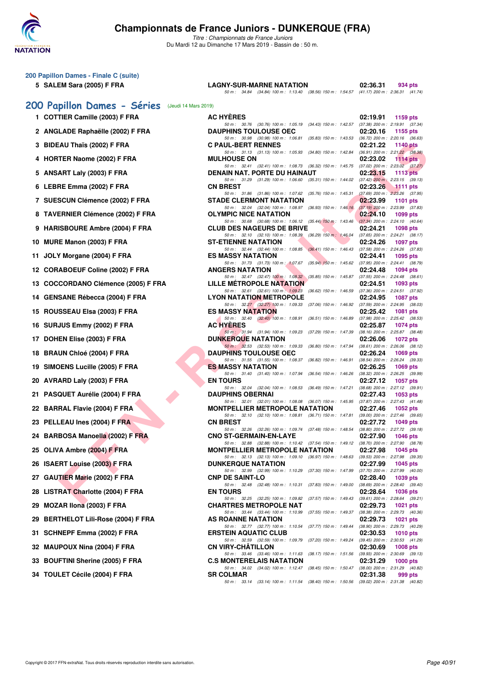

| 200 Papillon Dames - Finale C (suite)            |                                                                                                                                       |                                                                      |
|--------------------------------------------------|---------------------------------------------------------------------------------------------------------------------------------------|----------------------------------------------------------------------|
| 5 SALEM Sara (2005) F FRA                        | <b>LAGNY-SUR-MARNE NATATION</b><br>50 m: 34.84 (34.84) 100 m: 1:13.40 (38.56) 150 m: 1:54.57 (41.17) 200 m: 2:36.31 (41.74)           | 02:36.31<br>934 pts                                                  |
| 200 Papillon Dames - Séries (Jeudi 14 Mars 2019) |                                                                                                                                       |                                                                      |
| 1 COTTIER Camille (2003) F FRA                   | <b>AC HYERES</b>                                                                                                                      | 02:19.91<br>1159 pts                                                 |
| 2 ANGLADE Raphaëlle (2002) F FRA                 | 50 m: 30.76 (30.76) 100 m: 1:05.19 (34.43) 150 m: 1:42.57 (37.38) 200 m: 2:19.91 (37.34)<br><b>DAUPHINS TOULOUSE OEC</b>              | 02:20.16<br>1155 pts                                                 |
| 3 BIDEAU Thaïs (2002) F FRA                      | 50 m: 30.98 (30.98) 100 m: 1:06.81 (35.83) 150 m: 1:43.53<br><b>C PAUL-BERT RENNES</b>                                                | $(36.72)$ 200 m : 2:20.16 $(36.63)$<br>02:21.22<br>1140 pts          |
| 4 HORTER Naome (2002) F FRA                      | 50 m: 31.13 (31.13) 100 m: 1:05.93 (34.80) 150 m: 1:42.84<br><b>MULHOUSE ON</b>                                                       | $(36.91)$ 200 m : 2:21.22 $(38.38)$<br>02:23.02<br>1114 $pts$        |
| 5 ANSART Laly (2003) F FRA                       | 50 m: 32.41 (32.41) 100 m: 1:08.73 (36.32) 150 m: 1:45.75<br>DENAIN NAT. PORTE DU HAINAUT                                             | $(37.02)$ 200 m : 2:23.02 $(37.27)$<br>02:23.15<br>1113 $pts$        |
| 6 LEBRE Emma (2002) F FRA                        | 50 m: 31.29 (31.29) 100 m: 1:06.60 (35.31) 150 m: 1:44.02 (37.42) 200 m: 2:23.15 (39.13)<br><b>CN BREST</b>                           | 02:23.26<br>$1111$ pts                                               |
| 7 SUESCUN Clémence (2002) F FRA                  | 50 m : 31.86 (31.86) 100 m : 1:07.62<br>$(35.76)$ 150 m : 1:45.31<br><b>STADE CLERMONT NATATION</b>                                   | $(37.69)$ 200 m : $2:23.26$ $(37.95)$<br>02:23.99<br><b>1101 pts</b> |
| 8 TAVERNIER Clémence (2002) F FRA                | 50 m: 32.04 (32.04) 100 m: 1:08.97 (36.93) 150 m: 1:46.16 (37.19) 200 m: 2:23.99 (37.83)<br><b>OLYMPIC NICE NATATION</b>              | 02:24.10<br>1099 pts                                                 |
| 9 HARISBOURE Ambre (2004) F FRA                  | 50 m: 30.68 (30.68) 100 m: 1:06.12 (35.44) 150 m: 1:43.46 (37.34) 200 m: 2:24.10 (40.64)<br><b>CLUB DES NAGEURS DE BRIVE</b>          | 02:24.21<br><b>1098 pts</b>                                          |
| 10 MURE Manon (2003) F FRA                       | 50 m : 32.10 (32.10) 100 m : 1:08.39 (36.29) 150 m : 1:46.04<br><b>ST-ETIENNE NATATION</b>                                            | (37.65) 200 m : 2:24.21 (38.17)<br>02:24.26<br><b>1097 pts</b>       |
| 11 JOLY Morgane (2004) F FRA                     | 50 m: 32.44 (32.44) 100 m: 1:08.85 (36.41) 150 m: 1:46.43<br><b>ES MASSY NATATION</b>                                                 | (37.58) 200 m : 2:24.26 (37.83)<br>02:24.41<br>1095 pts              |
|                                                  | 50 m: 31.73 (31.73) 100 m: 1:07.67 (35.94) 150 m: 1:45.62 (37.95) 200 m: 2:24.41 (38.79)                                              |                                                                      |
| 12 CORABOEUF Coline (2002) F FRA                 | <b>ANGERS NATATION</b><br>50 m: 32.47 (32.47) 100 m: 1:08.32 (35.85) 150 m: 1:45.87                                                   | 02:24.48<br>1094 pts<br>(37.55) 200 m : 2:24.48 (38.61)              |
| 13 COCCORDANO Clémence (2005) F FRA              | <b>LILLE METROPOLE NATATION</b><br>50 m : 32.61 (32.61) 100 m : 1:09.23 (36.62) 150 m : 1:46.59                                       | 02:24.51<br>1093 pts<br>(37.36) 200 m : 2:24.51 (37.92)              |
| 14 GENSANE Rébecca (2004) F FRA                  | <b>LYON NATATION METROPOLE</b><br>50 m : 32.27 (32.27) 100 m : 1:09.33 (37.06) 150 m : 1:46.92                                        | 02:24.95<br><b>1087 pts</b><br>(37.59) 200 m : 2:24.95 (38.03)       |
| 15 ROUSSEAU Elsa (2003) F FRA                    | <b>ES MASSY NATATION</b><br>50 m : 32.40 (32.40) 100 m : 1:08.91<br>$(36.51)$ 150 m : 1:46.89                                         | 02:25.42<br><b>1081 pts</b><br>(37.98) 200 m : 2:25.42 (38.53)       |
| 16 SURJUS Emmy (2002) F FRA                      | <b>AC HYERES</b>                                                                                                                      | 02:25.87<br>1074 pts                                                 |
| 17 DOHEN Elise (2003) F FRA                      | 50 m: 31.94 (31.94) 100 m: 1:09.23<br>$(37.29)$ 150 m : 1:47.39<br><b>DUNKERQUE NATATION</b>                                          | (38.16) 200 m : 2:25.87 (38.48)<br>02:26.06<br>1072 pts              |
| 18 BRAUN Chloé (2004) F FRA                      | 50 m: 32.53 (32.53) 100 m: 1:09.33 (36.80) 150 m: 1:47.94<br><b>DAUPHINS TOULOUSE OEC</b>                                             | $(38.61)$ 200 m : 2:26.06 $(38.12)$<br>02:26.24<br>1069 pts          |
| 19 SIMOENS Lucille (2005) F FRA                  | 50 m: 31.55 (31.55) 100 m: 1:08.37 (36.82) 150 m: 1:46.91<br><b>ES MASSY NATATION</b>                                                 | $(38.54)$ 200 m : 2:26.24 $(39.33)$<br>02:26.25<br>1069 pts          |
| 20 AVRARD Laly (2003) F FRA                      | 50 m: 31.40 (31.40) 100 m: 1:07.94 (36.54) 150 m: 1:46.26<br><b>EN TOURS</b>                                                          | (38.32) 200 m : 2:26.25 (39.99)<br>02:27.12<br>1057 pts              |
| 21 PASQUET Aurélie (2004) F FRA                  | 50 m: 32.04 (32.04) 100 m: 1:08.53 (36.49) 150 m: 1:47.21<br><b>DAUPHINS OBERNAI</b>                                                  | $(38.68) 200 \text{ m}$ : 2:27.12 $(39.91)$<br>02:27.43<br>1053 pts  |
| 22 BARRAL Flavie (2004) F FRA                    | 50 m: 32.01 (32.01) 100 m: 1:08.08 (36.07) 150 m: 1:45.95<br><b>MONTPELLIER METROPOLE NATATION</b>                                    | (37.87) 200 m : 2:27.43 (41.48)<br>02:27.46<br>1052 pts              |
| 23 PELLEAU Ines (2004) F FRA                     | 50 m : 32.10 (32.10) 100 m : 1:08.81 (36.71) 150 m : 1:47.81 (39.00) 200 m : 2:27.46 (39.65)<br><b>CN BREST</b>                       | 02:27.72<br>1049 pts                                                 |
| 24 BARBOSA Manoella (2002) F FRA                 | 50 m: 32.26 (32.26) 100 m: 1:09.74 (37.48) 150 m: 1:48.54 (38.80) 200 m: 2:27.72 (39.18)<br><b>CNO ST-GERMAIN-EN-LAYE</b>             | 02:27.90<br>1046 pts                                                 |
| 25 OLIVA Ambre (2004) F FRA                      | 50 m : 32.88 (32.88) 100 m : 1:10.42 (37.54) 150 m : 1:49.12 (38.70) 200 m : 2:27.90 (38.78)<br><b>MONTPELLIER METROPOLE NATATION</b> | 02:27.98<br><b>1045 pts</b>                                          |
| 26 ISAERT Louise (2003) F FRA                    | 50 m: 32.13 (32.13) 100 m: 1:09.10 (36.97) 150 m: 1:48.63 (39.53) 200 m: 2:27.98 (39.35)<br><b>DUNKERQUE NATATION</b>                 | 02:27.99                                                             |
|                                                  | 50 m: 32.99 (32.99) 100 m: 1:10.29 (37.30) 150 m: 1:47.99                                                                             | 1045 pts<br>$(37.70)$ 200 m : 2:27.99 $(40.00)$                      |
| 27 GAUTIER Marie (2002) F FRA                    | <b>CNP DE SAINT-LO</b><br>50 m: 32.48 (32.48) 100 m: 1:10.31 (37.83) 150 m: 1:49.00                                                   | 02:28.40<br>1039 pts<br>$(38.69)$ 200 m : 2:28.40 $(39.40)$          |
| 28 LISTRAT Charlotte (2004) F FRA                | <b>EN TOURS</b><br>50 m: 32.25 (32.25) 100 m: 1:09.82 (37.57) 150 m: 1:49.43                                                          | 02:28.64<br>1036 pts<br>$(39.61)$ 200 m : 2:28.64 $(39.21)$          |
| MOZAR IIona (2003) F FRA<br>29                   | <b>CHARTRES METROPOLE NAT</b><br>50 m : 33.44 (33.44) 100 m : 1:10.99 (37.55) 150 m : 1:49.37                                         | 02:29.73<br><b>1021 pts</b><br>(38.38) 200 m : 2:29.73 (40.36)       |
| 29 BERTHELOT Lili-Rose (2004) F FRA              | AS ROANNE NATATION<br>50 m : 32.77 (32.77) 100 m : 1:10.54 (37.77) 150 m : 1:49.44                                                    | 02:29.73<br>1021 pts<br>(38.90) 200 m : 2:29.73 (40.29)              |
| 31 SCHNEPF Emma (2002) F FRA                     | <b>ERSTEIN AQUATIC CLUB</b><br>50 m: 32.59 (32.59) 100 m: 1:09.79 (37.20) 150 m: 1:49.24 (39.45) 200 m: 2:30.53 (41.29)               | 02:30.53<br><b>1010 pts</b>                                          |
| 32 MAUPOUX Nina (2004) F FRA                     | <b>CN VIRY-CHATILLON</b>                                                                                                              | 02:30.69<br>1008 pts                                                 |
| 33 BOUFTINI Sherine (2005) F FRA                 | 50 m: 33.46 (33.46) 100 m: 1:11.63 (38.17) 150 m: 1:51.56 (39.93) 200 m: 2:30.69 (39.13)<br><b>C.S MONTERELAIS NATATION</b>           | 02:31.29<br><b>1000 pts</b>                                          |
| 34 TOULET Cécile (2004) F FRA                    | 50 m : 34.02 (34.02) 100 m : 1:12.47 (38.45) 150 m : 1:50.47<br><b>SR COLMAR</b>                                                      | (38.00) 200 m : 2:31.29 (40.82)<br>02:31.38<br>999 pts               |
|                                                  | 50 m: 33.14 (33.14) 100 m: 1:11.54 (38.40) 150 m: 1:50.56 (39.02) 200 m: 2:31.38 (40.82)                                              |                                                                      |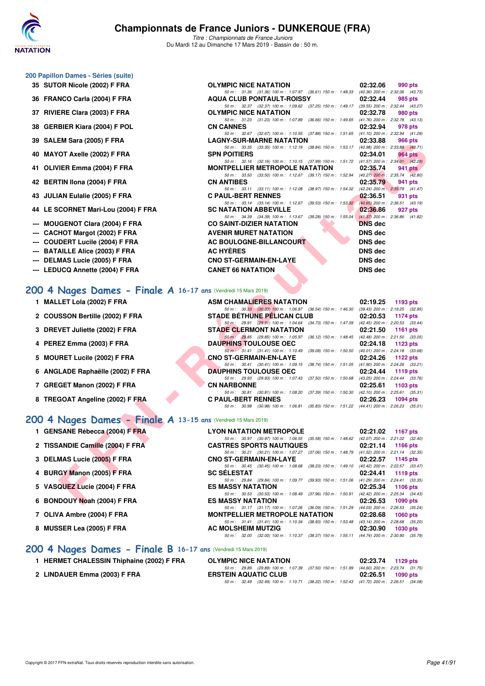

*Titre : Championnats de France Juniors* Du Mardi 12 au Dimanche 17 Mars 2019 - Bassin de : 50 m.

#### **200 Papillon Dames - Séries (suite)**

- **35 SUTOR Nicole (2002) F FRA OLYMPIC NICE NATATION 02:32.06 990 pts**
- **36 FRANCO Carla (2004) F FRA AQUA CLUB PONTAULT-ROISSY 02:32.44**
- 
- 
- 
- 
- 
- 
- 
- 
- **--- MOUGENOT Clara (2004) F FRA CO**
- --- CACHOT Margot (2002) F FRA AV
- **--- COUDERT Lucile (2004) F FRA AC**
- **--- BATAILLE Alice (2003) F FRA AC HYÈRES DNS dec**
- **--- DELMAS Lucie (2005) F FRA CNO ST-GERMAIN-EN-LAYE DNS dec**
- **--- LEDUCQ Annette (2004) F FRA CANET 66 NATATION DNS dec**

### **[200 4 Nages Dames - Finale A](http://www.ffnatation.fr/webffn/resultats.php?idact=nat&go=epr&idcpt=59271&idepr=41) 16-17 ans** (Vendredi 15 Mars 2019)

- 
- 
- 
- 
- 
- 
- 
- 

#### **[200 4 Nages Dames - Finale A](http://www.ffnatation.fr/webffn/resultats.php?idact=nat&go=epr&idcpt=59271&idepr=41) 13-15 ans** (Vendredi 15 Mars 2019)

- **1 GENSANE Rébecca (2004) F FRA**
- 2 TISSANDIE Camille (2004) F FRA
- **3 DELMAS Lucie (2005) F FRA**
- **4 BURGY Manon (2005) F FRA**
- 5 VASQUEZ Lucie (2004) F FRA
- **6 BONDOUY Noah (2004) F FRA**
- **7 OLIVA Ambre (2004) F FRA**
- **8 MUSSER Lea (2005) F FRA**

|                                     | 50 m : 32.37 (32.37) 100 m : 1:09.62 (37.25) 150 m : 1:49.17 (39.55) 200 m : 2:32.44 (43.27) |                |                                     |
|-------------------------------------|----------------------------------------------------------------------------------------------|----------------|-------------------------------------|
| 37 RIVIERE Clara (2003) F FRA       | OLYMPIC NICE NATATION                                                                        | 02:32.78       | 980 pts                             |
|                                     | 50 m: 31.23 (31.23) 100 m: 1:07.89 (36.66) 150 m: 1:49.65                                    |                | (41.76) 200 m : 2:32.78 (43.13)     |
| 38 GERBIER Kiara (2004) F POL       | <b>CN CANNES</b>                                                                             | 02:32.94       | 978 pts                             |
|                                     | 50 m: 32.67 (32.67) 100 m: 1:10.55 (37.88) 150 m: 1:51.65 (41.10) 200 m: 2:32.94 (41.29)     |                |                                     |
| 39 SALEM Sara (2005) F FRA          | <b>LAGNY-SUR-MARNE NATATION</b><br>02:33.88                                                  |                | 966 pts                             |
|                                     | 50 m: 33.35 (33.35) 100 m: 1:12.19 (38.84) 150 m: 1:53.17 (40.98) 200 m: 2:33.88 (40.71)     |                |                                     |
| 40 MAYOT Axelle (2002) F FRA        | <b>SPN POITIERS</b>                                                                          | 02:34.01       | 964 pts                             |
|                                     | 50 m: 32.16 (32.16) 100 m: 1:10.15 (37.99) 150 m: 1:51.72 (41.57) 200 m: 2:34.01 (42.29)     |                |                                     |
| 41 OLIVIER Emma (2004) F FRA        | MONTPELLIER METROPOLE NATATION 02:35.74                                                      |                | 941 pts                             |
|                                     | 50 m: 33.50 (33.50) 100 m: 1:12.67 (39.17) 150 m: 1:52.94 (40.27) 200 m: 2:35.74 (42.80)     |                |                                     |
| 42 BERTIN Ilona (2004) F FRA        | <b>CN ANTIBES</b>                                                                            | 02:35.79       | 941 pts                             |
|                                     | 50 m: 33.11 (33.11) 100 m: 1:12.08 (38.97) 150 m: 1:54.32                                    |                | (42.24) 200 m: 2:35.79 (41.47)      |
| 43 JULIAN Eulalie (2005) F FRA      | <b>C PAUL-BERT RENNES</b>                                                                    | 02:36.51       | 931 pts                             |
|                                     | 50 m: 33.14 (33.14) 100 m: 1:12.67 (39.53) 150 m: 1:53.82                                    |                | $(40.65)$ 200 m : 2:36.51 $(43.19)$ |
| 44 LE SCORNET Mari-Lou (2004) F FRA | <b>SC NATATION ABBEVILLE</b>                                                                 | 02:36.86       | 927 pts                             |
|                                     | 50 m: 34.39 (34.39) 100 m: 1:13.67 (39.28) 150 m: 1:55.04                                    |                | $(41.37)$ 200 m : 2:36.86 $(41.82)$ |
| --- MOUGENOT Clara (2004) F FRA     | <b>CO SAINT-DIZIER NATATION</b>                                                              | <b>DNS</b> dec |                                     |
| --- CACHOT Margot (2002) F FRA      | <b>AVENIR MURET NATATION</b>                                                                 | <b>DNS</b> dec |                                     |
| --- COUDERT Lucile (2004) F FRA     | AC BOULOGNE-BILLANCOURT                                                                      | <b>DNS</b> dec |                                     |
|                                     |                                                                                              |                |                                     |

*50 m : 31.36 (31.36) 100 m : 1:07.97 (36.61) 150 m : 1:48.33 (40.36) 200 m : 2:32.06 (43.73)*

**FIND 12001 FFIA**<br>
IN 1991 2003 **FFRA**<br> **FIRE Emmin (2004) FFRA**<br> **FIRE Emmin (2004) FFRA**<br> **FIRE Emmin (2004) FFRA**<br> **FIRE Emmin (2004) FFRA**<br> **FIRE Emmin (2004) FFRA**<br> **FIRE Emmin (2004) FFRA**<br> **CPAUL EFFIRENCES**<br> **CP 1 MALLET Lola (2002) F FRA 1193 pts**<br> **1 MALLET Lola (2002) F FRA ASM CHAMALIERES NATATION 02:19.25 1193 pts**<br>  $\frac{50 \text{ m} \div 30.33 \times 60.39 \times 100 \text{ m} \div 1.06.87 \times 60.54 \times 150 \text{ m} \div 1.46.30 \times 60.43 \times 200 \text{ m} \div 2.1$ *50 m : 30.33 (30.33) 100 m : 1:06.87 (36.54) 150 m : 1:46.30 (39.43) 200 m : 2:19.25 (32.95)* **2 COUSSON Bertille (2002) F FRA** STADE BÉTHUNE PÉLICAN CLUB 02:20.53 1174 pts<br>  $\frac{50 \text{ m}}{29 \text{ m}}$ , 29.91  $\frac{199 \text{ m}}{29 \text{ m}}$ , 100 m; 1:04.64 (34.73) 150 m; 1:47.09 (42.45) 200 m; 2:20.53 (33.44) *50 m : 29.91 (29.91) 100 m : 1:04.64 (34.73) 150 m : 1:47.09* **3 DREVET Juliette (2002) F FRA STADE CLERMONT NATATION 02:21.50 1161 pts** *50 m : 29.85 (29.85) 100 m : 1:05.97 (36.12) 150 m : 1:48.45 (42.48) 200 m : 2:21.50 (33.05)* **4 PEREZ Emma (2003) F FRA DAUPHINS TOULOUSE OEC 02:24.18 1123 pts** *50 m : 31.41 (31.41) 100 m : 1:10.49 (39.08) 150 m : 1:50.50 (40.01) 200 m : 2:24.18 (33.68)* **5 MOURET Lucile (2002) F FRA CNO ST-GERMAIN-EN-LAYE 02:24.26** *50 m : 30.41 (30.41) 100 m : 1:09.15 (38.74) 150 m : 1:51.05 (41.90) 200 m : 2:24.26 (33.21)*<br> **DAUPHINS TOULOUSE OEC 02:24.44 1119 pts 6 ANGLADE Raphaëlle (2002) F FRA DAUPHINS TOULOUSE OEC** 02:24.44 **1119 pts**<br>  $\frac{50 \text{ m} \cdot 29.93}$   $\frac{29.93}{29.93}$   $\frac{100 \text{ m} \cdot 1.07.43}{20.750}$   $\frac{37.50}{150 \text{ m} \cdot 1.50.68}$   $\frac{43.25}{43.25}$   $\frac{200 \text{ m} \cdot 2.24.4$ *50 m : 29.93 (29.93) 100 m : 1:07.43 (37.50) 150 m : 1:50.68 (43.25) 200 m : 2:24.44 (33.76)* **7 GREGET Manon (2002) F FRA CN NARBONNE CONSUMING A CONSUMING A CONSUMING A CONSUMING A CONSUMING A CONSUMING A CONSUMING A CONSUMING A CONSUMING A CONSUMING A CONSUMING A CONSUMING A CONSUMING A CONSUMING A CONSUMING A C** *50 m : 30.81 (30.81) 100 m : 1:08.20 (37.39) 150 m : 1:50.30 (42.10) 200 m : 2:25.61 (35.31)*<br>**C PAIII -RERT RENNES** (27.59) 2012 02:26 23

**8 TREGOAT Angeline (2002) F FRA C PAUL-BERT RENNES 02:26.23 1094 pts** *50 m : 30.98 (30.98) 100 m : 1:06.81 (35.83) 150 m : 1:51.22 (44.41) 200 m : 2:26.23 (35.01)*

| <b>LYON NATATION METROPOLE</b>        |                                                                                          |  | 02:21.02 1167 pts                   |  |
|---------------------------------------|------------------------------------------------------------------------------------------|--|-------------------------------------|--|
|                                       | 50 m: 30.97 (30.97) 100 m: 1:06.55 (35.58) 150 m: 1:48.62 (42.07) 200 m: 2:21.02 (32.40) |  |                                     |  |
| <b>CASTRES SPORTS NAUTIQUES</b>       |                                                                                          |  | $02:21.14$ 1166 pts                 |  |
|                                       | 50 m: 30.21 (30.21) 100 m: 1:07.27 (37.06) 150 m: 1:48.79                                |  | $(41.52)$ 200 m : 2:21.14 $(32.35)$ |  |
| <b>CNO ST-GERMAIN-EN-LAYE</b>         |                                                                                          |  | 02:22.57 1145 pts                   |  |
|                                       | 50 m: 30.45 (30.45) 100 m: 1:08.68 (38.23) 150 m: 1:49.10 (40.42) 200 m: 2:22.57 (33.47  |  |                                     |  |
| <b>SC SELESTAT</b>                    |                                                                                          |  | 02:24.41 1119 pts                   |  |
|                                       | 50 m: 29.84 (29.84) 100 m: 1:09.77 (39.93) 150 m: 1:51.06 (41.29) 200 m: 2:24.41 (33.35) |  |                                     |  |
| <b>ES MASSY NATATION</b>              |                                                                                          |  | 02:25.34 1106 pts                   |  |
|                                       | 50 m: 30.53 (30.53) 100 m: 1:08.49 (37.96) 150 m: 1:50.91                                |  | (42.42) 200 m : 2:25.34 (34.43)     |  |
| <b>ES MASSY NATATION</b>              |                                                                                          |  | 02:26.53 1090 pts                   |  |
|                                       | 50 m: 31.17 (31.17) 100 m: 1:07.26 (36.09) 150 m: 1:51.29                                |  | (44.03) 200 m : 2:26.53 (35.24)     |  |
| <b>MONTPELLIER METROPOLE NATATION</b> |                                                                                          |  | 02:28.68 1060 pts                   |  |
|                                       | 50 m: 31.41 (31.41) 100 m: 1:10.34 (38.93) 150 m: 1:53.48 (43.14) 200 m: 2:28.68 (35.20) |  |                                     |  |
| <b>AC MOLSHEIM MUTZIG</b>             |                                                                                          |  | 02:30.90 1030 pts                   |  |
|                                       | 50 m: 32.00 (32.00) 100 m: 1:10.37 (38.37) 150 m: 1:55.11 (44.74) 200 m: 2:30.90 (35.79, |  |                                     |  |
|                                       |                                                                                          |  |                                     |  |

#### **[200 4 Nages Dames - Finale B](http://www.ffnatation.fr/webffn/resultats.php?idact=nat&go=epr&idcpt=59271&idepr=41) 16-17 ans** (Vendredi 15 Mars 2019)

|  |  | 1 HERMET CHALESSIN Thiphaine (2002) F FRA |  |  |  |
|--|--|-------------------------------------------|--|--|--|
|--|--|-------------------------------------------|--|--|--|

- 
- **1129 pts**<br> **1129 pts**<br> **1129 pts**<br> **127.89** (37.50) 150 m; 1.51.99 (44.60) 200 m; 2.23.74 (31.75) *50 m : 29.89 (29.89) 100 m : 1:07.39 (37.50) 150 m : 1:51.99 (44.60) 200 m : 2:23.74 (31.75)* **2 LINDAUER Emma (2003) F FRA ERSTEIN AQUATIC CLUB 02:26.51 1090 pts** *50 m : 32.49 (32.49) 100 m : 1:10.71 (38.22) 150 m : 1:52.43 (41.72) 200 m : 2:26.51 (34.08)*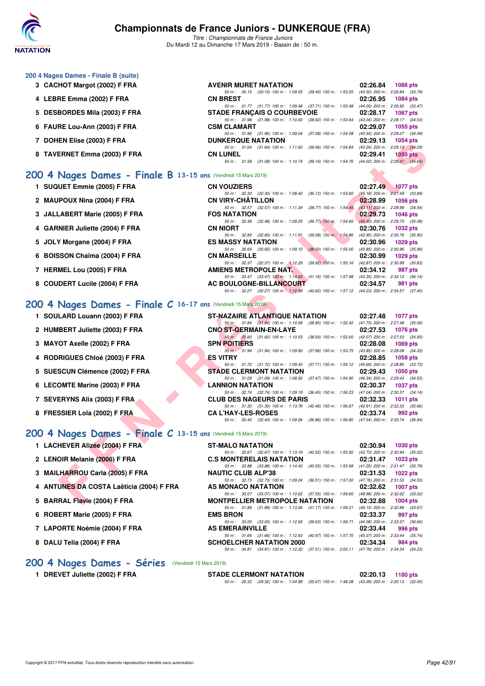

*Titre : Championnats de France Juniors* Du Mardi 12 au Dimanche 17 Mars 2019 - Bassin de : 50 m.

### **200 4 Nages Dames - Finale B (suite)**

- **3 CACHOT Margot (2002) F FRA AVENIR MURET NATATION 02:26.84 1086 pts**
- **4 LEBRE Emma (2002) F FRA CN BREST 02:26.95 1084 pts**
- **5 DESBORDES Mila (2003) F FRA STADE FRANÇAIS O COURBEVOIE 02:28.17 1067 pts**
- **6 FAURE Lou-Ann (2003) F FRA CSM CLAMART 02:29.07 1055 pts**
- **7 DOHEN Elise (2003) F FRA DUNKERQUE NATATION 02:29.13 1054 pts**
- **8 TAVERNET Emma (2003) F FRA CN LUNEL 02:29.41 1050 pts**

**1 SUQUET Emmie (2005) F FRA** 

**2 MAUPOUX Nina (2004) F FRA** 

**3 JALLABERT Marie (2005) F FRA** 

**4 GARNIER Juliette (2004) F FRA CN NIORT 02:30.76 1032 pts**

**6 BOISSON Chaïma (2004) F FRA** 

8 COUDERT Lucile (2004) F FRA

**5 JOLY Morgane (2004) F FRA** 

**7 HERMEL Lou (2005) F FRA** 

#### **[200 4 Nages Dames - Finale B](http://www.ffnatation.fr/webffn/resultats.php?idact=nat&go=epr&idcpt=59271&idepr=41) 13-15 ans** (Vendredi 15 Mars 2019)

| EN EIISC (2003) F FRA                                      | <b>DUNNERWUE NATATION</b>                                                                | <b>UZ.ZJ.IJ IUJ+UIS</b>     |
|------------------------------------------------------------|------------------------------------------------------------------------------------------|-----------------------------|
|                                                            | 50 m: 31.64 (31.64) 100 m: 1:11.60 (39.96) 150 m: 1:54.84 (43.24) 200 m: 2:29.13 (34.29) |                             |
| ERNET Emma (2003) F FRA                                    | <b>CN LUNEL</b>                                                                          | 02:29.41<br><b>1050 pts</b> |
|                                                            | 50 m: 31.58 (31.58) 100 m: 1:10.74 (39.16) 150 m: 1:54.76 (44.02) 200 m: 2:29.41 (34.65) |                             |
| Nages Dames - Finale B 13-15 ans (Vendredi 15 Mars 2019)   |                                                                                          |                             |
|                                                            |                                                                                          |                             |
| UET Emmie (2005) F FRA                                     | <b>CN VOUZIERS</b>                                                                       | 02:27.49 1077 pts           |
|                                                            | 50 m: 32.30 (32.30) 100 m: 1:08.42 (36.12) 150 m: 1:53.60 (45.18) 200 m: 2:27.49 (33.89) |                             |
| POUX Nina (2004) F FRA                                     | <b>CN VIRY-CHATILLON</b>                                                                 | 02:28.99<br>1056 pts        |
|                                                            | 50 m: 32.57 (32.57) 100 m: 1:11.34 (38.77) 150 m: 1:54.45 (43.11) 200 m: 2:28.99 (34.54) |                             |
| <b>ABERT Marie (2005) F FRA</b>                            | <b>FOS NATATION</b>                                                                      | 02:29.73<br>1046 pts        |
|                                                            | 50 m: 32.48 (32.48) 100 m: 1:09.25 (36.77) 150 m: 1:54.65 (45.40) 200 m: 2:29.73 (35.08) |                             |
| NIER Juliette (2004) F FRA                                 | <b>CN NIORT</b>                                                                          | 02:30.76 1032 pts           |
|                                                            | 50 m: 32.83 (32.83) 100 m: 1:11.91 (39.08) 150 m: 1:54.86 (42.95) 200 m: 2:30.76 (35.90) |                             |
| Y Morgane (2004) F FRA                                     | <b>ES MASSY NATATION</b>                                                                 | 02:30.96<br>1029 pts        |
|                                                            | 50 m: 30.65 (30.65) 100 m: 1:09.15 (38.50) 150 m: 1:55.00 (45.85) 200 m: 2:30.96 (35.96) |                             |
| SON Chaïma (2004) F FRA                                    | <b>CN MARSEILLE</b>                                                                      | 02:30.99 1029 pts           |
|                                                            | 50 m: 32.37 (32.37) 100 m: 1:12.29 (39.92) 150 m: 1:55.16 (42.87) 200 m: 2:30.99 (35.83) |                             |
| <b>MEL Lou (2005) F FRA</b>                                | AMIENS METROPOLE NAT.                                                                    | 02:34.12<br>987 pts         |
|                                                            | 50 m: 33.47 (33.47) 100 m: 1:14.63 (41.16) 150 m: 1:57.98 (43.35) 200 m: 2:34.12 (36.14) |                             |
| <b>DERT Lucile (2004) F FRA</b>                            | AC BOULOGNE-BILLANCOURT                                                                  | 02:34.57<br>981 pts         |
|                                                            | 50 m: 32.27 (32.27) 100 m: 1:12.89 (40.62) 150 m: 1:57.12 (44.23) 200 m: 2:34.57 (37.45) |                             |
|                                                            |                                                                                          |                             |
| Nages Dames - Finale $C$ 16-17 ans (Vendredi 15 Mars 2019) |                                                                                          |                             |
| LARD Louann (2003) F FRA                                   | <b>ST-NAZAIRE ATLANTIQUE NATATION</b>                                                    | 02:27.48 1077 pts           |
|                                                            | 50 m: 31.84 (31.84) 100 m: 1:10.69 (38.85) 150 m: 1:52.42 (41.73) 200 m: 2:27.48 (35.06) |                             |
| <b>BERT Juliette (2003) F FRA</b>                          | <b>CNO ST-GERMAIN-EN-LAYE</b>                                                            | 02:27.53<br>1076 pts        |
|                                                            | 50 m: 31.60 (31.60) 100 m: 1:10.53 (38.93) 150 m: 1:52.60 (42.07) 200 m: 2:27.53 (34.93) |                             |
| OT Axelle (2002) F FRA                                     | <b>SPN POITIERS</b>                                                                      | $02:28.08$ 1069 pts         |
|                                                            | 50 m: 31.94 (31.94) 100 m: 1.09.90 (37.96) 150 m: 1.53.75 (43.85) 200 m: 2.28.08 (34.33) |                             |
| <b>RIGUES Chloé (2003) F FRA</b>                           | <b>ES VITRY</b>                                                                          | 02:28.85<br>1058 pts        |
|                                                            | 50 m: 31.72 (31.72) 100 m: 1:09.43 (37.71) 150 m: 1:55.12 (45.69) 200 m: 2:28.85 (33.73) |                             |
| SCUN Clémence (2002) F FRA                                 | <b>STADE CLERMONT NATATION</b>                                                           | 02:29.43 1050 pts           |
|                                                            | 50 m: 31.09 (31.09) 100 m: 1:08.56 (37.47) 150 m: 1:54.90 (46.34) 200 m: 2:29.43 (34.53) |                             |
| OMTE Marine (2003) F FRA                                   | <b>LANNION NATATION</b>                                                                  | 02:30.37 1037 pts           |
|                                                            | 50 m: 32.74 (32.74) 100 m: 1:09.19 (36.45) 150 m: 1:56.23 (47.04) 200 m: 2:30.37 (34.14) |                             |
| <b>ERYNS Alix (2003) F FRA</b>                             | <b>CLUB DES NAGEURS DE PARIS</b>                                                         | 02:32.33<br>1011 pts        |
|                                                            | 50 m: 31.30 (31.30) 100 m: 1:13.76 (42.46) 150 m: 1:56.67 (42.91) 200 m: 2:32.33 (35.66) |                             |
| SSIER Lola (2002) F FRA                                    | <b>CA L'HAY-LES-ROSES</b>                                                                | 02:33.74<br>992 pts         |
|                                                            | 50 m: 32.40 (32.40) 100 m: 1:09.26 (36.86) 150 m: 1:56.80 (47.54) 200 m: 2:33.74 (36.94) |                             |
|                                                            |                                                                                          |                             |
| Nages Dames - Finale C 13-15 ans (Vendredi 15 Mars 2019)   |                                                                                          |                             |
| <b>HEVER Alizée (2004) F FRA</b>                           | <b>ST-MALO NATATION</b>                                                                  | 02:30.94<br>1030 pts        |
|                                                            | 50 m: 32.67 (32.67) 100 m: 1:13.19 (40.52) 150 m: 1:55.92 (42.73) 200 m: 2:30.94 (35.02) |                             |
| OIR Melanie (2006) F FRA                                   | <b>C.S MONTERELAIS NATATION</b>                                                          | 02:31.47<br>1023 pts        |
|                                                            | 50 m: 33.88 (33.88) 100 m: 1:14.43 (40.55) 150 m: 1:55.68 (41.25) 200 m: 2:31.47 (35.79) |                             |
| .HARROU Carla (2005) F FRA                                 | <b>NAUTIC CLUB ALP'38</b>                                                                | 02:31.53<br>1022 pts        |
|                                                            | 50 m: 32.73 (32.73) 100 m: 1:09.24 (36.51) 150 m: 1:57.00 (47.76) 200 m: 2:31.53 (34.53) |                             |
| UNES DA COSTA Laëticia (2004) F FRA                        | AS MONACO NATATION                                                                       | 02:32.62<br>1007 pts        |
|                                                            | 50 m: 33.07 (33.07) 100 m: 1:10.62 (37.55) 150 m: 1:59.60 (48.98) 200 m: 2:32.62 (33.02) |                             |
| RAL Flavie (2004) F FRA                                    | <b>MONTPELLIER METROPOLE NATATION</b>                                                    | 02:32.88 1004 pts           |
|                                                            |                                                                                          |                             |

*50 m : 30.15 (30.15) 100 m : 1:09.55 (39.40) 150 m : 1:53.05 (43.50) 200 m : 2:26.84 (33.79)*

*50 m : 31.77 (31.77) 100 m : 1:09.48 (37.71) 150 m : 1:53.48 (44.00) 200 m : 2:26.95 (33.47)*<br>**DE FRANCAIS O COURBEVOIE 02:28.17 1067 pts** 

*50 m : 31.96 (31.96) 100 m : 1:09.04 (37.08) 150 m : 1:54.58 (45.54) 200 m : 2:29.07 (34.49)*

*50 m : 31.98 (31.98) 100 m : 1:10.60 (38.62) 150 m : 1:53.64 (43.04) 200 m : 2:28.17 (34.53)*

#### **[200 4 Nages Dames - Finale C](http://www.ffnatation.fr/webffn/resultats.php?idact=nat&go=epr&idcpt=59271&idepr=41) 16-17 ans** (Vendredi 15 Mars 2019)

- **1 SOULARD Louann (2003) F FRA ST-NAZAIRE ATLANTIQUE NATATION 02:27.48 1077 pts**
- **2 HUMBERT Juliette (2003) F FRA CNO ST-GERMAIN-EN-LAYE 02:27.53 1076 pts**
- **3 MAYOT Axelle (2002) F FRA SPN POITIERS 02:28.08 1069 pts**
- **4 RODRIGUES Chloé (2003) F FRA ES VITRY 02:28.85 1058 pts**
- 5 SUESCUN Clémence (2002) F FRA
- **6 LECOMTE Marine (2003) F FRA LANNION NATATION 02:30.37 1037 pts**
- **7 SEVERYNS Alix (2003) F FRA CLUB DES NAGEURS DE PARIS 02:32.33 1011 pts**
- **8 FRESSIER Lola (2002) F FRA CA L'HAY-LES-ROSES 02:33.74 992 pts**

## **[200 4 Nages Dames - Finale C](http://www.ffnatation.fr/webffn/resultats.php?idact=nat&go=epr&idcpt=59271&idepr=41) 13-15 ans** (Vendredi 15 Mars 2019)

| 1 LACHEVER Alizee (2004) F FRA |
|--------------------------------|
|--------------------------------|

- 2 LENOIR Melanie (2006) F FRA
- **3 MAILHARROU Carla (2005) F FRA**
- **4 ANTUNES DA COSTA Laëticia (2004) F FRA**
- **5 BARRAL Flavie (2004) F FRA**
- **6 ROBERT Marie (2005) F FRA**
- 7 LAPORTE Noémie (2004) F FRA
- **8 DALU Telia (2004) F FRA**

| <b>U 4 Nages Dames - Finale C 13-15 ans (Vendredi 15 Mars 2019)</b> |                                                                                          |          |                     |
|---------------------------------------------------------------------|------------------------------------------------------------------------------------------|----------|---------------------|
| 1 LACHEVER Alizée (2004) F FRA                                      | <b>ST-MALO NATATION</b>                                                                  | 02:30.94 | 1030 pts            |
|                                                                     | 50 m: 32.67 (32.67) 100 m: 1:13.19 (40.52) 150 m: 1:55.92 (42.73) 200 m: 2:30.94 (35.02) |          |                     |
| 2 LENOIR Melanie (2006) F FRA                                       | <b>C.S MONTERELAIS NATATION</b>                                                          |          | $02:31.47$ 1023 pts |
|                                                                     | 50 m: 33.88 (33.88) 100 m: 1:14.43 (40.55) 150 m: 1:55.68 (41.25) 200 m: 2:31.47 (35.79) |          |                     |
| 3 MAILHARROU Carla (2005) F FRA                                     | <b>NAUTIC CLUB ALP'38</b>                                                                |          | $02:31.53$ 1022 pts |
|                                                                     | 50 m: 32.73 (32.73) 100 m: 1.09.24 (36.51) 150 m: 1.57.00 (47.76) 200 m: 2:31.53 (34.53) |          |                     |
| 4 ANTUNES DA COSTA Laëticia (2004) F FRA                            | AS MONACO NATATION                                                                       |          | $02:32.62$ 1007 pts |
|                                                                     | 50 m: 33.07 (33.07) 100 m: 1:10.62 (37.55) 150 m: 1:59.60 (48.98) 200 m: 2:32.62 (33.02) |          |                     |
| 5 BARRAL Flavie (2004) F FRA                                        | <b>MONTPELLIER METROPOLE NATATION</b>                                                    |          | 02:32.88 1004 pts   |
|                                                                     | 50 m: 31.89 (31.89) 100 m: 1:13.06 (41.17) 150 m: 1:59.21 (46.15) 200 m: 2:32.88 (33.67) |          |                     |
| 6 ROBERT Marie (2005) F FRA                                         | <b>EMS BRON</b>                                                                          | 02:33.37 | 997 pts             |
|                                                                     | 50 m: 33.00 (33.00) 100 m: 1:12.63 (39.63) 150 m: 1:56.71 (44.08) 200 m: 2:33.37 (36.66) |          |                     |
| 7 LAPORTE Noémie (2004) F FRA                                       | <b>AS EMERAINVILLE</b>                                                                   | 02:33.44 | 996 pts             |
|                                                                     | 50 m: 31.66 (31.66) 100 m: 1:12.63 (40.97) 150 m: 1:57.70 (45.07) 200 m: 2:33.44 (35.74) |          |                     |
| 8 DALU Telia (2004) F FRA                                           | <b>SCHOELCHER NATATION 2000</b>                                                          | 02:34.34 | 984 pts             |
|                                                                     | 50 m: 34.81 (34.81) 100 m: 1:12.32 (37.51) 150 m: 2:00.11 (47.79) 200 m: 2:34.34 (34.23) |          |                     |

### **[200 4 Nages Dames - Séries](http://www.ffnatation.fr/webffn/resultats.php?idact=nat&go=epr&idcpt=59271&idepr=41)** (Vendredi 15 Mars 2019)

**1 DREVET Juliette (2002) F FRA STADE CLERMONT NATATION 02:20.13 1180 pts**

*50 m : 29.32 (29.32) 100 m : 1:04.99 (35.67) 150 m : 1:48.08 (43.09) 200 m : 2:20.13 (32.05)*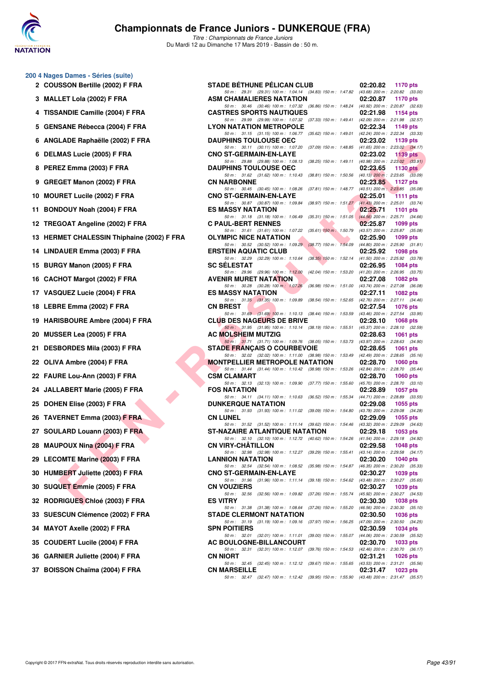

*Titre : Championnats de France Juniors* Du Mardi 12 au Dimanche 17 Mars 2019 - Bassin de : 50 m.

| 200 4 Nages Dames - Séries (suite)         |                                                                                                                                |                                                                                        |
|--------------------------------------------|--------------------------------------------------------------------------------------------------------------------------------|----------------------------------------------------------------------------------------|
| 2 COUSSON Bertille (2002) F FRA            | <b>STADE BÉTHUNE PÉLICAN CLUB</b><br>50 m: 29.31 (29.31) 100 m: 1:04.14 (34.83) 150 m: 1:47.82 (43.68) 200 m: 2:20.82 (33.00)  | 02:20.82<br>1170 pts                                                                   |
| 3 MALLET Lola (2002) F FRA                 | <b>ASM CHAMALIERES NATATION</b>                                                                                                | 02:20.87<br>1170 pts                                                                   |
| 4 TISSANDIE Camille (2004) F FRA           | 50 m: 30.46 (30.46) 100 m: 1:07.32 (36.86) 150 m: 1:48.24 (40.92) 200 m: 2:20.87 (32.63)<br><b>CASTRES SPORTS NAUTIQUES</b>    | 02:21.98<br>1154 pts                                                                   |
| 5 GENSANE Rébecca (2004) F FRA             | 50 m: 29.99 (29.99) 100 m: 1:07.32 (37.33) 150 m: 1:49.41<br><b>LYON NATATION METROPOLE</b>                                    | (42.09) 200 m : 2:21.98 (32.57)<br>02:22.34<br>1149 pts                                |
| 6 ANGLADE Raphaëlle (2002) F FRA           | 50 m: 31.15 (31.15) 100 m: 1:06.77 (35.62) 150 m: 1:49.01<br><b>DAUPHINS TOULOUSE OEC</b>                                      | (42.24) 200 m : 2:22.34 (33.33)<br>02:23.02<br>1139 pts                                |
| 6 DELMAS Lucie (2005) F FRA                | 50 m: 30.11 (30.11) 100 m: 1:07.20 (37.09) 150 m: 1:48.85<br><b>CNO ST-GERMAIN-EN-LAYE</b>                                     | $(41.65)$ 200 m : 2:23.02 $(34.17)$<br>02:23.02<br>1139 pts                            |
| 8 PEREZ Emma (2003) F FRA                  | 50 m: 29.88 (29.88) 100 m: 1:08.13 (38.25) 150 m: 1:49.11 (40.98) 200 m: 2:23.02 (33.91)<br><b>DAUPHINS TOULOUSE OEC</b>       | 02:23.65<br>1130 $pts$                                                                 |
| 9 GREGET Manon (2002) F FRA                | 50 m: 31.62 (31.62) 100 m: 1:10.43 (38.81) 150 m: 1:50.56 (40.13) 200 m: 2:23.65 (33.09)<br><b>CN NARBONNE</b>                 | 02:23.85<br>1127 pts                                                                   |
| 10 MOURET Lucile (2002) F FRA              | 50 m: 30.45 (30.45) 100 m: 1:08.26 (37.81) 150 m: 1:48.77 (40.51) 200 m: 2:23.85 (35.08)<br><b>CNO ST-GERMAIN-EN-LAYE</b>      | 02:25.01<br>1111 pts                                                                   |
| 11 BONDOUY Noah (2004) F FRA               | 50 m: 30.87 (30.87) 100 m: 1:09.84 (38.97) 150 m: 1:51.27 (41.43) 200 m: 2:25.01 (33.74)<br><b>ES MASSY NATATION</b>           | 02:25.71<br>1101 pts                                                                   |
| 12 TREGOAT Angeline (2002) F FRA           | 50 m: 31.18 (31.18) 100 m: 1:06.49<br>$(35.31)$ 150 m : 1:51.05<br><b>C PAUL-BERT RENNES</b>                                   | $(44.56)$ 200 m : 2:25.71 $(34.66)$<br>02:25.87<br>1099 pts                            |
| 13 HERMET CHALESSIN Thiphaine (2002) F FRA | 50 m: 31.61 (31.61) 100 m: 1:07.22 (35.61) 150 m: 1:50.79<br>OLYMPIC NICE NATATION                                             | (43.57) 200 m : 2:25.87 (35.08)<br>02:25.90<br>1099 pts                                |
| 14 LINDAUER Emma (2003) F FRA              | 50 m: 30.52 (30.52) 100 m: 1:09.29 (38.77) 150 m: 1:54.09 (44.80) 200 m: 2:25.90 (31.81)<br><b>ERSTEIN AQUATIC CLUB</b>        | 02:25.92<br>1098 pts                                                                   |
| 15 BURGY Manon (2005) F FRA                | 50 m: 32.29 (32.29) 100 m: 1:10.64 (38.35) 150 m: 1:52.14 (41.50) 200 m: 2:25.92 (33.78)<br><b>SC SELESTAT</b>                 | 02:26.95<br>1084 pts                                                                   |
| 16 CACHOT Margot (2002) F FRA              | 50 m : 29.96 (29.96) 100 m : 1:12.00<br><b>AVENIR MURET NATATION</b>                                                           | (42.04) 150 m : 1:53.20 (41.20) 200 m : 2:26.95 (33.75)<br>02:27.08<br><b>1082 pts</b> |
| 17 VASQUEZ Lucie (2004) F FRA              | 50 m : 30.28 (30.28) 100 m : 1:07.26<br>$(36.98)$ 150 m : 1:51.00<br><b>ES MASSY NATATION</b>                                  | (43.74) 200 m : 2:27.08 (36.08)<br>02:27.11<br>1082 pts                                |
| 18 LEBRE Emma (2002) F FRA                 | 50 m: 31.35 (31.35) 100 m: 1:09.89 (38.54) 150 m: 1:52.65<br><b>CN BREST</b>                                                   | (42.76) 200 m : 2:27.11 (34.46)<br>02:27.54<br>1076 pts                                |
| 19 HARISBOURE Ambre (2004) F FRA           | 50 m: 31.69 (31.69) 100 m: 1:10.13 (38.44) 150 m: 1:53.59<br><b>CLUB DES NAGEURS DE BRIVE</b>                                  | (43.46) 200 m : 2:27.54 (33.95)<br>02:28.10<br>1068 pts                                |
| <b>MUSSER Lea (2005) F FRA</b><br>20       | 50 m : 31.95 (31.95) 100 m : 1:10.14 (38.19) 150 m : 1:55.51<br>AC MOLSHEIM MUTZIG                                             | (45.37) 200 m : 2:28.10 (32.59)<br>02:28.63<br>1061 pts                                |
| <b>DESBORDES Mila (2003) F FRA</b><br>21   | 50 m: 31.71 (31.71) 100 m: 1:09.76 (38.05) 150 m: 1:53.73 (43.97) 200 m: 2:28.63 (34.90)<br><b>STADE FRANÇAIS O COURBEVOIE</b> | 02:28.65<br>1061 pts                                                                   |
| 22 OLIVA Ambre (2004) F FRA                | 50 m: 32.02 (32.02) 100 m: 1:11.00 (38.98) 150 m: 1:53.49<br><b>MONTPELLIER METROPOLE NATATION</b>                             | (42.49) 200 m : 2:28.65 (35.16)<br>02:28.70<br><b>1060 pts</b>                         |
| 22 FAURE Lou-Ann (2003) F FRA              | 50 m: 31.44 (31.44) 100 m: 1:10.42 (38.98) 150 m: 1:53.26<br>CSM CLAMART                                                       | (42.84) 200 m : 2:28.70 (35.44)<br>02:28.70<br>1060 pts                                |
| 24 JALLABERT Marie (2005) F FRA            | 50 m: 32.13 (32.13) 100 m: 1:09.90 (37.77) 150 m: 1:55.60<br><b>FOS NATATION</b>                                               | (45.70) 200 m : 2:28.70 (33.10)<br>02:28.89<br>1057 pts                                |
| 25 DOHEN Elise (2003) F FRA                | 50 m: 34.11 (34.11) 100 m: 1:10.63<br>(36.52) 150 m : 1:55.34<br><b>DUNKERQUE NATATION</b>                                     | (44.71) 200 m : 2:28.89 (33.55)<br>02:29.08<br>1055 pts                                |
| 26 TAVERNET Emma (2003) F FRA              | 50 m: 31.93 (31.93) 100 m: 1:11.02 (39.09) 150 m: 1:54.80<br><b>CN LUNEL</b>                                                   | (43.78) 200 m : 2:29.08 (34.28)<br>02:29.09<br>1055 pts                                |
| 27 SOULARD Louann (2003) F FRA             | 50 m: 31.52 (31.52) 100 m: 1:11.14 (39.62) 150 m: 1:54.46<br>ST-NAZAIRE ATLANTIQUE NATATION                                    | $(43.32)$ 200 m : 2:29.09 $(34.63)$<br>02:29.18<br>1053 pts                            |
| 28 MAUPOUX Nina (2004) F FRA               | 50 m: 32.10 (32.10) 100 m: 1:12.72 (40.62) 150 m: 1:54.26<br><b>CN VIRY-CHATILLON</b>                                          | (41.54) 200 m : 2:29.18 (34.92)<br>02:29.58<br><b>1048 pts</b>                         |
| 29 LECOMTE Marine (2003) F FRA             | 50 m : 32.98 (32.98) 100 m : 1:12.27 (39.29) 150 m : 1:55.41 (43.14) 200 m : 2:29.58 (34.17)<br><b>LANNION NATATION</b>        | 02:30.20<br>1040 pts                                                                   |
| 30 HUMBERT Juliette (2003) F FRA           | 50 m: 32.54 (32.54) 100 m: 1:08.52 (35.98) 150 m: 1:54.87 (46.35) 200 m: 2:30.20 (35.33)<br><b>CNO ST-GERMAIN-EN-LAYE</b>      | 02:30.27<br>1039 pts                                                                   |
| 30 SUQUET Emmie (2005) F FRA               | 50 m: 31.96 (31.96) 100 m: 1:11.14 (39.18) 150 m: 1:54.62<br><b>CN VOUZIERS</b>                                                | (43.48) 200 m : 2:30.27 (35.65)<br>02:30.27<br>1039 pts                                |
| 32 RODRIGUES Chloé (2003) F FRA            | 50 m : 32.56 (32.56) 100 m : 1:09.82<br>(37.26) 150 m : 1:55.74<br><b>ES VITRY</b>                                             | (45.92) 200 m : 2:30.27 (34.53)<br>02:30.30<br>1038 pts                                |
| SUESCUN Clémence (2002) F FRA<br>33        | 50 m: 31.38 (31.38) 100 m: 1:08.64 (37.26) 150 m: 1:55.20<br><b>STADE CLERMONT NATATION</b>                                    | $(46.56)$ 200 m : 2:30.30 $(35.10)$<br>02:30.50<br>1036 pts                            |
| <b>MAYOT Axelle (2002) F FRA</b><br>34     | 50 m: 31.19 (31.19) 100 m: 1:09.16 (37.97) 150 m: 1:56.25<br><b>SPN POITIERS</b>                                               | (47.09) 200 m : 2:30.50 (34.25)<br>02:30.59<br>1034 pts                                |
| <b>COUDERT Lucile (2004) F FRA</b><br>35   | 50 m : 32.01 (32.01) 100 m : 1:11.01 (39.00) 150 m : 1:55.07<br>AC BOULOGNE-BILLANCOURT                                        | $(44.06)$ 200 m : 2:30.59 $(35.52)$<br>02:30.70<br>1033 pts                            |
| <b>GARNIER Juliette (2004) F FRA</b><br>36 | 50 m: 32.31 (32.31) 100 m: 1:12.07 (39.76) 150 m: 1:54.53<br><b>CN NIORT</b>                                                   | (42.46) 200 m : 2:30.70 (36.17)<br>02:31.21<br>1026 pts                                |
| 37 BOISSON Chaïma (2004) F FRA             | 50 m : 32.45 (32.45) 100 m : 1:12.12 (39.67) 150 m : 1:55.65<br><b>CN MARSEILLE</b>                                            | (43.53) 200 m : 2:31.21 (35.56)<br>02:31.47<br>1023 pts                                |

*50 m : 32.45 (32.45) 100 m : 1:12.12 (39.67) 150 m : 1:55.65 (43.53) 200 m : 2:31.21 (35.56) 50 m : 32.47 (32.47) 100 m : 1:12.42 (39.95) 150 m : 1:55.90 (43.48) 200 m : 2:31.47 (35.57)*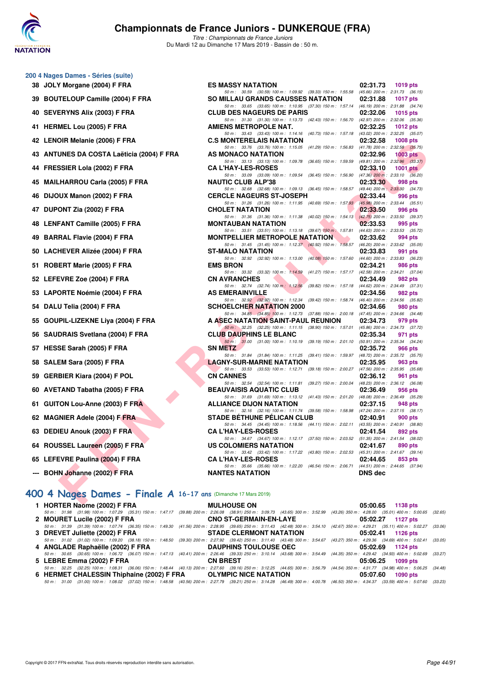

*Titre : Championnats de France Juniors* Du Mardi 12 au Dimanche 17 Mars 2019 - Bassin de : 50 m.

| 200 4 Nages Dames - Séries (suite)                                                                                                                                                                        |                                                                                                                               |                |                                            |
|-----------------------------------------------------------------------------------------------------------------------------------------------------------------------------------------------------------|-------------------------------------------------------------------------------------------------------------------------------|----------------|--------------------------------------------|
| 38 JOLY Morgane (2004) F FRA                                                                                                                                                                              | <b>ES MASSY NATATION</b><br>50 m: 30.59 (30.59) 100 m: 1:09.92 (39.33) 150 m: 1:55.58 (45.66) 200 m: 2:31.73 (36.15           | 02:31.73       | 1019 pts                                   |
| 39 BOUTELOUP Camille (2004) F FRA                                                                                                                                                                         | <b>SO MILLAU GRANDS CAUSSES NATATION</b>                                                                                      | 02:31.88       | <b>1017 pts</b>                            |
| 40 SEVERYNS Alix (2003) F FRA                                                                                                                                                                             | 50 m: 33.65 (33.65) 100 m: 1:10.95 (37.30) 150 m: 1:57.14 (46.19) 200 m: 2:31.88 (34.74<br><b>CLUB DES NAGEURS DE PARIS</b>   | 02:32.06       | 1015 $pts$                                 |
| 41 HERMEL Lou (2005) F FRA                                                                                                                                                                                | 50 m: 31.30 (31.30) 100 m: 1:13.73 (42.43) 150 m: 1:56.70 (42.97) 200 m: 2:32.06 (35.36                                       | 02:32.25       |                                            |
|                                                                                                                                                                                                           | AMIENS METROPOLE NAT.<br>50 m: 33.43 (33.43) 100 m: 1:14.16 (40.73) 150 m: 1:57.18 (43.02) 200 m: 2:32.25 (35.07              |                | 1012 $pts$                                 |
| 42 LENOIR Melanie (2006) F FRA                                                                                                                                                                            | <b>C.S MONTERELAIS NATATION</b><br>50 m: 33.76 (33.76) 100 m: 1:15.05 (41.29) 150 m: 1:56.83 (41.78) 200 m: 2:32.58 (35.75    | 02:32.58       | $1008$ pts                                 |
| 43 ANTUNES DA COSTA Laëticia (2004) F FRA                                                                                                                                                                 | AS MONACO NATATION                                                                                                            | 02:32.96       | $1003$ pts                                 |
| 44 FRESSIER Lola (2002) F FRA                                                                                                                                                                             | 50 m: 33.13 (33.13) 100 m: 1:09.78 (36.65) 150 m: 1:59.59 (49.81) 200 m: 2:32.96 (33.37<br><b>CA L'HAY-LES-ROSES</b>          | 02:33.10       | $1001$ pts                                 |
| 45 MAILHARROU Carla (2005) F FRA                                                                                                                                                                          | 50 m: 33.09 (33.09) 100 m: 1:09.54 (36.45) 150 m: 1:56.90 (47.36) 200 m: 2:33.10 (36.20<br><b>NAUTIC CLUB ALP'38</b>          | 02:33.30       | 998 pts                                    |
|                                                                                                                                                                                                           | 50 m: 32.68 (32.68) 100 m: 1:09.13 (36.45) 150 m: 1:58.57 (49.44) 200 m: 2:33.30 (34.73<br><b>CERCLE NAGEURS ST-JOSEPH</b>    |                |                                            |
| 46 DIJOUX Manon (2002) F FRA                                                                                                                                                                              | 50 m: 31.26 (31.26) 100 m: 1:11.95 (40.69) 150 m: 1:57.93 (45.98) 200 m: 2:33.44 (35.51                                       | 02:33.44       | 996 pts                                    |
| 47 DUPONT Zia (2002) F FRA                                                                                                                                                                                | <b>CHOLET NATATION</b><br>50 m: 31.36 (31.36) 100 m: 1:11.38 (40.02) 150 m: 1:54.13 (42.75) 200 m: 2:33.50 (39.37             | 02:33.50       | 996 pts                                    |
| 48 LENFANT Camille (2005) F FRA                                                                                                                                                                           | <b>MONTAUBAN NATATION</b>                                                                                                     | 02:33.53       | 995 pts                                    |
| 49 BARRAL Flavie (2004) F FRA                                                                                                                                                                             | 50 m: 33.51 (33.51) 100 m: 1:13.18 (39.67) 150 m: 1:57.81<br><b>MONTPELLIER METROPOLE NATATION</b>                            | 02:33.62       | (44.63) 200 m : 2:33.53 (35.72)<br>994 pts |
| 50 LACHEVER Alizée (2004) F FRA                                                                                                                                                                           | 50 m: 31.45 (31.45) 100 m: 1:12.37 (40.92) 150 m: 1:58.57 (46.20) 200 m: 2:33.62 (35.05<br><b>ST-MALO NATATION</b>            | 02:33.83       | 991 pts                                    |
|                                                                                                                                                                                                           | 50 m : 32.92 (32.92) 100 m : 1:13.00 (40.08) 150 m : 1:57.60 (44.60) 200 m : 2:33.83 (36.23                                   |                |                                            |
| 51 ROBERT Marie (2005) F FRA                                                                                                                                                                              | <b>EMS BRON</b><br>50 m: 33.32 (33.32) 100 m: 1:14.59 (41.27) 150 m: 1:57.17 (42.58) 200 m: 2:34.21 (37.04                    | 02:34.21       | 986 pts                                    |
| 52 LEFEVRE Zoe (2004) F FRA                                                                                                                                                                               | <b>CN AVRANCHES</b><br>50 m: 32.74 (32.74) 100 m: 1:12.56 (39.82) 150 m: 1:57.18 (44.62) 200 m: 2:34.49 (37.31                | 02:34.49       | 982 pts                                    |
| 53 LAPORTE Noémie (2004) F FRA                                                                                                                                                                            | <b>AS EMERAINVILLE</b><br>50 m: 32.92 (32.92) 100 m: 1:12.34 (39.42) 150 m: 1:58.74 (46.40) 200 m: 2:34.56 (35.82             | 02:34.56       | 982 pts                                    |
| 54 DALU Telia (2004) F FRA                                                                                                                                                                                | <b>SCHOELCHER NATATION 2000</b>                                                                                               | 02:34.66       | <b>980 pts</b>                             |
| 55 GOUPIL-LIZEKNE Liya (2004) F FRA                                                                                                                                                                       | 50 m: 34.85 (34.85) 100 m: 1:12.73 (37.88) 150 m: 2:00.18 (47.45) 200 m: 2:34.66 (34.48<br>A ASEC NATATION SAINT-PAUL REUNION | 02:34.73       | 979 pts                                    |
| 56 SAUDRAIS Svetlana (2004) F FRA                                                                                                                                                                         | 50 m: 32.25 (32.25) 100 m: 1:11.15 (38.90) 150 m: 1:57.01 (45.86) 200 m: 2:34.73 (37.72<br><b>CLUB DAUPHINS LE BLANC</b>      | 02:35.34       | 971 pts                                    |
|                                                                                                                                                                                                           | 50 m: 31.00 (31.00) 100 m: 1:10.19 (39.19) 150 m: 2:01.10 (50.91) 200 m: 2:35.34 (34.24                                       |                |                                            |
| 57 HESSE Sarah (2005) F FRA                                                                                                                                                                               | SN METZ<br>50 m: 31.84 (31.84) 100 m: 1:11.25 (39.41) 150 m: 1:59.97 (48.72) 200 m: 2:35.72 (35.75                            | 02:35.72       | <b>966 pts</b>                             |
| 58 SALEM Sara (2005) F FRA                                                                                                                                                                                | <b>LAGNY-SUR-MARNE NATATION</b><br>50 m: 33.53 (33.53) 100 m: 1:12.71 (39.18) 150 m: 2:00.27 (47.56) 200 m: 2:35.95 (35.68    | 02:35.95       | 963 pts                                    |
| 59 GERBIER Kiara (2004) F POL                                                                                                                                                                             | <b>CN CANNES</b>                                                                                                              | 02:36.12       | 961 pts                                    |
| 60 AVETAND Tabatha (2005) F FRA                                                                                                                                                                           | 50 m: 32.54 (32.54) 100 m: 1:11.81 (39.27) 150 m: 2:00.04 (48.23) 200 m: 2:36.12 (36.08<br><b>BEAUVAISIS AQUATIC CLUB</b>     | 02:36.49       | 956 pts                                    |
| 61 GUITON Lou-Anne (2003) F FRA                                                                                                                                                                           | 50 m: 31.69 (31.69) 100 m: 1:13.12 (41.43) 150 m: 2:01.20 (48.08) 200 m: 2:36.49 (35.29<br><b>ALLIANCE DIJON NATATION</b>     | 02:37.15       | 948 pts                                    |
|                                                                                                                                                                                                           |                                                                                                                               |                |                                            |
|                                                                                                                                                                                                           | 50 m: 32.16 (32.16) 100 m: 1:11.74 (39.58) 150 m: 1:58.98 (47.24) 200 m: 2:37.15 (38.17                                       |                |                                            |
| 62 MAGNIER Adele (2004) FFRA                                                                                                                                                                              | <b>STADE BETHUNE PELICAN CLUB</b><br>50 m: 34.45 (34.45) 100 m: 1:18.56 (44.11) 150 m: 2:02.11 (43.55) 200 m: 2:40.91 (38.80  | 02:40.91       | 900 pts                                    |
| 63 DEDIEU Anouk (2003) F FRA                                                                                                                                                                              | <b>CA L'HAY-LES-ROSES</b>                                                                                                     | 02:41.54       | 892 pts                                    |
| 64 ROUSSEL Laureen (2005) F FRA                                                                                                                                                                           | 50 m: 34.67 (34.67) 100 m: 1:12.17 (37.50) 150 m: 2:03.52 (51.35) 200 m: 2:41.54 (38.02<br>US COLOMIERS NATATION              | 02:41.67       | 890 pts                                    |
| 65 LEFEVRE Paulina (2004) F FRA                                                                                                                                                                           | 50 m: 33.42 (33.42) 100 m: 1:17.22 (43.80) 150 m: 2:02.53 (45.31) 200 m: 2:41.67 (39.14<br><b>CA L'HAY-LES-ROSES</b>          | 02:44.65       | 853 pts                                    |
|                                                                                                                                                                                                           | 50 m: 35.66 (35.66) 100 m: 1:22.20 (46.54) 150 m: 2:06.71 (44.51) 200 m: 2:44.65 (37.94                                       |                |                                            |
| --- BOHN Johanne (2002) F FRA                                                                                                                                                                             | <b>NANTES NATATION</b>                                                                                                        | <b>DNS</b> dec |                                            |
| 400 4 Nages Dames - Finale A 16-17 ans (Dimanche 17 Mars 2019)                                                                                                                                            |                                                                                                                               |                |                                            |
| 1 HORTER Naome (2002) F FRA                                                                                                                                                                               | <b>MULHOUSE ON</b>                                                                                                            | 05:00.65       | 1138 pts                                   |
| 50 m: 31.98 (31.98) 100 m: 1:07.29 (35.31) 150 m: 1:47.17 (39.88) 200 m: 2:26.08 (38.91) 250 m: 3:09.73 (43.65) 300 m: 3:52.99 (43.26) 350 m: 4:28.00 (35.01) 400 m: 5:00<br>2 MOURET Lucile (2002) F FRA | <b>CNO ST-GERMAIN-EN-LAYE</b>                                                                                                 | 05:02.27       | 1127 pts                                   |

| 40 SEVERYNS Alix (2003) F FRA                                 | <b>CLUB DES NAGEURS DE PARIS</b>                                                                                                      | 02:32.06           | 1015 pts       |
|---------------------------------------------------------------|---------------------------------------------------------------------------------------------------------------------------------------|--------------------|----------------|
| 41 HERMEL Lou (2005) F FRA                                    | 50 m: 31.30 (31.30) 100 m: 1:13.73 (42.43) 150 m: 1:56.70 (42.97) 200 m: 2:32.06 (35.36)<br><b>AMIENS METROPOLE NAT.</b>              | 02:32.25           | $1012$ pts     |
|                                                               | 50 m: 33.43 (33.43) 100 m: 1:14.16 (40.73) 150 m: 1:57.18 (43.02) 200 m: 2:32.25 (35.07)                                              |                    |                |
| 42 LENOIR Melanie (2006) F FRA                                | <b>C.S MONTERELAIS NATATION</b>                                                                                                       | 02:32.58           | 1008 $pts$     |
|                                                               | 50 m: 33.76 (33.76) 100 m: 1:15.05 (41.29) 150 m: 1:56.83 (41.78) 200 m: 2:32.58 (35.75)                                              |                    |                |
| 43 ANTUNES DA COSTA Laëticia (2004) F FRA                     | AS MONACO NATATION<br>50 m: 33.13 (33.13) 100 m: 1:09.78 (36.65) 150 m: 1:59.59 (49.81) 200 m: 2:32.96 (33.37)                        | 02:32.96           | $1003$ pts     |
| 44 FRESSIER Lola (2002) F FRA                                 | <b>CA L'HAY-LES-ROSES</b>                                                                                                             | 02:33.10           | 1001 $pts$     |
|                                                               | 50 m: 33.09 (33.09) 100 m: 1:09.54 (36.45) 150 m: 1:56.90 (47.36) 200 m: 2:33.10 (36.20)                                              |                    |                |
| 45 MAILHARROU Carla (2005) F FRA                              | <b>NAUTIC CLUB ALP'38</b>                                                                                                             | 02:33.30           | 998 pts        |
| 46 DIJOUX Manon (2002) F FRA                                  | 50 m: 32.68 (32.68) 100 m: 1:09.13 (36.45) 150 m: 1:58.57 (49.44) 200 m: 2:33.30 (34.73)<br><b>CERCLE NAGEURS ST-JOSEPH</b>           | 02:33.44           | 996 pts        |
|                                                               | 50 m: 31.26 (31.26) 100 m: 1:11.95 (40.69) 150 m: 1:57.93 (45.98) 200 m: 2:33.44 (35.51)                                              |                    |                |
| 47 DUPONT Zia (2002) F FRA                                    | <b>CHOLET NATATION</b>                                                                                                                | 02:33.50           | 996 pts        |
|                                                               | 50 m: 31.36 (31.36) 100 m: 1:11.38 (40.02) 150 m: 1:54.13 (42.75) 200 m: 2:33.50 (39.37)<br><b>Service Contract Contract Contract</b> |                    |                |
| 48   LENFANT Camille (2005) F FRA                             | <b>MONTAUBAN NATATION</b><br>50 m: 33.51 (33.51) 100 m: 1:13.18 (39.67) 150 m: 1:57.81 (44.63) 200 m: 2:33.53 (35.72)                 | 02:33.53           | 995 pts        |
| 49 BARRAL Flavie (2004) F FRA                                 | MONTPELLIER METROPOLE NATATION                                                                                                        | 02:33.62           | 994 pts        |
|                                                               | 50 m: 31.45 (31.45) 100 m: 1:12.37 (40.92) 150 m: 1:58.57 (46.20) 200 m: 2:33.62 (35.05)                                              |                    |                |
| 50   LACHEVER Alizée (2004) F FRA                             | <b>ST-MALO NATATION</b>                                                                                                               | 02:33.83           | 991 pts        |
| 51 ROBERT Marie (2005) F FRA                                  | 50 m: 32.92 (32.92) 100 m: 1:13.00 (40.08) 150 m: 1:57.60 (44.60) 200 m: 2:33.83 (36.23)<br><b>EMS BRON</b>                           | 02:34.21           | <b>986 pts</b> |
|                                                               | 50 m: 33.32 (33.32) 100 m: 1:14.59 (41.27) 150 m: 1:57.17 (42.58) 200 m: 2:34.21 (37.04)                                              |                    |                |
| 52   LEFEVRE Zoe (2004) F FRA                                 | <b>CN AVRANCHES</b>                                                                                                                   | 02:34.49           | 982 pts        |
|                                                               | 50 m: 32.74 (32.74) 100 m: 1:12.56 (39.82) 150 m: 1:57.18 (44.62) 200 m: 2:34.49 (37.31)                                              |                    |                |
| 53 LAPORTE Noémie (2004) F FRA                                | <b>AS EMERAINVILLE</b><br>50 m: 32.92 (32.92) 100 m: 1:12.34 (39.42) 150 m: 1:58.74 (46.40) 200 m: 2:34.56 (35.82)                    | 02:34.56           | 982 pts        |
| 54 DALU Telia (2004) F FRA                                    | <b>SCHOELCHER NATATION 2000</b>                                                                                                       | 02:34.66           | 980 pts        |
|                                                               | 50 m: 34.85 (34.85) 100 m: 1:12.73 (37.88) 150 m: 2:00.18 (47.45) 200 m: 2:34.66 (34.48)                                              |                    |                |
| 55 GOUPIL-LIZEKNE Liya (2004) F FRA                           | A ASEC NATATION SAINT-PAUL REUNION                                                                                                    | 02:34.73           | 979 pts        |
| 56 SAUDRAIS Svetlana (2004) F FRA                             | 50 m: 32.25 (32.25) 100 m: 1:11.15 (38.90) 150 m: 1:57.01 (45.86) 200 m: 2:34.73 (37.72)<br><b>CLUB DAUPHINS LE BLANC</b>             | 02:35.34           | 971 pts        |
|                                                               | 50 m: 31.00 (31.00) 100 m: 1:10.19 (39.19) 150 m: 2:01.10 (50.91) 200 m: 2:35.34 (34.24)                                              |                    |                |
| 57 HESSE Sarah (2005) F FRA                                   | SN METZ                                                                                                                               | 02:35.72           | 966 pts        |
| 58 SALEM Sara (2005) F FRA                                    | 50 m: 31.84 (31.84) 100 m: 1:11.25 (39.41) 150 m: 1:59.97 (48.72) 200 m: 2:35.72 (35.75)<br><b>LAGNY-SUR-MARNE NATATION</b>           | 02:35.95           | 963 pts        |
|                                                               | 50 m: 33.53 (33.53) 100 m: 1:12.71 (39.18) 150 m: 2:00.27 (47.56) 200 m: 2:35.95 (35.68)                                              |                    |                |
| 59 GERBIER Kiara (2004) F POL                                 | <b>CN CANNES</b>                                                                                                                      | 02:36.12           | 961 pts        |
|                                                               | 50 m: 32.54 (32.54) 100 m: 1:11.81 (39.27) 150 m: 2:00.04 (48.23) 200 m: 2:36.12 (36.08)                                              |                    |                |
| 60 AVETAND Tabatha (2005) F FRA                               | <b>BEAUVAISIS AQUATIC CLUB</b><br>50 m: 31.69 (31.69) 100 m: 1:13.12 (41.43) 150 m: 2:01.20 (48.08) 200 m: 2:36.49 (35.29)            | 02:36.49           | 956 pts        |
| 61 GUITON Lou-Anne (2003) F FRA                               | <b>ALLIANCE DIJON NATATION</b>                                                                                                        | 02:37.15           | 948 pts        |
|                                                               | 50 m: 32.16 (32.16) 100 m: 1:11.74 (39.58) 150 m: 1:58.98 (47.24) 200 m: 2:37.15 (38.17)                                              |                    |                |
| 62   MAGNIER Adele (2004) F FRA                               | <b>STADE BETHUNE PELICAN CLUB</b>                                                                                                     | 02:40.91           | 900 pts        |
| 63 DEDIEU Anouk (2003) F FRA                                  | 50 m: 34.45 (34.45) 100 m: 1:18.56 (44.11) 150 m: 2:02.11 (43.55) 200 m: 2:40.91 (38.80)<br><b>CA L'HAY-LES-ROSES</b>                 | 02:41.54           | 892 pts        |
|                                                               | 50 m: 34.67 (34.67) 100 m: 1:12.17 (37.50) 150 m: 2:03.52 (51.35) 200 m: 2:41.54 (38.02)                                              |                    |                |
| 64 ROUSSEL Laureen (2005) F FRA                               | US COLOMIERS NATATION                                                                                                                 | 02:41.67           | 890 pts        |
|                                                               | 50 m: 33.42 (33.42) 100 m: 1:17.22 (43.80) 150 m: 2:02.53 (45.31) 200 m: 2:41.67 (39.14)                                              |                    |                |
| 65 LEFEVRE Paulina (2004) F FRA                               | <b>CA L'HAY-LES-ROSES</b><br>50 m: 35.66 (35.66) 100 m: 1:22.20 (46.54) 150 m: 2:06.71 (44.51) 200 m: 2:44.65 (37.94)                 | 02:44.65           | 853 pts        |
| --- BOHN Johanne (2002) F FRA                                 | <b>NANTES NATATION</b>                                                                                                                | <b>DNS</b> dec     |                |
|                                                               |                                                                                                                                       |                    |                |
|                                                               |                                                                                                                                       |                    |                |
| 00 4 Nages Dames - Finale A 16-17 ans (Dimanche 17 Mars 2019) |                                                                                                                                       |                    |                |
| $\blacksquare$ HODTED Norma (0000) E EDA                      | <b>MULLIOUSE ON</b>                                                                                                                   | $0.50000$ $0.4000$ |                |

#### **[400 4 Nages Dames - Finale A](http://www.ffnatation.fr/webffn/resultats.php?idact=nat&go=epr&idcpt=59271&idepr=42) 16-17 ans** (Dimanche 17 Mars 2019)

| 1 HORTER Naome (2002) F FRA                                                                                                                                                                  | <b>MULHOUSE ON</b>                                   | 05:00.65 1138 pts   |  |
|----------------------------------------------------------------------------------------------------------------------------------------------------------------------------------------------|------------------------------------------------------|---------------------|--|
| 50 m: 31.98 (31.98) 100 m: 1:07.29 (35.31) 150 m: 1:47.17 (39.88) 200 m: 2:26.08 (38.91) 250 m: 3:09.73 (43.65) 300 m: 3:52.99 (43.26) 350 m: 4:28.00 (35.01) 400 m: 5:00.65 (32.65)         |                                                      |                     |  |
|                                                                                                                                                                                              |                                                      | 05:02.27 1127 pts   |  |
| 50 m: 31.39 (31.39) 100 m: 1:07.74 (36.35) 150 m: 1:49.30 (41.56) 200 m: 2:28.95 (39.65) 250 m: 3:11.43 (42.48) 300 m: 3:54.10 (42.67) 350 m: 4:29.21 (35.11) 400 m: 5:02.27 (33.06)         |                                                      |                     |  |
| 3 DREVET Juliette (2002) F FRA                                                                                                                                                               | <b>STADE CLERMONT NATATION</b>                       | $05:02.41$ 1126 pts |  |
| 50 m : 31.02 (31.02) 100 m : 1:09.20 (38.18) 150 m : 1:48.50 (39.30) 200 m : 2:27.92 (39.42) 250 m : 3:11.40 (43.48) 300 m : 3:54.67 (43.27) 350 m : 4:29.36 (34.69) 400 m : 5:02.41 (33.05) |                                                      |                     |  |
|                                                                                                                                                                                              |                                                      | 05:02.69 1124 pts   |  |
| 50 m: 30.65 (30.65) 100 m: 1:06.72 (36.07) 150 m: 1:47.13 (40.41) 200 m: 2:26.46 (39.33) 250 m: 3:10.14 (43.68) 300 m: 3:54.49 (44.35) 350 m: 4:29.42 (34.93) 400 m: 5:02.69 (33.27)         |                                                      |                     |  |
| 5 LEBRE Emma (2002) F FRA                                                                                                                                                                    | <b>CN BREST THE STATE OF STATE OF STATE OF STATE</b> | 05:06.25 1099 pts   |  |
| 50 m: 32.25 (32.25) 100 m: 1:08.31 (36.06) 150 m: 1:48.44 (40.13) 200 m: 2:27.60 (39.16) 250 m: 3:12.25 (44.65) 300 m: 3:56.79 (44.54) 350 m: 4:31.77 (34.98) 400 m: 5:06.25 (34.48)         |                                                      |                     |  |
| 6 HERMET CHALESSIN Thiphaine (2002) F FRA OLYMPIC NICE NATATION                                                                                                                              |                                                      | $05:07.60$ 1090 pts |  |
| 50 m: 31.00 (31.00) 100 m: 1:08.02 (37.02) 150 m: 1:48.58 (40.56) 200 m: 2:27.79 (39.21) 250 m: 3:14.28 (46.49) 300 m: 4:00.78 (46.50) 350 m: 4:34.37 (33.59) 400 m: 5:07.60 (33.23)         |                                                      |                     |  |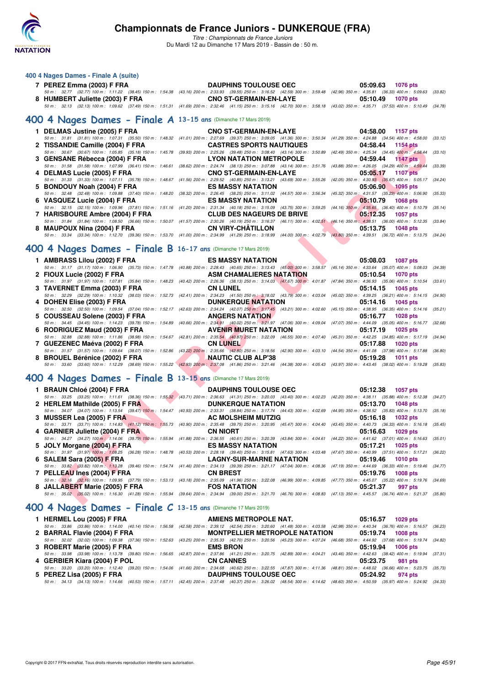

*Titre : Championnats de France Juniors* Du Mardi 12 au Dimanche 17 Mars 2019 - Bassin de : 50 m.

| 400 4 Nages Dames - Finale A (suite)                                                                                                                                                                                                                                         |                                                                                                                                                                                                                                                          |                                                            |
|------------------------------------------------------------------------------------------------------------------------------------------------------------------------------------------------------------------------------------------------------------------------------|----------------------------------------------------------------------------------------------------------------------------------------------------------------------------------------------------------------------------------------------------------|------------------------------------------------------------|
| 7 PEREZ Emma (2003) F FRA<br>8 HUMBERT Juliette (2003) F FRA                                                                                                                                                                                                                 | <b>DAUPHINS TOULOUSE OEC</b><br>50 m: 32.77 (32.77) 100 m: 1:11.22 (38.45) 150 m: 1:54.38 (43.16) 200 m: 2:33.93 (39.55) 250 m: 3:16.52 (42.59) 300 m: 3:59.48 (42.96) 350 m: 4:35.81 (36.33) 400 m: 5:09.63 (33.82)<br><b>CNO ST-GERMAIN-EN-LAYE</b>    | 05:09.63<br>1076 pts<br>05:10.49<br><b>1070 pts</b>        |
| 400 4 Nages Dames - Finale A 13-15 ans (Dimanche 17 Mars 2019)                                                                                                                                                                                                               | 50 m: 32.13 (32.13) 100 m: 1:09.62 (37.49) 150 m: 1:51.31 (41.69) 200 m: 2:32.46 (41.15) 250 m: 3:15.16 (42.70) 300 m: 3:58.18 (43.02) 350 m: 4:35.71 (37.53) 400 m: 5:10.49 (34.78)                                                                     |                                                            |
|                                                                                                                                                                                                                                                                              |                                                                                                                                                                                                                                                          |                                                            |
| 1 DELMAS Justine (2005) F FRA<br>2 TISSANDIE Camille (2004) F FRA                                                                                                                                                                                                            | <b>CNO ST-GERMAIN-EN-LAYE</b><br>50 m: 31.81 (31.81) 100 m: 1:07.31 (35.50) 150 m: 1:48.32 (41.01) 200 m: 2:27.69 (39.37) 250 m: 3:09.05 (41.36) 300 m: 3:50.34 (41.29) 350 m: 4:24.88 (34.54) 400 m: 4:58.00 (33.12)<br><b>CASTRES SPORTS NAUTIQUES</b> | 04:58.00<br>1157 pts<br>04:58.44<br><b>1154 pts</b>        |
|                                                                                                                                                                                                                                                                              | 50 m : 30.67 (30.67) 100 m : 1:05.85 (35.18) 150 m : 1:45.78 (39.93) 200 m : 2:25.26 (39.48) 250 m : 3:08.40 (43.14) 300 m : 3:50.89 (42.49) 350 m : 4:25.34 (34.45) 400 m : 4:58.44                                                                     | (33.10)                                                    |
| 3 GENSANE Rébecca (2004) F FRA                                                                                                                                                                                                                                               | <b>LYON NATATION METROPOLE</b>                                                                                                                                                                                                                           | 04:59.44<br>1147 pts                                       |
| 4 DELMAS Lucie (2005) F FRA                                                                                                                                                                                                                                                  | 50 m: 31.58 (31.58) 100 m: 1:07.99 (36.41) 150 m: 1:46.61 (38.62) 200 m: 2:24.74 (38.13) 250 m: 3:07.88 (43.14) 300 m: 3:51.76 (43.88) 350 m: 4:26.05 (34.29) 400 m: 4:59.44<br><b>CNO ST-GERMAIN-EN-LAYE</b>                                            | (33.39)<br>05:05.17<br><b>1107 pts</b>                     |
| 5 BONDOUY Noah (2004) F FRA                                                                                                                                                                                                                                                  | 50 m : 31.33 (31.33) 100 m : 1:07.11 (35.78) 150 m : 1:48.67 (41.56) 200 m : 2:29.52 (40.85) 250 m : 3:13.21 (43.69) 300 m : 3:55.26 (42.05) 350 m : 4:30.93 (35.67) 400 m : 5:05.17 (34.24<br><b>ES MASSY NATATION</b>                                  | 05:06.90<br>$1095$ pts                                     |
|                                                                                                                                                                                                                                                                              | 50 m: 32.48 (32.48) 100 m: 1:09.88 (37.40) 150 m: 1:48.20 (38.32) 200 m: 2:26.45 (38.25) 250 m: 3:11.02 (44.57) 300 m: 3:56.34 (45.32) 350 m: 4:31.57 (35.23) 400 m: 5:06.90                                                                             | (35.33)                                                    |
| 6 VASQUEZ Lucie (2004) F FRA                                                                                                                                                                                                                                                 | <b>ES MASSY NATATION</b>                                                                                                                                                                                                                                 | 05:10.79<br><b>1068 pts</b>                                |
|                                                                                                                                                                                                                                                                              | 50 m: 32.15 (32.15) 100 m: 1:09.96 (37.81) 150 m: 1:51.16 (41.20) 200 m: 2:31.34 (40.18) 250 m: 3:15.09 (43.75) 300 m: 3:59.25 (44.16) 350 m: 4:35.65 (36.40) 400 m: 5:10.79                                                                             | (35.14)                                                    |
| 7 HARISBOURE Ambre (2004) F FRA                                                                                                                                                                                                                                              | <b>CLUB DES NAGEURS DE BRIVE</b>                                                                                                                                                                                                                         | 05:12.35<br><b>1057 pts</b>                                |
| 8 MAUPOUX Nina (2004) F FRA                                                                                                                                                                                                                                                  | 50 m : 31.84 (31.84) 100 m : 1:08.50 (36.66) 150 m : 1:50.07 (41.57) 200 m : 2:30.26 (40.19) 250 m : 3:16.37 (46.11) 300 m : 4:02.51 (46.14) 350 m : 4:38.51 (36.00) 400 m : 5:12.35 (33.84<br><b>CN VIRY-CHATILLON</b>                                  | 05:13.75<br><b>1048 pts</b>                                |
|                                                                                                                                                                                                                                                                              | 50 m : 33.34 (33.34) 100 m : 1:12.70 (39.36) 150 m : 1:53.70 (41.00) 200 m : 2:34.99 (41.29) 250 m : 3:18.99 (44.00) 300 m : 4:02.79 (43.80) 350 m : 4:39.51 (36.72) 400 m : 5:13.75 (34.24)                                                             |                                                            |
| 400 4 Nages Dames - Finale B 16-17 ans (Dimanche 17 Mars 2019)                                                                                                                                                                                                               |                                                                                                                                                                                                                                                          |                                                            |
| 1 AMBRASS Lilou (2002) F FRA                                                                                                                                                                                                                                                 | <b>ES MASSY NATATION</b>                                                                                                                                                                                                                                 | 05:08.03<br><b>1087 pts</b>                                |
|                                                                                                                                                                                                                                                                              | 50 m: 31.17 (31.17) 100 m: 1:06.90 (35.73) 150 m: 1:47.78 (40.88) 200 m: 2:28.43 (40.65) 250 m: 3:13.43 (45.00) 300 m: 3:58.57 (45.14) 350 m: 4:33.64 (35.07) 400 m: 5:08.03 (34.39)                                                                     |                                                            |
| 2 FIOUX Lucie (2002) F FRA                                                                                                                                                                                                                                                   | <b>ASM CHAMALIERES NATATION</b>                                                                                                                                                                                                                          | 05:10.54<br><b>1070 pts</b>                                |
|                                                                                                                                                                                                                                                                              | 50 m: 31.97 (31.97) 100 m: 1:07.81 (35.84) 150 m: 1:48.23 (40.42) 200 m: 2:26.36 (38.13) 250 m: 3:14.03 (47.67) 300 m: 4:01.87 (47.84) 350 m: 4:36.93 (35.06) 400 m: 5:10.54 (33.61)                                                                     |                                                            |
| 3 TAVERNET Emma (2003) F FRA                                                                                                                                                                                                                                                 | <b>CN LUNEL</b><br>50 m: 32.29 (32.29) 100 m: 1:10.32 (38.03) 150 m: 1:52.73 (42.41) 200 m: 2:34.23 (41.50) 250 m: 3:18.02 (43.79) 300 m: 4:03.04 (45.02) 350 m: 4:39.25 (36.21) 400 m: 5:14.15                                                          | 05:14.15<br>1045 pts<br>(34.90)                            |
| 4 DOHEN Elise (2003) F FRA                                                                                                                                                                                                                                                   | <b>DUNKERQUE NATATION</b>                                                                                                                                                                                                                                | 05:14.16<br>1045 pts                                       |
|                                                                                                                                                                                                                                                                              | 50 m: 32.50 (32.50) 100 m: 1:09.54 (37.04) 150 m: 1:52.17 (42.63) 200 m: 2:34.24 (42.07) 250 m: 3:17.45 (43.21) 300 m: 4:02.60 (45.15) 350 m: 4:38.95 (36.35) 400 m: 5:14.16 (35.21)                                                                     |                                                            |
| 5 COUSSEAU Solene (2003) F FRA                                                                                                                                                                                                                                               | <b>ANGERS NATATION</b>                                                                                                                                                                                                                                   | 05:16.77<br><b>1028 pts</b>                                |
|                                                                                                                                                                                                                                                                              | 50 m : 34.45 (34.45) 100 m : 1:14.23 (39.78) 150 m : 1:54.89 (40.66) 200 m : 2:34.91 (40.02) 250 m : 3:21.97 (47.06) 300 m : 4:09.04 (47.07) 350 m : 4:44.09 (35.05) 400 m : 5:16.77 (32.68)                                                             |                                                            |
| 6 RODRIGUEZ Maud (2003) F FRA                                                                                                                                                                                                                                                | <b>AVENIR MURET NATATION</b><br>50 m : 32.88 (32.88) 100 m : 1:11.86 (38.98) 150 m : 1:54.67 (42.81) 200 m : 2:35.54 (40.87) 250 m : 3:22.09 (46.55) 300 m : 4:07.40 (45.31) 350 m : 4:42.25 (34.85) 400 m : 5:17.19 (34.94)                             | 05:17.19<br>1025 pts                                       |
| 7 GUEZENEC Maéva (2002) F FRA                                                                                                                                                                                                                                                | <b>CN LUNEL</b>                                                                                                                                                                                                                                          | 05:17.88<br><b>1020 pts</b>                                |
|                                                                                                                                                                                                                                                                              | 50 m : 31.57 (31.57) 100 m : 1:09.64 (38.07) 150 m : 1:52.86 (43.22) 200 m : 2:35.66 (42.80) 250 m : 3:18.56 (42.90) 300 m : 4:03.10 (44.54) 350 m : 4:41.08 (37.98) 400 m : 5:17.88 (36.80,                                                             |                                                            |
| <b><i>Contract Contract Contract Contract Contract Contract Contract Contract Contract Contract Contract Contract Contract Contract Contract Contract Contract Contract Contract Contract Contract Contract Contract Contract Cont</i></b><br>8 BROUEL Bérénice (2002) F FRA | <b>NAUTIC CLUB ALP'38</b>                                                                                                                                                                                                                                | 05:19.28<br><b>1011 pts</b>                                |
|                                                                                                                                                                                                                                                                              | 50 m: 33.60 (33.60) 100 m: 1:12.29 (38.69) 150 m: 1:55.22 (42.93) 200 m: 2:37.08 (41.86) 250 m: 3:21.46 (44.38) 300 m: 4:05.43 (43.97) 350 m: 4:43.45 (38.02) 400 m: 5:19.28 (35.83                                                                      |                                                            |
| 400 4 Nages Dames - Finale B 13-15 ans (Dimanche 17 Mars 2019)                                                                                                                                                                                                               |                                                                                                                                                                                                                                                          |                                                            |
| 1 BRAUN Chloé (2004) F FRA                                                                                                                                                                                                                                                   | <b>DAUPHINS TOULOUSE OEC</b>                                                                                                                                                                                                                             | 05:12.38<br>1057 pts                                       |
|                                                                                                                                                                                                                                                                              | 50 m: 33.25 (33.25) 100 m: 1:11.61 (38.36) 150 m: 1:55.32 (43.71) 200 m: 2:36.63 (41.31) 250 m: 3:20.03 (43.40) 300 m: 4:02.23 (42.20) 350 m: 4:38.11 (35.88) 400 m: 5:12.38 (34.27)                                                                     |                                                            |
| 2 HERLEM Mathilde (2005) F FRA                                                                                                                                                                                                                                               | <b>DUNKERQUE NATATION</b><br>50 m: 34.07 (34.07) 100 m: 1:13.54 (39.47) 150 m: 1:54.47 (40.93) 200 m: 2:33.31 (38.84) 250 m: 3:17.74 (44.43) 300 m: 4:02.69 (44.95) 350 m: 4:38.52 (35.83) 400 m: 5:13.70 (35.18)                                        | 05:13.70<br>1048 pts                                       |
| 3 MUSSER Lea (2005) F FRA                                                                                                                                                                                                                                                    | <b>AC MOLSHEIM MUTZIG</b>                                                                                                                                                                                                                                | 05:16.18<br>1032 pts                                       |
|                                                                                                                                                                                                                                                                              | 50 m: 33.71 (33.71) 100 m: 1:14.83 (41.12) 150 m: 1:55.73 (40.90) 200 m: 2:35.48 (39.75) 250 m: 3:20.95 (45.47) 300 m: 4:04.40 (43.45) 350 m: 4:40.73 (36.33) 400 m: 5:16.18 (35.45)                                                                     |                                                            |
| 4 GARNIER Juliette (2004) F FRA                                                                                                                                                                                                                                              | <b>CN NIORT</b>                                                                                                                                                                                                                                          | 05:16.63<br>1029 pts                                       |
|                                                                                                                                                                                                                                                                              | 50 m : 34.27 (34.27) 100 m : 1:14.06 (39.79) 150 m : 1:55.94 (41.88) 200 m : 2:36.55 (40.61) 250 m : 3:20.39 (43.84) 300 m : 4:04.61                                                                                                                     | (44.22) 350 m : 4:41.62 (37.01) 400 m : 5:16.63<br>(35.01) |
| 5 JOLY Morgane (2004) F FRA                                                                                                                                                                                                                                                  | <b>ES MASSY NATATION</b><br>50 m : 31.97 (31.97) 100 m : 1:08.25 (36.28) 150 m : 1:48.78 (40.53) 200 m : 2:28.18 (39.40) 250 m : 3:15.81 (47.63) 300 m : 4:03.48 (47.67) 350 m : 4:40.99 (37.51) 400 m : 5:17.21 (36.22)                                 | 05:17.21<br><b>1025 pts</b>                                |
| 6 SALEM Sara (2005) F FRA                                                                                                                                                                                                                                                    | <b>LAGNY-SUR-MARNE NATATION</b>                                                                                                                                                                                                                          | 05:19.46<br><b>1010 pts</b>                                |
|                                                                                                                                                                                                                                                                              | 50 m : 33.82 (33.82) 100 m : 1:13.28 (39.46) 150 m : 1:54.74 (41.46) 200 m : 2:34.13 (39.39) 250 m : 3:21.17 (47.04) 300 m : 4:08.36                                                                                                                     | (47.19) 350 m: 4:44.69 (36.33) 400 m: 5:19.46<br>(34.77)   |
| 7 PELLEAU Ines (2004) F FRA                                                                                                                                                                                                                                                  | <b>CN BREST</b>                                                                                                                                                                                                                                          | 05:19.76<br><b>1008 pts</b>                                |
|                                                                                                                                                                                                                                                                              | 50 m: 32.16 (32.16) 100 m: 1:09.95 (37.79) 150 m: 1:53.13 (43.18) 200 m: 2:35.09 (41.96) 250 m: 3:22.08 (46.99) 300 m: 4:09.85 (47.77) 350 m: 4:45.07 (35.22) 400 m: 5:19.76                                                                             | (34.69)                                                    |
| 8 JALLABERT Marie (2005) F FRA                                                                                                                                                                                                                                               | <b>FOS NATATION</b><br>50 m: 35.02 (35.02) 100 m: 1:16.30 (41.28) 150 m: 1:55.94 (39.64) 200 m: 2:34.94 (39.00) 250 m: 3:21.70 (46.76) 300 m: 4:08.83 (47.13) 350 m: 4:45.57 (36.74) 400 m: 5:21.37 (35.80                                               | 05:21.37<br>997 pts                                        |
|                                                                                                                                                                                                                                                                              |                                                                                                                                                                                                                                                          |                                                            |
|                                                                                                                                                                                                                                                                              |                                                                                                                                                                                                                                                          |                                                            |

| 1 AMBRASS LIIOU (2002) F FRA                                                                                                                                                                 | ES MASSY NATATION |                                                                                 | 05:08.03 1087 pts                                 |  |
|----------------------------------------------------------------------------------------------------------------------------------------------------------------------------------------------|-------------------|---------------------------------------------------------------------------------|---------------------------------------------------|--|
| 50 m: 31.17 (31.17) 100 m: 1:06.90 (35.73) 150 m: 1:47.78 (40.88) 200 m: 2:28.43 (40.65) 250 m: 3:13.43 (45.00) 300 m: 3:58.57 (45.14) 350 m: 4:33.64 (35.07) 400 m: 5:08.03 (34.39)         |                   |                                                                                 |                                                   |  |
| 2 FIOUX Lucie (2002) F FRA                                                                                                                                                                   |                   |                                                                                 | <b>ASM CHAMALIERES NATATION</b> 05:10.54 1070 pts |  |
| 50 m: 31.97 (31.97) 100 m: 1:07.81 (35.84) 150 m: 1:48.23 (40.42) 200 m: 2:26.36 (38.13) 250 m: 3:14.03 (47.67) 300 m: 4:01.87 (47.84) 350 m: 4:36.93 (35.06) 400 m: 5:10.54 (33.61)         |                   |                                                                                 |                                                   |  |
| 3 TAVERNET Emma (2003) F FRA CN LUNEL                                                                                                                                                        |                   | the contract of the contract of the contract of the contract of the contract of | 05:14.15 1045 pts                                 |  |
| 50 m: 32.29 (32.29) 100 m: 1:10.32 (38.03) 150 m: 1:52.73 (42.41) 200 m: 2:34.23 (41.50) 250 m: 3:18.02 (43.79) 300 m: 4:03.04 (45.02) 350 m: 4:39.25 (36.21) 400 m: 5:14.15 (34.90)         |                   |                                                                                 |                                                   |  |
| 4 DOHEN Elise (2003) F FRA                                                                                                                                                                   |                   |                                                                                 | <b>DUNKERQUE NATATION</b> 05:14.16 1045 pts       |  |
| 50 m: 32.50 (32.50) 100 m: 1:09.54 (37.04) 150 m: 1:52.17 (42.63) 200 m: 2:34.24 (42.07) 250 m: 3:17.45 (43.21) 300 m: 4:02.60 (45.15) 350 m: 4:38.95 (36.35) 400 m: 5:14.16 (35.21)         |                   |                                                                                 |                                                   |  |
| 5 COUSSEAU Solene (2003) F FRA ANGERS NATATION                                                                                                                                               |                   |                                                                                 | 05:16.77 1028 pts                                 |  |
| 50 m : 34.45 (34.45) 100 m : 1:14.23 (39.78) 150 m : 1:54.89 (40.66) 200 m : 2:34.91 (40.02) 250 m : 3:21.97 (47.06) 300 m : 4:09.04 (47.07) 350 m : 4:44.09 (35.05) 400 m : 5:16.77 (32.68) |                   |                                                                                 |                                                   |  |
| 6 RODRIGUEZ Maud (2003) F FRA                                                                                                                                                                |                   |                                                                                 | <b>AVENIR MURET NATATION</b> 05:17.19 1025 pts    |  |
| 50 m: 32.88 (32.88) 100 m: 1:11.86 (38.98) 150 m: 1:54.67 (42.81) 200 m: 2:35.54 (40.87) 250 m: 3:22.09 (46.55) 300 m: 4:07.40 (45.31) 350 m: 4:42.25 (34.85) 400 m: 5:17.19 (34.94)         |                   |                                                                                 |                                                   |  |
| 7 GUEZENEC Maéva (2002) F FRA                                                                                                                                                                | <b>CN LUNEL</b>   |                                                                                 | 05:17.88<br>1020 pts                              |  |
| 50 m: 31.57 (31.57) 100 m: 1:09.64 (38.07) 150 m: 1:52.86 (43.22) 200 m: 2:35.66 (42.80) 250 m: 3:18.56 (42.90) 300 m: 4:03.10 (44.54) 350 m: 4:41.08 (37.98) 400 m: 5:17.88 (36.80)         |                   |                                                                                 |                                                   |  |
| 8 BROUEL Bérénice (2002) F FRA NAUTIC CLUB ALP'38                                                                                                                                            |                   |                                                                                 | 05:19.28 1011 pts                                 |  |
| 50 m : 33.60 (33.60) 100 m : 1:12.29 (38.69) 150 m : 1:55.22 (42.93) 200 m : 2:37.08 (41.86) 250 m : 3:21.46 (44.38) 300 m : 4:05.43 (43.97) 350 m : 4:43.45 (38.02) 400 m : 5:19.28 (35.83) |                   |                                                                                 |                                                   |  |
|                                                                                                                                                                                              |                   |                                                                                 |                                                   |  |

# **[400 4 Nages Dames - Finale B](http://www.ffnatation.fr/webffn/resultats.php?idact=nat&go=epr&idcpt=59271&idepr=42) 13-15 ans** (Dimanche 17 Mars 2019)

| 1 BRAUN Chloé (2004) F FRA                                                               | <b>DAUPHINS TOULOUSE OEC</b>       | 05:12.38 1057 pts                                                                                                                                                                    |
|------------------------------------------------------------------------------------------|------------------------------------|--------------------------------------------------------------------------------------------------------------------------------------------------------------------------------------|
|                                                                                          |                                    | 50 m: 33.25 (33.25) 100 m: 1:11.61 (38.36) 150 m: 1:55.32 (43.71) 200 m: 2:36.63 (41.31) 250 m: 3:20.03 (43.40) 300 m: 4:02.23 (42.20) 350 m: 4:38.11 (35.88) 400 m: 5:12.38 (34.27) |
| 2 HERLEM Mathilde (2005) F FRA <b>DUNKERQUE NATATION</b> 05:13.70 1048 pts               |                                    |                                                                                                                                                                                      |
|                                                                                          |                                    | 50 m: 34.07 (34.07) 100 m: 1:13.54 (39.47) 150 m: 1:54.47 (40.93) 200 m: 2:33.31 (38.84) 250 m: 3:17.74 (44.43) 300 m: 4:02.69 (44.95) 350 m: 4:38.52 (35.83) 400 m: 5:13.70 (35.18) |
| 3 MUSSER Lea (2005) F FRANCE AND AC MOLSHEIM MUTZIG                                      |                                    | 05:16.18 1032 pts                                                                                                                                                                    |
|                                                                                          |                                    | 50 m: 33.71 (33.71) 100 m: 1:14.83 (41.12) 150 m: 1:55.73 (40.90) 200 m: 2:35.48 (39.75) 250 m: 3:20.95 (45.47) 300 m: 4:04.40 (43.45) 350 m: 4:40.73 (36.33) 400 m: 5:16.18 (35.45) |
| 4 GARNIER Juliette (2004) F FRA CN NIORT                                                 |                                    | 05:16.63 1029 pts                                                                                                                                                                    |
|                                                                                          |                                    | 50 m: 34.27 (34.27) 100 m: 1:14.06 (39.79) 150 m: 1:55.94 (41.88) 200 m: 2:36.55 (40.61) 250 m: 3:20.39 (43.84) 300 m: 4:04.61 (44.22) 350 m: 4:41.62 (37.01) 400 m: 5:16.63 (35.01) |
| 5 JOLY Morgane (2004) F FRA                                                              | <b>ES MASSY NATATION ESTIMATES</b> | 05:17.21 1025 pts                                                                                                                                                                    |
|                                                                                          |                                    | 50 m: 31.97 (31.97) 100 m: 1:08.25 (36.28) 150 m: 1:48.78 (40.53) 200 m: 2:28.18 (39.40) 250 m: 3:15.81 (47.63) 300 m: 4:03.48 (47.67) 350 m: 4:40.99 (37.51) 400 m: 5:17.21 (36.22) |
| 6 SALEM Sara (2005) F FRA <b>Example 2008</b> LAGNY-SUR-MARNE NATATION 05:19.46 1010 pts |                                    |                                                                                                                                                                                      |
|                                                                                          |                                    | 50 m: 33.82 (33.82) 100 m: 1:13.28 (39.46) 150 m: 1:54.74 (41.46) 200 m: 2:34.13 (39.39) 250 m: 3:21.17 (47.04) 300 m: 4:08.36 (47.19) 350 m: 4:44.69 (36.33) 400 m: 5:19.46 (34.77) |
| 7 PELLEAU Ines (2004) F FRA CN BREST                                                     |                                    | 05:19.76<br>1008 pts                                                                                                                                                                 |
|                                                                                          |                                    | 50 m: (32.16) 100 m: 1:09.95 (37.79) 150 m: 1:53.13 (43.18) 200 m: 2:35.09 (41.96) 250 m: 3:22.08 (46.99) 300 m: 4:09.85 (47.77) 350 m: 4:45.07 (35.22) 400 m: 5:19.76 (34.69)       |
| 8 JALLABERT Marie (2005) F FRA FOS NATATION                                              |                                    | 05:21.37<br>997 pts                                                                                                                                                                  |
|                                                                                          |                                    | 50 m: 35.02 (35.02) 100 m: 1:16.30 (41.28) 150 m: 1:55.94 (39.64) 200 m: 2:34.94 (39.00) 250 m: 3:21.70 (46.76) 300 m: 4:08.83 (47.13) 350 m: 4:45.57 (36.74) 400 m: 5:21.37 (35.80) |

# **[400 4 Nages Dames - Finale C](http://www.ffnatation.fr/webffn/resultats.php?idact=nat&go=epr&idcpt=59271&idepr=42) 13-15 ans** (Dimanche 17 Mars 2019)

| 1 HERMEL Lou (2005) F FRA    | AMIENS METROPOLE NAT.        | 05:16.57 1029 pts                                                                                                                                                                            |
|------------------------------|------------------------------|----------------------------------------------------------------------------------------------------------------------------------------------------------------------------------------------|
|                              |                              | 50 m: 33.86 (33.86) 100 m: 1:14.00 (40.14) 150 m: 1:56.58 (42.58) 200 m: 2:39.12 (42.54) 250 m: 3:20.60 (41.48) 300 m: 4:03.58 (42.98) 350 m: 4:40.34 (36.76) 400 m: 5:16.57 (36.23)         |
| 2 BARRAL Flavie (2004) F FRA |                              | <b>MONTPELLIER METROPOLE NATATION 05:19.74 1008 pts</b>                                                                                                                                      |
|                              |                              | 50 m : 32.02 (32.02) 100 m : 1:09.38 (37.36) 150 m : 1:52.63 (43.25) 200 m : 2:35.33 (42.70) 250 m : 3:20.56 (45.23) 300 m : 4:07.24 (46.68) 350 m : 4:44.92 (37.68) 400 m : 5:19.74 (34.82) |
| 3 ROBERT Marie (2005) F FRA  | <b>EMS BRON</b>              | 05:19.94 1006 pts                                                                                                                                                                            |
|                              |                              | 50 m : 33.98 (33.98) 100 m : 1:13.78 (39.80) 150 m : 1:56.65 (42.87) 200 m : 2:37.86 (41.21) 250 m : 3:20.75 (42.89) 300 m : 4:04.21 (43.46) 350 m : 4:42.63 (38.42) 400 m : 5:19.94 (37.31) |
| 4 GERBIER Kiara (2004) F POL | <b>CN CANNES</b>             | 05:23.75 981 pts                                                                                                                                                                             |
|                              |                              | 50 m : 33.20 (33.20) 100 m : 1:12.40 (39.20) 150 m : 1:54.06 (41.66) 200 m : 2:34.68 (40.62) 250 m : 3:22.55 (47.87) 300 m : 4:11.36 (48.81) 350 m : 4:48.02 (36.66) 400 m : 5:23.75 (35.73) |
| 5 PEREZ Lisa (2005) F FRA    | <b>DAUPHINS TOULOUSE OEC</b> | 05:24.92 974 pts                                                                                                                                                                             |
|                              |                              | 50 m: 34.13 (34.13) 100 m: 1:14.66 (40.53) 150 m: 1:57.11 (42.45) 200 m: 2:37.48 (40.37) 250 m: 3:26.02 (48.54) 300 m: 4:14.62 (48.60) 350 m: 4:50.59 (35.97) 400 m: 5:24.92 (34.33)         |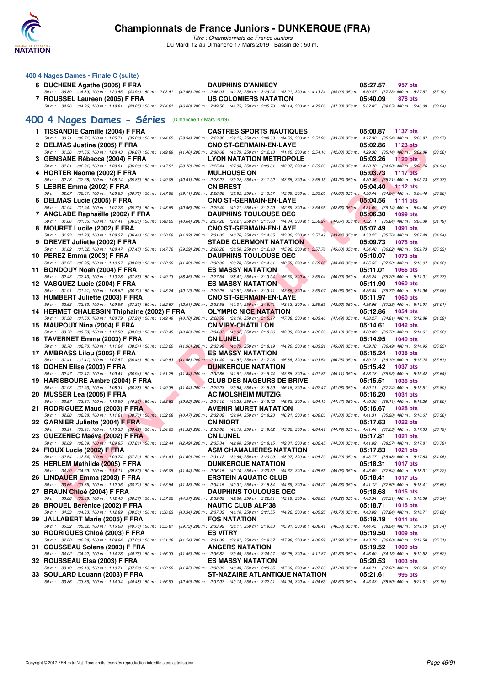

| 400 4 Nages Dames - Finale C (suite)                                                                                                                                                                                       |                         |                                  |  |                                                                   |                      |         |
|----------------------------------------------------------------------------------------------------------------------------------------------------------------------------------------------------------------------------|-------------------------|----------------------------------|--|-------------------------------------------------------------------|----------------------|---------|
| 6 DUCHENE Agathe (2005) F FRA<br>50 m: 36.89 (36.89) 100 m: 1:20.85 (43.96) 150 m: 2:03.81 (42.96) 200 m: 2:46.03 (42.22) 250 m: 3:29.24 (43.21) 300 m: 4:13.24 (44.00) 350 m: 4:50.47 (37.23) 400 m: 5:27.57 (37.10)      |                         | <b>DAUPHINS D'ANNECY</b>         |  | 05:27.57                                                          | 957 pts              |         |
| 7 ROUSSEL Laureen (2005) F FRA                                                                                                                                                                                             |                         | US COLOMIERS NATATION            |  | 05:40.09                                                          | 878 pts              |         |
| 50 m : 34.96 (34.96) 100 m : 1:18.81 (43.85) 150 m : 2:04.81 (46.00) 200 m : 2:49.56 (44.75) 250 m : 3:35.70 (46.14) 300 m : 4:23.00 (47.30) 350 m : 5:02.05 (39.05) 400 m : 5:40.09 (38.04)                               |                         |                                  |  |                                                                   |                      |         |
| 400 4 Nages Dames - Séries                                                                                                                                                                                                 | (Dimanche 17 Mars 2019) |                                  |  |                                                                   |                      |         |
| 1 TISSANDIE Camille (2004) F FRA                                                                                                                                                                                           |                         | <b>CASTRES SPORTS NAUTIQUES</b>  |  | 05:00.87                                                          | <b>1137 pts</b>      |         |
| 50 m: 30.71 (30.71) 100 m: 1:05.71 (35.00) 150 m: 1:44.65 (38.94) 200 m: 2:23.80 (39.15) 250 m: 3:08.33 (44.53) 300 m: 3:51.96 (43.63) 350 m: 4:27.30 (35.34) 400 m: 5:00.87<br>2 DELMAS Justine (2005) F FRA              |                         | <b>CNO ST-GERMAIN-EN-LAYE</b>    |  | 05:02.86                                                          | <b>1123 pts</b>      | (33.57) |
| 50 m: 31.56 (31.56) 100 m: 1:08.43 (36.87) 150 m: 1:49.89 (41.46) 200 m: 2:30.68 (40.79) 250 m: 3:12.13 (41.45) 300 m: 3:54.16 (42.03) 350 m: 4:29.30 (35.14) 400 m: 5:02.86                                               |                         |                                  |  |                                                                   |                      | (33.56) |
| 3 GENSANE Rébecca (2004) F FRA<br>50 m: 32.01 (32.01) 100 m: 1:08.81 (36.80) 150 m: 1:47.51 (38.70) 200 m: 2:25.44 (37.93) 250 m: 3:09.31 (43.87) 300 m: 3:53.89 (44.58) 350 m: 4:28.72 (34.83) 400 m: 5:03,26             |                         | <b>LYON NATATION METROPOLE</b>   |  | 05:03.26                                                          | <b>1120 pts</b>      | (34.54) |
| 4 HORTER Naome (2002) F FRA                                                                                                                                                                                                |                         | <b>MULHOUSE ON</b>               |  | 05:03.73                                                          | <b>1117 pts</b>      |         |
| 50 m: 32.28 (32.28) 100 m: 1:08.14 (35.86) 150 m: 1:49.05 (40.91) 200 m: 2:28.27 (39.22) 250 m: 3:11.92 (43.65) 300 m: 3:55.15 (43.23) 350 m: 4:30.36 (35.21) 400 m: 5:03.73<br>5 LEBRE Emma (2002) F FRA                  |                         | <b>CN BREST</b>                  |  | 05:04.40                                                          | $\frac{1112}{2}$ pts | (33.37) |
| 50 m : 32.07 (32.07) 100 m : 1:08.85 (36.78) 150 m : 1:47.96 (39.11) 200 m : 2:26.88 (38.92) 250 m : 3:10.57 (43.69) 300 m : 3:55.60                                                                                       |                         |                                  |  | (45.03) 350 m : 4:30.44 (34.84) 400 m : 5:04.40                   |                      | (33.96) |
| 6 DELMAS Lucie (2005) F FRA<br>50 m: 31.94 (31.94) 100 m: 1:07.73 (35.79) 150 m: 1:48.69 (40.96) 200 m: 2:29.40 (40.71) 250 m: 3:12.29 (42.89) 300 m: 3:54.95 (42.66) 350 m: 4:31.09 (36.14) 400 m: 5:04.56                |                         | <b>CNO ST-GERMAIN-EN-LAYE</b>    |  | 05:04.56                                                          | <b>1111 pts</b>      | (33.47) |
| 7 ANGLADE Raphaëlle (2002) F FRA                                                                                                                                                                                           |                         | <b>DAUPHINS TOULOUSE OEC</b>     |  | 05:06.30                                                          | 1099 pts             |         |
| 50 m: 31.06 (31.06) 100 m: 1:07.41 (36.35) 150 m: 1:48.05 (40.64) 200 m: 2:27.26 (39.21) 250 m: 3:11.60 (44.34) 300 m: 3:56.27 (44.67) 350 m: 4:32.11 (35.84) 400 m: 5:06.30<br>8 MOURET Lucile (2002) F FRA               |                         | <b>CNO ST-GERMAIN-EN-LAYE</b>    |  | 05:07.49                                                          | 1091 pts             | (34.19) |
| 50 m : 31.93 (31.93) 100 m : 1:08.37 (36.44) 150 m : 1:50.29 (41.92) 200 m : 2:31.05 (40.76) 250 m : 3:14.05 (43.00) 300 m : 3:57.49                                                                                       |                         |                                  |  | (43.44) 350 m: 4:33.25 (35.76) 400 m: 5:07.49                     |                      | (34.24) |
| 9 DREVET Juliette (2002) F FRA<br>50 m: 31.02 (31.02) 100 m: 1:08.47 (37.45) 150 m: 1:47.76 (39.29) 200 m: 2:26.26 (38.50) 250 m: 3:12.18 (45.92) 300 m: 3:57.78 (45.60) 350 m: 4:34.40 (36.62) 400 m: 5:09.73             |                         | <b>STADE CLERMONT NATATION</b>   |  | 05:09.73                                                          | 1075 pts             | (35.33) |
| 10 PEREZ Emma (2003) F FRA                                                                                                                                                                                                 |                         | <b>DAUPHINS TOULOUSE OEC</b>     |  | 05:10.07                                                          | 1073 pts             |         |
| 50 m : 32.95 (32.95) 100 m : 1:10.97 (38.02) 150 m : 1:52.36 (41.39) 200 m : 2:32.06 (39.70) 250 m : 3:14.61 (42.55) 300 m : 3:58.05<br>11 BONDOUY Noah (2004) F FRA                                                       |                         | <b>ES MASSY NATATION</b>         |  | $(43.44)$ 350 m : 4:35.55 $(37.50)$ 400 m : 5:10.07<br>05:11.01   | <b>1066 pts</b>      | (34.52) |
| 50 m : 32.43 (32.43) 100 m : 1:10.28 (37.85) 150 m : 1:49.13 (38.85) 200 m : 2:27.54 (38.41) 250 m : 3:13.04 (45.50) 300 m : 3:59.04                                                                                       |                         |                                  |  | (46.00) 350 m: 4:35.24 (36.20) 400 m: 5:11.01                     |                      | (35.77) |
| 12 VASQUEZ Lucie (2004) F FRA<br>50 m : 31.91 (31.91) 100 m : 1:08.62 (36.71) 150 m : 1:48.74 (40.12) 200 m : 2:29.25 (40.51) 250 m : 3:13.11 (43.86) 300 m : 3:59.07                                                      |                         | <b>ES MASSY NATATION</b>         |  | 05:11.90<br>(45.96) 350 m: 4:35.84 (36.77) 400 m: 5:11.90         | <b>1060 pts</b>      | (36.06) |
| 13 HUMBERT Juliette (2003) F FRA                                                                                                                                                                                           |                         | <b>CNO ST-GERMAIN-EN-LAYE</b>    |  | 05:11.97                                                          | <b>1060 pts</b>      |         |
| 50 m: 32.63 (32.63) 100 m: 1:09.96 (37.33) 150 m: 1:52.57 (42.61) 200 m: 2:33.58 (41.01) 250 m: 3:16.71 (43.13) 300 m: 3:59.63<br>14 HERMET CHALESSIN Thiphaine (2002) F FRA                                               |                         | <b>OLYMPIC NICE NATATION</b>     |  | (42.92) 350 m: 4:36.96 (37.33) 400 m: 5:11.97<br>05:12.86         | 1054 pts             | (35.01) |
| 50 m: 31.50 (31.50) 100 m: 1:08.79 (37.29) 150 m: 1:49.49 (40.70) 200 m: 2:28.59 (39.10) 250 m: 3:15.97 (47.38) 300 m: 4:03.46 (47.49) 350 m: 4:38.27 (34.81) 400 m: 5:12.86<br>15 MAUPOUX Nina (2004) F FRA               |                         | <b>CN VIRY-CHATILLON</b>         |  | 05:14.61                                                          | 1042 pts             | (34.59) |
| 50 m: 33.73 (33.73) 100 m: 1:12.59 (38.86) 150 m: 1:53.45 (40.86) 200 m: 2:34.37 (40.92) 250 m: 3:18.26 (43.89) 300 m: 4:02.39 (44.13) 350 m: 4:39.09 (36.70) 400 m: 5:14.61                                               |                         |                                  |  |                                                                   |                      | (35.52) |
| 16 TAVERNET Emma (2003) F FRA<br>50 m : 32.70 (32.70) 100 m : 1:11.24 (38.54) 150 m : 1:53.20 (41.96) 200 m : 2:33.99 (40.79) 250 m : 3:18.19 (44.20) 300 m : 4:03.21                                                      |                         | <b>CN LUNEL</b>                  |  | 05:14.95<br>(45.02) 350 m : 4:39.70 (36.49) 400 m : 5:14.95       | <b>1040 pts</b>      | (35.25) |
| 17 AMBRASS Lilou (2002) F FRA                                                                                                                                                                                              |                         | <b>ES MASSY NATATION</b>         |  | 05:15.24                                                          | <b>1038 pts</b>      |         |
| 50 m : 31.41 (31.41) 100 m : 1:07.87 (36.46) 150 m : 1:49.83 (41.96) 200 m : 2:31.40 (41.57) 250 m : 3:17.26 (45.86) 300 m : 4:03.54<br>18 DOHEN Elise (2003) F FRA                                                        |                         | <b>DUNKERQUE NATATION</b>        |  | (46.28) 350 m: 4:39.73 (36.19) 400 m: 5:15.24 (35.51)<br>05:15.42 | <b>1037 pts</b>      |         |
| 50 m : 32.47 (32.47) 100 m : 1:09.41 (36.94) 150 m : 1:51.25 (41.84) 200 m : 2:32.86 (41.61) 250 m : 3:16.74 (43.88) 300 m : 4:01.85                                                                                       |                         |                                  |  | (45.11) 350 m: 4:38.78 (36.93) 400 m: 5:15.42                     |                      | (36.64) |
| 19 HARISBOURE Ambre (2004) F FRA<br>50 m: 31.93 (31.93) 100 m: 1:08.31 (36.38) 150 m: 1:49.35 (41.04) 200 m: 2:29.23 (39.88) 250 m: 3:15.39 (46.16) 300 m: 4:02.47 (47.08) 350 m: 4:39.71 (37.24) 400 m: 5:15.51           |                         | <b>CLUB DES NAGEURS DE BRIVE</b> |  | 05:15.51                                                          | <b>1036 pts</b>      | (35.80) |
| 20 MUSSER Lea (2005) F FRA                                                                                                                                                                                                 |                         | AC MOLSHEIM MUTZIG               |  | 05:16.20                                                          | <b>1031 pts</b>      |         |
| 50 m: 33.57 (33.57) 100 m: 1:13.90 (40.33) 150 m: 1:53.82 (39.92) 200 m: 2:34.10 (40.28) 250 m: 3:19.72 (45.62) 300 m: 4:04.19 (44.47) 350 m: 4:40.30 (36.11) 400 m: 5:16.20<br>21 RODRIGUEZ Maud (2003) F FRA             |                         | <b>AVENIR MURET NATATION</b>     |  | 05:16.67                                                          | <b>1028 pts</b>      | (35.90) |
| 50 m: 32.88 (32.88) 100 m: 1:11.61 (38.73) 150 m: 1:52.08 (40.47) 200 m: 2:32.02 (39.94) 250 m: 3:18.23 (46.21) 300 m: 4:06.03 (47.80) 350 m: 4:41.31 (35.28) 400 m: 5:16.67 (35.36)                                       |                         |                                  |  |                                                                   |                      |         |
| 22 GARNIER Juliette (2004) F FRA<br>50 m: 33.91 (33.91) 100 m: 1:13.33 (39.42) 150 m: 1:54.65 (41.32) 200 m: 2:35.80 (41.15) 250 m: 3:19.62 (43.82) 300 m: 4:04.41 (44.79) 350 m: 4:41.44 (37.03) 400 m: 5:17.63 (36.19)   |                         | <b>CN NIORT</b>                  |  | 05:17.63                                                          | 1022 pts             |         |
| 23 GUEZENEC Maéva (2002) F FRA                                                                                                                                                                                             |                         | <b>CN LUNEL</b>                  |  | 05:17.81 1021 pts                                                 |                      |         |
| 50 m : 32.09 (32.09) 100 m : 1:09.95 (37.86) 150 m : 1:52.44 (42.49) 200 m : 2:35.34 (42.90) 250 m : 3:18.15 (42.81) 300 m : 4:02.45 (44.30) 350 m : 4:41.02 (38.57) 400 m : 5:17.81 (36.79<br>24 FIOUX Lucie (2002) F FRA |                         | ASM CHAMALIERES NATATION         |  | 05:17.83                                                          | 1021 pts             |         |
| 50 m: 32.54 (32.54) 100 m: 1:09.74 (37.20) 150 m: 1:51.43 (41.69) 200 m: 2:31.12 (39.69) 250 m: 3:20.09 (48.97) 300 m: 4:08.29 (48.20) 350 m: 4:43.77 (35.48) 400 m: 5:17.83<br>25 HERLEM Mathilde (2005) F FRA            |                         |                                  |  |                                                                   |                      | (34.06) |
| 50 m: 34,29 (34.29) 100 m: 1:14.11 (39.82) 150 m: 1:56.05 (41.94) 200 m: 2:36.15 (40.10) 250 m: 3:20.52 (44.37) 300 m: 4:05.55 (45.03) 350 m: 4:43.09 (37.54) 400 m: 5:18.31                                               |                         | <b>DUNKERQUE NATATION</b>        |  | 05:18.31                                                          | 1017 pts             | (35.22) |
| 26 LINDAUER Emma (2003) F FRA<br>50 m: 33.65 (33.65) 100 m: 1:12.36 (38.71) 150 m: 1:53.84 (41.48) 200 m: 2:34.15 (40.31) 250 m: 3:18.84 (44.69) 300 m: 4:04.22 (45.38) 350 m: 4:41.72 (37.50) 400 m: 5:18.41              |                         | <b>ERSTEIN AQUATIC CLUB</b>      |  | 05:18.41                                                          | <b>1017 pts</b>      |         |
| 27 BRAUN Chloé (2004) F FRA                                                                                                                                                                                                |                         | <b>DAUPHINS TOULOUSE OEC</b>     |  | 05:18.68                                                          | <b>1015 pts</b>      | (36.69) |
| 50 m: 33.88 (33.88) 100 m: 1:12.45 (38.57) 150 m: 1:57.02 (44.57) 200 m: 2:39.62 (42.60) 250 m: 3:22.81 (43.19) 300 m: 4:06.03 (43.22) 350 m: 4:43.34 (37.31) 400 m: 5:18.68<br>28 BROUEL Bérénice (2002) F FRA            |                         | <b>NAUTIC CLUB ALP'38</b>        |  | 05:18.71                                                          | 1015 pts             | (35.34) |
| 50 m : 34.33 (34.33) 100 m : 1:12.89 (38.56) 150 m : 1:56.23 (43.34) 200 m : 2:37.33 (41.10) 250 m : 3:21.55 (44.22) 300 m : 4:05.25 (43.70) 350 m : 4:43.09 (37.84) 400 m : 5:18.71                                       |                         |                                  |  |                                                                   |                      | (35.62) |
| 29 JALLABERT Marie (2005) F FRA<br>50 m: 35.32 (35.32) 100 m: 1:16.08 (40.76) 150 m: 1:55.81 (39.73) 200 m: 2:33.92 (38.11) 250 m: 3:19.83 (45.91) 300 m: 4:06.41 (46.58) 350 m: 4:44.45 (38.04) 400 m: 5:19.19 (34.74)    |                         | <b>FOS NATATION</b>              |  | 05:19.19                                                          | <b>1011 pts</b>      |         |
| 30 RODRIGUES Chloé (2003) F FRA                                                                                                                                                                                            |                         | <b>ES VITRY</b>                  |  | 05:19.50                                                          | 1009 pts             |         |
| 50 m: 32.88 (32.88) 100 m: 1:09.94 (37.06) 150 m: 1:51.18 (41.24) 200 m: 2:31.09 (39.91) 250 m: 3:19.07 (47.98) 300 m: 4:06.99 (47.92) 350 m: 4:43.79 (36.80) 400 m: 5:19.50<br>31 COUSSEAU Solene (2003) F FRA            |                         | <b>ANGERS NATATION</b>           |  | 05:19.52                                                          | 1009 pts             | (35.71) |
| 50 m: 34.02 (34.02) 100 m: 1:14.78 (40.76) 150 m: 1:56.33 (41.55) 200 m: 2:35.82 (39.49) 250 m: 3:24.07 (48.25) 300 m: 4:11.87 (47.80) 350 m: 4:46.00 (34.13) 400 m: 5:19.52                                               |                         |                                  |  |                                                                   |                      | (33.52) |
| 32 ROUSSEAU Elsa (2003) F FRA<br>50 m: 33.19 (33.19) 100 m: 1:10.71 (37.52) 150 m: 1:52.56 (41.85) 200 m: 2:33.05 (40.49) 250 m: 3:20.65 (47.60) 300 m: 4:07.69 (47.04) 350 m: 4:44.71 (37.02) 400 m: 5:20.53 (35.82)      |                         | <b>ES MASSY NATATION</b>         |  | 05:20.53                                                          | 1003 pts             |         |
| 33 SOULARD Louann (2003) F FRA ST-NAZAIRE ATLANTIQUE NATATION                                                                                                                                                              |                         |                                  |  | 05:21.61                                                          | 995 pts              |         |
| 50 m: 33.86 (33.86) 100 m: 1:14.34 (40.48) 150 m: 1:56.93 (42.59) 200 m: 2:37.07 (40.14) 250 m: 3:22.01 (44.94) 300 m: 4:04.63 (42.62) 350 m: 4:43.43 (38.80) 400 m: 5:21.61 (38.18)                                       |                         |                                  |  |                                                                   |                      |         |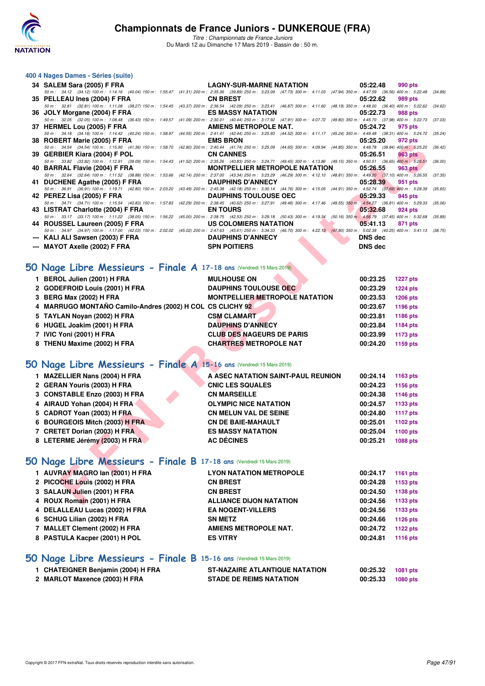

*Titre : Championnats de France Juniors* Du Mardi 12 au Dimanche 17 Mars 2019 - Bassin de : 50 m.

### **400 4 Nages Dames - Séries (suite)**

| 34 SALEM Sara (2005) F FRA                                                                                                                                                                                               | <b>LAGNY-SUR-MARNE NATATION</b>                                                                                                                                  | 05:22.48       | 990 pts         |         |
|--------------------------------------------------------------------------------------------------------------------------------------------------------------------------------------------------------------------------|------------------------------------------------------------------------------------------------------------------------------------------------------------------|----------------|-----------------|---------|
| 50 m: 34.12 (34.12) 100 m: 1:14.16 (40.04) 150 m: 1:55.47 (41.31) 200 m: 2:35.36 (39.89) 250 m: 3:23.09 (47.73) 300 m: 4:11.03 (47.94) 350 m: 4:47.59 (36.56) 400 m: 5:22.48                                             |                                                                                                                                                                  |                |                 | (34.89) |
| 35 PELLEAU Ines (2004) F FRA<br>50 m: 32.81 (32.81) 100 m: 1:11.08 (38.27) 150 m: 1:54.45 (43.37) 200 m: 2:36.54 (42.09) 250 m: 3:23.41 (46.87) 300 m: 4:11.60 (48.19) 350 m: 4:48.00 (36.40) 400 m: 5:22.62             | <b>CN BREST</b>                                                                                                                                                  | 05:22.62       | 989 pts         | (34.62) |
| 36 JOLY Morgane (2004) F FRA                                                                                                                                                                                             | <b>ES MASSY NATATION</b>                                                                                                                                         | 05:22.73       | 988 pts         |         |
| 50 m : 32.05 (32.05) 100 m : 1:08.48 (36.43) 150 m : 1:49.57                                                                                                                                                             | (41.09) 200 m: 2:30.01 (40.44) 250 m: 3:17.92 (47.91) 300 m: 4:07.72 (49.80) 350 m: 4:45.70 (37.98) 400 m: 5:22.73                                               |                |                 | (37.03) |
| 37 HERMEL Lou (2005) F FRA<br>50 m: 34.18 (34.18) 100 m: 1:14.42 (40.24) 150 m: 1:58.97                                                                                                                                  | AMIENS METROPOLE NAT.<br>(44.55) 200 m : 2:41.41 (42.44) 250 m : 3:25.93 (44.52) 300 m : 4:11.17 (45.24) 350 m : 4:49.48 (38.31) 400 m : 5:24.72 (35.24)         | 05:24.72       | 975 pts         |         |
| 38 ROBERT Marie (2005) F FRA                                                                                                                                                                                             | <b>EMS BRON</b>                                                                                                                                                  | 05:25.20       | 972 pts         |         |
| 50 m: 34.54 (34.54) 100 m: 1:15.90 (41.36) 150 m: 1:58.70                                                                                                                                                                | (42.80) 200 m : 2:40.44 (41.74) 250 m : 3:25.09 (44.65) 300 m : 4:09.94 (44.85) 350 m : 4:48.78 (38.84) 400 m : 5:25.20                                          |                |                 | (36.42) |
| 39 GERBIER Kiara (2004) F POL                                                                                                                                                                                            | <b>CN CANNES</b>                                                                                                                                                 | 05:26.51       | <b>963 pts</b>  |         |
| 50 m: 33.82 (33.82) 100 m: 1:12.91 (39.09) 150 m: 1:54.43<br>40 BARRAL Flavie (2004) F FRA                                                                                                                               | (41.52) 200 m : 2:35.26 (40.83) 250 m : 3:24.71 (49.45) 300 m : 4:13.86 (49.15) 350 m : 4:50.51 (36.65) 400 m : 5:26.51<br><b>MONTPELLIER METROPOLE NATATION</b> | 05:26.55       | <b>963 pts</b>  | (36.00) |
| 50 m : 32.64 (32.64) 100 m : 1:11.52 (38.88) 150 m : 1:53.66                                                                                                                                                             | (42.14) 200 m: 2:37.00 (43.34) 250 m: 3:23.29 (46.29) 300 m: 4:12.10 (48.81) 350 m: 4:49.20 (37.10) 400 m: 5:26.55                                               |                |                 | (37.35) |
| 41 DUCHENE Agathe (2005) F FRA                                                                                                                                                                                           | <b>DAUPHINS D'ANNECY</b>                                                                                                                                         | 05:28.39       | 951 pts         |         |
| 50 m: 36.91 (36.91) 100 m: 1:19.71 (42.80) 150 m: 2:03.20                                                                                                                                                                | (43.49) 200 m : 2:45.38 (42.18) 250 m : 3:30.14 (44.76) 300 m : 4:15.05 (44.91) 350 m : 4:52.74 (37.69) 400 m : 5:28.39                                          |                |                 | (35.65) |
| 42 PEREZ Lisa (2005) F FRA<br>50 m: 34.71 (34.71) 100 m: 1:15.54 (40.83) 150 m: 1:57.83                                                                                                                                  | <b>DAUPHINS TOULOUSE OEC</b><br>(42.29) 200 m : 2:38.45 (40.62) 250 m : 3:27.91 (49.46) 300 m : 4:17.46 (49.55) 350 m : 4:54.27 (36.81) 400 m : 5:29.33          | 05:29.33       | 945 pts         | (35.06) |
| 43 LISTRAT Charlotte (2004) F FRA                                                                                                                                                                                        | <b>EN TOURS</b>                                                                                                                                                  | 05:32.68       | 924 pts         |         |
| 50 m : 33.17 (33.17) 100 m : 1:11.22 (38.05) 150 m : 1:56.22 (45.00) 200 m : 2:38.75 (42.53) 250 m : 3:29.18 (50.43) 300 m : 4:19.34 (50.16) 350 m : 4:56.79 (37.45) 400 m : 5:32.68                                     |                                                                                                                                                                  |                |                 | (35.89) |
| 44 ROUSSEL Laureen (2005) F FRA                                                                                                                                                                                          | US COLOMIERS NATATION                                                                                                                                            | 05:41.13       | 871 pts         |         |
| 50 m: 34.97 (34.97) 100 m: 1:17.00 (42.03) 150 m: 2:02.02 (45.02) 200 m: 2:47.63 (45.61) 250 m: 3:34.33 (46.70) 300 m: 4:22.13 (47.80) 350 m: 5:02.38 (40.25) 400 m: 5:41.13 (38.75)<br>--- KALI ALI Sawsen (2003) F FRA | <b>DAUPHINS D'ANNECY</b>                                                                                                                                         | <b>DNS</b> dec |                 |         |
| --- MAYOT Axelle (2002) F FRA                                                                                                                                                                                            | <b>SPN POITIERS</b>                                                                                                                                              | <b>DNS dec</b> |                 |         |
|                                                                                                                                                                                                                          |                                                                                                                                                                  |                |                 |         |
|                                                                                                                                                                                                                          |                                                                                                                                                                  |                |                 |         |
| iO Nage Libre Messieurs - Finale A 17-18 ans (Vendredi 15 Mars 2019)                                                                                                                                                     |                                                                                                                                                                  |                |                 |         |
| 1 BEROL Julien (2001) H FRA                                                                                                                                                                                              | <b>MULHOUSE ON</b>                                                                                                                                               | 00:23.25       | <b>1227 pts</b> |         |
| 2 GODEFROID Louis (2001) H FRA                                                                                                                                                                                           | <b>DAUPHINS TOULOUSE OEC</b>                                                                                                                                     | 00:23.29       | <b>1224 pts</b> |         |
| 3 BERG Max (2002) H FRA                                                                                                                                                                                                  | <b>MONTPELLIER METROPOLE NATATION</b>                                                                                                                            | 00:23.53       | <b>1206 pts</b> |         |
| 4 MARRUGO MONTAÑO Camilo-Andres (2002) H COL CS CLICHY 92                                                                                                                                                                |                                                                                                                                                                  | 00:23.67       | 1196 pts        |         |
| 5 TAYLAN Noyan (2002) H FRA                                                                                                                                                                                              | <b>CSM CLAMART</b>                                                                                                                                               | 00:23.81       | 1186 pts        |         |
| 6 HUGEL Joakim (2001) H FRA                                                                                                                                                                                              | <b>DAUPHINS D'ANNECY</b>                                                                                                                                         | 00:23.84       | 1184 pts        |         |
| 7 IVIC Yoni (2001) H FRA                                                                                                                                                                                                 | <b>CLUB DES NAGEURS DE PARIS</b>                                                                                                                                 | 00:23.99       | <b>1173 pts</b> |         |
| 8 THENU Maxime (2002) H FRA                                                                                                                                                                                              | <b>CHARTRES METROPOLE NAT</b>                                                                                                                                    | 00:24.20       | 1159 pts        |         |
|                                                                                                                                                                                                                          |                                                                                                                                                                  |                |                 |         |
|                                                                                                                                                                                                                          |                                                                                                                                                                  |                |                 |         |
| iO Nage Libre Messieurs - Finale A 15-16 ans (Vendredi 15 Mars 2019)                                                                                                                                                     |                                                                                                                                                                  |                |                 |         |
| 1 MAZELLIER Nans (2004) H FRA                                                                                                                                                                                            | A ASEC NATATION SAINT-PAUL REUNION                                                                                                                               | 00:24.14       | 1163 pts        |         |
| 2 GERAN Youris (2003) H FRA                                                                                                                                                                                              | <b>CNIC LES SQUALES</b>                                                                                                                                          | 00:24.23       | 1156 pts        |         |
| 3 CONSTABLE Enzo (2003) H FRA                                                                                                                                                                                            | <b>CN MARSEILLE</b>                                                                                                                                              | 00:24.38       | <b>1146 pts</b> |         |
| 4 AIRAUD Yohan (2004) H FRA                                                                                                                                                                                              | <b>OLYMPIC NICE NATATION</b>                                                                                                                                     | 00:24.57       | 1133 pts        |         |
| 5 CADROT Yoan (2003) H FRA                                                                                                                                                                                               | <b>CN MELUN VAL DE SEINE</b>                                                                                                                                     | 00:24.80       | <b>1117 pts</b> |         |
| 6 BOURGEOIS Mitch (2003) H FRA                                                                                                                                                                                           | <b>CN DE BAIE-MAHAULT</b>                                                                                                                                        | 00:25.01       | 1102 pts        |         |
| 7 CRETET Dorian (2003) H FRA                                                                                                                                                                                             | <b>ES MASSY NATATION</b>                                                                                                                                         | 00:25.04       | <b>1100 pts</b> |         |
| 8 LETERME Jérémy (2003) H FRA                                                                                                                                                                                            | <b>AC DÉCINES</b>                                                                                                                                                | 00:25.21       | 1088 pts        |         |
|                                                                                                                                                                                                                          |                                                                                                                                                                  |                |                 |         |
|                                                                                                                                                                                                                          |                                                                                                                                                                  |                |                 |         |
| iO Nage Libre Messieurs - Finale B 17-18 ans (Vendredi 15 Mars 2019)                                                                                                                                                     |                                                                                                                                                                  |                |                 |         |
| 1 AUVRAY MAGRO Ian (2001) H FRA                                                                                                                                                                                          | <b>LYON NATATION METROPOLE</b>                                                                                                                                   | 00:24.17       | 1161 pts        |         |
| 2 PICOCHE Louis (2002) H FRA                                                                                                                                                                                             | <b>CN BREST</b>                                                                                                                                                  | 00:24.28       | 1153 pts        |         |
| 3 SALAUN Julien (2001) H FRA                                                                                                                                                                                             | <b>CN BREST</b>                                                                                                                                                  | 00:24.50       | 1138 pts        |         |
| 4 ROUX Romain (2001) H FRA                                                                                                                                                                                               | <b>ALLIANCE DIJON NATATION</b>                                                                                                                                   | 00:24.56       | 1133 pts        |         |

## **[50 Nage Libre Messieurs - Finale A](http://www.ffnatation.fr/webffn/resultats.php?idact=nat&go=epr&idcpt=59271&idepr=51) 17-18 ans** (Vendredi 15 Mars 2019)

|  | BEROL Julien (2001) H FRA                                 | <b>MULHOUSE ON</b>               |  |  |                                       | 00:23.25 | <b>1227 pts</b> |
|--|-----------------------------------------------------------|----------------------------------|--|--|---------------------------------------|----------|-----------------|
|  | 2 GODEFROID Louis (2001) H FRA                            | <b>DAUPHINS TOULOUSE OEC</b>     |  |  |                                       | 00:23.29 | <b>1224 pts</b> |
|  | 3 BERG Max (2002) H FRA                                   |                                  |  |  | <b>MONTPELLIER METROPOLE NATATION</b> | 00:23.53 | 1206 pts        |
|  | 4 MARRUGO MONTAÑO Camilo-Andres (2002) H COL CS CLICHY 92 |                                  |  |  |                                       | 00:23.67 | 1196 pts        |
|  | 5 TAYLAN Novan (2002) H FRA                               | <b>CSM CLAMART</b>               |  |  |                                       | 00:23.81 | 1186 pts        |
|  | 6 HUGEL Joakim (2001) H FRA                               | <b>DAUPHINS D'ANNECY</b>         |  |  |                                       | 00:23.84 | 1184 pts        |
|  | 7 IVIC Yoni (2001) H FRA                                  | <b>CLUB DES NAGEURS DE PARIS</b> |  |  |                                       | 00:23.99 | 1173 pts        |
|  | 8 THENU Maxime (2002) H FRA                               | <b>CHARTRES METROPOLE NAT</b>    |  |  |                                       | 00:24.20 | 1159 pts        |
|  |                                                           |                                  |  |  |                                       |          |                 |

## **[50 Nage Libre Messieurs - Finale A](http://www.ffnatation.fr/webffn/resultats.php?idact=nat&go=epr&idcpt=59271&idepr=51) 15-16 ans** (Vendredi 15 Mars 2019)

| 1 MAZELLIER Nans (2004) H FRA  | A ASEC NATATION SAINT-PAUL REUNION | 00:24.14 | 1163 pts |
|--------------------------------|------------------------------------|----------|----------|
| 2 GERAN Youris (2003) H FRA    | <b>CNIC LES SQUALES</b>            | 00:24.23 | 1156 pts |
| 3 CONSTABLE Enzo (2003) H FRA  | <b>CN MARSEILLE</b>                | 00:24.38 | 1146 pts |
| 4 AIRAUD Yohan (2004) H FRA    | <b>OLYMPIC NICE NATATION</b>       | 00:24.57 | 1133 pts |
| 5 CADROT Yoan (2003) H FRA     | <b>CN MELUN VAL DE SEINE</b>       | 00:24.80 | 1117 pts |
| 6 BOURGEOIS Mitch (2003) H FRA | <b>CN DE BAIE-MAHAULT</b>          | 00:25.01 | 1102 pts |
| 7 CRETET Dorian (2003) H FRA   | <b>ES MASSY NATATION</b>           | 00:25.04 | 1100 pts |
| 8 LETERME Jérémy (2003) H FRA  | <b>AC DÉCINES</b>                  | 00:25.21 | 1088 pts |
|                                |                                    |          |          |

## **[50 Nage Libre Messieurs - Finale B](http://www.ffnatation.fr/webffn/resultats.php?idact=nat&go=epr&idcpt=59271&idepr=51) 17-18 ans** (Vendredi 15 Mars 2019)

| 1 AUVRAY MAGRO Ian (2001) H FRA | <b>LYON NATATION METROPOLE</b> | 00:24.17 | 1161 pts |
|---------------------------------|--------------------------------|----------|----------|
| 2 PICOCHE Louis (2002) H FRA    | <b>CN BREST</b>                | 00:24.28 | 1153 pts |
| 3 SALAUN Julien (2001) H FRA    | <b>CN BREST</b>                | 00:24.50 | 1138 pts |
| 4 ROUX Romain (2001) H FRA      | <b>ALLIANCE DIJON NATATION</b> | 00:24.56 | 1133 pts |
| 4 DELALLEAU Lucas (2002) H FRA  | <b>EA NOGENT-VILLERS</b>       | 00:24.56 | 1133 pts |
| 6 SCHUG Lilian (2002) H FRA     | <b>SN METZ</b>                 | 00:24.66 | 1126 pts |
| 7 MALLET Clement (2002) H FRA   | <b>AMIENS METROPOLE NAT.</b>   | 00:24.72 | 1122 pts |
| 8 PASTULA Kacper (2001) H POL   | <b>ES VITRY</b>                | 00:24.81 | 1116 pts |
|                                 |                                |          |          |

## **[50 Nage Libre Messieurs - Finale B](http://www.ffnatation.fr/webffn/resultats.php?idact=nat&go=epr&idcpt=59271&idepr=51) 15-16 ans** (Vendredi 15 Mars 2019)

| CHATEIGNER Benjamin (2004) H FRA | <b>ST-NAZAIRE ATLANTIQUE NATATION</b> | 00:25.32 | 1081 pts |
|----------------------------------|---------------------------------------|----------|----------|
| 2 MARLOT Maxence (2003) H FRA    | <b>STADE DE REIMS NATATION</b>        | 00:25.33 | 1080 pts |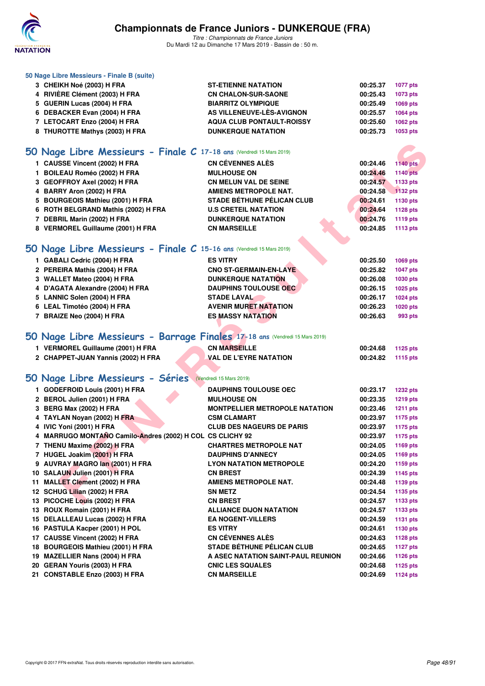

**50 Nage Libre Messieurs - Finale B (suite)**

# **Championnats de France Juniors - DUNKERQUE (FRA)**

| 3 CHEIKH Noé (2003) H FRA                                                   | <b>ST-ETIENNE NATATION</b>            | 00:25.37 | <b>1077 pts</b> |
|-----------------------------------------------------------------------------|---------------------------------------|----------|-----------------|
| 4 RIVIÈRE Clément (2003) H FRA                                              | <b>CN CHALON-SUR-SAONE</b>            | 00:25.43 | 1073 pts        |
| 5 GUERIN Lucas (2004) H FRA                                                 | <b>BIARRITZ OLYMPIQUE</b>             | 00:25.49 | 1069 pts        |
| 6 DEBACKER Evan (2004) H FRA                                                | AS VILLENEUVE-LÈS-AVIGNON             | 00:25.57 | 1064 pts        |
| 7 LETOCART Enzo (2004) H FRA                                                | <b>AQUA CLUB PONTAULT-ROISSY</b>      | 00:25.60 | 1062 pts        |
| 8 THUROTTE Mathys (2003) H FRA                                              | <b>DUNKERQUE NATATION</b>             | 00:25.73 | 1053 pts        |
| 50 Nage Libre Messieurs - Finale C 17-18 ans (Vendredi 15 Mars 2019)        |                                       |          |                 |
| 1 CAUSSE Vincent (2002) H FRA                                               | <b>CN CÉVENNES ALÈS</b>               | 00:24.46 | <b>1140 pts</b> |
| 1 BOILEAU Roméo (2002) H FRA                                                | <b>MULHOUSE ON</b>                    | 00:24.46 | <b>1140 pts</b> |
| 3 GEOFFROY Axel (2002) H FRA                                                | <b>CN MELUN VAL DE SEINE</b>          | 00:24.57 | 1133 pts        |
| 4 BARRY Aron (2002) H FRA                                                   | <b>AMIENS METROPOLE NAT.</b>          | 00:24.58 | 1132 pts        |
| 5 BOURGEOIS Mathieu (2001) H FRA                                            | <b>STADE BÉTHUNE PÉLICAN CLUB</b>     | 00:24.61 | 1130 pts        |
| 6 ROTH BELGRAND Mathis (2002) H FRA                                         | <b>U.S CRETEIL NATATION</b>           | 00:24.64 | 1128 pts        |
| 7 DEBRIL Marin (2002) H FRA                                                 | <b>DUNKERQUE NATATION</b>             | 00:24.76 | 1119 pts        |
| 8 VERMOREL Guillaume (2001) H FRA                                           | <b>CN MARSEILLE</b>                   | 00:24.85 | 1113 pts        |
|                                                                             |                                       |          |                 |
| 50 Nage Libre Messieurs - Finale C 15-16 ans (Vendredi 15 Mars 2019)        |                                       |          |                 |
| 1 GABALI Cedric (2004) H FRA                                                | <b>ES VITRY</b>                       | 00:25.50 | 1069 pts        |
| 2 PEREIRA Mathis (2004) H FRA                                               | <b>CNO ST-GERMAIN-EN-LAYE</b>         | 00:25.82 | <b>1047 pts</b> |
| 3 WALLET Mateo (2004) H FRA                                                 | <b>DUNKERQUE NATATION</b>             | 00:26.08 | 1030 pts        |
| 4 D'AGATA Alexandre (2004) H FRA                                            | <b>DAUPHINS TOULOUSE OEC</b>          | 00:26.15 | 1025 pts        |
| 5 LANNIC Solen (2004) H FRA                                                 | <b>STADE LAVAL</b>                    | 00:26.17 | <b>1024 pts</b> |
| 6 LEAL Timotéo (2004) H FRA                                                 | <b>AVENIR MURET NATATION</b>          | 00:26.23 | 1020 pts        |
| 7 BRAIZE Neo (2004) H FRA                                                   | <b>ES MASSY NATATION</b>              | 00:26.63 | 993 pts         |
| 50 Nage Libre Messieurs - Barrage Finales 17-18 ans (Vendredi 15 Mars 2019) |                                       |          |                 |
| 1 VERMOREL Guillaume (2001) H FRA                                           | <b>CN MARSEILLE</b>                   | 00:24.68 | 1125 pts        |
| 2 CHAPPET-JUAN Yannis (2002) H FRA                                          | <b>VAL DE L'EYRE NATATION</b>         | 00:24.82 | 1115 pts        |
|                                                                             |                                       |          |                 |
| 50 Nage Libre Messieurs - Séries (Vendredi 15 Mars 2019)                    |                                       |          |                 |
| 1 GODEFROID Louis (2001) H FRA                                              | <b>DAUPHINS TOULOUSE OEC</b>          | 00:23.17 | <b>1232 pts</b> |
| 2 BEROL Julien (2001) H FRA                                                 | <b>MULHOUSE ON</b>                    | 00:23.35 | <b>1219 pts</b> |
| 3 BERG Max (2002) H FRA                                                     | <b>MONTPELLIER METROPOLE NATATION</b> | 00:23.46 | <b>1211 pts</b> |
| 4 TAYLAN Noyan (2002) H FRA                                                 | <b>CSM CLAMART</b>                    | 00:23.97 | 1175 pts        |
| 4 IVIC Yoni (2001) H FRA                                                    | <b>CLUB DES NAGEURS DE PARIS</b>      | 00:23.97 | <b>1175 pts</b> |
| 4 MARRUGO MONTAÑO Camilo-Andres (2002) H COL CS CLICHY 92                   |                                       | 00:23.97 | <b>1175 pts</b> |
| 7 THENU Maxime (2002) H FRA                                                 | <b>CHARTRES METROPOLE NAT</b>         | 00:24.05 | 1169 pts        |
| 7 HUGEL Joakim (2001) H FRA                                                 | <b>DAUPHINS D'ANNECY</b>              | 00:24.05 | 1169 pts        |
| 9 AUVRAY MAGRO lan (2001) H FRA                                             | <b>LYON NATATION METROPOLE</b>        | 00:24.20 | 1159 pts        |
| 10 SALAUN Julien (2001) H FRA                                               | <b>CN BREST</b>                       | 00:24.39 | 1145 pts        |
| 11 MALLET Clement (2002) H FRA                                              | <b>AMIENS METROPOLE NAT.</b>          | 00:24.48 | 1139 pts        |
| 12 SCHUG Lilian (2002) H FRA                                                | <b>SN METZ</b>                        | 00:24.54 | 1135 pts        |
| 13 PICOCHE Louis (2002) H FRA                                               | <b>CN BREST</b>                       | 00:24.57 | 1133 pts        |
| 13 ROUX Romain (2001) H FRA                                                 | <b>ALLIANCE DIJON NATATION</b>        | 00:24.57 | 1133 pts        |
| 15 DELALLEAU Lucas (2002) H FRA                                             | <b>EA NOGENT-VILLERS</b>              | 00:24.59 | 1131 pts        |
| 16 PASTULA Kacper (2001) H POL                                              | <b>ES VITRY</b>                       | 00:24.61 | 1130 pts        |
| 17 CAUSSE Vincent (2002) H FRA                                              | <b>CN CÉVENNES ALÈS</b>               | 00:24.63 | <b>1128 pts</b> |
| 18 BOURGEOIS Mathieu (2001) H FRA                                           | <b>STADE BÉTHUNE PÉLICAN CLUB</b>     | 00:24.65 | <b>1127 pts</b> |
| 19 MAZELLIER Nans (2004) H FRA                                              | A ASEC NATATION SAINT-PAUL REUNION    | 00:24.66 | 1126 pts        |
| 20 GERAN Youris (2003) H FRA                                                | <b>CNIC LES SQUALES</b>               | 00:24.68 | 1125 pts        |
| 21 CONSTABLE Enzo (2003) H FRA                                              | <b>CN MARSEILLE</b>                   | 00:24.69 | <b>1124 pts</b> |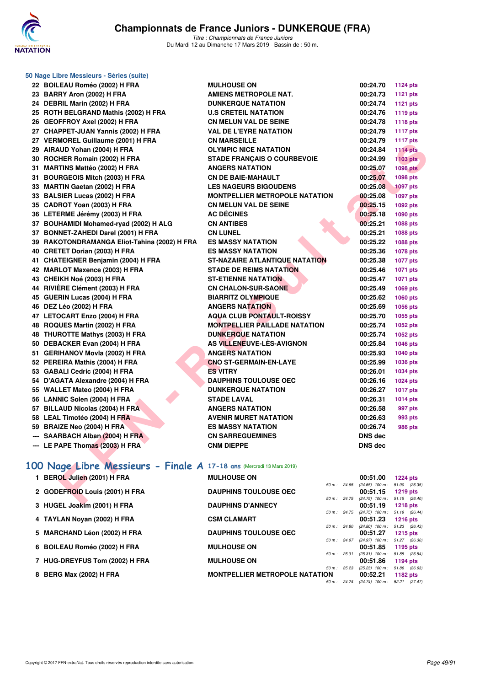

*Titre : Championnats de France Juniors* Du Mardi 12 au Dimanche 17 Mars 2019 - Bassin de : 50 m.

| 50 Nage Libre Messieurs - Séries (suite)                              |                                       |                                                      |                 |
|-----------------------------------------------------------------------|---------------------------------------|------------------------------------------------------|-----------------|
| 22 BOILEAU Roméo (2002) H FRA                                         | <b>MULHOUSE ON</b>                    | 00:24.70                                             | <b>1124 pts</b> |
| 23 BARRY Aron (2002) H FRA                                            | <b>AMIENS METROPOLE NAT.</b>          | 00:24.73                                             | <b>1121 pts</b> |
| 24 DEBRIL Marin (2002) H FRA                                          | <b>DUNKERQUE NATATION</b>             | 00:24.74                                             | <b>1121 pts</b> |
| 25 ROTH BELGRAND Mathis (2002) H FRA                                  | <b>U.S CRETEIL NATATION</b>           | 00:24.76                                             | <b>1119 pts</b> |
| 26 GEOFFROY Axel (2002) H FRA                                         | <b>CN MELUN VAL DE SEINE</b>          | 00:24.78                                             | <b>1118 pts</b> |
| 27 CHAPPET-JUAN Yannis (2002) H FRA                                   | <b>VAL DE L'EYRE NATATION</b>         | 00:24.79                                             | <b>1117 pts</b> |
| 27 VERMOREL Guillaume (2001) H FRA                                    | <b>CN MARSEILLE</b>                   | 00:24.79                                             | <b>1117 pts</b> |
| 29 AIRAUD Yohan (2004) H FRA                                          | <b>OLYMPIC NICE NATATION</b>          | 00:24.84                                             | <b>1114 pts</b> |
| 30 ROCHER Romain (2002) H FRA                                         | <b>STADE FRANÇAIS O COURBEVOIE</b>    | 00:24.99                                             | <b>1103 pts</b> |
| 31 MARTINS Mattéo (2002) H FRA                                        | <b>ANGERS NATATION</b>                | 00:25.07                                             | <b>1098 pts</b> |
| 31 BOURGEOIS Mitch (2003) H FRA                                       | <b>CN DE BAIE-MAHAULT</b>             | 00:25.07                                             | 1098 pts        |
| 33 MARTIN Gaetan (2002) H FRA                                         | <b>LES NAGEURS BIGOUDENS</b>          | 00:25.08                                             | <b>1097 pts</b> |
| 33 BALSIER Lucas (2002) H FRA                                         | <b>MONTPELLIER METROPOLE NATATION</b> | 00:25.08                                             | <b>1097 pts</b> |
| 35 CADROT Yoan (2003) H FRA                                           | <b>CN MELUN VAL DE SEINE</b>          | 00:25.15                                             | 1092 pts        |
| 36 LETERME Jérémy (2003) H FRA                                        | <b>AC DÉCINES</b>                     | 00:25.18                                             | 1090 pts        |
| 37 BOUHAMIDI Mohamed-ryad (2002) H ALG                                | <b>CN ANTIBES</b>                     | 00:25.21                                             | 1088 pts        |
| 37 BONNET-ZAHEDI Darel (2001) H FRA                                   | <b>CN LUNEL</b>                       | 00:25.21                                             | 1088 pts        |
| 39 RAKOTONDRAMANGA Eliot-Tahina (2002) H FRA                          | <b>ES MASSY NATATION</b>              | 00:25.22                                             | 1088 pts        |
| 40 CRETET Dorian (2003) H FRA                                         | <b>ES MASSY NATATION</b>              | 00:25.36                                             | 1078 pts        |
| 41 CHATEIGNER Benjamin (2004) H FRA                                   | <b>ST-NAZAIRE ATLANTIQUE NATATION</b> | 00:25.38                                             | <b>1077 pts</b> |
| 42 MARLOT Maxence (2003) H FRA                                        | <b>STADE DE REIMS NATATION</b>        | 00:25.46                                             | <b>1071 pts</b> |
| 43 CHEIKH Noé (2003) H FRA                                            | <b>ST-ETIENNE NATATION</b>            | 00:25.47                                             | 1071 pts        |
| 44 RIVIÈRE Clément (2003) H FRA                                       | <b>CN CHALON-SUR-SAONE</b>            | 00:25.49                                             | 1069 pts        |
| 45 GUERIN Lucas (2004) H FRA                                          | <b>BIARRITZ OLYMPIQUE</b>             | 00:25.62                                             | 1060 pts        |
| 46 DEZ Léo (2002) H FRA                                               | <b>ANGERS NATATION</b>                | 00:25.69                                             | 1056 pts        |
| 47 LETOCART Enzo (2004) H FRA                                         | <b>AQUA CLUB PONTAULT-ROISSY</b>      | 00:25.70                                             | 1055 pts        |
| 48 ROQUES Martin (2002) H FRA                                         | <b>MONTPELLIER PAILLADE NATATION</b>  | 00:25.74                                             | 1052 pts        |
| 48 THUROTTE Mathys (2003) H FRA                                       | <b>DUNKERQUE NATATION</b>             | 00:25.74                                             | 1052 pts        |
| 50 DEBACKER Evan (2004) H FRA                                         | AS VILLENEUVE-LES-AVIGNON             | 00:25.84                                             | <b>1046 pts</b> |
| 51 GERIHANOV Movia (2002) H FRA                                       | <b>ANGERS NATATION</b>                | 00:25.93                                             | <b>1040 pts</b> |
| 52 PEREIRA Mathis (2004) H FRA                                        | <b>CNO ST-GERMAIN-EN-LAYE</b>         | 00:25.99                                             | 1036 pts        |
| 53 GABALI Cedric (2004) H FRA                                         | <b>ES VITRY</b>                       | 00:26.01                                             | 1034 pts        |
| 54 D'AGATA Alexandre (2004) H FRA                                     | <b>DAUPHINS TOULOUSE OEC</b>          | 00:26.16                                             | 1024 pts        |
| 55 WALLET Mateo (2004) H FRA                                          | <b>DUNKERQUE NATATION</b>             | 00:26.27                                             | <b>1017 pts</b> |
| 56 LANNIC Solen (2004) H FRA                                          | <b>STADE LAVAL</b>                    | 00:26.31                                             | <b>1014 pts</b> |
| 57 BILLAUD Nicolas (2004) H FRA                                       | <b>ANGERS NATATION</b>                | 00:26.58                                             | 997 pts         |
| 58 LEAL Timotéo (2004) H FRA                                          | <b>AVENIR MURET NATATION</b>          | 00:26.63                                             | 993 pts         |
| 59 BRAIZE Neo (2004) H FRA                                            | <b>ES MASSY NATATION</b>              | 00:26.74                                             | <b>986 pts</b>  |
| SAARBACH Alban (2004) H FRA                                           | <b>CN SARREGUEMINES</b>               | DNS dec                                              |                 |
| --- LE PAPE Thomas (2003) H FRA                                       | <b>CNM DIEPPE</b>                     | <b>DNS dec</b>                                       |                 |
| 100 Nage Libre Messieurs - Finale A 17-18 ans (Mercredi 13 Mars 2019) |                                       |                                                      |                 |
| 1 BEROL Julien (2001) H FRA                                           | <b>MULHOUSE ON</b>                    | 00:51.00                                             | 1224 pts        |
|                                                                       |                                       | 50 m: 24.65 (24.65) 100 m: 51.00 (26.35)             |                 |
| 2 GODEFROID Louis (2001) H FRA                                        | <b>DAUPHINS TOULOUSE OEC</b>          | 00:51.15<br>50 m: 24.75 (24.75) 100 m: 51.15 (26.40) | 1219 pts        |
| $2$ UUCEL leaving (2004) U EDA                                        | <b>DAUDUING DIAMNEOV</b>              | $00.54.40 - 4040$                                    |                 |

## **[100 Nage Libre Messieurs - Finale A](http://www.ffnatation.fr/webffn/resultats.php?idact=nat&go=epr&idcpt=59271&idepr=52) 17-18 ans** (Mercredi 13 Mars 2019)

| 1 BEROL Julien (2001) H FRA    | <b>MULHOUSE ON</b>                    |                        |                | 00:51.00                      | <b>1224 pts</b>           |  |
|--------------------------------|---------------------------------------|------------------------|----------------|-------------------------------|---------------------------|--|
|                                |                                       | $50 m$ : 24.65         |                | $(24.65)$ 100 m :             | 51.00 (26.35)             |  |
| 2 GODEFROID Louis (2001) H FRA | <b>DAUPHINS TOULOUSE OEC</b>          |                        |                | 00:51.15                      | 1219 $pts$                |  |
|                                |                                       | $50 m$ : 24.75         |                | $(24.75)$ 100 m :             | 51.15 (26.40)             |  |
| 3 HUGEL Joakim (2001) H FRA    | <b>DAUPHINS D'ANNECY</b>              |                        |                | 00:51.19                      | <b>1218 pts</b>           |  |
|                                |                                       |                        | $50 m$ : 24.75 | $(24.75)$ 100 m :             | 51.19 (26.44)             |  |
| 4 TAYLAN Novan (2002) H FRA    | <b>CSM CLAMART</b>                    |                        |                | 00:51.23                      | 1216 $pts$                |  |
| 5 MARCHAND Léon (2002) H FRA   | <b>DAUPHINS TOULOUSE OEC</b>          |                        | 50 m : 24.80   | $(24.80)$ 100 m :<br>00:51.27 | 51.23 (26.43)             |  |
|                                |                                       |                        |                | 50 m : 24.97 (24.97) 100 m :  | $1215$ pts                |  |
| 6 BOILEAU Roméo (2002) H FRA   | <b>MULHOUSE ON</b>                    |                        |                | 00:51.85                      | 51.27 (26.30)<br>1195 pts |  |
|                                |                                       | $50 m$ : 25.31         |                | $(25.31)$ 100 m :             | 51.85 (26.54)             |  |
| 7 HUG-DREYFUS Tom (2002) H FRA | <b>MULHOUSE ON</b>                    |                        |                | 00:51.86                      | 1194 pts                  |  |
|                                |                                       | $50 m$ : 25.23         |                | $(25.23)$ 100 m :             | 51.86 (26.63)             |  |
| 8 BERG Max (2002) H FRA        | <b>MONTPELLIER METROPOLE NATATION</b> |                        |                | 00:52.21                      | 1182 $pts$                |  |
|                                |                                       | $50 \text{ m}$ : 24.74 |                | $(24.74)$ 100 m :             | 52.21 (27.47)             |  |
|                                |                                       |                        |                |                               |                           |  |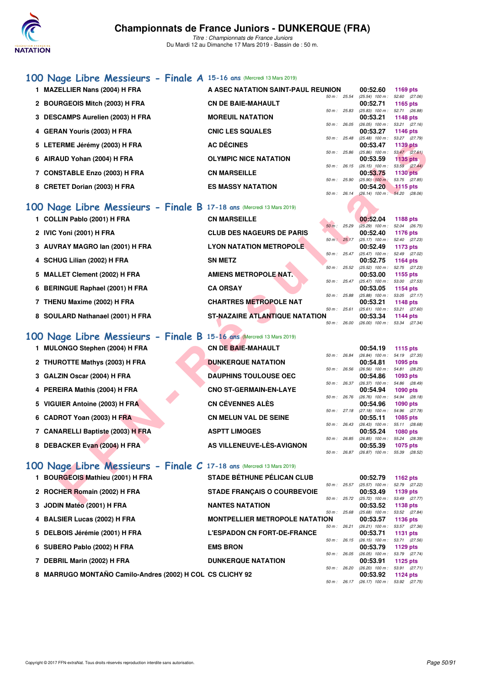

*Titre : Championnats de France Juniors* Du Mardi 12 au Dimanche 17 Mars 2019 - Bassin de : 50 m.

## **[100 Nage Libre Messieurs - Finale A](http://www.ffnatation.fr/webffn/resultats.php?idact=nat&go=epr&idcpt=59271&idepr=52) 15-16 ans** (Mercredi 13 Mars 2019)

| 1 MAZELLIER Nans (2004) H FRA                                        | A ASEC NATATION SAINT-PAUL REUNION    |                |              | 00:52.60                                             | 1169 pts                         |  |
|----------------------------------------------------------------------|---------------------------------------|----------------|--------------|------------------------------------------------------|----------------------------------|--|
| 2 BOURGEOIS Mitch (2003) H FRA                                       | <b>CN DE BAIE-MAHAULT</b>             | 50 m : 25.54   |              | $(25.54)$ 100 m :<br>00:52.71                        | 52.60 (27.06)<br>1165 pts        |  |
|                                                                      |                                       |                | 50 m: 25.83  | (25.83) 100 m: 52.71 (26.88)                         |                                  |  |
| 3 DESCAMPS Aurelien (2003) H FRA                                     | <b>MOREUIL NATATION</b>               | $50 m$ : 26.05 |              | 00:53.21<br>$(26.05)$ 100 m :                        | 1148 pts<br>53.21 (27.16)        |  |
| 4 GERAN Youris (2003) H FRA                                          | <b>CNIC LES SQUALES</b>               |                |              | 00:53.27                                             | 1146 pts                         |  |
| 5 LETERME Jérémy (2003) H FRA                                        | <b>AC DÉCINES</b>                     |                | 50 m: 25.48  | (25.48) 100 m: 53.27 (27.79)<br>00:53.47             | <b>1139 pts</b>                  |  |
| 6 AIRAUD Yohan (2004) H FRA                                          | <b>OLYMPIC NICE NATATION</b>          | 50 m: 25.86    |              | $(25.86)$ 100 m :<br>00:53.59                        | 53.47 (27.61)<br>1135 pts        |  |
|                                                                      |                                       |                |              | 50 m: 26.15 (26.15) 100 m: 53.59 (27.44)             |                                  |  |
| 7 CONSTABLE Enzo (2003) H FRA                                        | <b>CN MARSEILLE</b>                   | 50 m: 25.90    |              | 00:53.75<br>$(25.90)$ 100 m :                        | 1130 pts<br>53.75 (27.85)        |  |
| 8 CRETET Dorian (2003) H FRA                                         | <b>ES MASSY NATATION</b>              |                |              | 00:54.20                                             | $1115$ pts                       |  |
|                                                                      |                                       | $50 m$ : 26.14 |              | $(26.14)$ 100 m : 54.20 $(28.06)$                    |                                  |  |
| 00 Nage Libre Messieurs - Finale B 17-18 ans (Mercredi 13 Mars 2019) |                                       |                |              |                                                      |                                  |  |
| 1 COLLIN Pablo (2001) H FRA                                          | <b>CN MARSEILLE</b>                   |                |              | 00:52.04                                             | 1188 pts                         |  |
| 2 IVIC Yoni (2001) H FRA                                             | <b>CLUB DES NAGEURS DE PARIS</b>      | 50 m: 25.29    |              | $(25.29)$ 100 m :<br>00:52.40                        | 52.04 (26.75)<br>1176 pts        |  |
|                                                                      |                                       |                | 50 m: 25.17  | (25.17) 100 m: 52.40 (27.23)                         |                                  |  |
| 3 AUVRAY MAGRO Ian (2001) H FRA                                      | <b>LYON NATATION METROPOLE</b>        |                | 50 m: 25.47  | 00:52.49<br>(25.47) 100 m: 52.49 (27.02)             | 1173 pts                         |  |
| 4 SCHUG Lilian (2002) H FRA                                          | <b>SN METZ</b>                        | 50 m: 25.52    |              | 00:52.75                                             | 1164 pts                         |  |
| 5 MALLET Clement (2002) H FRA                                        | <b>AMIENS METROPOLE NAT.</b>          |                |              | (25.52) 100 m: 52.75 (27.23)<br>00:53.00             | 1155 pts                         |  |
| 6 BERINGUE Raphael (2001) H FRA                                      | <b>CA ORSAY</b>                       | 50 m: 25.47    |              | $(25.47)$ 100 m :<br>00:53.05                        | 53.00 (27.53)<br>1154 pts        |  |
|                                                                      |                                       |                | 50 m : 25.88 | $(25.88)$ 100 m : 53.05 $(27.17)$                    |                                  |  |
| 7 THENU Maxime (2002) H FRA                                          | <b>CHARTRES METROPOLE NAT</b>         |                | 50 m: 25.61  | 00:53.21<br>$(25.61)$ 100 m :                        | 1148 pts<br>53.21 (27.60)        |  |
| 8 SOULARD Nathanael (2001) H FRA                                     | <b>ST-NAZAIRE ATLANTIQUE NATATION</b> |                |              | 00:53.34                                             | <b>1144 pts</b>                  |  |
|                                                                      |                                       |                |              | 50 m : 26.00 (26.00) 100 m : 53.34 (27.34)           |                                  |  |
| 00 Nage Libre Messieurs - Finale B 15-16 ans (Mercredi 13 Mars 2019) |                                       |                |              |                                                      |                                  |  |
| 1 MULONGO Stephen (2004) H FRA                                       | <b>CN DE BAIE-MAHAULT</b>             |                |              | 00:54.19                                             | 1115 pts                         |  |
| 2 THUROTTE Mathys (2003) H FRA                                       | <b>DUNKERQUE NATATION</b>             | 50 m : 26.84   |              | (26.84) 100 m: 54.19 (27.35)<br>00:54.81             | 1095 pts                         |  |
|                                                                      |                                       |                | 50 m: 26.56  | (26.56) 100 m: 54.81 (28.25)                         |                                  |  |
| 3 GALZIN Oscar (2004) H FRA                                          | <b>DAUPHINS TOULOUSE OEC</b>          |                | 50 m : 26.37 | 00:54.86<br>$(26.37)$ 100 m :                        | 1093 pts<br>54.86 (28.49)        |  |
| 4 PEREIRA Mathis (2004) H FRA                                        | <b>CNO ST-GERMAIN-EN-LAYE</b>         |                |              | 00:54.94                                             | <b>1090 pts</b>                  |  |
| 5 VIGUIER Antoine (2003) H FRA                                       | <b>CN CÉVENNES ALÈS</b>               |                | 50 m : 26.76 | $(26.76)$ 100 m :<br>00:54.96                        | 54.94 (28.18)<br>1090 pts        |  |
|                                                                      | <b>CN MELUN VAL DE SEINE</b>          | 50 m: 27.18    |              | (27.18) 100 m :                                      | 54.96 (27.78)                    |  |
| 6 CADROT Yoan (2003) H FRA                                           |                                       |                | 50 m : 26.43 | 00:55.11<br>$(26.43)$ 100 m : 55.11 $(28.68)$        | 1085 pts                         |  |
| 7 CANARELLI Baptiste (2003) H FRA                                    | <b>ASPTT LIMOGES</b>                  | 50 m : 26.85   |              | 00:55.24<br>$(26.85)$ 100 m :                        | <b>1080 pts</b><br>55.24 (28.39) |  |
| 8 DEBACKER Evan (2004) H FRA                                         | AS VILLENEUVE-LES-AVIGNON             |                |              | 00:55.39                                             | <b>1075 pts</b>                  |  |
|                                                                      |                                       |                |              | 50 m: 26.87 (26.87) 100 m: 55.39 (28.52)             |                                  |  |
| 00 Nage Libre Messieurs - Finale C 17-18 ans (Mercredi 13 Mars 2019) |                                       |                |              |                                                      |                                  |  |
| 1 BOURGEOIS Mathieu (2001) H FRA                                     | <b>STADE BETHUNE PELICAN CLUB</b>     |                |              | 00:52.79                                             | 1162 pts                         |  |
|                                                                      |                                       |                |              | 50 m: 25.57 (25.57) 100 m: 52.79 (27.22)             |                                  |  |
| 2 ROCHER Romain (2002) H FRA                                         | <b>STADE FRANÇAIS O COURBEVOIE</b>    |                |              | 00:53.49<br>50 m: 25.72 (25.72) 100 m: 53.49 (27.77) | 1139 pts                         |  |
| 0.100111144444004111704                                              | MANTEO MATATION                       |                |              | 00.50.50                                             | $1100 -$                         |  |

# **[100 Nage Libre Messieurs - Finale B](http://www.ffnatation.fr/webffn/resultats.php?idact=nat&go=epr&idcpt=59271&idepr=52) 17-18 ans (Mercredi 13 Mars 2019)**<br>1 COLLIN Pablo (2001) H FRA CN MARSEILLE

| 1 COLLIN Pablo (2001) H FRA | <b>CN MARSEILLE</b>              |          | $00:52.04$ 1188 pts                        |          |
|-----------------------------|----------------------------------|----------|--------------------------------------------|----------|
|                             |                                  | $50 m$ : | : 25.29 (25.29) 100 m : 52.04 (26.75)      |          |
| 2 IVIC Yoni (2001) H FRA    | <b>CLUB DES NAGEURS DE PARIS</b> |          | 00:52.40                                   | 1176 pts |
|                             |                                  |          | 50 m : 25.17 (25.17) 100 m : 52.40 (27.23) |          |

- **3 AUVRAY MAGRO Ian (2001) H FRA** LYON NATATION METROPOLE 00:52.49 1173 pts 00:52.49 1173 pts
- **4 SCHUG Lilian (2002) H FRA** SN METZ<br> **4 SCHUG Lilian (2002) H FRA** SN METZ<br>  $\frac{60 \text{ m} \cdot 25.52 \cdot (25.52) \cdot 100 \text{ m} \cdot 52.75}{(25.52) \cdot 100 \text{ m} \cdot 52.75 \cdot (27.23)}$
- **5 MALLET Clement (2002) H FRA AMIENS METROPOLE NAT.** 00:53.00 **1155 pts**<br>50 m: 25.47 (25.47) 100 m: 53.00 (27.53)
- **6 BERINGUE Raphael (2001) H FRA CA ORSAY 1154 pts 00:53.05 1154 pts 00:53.05 1154 pts 60 <b>1154 1154 1154 125.88 100 m**: 53.05 **125.17**
- **7 THENU Maxime (2002) H FRA CHARTRES METROPOLE NAT 00:53.21 1148 pts**
- **8 SOULARD Nathanael (2001) H FRA** ST-NAZAIRE ATLANTIQUE NATATION 00:53.34 **1144 pts**<br>  $\frac{50 \text{ m} \div 26.00}{26.00 \div 100 \text{ m} \div 53.34}$  (27.34)

## **[100 Nage Libre Messieurs - Finale B](http://www.ffnatation.fr/webffn/resultats.php?idact=nat&go=epr&idcpt=59271&idepr=52) 15-16 ans** (Mercredi 13 Mars 2019)

- **1 MULONGO Stephen (2004) H FRA CN DE BAIE-MAHAULT 00:54.19 1115 pts**
- **2 THUROTTE Mathys (2003) H FRA DUNKERQUE NATATION**
- **3 GALZIN Oscar (2004) H FRA DAUPHINS TOULOUSE OEC**
- **4 PEREIRA Mathis (2004) H FRA**
- **5 VIGUIER Antoine (2003) H FRA**
- **6 CADROT Yoan (2003) H FRA**
- **7 CANARELLI Baptiste (2003) H FRA**
- **8 DEBACKER Evan (2004) H FRA AS VILLENEUVE-LÈS-AVIGNON 00:55.39 1075 pts**

| <u>PAYI IIIIY IYYEYYYE YE</u> |
|-------------------------------|
| <b>CNO ST-GERMAIN-EN-LAYE</b> |
| <b>CN CÉVENNES ALÈS</b>       |
| <b>CN MELUN VAL DE SEINE</b>  |
| <b>ASPTT LIMOGES</b>          |
|                               |

|                |       | 00:54.19          |          | 1115 pts        |  |
|----------------|-------|-------------------|----------|-----------------|--|
| $50 m$ :       | 26.84 | $(26.84)$ 100 m : |          | 54.19 (27.35)   |  |
|                |       |                   | 00:54.81 | $1095$ pts      |  |
| $50 m$ : 26.56 |       | $(26.56)$ 100 m : |          | 54.81 (28.25)   |  |
|                |       |                   | 00:54.86 | 1093 pts        |  |
| $50 m$ : 26.37 |       | $(26.37)$ 100 m : |          | 54.86 (28.49)   |  |
|                |       |                   | 00:54.94 | <b>1090 pts</b> |  |
| $50 m$ : 26.76 |       | $(26.76)$ 100 m : |          | 54.94 (28.18)   |  |
|                |       |                   | 00:54.96 | <b>1090 pts</b> |  |
| 50 m: 27.18    |       | $(27.18)$ 100 m : |          | 54.96 (27.78)   |  |
|                |       |                   | 00:55.11 | 1085 pts        |  |
| $50 m$ : 26.43 |       | $(26.43)$ 100 m : |          | 55.11 (28.68)   |  |
|                |       |                   | 00:55.24 | <b>1080 pts</b> |  |
| $50 m$ : 26.85 |       | $(26.85)$ 100 m : |          | 55.24 (28.39)   |  |
|                |       | 00.550            |          | ------          |  |

## **[100 Nage Libre Messieurs - Finale C](http://www.ffnatation.fr/webffn/resultats.php?idact=nat&go=epr&idcpt=59271&idepr=52) 17-18 ans** (Mercredi 13 Mars 2019)

| 1 BOURGEOIS Mathieu (2001) H FRA                          | <b>STADE BÉTHUNE PÉLICAN CLUB</b>     |                |              | 00:52.79                                                               | 1162 $pts$    |  |
|-----------------------------------------------------------|---------------------------------------|----------------|--------------|------------------------------------------------------------------------|---------------|--|
|                                                           |                                       | $50 m$ : 25.57 |              | $(25.57)$ 100 m :                                                      | 52.79 (27.22) |  |
| 2 ROCHER Romain (2002) H FRA                              | <b>STADE FRANCAIS O COURBEVOIE</b>    |                |              | 00:53.49                                                               | 1139 pts      |  |
|                                                           |                                       | $50 m$ : 25.72 |              | $(25.72)$ 100 m :                                                      | 53.49 (27.77) |  |
| 3 JODIN Matéo (2001) H FRA                                | <b>NANTES NATATION</b>                |                |              | 00:53.52                                                               | 1138 pts      |  |
|                                                           |                                       | 50 m: 25.68    |              | $(25.68)$ 100 m :                                                      | 53.52 (27.84) |  |
| 4 BALSIER Lucas (2002) H FRA                              | <b>MONTPELLIER METROPOLE NATATION</b> |                |              | 00:53.57                                                               | 1136 pts      |  |
|                                                           |                                       | $50 m$ : 26.21 |              | $(26.21)$ 100 m :                                                      | 53.57 (27.36) |  |
| 5 DELBOIS Jérémie (2001) H FRA                            | <b>L'ESPADON CN FORT-DE-FRANCE</b>    |                |              | 00:53.71                                                               | 1131 pts      |  |
|                                                           |                                       | $50 m$ : 26.15 |              | $(26.15)$ 100 m :                                                      | 53.71 (27.56) |  |
| 6 SUBERO Pablo (2002) H FRA                               | <b>EMS BRON</b>                       |                |              | 00:53.79                                                               | 1129 $pts$    |  |
|                                                           |                                       | $50 m$ : 26.05 |              | $(26.05)$ 100 m :                                                      | 53.79 (27.74) |  |
| 7 DEBRIL Marin (2002) H FRA                               | <b>DUNKERQUE NATATION</b>             |                |              | 00:53.91                                                               | 1125 $pts$    |  |
|                                                           |                                       |                | 50 m : 26.20 | $(26.20)$ 100 m :                                                      | 53.91 (27.71) |  |
| 8 MARRUGO MONTAÑO Camilo-Andres (2002) H COL CS CLICHY 92 |                                       |                |              | 00:53.92                                                               | 1124 pts      |  |
|                                                           |                                       |                |              | $50 \text{ m}$ : $26.17$ $(26.17)$ $100 \text{ m}$ : $53.92$ $(27.75)$ |               |  |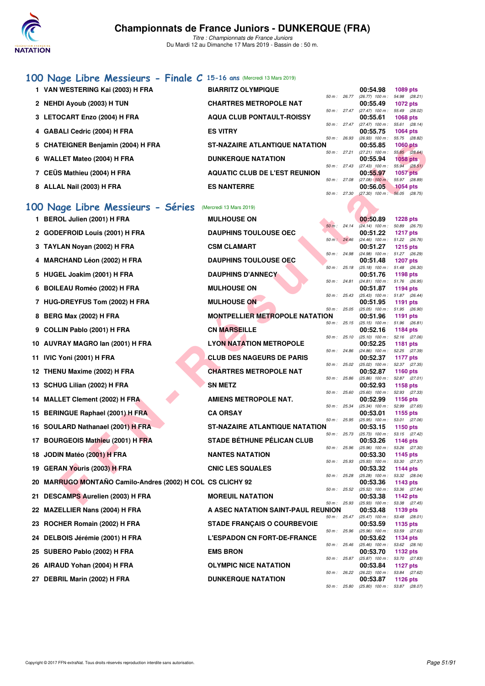

*Titre : Championnats de France Juniors* Du Mardi 12 au Dimanche 17 Mars 2019 - Bassin de : 50 m.

## **[100 Nage Libre Messieurs - Finale C](http://www.ffnatation.fr/webffn/resultats.php?idact=nat&go=epr&idcpt=59271&idepr=52) 15-16 ans** (Mercredi 13 Mars 2019)

| 1 VAN WESTERING Kai (2003) H FRA   | <b>BIARRITZ OLYMPIQUE</b>             |                | 00:54.98          | <b>1089 pts</b> |               |
|------------------------------------|---------------------------------------|----------------|-------------------|-----------------|---------------|
|                                    |                                       | $50 m$ : 26.77 | $(26.77)$ 100 m : | 54.98 (28.21)   |               |
| 2 NEHDI Ayoub (2003) H TUN         | <b>CHARTRES METROPOLE NAT</b>         |                | 00:55.49          | 1072 pts        |               |
|                                    |                                       | $50 m$ : 27.47 | $(27.47)$ 100 m : | 55.49 (28.02)   |               |
| 3 LETOCART Enzo (2004) H FRA       | <b>AQUA CLUB PONTAULT-ROISSY</b>      |                | 00:55.61          | <b>1068 pts</b> |               |
|                                    |                                       | 50 m: 27.47    | $(27.47)$ 100 m : | 55.61 (28.14)   |               |
| 4 GABALI Cedric (2004) H FRA       | <b>ES VITRY</b>                       |                | 00:55.75          | 1064 pts        |               |
|                                    |                                       | 50 m: 26.93    | $(26.93)$ 100 m : | 55.75 (28.82)   |               |
| 5 CHATEIGNER Benjamin (2004) H FRA | <b>ST-NAZAIRE ATLANTIQUE NATATION</b> |                | 00:55.85          | <b>1060 pts</b> |               |
|                                    |                                       | 50 m: 27.21    | $(27.21)$ 100 m : | 55.85 (28.64)   |               |
| 6 WALLET Mateo (2004) H FRA        | <b>DUNKERQUE NATATION</b>             |                | 00:55.94          | $1058$ pts      |               |
|                                    |                                       | 50 m: 27.43    | $(27.43)$ 100 m : | 55.94 (28.51)   |               |
| 7 CEÜS Mathieu (2004) H FRA        | <b>AQUATIC CLUB DE L'EST REUNION</b>  |                | 00:55.97          | <b>1057 pts</b> |               |
|                                    |                                       | 50 m: 27.08    | $(27.08)$ 100 m : | 55.97 (28.89)   |               |
| 8 ALLAL Nail (2003) H FRA          | <b>ES NANTERRE</b>                    |                | 00:56.05          | $1054$ pts      |               |
|                                    |                                       | 50 m: 27.30    | $(27.30)$ 100 m : |                 | 56.05 (28.75) |

## **[100 Nage Libre Messieurs - Séries](http://www.ffnatation.fr/webffn/resultats.php?idact=nat&go=epr&idcpt=59271&idepr=52)** (Mercredi 13 Mars 2019)

| 5 CHATEIGNER Benjamin (2004) H FRA                         | ST-NAZAIRE ATLANTIQUE NATATION        |              |              | 00:55.85                                             | <b>1060 pts</b>                  |
|------------------------------------------------------------|---------------------------------------|--------------|--------------|------------------------------------------------------|----------------------------------|
| 6 WALLET Mateo (2004) H FRA                                | <b>DUNKERQUE NATATION</b>             | 50 m : 27.21 |              | $(27.21)$ 100 m :<br>00:55.94                        | 55.85 (28.64)<br>1058 pts        |
| 7 CEÜS Mathieu (2004) H FRA                                | <b>AQUATIC CLUB DE L'EST REUNION</b>  | 50 m : 27.43 |              | $(27.43)$ 100 m :<br>00:55.97                        | 55.94 (28.51)<br><b>1057 pts</b> |
| 8 ALLAL Nail (2003) H FRA                                  | <b>ES NANTERRE</b>                    | 50 m: 27.08  |              | $(27.08)$ 100 m:<br>00:56.05                         | 55.97 (28.89)<br>1054 pts        |
|                                                            |                                       | 50 m : 27.30 |              | $(27.30)$ 100 m :                                    | 56.05 (28.75)                    |
| 00 Nage Libre Messieurs - Séries                           | (Mercredi 13 Mars 2019)               |              |              |                                                      |                                  |
| 1 BEROL Julien (2001) H FRA                                | <b>MULHOUSE ON</b>                    |              |              | 00:50.89                                             | <b>1228 pts</b>                  |
| 2 GODEFROID Louis (2001) H FRA                             | <b>DAUPHINS TOULOUSE OEC</b>          | 50 m: 24.14  |              | $(24.14)$ 100 m :<br>00:51.22                        | 50.89 (26.75)<br><b>1217 pts</b> |
| 3 TAYLAN Noyan (2002) H FRA                                | <b>CSM CLAMART</b>                    | 50 m: 24.46  |              | (24.46) 100 m: 51.22 (26.76)<br>00:51.27             | <b>1215 pts</b>                  |
| 4 MARCHAND Léon (2002) H FRA                               | <b>DAUPHINS TOULOUSE OEC</b>          | 50 m : 24.98 |              | (24.98) 100 m: 51.27 (26.29)<br>00:51.48             | <b>1207 pts</b>                  |
| 5 HUGEL Joakim (2001) H FRA                                | <b>DAUPHINS D'ANNECY</b>              | 50 m : 25.18 |              | $(25.18)$ 100 m :                                    | 51.48 (26.30)                    |
|                                                            |                                       | 50 m: 24.81  |              | 00:51.76<br>$(24.81)$ 100 m :                        | 1198 pts<br>51.76 (26.95)        |
| 6 BOILEAU Roméo (2002) H FRA                               | <b>MULHOUSE ON</b>                    |              |              | 00:51.87                                             | 1194 pts                         |
| 7 HUG-DREYFUS Tom (2002) H FRA                             | <b>MULHOUSE ON</b>                    | 50 m : 25.43 |              | (25.43) 100 m: 51.87 (26.44)<br>00:51.95             | 1191 pts                         |
| 8 BERG Max (2002) H FRA                                    | <b>MONTPELLIER METROPOLE NATATION</b> | 50 m : 25.05 |              | $(25.05)$ 100 m :<br>00:51.96                        | 51.95 (26.90)<br>1191 pts        |
| 9 COLLIN Pablo (2001) H FRA                                | <b>CN MARSEILLE</b>                   |              | 50 m : 25.15 | $(25.15)$ 100 m : 51.96 (26.81)<br>00:52.16          | 1184 pts                         |
| 10 AUVRAY MAGRO Ian (2001) H FRA                           | <b>LYON NATATION METROPOLE</b>        | 50 m : 25.10 |              | $(25.10)$ 100 m :<br>00:52.25                        | 52.16 (27.06)<br><b>1181 pts</b> |
| 11 IVIC Yoni (2001) H FRA                                  | <b>CLUB DES NAGEURS DE PARIS</b>      | 50 m : 24.86 |              | $(24.86)$ 100 m :<br>00:52.37                        | 52.25 (27.39)<br>1177 pts        |
|                                                            |                                       | 50 m: 25.02  |              | $(25.02)$ 100 m :                                    | 52.37 (27.35)                    |
| 12 THENU Maxime (2002) H FRA                               | <b>CHARTRES METROPOLE NAT</b>         | 50 m: 25.86  |              | 00:52.87<br>$(25.86)$ 100 m :                        | <b>1160 pts</b><br>52.87 (27.01) |
| 13 SCHUG Lilian (2002) H FRA                               | <b>SN METZ</b>                        |              |              | 00:52.93                                             | 1158 pts                         |
| 14 MALLET Clement (2002) H FRA                             | <b>AMIENS METROPOLE NAT.</b>          | 50 m: 25.60  |              | $(25.60)$ 100 m :<br>00:52.99                        | 52.93 (27.33)<br>1156 pts        |
| 15 BERINGUE Raphael (2001) H FRA                           | <b>CA ORSAY</b>                       | 50 m: 25.34  |              | $(25.34)$ 100 m :<br>00:53.01                        | 52.99 (27.65)<br>1155 pts        |
| 16 SOULARD Nathanael (2001) H FRA                          | <b>ST-NAZAIRE ATLANTIQUE NATATION</b> | 50 m : 25.95 |              | $(25.95)$ 100 m :<br>00:53.15                        | 53.01 (27.06)<br>1150 pts        |
| 17 BOURGEOIS Mathieu (2001) H FRA                          | <b>STADE BÉTHUNE PÉLICAN CLUB</b>     | 50 m: 25.73  |              | $(25.73)$ 100 m :<br>00:53.26                        | 53.15 (27.42)<br><b>1146 pts</b> |
|                                                            |                                       | 50 m: 25.96  |              | $(25.96)$ 100 m :                                    | 53.26 (27.30)                    |
| 18 JODIN Matéo (2001) H FRA                                | <b>NANTES NATATION</b>                | 50 m: 25.93  |              | 00:53.30<br>$(25.93)$ 100 m :                        | 1145 pts<br>53.30 (27.37)        |
| 19 GERAN Youris (2003) H FRA                               | <b>CNIC LES SQUALES</b>               | 50 m: 25.28  |              | 00:53.32                                             | 1144 pts<br>53.32 (28.04)        |
| 20 MARRUGO MONTAÑO Camilo-Andres (2002) H COL CS CLICHY 92 |                                       |              |              | $(25.28)$ 100 m :<br>00:53.36                        | 1143 pts                         |
| 21 DESCAMPS Aurelien (2003) H FRA                          | <b>MOREUIL NATATION</b>               | 50 m : 25.52 |              | $(25.52)$ 100 m :<br>00:53.38                        | 53.36 (27.84)<br>1142 pts        |
| 22 MAZELLIER Nans (2004) H FRA                             | A ASEC NATATION SAINT-PAUL REUNION    |              |              | 50 m: 25.93 (25.93) 100 m: 53.38 (27.45)<br>00:53.48 | 1139 pts                         |
| 23 ROCHER Romain (2002) H FRA                              | <b>STADE FRANÇAIS O COURBEVOIE</b>    | 50 m: 25.47  |              | $(25.47)$ 100 m :<br>00:53.59                        | 53.48 (28.01)<br>1135 pts        |
| 24 DELBOIS Jérémie (2001) H FRA                            | <b>L'ESPADON CN FORT-DE-FRANCE</b>    | 50 m : 25.96 |              | $(25.96)$ 100 m :<br>00:53.62                        | 53.59 (27.63)<br>1134 pts        |
| 25 SUBERO Pablo (2002) H FRA                               | <b>EMS BRON</b>                       | 50 m : 25.46 |              | $(25.46)$ 100 m :<br>00:53.70                        | 53.62 (28.16)<br>1132 pts        |
|                                                            |                                       | 50 m : 25.87 |              | $(25.87)$ 100 m :                                    | 53.70 (27.83)                    |
| 26 AIRAUD Yohan (2004) H FRA                               | <b>OLYMPIC NICE NATATION</b>          | 50 m : 26.22 |              | 00:53.84<br>$(26.22)$ 100 m :                        | <b>1127 pts</b><br>53.84 (27.62) |
| 27 DEBRIL Marin (2002) H FRA                               | <b>DUNKERQUE NATATION</b>             |              |              | 00:53.87                                             | <b>1126 pts</b>                  |
|                                                            |                                       | 50 m : 25.80 |              | $(25.80)$ 100 m :                                    | 53.87 (28.07)                    |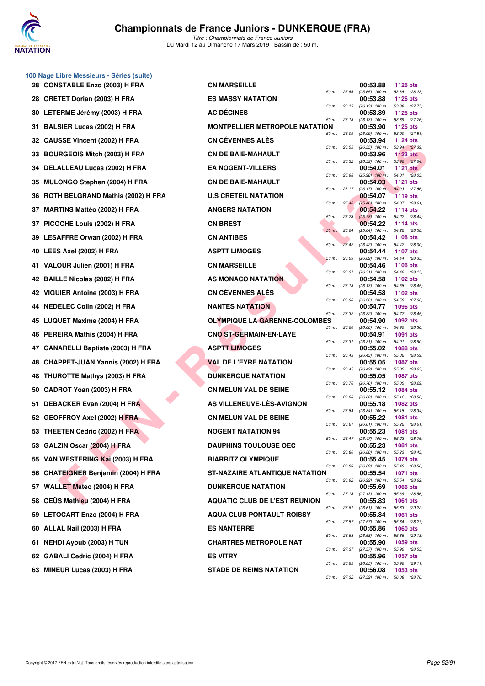

**100 Nage Libre Messieurs - Séries (suite)**

## **Championnats de France Juniors - DUNKERQUE (FRA)**

|     | 28 CONSTABLE Enzo (2003) H FRA         | <b>CN MARSEILLE</b>                   |              | 00:53.88                                 | 1126 pts                                             |
|-----|----------------------------------------|---------------------------------------|--------------|------------------------------------------|------------------------------------------------------|
|     | 28 CRETET Dorian (2003) H FRA          | <b>ES MASSY NATATION</b>              | 50 m : 25.65 | $(25.65)$ 100 m :<br>00:53.88            | 53.88 (28.23)<br><b>1126 pts</b>                     |
|     | 30 LETERME Jérémy (2003) H FRA         | <b>AC DECINES</b>                     | 50 m : 26.13 | 00:53.89                                 | (26.13) 100 m: 53.88 (27.75)<br>1125 pts             |
| 31  | <b>BALSIER Lucas (2002) H FRA</b>      | <b>MONTPELLIER METROPOLE NATATION</b> | 50 m : 26.13 | 00:53.90                                 | $(26.13)$ 100 m : 53.89 $(27.76)$<br>1125 pts        |
| 32  | CAUSSE Vincent (2002) H FRA            | <b>CN CÉVENNES ALÈS</b>               | 50 m : 26.09 | 00:53.94                                 | $(26.09)$ 100 m : 53.90 $(27.81)$<br><b>1124 pts</b> |
| 33  | <b>BOURGEOIS Mitch (2003) H FRA</b>    | <b>CN DE BAIE-MAHAULT</b>             | 50 m : 26.55 | 00:53.96                                 | (26.55) 100 m: 53.94 (27.39)<br><b>1123 pts</b>      |
|     | 34 DELALLEAU Lucas (2002) H FRA        | <b>EA NOGENT-VILLERS</b>              | 50 m : 26.32 | $(26.32)$ 100 m :<br>00:54.01            | 53.96 (27.64)<br>1121 $pts$                          |
| 35  | <b>MULONGO Stephen (2004) H FRA</b>    | <b>CN DE BAIE-MAHAULT</b>             | 50 m : 25.98 | 00:54.03                                 | $(25.98)$ 100 m : 54.01 $(28.03)$<br><b>1121 pts</b> |
| 36  | ROTH BELGRAND Mathis (2002) H FRA      | <b>U.S CRETEIL NATATION</b>           | 50 m : 26.17 | 00:54.07                                 | (26.17) 100 m; 54.03 (27.86)<br><b>1119 pts</b>      |
| 37  | <b>MARTINS Mattéo (2002) H FRA</b>     | <b>ANGERS NATATION</b>                | 50 m: 25.46  | 00:54.22                                 | (25.46) 100 m : 54.07 (28.61)<br>1114 pts            |
| 37  | PICOCHE Louis (2002) H FRA             | <b>CN BREST</b>                       | 50 m: 25.78  | 00:54.22                                 | $(25.78)$ 100 m : 54.22 $(28.44)$<br>1114 pts        |
| 39  | LESAFFRE Orwan (2002) H FRA            | <b>CN ANTIBES</b>                     | 50 m: 25.64  | 00:54.42                                 | (25.64) 100 m: 54.22 (28.58)<br>1108 pts             |
|     | 40 LEES Axel (2002) H FRA              | <b>ASPTT LIMOGES</b>                  | 50 m: 26.42  | 00:54.44                                 | (26.42) 100 m: 54.42 (28.00)<br><b>1107 pts</b>      |
| 41  | VALOUR Julien (2001) H FRA             | <b>CN MARSEILLE</b>                   | 50 m : 26.09 | 00:54.46                                 | (26.09) 100 m: 54.44 (28.35)<br><b>1106 pts</b>      |
| 42  | <b>BAILLE Nicolas (2002) H FRA</b>     | AS MONACO NATATION                    | 50 m : 26.31 | 00:54.58                                 | (26.31) 100 m: 54.46 (28.15)<br>1102 pts             |
| 42. | VIGUIER Antoine (2003) H FRA           | <b>CN CEVENNES ALES</b>               | 50 m: 26.13  | 00:54.58                                 | (26.13) 100 m: 54.58 (28.45)<br>1102 pts             |
|     | 44 NEDELEC Colin (2002) H FRA          | <b>NANTES NATATION</b>                | 50 m : 26.96 | 00:54.77                                 | (26.96) 100 m: 54.58 (27.62)<br><b>1096 pts</b>      |
| 45  | LUQUET Maxime (2004) H FRA             | <b>OLYMPIQUE LA GARENNE-COLOMBES</b>  | 50 m : 26.32 | 00:54.90                                 | (26.32) 100 m: 54.77 (28.45)<br>1092 pts             |
| 46  | PEREIRA Mathis (2004) H FRA            | <b>CNO ST-GERMAIN-EN-LAYE</b>         | 50 m : 26.60 | 00:54.91                                 | $(26.60)$ 100 m : 54.90 $(28.30)$<br>1091 pts        |
| 47  | <b>CANARELLI Baptiste (2003) H FRA</b> | <b>ASPTT LIMOGES</b>                  | 50 m : 26.31 | 00:55.02                                 | (26.31) 100 m: 54.91 (28.60)<br><b>1088 pts</b>      |
| 48  | CHAPPET-JUAN Yannis (2002) H FRA       | <b>VAL DE L'EYRE NATATION</b>         | 50 m : 26.43 | $(26.43)$ 100 m :<br>00:55.05            | 55.02 (28.59)<br><b>1087 pts</b>                     |
|     | <b>THUROTTE Mathys (2003) H FRA</b>    | <b>DUNKERQUE NATATION</b>             | 50 m : 26.42 | 00:55.05                                 | (26.42) 100 m: 55.05 (28.63)<br>1087 pts             |
| 50  | CADROT Yoan (2003) H FRA               | <b>CN MELUN VAL DE SEINE</b>          | 50 m : 26.76 | 00:55.12                                 | (26.76) 100 m: 55.05 (28.29)<br><b>1084 pts</b>      |
| 51  | DEBACKER Evan (2004) H FRA             | AS VILLENEUVE-LÈS-AVIGNON             | 50 m : 26.60 | 00:55.18                                 | (26.60) 100 m: 55.12 (28.52)<br><b>1082 pts</b>      |
| 52  | <b>GEOFFROY Axel (2002) H FRA</b>      | <b>CN MELUN VAL DE SEINE</b>          | 50 m : 26.84 | 00:55.22                                 | (26.84) 100 m: 55.18 (28.34)<br>1081 pts             |
|     | 53 THEETEN Cédric (2002) H FRA         | <b>NOGENT NATATION 94</b>             | 50 m : 26.61 | 00:55.23                                 | $(26.61)$ 100 m : 55.22 $(28.61)$<br><b>1081 pts</b> |
|     | 53 GALZIN Oscar (2004) H FRA           | <b>DAUPHINS TOULOUSE OEC</b>          | 50 m : 26.47 | $(26.47)$ 100 m :<br>00:55.23            | 55.23 (28.76)<br>1081 pts                            |
|     | 55 VAN WESTERING Kai (2003) H FRA      | <b>BIARRITZ OLYMPIQUE</b>             | 50 m : 26.80 | 00:55.45                                 | (26.80) 100 m : 55.23 (28.43)<br>1074 pts            |
|     | 56 CHATEIGNER Benjamin (2004) H FRA    | <b>ST-NAZAIRE ATLANTIQUE NATATION</b> | 50 m : 26.89 | 00:55.54                                 | $(26.89)$ 100 m : 55.45 $(28.56)$<br><b>1071 pts</b> |
| 57  | WALLET Mateo (2004) H FRA              | <b>DUNKERQUE NATATION</b>             | 50 m : 26.92 | 00:55.69                                 | (26.92) 100 m : 55.54 (28.62)<br><b>1066 pts</b>     |
| 58  | CEUS Mathieu (2004) H FRA              | <b>AQUATIC CLUB DE L'EST REUNION</b>  | 50 m : 27.13 | 00:55.83                                 | (27.13) 100 m: 55.69 (28.56)<br>1061 pts             |
|     | 59 LETOCART Enzo (2004) H FRA          | <b>AQUA CLUB PONTAULT-ROISSY</b>      | 50 m : 26.61 | $(26.61)$ 100 m :<br>00:55.84            | 55.83 (29.22)<br><b>1061 pts</b>                     |
| 60  | ALLAL Nail (2003) H FRA                | <b>ES NANTERRE</b>                    | 50 m : 27.57 | $(27.57)$ 100 m :<br>00:55.86            | 55.84<br>(28.27)<br><b>1060 pts</b>                  |
| 61  | <b>NEHDI Ayoub (2003) H TUN</b>        | <b>CHARTRES METROPOLE NAT</b>         | 50 m : 26.68 | (26.68) 100 m :<br>00:55.90              | 55.86 (29.18)<br>1059 pts                            |
|     | 62 GABALI Cedric (2004) H FRA          | <b>ES VITRY</b>                       | 50 m : 27.37 | $(27.37)$ 100 m :<br>00:55.96            | 55.90 (28.53)<br>1057 pts                            |
|     | 63 MINEUR Lucas (2003) H FRA           | <b>STADE DE REIMS NATATION</b>        | 50 m : 26.85 | $(26.85)$ 100 m :<br>00:56.08            | 55.96<br>(29.11)<br>1053 pts                         |
|     |                                        |                                       |              | 50 m: 27.32 (27.32) 100 m: 56.08 (28.76) |                                                      |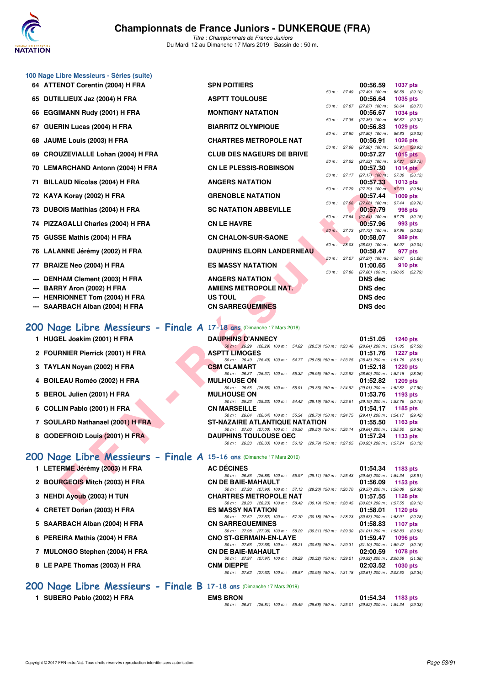

*Titre : Championnats de France Juniors* Du Mardi 12 au Dimanche 17 Mars 2019 - Bassin de : 50 m.

|     | 100 Nage Libre Messieurs - Séries (suite)                             |                                                                                                                         |                                                                           |
|-----|-----------------------------------------------------------------------|-------------------------------------------------------------------------------------------------------------------------|---------------------------------------------------------------------------|
|     | 64 ATTENOT Corentin (2004) H FRA                                      | <b>SPN POITIERS</b>                                                                                                     | 00:56.59<br><b>1037 pts</b>                                               |
|     | 65 DUTILLIEUX Jaz (2004) H FRA                                        | 50 m : 27.49<br><b>ASPTT TOULOUSE</b>                                                                                   | $(27.49)$ 100 m :<br>56.59 (29.10)<br>00:56.64<br>1035 pts                |
| 66  | <b>EGGIMANN Rudy (2001) H FRA</b>                                     | 50 m : 27.87<br><b>MONTIGNY NATATION</b>                                                                                | $(27.87)$ 100 m : 56.64 $(28.77)$<br>00:56.67<br><b>1034 pts</b>          |
|     | 67 GUERIN Lucas (2004) H FRA                                          | 50 m: 27.35<br><b>BIARRITZ OLYMPIQUE</b>                                                                                | $(27.35)$ 100 m :<br>56.67 (29.32)<br>00:56.83<br>1029 pts                |
| 68  | JAUME Louis (2003) H FRA                                              | 50 m : 27.80<br><b>CHARTRES METROPOLE NAT</b>                                                                           | $(27.80)$ 100 m : 56.83 (29.03)<br>00:56.91<br><b>1026 pts</b>            |
| 69  | <b>CROUZEVIALLE Lohan (2004) H FRA</b>                                | 50 m : 27.98<br><b>CLUB DES NAGEURS DE BRIVE</b>                                                                        | (27.98) 100 m: 56.91 (28.93)<br>00:57.27<br><b>1015 pts</b>               |
|     | 70 LEMARCHAND Antonn (2004) H FRA                                     | <b>CN LE PLESSIS-ROBINSON</b>                                                                                           | 50 m : 27.52 (27.52) 100 m : 57.27 (29.75)<br>00:57.30<br><b>1014 pts</b> |
|     | 71 BILLAUD Nicolas (2004) H FRA                                       | <b>ANGERS NATATION</b>                                                                                                  | 50 m: 27.17 (27.17) 100 m: 57.30 (30.13)<br>00:57.33<br><b>1013 pts</b>   |
|     | 72 KAYA Koray (2002) H FRA                                            | 50 m : 27.79<br><b>GRENOBLE NATATION</b>                                                                                | 57.33 (29.54)<br>$(27.79)$ 100 m :<br>00:57.44<br><b>1009 pts</b>         |
| 73  | DUBOIS Matthias (2004) H FRA                                          | 50 m: 27.68<br><b>SC NATATION ABBEVILLE</b>                                                                             | (27.68) 100 m: 57.44 (29.76)<br>00:57.79<br>998 pts                       |
| 74  | PIZZAGALLI Charles (2004) H FRA                                       | 50 m: 27.64<br><b>CN LE HAVRE</b>                                                                                       | $(27.64)$ 100 m : 57.79 $(30.15)$<br>00:57.96<br>993 pts                  |
| 75  | GUSSE Mathis (2004) H FRA                                             | $50 m$ : 27.73<br><b>CN CHALON-SUR-SAONE</b>                                                                            | (27.73) 100 m : 57.96 (30.23)<br>00:58.07<br>989 pts                      |
|     | 76 LALANNE Jérémy (2002) H FRA                                        | 50 m: 28.03<br><b>DAUPHINS ELORN LANDERNEAU</b>                                                                         | $(28.03)$ 100 m : 58.07 $(30.04)$<br>00:58.47<br>977 pts                  |
|     | 77 BRAIZE Neo (2004) H FRA                                            | 50 m : 27.27<br><b>ES MASSY NATATION</b>                                                                                | (27.27) 100 m: 58.47 (31.20)<br>01:00.65<br>910 pts                       |
| --- | DENHAM Clement (2003) H FRA                                           | 50 m : 27.86<br><b>ANGERS NATATION</b>                                                                                  | $(27.86)$ 100 m : 1:00.65 $(32.79)$<br><b>DNS</b> dec                     |
| --- | BARRY Aron (2002) H FRA                                               | <b>AMIENS METROPOLE NAT.</b>                                                                                            | <b>DNS dec</b>                                                            |
|     | <b>HENRIONNET Tom (2004) H FRA</b>                                    | <b>US TOUL</b>                                                                                                          | <b>DNS dec</b>                                                            |
| --- | SAARBACH Alban (2004) H FRA                                           | <b>CN SARREGUEMINES</b>                                                                                                 | <b>DNS dec</b>                                                            |
|     | 200 Nage Libre Messieurs - Finale A 17-18 ans (Dimanche 17 Mars 2019) |                                                                                                                         |                                                                           |
|     | 1 HUGEL Joakim (2001) H FRA                                           | <b>DAUPHINS D'ANNECY</b>                                                                                                | 01:51.05<br><b>1240 pts</b>                                               |
|     | 2 FOURNIER Pierrick (2001) H FRA                                      | 50 m: 26.29 (26.29) 100 m: 54.82 (28.53) 150 m: 1:23.46<br><b>ASPTT LIMOGES</b>                                         | (28.64) 200 m: 1:51.05 (27.59)<br>01:51.76<br><b>1227 pts</b>             |
|     | 3 TAYLAN Noyan (2002) H FRA                                           | 50 m: 26.49 (26.49) 100 m: 54.77 (28.28) 150 m: 1:23.25<br><b>CSM CLAMART</b>                                           | (28.48) 200 m: 1:51.76 (28.51)<br>01:52.18<br><b>1220 pts</b>             |
|     | 4 BOILEAU Roméo (2002) H FRA                                          | 50 m: 26.37 (26.37) 100 m: 55.32 (28.95) 150 m: 1:23.92<br><b>MULHOUSE ON</b>                                           | (28.60) 200 m: 1:52.18 (28.26)<br>01:52.82<br>1209 pts                    |
|     | 5 BEROL Julien (2001) H FRA                                           | 50 m: 26.55 (26.55) 100 m: 55.91 (29.36) 150 m: 1:24.92<br><b>MULHOUSE ON</b>                                           | (29.01) 200 m: 1:52.82 (27.90)<br>01:53.76<br>1193 pts                    |
|     | 6 COLLIN Pablo (2001) H FRA                                           | 50 m: 25.23 (25.23) 100 m: 54.42 (29.19) 150 m: 1:23.61<br><b>CN MARSEILLE</b>                                          | (29.19) 200 m : 1:53.76 (30.15)<br>01:54.17<br>1185 pts                   |
|     | 7 SOULARD Nathanael (2001) H FRA                                      | 50 m: 26.64 (26.64) 100 m: 55.34 (28.70) 150 m: 1:24.75<br>ST-NAZAIRE ATLANTIQUE NATATION                               | (29.41) 200 m: 1:54.17 (29.42)<br>01:55.50<br>1163 pts                    |
|     | 8 GODEFROID Louis (2001) H FRA                                        | 50 m : 27.00 (27.00) 100 m : 56.50 (29.50) 150 m : 1:26.14<br><b>DAUPHINS TOULOUSE OEC</b>                              | (29.64) 200 m: 1:55.50 (29.36)<br>01:57.24<br>1133 pts                    |
|     |                                                                       | 50 m: 26.33 (26.33) 100 m: 56.12 (29.79) 150 m: 1:27.05 (30.93) 200 m: 1:57.24 (30.19)                                  |                                                                           |
|     | 200 Nage Libre Messieurs - Finale A 15-16 ans (Dimanche 17 Mars 2019) |                                                                                                                         |                                                                           |
|     | 1 LETERME Jérémy (2003) H FRA                                         | <b>AC DÉCINES</b>                                                                                                       | 01:54.34<br>1183 pts                                                      |
|     | 2 BOURGEOIS Mitch (2003) H FRA                                        | 50 m: 26.86 (26.86) 100 m: 55.97 (29.11) 150 m: 1:25.43 (29.46) 200 m: 1:54.34 (28.91)<br><b>CN DE BAIE-MAHAULT</b>     | 01:56.09<br>1153 pts                                                      |
|     | 3 NEHDI Ayoub (2003) H TUN                                            | 50 m: 27.90 (27.90) 100 m: 57.13 (29.23) 150 m: 1:26.70 (29.57) 200 m: 1:56.09 (29.39)<br><b>CHARTRES METROPOLE NAT</b> | 01:57.55<br>1128 pts                                                      |
|     |                                                                       | 50 m: 28.23 (28.23) 100 m: 58.42 (30.19) 150 m: 1:28.45 (30.03) 200 m: 1:57.55 (29.10)                                  |                                                                           |

## **[200 Nage Libre Messieurs - Finale A](http://www.ffnatation.fr/webffn/resultats.php?idact=nat&go=epr&idcpt=59271&idepr=53) 17-18 ans** (Dimanche 17 Mars 2019)

- **1 HUGEL Joakim (2001) H FRA**
- **2 FOURNIER Pierrick (2001) H FRA**
- **3 TAYLAN Noyan (2002) H FRA**
- **4 BOILEAU Roméo (2002) H FRA**
- **5 BEROL Julien (2001) H FRA**
- **6 COLLIN Pablo (2001) H FRA**
- **7 SOULARD Nathanael (2001) H FRA**
- **8 GODEFROID Louis (2001) H FRA**
- 
- 
- 
- **3 NEHDI Ayoub (2003) H TUN CHARGE ON STATE OF STATE OF STATE OF STATE OF STATE OF STATE OF STATE OF STATE OF STATE OF STATE OF STATE OF STATE OF STATE OF STATE OF STATE OF STATE OF STATE OF STATE OF STATE OF STATE OF STAT**
- 
- 5 SAARBACH Alban (2004) H FRA C
- 
- 7 MULONGO Stephen (2004) H FRA
- **8 LE PAPE Thomas (2003) H FRA**

**[200 Nage Libre Messieurs - Finale B](http://www.ffnatation.fr/webffn/resultats.php?idact=nat&go=epr&idcpt=59271&idepr=53) 17-18 ans** (Dimanche 17 Mars 2019)

**1 SUBERO Pablo (2002) H FRA EMS BRON 01:54.34 1183 pts**

| <b>DAUPHINS D'ANNECY</b>              |  |                                                         |  |  | 01:51.05 1240 pts                                                                      |  |
|---------------------------------------|--|---------------------------------------------------------|--|--|----------------------------------------------------------------------------------------|--|
|                                       |  |                                                         |  |  | 50 m: 26.29 (26.29) 100 m: 54.82 (28.53) 150 m: 1.23.46 (28.64) 200 m: 1.51.05 (27.59  |  |
| <b>ASPTT LIMOGES</b>                  |  |                                                         |  |  | $01:51.76$ 1227 pts                                                                    |  |
|                                       |  |                                                         |  |  | 50 m: 26.49 (26.49) 100 m: 54.77 (28.28) 150 m: 1.23.25 (28.48) 200 m: 1.51.76 (28.51  |  |
| <b>CSM CLAMART</b>                    |  |                                                         |  |  | $01:52.18$ 1220 pts                                                                    |  |
|                                       |  | 50 m: 26.37 (26.37) 100 m: 55.32 (28.95) 150 m: 1:23.92 |  |  | (28.60) 200 m : 1:52.18 (28.26)                                                        |  |
| <b>MULHOUSE ON</b>                    |  |                                                         |  |  | $01:52.82$ 1209 pts                                                                    |  |
|                                       |  |                                                         |  |  | 50 m: 26.55 (26.55) 100 m: 55.91 (29.36) 150 m: 1.24.92 (29.01) 200 m: 1.52.82 (27.90  |  |
| <b>MULHOUSE ON</b>                    |  |                                                         |  |  | $01:53.76$ 1193 pts                                                                    |  |
|                                       |  |                                                         |  |  | 50 m: 25.23 (25.23) 100 m: 54.42 (29.19) 150 m: 1:23.61 (29.19) 200 m: 1:53.76 (30.15  |  |
| <b>CN MARSEILLE</b>                   |  |                                                         |  |  | $01:54.17$ 1185 pts                                                                    |  |
|                                       |  |                                                         |  |  | 50 m: 26.64 (26.64) 100 m: 55.34 (28.70) 150 m: 1:24.75 (29.41) 200 m: 1:54.17 (29.42) |  |
| <b>ST-NAZAIRE ATLANTIQUE NATATION</b> |  |                                                         |  |  | $01:55.50$ 1163 pts                                                                    |  |
|                                       |  | 50 m: 27.00 (27.00) 100 m: 56.50 (29.50) 150 m: 1:26.14 |  |  | (29.64) 200 m: 1:55.50 (29.36)                                                         |  |
| <b>DAUPHINS TOULOUSE OEC</b>          |  |                                                         |  |  | $01:57.24$ 1133 pts                                                                    |  |
|                                       |  |                                                         |  |  | 50 m: 26.33 (26.33) 100 m: 56.12 (29.79) 150 m: 1:27.05 (30.93) 200 m: 1:57.24 (30.19  |  |

## **[200 Nage Libre Messieurs - Finale A](http://www.ffnatation.fr/webffn/resultats.php?idact=nat&go=epr&idcpt=59271&idepr=53) 15-16 ans** (Dimanche 17 Mars 2019)

| 1 LETERME Jérémy (2003) H FRA         | <b>AC DÉCINES</b>                                                                          | $01:54.34$ 1183 pts                 |
|---------------------------------------|--------------------------------------------------------------------------------------------|-------------------------------------|
|                                       | (26.86) 100 m: 55.97 (29.11) 150 m: 1:25.43 (29.46) 200 m: 1:54.34 (28.91)<br>50 m : 26.86 |                                     |
| 2 BOURGEOIS Mitch (2003) H FRA        | <b>CN DE BAIE-MAHAULT</b>                                                                  | $01:56.09$ 1153 pts                 |
|                                       | 50 m: 27.90 (27.90) 100 m: 57.13 (29.23) 150 m: 1:26.70 (29.57) 200 m: 1:56.09 (29.39)     |                                     |
| 3 NEHDI Ayoub (2003) H TUN            | <b>CHARTRES METROPOLE NAT</b>                                                              | 01:57.55 1128 pts                   |
|                                       | 50 m: 28.23 (28.23) 100 m: 58.42 (30.19) 150 m: 1:28.45 (30.03) 200 m: 1:57.55 (29.10)     |                                     |
| 4 CRETET Dorian (2003) H FRA          | <b>ES MASSY NATATION</b>                                                                   | 01:58.01 1120 pts                   |
|                                       | 50 m: 27.52 (27.52) 100 m: 57.70 (30.18) 150 m: 1:28.23                                    | $(30.53)$ 200 m : 1:58.01 $(29.78)$ |
| 5 SAARBACH Alban (2004) H FRA         | <b>CN SARREGUEMINES</b>                                                                    | 01:58.83 1107 pts                   |
|                                       | 50 m: 27.98 (27.98) 100 m: 58.29 (30.31) 150 m: 1:29.30 (31.01) 200 m: 1:58.83 (29.53)     |                                     |
| <b>G. DEDEIDA Mothie (2004) H EDA</b> | CNO ST CEDMAIN ENJI AVE                                                                    | $01.50.47 - 1006$ nto               |

| 6 PEREIRA Mathis (2004) H FRA  | <b>CNO ST-GERMAIN-EN-LAYE</b>                                                             | 01:59.47 | 1096 pts            |
|--------------------------------|-------------------------------------------------------------------------------------------|----------|---------------------|
|                                | 50 m : 27.66 (27.66) 100 m : 58.21 (30.55) 150 m : 1:29.31 (31.10) 200 m : 1:59.47 (30.16 |          |                     |
| 7 MULONGO Stephen (2004) H FRA | <b>CN DE BAIE-MAHAULT</b>                                                                 |          | 02:00.59 1078 pts   |
|                                | 50 m : 27.97 (27.97) 100 m : 58.29 (30.32) 150 m : 1:29.21 (30.92) 200 m : 2:00.59 (31.38 |          |                     |
| 8 LE PAPE Thomas (2003) H FRA  | <b>CNM DIEPPE</b>                                                                         |          | $02:03.52$ 1030 pts |
|                                | 50 m: 27.62 (27.62) 100 m: 58.57 (30.95) 150 m: 1:31.18 (32.61) 200 m: 2:03.52 (32.34     |          |                     |

| BRON |  |  |  |  | $01:54.34$ 1183 pts                                                                        |  |
|------|--|--|--|--|--------------------------------------------------------------------------------------------|--|
|      |  |  |  |  | 50 m : 26.81 (26.81) 100 m : 55.49 (28.68) 150 m : 1:25.01 (29.52) 200 m : 1:54.34 (29.33) |  |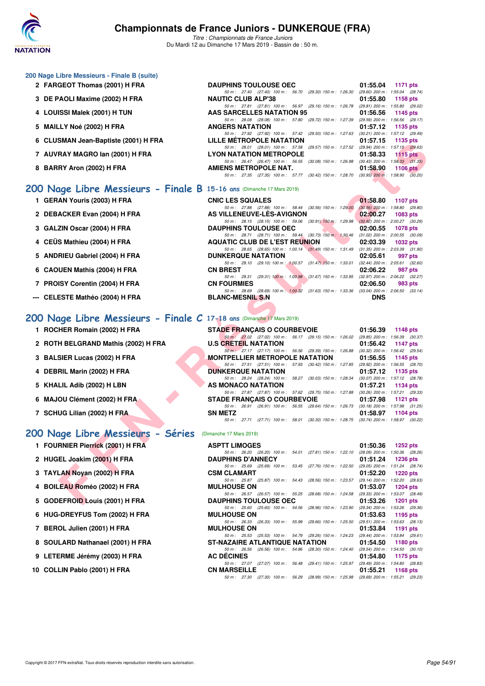

*Titre : Championnats de France Juniors* Du Mardi 12 au Dimanche 17 Mars 2019 - Bassin de : 50 m.

| 200 Nage Libre Messieurs - Finale B (suite)                           |                                                                                            |                                     |
|-----------------------------------------------------------------------|--------------------------------------------------------------------------------------------|-------------------------------------|
| 2 FARGEOT Thomas (2001) H FRA                                         | <b>DAUPHINS TOULOUSE OEC</b>                                                               | 01:55.04<br>1171 $pts$              |
|                                                                       | 50 m: 27.40 (27.40) 100 m: 56.70 (29.30) 150 m: 1:26.30                                    | $(29.60)$ 200 m : 1:55.04 $(28.74)$ |
| 3 DE PAOLI Maxime (2002) H FRA                                        | <b>NAUTIC CLUB ALP'38</b>                                                                  | 01:55.80<br>1158 $pts$              |
|                                                                       | 50 m: 27.81 (27.81) 100 m: 56.97 (29.16) 150 m: 1:26.78                                    | (29.81) 200 m: 1:55.80 (29.02)      |
| 4 LOUISSI Malek (2001) H TUN                                          | AAS SARCELLES NATATION 95                                                                  | 01:56.56<br>1145 pts                |
|                                                                       | 50 m: 28.08 (28.08) 100 m: 57.80 (29.72) 150 m: 1:27.39                                    | (29.59) 200 m : 1:56.56 (29.17)     |
| 5 MAILLY Noé (2002) H FRA                                             | <b>ANGERS NATATION</b>                                                                     | 01:57.12<br>1135 pts                |
|                                                                       | 50 m: 27.92 (27.92) 100 m: 57.42 (29.50) 150 m: 1:27.63                                    | (30.21) 200 m: 1:57.12 (29.49)      |
| 6 CLUSMAN Jean-Baptiste (2001) H FRA                                  | LILLE MÉTROPOLE NATATION                                                                   | 01:57.15<br>1135 pts                |
|                                                                       | 50 m: 28.01 (28.01) 100 m: 57.58 (29.57) 150 m: 1:27.52                                    | (29.94) 200 m : 1:57.15 (29.63)     |
| 7 AUVRAY MAGRO Ian (2001) H FRA                                       | <b>LYON NATATION METROPOLE</b>                                                             | 01:58.33<br>$1115$ pts              |
|                                                                       | 50 m: 26.47 (26.47) 100 m: 56.55<br>(30.08) 150 m : 1:26.98                                | $(30.43)$ 200 m : 1:58.33 $(31.35)$ |
| 8 BARRY Aron (2002) H FRA                                             | AMIENS METROPOLE NAT.                                                                      | 01:58.90<br>$1106$ pts              |
|                                                                       | 50 m : 27.35 (27.35) 100 m : 57.77 (30.42) 150 m : 1:28.70 (30.93) 200 m : 1:58.90 (30.20) |                                     |
|                                                                       |                                                                                            |                                     |
| 200 Nage Libre Messieurs - Finale B 15-16 ans (Dimanche 17 Mars 2019) |                                                                                            |                                     |
|                                                                       |                                                                                            |                                     |

- **1 GERAN Youris (2003) H FRA** CNIC LES SQUALES CONIC 27.88 (27.88) 100 m : 58.44 (30.56) 150 m : 1:29.00 (30.56) 200 m : 1:58.80 (29.80)
- **2 DEBACKER Evan (2004) H FRA AS VILLENEUVE-LÈS-AVIGNON 02:00.27 1083 pts**<br>
50 m 28.15 (28.15) 100 m 59.06 (30.91) 150 m 1 2.29.98 (30.92) 200 m 2.00.27 (30.29)
- **3 GALZIN Oscar (2004) H FRA DAUPHINS TOULOUSE OEC 02:00.55 1078 pts**<br> **50 m:** 28.71 (28.71) 100 m: 59.44 (30.73) 150 m: 1.30.46 (31.02) 200 m: 2.00.55 (30.09)
- **4 CEÜS Mathieu (2004) H FRA AQUATIC CLUB DE L'EST REUNION 02:03.39 1032 pts**
- **5 ANDRIEU Gabriel (2004) H FRA DUNKERQUE NATATION 02:05.61 997 pts**
- **6 CAOUEN Mathis (2004) H FRA CN BREST CON BREST 02:06.22 987 pts**<br>  $\frac{50 \text{ m}}{29.31}$   $\frac{29.31}{100 \text{ m}}$ ;  $\frac{100.98}{31.67}$   $\frac{157}{150 \text{ m}}$ ;  $\frac{133.95}{32.87}$   $\frac{32.27}{200 \text{ m}}$ ;  $\frac{206.22}{32.2}$   $\frac{32.2}{$
- 
- --- CELESTE Mathéo (2004) H FRA

## **[200 Nage Libre Messieurs - Finale C](http://www.ffnatation.fr/webffn/resultats.php?idact=nat&go=epr&idcpt=59271&idepr=53) 17-18 ans** (Dimanche 17 Mars 2019)

- 
- 
- 
- 
- 
- 
- **7 SCHUG Lilian (2002) H FRA SN METZ 01:58.97 1104 pts**

## **[200 Nage Libre Messieurs - Séries](http://www.ffnatation.fr/webffn/resultats.php?idact=nat&go=epr&idcpt=59271&idepr=53)** (Dimanche 17 Mars 2019)

- **1 FOURNIER Pierrick (2001) H FRA**
- **2 HUGEL Joakim (2001) H FRA**
- **3 TAYLAN Noyan (2002) H FRA**
- **4 BOILEAU Roméo (2002) H FRA**
- **5 GODEFROID Louis (2001) H FRA**
- **6 HUG-DREYFUS Tom (2002) H FRA**
- **7 BEROL Julien (2001) H FRA**
- 8 SOULARD Nathanael (2001) H FRA
- **9 LETERME Jérémy (2003) H FRA**
- **10 COLLIN Pablo (2001) H FRA**
- **FRANCISCO MATERIZACIONS ANTENER ENTERNADO DE CARLA CONSERVACIONAL ENTERNADO DE CARLA CONSERVACIONAL ENTERNADO DE CARLA CONSERVACIONAL ENTERNADO DE CARLA CONSERVACIONAL ENTERNADO DE CARLA CONSERVACIONAL ENTERNADO DE CARLA** *50 m : 29.31 (29.31) 100 m : 1:00.98 (31.67) 150 m : 1:33.95 (32.97) 200 m : 2:06.22 (32.27)* **7 PROISY Corentin (2004) H FRA CN FOURMIES 02:06.50 983 pts** *50 m : 28.69 (28.69) 100 m : 1:00.32 (31.63) 150 m : 1:33.36 (33.04) 200 m : 2:06.50 (33.14)*<br>**BLANC-MESNIL S.N DNS 1 ROCHER Romain (2002) H FRA** STADE FRANÇAIS O COURBEVOIE 01:56.39 **1148 pts**<br>50.08 **1148 pts**  $\frac{176.39}{200 \times 27.02}$   $\frac{176.32}{100 \times 27.02}$   $\frac{176.7}{100 \times 156.32}$   $\frac{176.39}{(23.51 \times 150 \times 156.02)}$   $\frac{(29.851 \times 200$ *(27.02) 100 m : 56.17 (29.15) 150 m : 1:26.02 (29.85) 200 m : 1:56.39 (30.37)*<br>**JATATION** 01:56.42 1147 pts **2 ROTH BELGRAND Mathis (2002) H FRA U.S CRETEIL NATATION 01:56.42** *50 m : 27.17 (27.17) 100 m : 56.56 (29.39) 150 m : 1:26.88 (30.32) 200 m : 1:56.42 (29.54)*<br>**TPELLIER METROPOLE NATATION** 01:56.55 1145 pts **3 BALSIER Lucas (2002) H FRA MONTPELLIER METROPOLE NATATION 01:56.55** *50 m : 27.51 (27.51) 100 m : 57.93 (30.42) 150 m : 1:27.85 (29.92) 200 m : 1:56.55 (28.70)*<br>**DUNKERQUE NATATION** 01:57.12 1135 pts **4 DEBRIL Marin (2002) H FRA DUNKERQUE NATATION 01:57.12** *50 m : 28.24 (28.24) 100 m : 58.27 (30.03) 150 m : 1:28.34 (30.07) 200 m : 1:57.12 (28.78)* **5 KHALIL Adib (2002) H LBN AS MONACO NATATION 01:57.21 1134 pts** *50 m : 27.87 (27.87) 100 m : 57.62 (29.75) 150 m : 1:27.88 (30.26) 200 m : 1:57.21 (29.33)* **6 MAJOU Clément (2002) H FRA STADE FRANÇAIS O COURBEVOIE 01:57.98 1121 pts**

*50 m : 26.91 (26.91) 100 m : 56.55 (29.64) 150 m : 1:26.73 (30.18) 200 m : 1:57.98 (31.25)*

*50 m : 27.71 (27.71) 100 m : 58.01 (30.30) 150 m : 1:28.75 (30.74) 200 m : 1:58.97 (30.22)*

*50 m : 28.71 (28.71) 100 m : 59.44 (30.73) 150 m : 1:30.46 (31.02) 200 m : 2:00.55 (30.09)*

*50 m : 29.10 (29.10) 100 m : 1:00.57 (31.47) 150 m : 1:33.01 (32.44) 200 m : 2:05.61 (32.60)*

*50 m : 28.65 (28.65) 100 m : 1:00.14* (31.49) 150 m : 1:31.49 (31.35) 200 m : 2:03.39 (31.90)<br>**DUNKERQUE NATATION** 02:05.61 997 pts

*50 m : 27.88 (27.88) 100 m : 58.44 (30.56) 150 m : 1:29.00 (30.56) 200 m : 1:58.80 (29.80)*

*50 m : 28.15 (28.15) 100 m : 59.06 (30.91) 150 m : 1:29.98* 

| <b>ASPTT LIMOGES</b>           |                                                                                        |  | $01:50.36$ 1252 pts            |  |
|--------------------------------|----------------------------------------------------------------------------------------|--|--------------------------------|--|
|                                | 50 m: 26.20 (26.20) 100 m: 54.01 (27.81) 150 m: 1:22.10 (28.09) 200 m: 1:50.36 (28.26, |  |                                |  |
| <b>DAUPHINS D'ANNECY</b>       |                                                                                        |  | $01:51.24$ 1236 pts            |  |
|                                | 50 m: 25.69 (25.69) 100 m: 53.45 (27.76) 150 m: 1:22.50                                |  | (29.05) 200 m: 1:51.24 (28.74) |  |
| <b>CSM CLAMART</b>             |                                                                                        |  | $01:52.20$ 1220 pts            |  |
|                                | 50 m: 25.87 (25.87) 100 m: 54.43 (28.56) 150 m: 1:23.57 (29.14) 200 m: 1:52.20 (28.63) |  |                                |  |
| <b>MULHOUSE ON</b>             |                                                                                        |  | 01:53.07 1204 pts              |  |
|                                | 50 m: 26.57 (26.57) 100 m: 55.25 (28.68) 150 m: 1:24.58 (29.33) 200 m: 1:53.07 (28.49) |  |                                |  |
| <b>DAUPHINS TOULOUSE OEC</b>   |                                                                                        |  | $01:53.26$ 1201 pts            |  |
|                                | 50 m: 25.60 (25.60) 100 m: 54.56 (28.96) 150 m: 1:23.90 (29.34) 200 m: 1:53.26 (29.36) |  |                                |  |
| <b>MULHOUSE ON</b>             |                                                                                        |  | $01:53.63$ 1195 pts            |  |
|                                | 50 m: 26.33 (26.33) 100 m: 55.99 (29.66) 150 m: 1:25.50 (29.51) 200 m: 1:53.63 (28.13, |  |                                |  |
| <b>MULHOUSE ON</b>             |                                                                                        |  | 01:53.84 1191 pts              |  |
|                                | 50 m: 25.53 (25.53) 100 m: 54.79 (29.26) 150 m: 1:24.23 (29.44) 200 m: 1:53.84 (29.61, |  |                                |  |
| ST-NAZAIRE ATLANTIQUE NATATION |                                                                                        |  | 01:54.50 1180 pts              |  |
|                                | 50 m: 26.56 (26.56) 100 m: 54.86 (28.30) 150 m: 1:24.40 (29.54) 200 m: 1:54.50 (30.10) |  |                                |  |
| <b>AC DÉCINES</b>              |                                                                                        |  | 01:54.80 1175 pts              |  |
|                                | 50 m: 27.07 (27.07) 100 m: 56.48 (29.41) 150 m: 1:25.97 (29.49) 200 m: 1:54.80 (28.83, |  |                                |  |
| <b>CN MARSEILLE</b>            |                                                                                        |  | $01:55.21$ 1168 pts            |  |
|                                | 50 m: 27.30 (27.30) 100 m: 56.29 (28.99) 150 m: 1:25.98 (29.69) 200 m: 1:55.21 (29.23) |  |                                |  |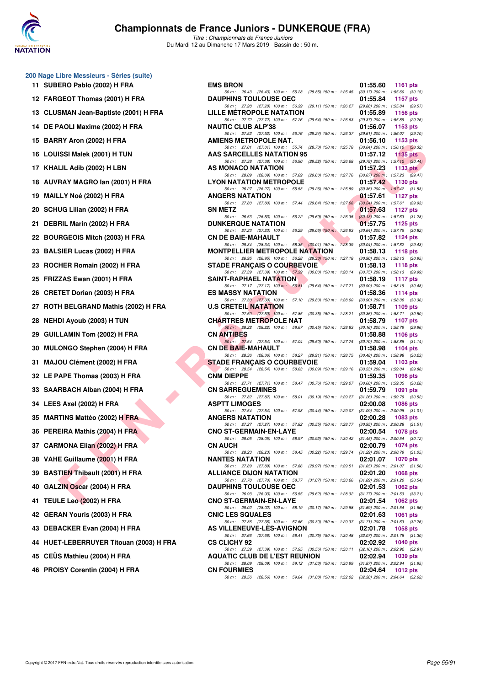

| 11. | 200 Nage Libre Messieurs - Séries (suite)<br>SUBERO Pablo (2002) H FRA | E |
|-----|------------------------------------------------------------------------|---|
|     | 12 FARGEOT Thomas (2001) H FRA                                         | L |
|     | 13 CLUSMAN Jean-Baptiste (2001) H FRA                                  | L |
|     | 14 DE PAOLI Maxime (2002) H FRA                                        | ľ |
| 15  | BARRY Aron (2002) H FRA                                                |   |
|     | 16 LOUISSI Malek (2001) H TUN                                          | I |
|     | 17 KHALIL Adib (2002) H LBN                                            |   |
|     | 18 AUVRAY MAGRO lan (2001) H FRA                                       | L |
|     | 19 MAILLY Noé (2002) H FRA                                             | I |
|     | 20 SCHUG Lilian (2002) H FRA                                           | s |
| 21  | DEBRIL Marin (2002) H FRA                                              | I |
|     | 22 BOURGEOIS Mitch (2003) H FRA                                        | C |
|     | 23 BALSIER Lucas (2002) H FRA                                          | ľ |
|     | 23 ROCHER Romain (2002) H FRA                                          | s |
|     | 25 FRIZZAS Ewan (2001) H FRA                                           | š |
|     | 26 CRETET Dorian (2003) H FRA                                          | E |
|     | 27 ROTH BELGRAND Mathis (2002) H FRA                                   | ι |
|     | 28 NEHDI Ayoub (2003) H TUN                                            | C |
|     | 29 GUILLAMIN Tom (2002) H FRA                                          | C |
|     | 30 MULONGO Stephen (2004) H FRA                                        | C |
|     | 31 MAJOU Clément (2002) H FRA                                          | ś |
|     | 32 LE PAPE Thomas (2003) H FRA                                         | C |
|     | 33 SAARBACH Alban (2004) H FRA                                         | C |
|     | 34 LEES Axel (2002) H FRA                                              | ı |
|     | 35 MARTINS Mattéo (2002) H FRA                                         | I |
|     | 36 PEREIRA Mathis (2004) H FRA                                         | C |
|     | 37 CARMONA Elian (2002) H FRA                                          | C |
|     | 38 VAHE Guillaume (2001) H FRA                                         | ľ |
|     | 39 BASTIEN Thibault (2001) H FRA                                       |   |
|     | 40 GALZIN Oscar (2004) H FRA                                           | I |
|     | 41 TEULE Leo (2002) H FRA                                              |   |
|     | 42 GERAN Youris (2003) H FRA                                           |   |
|     | 43 DEBACKER Evan (2004) H FRA                                          |   |
|     | 44 HUET-LEBERRUYER Titouan (2003) H FRA                                | C |
|     | 45 CEÜS Mathieu (2004) H FRA                                           |   |
|     | 46 PROISY Corentin (2004) H FRA                                        | C |

| $5.1005$ $\mu$ mass $\mu$ models and $\mu$ |                                                                                                                                 |                             |
|--------------------------------------------|---------------------------------------------------------------------------------------------------------------------------------|-----------------------------|
| 11 SUBERO Pablo (2002) H FRA               | <b>EMS BRON</b>                                                                                                                 | 01:55.60<br>1161 pts        |
| 12 FARGEOT Thomas (2001) H FRA             | 50 m: 26.43 (26.43) 100 m: 55.28 (28.85) 150 m: 1:25.45 (30.17) 200 m: 1:55.60 (30.15)<br><b>DAUPHINS TOULOUSE OEC</b>          | 01:55.84<br>1157 $pts$      |
| 13   CLUSMAN Jean-Baptiste (2001) H FRA    | 50 m: 27.28 (27.28) 100 m: 56.39 (29.11) 150 m: 1:26.27 (29.88) 200 m: 1:55.84 (29.57)<br>LILLE METROPOLE NATATION              | 01:55.89<br>1156 pts        |
| 14 DE PAOLI Maxime (2002) H FRA            | 50 m: 27.72 (27.72) 100 m: 57.26 (29.54) 150 m: 1:26.63 (29.37) 200 m: 1:55.89 (29.26)<br><b>NAUTIC CLUB ALP'38</b>             | 01:56.07<br>$1153$ pts      |
| 15 BARRY Aron (2002) H FRA                 | 50 m: 27.52 (27.52) 100 m: 56.76 (29.24) 150 m: 1:26.37 (29.61) 200 m: 1:56.07 (29.70)<br>AMIENS METROPOLE NAT.                 | 01:56.10<br>1153 $pts$      |
| 16 LOUISSI Malek (2001) H TUN              | 50 m: 27.01 (27.01) 100 m: 55.74 (28.73) 150 m: 1:25.78 (30.04) 200 m: 1:56.10 (30.32)<br>AAS SARCELLES NATATION 95             | 01:57.12<br>1135 pts        |
| 17 KHALIL Adib (2002) H LBN                | 50 m: 27.38 (27.38) 100 m: 56.90 (29.52) 150 m: 1:26.68 (29.78) 200 m: 1:57.12 (30.44)<br>AS MONACO NATATION                    | 01:57.23<br>1133 $pts2$     |
| 18 AUVRAY MAGRO lan (2001) H FRA           | 50 m: 28.09 (28.09) 100 m: 57.69 (29.60) 150 m: 1:27.76 (30.07) 200 m: 1:57.23 (29.47)<br><b>LYON NATATION METROPOLE</b>        | $01:57.42$ 1130 pts         |
| 19 MAILLY Noé (2002) H FRA                 | 50 m : 26.27 (26.27) 100 m : 55.53 (29.26) 150 m : 1:25.89 (30.36) 200 m : 1:57.42 (31.53)<br><b>ANGERS NATATION</b>            | 01:57.61<br>1127 pts        |
| 20 SCHUG Lilian (2002) H FRA               | 50 m: 27.80 (27.80) 100 m: 57.44 (29.64) 150 m: 1:27.68 (30.24) 200 m: 1:57.61 (29.93)<br><b>SN METZ</b>                        | 01:57.63<br>1127 pts        |
| 21 DEBRIL Marin (2002) H FRA               | 50 m: 26.53 (26.53) 100 m: 56.22 (29.69) 150 m: 1:26.35 (30.13) 200 m: 1:57.63 (31.28)<br><b>DUNKERQUE NATATION</b>             | 01:57.75<br>1125 pts        |
| 22 BOURGEOIS Mitch (2003) H FRA            | 50 m: 27.23 (27.23) 100 m: 56.29 (29.06) 150 m: 1:26.93 (30.64) 200 m: 1:57.75 (30.82)<br><b>CN DE BAIE-MAHAULT</b>             | 01:57.82<br>1124 pts        |
| 23 BALSIER Lucas (2002) H FRA              | 50 m: 28.34 (28.34) 100 m: 58.35 (30.01) 150 m: 1:28.39 (30.04) 200 m: 1:57.82 (29.43)<br><b>MONTPELLIER METROPOLE NATATION</b> | 01:58.13<br>1118 pts        |
| 23 ROCHER Romain (2002) H FRA              | 50 m: 26.95 (26.95) 100 m: 56.28 (29.33) 150 m: 1:27.18 (30.90) 200 m: 1:58.13 (30.95)<br><b>STADE FRANÇAIS O COURBEVOIE</b>    | 01:58.13<br>1118 pts        |
| 25 FRIZZAS Ewan (2001) H FRA               | 50 m: 27.39 (27.39) 100 m: 57.39 (30.00) 150 m: 1:28.14 (30.75) 200 m: 1:58.13 (29.99)<br>SAINT-RAPHAEL NATATION                | 01:58.19<br>1117 pts        |
| 26 CRETET Dorian (2003) H FRA              | 50 m: 27.17 (27.17) 100 m: 56.81 (29.64) 150 m: 1:27.71 (30.90) 200 m: 1:58.19 (30.48)<br><b>ES MASSY NATATION</b>              | 01:58.36<br>1114 pts        |
| 27 ROTH BELGRAND Mathis (2002) H FRA       | 50 m: 27.30 (27.30) 100 m: 57.10 (29.80) 150 m: 1:28.00 (30.90) 200 m: 1:58.36 (30.36)<br><b>U.S CRETEIL NATATION</b>           | 01:58.71<br>1109 pts        |
| 28 NEHDI Ayoub (2003) H TUN                | 50 m: 27.50 (27.50) 100 m: 57.85 (30.35) 150 m: 1:28.21 (30.36) 200 m: 1:58.71 (30.50)<br><b>CHARTRES METROPOLE NAT</b>         | 01:58.79<br>1107 pts        |
| 29 GUILLAMIN Tom (2002) H FRA              | 50 m: 28.22 (28.22) 100 m: 58.67 (30.45) 150 m: 1:28.83 (30.16) 200 m: 1:58.79 (29.96)<br><b>CN ANTIBES</b>                     | 01:58.88<br>1106 pts        |
| 30 MULONGO Stephen (2004) H FRA            | 50 m: 27.54 (27.54) 100 m: 57.04 (29.50) 150 m: 1:27.74 (30.70) 200 m: 1:58.88 (31.14)<br><b>CN DE BAIE-MAHAULT</b>             | 01:58.98<br>1104 pts        |
| 31 MAJOU Clément (2002) H FRA              | 50 m: 28.36 (28.36) 100 m: 58.27 (29.91) 150 m: 1:28.75 (30.48) 200 m: 1:58.98 (30.23)<br><b>STADE FRANÇAIS O COURBEVOIE</b>    | 01:59.04<br>1103 $pts$      |
| 32 LE PAPE Thomas (2003) H FRA             | 50 m: 28.54 (28.54) 100 m: 58.63 (30.09) 150 m: 1:29.16 (30.53) 200 m: 1:59.04 (29.88)<br><b>CNM DIEPPE</b>                     | 01:59.35<br>1098 pts        |
| 33 SAARBACH Alban (2004) H FRA             | 50 m: 27.71 (27.71) 100 m: 58.47 (30.76) 150 m: 1:29.07 (30.60) 200 m: 1:59.35 (30.28)<br><b>CN SARREGUEMINES</b>               | 01:59.79<br>1091 pts        |
| 34   LEES Axel (2002) H FRA                | 50 m: 27.82 (27.82) 100 m: 58.01 (30.19) 150 m: 1:29.27 (31.26) 200 m: 1:59.79 (30.52)<br><b>ASPTT LIMOGES</b>                  | 02:00.08<br>1086 pts        |
| 35 MARTINS Mattéo (2002) H FRA             | 50 m: 27.54 (27.54) 100 m: 57.98 (30.44) 150 m: 1:29.07 (31.09) 200 m: 2:00.08 (31.01)<br><b>ANGERS NATATION</b>                | 02:00.28<br>1083 pts        |
| 36 PEREIRA Mathis (2004) H FRA             | 50 m: 27.27 (27.27) 100 m: 57.82 (30.55) 150 m: 1:28.77 (30.95) 200 m: 2:00.28 (31.51)<br><b>CNO ST-GERMAIN-EN-LAYE</b>         | 02:00.54<br>1078 pts        |
| 37 CARMONA Elian (2002) H FRA              | 50 m: 28.05 (28.05) 100 m: 58.97 (30.92) 150 m: 1:30.42 (31.45) 200 m: 2:00.54 (30.12)<br><b>CN AUCH</b>                        | 02:00.79<br><b>1074 pts</b> |
|                                            | 50 m: 28.23 (28.23) 100 m: 58.45 (30.22) 150 m: 1:29.74 (31.29) 200 m: 2:00.79 (31.05)                                          |                             |
| 38 VAHE Guillaume (2001) H FRA             | <b>NANTES NATATION</b><br>50 m: 27.89 (27.89) 100 m: 57.86 (29.97) 150 m: 1:29.51 (31.65) 200 m: 2:01.07 (31.56)                | 02:01.07<br><b>1070 pts</b> |
| 39 BASTIEN Thibault (2001) H FRA           | ALLIANCE DIJON NATATION<br>50 m: 27.70 (27.70) 100 m: 58.77 (31.07) 150 m: 1:30.66 (31.89) 200 m: 2:01.20 (30.54)               | 02:01.20<br>1068 pts        |
| 40 GALZIN Oscar (2004) H FRA               | <b>DAUPHINS TOULOUSE OEC</b><br>50 m: 26.93 (26.93) 100 m: 56.55 (29.62) 150 m: 1:28.32 (31.77) 200 m: 2:01.53 (33.21)          | 02:01.53<br>1062 pts        |
| 41 TEULE Leo (2002) H FRA                  | <b>CNO ST-GERMAIN-EN-LAYE</b>                                                                                                   | 02:01.54<br><b>1062 pts</b> |
| 42 GERAN Youris (2003) H FRA               | 50 m: 28.02 (28.02) 100 m: 58.19 (30.17) 150 m: 1:29.88 (31.69) 200 m: 2:01.54 (31.66)<br><b>CNIC LES SQUALES</b>               | 02:01.63<br><b>1061 pts</b> |
| 43 DEBACKER Evan (2004) H FRA              | 50 m: 27.36 (27.36) 100 m: 57.66 (30.30) 150 m: 1:29.37 (31.71) 200 m: 2:01.63 (32.26)<br>AS VILLENEUVE-LES-AVIGNON             | 02:01.78<br>1058 pts        |
| 44 HUET-LEBERRUYER Titouan (2003) H FRA    | 50 m: 27.66 (27.66) 100 m: 58.41 (30.75) 150 m: 1:30.48 (32.07) 200 m: 2:01.78 (31.30)<br><b>CS CLICHY 92</b>                   | 02:02.92<br>1040 pts        |
| 45   CEÜS Mathieu (2004) H FRA             | 50 m: 27.39 (27.39) 100 m: 57.95 (30.56) 150 m: 1:30.11 (32.16) 200 m: 2:02.92 (32.81)<br><b>AQUATIC CLUB DE L'EST REUNION</b>  | 02:02.94<br>1039 pts        |
| 46 PROISY Corentin (2004) H FRA            | 50 m: 28.09 (28.09) 100 m: 59.12 (31.03) 150 m: 1:30.99 (31.87) 200 m: 2:02.94 (31.95)<br><b>CN FOURMIES</b>                    | 02:04.64<br>1012 pts        |
|                                            | 50 m: 28.56 (28.56) 100 m: 59.64 (31.08) 150 m: 1:32.02 (32.38) 200 m: 2:04.64 (32.62)                                          |                             |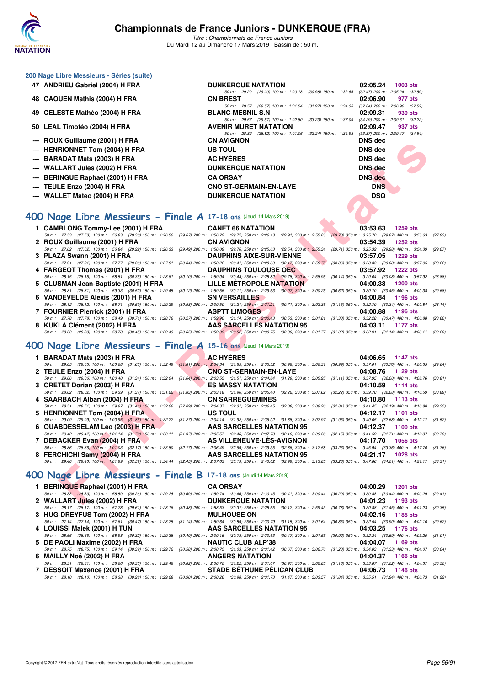

*Titre : Championnats de France Juniors* Du Mardi 12 au Dimanche 17 Mars 2019 - Bassin de : 50 m.

| 200 Nage Libre Messieurs - Séries (suite)                                                                                                                                                                                          |                                                                                          |                                                                                        |
|------------------------------------------------------------------------------------------------------------------------------------------------------------------------------------------------------------------------------------|------------------------------------------------------------------------------------------|----------------------------------------------------------------------------------------|
| 47 ANDRIEU Gabriel (2004) H FRA                                                                                                                                                                                                    | <b>DUNKERQUE NATATION</b>                                                                | 02:05.24<br>1003 pts                                                                   |
|                                                                                                                                                                                                                                    | 50 m: 29.20 (29.20) 100 m: 1:00.18 (30.98) 150 m: 1:32.65 (32.47) 200 m: 2:05.24 (32.59) |                                                                                        |
| 48 CAOUEN Mathis (2004) H FRA                                                                                                                                                                                                      | <b>CN BREST</b>                                                                          | 02:06.90<br>977 pts                                                                    |
| 49 CELESTE Mathéo (2004) H FRA                                                                                                                                                                                                     | 50 m: 29.57 (29.57) 100 m: 1:01.54 (31.97) 150 m: 1:34.38<br><b>BLANC-MESNIL S.N</b>     | $(32.84)$ 200 m : $2.06.90$ $(32.52)$<br>02:09.31<br>939 pts                           |
|                                                                                                                                                                                                                                    | 50 m: 29.57 (29.57) 100 m: 1:02.80 (33.23) 150 m: 1:37.09                                | $(34.29)$ 200 m : 2:09.31 $(32.22)$                                                    |
| 50 LEAL Timotéo (2004) H FRA                                                                                                                                                                                                       | <b>AVENIR MURET NATATION</b>                                                             | 02:09.47<br>937 pts                                                                    |
|                                                                                                                                                                                                                                    | 50 m : 28.82 (28.82) 100 m : 1:01.06 (32.24) 150 m : 1:34.93                             | $(33.87)$ 200 m : 2:09.47 $(34.54)$                                                    |
| --- ROUX Guillaume (2001) H FRA                                                                                                                                                                                                    | <b>CN AVIGNON</b>                                                                        | <b>DNS</b> dec                                                                         |
| --- HENRIONNET Tom (2004) H FRA                                                                                                                                                                                                    | US TOUL                                                                                  | <b>DNS</b> dec                                                                         |
| <b>BARADAT Mats (2003) H FRA</b>                                                                                                                                                                                                   | <b>AC HYÈRES</b>                                                                         | <b>DNS dec</b>                                                                         |
| <b>WALLART Jules (2002) H FRA</b>                                                                                                                                                                                                  | <b>DUNKERQUE NATATION</b>                                                                | <b>DNS</b> dec                                                                         |
| <b>BERINGUE Raphael (2001) H FRA</b>                                                                                                                                                                                               | <b>CA ORSAY</b>                                                                          | <b>DNS</b> dec                                                                         |
| TEULE Enzo (2004) H FRA                                                                                                                                                                                                            | <b>CNO ST-GERMAIN-EN-LAYE</b>                                                            | <b>DNS</b>                                                                             |
| <b>WALLET Mateo (2004) H FRA</b>                                                                                                                                                                                                   | <b>DUNKERQUE NATATION</b>                                                                | <b>DSQ</b>                                                                             |
|                                                                                                                                                                                                                                    |                                                                                          |                                                                                        |
| 400 Nage Libre Messieurs - Finale A 17-18 ans (Jeudi 14 Mars 2019)                                                                                                                                                                 |                                                                                          |                                                                                        |
| 1 CAMBLONG Tommy-Lee (2001) H FRA                                                                                                                                                                                                  | <b>CANET 66 NATATION</b>                                                                 | 03:53.63<br><b>1259 pts</b>                                                            |
| 50 m: 27.53 (27.53) 100 m: 56.83 (29.30) 150 m: 1:26.50 (29.67) 200 m: 1:56.22 (29.72) 250 m: 2:26.13 (29.91) 300 m: 2:55.83 (29.70) 350 m: 3:25.70 (29.87) 400 m: 3:53.63                                                         |                                                                                          | (27.93)                                                                                |
| 2 ROUX Guillaume (2001) H FRA                                                                                                                                                                                                      | <b>CN AVIGNON</b>                                                                        | 03:54.39<br><b>1252 pts</b>                                                            |
| 50 m : 27.62 (27.62) 100 m : 56.84 (29.22) 150 m : 1:26.33 (29.49) 200 m : 1:56.09 (29.76) 250 m : 2:25.63 (29.54) 300 m : 2:55.34                                                                                                 |                                                                                          | (29.71) 350 m : 3:25.32 (29.98) 400 m : 3:54.39<br>(29.07)                             |
| 3 PLAZA Swann (2001) H FRA<br>50 m : 27.91 (27.91) 100 m : 57.77 (29.86) 150 m : 1:27.81 (30.04) 200 m : 1:58.22 (30.41) 250 m : 2:28.39 (30.17) 300 m : 2:58.75                                                                   | <b>DAUPHINS AIXE-SUR-VIENNE</b>                                                          | 03:57.05<br>1229 pts<br>$(30.36)$ 350 m : 3:28.83 $(30.08)$ 400 m : 3:57.05<br>(28.22) |
| 4 FARGEOT Thomas (2001) H FRA                                                                                                                                                                                                      | <b>DAUPHINS TOULOUSE OEC</b>                                                             | 03:57.92<br><b>1222 pts</b>                                                            |
| 50 m : 28.15 (28.15) 100 m : 58.51 (30.36) 150 m : 1:28.61 (30.10) 200 m : 1:59.04 (30.43) 250 m : 2:28.82 (29.78) 300 m : 2:58.96                                                                                                 |                                                                                          | (30.14) 350 m : 3:29.04 (30.08) 400 m : 3:57.92<br>(28.88)                             |
| 5 CLUSMAN Jean-Baptiste (2001) H FRA                                                                                                                                                                                               | LILLE METROPOLE NATATION                                                                 | 04:00.38<br><b>1200 pts</b>                                                            |
| 50 m: 28.81 (28.81) 100 m: 59.33 (30.52) 150 m: 1:29.45 (30.12) 200 m: 1:59.56 (30.11) 250 m: 2:29.63 (30.07) 300 m: 3:00.25 (30.62) 350 m: 3:30.70 (30.45) 400 m: 4:00.38<br>6 VANDEVELDE Alexis (2001) H FRA                     | <b>SN VERSAILLES</b>                                                                     | (29.68)<br>04:00.84<br>1196 pts                                                        |
| 50 m: 28.12 (28.12) 100 m: 58.71 (30.59) 150 m: 1:29.29 (30.58) 200 m: 2:00.50 (31.21) 250 m: 2:31.21 (30.71) 300 m: 3:02.36 (31.15) 350 m: 3:32.70 (30.34) 400 m: 4:00.84                                                         |                                                                                          | (28.14)                                                                                |
| 7 FOURNIER Pierrick (2001) H FRA                                                                                                                                                                                                   | <b>ASPTT LIMOGES</b>                                                                     | 04:00.88<br>1196 pts                                                                   |
| 50 m: 27.78 (27.78) 100 m: 58.49 (30.71) 150 m: 1:28.76 (30.27) 200 m: 1:59.90 (31.14) 250 m: 2:30.43 (30.53) 300 m: 3:01.81 (31.38) 350 m: 3:32.28 (30.47) 400 m: 4:00.88<br>8 KUKLA Clément (2002) H FRA                         | AAS SARCELLES NATATION 95                                                                | (28.60)<br>04:03.11<br>1177 pts                                                        |
| 50 m: 28.33 (28.33) 100 m: 58.78 (30.45) 150 m: 1:29.43 (30.65) 200 m: 1:59.95 (30.52) 250 m: 2:30.75 (30.80) 300 m: 3:01.77 (31.02) 350 m: 3:32.91 (31.14) 400 m: 4:03.11                                                         |                                                                                          | (30.20)                                                                                |
|                                                                                                                                                                                                                                    |                                                                                          |                                                                                        |
| 400 Nage Libre Messieurs - Finale A 15-16 ans (Jeudi 14 Mars 2019)                                                                                                                                                                 |                                                                                          |                                                                                        |
| 1 BARADAT Mats (2003) H FRA                                                                                                                                                                                                        | <b>AC HYERES</b>                                                                         | 04:06.65<br>1147 pts                                                                   |
| 50 m: 29.05 (29.05) 100 m: 1:00.68 (31.63) 150 m: 1:32.49 (31.81) 200 m: 2:04.34 (31.85) 250 m: 2:35.32 (30.98) 300 m: 3:06.31 (30.99) 350 m: 3:37.01 (30.70) 400 m: 4:06.65                                                       |                                                                                          | (29.64)                                                                                |
| 2 TEULE Enzo (2004) H FRA<br>50 m: 29.06 (29.06) 100 m: 1:00.40 (31.34) 150 m: 1:32.04 (31.64) 200 m: 2:03.55 (31.51) 250 m: 2:34.84 (31.29) 300 m: 3:05.95 (31.11) 350 m: 3:37.95 (32.00) 400 m: 4:08.76                          | <b>CNO ST-GERMAIN-EN-LAYE</b>                                                            | 04:08.76<br>1129 pts<br>(30.81)                                                        |
| 3 CRETET Dorian (2003) H FRA                                                                                                                                                                                                       | <b>ES MASSY NATATION</b>                                                                 | 04:10.59<br><b>1114 pts</b>                                                            |
| 50 m : 28.02 (28.02) 100 m : 59.39 (31.37) 150 m : 1:31.22 (31.83) 200 m : 2:03.18 (31.96) 250 m : 2:35.40 (32.22) 300 m : 3:07.62 (32.22) 350 m : 3:39.70 (32.08) 400 m : 4:10.59                                                 |                                                                                          | (30.89)                                                                                |
| 4 SAARBACH Alban (2004) H FRA                                                                                                                                                                                                      | <b>CN SARREGUEMINES</b>                                                                  | 04:10.80<br>1113 pts                                                                   |
| 50 m: 28.51 (28.51) 100 m: 59.97 (31.46) 150 m: 1:32.06 (32.09) 200 m: 2:04.37 (32.31) 250 m: 2:36.45 (32.08) 300 m: 3:09.26 (32.81) 350 m: 3:41.45 (32.19) 400 m: 4:10.80<br>5 HENRIONNET Tom (2004) H FRA                        | US TOUL                                                                                  | (29.35)<br>04:12.17<br>1101 pts                                                        |
| 50 m: 29.09 (29.09) 100 m: 1:00.95 (31.86) 150 m: 1:32.22 (31.27) 200 m: 2:04.14 (31.92) 250 m: 2:36.02 (31.88) 300 m: 3:07.97 (31.95) 350 m: 3:40.65 (32.68) 400 m: 4:12.17 (31.52)                                               |                                                                                          |                                                                                        |
| 6 OUABDESSELAM Leo (2003) H FRA                                                                                                                                                                                                    | AAS SARCELLES NATATION 95                                                                | 04:12.37<br>1100 pts                                                                   |
| 50 m: 29.42 (29.42) 100 m: 1:01.14 (31.72) 150 m: 1:33.11 (31.97) 200 m: 2:05.57 (32.46) 250 m: 2:37.73 (32.16) 300 m: 3:09.88 (32.15) 350 m: 3:41.59 (31.71) 400 m: 4:12.37<br>7 DEBACKER Evan (2004) H FRA                       | AS VILLENEUVE-LES-AVIGNON                                                                | (30.78)<br>04:17.70<br>1056 pts                                                        |
| 50 m: 28.86 (28.86) 100 m: 1:01.03 (32.17) 150 m: 1:33.80 (32.77) 200 m: 2:06.49 (32.69) 250 m: 2:39.35 (32.86) 300 m: 3:12.58 (33.23) 350 m: 3:45.94 (33.36) 400 m: 4:17.70 (31.76)                                               |                                                                                          |                                                                                        |
| 8 FERCHICHI Samy (2004) H FRA                                                                                                                                                                                                      | AAS SARCELLES NATATION 95                                                                | 04:21.17<br><b>1028 pts</b>                                                            |
| 50 m: 29.40 (29.40) 100 m: 1:01.99 (32.59) 150 m: 1:34.44 (32.45) 200 m: 2:07.63 (33.19) 250 m: 2:40.62 (32.99) 300 m: 3:13.85 (33.23) 350 m: 3:47.86 (34.01) 400 m: 4:21.17 (33.31)                                               |                                                                                          |                                                                                        |
| 400 Nage Libre Messieurs - Finale B 17-18 ans (Jeudi 14 Mars 2019)                                                                                                                                                                 |                                                                                          |                                                                                        |
| 1 BERINGUE Raphael (2001) H FRA                                                                                                                                                                                                    | <b>CA ORSAY</b>                                                                          | 04:00.29<br><b>1201 pts</b>                                                            |
| 50 m: 28.33 (28.33) 100 m: 58.59 (30.26) 150 m: 1:29.28 (30.69) 200 m: 1:59.74 (30.46) 250 m: 2:30.15 (30.41) 300 m: 3:00.44 (30.29) 350 m: 3:30.88 (30.44) 400 m: 4:00.29 (29.41)                                                 |                                                                                          |                                                                                        |
| 2   WALLART J <mark>ul</mark> es (2002) H FRA<br>50 m: 28.17 (28.17) 100 m: 57.78 (29.61) 150 m: 1:28.16 (30.38) 200 m: 1:58.53 (30.37) 250 m: 2:28.65 (30.12) 300 m: 2:59.43 (30.78) 350 m: 3:30.88 (31.45) 400 m: 4:01.23 (30.35 | <b>DUNKERQUE NATATION</b>                                                                | 04:01.23<br>1193 pts                                                                   |
| 3 HUG-DREYFUS Tom (2002) H FRA                                                                                                                                                                                                     | <b>MULHOUSE ON</b>                                                                       | 04:02.16<br>1185 pts                                                                   |
| 50 m: 27.14 (27.14) 100 m: 57.61 (30.47) 150 m: 1:28.75 (31.14) 200 m: 1:59.64 (30.89) 250 m: 2:30.79 (31.15) 300 m: 3:01.64 (30.85) 350 m: 3:32.54 (30.90) 400 m: 4:02.16 (29.62                                                  |                                                                                          |                                                                                        |

- **4 LOUISSI Malek (2001) H TUN AAS SARCELLES NATATION 95 04:03.25 1176 pts**
- *50 m : 28.66 (28.66) 100 m : 58.98 (30.32) 150 m : 1:29.38 (30.40) 200 m : 2:00.16 (30.78) 250 m : 2:30.63 (30.47) 300 m : 3:01.55 (30.92) 350 m : 3:3224 (30.69) 400 m : 4:03.25 (31.01)*<br>**50 DE PAOLI Maxime (2002) H FRA** 5 DE PAOLI Maxime (2002) H FRA NAUTIC CLUB ALP'38 04:04.07 1169 pts<br>50 m : 28.75 (28.75) 100 m : 59.14 (30.39) 150 m : 1:29.72 (30.58) 200 m : 2:00.75 (31.03) 250 m : 2:31.42 (30.67) 300 m : 3:02.70 (31.28) 350 m : 3:34.03
- **6 MAILLY Noé (2002) H FRA ANGERS NATATION 1166 pts** 04:04.37 1166 pts
- **7 DESSOIT Maxence (2001) H FRA STADE BÉTHUNE PÉLICAN CLUB 04:06.73 1146 pts** *50 m : 28.10 (28.10) 100 m : 58.38 (30.28) 150 m : 1:29.28 (30.90) 200 m : 2:00.26 (30.98) 250 m : 2:31.73 (31.47) 300 m : 3:03.57 (31.84) 350 m : 3:35.51 (31.94) 400 m : 4:06.73 (31.22)*
- *50 m : 28.31 (28.31) 100 m : 58.66 (30.35) 150 m : 1:29.48 (30.82) 200 m : 2:00.70 (31.22) 250 m : 2:31.67 (30.97) 300 m : 3:0.*<br>**7 DESSOIT Maxence (2001) H FRA** STADE BÉTHUNE PÉLICAN CLUB
	-
- 

Copyright © 2017 FFN-extraNat. Tous droits réservés reproduction interdite sans autorisation. **Page 56/91 Page 56/91**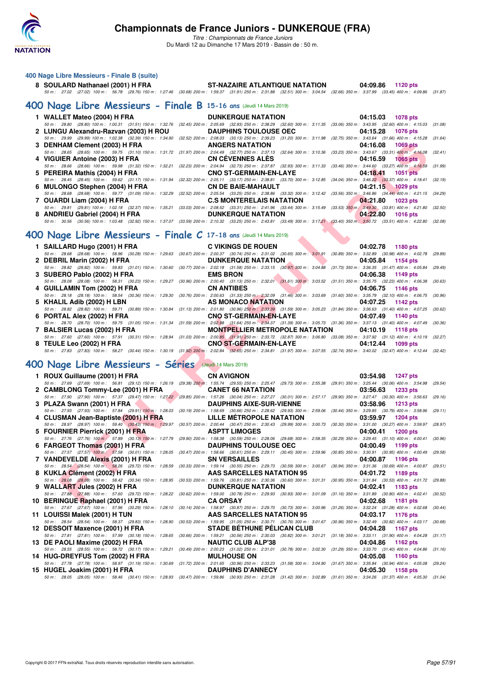

| 400 Nage Libre Messieurs - Finale B (suite)<br>8 SOULARD Nathanael (2001) H FRA<br>50 m: 27.02 (27.02) 100 m: 56.78 (29.76) 150 m: 1:27.46 (30.68) 200 m: 1:59.37 (31.91) 250 m: 231.88 (32.51) 300 m: 3:04.54 (32.66) 350 m: 3:37.99 (33.45) 400 m: 4:09.86 (31.87)                                                                                                                                                                       | ST-NAZAIRE ATLANTIQUE NATATION                                                                                                                                       |                          | 04:09.86 1120 pts                                                                                                      |                             |                    |
|--------------------------------------------------------------------------------------------------------------------------------------------------------------------------------------------------------------------------------------------------------------------------------------------------------------------------------------------------------------------------------------------------------------------------------------------|----------------------------------------------------------------------------------------------------------------------------------------------------------------------|--------------------------|------------------------------------------------------------------------------------------------------------------------|-----------------------------|--------------------|
| 400 Nage Libre Messieurs - Finale B 15-16 ans (Jeudi 14 Mars 2019)                                                                                                                                                                                                                                                                                                                                                                         |                                                                                                                                                                      |                          |                                                                                                                        |                             |                    |
| 1 WALLET Mateo (2004) H FRA<br>50 m: 28.80 (28.80) 100 m: 1:00.31 (31.51) 150 m: 1:32.76 (32.45) 200 m: 2:05.69 (32.93) 250 m: 2:38.29 (32.60) 300 m: 3:11.35 (33.06) 350 m: 3:43.95 (32.60) 400 m: 4:15.03 (31.08)                                                                                                                                                                                                                        | <b>DUNKERQUE NATATION</b>                                                                                                                                            |                          | 04:15.03                                                                                                               | <b>1078 pts</b>             |                    |
| 2 LUNGU Alexandru-Razvan (2003) H ROU<br>50 m: 29.99 (29.99) 100 m: 1:02.38 (32.39) 150 m: 1:34.90 (32.52) 200 m: 2:08.03 (33.13) 250 m: 2:39.23 (31.20) 300 m: 3:11.98 (32.75) 350 m: 3:43.64 (31.66) 400 m: 4:15.28<br>3 DENHAM Clement (2003) H FRA                                                                                                                                                                                     | <b>DAUPHINS TOULOUSE OEC</b><br><b>ANGERS NATATION</b>                                                                                                               |                          | 04:15.28<br>04:16.08                                                                                                   | <b>1076 pts</b><br>1069 pts | (31.64)            |
| 50 m: 28.65 (28.65) 100 m: 59.75 (31.10) 150 m: 1:31.72 (31.97) 200 m: 2:04.49 (32.77) 250 m: 2:37.13 (32.64) 300 m: 3:10.36 (33.23) 350 m: 3:43.67 (33.31) 400 m: 4:16.08<br>4 VIGUIER Antoine (2003) H FRA                                                                                                                                                                                                                               | <b>CN CEVENNES ALES</b>                                                                                                                                              |                          | 04:16.59                                                                                                               | 1065 pts                    | (32.41)            |
| 50 m: 28.66 (28.66) 100 m: 59.98 (31.32) 150 m: 1:32.21 (32.23) 200 m: 2:04.94 (32.73) 250 m: 2:37.87 (32.93) 300 m: 3:11.33 (33.46) 350 m: 3:44.60 (33.27) 400 m: 4:16,59<br>5 PEREIRA Mathis (2004) H FRA CNO ST-GERMAIN-EN-LAYE<br>50 m: 28.45 (28.45) 100 m: 59.62 (31.17) 150 m: 1:31.94 (32.32) 200 m: 2:05.11 (33.17) 250 m: 2:38.81 (33.70) 300 m: 3:12.85 (34.04) 350 m: 3:46.22 (33.37) 400 m: 4:18.41 (32.19)                   |                                                                                                                                                                      |                          | 04:18.41                                                                                                               | <b>1051 pts</b>             | (31.99)            |
| 6 MULONGO Stephen (2004) H FRA<br>50 m: 28.68 (28.68) 100 m: 59.77 (31.09) 150 m: 1:32.29 (32.52) 200 m: 2:05.54 (33.25) 250 m: 2:38.86 (33.32) 300 m: 3:12.42 (33.56) 350 m: 3:46.86 (34.44) 400 m: 4:21.15 (34.29)                                                                                                                                                                                                                       | <b>CN DE BAIE-MAHAULT</b>                                                                                                                                            |                          | 04:21.15 1029 pts                                                                                                      |                             |                    |
| 7 OUARDI Liam (2004) H FRA<br>50 m: 29.81 (29.81) 100 m: 1:02.18 (32.37) 150 m: 1:35.21 (33.03) 200 m: 2:08.52 (33.31) 250 m: 2:41.96 (33.44) 300 m: 3:15.49 (33.53) 350 m: 3:49.30 (33.81) 400 m: 4:21.80 (32.50)<br>8 ANDRIEU Gabriel (2004) H FRA                                                                                                                                                                                       | <b>C.S MONTERELAIS NATATION</b><br><b>DUNKERQUE NATATION</b>                                                                                                         |                          | 04:21.80<br>04:22.80                                                                                                   | 1023 pts<br><b>1016 pts</b> |                    |
| 50 m: 30.56 (30.56) 100 m: 1:03.48 (32.92) 150 m: 1:37.07 (33.59) 200 m: 2:10.32 (33.25) 250 m: 2:43.81 (33.49) 300 m: 3:17.21 (33.40) 350 m; 3:50.72 (33.51) 400 m: 4:22.80 (32.08)                                                                                                                                                                                                                                                       |                                                                                                                                                                      |                          |                                                                                                                        |                             |                    |
| 400 Nage Libre Messieurs - Finale C 17-18 ans (Jeudi 14 Mars 2019)                                                                                                                                                                                                                                                                                                                                                                         |                                                                                                                                                                      |                          |                                                                                                                        |                             |                    |
| 1 SAILLARD Hugo (2001) H FRA<br>50 m : 28.68 (28.68) 100 m : 58.96 (30.28) 150 m : 1:29.63 (30.67) 200 m : 2:00.37 (30.74) 250 m : 2:31.02 (30.65) 300 m : 3:01.91 (30.89) 350 m : 3:32.89 (30.98) 400 m : 4:02.78                                                                                                                                                                                                                         | <b>C VIKINGS DE ROUEN</b>                                                                                                                                            |                          | 04:02.78                                                                                                               | 1180 pts                    | (29.89)            |
| 2 DEBRIL Marin (2002) H FRA                                                                                                                                                                                                                                                                                                                                                                                                                | <b>DUNKERQUE NATATION</b>                                                                                                                                            | <b>STATE OF BUILDING</b> | 04:05.84                                                                                                               | 1154 pts                    |                    |
| 50 m: 28.82 (28.82) 100 m: 59.83 (31.01) 150 m: 1:30.60 (30.77) 200 m: 2:02.18 (31.58) 250 m: 2:33.15 (30.97) 300 m: 3:04.88 (31.73) 350 m: 3:36.35 (31.47) 400 m: 4:05.84 (29.49)<br>3 SUBERO Pablo (2002) H FRA<br>50 m :   28.08   (28.08)  100 m :   58.31   (30.23) 150 m :  1:29.27   (30.96) 200 m :  2:00.40   (31.13) 250 m :  2:32.01   (31.61) 300 m :  3:03.52   (31.51) 350 m :  3:35.75   (32.23) 400 m :  4:06.38   (30.63) | <b>EMS BRON</b>                                                                                                                                                      |                          | 04:06.38                                                                                                               | 1149 pts                    |                    |
| 4 GUILLAMIN Tom (2002) H FRA<br>50 m: 28.18 (28.18) 100 m: 58.54 (30.36) 150 m: 1:29.30 (30.76) 200 m: 2:00.63 (31.33) 250 m: 2:32.09 (31.46) 300 m: 3:03.69 (31.60) 350 m: 3:35.79 (32.10) 400 m: 4:06.75                                                                                                                                                                                                                                 | <b>CN ANTIBES</b>                                                                                                                                                    |                          | 04:06.75                                                                                                               | <b>1146 pts</b>             | (30.96)            |
| 5 KHALIL Adib (2002) H LBN<br>50 m: 28.82 (28.82) 100 m: 59.71 (30.89) 150 m: 1:30.84 (31.13) 200 m: 2:01.80 (30.96) 250 m: 2:33.39 (31.59) 300 m: 3:05.23 (31.84) 350 m: 3:36.63 (31.40) 400 m: 4:07.25 (30.62)                                                                                                                                                                                                                           | AS MONACO NATATION                                                                                                                                                   |                          | 04:07.25                                                                                                               | 1142 pts                    |                    |
| 6 PORTAL Alex (2002) H FRA                                                                                                                                                                                                                                                                                                                                                                                                                 | <b>CNO ST-GERMAIN-EN-LAYE</b>                                                                                                                                        |                          | 04:07.49                                                                                                               | 1140 pts                    |                    |
| 50 m: 28.70 (28.70) 100 m: 59.75 (31.05) 150 m: 1:31.34 (31.59) 200 m: 2:02.98 (31.64) 250 m: 2:34.37 (31.39) 300 m: 3:05.73 (31.36) 350 m: 3:37.13 (31.40) 400 m: 4:07.49<br>7 BALSIER Lucas (2002) H FRA                                                                                                                                                                                                                                 | <b>MONTPELLIER METROPOLE NATATION</b>                                                                                                                                |                          | 04:10.19                                                                                                               | 1118 pts                    | (30.36)            |
| 50 m : 27.60 (27.60) 100 m : 57.91 (30.31) 150 m : 1:28.94 (31.03) 200 m : 2:00.85 (31.91) 250 m : 2:33.72 (32.87) 300 m : 3:06.80 (33.08) 350 m : 3:37.92 (31.12) 400 m : 4:10.19 (32.27)<br>8 TEULE Leo (2002) H FRA                                                                                                                                                                                                                     | <b>CNO ST-GERMAIN-EN-LAYE</b>                                                                                                                                        |                          | 04:12.44                                                                                                               | 1099 pts                    |                    |
| 50 m : 27.83 (27.83) 100 m : 58.27 (30.44) 150 m : 1:30.19 (31.92) 200 m : 2:02.84 (32.65) 250 m : 2:34.81 (31.97) 300 m : 3:07.55 (32.74) 350 m : 3:40.02 (32.47) 400 m : 4:12.44 (32.42)                                                                                                                                                                                                                                                 |                                                                                                                                                                      |                          |                                                                                                                        |                             |                    |
| 400 Nage Libre Messieurs - Séries (Jeudi 14 Mars 2019)                                                                                                                                                                                                                                                                                                                                                                                     |                                                                                                                                                                      |                          |                                                                                                                        |                             |                    |
| 1 ROUX Guillaume (2001) H FRA<br>50 m : 27.69 (27.69) 100 m : 56.81 (29.12) 150 m : 1:26.19 (29.38) 200 m : 1:55.74 (29.55) 250 m : 2:25.47 (29.73) 300 m : 2:55.38 (29.91) 350 m : 3:25.44 (30.06) 400 m : 3:54.98                                                                                                                                                                                                                        | <b>CN AVIGNON</b>                                                                                                                                                    |                          | 03:54.98                                                                                                               | <b>1247 pts</b>             | (29.54)            |
| 2 CAMBLONG Tommy-Lee (2001) H FRA                                                                                                                                                                                                                                                                                                                                                                                                          | <b>CANET 66 NATATION</b>                                                                                                                                             |                          | 03:56.63                                                                                                               | 1233 pts                    |                    |
| 50 m: 27.90 (27.90) 100 m: 57.37 (29.47) 150 m: 1:27.22 (29.85) 200 m: 1:57.26 (30.04) 250 m: 2:27.27 (30.01) 300 m: 2:57.17 (29.90) 350 m: 3:27.47 (30.30) 400 m: 3:56.63 (29.16)<br>3 PLAZA Swann (2001) H FRA DAUPHINS AIXE-SUR-VIENNE                                                                                                                                                                                                  |                                                                                                                                                                      |                          | 03:58.96                                                                                                               | <b>1213 pts</b>             |                    |
| 50 m : 27.93 (27.93) 100 m : 57.84 (29.91) 150 m : 1:28.03 (30.19) 200 m : 1:58.69 (30.66) 250 m : 2:28.62 (29.93) 300 m : 2:59.06 (30.44) 350 m : 3:29.85 (30.79) 400 m : 3:58.96 (29.11)<br>4 CLUSMAN Jean-Baptiste (2001) H FRA LILLE MÉTROPOLE NATATION                                                                                                                                                                                |                                                                                                                                                                      |                          | 03:59.97                                                                                                               | <b>1204 pts</b>             |                    |
| 50 m: 28.97 (28.97) 100 m: 59.40 (30.43) 150 m: 1:29.97 (30.57) 200 m: 2:00.44 (30.47) 250 m: 2:30.43 (29.99) 300 m: 3:00.73 (30.30) 350 m: 3:31.00 (30.27) 400 m: 3:59.97 (28.97)<br>5 FOURNIER Pierrick (2001) H FRA                                                                                                                                                                                                                     | <b>ASPTT LIMOGES</b>                                                                                                                                                 |                          | 04:00.41                                                                                                               | <b>1200 pts</b>             |                    |
| 50 m: 27.76 (27.76) 100 m; 57.89 (30.13) 150 m: 1:27.79 (29.90) 200 m: 1:58.38 (30.59) 250 m: 2:28.06 (29.68) 300 m: 2:58.35 (30.29) 350 m: 3:29.45 (31.10) 400 m: 4:00.41 (30.96)<br>6 FARGEOT Thomas (2001) H FRA                                                                                                                                                                                                                        | <b>DAUPHINS TOULOUSE OEC</b>                                                                                                                                         |                          | 04:00.49                                                                                                               | 1199 pts                    |                    |
| 50 m: 27.57 (27.57) 100 m: 57.58 (30.01) 150 m: 1:28.05<br>7 VANDEVELDE Alexis (2001) H FRA<br>50 m: 28.54 (28.54) 100 m: 58.26 (29.72) 150 m: 1:28.59                                                                                                                                                                                                                                                                                     | (30.47) 200 m: 1:58.66 (30.61) 250 m: 2:29.11 (30.45) 300 m: 2:59.96<br><b>SN VERSAILLES</b><br>(30.33) 200 m: 1:59.14 (30.55) 250 m: 2:29.73 (30.59) 300 m: 3:00.67 |                          | $(30.85)$ 350 m : 3:30.91 $(30.95)$ 400 m : 4:00.49<br>04:00.87<br>$(30.94)$ 350 m : 3:31.36 $(30.69)$ 400 m : 4:00.87 | 1196 pts                    | (29.58)<br>(29.51) |
| 8 KUKLA Clément (2002) H FRA                                                                                                                                                                                                                                                                                                                                                                                                               | AAS SARCELLES NATATION 95                                                                                                                                            |                          | 04:01.72                                                                                                               | 1189 pts                    |                    |
| 50 m : 28.08 (28.08) 100 m : 58.42 (30.34) 150 m : 1:28.95<br>9 WALLART Jules (2002) H FRA                                                                                                                                                                                                                                                                                                                                                 | $(30.53)$ 200 m : 1:59.76 $(30.81)$ 250 m : 2:30.36 $(30.60)$ 300 m : 3:01.31<br><b>DUNKERQUE NATATION</b>                                                           |                          | $(30.95)$ 350 m : 3:31.84 $(30.53)$ 400 m : 4:01.72<br>04:02.41                                                        | 1183 pts                    | (29.88)            |
| 50 m: 27.88 (27.88) 100 m: 57.60 (29.72) 150 m: 1:28.22 (30.62) 200 m: 1:59.00 (30.78) 250 m: 2:29.93 (30.93) 300 m: 3:01.09 (31.16) 350 m: 3:31.89 (30.80) 400 m: 4:02.41 (30.52)<br>10 BERINGUE Raphael (2001) H FRA                                                                                                                                                                                                                     | <b>CA ORSAY</b>                                                                                                                                                      |                          | 04:02.68                                                                                                               | <b>1181 pts</b>             |                    |

| 50 m: 27.69 (27.69) 100 m: 56.81 (29.12) 150 m: 1:26.19 (29.38) 200 m: 1:55.74 (29.55) 250 m: 2:25.47 (29.73) 300 m: 2:55.38 (29.91) 350 m: 3:25.44 (30.06) 400 m: 3:54.98         |                                   |                                                                                                                         | (29.54) |
|------------------------------------------------------------------------------------------------------------------------------------------------------------------------------------|-----------------------------------|-------------------------------------------------------------------------------------------------------------------------|---------|
| 2 CAMBLONG Tommy-Lee (2001) H FRA                                                                                                                                                  | <b>CANET 66 NATATION</b>          | 03:56.63<br>1233 pts                                                                                                    |         |
| 50 m : 27.90 (27.90) 100 m : 57.37 (29.47) 150 m : 1:27.22 (29.85) 200 m : 1:57.26 (30.04) 250 m : 2:27.27 (30.01) 300 m : 2:57.17 (29.90) 350 m : 3:27.47 (30.30) 400 m : 3:56.63 |                                   |                                                                                                                         | (29.16) |
| 3 PLAZA Swann (2001) H FRA                                                                                                                                                         | <b>DAUPHINS AIXE-SUR-VIENNE</b>   | 03:58.96<br><b>1213 pts</b>                                                                                             |         |
| 50 m : 27.93 (27.93) 100 m : 57.84 (29.91) 150 m : 1:28.03 (30.19) 200 m : 1:58.69 (30.66) 250 m : 2:28.62 (29.93) 300 m : 2:59.06 (30.44) 350 m : 3:29.85 (30.79) 400 m : 3:58.96 |                                   |                                                                                                                         | (29.11) |
| 4 CLUSMAN Jean-Baptiste (2001) H FRA                                                                                                                                               | LILLE MÉTROPOLE NATATION          | 03:59.97<br>$1204$ pts                                                                                                  |         |
| 50 m: 28.97 (28.97) 100 m: 59.40 (30.43) 150 m: 1:29.97                                                                                                                            |                                   | (30.57) 200 m : 2:00.44 (30.47) 250 m : 2:30.43 (29.99) 300 m : 3:00.73 (30.30) 350 m : 3:31.00 (30.27) 400 m : 3:59.97 | (28.97) |
| 5 FOURNIER Pierrick (2001) H FRA                                                                                                                                                   | <b>ASPTT LIMOGES</b>              | 04:00.41<br><b>1200 pts</b>                                                                                             |         |
| 50 m : 27.76 (27.76) 100 m : 57.89 (30.13) 150 m : 1:27.79 (29.90) 200 m : 1:58.38 (30.59) 250 m : 2:28.06 (29.68) 300 m : 2:58.35 (30.29) 350 m : 3:29.45 (31.10) 400 m : 4:00.41 |                                   |                                                                                                                         | (30.96) |
| 6 FARGEOT Thomas (2001) H FRA                                                                                                                                                      | DAUPHINS TOULOUSE OECNO           | 04:00.49<br>1199 pts                                                                                                    |         |
| 50 m: 27.57 (27.57) 100 m: 57.58 (30.01) 150 m: 1:28.05 (30.47) 200 m: 1:58.66 (30.61) 250 m: 2:29.11 (30.45) 300 m: 2:59.96 (30.85) 350 m: 3:30.91 (30.95) 400 m: 4:00.49         |                                   |                                                                                                                         | (29.58) |
| 7 VANDEVELDE Alexis (2001) H FRA                                                                                                                                                   | <b>SN VERSAILLES</b>              | 04:00.87<br>1196 pts                                                                                                    |         |
| 50 m : 28.54 (28.54) 100 m : 58.26 (29.72) 150 m : 1:28.59 (30.33) 200 m : 1:59.14 (30.55) 250 m : 2:29.73 (30.59) 300 m : 3:00.67 (30.94) 350 m : 3:31.36 (30.69) 400 m : 4:00.87 |                                   |                                                                                                                         | (29.51) |
| 8 KUKLA Clément (2002) H FRA                                                                                                                                                       | <b>AAS SARCELLES NATATION 95</b>  | 04:01.72<br>1189 pts                                                                                                    |         |
| 50 m : 28.08 (28.08) 100 m : 58.42 (30.34) 150 m : 1:28.95 (30.53) 200 m : 1:59.76 (30.81) 250 m : 2:30.36 (30.60) 300 m : 3:01.31 (30.95) 350 m : 3:31.84 (30.53) 400 m : 4:01.72 |                                   |                                                                                                                         | (29.88) |
| 9 WALLART Jules (2002) H FRA                                                                                                                                                       | <b>DUNKERQUE NATATION</b>         | 04:02.41<br>1183 pts                                                                                                    |         |
| 50 m: 27.88 (27.88) 100 m: 57.60 (29.72) 150 m: 1:28.22 (30.62) 200 m: 1:59.00 (30.78) 250 m: 2:29.93 (30.93) 300 m: 3:01.09 (31.16) 350 m: 3:31.89 (30.80) 400 m: 4:02.41 (30.52) |                                   |                                                                                                                         |         |
| 10 BERINGUE Raphael (2001) H FRA                                                                                                                                                   | <b>CA ORSAY</b>                   | 04:02.68 1181 pts                                                                                                       |         |
| 50 m: 27.67 (27.67) 100 m: 57.96 (30.29) 150 m: 1:28.10 (30.14) 200 m: 1:58.97 (30.87) 250 m: 2:29.70 (30.73) 300 m: 3:00.96 (31.26) 350 m: 3:32.24 (31.28) 400 m: 4:02.68         |                                   |                                                                                                                         | (30.44) |
| 11 LOUISSI Malek (2001) H TUN                                                                                                                                                      | AAS SARCELLES NATATION 95         | 04:03.17 1176 pts                                                                                                       |         |
| 50 m: 28.54 (28.54) 100 m: 58.37 (29.83) 150 m: 1:28.90 (30.53) 200 m: 1:59.95 (31.05) 250 m: 2:30.71 (30.76) 300 m: 3:01.67 (30.96) 350 m: 3:32.49 (30.82) 400 m: 4:03.17 (30.68) |                                   |                                                                                                                         |         |
| 12 DESSOIT Maxence (2001) H FRA                                                                                                                                                    | <b>STADE BÉTHUNE PÉLICAN CLUB</b> | 04:04.28<br>1167 pts                                                                                                    |         |
| 50 m: 27.81 (27.81) 100 m: 57.99 (30.18) 150 m: 1:28.65 (30.66) 200 m: 1:59.21 (30.56) 250 m: 2:30.03 (30.82) 300 m: 3:01.21 (31.18) 350 m: 3:33.11 (31.90) 400 m: 4:04.28         |                                   |                                                                                                                         | (31.17) |
| 13 DE PAOLI Maxime (2002) H FRA                                                                                                                                                    | <b>NAUTIC CLUB ALP'38</b>         | 04:04.86 1162 pts                                                                                                       |         |
| 50 m: 28.55 (28.55) 100 m: 58.72 (30.17) 150 m: 1:29.21 (30.49) 200 m: 2:00.23 (31.02) 250 m: 2:31.01 (30.78) 300 m: 3:02.30 (31.29) 350 m: 3:33.70 (31.40) 400 m: 4:04.86         |                                   |                                                                                                                         | (31.16) |
| 14 HUG-DREYFUS Tom (2002) H FRA                                                                                                                                                    | <b>MULHOUSE ON</b>                | 04:05.08 1160 pts                                                                                                       |         |
| 50 m : 27.78 (27.78) 100 m : 58.97 (31.19) 150 m : 1:30.69 (31.72) 200 m : 2:01.65 (30.96) 250 m : 2:33.23 (31.58) 300 m : 3:04.90 (31.67) 350 m : 3:35.84 (30.94) 400 m : 4:05.08 |                                   |                                                                                                                         | (29.24) |
| 15 HUGEL Joakim (2001) H FRA                                                                                                                                                       | DAUPHINS D'ANNECY                 | 04:05.30<br>1158 pts                                                                                                    |         |
| 50 m: 28.05 (28.05) 100 m: 58.46 (30.41) 150 m: 1:28.93 (30.47) 200 m: 1:59.86 (30.93) 250 m: 2:31.28 (31.42) 300 m: 3:02.89 (31.61) 350 m: 3:34.26 (31.37) 400 m: 4:05.30 (31.04) |                                   |                                                                                                                         |         |
|                                                                                                                                                                                    |                                   |                                                                                                                         |         |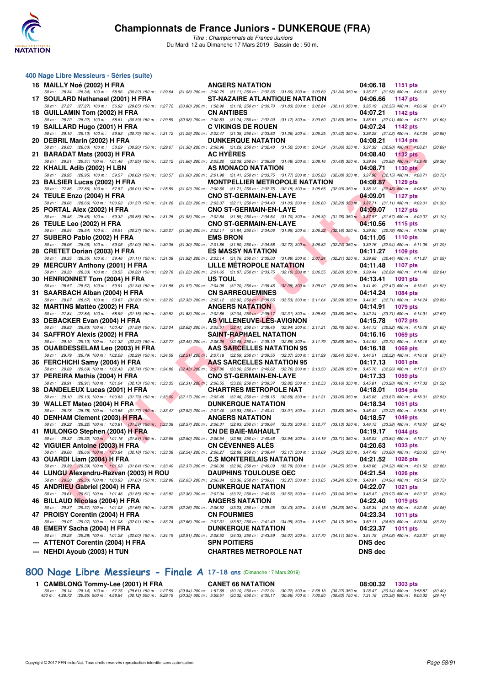

*Titre : Championnats de France Juniors* Du Mardi 12 au Dimanche 17 Mars 2019 - Bassin de : 50 m.

| 400 Nage Libre Messieurs - Séries (suite)                                                                                                                                                                                                                                                                                                                                                                              |                                                                                                                                                                                                                                                                       |                             |         |
|------------------------------------------------------------------------------------------------------------------------------------------------------------------------------------------------------------------------------------------------------------------------------------------------------------------------------------------------------------------------------------------------------------------------|-----------------------------------------------------------------------------------------------------------------------------------------------------------------------------------------------------------------------------------------------------------------------|-----------------------------|---------|
| 16 MAILLY Noé (2002) H FRA                                                                                                                                                                                                                                                                                                                                                                                             | <b>ANGERS NATATION</b>                                                                                                                                                                                                                                                | 04:06.18<br>1151 pts        |         |
| 50 m: 28.34 (28.34) 100 m: 58.56 (30.22) 150 m: 1:29.64 (31.08) 200 m: 2:00.75 (31.11) 250 m: 2:32.35 (31.60) 300 m: 3:03.69 (31.34) 350 m: 3:35.27 (31.58) 400 m: 4:06.18<br>17 SOULARD Nathanael (2001) H FRA                                                                                                                                                                                                        | <b>ST-NAZAIRE ATLANTIQUE NATATION</b>                                                                                                                                                                                                                                 | 04:06.66<br>1147 pts        | (30.91) |
| 50 m: 27.27 (27.27) 100 m: 56.92 (29.65) 150 m: 1:27.72 (30.80) 200 m: 1:58.90 (31.18) 250 m: 2:30.73 (31.83) 300 m: 3:02.84 (32.11) 350 m: 3:35.19 (32.35) 400 m: 4:06.66<br>18 GUILLAMIN Tom (2002) H FRA                                                                                                                                                                                                            | <b>CN ANTIBES</b>                                                                                                                                                                                                                                                     | 04:07.21<br>1142 pts        | (31.47) |
| 50 m: 28.22 (28.22) 100 m: 58.61 (30.39) 150 m: 1:29.59 (30.98) 200 m: 2:00.83 (31.24) 250 m: 2:32.00 (31.17) 300 m: 3:03.60 (31.60) 350 m: 3:35.61 (32.01) 400 m: 4:07.21<br>19 SAILLARD Hugo (2001) H FRA                                                                                                                                                                                                            | <b>C VIKINGS DE ROUEN</b>                                                                                                                                                                                                                                             | 04:07.24<br>1142 pts        | (31.60) |
| 50 m: 29.10 (29.10) 100 m: 59.83 (30.73) 150 m: 1:31.12 (31.29) 200 m: 2:02.47 (31.35) 250 m: 2:33.83 (31.36) 300 m: 3:05.25 (31.42) 350 m: 3:36.28 (31.03) 400 m: 4:07.24<br>20 DEBRIL Marin (2002) H FRA                                                                                                                                                                                                             | <b>DUNKERQUE NATATION</b>                                                                                                                                                                                                                                             | 04:08.21<br>1134 pts        | (30.96) |
| 50 m : 28.03 (28.03) 100 m : 58.29 (30.26) 150 m : 1:29.67 (31.38) 200 m : 2:00.96 (31.29) 250 m : 2:32.48 (31.52) 300 m : 3:04.34 (31.86) 350 m : 3:37.32 (32.98) 400 m : 4:08.21<br>21 BARADAT Mats (2003) H FRA                                                                                                                                                                                                     | <b>AC HYERES</b>                                                                                                                                                                                                                                                      | 04:08.40<br>1132 $pts$      | (30.89) |
| 50 m : 29.51 (29.51) 100 m : 1:01.46 (31.95) 150 m : 1:33.12 (31.66) 200 m : 2:05.20 (32.08) 250 m : 2:36.68 (31.48) 300 m : 3:08.16 (31.48) 350 m : 3:39.04 (30.88) 400 m : 4:08.40<br>22 KHALIL Adib (2002) H LBN                                                                                                                                                                                                    | AS MONACO NATATION                                                                                                                                                                                                                                                    | 04:08.71<br><b>1130 pts</b> | (29.36) |
| 50 m: 28.95 (28.95) 100 m: 59.57 (30.62) 150 m: 1:30.57 (31.00) 200 m: 2:01.98 (31.41) 250 m: 2:33.75 (31.77) 300 m: 3:05.83 (32.08) 350 m: 3:37.98 (32.15) 400 m: 4:08.71                                                                                                                                                                                                                                             |                                                                                                                                                                                                                                                                       |                             | (30.73) |
| 23 BALSIER Lucas (2002) H FRA<br>50 m: 27.86 (27.86) 100 m: 57.87 (30.01) 150 m: 1:28.89 (31.02) 200 m: 2:00.60 (31.71) 250 m: 2:32.75 (32.15) 300 m: 3:05.65 (32.90) 350 m: 3:38.13 (32.48) 400 m: 4:08.87                                                                                                                                                                                                            | <b>MONTPELLIER METROPOLE NATATION</b>                                                                                                                                                                                                                                 | 04:08.87<br>1129 pts        | (30.74) |
| 24 TEULE Enzo (2004) H FRA                                                                                                                                                                                                                                                                                                                                                                                             | <b>CNO ST-GERMAIN-EN-LAYE</b>                                                                                                                                                                                                                                         | 04:09.01<br><b>1127 pts</b> |         |
| 50 m: 28.66 (28.66) 100 m: 1:00.03 (31.37) 150 m: 1:31.26 (31.23) 200 m: 2:03.37 (32.11) 250 m: 2:34.40 (31.03) 300 m: 3:06.60 (32.20) 350 m: 3:37.71 (31.11) 400 m: 4:09.01<br>25 PORTAL Alex (2002) H FRA<br>50 m: 28.46 (28.46) 100 m: 59.32 (30.86) 150 m: 1:31.25 (31.93) 200 m: 2:02.84 (31.59) 250 m: 2:34.54 (31.70) 300 m: 3:06.30 (31.76) 350 m: 3:37.97 (31.67) 400 m: 4:09.07 (31.10)                      | <b>CNO ST-GERMAIN-EN-LAYE</b>                                                                                                                                                                                                                                         | 04:09.07<br>1127 pts        | (31.30) |
| 26 TEULE Leo (2002) H FRA                                                                                                                                                                                                                                                                                                                                                                                              | <u>and the state of the state of the state of the state of the state of the state of the state of the state of the state of the state of the state of the state of the state of the state of the state of the state of the state</u><br><b>CNO ST-GERMAIN-EN-LAYE</b> | 04:10.56<br>1115 pts        |         |
| 50 m: 28.54 (28.54) 100 m: 58.91 (30.37) 150 m: 1:30.27 (31.36) 200 m: 2:02.11 (31.84) 250 m: 2:34.06 (31.95) 300 m: 3:06.22 (32.16) 350 m: 3:39.00 (32.78) 400 m: 4:10.56<br>27 SUBERO Pablo (2002) H FRA                                                                                                                                                                                                             | <b>EMS BRON</b>                                                                                                                                                                                                                                                       | 04:11.05<br><b>1110 pts</b> | (31.56) |
| 50 m : 28.06 (28.06) 100 m : 59.06 (31.00) 150 m : 1:30.36 (31.30) 200 m : 2:01.86 (31.50) 250 m : 2:34.58 (32.72) 300 m : 3:06.82 (32.24) 350 m : 3:39.76 (32.94) 400 m : 4:11.05 (31.29<br>28 CRETET Dorian (2003) H FRA                                                                                                                                                                                             | <b>ES MASSY NATATION</b>                                                                                                                                                                                                                                              | 04:11.27<br>1109 pts        |         |
| 50 m: 28.35 (28.35) 100 m: 59.46 (31.11) 150 m: 1:31.38 (31.92) 200 m: 2:03.14 (31.76) 250 m: 2:35.03 (31.89) 300 m: 3:07.24 (32.21) 350 m: 3:39.68 (32.44) 400 m: 4:11.27                                                                                                                                                                                                                                             |                                                                                                                                                                                                                                                                       |                             | (31.59) |
| 29 MERCURY Anthony (2001) H FRA<br>50 m : 28.33 (28.33) 100 m : 58.55 (30.22) 150 m : 1:29.78 (31.23) 200 m : 2:01.65 (31.87) 250 m : 2:33.75 (32.10) 300 m : 3:06.55 (32.80) 350 m : 3:39.44 (32.89) 400 m : 4:11.48 (32.04)                                                                                                                                                                                          | LILLE METROPOLE NATATION                                                                                                                                                                                                                                              | 04:11.48<br>1107 pts        |         |
| 30 HENRIONNET Tom (2004) H FRA                                                                                                                                                                                                                                                                                                                                                                                         | US TOUL                                                                                                                                                                                                                                                               | 04:13.41<br>1091 pts        |         |
| 50 m : 28.57 (28.57) 100 m : 59.91 (31.34) 150 m : 1:31.88 (31.97) 200 m : 2:04.08 (32.20) 250 m : 2:36.46 (32.38) 300 m : 3:09.02 (32.56) 350 m : 3:41.49 (32.47) 400 m : 4:13.41 (31.92)<br>31 SAARBACH Alban (2004) H FRA                                                                                                                                                                                           | <b>CN SARREGUEMINES</b>                                                                                                                                                                                                                                               | 04:14.24<br>1084 pts        |         |
| 50 m : 28.67 (28.67) 100 m : 59.87 (31.20) 150 m : 1:32.20 (32.33) 200 m : 2:05.12 (32.92) 250 m : 2:38.65 (33.53) 300 m : 3:11.64 (32.99) 350 m : 3:44.35 (32.71) 400 m : 4:14.24                                                                                                                                                                                                                                     |                                                                                                                                                                                                                                                                       |                             | (29.89) |
| 32 MARTINS Mattéo (2002) H FRA<br>50 m: 27.84 (27.84) 100 m: 58.99 (31.15) 150 m: 1:30.82 (31.83) 200 m: 2:02.86 (32.04) 250 m: 2:35.17 (32.31) 300 m: 3:08.53 (33.36) 350 m: 3:42.24 (33.71) 400 m: 4:14.91 (32.67)                                                                                                                                                                                                   | <b>ANGERS NATATION</b>                                                                                                                                                                                                                                                | 04:14.91<br>1079 pts        |         |
| 33 DEBACKER Evan (2004) H FRA                                                                                                                                                                                                                                                                                                                                                                                          | AS VILLENEUVE-LES-AVIGNON                                                                                                                                                                                                                                             | 04:15.78<br><b>1072 pts</b> |         |
| 50 m: 28.83 (28.83) 100 m: 1:00.42 (31.59) 150 m: 1:33.04 (32.62) 200 m: 2:05.51 (32.47) 250 m: 2:38.45 (32.94) 300 m: 3:11.21 (32.76) 350 m: 3:4.13 (32.92) 400 m: 4:15.78<br>34   SAFFROY Alexis (2002) H FRA                                                                                                                                                                                                        | <b>SAINT-RAPHAEL NATATION</b>                                                                                                                                                                                                                                         | 04:16.16<br>1069 pts        | (31.65) |
| 50 m: 29.10 (29.10) 100 m: 1:01.32 (32.22) 150 m: 1:33.77 (32.45) 200 m: 2:06.25 (32.48) 250 m: 2:39.10 (32.85) 300 m: 3:11.79 (32.69) 350 m: 3:44.53 (32.74) 400 m: 4:16.16 (31.63)<br>35 OUABDESSELAM Leo (2003) H FRA                                                                                                                                                                                               | AAS SARCELLES NATATION 95                                                                                                                                                                                                                                             | 04:16.18<br><b>1069 pts</b> |         |
| 50 m: 29.79 (29.79) 100 m: 1:02.08 (32.29) 150 m: 1:34.59 (32.51) 200 m: 2:07.18 (32.59) 250 m: 2:39.55 (32.37) 300 m: 3:11.99 (32.44) 350 m: 3:44.51 (32.52) 400 m: 4:16.18                                                                                                                                                                                                                                           |                                                                                                                                                                                                                                                                       |                             | (31.67) |
| 36 FERCHICHI Samy (2004) H FRA<br>50 m: 29.69 (29.69) 100 m: 1:02.43 (32.74) 150 m: 1:34.86 (32.43) 200 m: 2:07.86 (33.00) 250 m: 2:40.62 (32.76) 300 m: 3:13.50 (32.88) 350 m: 3:45.76 (32.26) 400 m: 4:17.13 (31.37)                                                                                                                                                                                                 | AAS SARCELLES NATATION 95                                                                                                                                                                                                                                             | 04:17.13<br><b>1061 pts</b> |         |
| 37 PEREIRA Mathis (2004) H FRA                                                                                                                                                                                                                                                                                                                                                                                         | <b>CNO ST-GERMAIN-EN-LAYE</b>                                                                                                                                                                                                                                         | 04:17.33<br>1059 pts        |         |
| 50 m : 28.91 (28.91) 100 m : 1:01.04 (32.13) 150 m : 1:33.35 (32.31) 200 m : 2:06.55 (33.20) 250 m : 2:39.37 (32.82) 300 m : 3:12.53 (33.16) 350 m : 3:45.81 (33.28) 400 m : 4:17.33 (31.52)<br>38 DANDELEUX Lucas (2001) H FRA                                                                                                                                                                                        | <b>CHARTRES METROPOLE NAT</b>                                                                                                                                                                                                                                         | 04:18.01<br>1054 pts        |         |
| 50 m: 29.10 (29.10) 100 m: 1:00.83 (31.73) 150 m: 1:33.00 (32.17) 200 m: 2:05.46 (32.46) 250 m: 2:38.15 (32.69) 300 m: 3:11.21 (33.06) 350 m: 3:45.08 (33.87) 400 m: 4:18.01 (32.93)                                                                                                                                                                                                                                   |                                                                                                                                                                                                                                                                       |                             |         |
| 39 WALLET Mateo (2004) H FRA<br>50 m: 28.78 (28.78) 100 m: 1:00.55 (31.77) 150 m: 1:33.47 (32.92) 200 m: 2:07.40 (33.93) 250 m: 2:40.41 (33.01) 300 m: 3:14.21 (33.80) 350 m: 3:46.43 (32.22) 400 m: 4:18.34 (31.91,                                                                                                                                                                                                   | <b>DUNKERQUE NATATION</b>                                                                                                                                                                                                                                             | 04:18.34<br>1051 pts        |         |
| 40 DENHAM Clement (2003) H FRA                                                                                                                                                                                                                                                                                                                                                                                         | <b>ANGERS NATATION</b>                                                                                                                                                                                                                                                | 04:18.57<br>1049 pts        |         |
| 50 m: 29.22 (29.22) 100 m: 1:00.81 (31.59) 150 m: 1:33.38 (32.57) 200 m: 2:06.31 (32.93) 250 m: 2:39.64 (33.33) 300 m: 3:12.77 (33.13) 350 m: 3:46.15 (33.38) 400 m: 4:18.57 (32.42)<br>41 MULONGO Stephen (2004) H FRA                                                                                                                                                                                                | <b>CN DE BAIE-MAHAULT</b>                                                                                                                                                                                                                                             | 04:19.17<br>1044 pts        |         |
| 50 m : 29.32 (29.32) 100 m : 1:01.16 (31.84) 150 m : 1:33.66 (32.50) 200 m : 2:06.54 (32.88) 250 m : 2:40.48 (33.94) 300 m : 3:14.19 (33.71) 350 m : 3:48.03 (33.84) 400 m : 4:19.17 (31.14                                                                                                                                                                                                                            |                                                                                                                                                                                                                                                                       |                             |         |
| 42 VIGUIER Antoine (2003) H FRA<br>50 m: 28.66 (28.66) 100 m: 1:00.84 (32.18) 150 m: 1:33.38 (32.54) 200 m: 2:06.27 (32.89) 250 m: 2:39.44 (33.17) 300 m: 3:13.69 (34.25) 350 m: 3:47.49 (33.80) 400 m: 4:20.63 (33.14)                                                                                                                                                                                                | <b>CN CÉVENNES ALÈS</b>                                                                                                                                                                                                                                               | 04:20.63 1033 pts           |         |
| 43 OUARDI Liam (2004) H FRA                                                                                                                                                                                                                                                                                                                                                                                            | <b>C.S MONTERELAIS NATATION</b>                                                                                                                                                                                                                                       | 04:21.52<br>1026 pts        |         |
| 50 m : 29.39 (29.39) 100 m : 1:01.03 (31.64) 150 m : 1:33.40 (32.37) 200 m : 2:06.30 (32.90) 250 m : 2:40.09 (33.79) 300 m : 3:14.34 (34.25) 350 m : 3:48.66 (34.32) 400 m : 4:21.52 (32.86)<br>44 LUNGU Alexandru-Razvan (2003) H ROU<br>50 m: 29.30 (29.30) 100 m: 1:00.93 (31.63) 150 m: 1:32.98 (32.05) 200 m: 2:06.34 (33.36) 250 m: 2:39.61 (33.27) 300 m: 3:13.85 (34.24) 350 m: 3:48.81 (34.96) 400 m: 4:21.54 | <b>DAUPHINS TOULOUSE OEC</b>                                                                                                                                                                                                                                          | 04:21.54<br>1026 pts        | (32.73) |
| 45 ANDRIEU Gabriel (2004) H FRA                                                                                                                                                                                                                                                                                                                                                                                        | <b>DUNKERQUE NATATION</b>                                                                                                                                                                                                                                             | 04:22.07<br><b>1021 pts</b> |         |
| 50 m : 29.61 (29.61) 100 m : 1:01.46 (31.85) 150 m : 1:33.82 (32.36) 200 m : 2:07.04 (33.22) 250 m : 2:40.56 (33.52) 300 m : 3:14.50 (33.94) 350 m : 3:48.47 (33.97) 400 m : 4:22.07<br>46 BILLAUD Nicolas (2004) H FRA                                                                                                                                                                                                | <b>ANGERS NATATION</b>                                                                                                                                                                                                                                                | 04:22.40<br>1019 pts        | (33.60) |
| 50 m: 29.37 (29.37) 100 m: 1:01.03 (31.66) 150 m: 1:33.29 (32.26) 200 m: 2:06.52 (33.23) 250 m: 2:39.95 (33.43) 300 m: 3:14.15 (34.20) 350 m: 3:48.34 (34.19) 400 m: 4:22.40<br>47 PROISY Corentin (2004) H FRA                                                                                                                                                                                                        | <b>CN FOURMIES</b>                                                                                                                                                                                                                                                    | 04:23.34<br><b>1011 pts</b> | (34.06) |
| 50 m : 29.07 (29.07) 100 m : 1:01.08 (32.01) 150 m : 1:33.74 (32.66) 200 m : 2:07.31 (33.57) 250 m : 2:41.40 (34.09) 300 m : 3:15.52 (34.12) 350 m : 3:50.11 (34.59) 400 m : 4:23.34 (33.23)<br>48 EMERY Sacha (2004) H FRA                                                                                                                                                                                            | <b>DUNKERQUE NATATION</b>                                                                                                                                                                                                                                             | 04:23.37<br><b>1011 pts</b> |         |
| 50 m: 29.28 (29.28) 100 m: 1:01.28 (32.00) 150 m: 1:34.19 (32.91) 200 m: 2:08.52 (34.33) 250 m: 2:43.59 (35.07) 300 m: 3:17.70 (34.11) 350 m: 3:51.78 (34.08) 400 m: 4:23.37 (31.59)                                                                                                                                                                                                                                   |                                                                                                                                                                                                                                                                       |                             |         |
| --- ATTENOT Corentin (2004) H FRA                                                                                                                                                                                                                                                                                                                                                                                      | <b>SPN POITIERS</b>                                                                                                                                                                                                                                                   | <b>DNS</b> dec              |         |
| <b>NEHDI Ayoub (2003) H TUN</b>                                                                                                                                                                                                                                                                                                                                                                                        | <b>CHARTRES METROPOLE NAT</b>                                                                                                                                                                                                                                         | <b>DNS</b> dec              |         |

**[800 Nage Libre Messieurs - Finale A](http://www.ffnatation.fr/webffn/resultats.php?idact=nat&go=epr&idcpt=59271&idepr=55) 17-18 ans** (Dimanche 17 Mars 2019)

**1 CAMBLONG Tommy-Lee (2001) H FRA CANET 66 NATATION**<br>50 m: 28.14 (28.14) 100 m: 57.75 (29.81) 150 m: 1:27.59 (29.84) 200 m: 1:57.69 (30.10) 250 m: 28.13 (30.22) 350 m: 328.17 (30.22) 350 m: 358.87 (30.49) 450 m: 4:28.72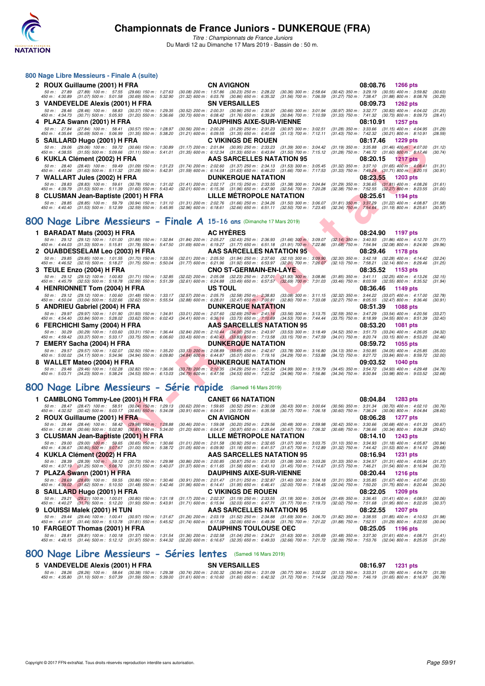

*Titre : Championnats de France Juniors* Du Mardi 12 au Dimanche 17 Mars 2019 - Bassin de : 50 m.

| 800 Nage Libre Messieurs - Finale A (suite)                                                                                      |                                                                                                                                                                                                                                                                                                       |                                                                                                                                  |
|----------------------------------------------------------------------------------------------------------------------------------|-------------------------------------------------------------------------------------------------------------------------------------------------------------------------------------------------------------------------------------------------------------------------------------------------------|----------------------------------------------------------------------------------------------------------------------------------|
| 2 ROUX Guillaume (2001) H FRA                                                                                                    | <b>CN AVIGNON</b>                                                                                                                                                                                                                                                                                     | 08:08.76 1266 pts                                                                                                                |
| 50 m: 27.89 (27.89) 100 m: 57.55 (29.66) 150 m: 1:27.63<br>450 m : 4:30.89 (31.07) 500 m : 5:01.58 (30.69) 550 m : 5:32.90       | (30.08) 200 m : 1:57.86 (30.23) 250 m : 2:28.22 (30.36) 300 m : 2:58.64 (30.42) 350 m : 3:29.19 (30.55) 400 m : 3:59.82<br>$(31.32)$ 600 m : 6:03.76 $(30.86)$ 650 m : 6:35.32 $(31.56)$ 700 m : 7:06.59                                                                                              | (30.63)<br>$(31.27)$ 750 m : 7:38.47 $(31.88)$ 800 m : 8:08.76<br>(30.29)                                                        |
| 3 VANDEVELDE Alexis (2001) H FRA                                                                                                 | <b>SN VERSAILLES</b>                                                                                                                                                                                                                                                                                  | 08:09.73 1262 pts                                                                                                                |
| 50 m: 28.46 (28.46) 100 m: 58.83 (30.37) 150 m: 1:29.35<br>450 m : 4:34.73 (30.71) 500 m : 5:05.93 (31.20) 550 m : 5:36.66       | $(30.52)$ 200 m : 2:00.31 $(30.96)$ 250 m : 2:30.97 $(30.66)$ 300 m : 3:01.94<br>$(30.73)$ 600 m : 6:08.42 $(31.76)$ 650 m : 6:39.26 $(30.84)$ 700 m : 7:10.59                                                                                                                                        | $(30.97)$ 350 m : 3:32.77 $(30.83)$ 400 m : 4:04.02<br>(31.25)<br>$(31.33)$ 750 m : 7:41.32 $(30.73)$ 800 m : 8:09.73<br>(28.41) |
| 4 PLAZA Swann (2001) H FRA                                                                                                       | <b>DAUPHINS AIXE-SUR-VIENNE</b>                                                                                                                                                                                                                                                                       | 08:10.91<br>1257 pts                                                                                                             |
| 50 m : 27.84 (27.84) 100 m : 58.41 (30.57) 150 m : 1:28.97<br>450 m : 4:35.64 (30.69) 500 m : 5:06.99 (31.35) 550 m : 5:38.20    | (30.56) 200 m : 2:00.26 (31.29) 250 m : 2:31.23 (30.97) 300 m : 3:02.51 (31.28) 350 m : 3:33.66 (31.15) 400 m : 4:04.95<br>$(31.21)$ 600 m : 6:09.55 $(31.35)$ 650 m : 6:40.68 $(31.13)$ 700 m : 7:12.11                                                                                              | (31.29)<br>$(31.43)$ 750 m : 7:42.32 $(30.21)$ 800 m : 8:10.91<br>(28.59)                                                        |
| 5 SAILLARD Hugo (2001) H FRA                                                                                                     | <b>C VIKINGS DE ROUEN</b>                                                                                                                                                                                                                                                                             | 08:17.46<br>1229 pts                                                                                                             |
| 450 m : 4:38.55 (31.55) 500 m : 5:09.66 (31.11) 550 m : 5:41.01                                                                  | 50 m : 29.06 (29.06) 100 m : 59.72 (30.66) 150 m : 1:30.89 (31.17) 200 m : 2:01.84 (30.95) 250 m : 2:33.23 (31.39) 300 m : 3:04.42 (31.19) 350 m : 3:35.88 (31.46) 400 m : 4:07.00<br>$(31.35)$ 600 m : 6:12.34 $(31.33)$ 650 m : 6:43.84 $(31.50)$ 700 m : 7:15.12                                   | (31.12)<br>$(31.28)$ 750 m : 7:46.72 $(31.60)$ 800 m : 8:17.46<br>(30.74)                                                        |
| 6 KUKLA Clément (2002) H FRA                                                                                                     | AAS SARCELLES NATATION 95                                                                                                                                                                                                                                                                             | 08:20.15 1217 pts                                                                                                                |
| 50 m: 28.40 (28.40) 100 m: 59.49 (31.09) 150 m: 1:31.23<br>450 m : 4:40.04 (31.63) 500 m : 5:11.32 (31.28) 550 m : 5:42.91       | $(31.74)$ 200 m : 2:02.60 $(31.37)$ 250 m : 2:34.13 $(31.53)$ 300 m : 3:05.45<br>(31.59) 600 m: 6:14.54 (31.63) 650 m: 6:46.20 (31.66) 700 m: 7:17.53                                                                                                                                                 | $(31.32)$ 350 m : 3:37.10 $(31.65)$ 400 m : 4:08.41<br>(31.31)<br>$(31.33)$ 750 m : 7:49.24 $(31.71)$ 800 m : 8:20.15<br>(30.91) |
| 7 WALLART Jules (2002) H FRA                                                                                                     | <b>DUNKERQUE NATATION</b>                                                                                                                                                                                                                                                                             | 08:23.55<br>1203 pts                                                                                                             |
| (28.83) 100 m : 59.61 (30.78) 150 m : 1:31.02<br>50 m : 28.83<br>450 m : 4:39.79 (31.53) 500 m : 5:11.39 (31.60) 550 m : 5:43.40 | $(31.41)$ 200 m : 2:02.17 $(31.15)$ 250 m : 2:33.55 $(31.38)$ 300 m : 3:04.84<br>(32.01) 600 m: 6:15.36 (31.96) 650 m: 6:47.90 (32.54) 700 m: 7:20.28                                                                                                                                                 | $(31.29)$ 350 m : 3:36.65 $(31.81)$ 400 m : 4:08.26<br>(31.61)<br>(32.38) 750 m : 7:52.55 (32.27) 800 m : 8:23.55<br>(31.00)     |
| 8 CLUSMAN Jean-Baptiste (2001) H FRA                                                                                             | LILLE MÉTROPOLE NATATION                                                                                                                                                                                                                                                                              | 08:25.61<br>$1194$ pts                                                                                                           |
| 450 m : 4:40.40 (31.53) 500 m : 5:12.99 (32.59) 550 m : 5:45.95                                                                  | 50 m: 28.85 (28.85) 100 m: 59.79 (30.94) 150 m: 1:31.10 (31.31) 200 m: 2:02.76 (31.66) 250 m: 2:34.26 (31.50) 300 m: 3:06.07 (31.81) 350 m: 3:37.29 (31.22) 400 m: 4:08.87<br>(32.96) 600 m : 6:18.61 (32.66) 650 m : 6:51.11 (32.50) 700 m : 7:23.45 (32.34) 750 m : 7:54.64 (31.19) 800 m : 8:25.61 | (31.58)<br>(30.97)                                                                                                               |

## **[800 Nage Libre Messieurs - Finale A](http://www.ffnatation.fr/webffn/resultats.php?idact=nat&go=epr&idcpt=59271&idepr=55) 15-16 ans** (Dimanche 17 Mars 2019)

| OAILLAND HUYU (2001) IT FAA                             |                           |                                                                                                                                                                                                                                                                                                                                                                                         |                           |                  | u vininuj de nu                                                                                                                                          |                                                      | 00. I L.40                                                                                                 | 1223 pis                                               |                    |
|---------------------------------------------------------|---------------------------|-----------------------------------------------------------------------------------------------------------------------------------------------------------------------------------------------------------------------------------------------------------------------------------------------------------------------------------------------------------------------------------------|---------------------------|------------------|----------------------------------------------------------------------------------------------------------------------------------------------------------|------------------------------------------------------|------------------------------------------------------------------------------------------------------------|--------------------------------------------------------|--------------------|
|                                                         |                           | 50 m: 29.06 (29.06) 100 m: 59.72 (30.66) 150 m: 1:30.89<br>450 m : 4:38.55 (31.55) 500 m : 5:09.66 (31.11) 550 m : 5:41.01                                                                                                                                                                                                                                                              |                           |                  | (31.17) 200 m : 2:01.84 (30.95) 250 m : 2:33.23 (31.39) 300 m : 3:04.42<br>$(31.35)$ 600 m : 6:12.34 $(31.33)$ 650 m : 6:43.84 $(31.50)$ 700 m : 7:15.12 |                                                      | $(31.19)$ 350 m : 3:35.88 $(31.46)$ 400 m : 4:07.00<br>$(31.28)$ 750 m : 7:46.72 $(31.60)$ 800 m : 8:17.46 |                                                        | (31.12)<br>(30.74) |
| 6 KUKLA Clément (2002) H FRA                            |                           |                                                                                                                                                                                                                                                                                                                                                                                         |                           |                  | AAS SARCELLES NATATION 95                                                                                                                                |                                                      | 08:20.15                                                                                                   | 1217 pts                                               |                    |
|                                                         |                           | 50 m: 28.40 (28.40) 100 m: 59.49 (31.09) 150 m: 1:31.23<br>450 m : 4:40.04 (31.63) 500 m : 5:11.32 (31.28) 550 m : 5:42.91                                                                                                                                                                                                                                                              |                           |                  | (31.74) 200 m : 2:02.60 (31.37) 250 m : 2:34.13<br>$(31.59)$ 600 m : 6:14.54 $(31.63)$ 650 m : 6:46.20                                                   | $(31.53)$ 300 m : 3:05.45<br>(31.66) 700 m : 7:17.53 | $(31.32)$ 350 m : 3:37.10 $(31.65)$ 400 m : 4:08.41<br>$(31.33)$ 750 m : 7:49.24 $(31.71)$ 800 m : 8:20.15 |                                                        | (31.31)<br>(30.91) |
| 7 WALLART Jules (2002) H FRA                            |                           |                                                                                                                                                                                                                                                                                                                                                                                         |                           |                  | <b>DUNKERQUE NATATION</b>                                                                                                                                |                                                      | 08:23.55                                                                                                   | <b>1203 pts</b>                                        |                    |
| 50 m : 28.83                                            | $(28.83)$ 100 m : 59.61   | $(30.78)$ 150 m : 1:31.02                                                                                                                                                                                                                                                                                                                                                               | $(31.41)$ 200 m : 2:02.17 |                  | $(31.15)$ 250 m : 2:33.55 $(31.38)$ 300 m : 3:04.84                                                                                                      |                                                      | $(31.29)$ 350 m : 3:36.65                                                                                  | $(31.81)$ 400 m : 4:08.26                              | (31.61)            |
| 450 m : 4:39.79<br>8 CLUSMAN Jean-Baptiste (2001) H FRA | $(31.53)$ 500 m : 5:11.39 | $(31.60)$ 550 m : 5:43.40                                                                                                                                                                                                                                                                                                                                                               | $(32.01)$ 600 m : 6:15.36 |                  | $(31.96)$ 650 m : 6:47.90<br>LILLE METROPOLE NATATION                                                                                                    | (32.54) 700 m : 7:20.28                              | $(32.38)$ 750 m : 7:52.55<br>08:25.61                                                                      | $(32.27)$ 800 m : 8:23.55<br>1194 pts                  | (31.00)            |
|                                                         |                           | 50 m: 28.85 (28.85) 100 m: 59.79 (30.94) 150 m: 1:31.10                                                                                                                                                                                                                                                                                                                                 |                           |                  | (31.31) 200 m: 2:02.76 (31.66) 250 m: 2:34.26 (31.50) 300 m: 3:06.07                                                                                     |                                                      | $(31.81)$ 350 m : 3:37.29 $(31.22)$ 400 m : 4:08.87                                                        |                                                        | (31.58)            |
|                                                         |                           | 450 m: 4:40.40 (31.53) 500 m: 5:12.99 (32.59) 550 m: 5:45.95                                                                                                                                                                                                                                                                                                                            |                           |                  | (32.96) 600 m: 6:18.61 (32.66) 650 m: 6:51.11 (32.50) 700 m: 7:23.45                                                                                     |                                                      | (32.34) 750 m: 7:54.64 (31.19) 800 m: 8:25.61                                                              |                                                        | (30.97)            |
|                                                         |                           | 00 Nage Libre Messieurs - Finale A 15-16 ans (Dimanche 17 Mars 2019)                                                                                                                                                                                                                                                                                                                    |                           |                  |                                                                                                                                                          |                                                      |                                                                                                            |                                                        |                    |
|                                                         |                           |                                                                                                                                                                                                                                                                                                                                                                                         |                           |                  |                                                                                                                                                          |                                                      |                                                                                                            |                                                        |                    |
| 1 BARADAT Mats (2003) H FRA                             |                           | 50 m: 29.12 (29.12) 100 m: 1:01.00 (31.88) 150 m: 1:32.84                                                                                                                                                                                                                                                                                                                               |                           | <b>AC HYERES</b> | $(31.84)$ 200 m : 2:05.27 $(32.43)$ 250 m : 2:36.93 $(31.66)$ 300 m : 3:09.07                                                                            |                                                      | 08:24.90<br>(32.14) 350 m: 3:40.93 (31.86) 400 m: 4:12.70                                                  | 1197 pts                                               | (31.77)            |
|                                                         |                           | 450 m: 4:44.03 (31.33) 500 m: 5:15.81 (31.78) 550 m: 5:47.50                                                                                                                                                                                                                                                                                                                            |                           |                  | $(31.69)$ 600 m : 6:19.27 $(31.77)$ 650 m : 6:51.18 $(31.91)$ 700 m : 7:22.86                                                                            |                                                      | $(31.68)$ 750 m : 7:54.94 $(32.08)$ 800 m : 8:24.90                                                        |                                                        | (29.96)            |
| 2 OUABDESSELAM Leo (2003) H FRA                         |                           |                                                                                                                                                                                                                                                                                                                                                                                         |                           |                  | AAS SARCELLES NATATION 95                                                                                                                                |                                                      | 08:29.46                                                                                                   | 1178 pts                                               |                    |
|                                                         |                           | 50 m: 29.85 (29.85) 100 m: 1:01.55 (31.70) 150 m: 1:33.56<br>450 m: 4:46.52 (32.10) 500 m: 5:18.27 (31.75) 550 m: 5:50.04                                                                                                                                                                                                                                                               |                           |                  | (32.01) 200 m : 2:05.50 (31.94) 250 m : 2:37.60 (32.10) 300 m : 3:09.90<br>(31.77) 600 m: 6:21.96 (31.92) 650 m: 6:53.97 (32.01) 700 m: 7:26.07          |                                                      | (32.30) 350 m: 3:42.18 (32.28) 400 m: 4:14.42<br>(32.10) 750 m: 7:58.21 (32.14) 800 m: 8:29.46             |                                                        | (32.24)<br>(31.25) |
| 3 TEULE Enzo (2004) H FRA                               |                           |                                                                                                                                                                                                                                                                                                                                                                                         |                           |                  | <b>CNO ST-GERMAIN-EN-LAYE</b>                                                                                                                            |                                                      | 08:35.52                                                                                                   | 1153 pts                                               |                    |
| 450 m : 4:45.79 (32.53) 500 m : 5:18.78                 |                           | 50 m: 29.12 (29.12) 100 m: 1:00.83 (31.71) 150 m: 1:32.85<br>$(32.99)$ 550 m : 5:51.39                                                                                                                                                                                                                                                                                                  |                           |                  | (32.02) 200 m : 2:05.08 (32.23) 250 m : 2:37.01 (31.93) 300 m : 3:08.86<br>(32.61) 600 m: 6:24.88 (33.49) 650 m: 6:57.57 (32.69) 700 m: 7:31.03          |                                                      | $(31.85)$ 350 m : 3:41.11 $(32.25)$ 400 m : 4:13.26<br>(33.46) 750 m : 8:03.58 (32.55) 800 m : 8:35.52     |                                                        | (32.15)<br>(31.94) |
| 4 HENRIONNET Tom (2004) H FRA                           |                           |                                                                                                                                                                                                                                                                                                                                                                                         |                           | US TOUL          |                                                                                                                                                          |                                                      | 08:36.46                                                                                                   | 1149 pts                                               |                    |
|                                                         |                           | 50 m: 29.12 (29.12) 100 m: 1:00.60 (31.48) 150 m: 1:33.17                                                                                                                                                                                                                                                                                                                               |                           |                  | (32.57) 200 m : 2:05.75 (32.58) 250 m : 2:38.83 (33.08) 300 m : 3:11.15                                                                                  |                                                      | (32.32) 350 m: 3:44.22 (33.07) 400 m: 4:17.00                                                              |                                                        | (32.78)            |
| 450 m : 4:50.04<br>5 ANDRIEU Gabriel (2004) H FRA       |                           | (33.04) 500 m : 5:22.66 (32.62) 550 m : 5:55.54                                                                                                                                                                                                                                                                                                                                         |                           |                  | (32.88) 600 m: 6:28.01 (32.47) 650 m: 7:00.81 (32.80) 700 m: 7:33.08<br><b>DUNKERQUE NATATION</b>                                                        |                                                      | (32.27) 750 m : 8:05.55<br>08:51.39                                                                        | $(32.47)$ 800 m : 8:36.46<br>1088 pts                  | (30.91)            |
|                                                         |                           | 50 m: 29.97 (29.97) 100 m: 1:01.90 (31.93) 150 m: 1:34.91                                                                                                                                                                                                                                                                                                                               |                           |                  | (33.01) 200 m: 2:07.60 (32.69) 250 m: 2:41.16 (33.56) 300 m: 3:13.75                                                                                     |                                                      | (32.59) 350 m : 3:47.29 (33.54) 400 m : 4:20.56                                                            |                                                        | (33.27)            |
|                                                         |                           | 450 m : 4:54.40 (33.84) 500 m : 5:28.02 (33.62) 550 m : 6:02.43                                                                                                                                                                                                                                                                                                                         |                           |                  | (34.41) 600 m: 6:36.16 (33.73) 650 m: 7:10.69 (34.53) 700 m: 7:44.44                                                                                     |                                                      | (33.75) 750 m : 8:18.99 (34.55) 800 m : 8:51.39                                                            |                                                        | (32.40)            |
| 6 FERCHICHI Samy (2004) H FRA                           |                           | 50 m: 30.29 (30.29) 100 m: 1:03.60 (33.31) 150 m: 1:36.44                                                                                                                                                                                                                                                                                                                               |                           |                  | <b>AAS SARCELLES NATATION 95</b><br>(32.84) 200 m : 2:10.44 (34.00) 250 m : 2:43.97 (33.53) 300 m : 3:18.49                                              |                                                      | 08:53.20<br>(34.52) 350 m : 3:51.73                                                                        | <b>1081 pts</b><br>$(33.24)$ 400 m : 4:26.05           | (34.32)            |
|                                                         |                           | 450 m : 4:59.42 (33.37) 500 m : 5:33.17 (33.75) 550 m : 6:06.60                                                                                                                                                                                                                                                                                                                         |                           |                  | $(33.43)$ 600 m : 6:40.43 $(33.83)$ 650 m : 7:13.58 $(33.15)$ 700 m : 7:47.59                                                                            |                                                      | $(34.01)$ 750 m $: 8.20.74$ $(33.15)$ 800 m $: 8.53.20$                                                    |                                                        | (32.46)            |
| 7 EMERY Sacha (2004) H FRA                              |                           |                                                                                                                                                                                                                                                                                                                                                                                         |                           |                  | DUNKERQUE NATATION                                                                                                                                       |                                                      | 08:59.72                                                                                                   | 1055 pts                                               |                    |
|                                                         |                           | 50 m: 29.57 (29.57) 100 m: 1:02.07 (32.50) 150 m: 1:35.20<br>450 m : 5:00.02 (34.17) 500 m : 5:34.96 (34.94) 550 m : 6:09.80                                                                                                                                                                                                                                                            | $(33.13)$ 200 m : 2:08.89 |                  | $(33.69)$ 250 m : 2:42.67<br>(34.84) 600 m: 6:44.87 (35.07) 650 m: 7:19.16 (34.29) 700 m: 7:53.88                                                        | $(33.78)$ 300 m : 3:16.80                            | $(34.13)$ 350 m : 3:50.85 $(34.05)$ 400 m : 4:25.85<br>(34.72) 750 m : 8:27.72 (33.84) 800 m : 8:59.72     |                                                        | (35.00)<br>(32.00) |
| 8 WALLET Mateo (2004) H FRA                             |                           |                                                                                                                                                                                                                                                                                                                                                                                         |                           |                  | <b>DUNKERQUE NATATION</b>                                                                                                                                |                                                      | 09:03.52                                                                                                   | <b>1040 pts</b>                                        |                    |
| 450 m : 5:03.71                                         | (34.23) 500 m : 5:38.24   | 50 m : 29.46 (29.46) 100 m : 1:02.28 (32.82) 150 m : 1:36.06<br>$(34.53)$ 550 m : 6:13.03                                                                                                                                                                                                                                                                                               |                           |                  | (33.78) 200 m : 2:10.35 (34.29) 250 m : 2:45.34 (34.99) 300 m : 3:19.79<br>(34.79) 600 m : 6:47.56 (34.53) 650 m : 7:22.52 (34.96) 700 m : 7:56.86       |                                                      | (34.45) 350 m : 3:54.72<br>$(34.34)$ 750 m : 8:30.84                                                       | $(34.93)$ 400 m : 4:29.48<br>$(33.98)$ 800 m : 9:03.52 | (34.76)<br>(32.68) |
|                                                         |                           |                                                                                                                                                                                                                                                                                                                                                                                         |                           |                  |                                                                                                                                                          |                                                      |                                                                                                            |                                                        |                    |
|                                                         |                           | 00 Nage Libre Messieurs - Série rapide                                                                                                                                                                                                                                                                                                                                                  |                           |                  | (Samedi 16 Mars 2019)                                                                                                                                    |                                                      |                                                                                                            |                                                        |                    |
| 1 CAMBLONG Tommy-Lee (2001) H FRA                       |                           |                                                                                                                                                                                                                                                                                                                                                                                         |                           |                  | <b>CANET 66 NATATION</b>                                                                                                                                 |                                                      |                                                                                                            | 08:04.84<br>1283 pts                                   |                    |
|                                                         |                           | 50 m: 28.47 (28.47) 100 m: 58.51 (30.04) 150 m: 1:29.13                                                                                                                                                                                                                                                                                                                                 |                           |                  | $(30.62)$ 200 m : 1:59.65 $(30.52)$ 250 m : 2:30.08                                                                                                      | $(30.43)$ 300 m : 3:00.64                            | $(30.56)$ 350 m : 3:31.34 $(30.70)$ 400 m : 4:02.10                                                        |                                                        | (30.76)            |
| 2 ROUX Guillaume (2001) H FRA                           |                           | 450 m : 4:32.52 (30.42) 500 m : 5:03.17 (30.65) 550 m : 5:34.08                                                                                                                                                                                                                                                                                                                         |                           | CN AVIGNON       | $(30.91)$ 600 m : 6:04.81 $(30.73)$ 650 m : 6:35.58                                                                                                      | $(30.77)$ 700 m : 7:06.18                            | $(30.60)$ 750 m : 7:36.24 $(30.06)$ 800 m : 8:04.84<br>08:06.28                                            | <b>1277 pts</b>                                        | (28.60)            |
|                                                         |                           | 50 m: 28.44 (28.44) 100 m: 58.42 (29.98) 150 m: 1:28.88                                                                                                                                                                                                                                                                                                                                 |                           |                  | (30.46) 200 m: 1:59.08 (30.20) 250 m: 2:29.56 (30.48) 300 m: 2:59.98                                                                                     |                                                      | (30.42) 350 m : 3:30.66                                                                                    | $(30.68)$ 400 m : 4:01.33                              | (30.67)            |
|                                                         |                           | 450 m : 4:31.99 (30.66) 500 m : 5:02.80 (30.81) 550 m : 5:34.00                                                                                                                                                                                                                                                                                                                         |                           |                  | (31.20) 600 m : 6:04.97 (30.97) 650 m : 6:35.64 (30.67) 700 m : 7:06.32                                                                                  |                                                      | (30.68) 750 m : 7:36.66 (30.34) 800 m : 8:06.28                                                            |                                                        | (29.62)            |
| 3   CLUSMAN Jean-Baptiste (2001) H FRA                  |                           | 50 m: 29.00 (29.00) 100 m: 59.65 (30.65) 150 m: 1:30.66                                                                                                                                                                                                                                                                                                                                 |                           |                  | LILLE METROPOLE NATATION<br>$(31.01)$ 200 m : 2:01.58 $(30.92)$ 250 m : 2:32.65                                                                          | $(31.07)$ 300 m : 3:03.75                            | 08:14.10<br>(31.10) 350 m: 3:34.93 (31.18) 400 m: 4:05.87                                                  | 1243 pts                                               | (30.94)            |
|                                                         |                           | 450 m : 4:36.67 (30.80) 500 m : 5:07.67 (31.00) 550 m : 5:38.72                                                                                                                                                                                                                                                                                                                         |                           |                  | $(31.05)$ 600 m : 6:09.90 $(31.18)$ 650 m : 6:41.57                                                                                                      | $(31.67)$ 700 m : 7:12.89                            | (31.32) 750 m : 7:44.42 (31.53) 800 m : 8:14.10                                                            |                                                        | (29.68)            |
| 4 KUKLA Clément (2002) H FRA                            |                           |                                                                                                                                                                                                                                                                                                                                                                                         |                           |                  | <b>AAS SARCELLES NATATION 95</b>                                                                                                                         |                                                      | 08:16.94                                                                                                   | <b>1231 pts</b>                                        |                    |
| 450 m : 4:37.19 (31.25) 500 m : 5:08.70                 |                           | 50 m: 28.39 (28.39) 100 m: 59.12 (30.73) 150 m: 1:29.98<br>$(31.51)$ 550 m : 5:40.07                                                                                                                                                                                                                                                                                                    | $(31.37)$ 600 m : 6:11.65 |                  | (30.86) 200 m : 2:00.85 (30.87) 250 m : 2:31.93 (31.08) 300 m : 3:03.26<br>$(31.58)$ 650 m : 6:43.10                                                     | (31.45) 700 m : 7:14.67                              | (31.33) 350 m: 3:34.57 (31.31) 400 m: 4:05.94<br>(31.57) 750 m : 7:46.21 (31.54) 800 m : 8:16.94           |                                                        | (31.37)<br>(30.73) |
| 7 PLAZA Swann (2001) H FRA                              |                           |                                                                                                                                                                                                                                                                                                                                                                                         |                           |                  | <b>DAUPHINS AIXE-SUR-VIENNE</b>                                                                                                                          |                                                      | 08:20.44                                                                                                   | <b>1216 pts</b>                                        |                    |
|                                                         |                           | 50 m: 28.69 (28.69) 100 m: 59.55 (30.86) 150 m: 1:30.46<br>450 m : 4:39.02 (31.62) 500 m : 5:10.50 (31.48) 550 m : 5:42.46                                                                                                                                                                                                                                                              |                           |                  | (30.91) 200 m: 2:01.47 (31.01) 250 m: 2:32.87 (31.40) 300 m: 3:04.18<br>(31.96) 600 m: 6:14.41 (31.95) 650 m: 6:46.41 (32.00) 700 m: 7:18.45             |                                                      | $(31.31)$ 350 m : 3:35.85 $(31.67)$ 400 m : 4:07.40<br>(32.04) 750 m : 7:50.20 (31.75) 800 m : 8:20.44     |                                                        | (31.55)<br>(30.24) |
| 8 SAILLARD Hugo (2001) H FRA                            |                           |                                                                                                                                                                                                                                                                                                                                                                                         |                           |                  | <b>C VIKINGS DE ROUEN</b>                                                                                                                                |                                                      | 08:22.05                                                                                                   | 1209 pts                                               |                    |
|                                                         |                           | 50 m: 29.21 (29.21) 100 m: 1:00.01 (30.80) 150 m: 1:31.18 (31.17) 200 m: 2:02.37 (31.19) 250 m: 2:33.55 (31.18) 300 m: 3:05.04 (31.49) 350 m: 3:36.45 (31.41) 400 m: 4:08.51 (32.06)<br>450 m : 4:40.27 (31.76) 500 m : 5:12.20 (31.93) 550 m : 5:43.91 (31.71) 600 m : 6:15.94 (32.03) 650 m : 6:47.71 (31.77) 700 m : 7:19.73 (32.02) 750 m : 7:51.68 (31.95) 800 m : 8:22.05 (30.37) |                           |                  |                                                                                                                                                          |                                                      |                                                                                                            |                                                        |                    |
|                                                         |                           |                                                                                                                                                                                                                                                                                                                                                                                         |                           |                  |                                                                                                                                                          |                                                      |                                                                                                            |                                                        |                    |

### **[800 Nage Libre Messieurs - Série rapide](http://www.ffnatation.fr/webffn/resultats.php?idact=nat&go=epr&idcpt=59271&idepr=55)** (Samedi 16 Mars 2019)

|  | 1 CAMBLONG Tommy-Lee (2001) H FRA    |                                                                                                                                                                                                                                                                                                                   |                                                    | <b>CANET 66 NATATION</b>                                                                                                                                       |                                                        |                                                                                                            | 08:04.84 1283 pts |                     |
|--|--------------------------------------|-------------------------------------------------------------------------------------------------------------------------------------------------------------------------------------------------------------------------------------------------------------------------------------------------------------------|----------------------------------------------------|----------------------------------------------------------------------------------------------------------------------------------------------------------------|--------------------------------------------------------|------------------------------------------------------------------------------------------------------------|-------------------|---------------------|
|  |                                      | 50 m: 28.47 (28.47) 100 m: 58.51 (30.04) 150 m: 1:29.13<br>450 m : 4:32.52 (30.42) 500 m : 5:03.17 (30.65) 550 m : 5:34.08                                                                                                                                                                                        | (30.62) 200 m : 1:59.65<br>(30.91) 600 m : 6:04.81 | $(30.52)$ 250 m : 2:30.08<br>(30.73) 650 m : 6:35.58                                                                                                           | $(30.43)$ 300 m : 3:00.64<br>$(30.77)$ 700 m : 7:06.18 | $(30.56)$ 350 m : 3:31.34 $(30.70)$ 400 m : 4:02.10<br>$(30.60)$ 750 m : 7:36.24 $(30.06)$ 800 m : 8:04.84 |                   | (30, 76)<br>(28.60) |
|  | 2 ROUX Guillaume (2001) H FRA        |                                                                                                                                                                                                                                                                                                                   |                                                    | <b>CN AVIGNON</b>                                                                                                                                              |                                                        |                                                                                                            | 08:06.28 1277 pts |                     |
|  |                                      | 50 m: 28.44 (28.44) 100 m: 58.42 (29.98) 150 m: 1:28.88<br>450 m : 4:31.99 (30.66) 500 m : 5:02.80 (30.81) 550 m : 5:34.00                                                                                                                                                                                        | $(30.46)$ 200 m : 1:59.08                          | (30.20) 250 m : 2:29.56 (30.48) 300 m : 2:59.98<br>(31.20) 600 m: 6:04.97 (30.97) 650 m: 6:35.64 (30.67) 700 m: 7:06.32                                        |                                                        | $(30.42)$ 350 m : 3:30.66 $(30.68)$ 400 m : 4:01.33<br>$(30.68)$ 750 m : 7:36.66 $(30.34)$ 800 m : 8:06.28 |                   | (30.67)<br>(29.62)  |
|  | 3 CLUSMAN Jean-Baptiste (2001) H FRA |                                                                                                                                                                                                                                                                                                                   |                                                    | <b>LILLE METROPOLE NATATION</b>                                                                                                                                |                                                        | 08:14.10                                                                                                   | 1243 pts          |                     |
|  |                                      | 50 m: 29.00 (29.00) 100 m: 59.65 (30.65) 150 m: 1:30.66<br>450 m : 4:36.67 (30.80) 500 m : 5:07.67 (31.00) 550 m : 5:38.72                                                                                                                                                                                        |                                                    | $(31.01)$ 200 m : 2:01.58 $(30.92)$ 250 m : 2:32.65<br>(31.05) 600 m: 6:09.90 (31.18) 650 m: 6:41.57 (31.67) 700 m: 7:12.89                                    | $(31.07)$ 300 m : 3:03.75                              | $(31.10)$ 350 m : 3:34.93 $(31.18)$ 400 m : 4:05.87<br>$(31.32)$ 750 m : 7:44.42 $(31.53)$ 800 m : 8:14.10 |                   | (30.94)<br>(29.68)  |
|  | 4 KUKLA Clément (2002) H FRA         |                                                                                                                                                                                                                                                                                                                   |                                                    | AAS SARCELLES NATATION 95                                                                                                                                      |                                                        |                                                                                                            | 08:16.94 1231 pts |                     |
|  |                                      | 50 m: 28.39 (28.39) 100 m: 59.12 (30.73) 150 m: 1:29.98<br>450 m : 4:37.19 (31.25) 500 m : 5:08.70 (31.51) 550 m : 5:40.07                                                                                                                                                                                        |                                                    | $(30.86)$ 200 m : 2:00.85 $(30.87)$ 250 m : 2:31.93 $(31.08)$ 300 m : 3:03.26<br>$(31.37)$ 600 m : 6:11.65 $(31.58)$ 650 m : 6:43.10 $(31.45)$ 700 m : 7:14.67 |                                                        | $(31.33)$ 350 m : 3:34.57 $(31.31)$ 400 m : 4:05.94<br>(31.57) 750 m : 7:46.21 (31.54) 800 m : 8:16.94     |                   | (31.37)<br>(30.73)  |
|  | 7 PLAZA Swann (2001) H FRA           |                                                                                                                                                                                                                                                                                                                   |                                                    | <b>DAUPHINS AIXE-SUR-VIENNE</b>                                                                                                                                |                                                        |                                                                                                            | 08:20.44 1216 pts |                     |
|  |                                      | 50 m : 28.69 (28.69) 100 m : 59.55 (30.86) 150 m : 1:30.46<br>450 m : 4:39.02 (31.62) 500 m : 5:10.50 (31.48) 550 m : 5:42.46                                                                                                                                                                                     |                                                    | (30.91) 200 m : 2:01.47 (31.01) 250 m : 2:32.87 (31.40) 300 m : 3:04.18<br>(31.96) 600 m: 6:14.41 (31.95) 650 m: 6:46.41 (32.00) 700 m: 7:18.45                |                                                        | $(31.31)$ 350 m : 3:35.85 $(31.67)$ 400 m : 4:07.40<br>(32.04) 750 m : 7:50.20 (31.75) 800 m : 8:20.44     |                   | (31.55)<br>(30.24)  |
|  | 8 SAILLARD Hugo (2001) H FRA         |                                                                                                                                                                                                                                                                                                                   |                                                    | <b>C VIKINGS DE ROUEN</b>                                                                                                                                      |                                                        |                                                                                                            | 08:22.05 1209 pts |                     |
|  |                                      | 50 m: 29.21 (29.21) 100 m: 1:00.01 (30.80) 150 m: 1:31.18<br>450 m : 4:40.27 (31.76) 500 m : 5:12.20 (31.93) 550 m : 5:43.91                                                                                                                                                                                      |                                                    | $(31.17)$ 200 m : 2:02.37 $(31.19)$ 250 m : 2:33.55 $(31.18)$ 300 m : 3:05.04<br>(31.71) 600 m: 6:15.94 (32.03) 650 m: 6:47.71 (31.77) 700 m: 7:19.73          |                                                        | $(31.49)$ 350 m : 3:36.45 $(31.41)$ 400 m : 4:08.51<br>$(32.02)$ 750 m : 7:51.68 $(31.95)$ 800 m : 8:22.05 |                   | (32.06)<br>(30.37)  |
|  | 9 LOUISSI Malek (2001) H TUN         |                                                                                                                                                                                                                                                                                                                   |                                                    | AAS SARCELLES NATATION 95                                                                                                                                      |                                                        | 08:22.55                                                                                                   | 1207 pts          |                     |
|  |                                      | 50 m: 29.44 (29.44) 100 m: 1:00.41 (30.97) 150 m: 1:31.67 (31.26) 200 m: 2:03.19 (31.52) 250 m: 2:34.88 (31.69) 300 m: 3:06.70<br>450 m : 4:41.97 (31.44) 500 m : 5:13.78 (31.81) 550 m : 5:45.52                                                                                                                 |                                                    | (31.74) 600 m: 6:17.58 (32.06) 650 m: 6:49.34 (31.76) 700 m: 7:21.22                                                                                           |                                                        | $(31.82)$ 350 m : 3:38.55 $(31.85)$ 400 m : 4:10.53<br>$(31.88)$ 750 m : 7:52.51 $(31.29)$ 800 m : 8:22.55 |                   | (31.98)<br>(30.04)  |
|  | 10 FARGEOT Thomas (2001) H FRA       |                                                                                                                                                                                                                                                                                                                   |                                                    | <b>DAUPHINS TOULOUSE OEC</b>                                                                                                                                   |                                                        | 08:25.05                                                                                                   | 1196 pts          |                     |
|  |                                      | 50 m: 28.81 (28.81) 100 m: 1:00.18 (31.37) 150 m: 1:31.54 (31.36) 200 m: 2:02.58 (31.04) 250 m: 2:34.21 (31.63) 300 m: 3:05.69<br>450 m: 4:40.15 (31.44) 500 m: 5:12.12 (31.97) 550 m: 5:44.32 (32.20) 600 m: 6:16.67 (32.35) 650 m: 6:49.33 (32.66) 700 m: 7:21.72 (32.39) 750 m: 7:53.76 (32.04) 800 m: 8:25.05 |                                                    |                                                                                                                                                                |                                                        | (31.48) 350 m : 3:37.30 (31.61) 400 m : 4:08.71                                                            |                   | (31.41)<br>(31.29)  |

## **[800 Nage Libre Messieurs - Séries lentes](http://www.ffnatation.fr/webffn/resultats.php?idact=nat&go=epr&idcpt=59271&idepr=55)** (Samedi 16 Mars 2019)

**5 VANDEVELDE Alexis (2001) H FRA SN VERSAILLES 08:16.97 1231 pts** 50 m · 28.26 (28.26) 100 m · 58.64 (30.38) 150 m · 1:29.38 (30.41 200.32 (30.94) 250 m · 23.23 (31.10) 350.22 (31.10) 360 m · 30.33.31 (31.69) 400 m · 4:35.80 (31.10) 500 m · 5:07.39 (31.55) 500 m · 5:07.59 500 m · 5:07 (3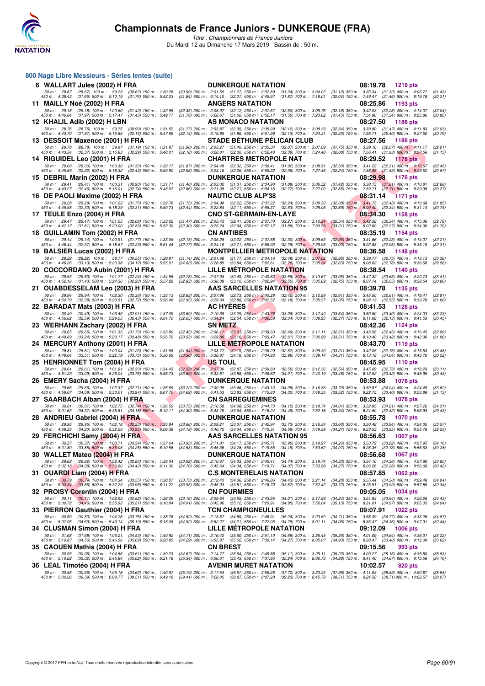

| 800 Nage Libre Messieurs - Séries lentes (suite)                                                                                                                                      |                                                                                                                                                                                                                                                                                       |                                                                                                                                        |
|---------------------------------------------------------------------------------------------------------------------------------------------------------------------------------------|---------------------------------------------------------------------------------------------------------------------------------------------------------------------------------------------------------------------------------------------------------------------------------------|----------------------------------------------------------------------------------------------------------------------------------------|
| 6 WALLART Jules (2002) H FRA                                                                                                                                                          | <b>DUNKERQUE NATATION</b>                                                                                                                                                                                                                                                             | 08:19.78<br>1219 pts                                                                                                                   |
| 50 m : 28.67 (28.67) 100 m : 59.29 (30.62) 150 m : 1:30.28<br>450 m : 4:38.43 (31.66) 500 m : 5:10.19 (31.76) 550 m : 5:42.03                                                         | (30.99) 200 m : 2:01.55 (31.27) 250 m : 2:32.89<br>$(31.34)$ 300 m : 3:04.02<br>(31.84) 600 m: 6:14.10 (32.07) 650 m: 6:45.97 (31.87) 700 m: 7:18.01                                                                                                                                  | $(31.13)$ 350 m : 3:35.34 $(31.32)$ 400 m : 4:06.77<br>(31.43)<br>(32.04) 750 m: 7:49.47 (31.46) 800 m: 8:19.78<br>(30.31)             |
| 11 MAILLY Noé (2002) H FRA                                                                                                                                                            | <b>ANGERS NATATION</b>                                                                                                                                                                                                                                                                | 08:25.86<br>1193 pts                                                                                                                   |
| 50 m: 29.18 (29.18) 100 m: 1:00.60 (31.42) 150 m: 1:32.95                                                                                                                             | (32.35) 200 m: 2:05.07 (32.12) 250 m: 2:37.57 (32.50) 300 m: 3:09.75                                                                                                                                                                                                                  | (32.18) 350 m: 3:42.03 (32.28) 400 m: 4:14.07<br>(32.04)                                                                               |
| 450 m : 4:46.04 (31.97) 500 m : 5:17.47 (31.43) 550 m : 5:49.17<br>12 KHALIL Adib (2002) H LBN                                                                                        | (31.70) 600 m : 6:20.67 (31.50) 650 m : 6:52.17 (31.50) 700 m : 7:23.62<br>AS MONACO NATATION                                                                                                                                                                                         | $(31.45)$ 750 m : 7:54.96 $(31.34)$ 800 m : 8:25.86<br>(30.90)<br>08:27.50<br>1186 pts                                                 |
| 50 m: 28.76 (28.76) 100 m: 59.75 (30.99) 150 m: 1:31.52                                                                                                                               | (31.77) 200 m: 2:03.87 (32.35) 250 m: 2:35.99 (32.12) 300 m: 3:08.33                                                                                                                                                                                                                  | (32.34) 350 m: 3:39.80 (31.47) 400 m: 4:11.83<br>(32.03)                                                                               |
| 450 m : 4:43.70 (31.87) 500 m : 5:15.85 (32.15) 550 m : 5:47.99                                                                                                                       | $(32.14)$ 600 m : 6:19.85 $(31.86)$ 650 m : 6:51.98 $(32.13)$ 700 m : 7:24.31                                                                                                                                                                                                         | (32.33) 750 m : 7:56.71 (32.40) 800 m : 8:27.50<br>(30.79)                                                                             |
| 13 DESSOIT Maxence (2001) H FRA<br>50 m: 28.78 (28.78) 100 m: 59.97 (31.19) 150 m: 1:31.87                                                                                            | <b>STADE BETHUNE PELICAN CLUB</b>                                                                                                                                                                                                                                                     | 08:27.56<br>1186 pts<br>(31.75) 350 m: 3:39.16 (32.07) 400 m: 4:11.17                                                                  |
| 450 m : 4:43.54 (32.37) 500 m : 5:15.83 (32.29) 550 m : 5:48.01                                                                                                                       | (31.90) 200 m: 2:03.27 (31.40) 250 m: 2:35.34 (32.07) 300 m: 3:07.09<br>$(32.18)$ 600 m : 6:20.01 $(32.00)$ 650 m : 6:52.40 $(32.39)$ 700 m : 7:24.48                                                                                                                                 | (32.01)<br>(32.08) 750 m : 7:56.41 (31.93) 800 m : 8:27.56<br>(31.15)                                                                  |
| 14 RIGUIDEL Leo (2001) H FRA                                                                                                                                                          | <b>CHARTRES METROPOLE NAT</b>                                                                                                                                                                                                                                                         | 08:29.52<br>1178 pts                                                                                                                   |
| 50 m: 29.00 (29.00) 100 m: 1:00.30 (31.30) 150 m: 1:32.17<br>450 m : 4:45.89 (32.22) 500 m : 5:18.32 (32.43) 550 m : 5:50.90                                                          | (31.87) 200 m : 2:04.49 (32.32) 250 m : 2:36.41<br>$(31.92)$ 300 m : 3:08.91<br>(32.58) 600 m: 6:23.16 (32.26) 650 m: 6:55.22 (32.06) 700 m: 7:27.46                                                                                                                                  | (32.50) 350 m: 3:41.22 (32.31) 400 m: 4:13.67<br>(32.45)<br>(32.24) 750 m : 7:58.95 (31.49) 800 m : 8:29.52<br>(30.57)                 |
| 15 DEBRIL Marin (2002) H FRA                                                                                                                                                          | <b>DUNKERQUE NATATION</b>                                                                                                                                                                                                                                                             | 08:29.98<br><b>1176 pts</b>                                                                                                            |
| 50 m: 29.41 (29.41) 100 m: 1:00.31 (30.90) 150 m: 1:31.71<br>450 m : 4:43.27 (32.46) 500 m : 5:16.01 (32.74) 550 m : 5:48.67                                                          | (31.40) 200 m : 2:03.02 (31.31) 250 m : 2:34.90<br>$(31.88)$ 300 m : 3:06.32<br>(32.66) 600 m: 6:21.38 (32.71) 650 m: 6:54.15<br>(32.77) 700 m : 7:27.00                                                                                                                              | $(31.42)$ 350 m : 3:38.13<br>$(31.81)$ 400 m : 4:10.81<br>(32.68)<br>(32.85) 750 m : 7:59.71 (32.71) 800 m : 8:29.98<br>(30.27)        |
| 16 DE PAOLI Maxime (2002) H FRA                                                                                                                                                       | <b>NAUTIC CLUB ALP'38</b>                                                                                                                                                                                                                                                             | 08:31.14<br>1171 pts                                                                                                                   |
| 50 m: 29.28 (29.28) 100 m: 1:01.03 (31.75) 150 m: 1:32.76                                                                                                                             | (31.73) 200 m : 2:04.98 (32.22) 250 m : 2:37.22<br>$(32.24)$ 300 m : 3:09.30                                                                                                                                                                                                          | $(32.08)$ 350 m : 3:41.73 $(32.43)$ 400 m : 4:13.68<br>(31.95)                                                                         |
| 450 m : 4:45.98 (32.30) 500 m : 5:18.29 (32.31) 550 m : 5:50.73                                                                                                                       | (32.44) 600 m: 6:22.84 (32.11) 650 m: 6:55.37<br>$(32.53)$ 700 m : 7:28.06                                                                                                                                                                                                            | $(32.69)$ 750 m : $8:00.40$<br>(30.74)<br>$(32.34)$ 800 m : 8:31.14                                                                    |
| 17 TEULE Enzo (2004) H FRA<br>50 m: 29.47 (29.47) 100 m: 1:01.55 (32.08) 150 m: 1:33.02                                                                                               | <b>CNO ST-GERMAIN-EN-LAYE</b><br>(31.47) 200 m : 2:05.43 (32.41) 250 m : 2:37.70<br>$(32.27)$ 300 m : 3:10.24                                                                                                                                                                         | 08:34.30<br>1158 pts<br>$(32.54)$ 350 m : 3:42.58<br>$(32.34)$ 400 m : 4:15.36<br>(32.78)                                              |
| 450 m : 4:47.17 (31.81) 500 m : 5:20.00<br>$(32.83)$ 550 m : 5:52.30                                                                                                                  | (32.30) 600 m : 6:25.24 (32.94) 650 m : 6:57.12<br>$(31.88)$ 700 m : 7:30.33                                                                                                                                                                                                          | $(33.21)$ 750 m : 8:02.60<br>$(32.27)$ 800 m : 8:34.30<br>(31.70)                                                                      |
| 18 GUILLAMIN Tom (2002) H FRA                                                                                                                                                         | CN ANTIBES                                                                                                                                                                                                                                                                            | 08:35.19<br>1154 pts                                                                                                                   |
| 50 m: 29.14 (29.14) 100 m: 1:00.91 (31.77) 150 m: 1:33.06<br>450 m : 4:46.44 (32.37) 500 m : 5:18.67 (32.23) 550 m : 5:51.44                                                          | (32.15) 200 m : 2:05.28 (32.22) 250 m : 2:37.58 (32.30) 300 m : 3:09.63<br>(32.77) 600 m: 6:24.15 (32.71) 650 m: 6:56.93 (32.78) 700 m: 7:29.93                                                                                                                                       | $(32.05)$ 350 m : 3:41.86<br>$(32.23)$ 400 m : 4:14.07<br>(32.21)<br>$(33.00)$ 750 m : 8:02.88<br>$(32.95)$ 800 m : 8:35.19<br>(32.31) |
| 19 BALSIER Lucas (2002) H FRA                                                                                                                                                         | <b>MONTPELLIER METROPOLE NATATION</b>                                                                                                                                                                                                                                                 | 08:36.58<br><b>1148 pts</b>                                                                                                            |
| 50 m : 28.22 (28.22) 100 m : 58.77 (30.55) 150 m : 1:29.91<br>450 m : 4:46.26 (33.13) 500 m : 5:20.38 (34.12) 550 m : 5:55.01                                                         | $(31.14)$ 200 m : 2:01.68 $(31.77)$ 250 m : 2:34.16 $(32.48)$ 300 m : 3:07.02<br>(34.63) 600 m : 6:28.85 (33.84) 650 m : 7:02.61 (33.76) 700 m : 7:35.24                                                                                                                              | (32.86) 350 m : 3:39.77 (32.75) 400 m : 4:13.13<br>(33.36)<br>(32.63) 750 m : 8:08.02 (32.78) 800 m : 8:36.58<br>(28.56)               |
| 20 COCCORDANO Aubin (2001) H FRA                                                                                                                                                      | <b>LILLE METROPOLE NATATION</b>                                                                                                                                                                                                                                                       | 08:38.54<br>1140 pts                                                                                                                   |
| 50 m: 29.53 (29.53) 100 m: 1:01.77 (32.24) 150 m: 1:34.55                                                                                                                             | (32.78) 200 m : 2:07.04 (32.49) 250 m : 2:40.62 (33.58) 300 m : 3:13.67                                                                                                                                                                                                               | (33.05) 350 m: 3:47.32 (33.65) 400 m: 4:20.73<br>(33.41)                                                                               |
| 450 m : 4:52.16 (31.43) 500 m : 5:24.36 (32.20) 550 m : 5:57.29<br>21 OUABDESSELAM Leo (2003) H FRA                                                                                   | (32.93) 600 m : 6:30.39 (33.10) 650 m : 7:02.94 (32.55) 700 m : 7:35.69<br><b>AAS SARCELLES NATATION 95</b>                                                                                                                                                                           | (32.75) 750 m : 8:07.74 (32.05) 800 m : 8:38.54<br>(30.80)<br>08:39.78<br>1135 pts                                                     |
| 50 m: 29.94 (29.94) 100 m: 1:02.30 (32.36) 150 m: 1:35.13                                                                                                                             | (32.83) 200 m : 2:07.86 (32.73) 250 m : 2:40.28<br>$(32.42)$ 300 m : 3:12.89                                                                                                                                                                                                          | (32.61) 350 m: 3:45.50 (32.61) 400 m: 4:18.41<br>(32.91)                                                                               |
| 450 m : 4:50.79 (32.38) 500 m : 5:23.51 (32.72) 550 m : 5:56.46                                                                                                                       | $(32.95)$ 600 m : 6:29.34 $(32.88)$ 650 m : 7:02.52<br>$(33.18)$ 700 m : 7:35.57                                                                                                                                                                                                      | (33.05) 750 m : 8:08.12 (32.55) 800 m : 8:39.78<br>(31.66)                                                                             |
| 22 BARADAT Mats (2003) H FRA<br>50 m: 30.49 (30.49) 100 m: 1:03.40 (32.91) 150 m: 1:37.09                                                                                             | <b>AC HYERES</b><br>$(33.69)$ 200 m : 2:10.38 $(33.29)$ 250 m : 2:43.76<br>$(33.38)$ 300 m : 3:17.40                                                                                                                                                                                  | 08:41.53<br>1128 pts<br>$(33.64)$ 350 m : 3:50.80 $(33.40)$ 400 m : 4:24.03<br>(33.23)                                                 |
| 450 m : 4:56.62 (32.59) 500 m : 5:29.05 (32.43) 550 m : 6:01.70                                                                                                                       | (32.65) 600 m : 6:34.24 (32.54) 650 m : 7:06.58<br>$(32.34)$ 700 m : 7:38.95                                                                                                                                                                                                          | (32.37) 750 m: 8:11.08 (32.13) 800 m: 8:41.53<br>(30.45)                                                                               |
| 23 WERHANN Zachary (2002) H FRA                                                                                                                                                       | <b>SN METZ</b>                                                                                                                                                                                                                                                                        | 08:42.36<br>1124 pts                                                                                                                   |
| 50 m : 29.65 (29.65) 100 m : 1:01.35 (31.70) 150 m : 1:33.80<br>450 m : 4:49.69 (33.24) 500 m : 5:23.17 (33.48) 550 m : 5:56.70                                                       | $\begin{array}{cccc} (32.45) \ 200 \ m \ \vdots \ \ 2:06.11 & (32.31) \ 250 \ m \ \vdots \ \ 2:38.60 & (32.49) \ 300 \ m \ \vdots \ \ 3:11.11 & (33.53) \ 600 \ m \ \vdots \ \ 6:29.86 & (33.16) \ 650 \ m \ \vdots \ \ 7:03.47 & (33.61) \ 700 \ m \ \vdots \ \ 7:36.98 \end{array}$ | $(32.51)$ 350 m : 3:43.56 $(32.45)$ 400 m : 4:16.45<br>(32.89)<br>(33.51) 750 m: 8:10.40 (33.42) 800 m: 8:42.36<br>(31.96)             |
| 24 MERCURY Anthony (2001) H FRA                                                                                                                                                       | LILLE METROPOLE NATATION                                                                                                                                                                                                                                                              | 08:43.70<br>1119 pts                                                                                                                   |
| 50 m: 28.81 (28.81) 100 m: 1:00.04 (31.23) 150 m: 1:31.58                                                                                                                             | (31.54) 200 m : 2:03.77 (32.19) 250 m : 2:36.29<br>$(32.52)$ 300 m : 3:09.30                                                                                                                                                                                                          | $(33.01)$ 350 m : 3:42.05 $(32.75)$ 400 m : 4:15.53<br>(33.48)                                                                         |
| 450 m : 4:49.04 (33.51) 500 m : 5:22.79 (33.75) 550 m : 5:56.69<br>25 HENRIONNET Tom (2004) H FRA                                                                                     | $(33.90)$ 600 m : 6:30.87 $(34.18)$ 650 m : 7:04.83<br>(33.96) 700 m : 7:39.14<br>US TOUL                                                                                                                                                                                             | (34.31) 750 m: 8:13.18 (34.04) 800 m: 8:43.70<br>(30.52)<br>08:45.95<br><b>1110 pts</b>                                                |
| 50 m: 29.61 (29.61) 100 m: 1:01.91 (32.30) 150 m: 1:34.43                                                                                                                             | (32.52) 200 m : 2:07.30 (32.87) 250 m : 2:39.80<br>$(32.50)$ 300 m : 3:12.36                                                                                                                                                                                                          | $(32.56)$ 350 m : 3:45.09<br>$(32.73)$ 400 m : 4:18.20<br>(33.11)                                                                      |
| 450 m : 4:51.29 (33.09) 500 m : 5:25.04<br>$(33.75)$ 550 m : 5:58.73                                                                                                                  | $(33.69)$ 600 m : 6:32.61<br>$(33.88)$ 650 m : 7:06.62<br>$(34.01)$ 700 m : 7:40.10                                                                                                                                                                                                   | $(33.48)$ 750 m : 8:13.52<br>(32.43)<br>$(33.42)$ 800 m : 8:45.95                                                                      |
| 26 EMERY Sacha (2004) H FRA<br>50 m: 29.66 (29.66) 100 m: 1:02.37 (32.71) 150 m: 1:35.59                                                                                              | <b>DUNKERQUE NATATION</b><br>(33.22) 200 m : 2:09.05 (33.46) 250 m : 2:43.13<br>$(34.08)$ 300 m : 3:16.83                                                                                                                                                                             | 08:53.88<br><b>1078 pts</b><br>(33.70) 350 m : 3:50.87 (34.04) 400 m : 4:24.49<br>(33.62)                                              |
| 450 m : 4:59.07 (34.58) 500 m : 5:33.01 (33.94) 550 m : 6:07.70                                                                                                                       | $(34.69)$ 600 m : 6:41.53 $(33.83)$ 650 m : 7:15.83<br>$(34.30)$ 700 m : 7:49.35                                                                                                                                                                                                      | $(33.52)$ 750 m : 8:22.75<br>(33.40) 800 m : 8:53.88<br>(31.13)                                                                        |
| 27 SAARBACH Alban (2004) H FRA                                                                                                                                                        | <b>CN SARREGUEMINES</b>                                                                                                                                                                                                                                                               | 08:53.93<br><b>1078 pts</b><br>$(34.01)$ 350 m : 3:52.95                                                                               |
| 50 m: 30.01 (30.01) 100 m: 1:02.75 (32.74) 150 m: 1:36.50<br>450 m : 5:01.63 (34.37) 500 m : 5:35.81 (34.18) 550 m : 6:10.11                                                          | (33.75) 200 m: 2:10.58 (34.08) 250 m: 2:44.73<br>$(34.15)$ 300 m : 3:18.74<br>$(34.30)$ 600 m : 6:43.75 $(33.64)$ 650 m : 7:18.24<br>$(34.49)$ 700 m : 7:52.18                                                                                                                        | $(34.21)$ 400 m : 4:27.26<br>(34.31)<br>$(33.94)$ 750 m : 8:24.50 $(32.32)$ 800 m : 8:53.93<br>(29.43)                                 |
| 28 ANDRIEU Gabriel (2004) H FRA                                                                                                                                                       | <b>DUNKERQUE NATATION</b>                                                                                                                                                                                                                                                             | 08:55.78<br>1070 pts                                                                                                                   |
| 50 m : 29.95 (29.95) 100 m : 1:02.18 (32.23) 150 m : 1:35.84<br>450 m : 4:58.25 (34.20) 500 m : 5:32.20 (33.95) 550 m : 6:06.38                                                       | (33.66) 200 m : 2:09.21 (33.37) 250 m : 2:42.94 (33.73) 300 m : 3:16.54<br>(34.18) 600 m : 6:40.72 (34.34) 650 m : 7:15.31 (34.59) 700 m : 7:49.58                                                                                                                                    | $(33.60)$ 350 m : 3:50.48 $(33.94)$ 400 m : 4:24.05<br>(33.57)<br>(32.25)<br>(34.27) 750 m : 8:23.53 (33.95) 800 m : 8:55.78           |
| 29 FERCHICHI Samy (2004) H FRA                                                                                                                                                        | <b>AAS SARCELLES NATATION 95</b>                                                                                                                                                                                                                                                      | 08:56.63 1067 pts                                                                                                                      |
| 50 m: 30.37 (30.37) 100 m: 1:03.71 (33.34) 150 m: 1:37.64<br>450 m : 5:01.80 (33.85) 500 m : 5:36.05 (34.25) 550 m : 6:10.58                                                          | (33.93) 200 m : 2:11.81 (34.17) 250 m : 2:45.71 (33.90) 300 m : 3:19.97<br>(34.53) 600 m: 6:45.36 (34.78) 650 m: 7:19.55 (34.19) 700 m: 7:53.62                                                                                                                                       | (34.26) 350 m : 3:53.79 (33.82) 400 m : 4:27.95<br>(34.16)<br>(34.07) 750 m : 8:26.35 (32.73) 800 m : 8:56.63<br>(30.28)               |
| 30 WALLET Mateo (2004) H FRA                                                                                                                                                          | <b>DUNKERQUE NATATION</b>                                                                                                                                                                                                                                                             | 08:56.68<br><b>1067 pts</b>                                                                                                            |
| $50 \text{ m}: 29.62$ (29.62) $100 \text{ m}: 1.02.42$ (32.80) $150 \text{ m}: 1.36.34$<br>$450 \text{ m}: 5.02.18$ (34.28) $500 \text{ m}: 5.36.60$ (34.42) $550 \text{ m}: 6.11.30$ | (33.92) 200 m : 2:10.67 (34.33) 250 m : 2:45.41 (34.74) 300 m : 3:19.74                                                                                                                                                                                                               | (34.33) 350 m: 3:54.10 (34.36) 400 m: 4:27.90<br>(33.80)                                                                               |
|                                                                                                                                                                                       | (34.70) 600 m: 6:45.64 (34.34) 650 m: 7:19.71 (34.07) 700 m: 7:53.98                                                                                                                                                                                                                  | (34.27) 750 m : 8:26.26 (32.28) 800 m : 8:56.68<br>(30.42)                                                                             |
| 31 OUARDI Liam (2004) H FRA<br>50 m : 30.79 (30.79) 100 m : 1:04.34 (33.55) 150 m : 1:38.07                                                                                           | <b>C.S MONTERELAIS NATATION</b><br>(33.73) 200 m : 2:12.43 (34.36) 250 m : 2:46.86<br>$(34.43)$ 300 m : 3:21.14                                                                                                                                                                       | 08:57.85<br><b>1062 pts</b><br>(34.28) 350 m: 3:55.44 (34.30) 400 m: 4:29.48<br>(34.04)                                                |
| 450 m : 5:03.34 (33.86) 500 m : 5:37.29 (33.95) 550 m : 6:11.22                                                                                                                       | (33.93) 600 m : 6:45.03 (33.81) 650 m : 7:18.70 (33.67) 700 m : 7:52.42                                                                                                                                                                                                               | (33.72) 750 m : 8:25.51 (33.09) 800 m : 8:57.85<br>(32.34)                                                                             |
| 32 PROISY Corentin (2004) H FRA                                                                                                                                                       | <b>CN FOURMIES</b>                                                                                                                                                                                                                                                                    | 09:05.05<br><b>1034 pts</b>                                                                                                            |
| 50 m: 30.11 (30.11) 100 m: 1:02.93 (32.82) 150 m: 1:36.09<br>450 m : 5:00.72 (34.46) 500 m : 5:35.93 (35.21) 550 m : 6:10.84                                                          | (33.16) 200 m : 2:09.64 (33.55) 250 m : 2:43.65 (34.01) 300 m : 3:17.89<br>(34.91) 600 m: 6:45.96 (35.12) 650 m: 7:20.91 (34.95) 700 m: 7:56.04                                                                                                                                       | (34.24) 350 m: 3:51.83 (33.94) 400 m: 4:26.26<br>(34.43)<br>(35.13) 750 m: 8:31.01 (34.97) 800 m: 9:05.05<br>(34.04)                   |
| 33 PIERRON Gauthier (2004) H FRA                                                                                                                                                      | <b>TCN CHAMPIGNEULLES</b>                                                                                                                                                                                                                                                             | 09:07.91<br>1022 pts                                                                                                                   |
| 50 m: 30.50 (30.50) 100 m: 1:04.26 (33.76) 150 m: 1:38.78<br>450 m : 5:07.95 (34.69) 500 m : 5:43.14 (35.19) 550 m : 6:18.06                                                          | (34.52) 200 m: 2:13.67 (34.89) 250 m: 2:48.91 (35.24) 300 m: 3:23.62<br>(34.92) 600 m: 6:52.27 (34.21) 650 m: 7:27.05 (34.78) 700 m: 8:01.11                                                                                                                                          | (34.71) 350 m: 3:58.39 (34.77) 400 m: 4:33.26<br>(34.87)<br>(34.06) 750 m : 8:35.47 (34.36) 800 m : 9:07.91<br>(32.44)                 |
| 34 CLUSMAN Simon (2004) H FRA                                                                                                                                                         | LILLE METROPOLE NATATION                                                                                                                                                                                                                                                              | 09:12.09<br><b>1006 pts</b>                                                                                                            |
| 50 m: 31.68 (31.68) 100 m: 1:06.21 (34.53) 150 m: 1:40.92                                                                                                                             | (34.71) 200 m : 2:16.42 (35.50) 250 m : 2:51.10 (34.68) 300 m : 3:26.45                                                                                                                                                                                                               | $(35.35)$ 350 m : 4:01.09 $(34.64)$ 400 m : 4:36.31<br>(35.22)                                                                         |
| 450 m: 5:10.87 (34.56) 500 m: 5:46.56 (35.69) 550 m: 6:20.85<br>35 CAOUEN Mathis (2004) H FRA                                                                                         | (34.29) 600 m: 6:55.87 (35.02) 650 m: 7:30.14 (34.27) 700 m: 8:05.07<br>CN BREST                                                                                                                                                                                                      | (34.93) 750 m: 8:38.47 (33.40) 800 m: 9:12.09<br>(33.62)<br>09:15.56<br>993 pts                                                        |
| 50 m: 30.95 (30.95) 100 m: 1:04.56 (33.61) 150 m: 1:39.23                                                                                                                             | (34.67) 200 m : 2:14.77 (35.54) 250 m : 2:49.88 (35.11) 300 m : 3:25.11                                                                                                                                                                                                               | (35.23) 350 m: 4:00.27 (35.16) 400 m: 4:35.80<br>(35.53)                                                                               |
| 450 m : 5:10.82 (35.02) 500 m : 5:45.84 (35.02) 550 m : 6:21.18                                                                                                                       | (35.34) 600 m: 6:56.61 (35.43) 650 m: 7:31.85 (35.24) 700 m: 8:06.73                                                                                                                                                                                                                  | (34.88) 750 m : 8:41.40 (34.67) 800 m : 9:15.56<br>(34.16)                                                                             |
| 36 LEAL Timotéo (2004) H FRA                                                                                                                                                          | <b>AVENIR MURET NATATION</b><br>50 m : 30.56 (30.56) 100 m : 1:05.18 (34.62) 150 m : 1:40.97 (35.79) 200 m : 2:17.54 (36.57) 250 m : 2:55.26 (37.72) 300 m : 3:33.24 (37.98) 350 m : 4:11.93 (38.69) 400 m : 4:50.87                                                                  | 10:02.57<br>820 pts<br>(38.94)                                                                                                         |
|                                                                                                                                                                                       | 450 m : 5:30.26 (39.39) 500 m : 6:09.77 (39.51) 550 m : 6:49.18 (39.41) 600 m : 7:28.05 (38.87) 650 m : 8:07.28 (39.23) 700 m : 8:45.79 (38.51) 750 m : 9:24.50 (38.71) 800 m : 10:02.57 (38.07)                                                                                      |                                                                                                                                        |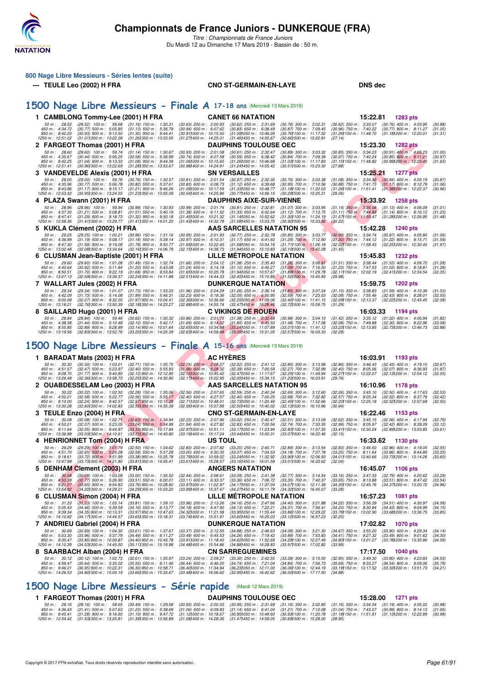

*Titre : Championnats de France Juniors* Du Mardi 12 au Dimanche 17 Mars 2019 - Bassin de : 50 m.

| 800 Nage Libre Messieurs - Séries lentes (suite)<br>--- TEULE Leo (2002) H FRA                                                                                                                                                                                                | <b>CNO ST-GERMAIN-EN-LAYE</b>                                                                                                                                                                                                                                                                                                                  | <b>DNS</b> dec                                                                                                                                                                                        |
|-------------------------------------------------------------------------------------------------------------------------------------------------------------------------------------------------------------------------------------------------------------------------------|------------------------------------------------------------------------------------------------------------------------------------------------------------------------------------------------------------------------------------------------------------------------------------------------------------------------------------------------|-------------------------------------------------------------------------------------------------------------------------------------------------------------------------------------------------------|
|                                                                                                                                                                                                                                                                               |                                                                                                                                                                                                                                                                                                                                                |                                                                                                                                                                                                       |
| 1500 Nage Libre Messieurs - Finale A 17-18 ans (Mercredi 13 Mars 2019)                                                                                                                                                                                                        |                                                                                                                                                                                                                                                                                                                                                |                                                                                                                                                                                                       |
| 1 CAMBLONG Tommy-Lee (2001) H FRA                                                                                                                                                                                                                                             | <b>CANET 66 NATATION</b>                                                                                                                                                                                                                                                                                                                       | 15:22.81<br>1283 pts                                                                                                                                                                                  |
| 50 m: 28.52 (28.52) 100 m: 59.68 (31.16) 150 m: 1:30.31<br>450 m : 4:34.72<br>(30.77) 500 m: 5:05.85 (31.13) 550 m: 5:36.79<br>850 m : 8:42.20<br>$(30.93)$ 900 m : 9:13.50 $(31.30)$ 950 m : 9:44.41<br>(31.011300 m: 13:22.28 (31.261350 m: 13:53.55)<br>1250 m : 12:51.02  | $(30.63)$ 200 m : 2:00.93<br>$(30.62)$ 250 m : 2:31.69<br>$(30.76)$ 300 m : 3:02.31<br>$(30.94)$ 600 m : 6:07.62<br>$(30.83)$ 650 m : 6:38.49<br>$(30.87)$ 700 m : 7:09.45<br>(30.911000 m: 10:15.50<br>(31.09) 050 m : 10:46.26<br>(30.761100 m: 11:17.52)<br>(31.27) 400 m : 14:25.01<br>(31.46) 450 m : 14:55.67<br>(30.66)500 m : 15.22.81 | $(30.62)$ 350 m : 3:33.07 $(30.76)$ 400 m : 4:03.95<br>(30.88)<br>(30.96) 750 m : 7:40.22 (30.77) 800 m : 8:11.27<br>(31.05)<br>(31.26) 150 m: 11:48.70 (31.18) 200 m: 12:20.01<br>(31.31)<br>(27.14) |
| 2 FARGEOT Thomas (2001) H FRA<br>(28.60) 100 m: 59.74 (31.14) 150 m: 1:30.67<br>50 m: 28.60<br>$(30.44)$ 500 m : 5:06.25<br>450 m : 4:35.67<br>$(30.58)$ 550 m : 5:36.99                                                                                                      | <b>DAUPHINS TOULOUSE OEC</b><br>$(30.93)$ 200 m : 2:01.58<br>$(30.91)$ 250 m : 2:32.47<br>(30.89) 300 m : 3:03.32<br>$(30.84)$ 700 m : 7:09.39<br>$(30.74)$ 600 m : 6:07.58<br>$(30.59)$ 650 m : 6:38.42                                                                                                                                       | 15:23.30<br><b>1282 pts</b><br>$(30.85)$ 350 m : 3:34.23<br>$(30.91)$ 400 m : 4:05.23<br>(31.00)<br>$(30.85)$ 800 m : 8:11.21<br>$(30.97)$ 750 m : 7:40.24<br>(30.97)                                 |
| 850 m : 8:42.25<br>$(31.04)$ 900 m : 9:13.33<br>$(31.08)$ 950 m : 9:44.39<br>(30.96) 300 m : 13:22.69<br>1250 m : 12:51.41<br>(31.281350 m: 13:53.67                                                                                                                          | $(31.06)000 \text{ m}$ : 10:15.65<br>(31.26) 050 m: 10:46.68<br>$(31.03)100 \text{ m}$ : 11:17.83<br>(30.98) 400 m : 14:24.91<br>(30.511500 m: 15:23.30)<br>(31.24) 450 m : 14:55.42                                                                                                                                                           | (30.991200 m : 12:20.45<br>(31.15 <b>)</b> 150 m : 11:48.82<br>(31.63)<br>(27.88)                                                                                                                     |
| 3 VANDEVELDE Alexis (2001) H FRA<br>50 m: 29.00<br>$(29.00)$ 100 m : 59.76<br>$(30.76)$ 150 m : 1:30.57                                                                                                                                                                       | <b>SN VERSAILLES</b><br>$(30.97)$ 250 m : 2:32.30<br>$(30.81)$ 200 m : 2:01.54<br>$(30.76)$ 300 m : 3:03.38                                                                                                                                                                                                                                    | 15:25.21<br>1277 pts<br>$(31.08)$ 350 m : 3:34.32 $(30.94)$ 400 m : 4:05.19<br>(30.87)                                                                                                                |
| $(30.77)$ 500 m : 5:06.78<br>450 m : 4:35.96<br>$(30.82)$ 550 m : 5:37.61<br>850 m : 8:43.96<br>$(31.17)$ 900 m : 9:15.17<br>$(31.21)$ 950 m : 9:46.26<br>1250 m: 12:53.32 (30.95) 300 m: 13:24.55<br>(31.23) 350 m : 13:55.09                                                | $(30.95)$ 700 m : 7:10.56<br>$(30.83)$ 600 m : 6:08.73<br>$(31.12)$ 650 m : 6:39.68<br>(31.09) 000 m : 10:17.59<br>(31.33) 050 m: 10:48.77<br>(31.18) 100 m: 11:20.03<br>(30.54) 400 m : 14:25.86<br>(30.291500 m: 15:25.21<br>$(30.77)450 \text{ m}$ : 14:56.15                                                                               | $(30.88)$ 750 m : 7:41.73<br>$(31.17)$ 800 m : 8:12.79<br>(31.06)<br>(31.26) 150 m : 11:51.41 (31.38) 200 m : 12:22.37<br>(30.96)<br>(29.06)                                                          |
| 4 PLAZA Swann (2001) H FRA<br>50 m: 28.96<br>$(28.96)$ 100 m : 59.94<br>$(30.98)$ 150 m : 1:30.93                                                                                                                                                                             | <b>DAUPHINS AIXE-SUR-VIENNE</b><br>$(30.99)$ 200 m : 2:01.74<br>$(30.81)$ 250 m : 2:32.81<br>$(31.07)$ 300 m : 3:03.95                                                                                                                                                                                                                         | 15:33.92<br>1258 pts<br>$(31.14)$ 350 m : 3:35.08 $(31.13)$ 400 m : 4:06.09<br>(31.01)                                                                                                                |
| $(31.21)$ 500 m : 5:08.81<br>450 m : 4:37.30<br>$(31.51)$ 550 m : 5:40.19<br>850 m : 8:47.41<br>$(31.29)$ 900 m : 9:18.73<br>$(31.32)$ 950 m : 9:50.18<br>1250 m : 12:58.36<br>(31.41 <b>)</b> 300 m : 13:29.77<br>$(31.411350 \text{ m} : 14.01.20)$                         | $(31.38)$ 600 m : 6:11.52<br>$(31.33)$ 650 m : 6:42.64<br>$(31.12)$ 700 m : 7:13.75<br>(31.45) 000 m: 10:21.32<br>(31.14) 050 m : 10:52.62<br>(31.30) 100 m: 11:24.19<br>$(31.43)400 \text{ m}$ : 14:32.78<br>(31.58) 450 m : 15:03.70<br>(30.92) 500 m : 15:33.92                                                                             | $(31.11)$ 750 m : 7:44.89 $(31.14)$ 800 m : 8:16.12<br>(31.23)<br>(31.57) 150 m: 11.55.47 (31.28) 200 m: 12:26.95<br>(31.48)<br>(30.22)                                                               |
| 5 KUKLA Clément (2002) H FRA<br>50 m: 29.25<br>$(29.25)$ 100 m : 1:00.21<br>$(30.96)$ 150 m : 1:31.16                                                                                                                                                                         | AAS SARCELLES NATATION 95<br>$(30.95)$ 200 m : 2:01.93<br>$(30.77)$ 250 m : 2:32.78<br>$(30.85)$ 300 m : 3:03.77                                                                                                                                                                                                                               | 15:42.28<br><b>1240 pts</b><br>$(30.99)$ 350 m : 3:34.74 $(30.97)$ 400 m : 4:05.80<br>(31.06)                                                                                                         |
| 450 m : 4:36.99<br>$(31.19)$ 500 m : 5:08.17<br>$(31.18)$ 550 m : 5:39.14<br>850 m : 8:47.30<br>$(31.59)$ 900 m : 9:19.08<br>$(31.78)$ 950 m : 9:50.77<br>1250 m: 13:02.48<br>(32.08) 300 m : 13:34.64<br>(32.161350 m : 14:06.79                                             | $(30.97)$ 600 m : 6:10.31<br>$(31.17)$ 650 m : 6:41.60<br>$(31.29)$ 700 m : 7:12.90<br>(31.691000 m: 10:22.45)<br>$(31.681050 \text{ m} : 10.54.16)$<br>$(31.71)100 \text{ m}$ : 11:26.18<br>(31.94) 450 m: 15:10.83<br>(32.151400 m: 14:38.73)<br>(32.10) 500 m: 15:42.28                                                                     | $(31.30)$ 750 m : 7:44.12<br>$(31.22)$ 800 m : 8:15.71<br>(31.59)<br>(32.02) 150 m : 11:58.43<br>(32.251200 m : 12:30.40<br>(31.97)<br>(31.45)                                                        |
| 6 CLUSMAN Jean-Baptiste (2001) H FRA<br>50 m: 29.60<br>$(29.60)$ 100 m : 1:01.08<br>$(31.48)$ 150 m : 1:32.74                                                                                                                                                                 | <b>LILLE METROPOLE NATATION</b><br>$(31.66)$ 200 m : 2:04.12<br>$(31.38)$ 250 m : 2:35.40<br>$(31.28)$ 300 m : 3:06.91                                                                                                                                                                                                                         | 15:45.83<br><b>1232 pts</b><br>$(31.51)$ 350 m : 3:38.44 $(31.53)$ 400 m : 4:09.72<br>(31.28)                                                                                                         |
| 450 m : 4:40.64<br>$(30.92)$ 500 m : 5:11.84<br>$(31.20)$ 550 m : 5:43.08<br>850 m : 8:50.51<br>$(31.70)$ 900 m : 9:22.19<br>$(31.68)$ 950 m : 9:53.84<br>1250 m: 13:07.13<br>(32.59) 300 m : 13:39.37<br>(32.241350 m: 14:11.88                                              | $(31.24)$ 600 m : 6:14.18<br>$(31.10)$ 650 m : 6:45.27<br>$(31.09)$ 700 m : 7:16.50<br>(31.65) 000 m : 10:25.78<br>(31.94) 050 m: 10:57.67<br>(31.891100 m: 11.29.78)<br>$(32.51)400 \text{ m}$ : 14:44.33<br>(32.45)450 m : 15:15.85<br>$(31.52)500 \text{ m}$ : 15:45.83                                                                     | (31.23) 750 m: 7:47.53 (31.03) 800 m: 8:18.81<br>(31.28)<br>(32.11) 150 m : 12:02.19 (32.41) 200 m : 12:34.54<br>(32.35)<br>(29.98)                                                                   |
| 7 WALLART Jules (2002) H FRA<br>50 m : 29.34<br>(29.34) 100 m: 1:01.07 (31.73) 150 m: 1:33.03                                                                                                                                                                                 | <b>DUNKERQUE NATATION</b><br>$(31.96)$ 200 m : 2:04.29<br>$(31.85)$ 300 m : 3:07.24<br>$(31.26)$ 250 m : 2:36.14                                                                                                                                                                                                                               | 15:59.75<br>1202 pts<br>$(31.10)$ 350 m : 3:38.83 $(31.59)$ 400 m : 4:10.36<br>(31.53)                                                                                                                |
| 450 m: 4:42.09<br>$(31.73)$ 500 m : 5:14.08<br>$(31.99)$ 550 m : 5:46.31<br>850 m : 9:00.08<br>$(32.07)$ 900 m : 9:32.05<br>(31.97) 950 m : 10:04.41<br>1250 m : 13:18.21<br>(32.76) 300 m : 13:50.39<br>(32.181350 m : 14:23.27                                              | $(32.23)$ 600 m : 6:18.36<br>$(32.05)$ 650 m : 6:50.95<br>$(32.59)$ 700 m : 7:23.03<br>(32.40) 100 m: 11:41.15<br>$(32.36)000 \text{ m}$ : 10:36.66<br>$(32.251050 \text{ m} : 11.09.06)$<br>(32.88) 400 m : 14:55.74<br>(32.471450 m : 15:28.46)<br>(32.72) 500 m : 15:59.75                                                                  | (32.08) 750 m : 7:55.46 (32.43) 800 m : 8:28.01<br>(32.55)<br>(32.09) 150 m: 12:13.37 (32.22) 200 m: 12:45.45<br>(32.08)<br>(31.29)                                                                   |
| 8 SAILLARD Hugo (2001) H FRA<br>50 m: 28.84<br>$(28.84)$ 100 m : 59.46<br>$(30.62)$ 150 m : 1:30.32                                                                                                                                                                           | <b>C VIKINGS DE ROUEN</b><br>$(30.86)$ 200 m : 2:01.70<br>$(31.38)$ 250 m : 2:32.68<br>(30.98) 300 m : 3:04.10                                                                                                                                                                                                                                 | 16:03.33<br>1194 pts<br>$(31.42)$ 350 m : 3:35.12 $(31.02)$ 400 m : 4:06.94<br>(31.82)                                                                                                                |
| 450 m: 4:38.38<br>$(31.44)$ 500 m : 5:10.48<br>$(32.10)$ 550 m : 5:42.17<br>850 m : 8:55.85<br>$(32.89)$ 900 m : 9:28.99<br>$(33.14)$ 950 m : 10:01.64<br>(33.20) 350 m : 14:25.39<br>1250 m : 13:19.56<br>(32.83) 300 m : 13:52.76                                           | $(31.69)$ 600 m : 6:14.02<br>$(31.85)$ 650 m : 6:45.50<br>$(31.48)$ 700 m : 7:17.58<br>(32.65) 000 m : 10:34.88<br>(33.24) 050 m : 11:07.89<br>(33.01) 100 m: 11:41.12<br>$(32.63)400 \text{ m}$ : 14:58.48<br>(33.09)450 m : 15.31.05<br>(32.571500 m: 16:03.33                                                                               | $(32.08)$ 750 m : 7:49.88<br>$(32.30)$ 800 m : 8:22.96<br>(33.08)<br>(33.23) 150 m : 12:13.85<br>(32.73) 200 m : 12:46.73<br>(32.88)<br>(32.28)                                                       |
| 1500 Nage Libre Messieurs - Finale A 15-16 ans (Mercredi 13 Mars 2019)                                                                                                                                                                                                        |                                                                                                                                                                                                                                                                                                                                                |                                                                                                                                                                                                       |
| 1 BARADAT Mats (2003) H FRA<br>$(30.30)$ 100 m : 1:03.01<br>50 m : 30.30<br>$(32.71)$ 150 m : 1:35.75                                                                                                                                                                         | <b>AC HYERES</b><br>$(32.74)$ 200 m : 2:08.27<br>$(32.52)$ 250 m : 2:41.12                                                                                                                                                                                                                                                                     | 16:03.91<br>1193 pts<br>$(32.86)$ 350 m : 3:46.43 $(32.45)$ 400 m : 4:19.10<br>(32.67)                                                                                                                |
| 450 m: 4:51.57<br>(32.47) 500 m : 5:23.97<br>$(32.40)$ 550 m : 5:55.93<br>850 m : 9:08.70<br>$(31.77)$ 900 m : 9:40.80<br>$(32.10)$ 950 m : 10:12.95<br>(32.36) 300 m : 13:58.73<br>(32.25) 350 m : 14:30.90<br>1250 m : 13:26.48                                             | $(32.85)$ 300 m : 3:13.98<br>$(31.96)$ 600 m : 6:28.32<br>$(32.39)$ 650 m : 7:00.59<br>(32.27) 700 m : 7:32.99<br>(32.151000 m : 10:45.42)<br>(32.25) 100 m : 11:49.94<br>$(32.47)050 \text{ m}$ : 11:17.67<br>(32.17) 400 m : 15:02.95<br>(32.05) 450 m : 15:34.15<br>(31.201500 m: 16:03.91                                                  | $(32.40)$ 750 m : 8:05.06<br>$(32.07)$ 800 m : 8:36.93<br>(31.87)<br>(32.27) 150 m : 12:22.07 (32.13) 200 m : 12:54.12<br>(32.05)<br>(29.76)                                                          |
| 2 OUABDESSELAM Leo (2003) H FRA<br>$(30.22)$ 100 m : 1:02.50                                                                                                                                                                                                                  | AAS SARCELLES NATATION 95<br>$(32.56)$ 200 m : 2:07.65<br>$(32.69)$ 300 m : 3:12.60                                                                                                                                                                                                                                                            | 16:10.96<br>1178 pts<br>$(32.26)$ 350 m : 3:45.10 $(32.50)$ 400 m : 4:17.63                                                                                                                           |
| $(32.28)$ 150 m : 1:35.06<br>50 m: 30.22<br>450 m : 4:50.21<br>$(32.58)$ 500 m : 5:22.77<br>$(32.56)$ 550 m : 5:55.17<br>850 m : 9:10.00<br>$(32.24)$ 900 m : 9:42.57<br>(32.57) 950 m : 10:15.28<br>1250 m : 13:30.28<br>(32.60) 300 m : 14:02.83<br>(32.551350 m : 14:35.39 | $(32.59)$ 250 m : 2:40.34<br>$(32.40)$ 600 m : 6:27.57<br>$(32.40)$ 650 m : 7:00.25<br>$(32.68)$ 700 m : 7:32.82<br>(32.711000 m: 10:48.01<br>(32.73) 050 m : 11:20.46<br>(32.45) 100 m : 11:52.66<br>(32.561400 m : 15:07.89<br>(32.50) 450 m : 15:40.02<br>(32.13) 500 m : 16:10.96                                                          | (32.53)<br>$(32.57)$ 750 m : $8.05.34$ $(32.52)$ 800 m : $8.37.76$<br>(32.42)<br>(32.20) 150 m: 12:25.18 (32.52) 200 m: 12:57.68<br>(32.50)<br>(30.94)                                                |
| 3 TEULE Enzo (2004) H FRA<br>50 m : 30.08<br>$(30.08)$ 100 m : 1:02.71<br>$(32.63)$ 150 m : 1:34.94                                                                                                                                                                           | <b>CNO ST-GERMAIN-EN-LAYE</b><br>$(32.23)$ 200 m : 2:07.96<br>$(33.02)$ 250 m : 2:40.47<br>$(32.51)$ 300 m : 3:13.09                                                                                                                                                                                                                           | 16:22.46<br>1153 pts<br>(32.62) 350 m: 3:45.15 (32.06) 400 m: 4:17.94<br>(32.79)                                                                                                                      |
| $(32.07)$ 500 m : 5:23.05<br>$(33.04)$ 550 m : 5:54.99<br>450 m : 4:50.01<br>850 m: 9:11.64 (32.55) 900 m: 9:44.97<br>$(33.33)$ 950 m : 10:17.94<br>1250 m: 13:36.88 (33.031300 m: 14:10.61)<br>(33,731350 m : 14:43.80<br>4 HENRIONNET Tom (2004) H FRA                      | $(32.83)$ 650 m : 7:00.56<br>$(31.94)$ 600 m : 6:27.82<br>$(32.74)$ 700 m : 7:33.55<br>(32.97) 000 m : 10:51.11<br>(33.17) 050 m: 11:23.94<br>(32.83) 100 m : 11:57.35<br>(33.19) 400 m : 15:17.24<br>(33.441450 m : 15:50.31<br>(33.07) 500 m : 16:22.46                                                                                      | $(32.99)$ 750 m : 8:05.97 $(32.42)$ 800 m : 8:39.09<br>(33.12)<br>(33.41) 150 m : 12:30.24 (32.89) 200 m : 13:03.85<br>(33.61)<br>(32.15)                                                             |
| $(29.29)$ 100 m : 1:01.79<br>50 m : 29.29<br>$(32.50)$ 150 m : 1:34.62                                                                                                                                                                                                        | <b>US TOUL</b><br>$(32.83)$ 200 m : 2:07.82<br>$(32.89)$ 300 m : 3:13.54<br>$(33.20)$ 250 m : 2:40.71                                                                                                                                                                                                                                          | 16:33.62<br>1130 pts<br>$(32.83)$ 350 m : 3:46.50 $(32.96)$ 400 m : 4:19.05<br>(32.55)                                                                                                                |
| $(32.65)$ 500 m : 5:24.28<br>450 m : 4:51.70<br>$(32.58)$ 550 m : 5:57.28<br>$(33.72)$ 900 m : 9:51.99<br>850 m : 9:18.61<br>(33.38) 950 m : 10:25.78<br>1250 m : 13:47.99<br>$(33.73)300 \text{ m}$ : 14:21.80<br>(33.811350 m : 14:55.41                                    | $(33.00)$ 600 m : 6:30.35<br>$(33.07)$ 650 m : 7:04.53<br>$(34.18)$ 700 m : 7:37.78<br>(33.79) 000 m : 10:59.02<br>(33.24) 050 m: 11:32.92<br>(33.901100 m: 12.06.93)<br>(33.61) 400 m : 15:28.57<br>(33.16)450 m : 16.01.58<br>(33.011500 m: 16:33.62                                                                                         | (33.25) 750 m : 8:11.64 (33.86) 800 m : 8:44.89<br>(33.25)<br>(34.01) 150 m: 12:40.66 (33.73) 200 m: 13:14.26<br>(33.60)<br>(32.04)                                                                   |
| 5 DENHAM Clement (2003) H FRA<br>(30.08) 100 m: 1:03.08 (33.00) 150 m: 1:35.52<br>50 m : 30.08                                                                                                                                                                                | <b>ANGERS NATATION</b><br>$(32.44)$ 200 m : 2:08.61<br>$(33.09)$ 250 m : 2:41.38<br>$(32.77)$ 300 m : 3:14.54                                                                                                                                                                                                                                  | 16:45.07<br>1106 pts<br>$(33.16)$ 350 m : 3:47.33 $(32.79)$ 400 m : 4:20.62<br>(33.29)                                                                                                                |
| $(32.77)$ 500 m : 5:26.90<br>450 m : 4:53.39<br>$(33.51)$ 550 m : 6:00.01<br>850 m : 9:21.07<br>$(33.65)$ 900 m : 9:54.83<br>$(33.76)$ 950 m : 10:28.80<br>1250 m: 13:54.92 (34.20) 300 m: 14:29.21<br>(34.29) 350 m : 15:03.20                                               | $(33.11)$ 600 m : 6:33.37<br>$(33.36)$ 650 m : 7:06.72<br>$(33.35)$ 700 m : 7:40.37<br>(33.97) 000 m : 11:02.97<br>(34.17) 050 m : 11:37.04<br>(34.07) 100 m : 12:11.39<br>(33.991400 m : 15:37.47<br>(34.27) 450 m : 16:11.79<br>(34.32) 500 m: 16:45.07                                                                                      | $(33.65)$ 750 m $: 8.13.88$ $(33.51)$ 800 m $: 8.47.42$<br>(33.54)<br>(34.35) 150 m : 12:45.76<br>(34.371200 m : 13:20.72<br>(34.96)<br>(33.28)                                                       |
| 6   CLUSMAN Simon (2004) H FRA<br>50 m: 31.33<br>$(31.33)$ 100 m : 1:05.14<br>$(33.81)$ 150 m : 1:39.10                                                                                                                                                                       | LILLE METROPOLE NATATION<br>$(33.96)$ 200 m : 2:13.26<br>$(34.16)$ 250 m : 2:47.66<br>$(34.40)$ 300 m : 3:21.88                                                                                                                                                                                                                                | 16:57.23<br><b>1081 pts</b><br>$(34.51)$ 400 m : 4:30.97<br>$(34.22)$ 350 m : 3:56.39<br>(34.58)                                                                                                      |
| 450 m : 5:05.43<br>$(34.46)$ 500 m : 5:39.59<br>$(34.16)$ 550 m : 6:13.77<br>850 m : 9:39.34<br>$(34.35)$ 900 m : 10:13.31<br>$(33.97)$ 950 m : 10:47.63<br>1250 m : 14:10.92<br>(34.17) 300 m : 14:44.57<br>(33.651350 m : 15:18.31                                          | $(34.18)$ 600 m : 6:47.90<br>$(34.13)$ 650 m : 7:22.21<br>$(34.31)$ 700 m : 7:56.41<br>(34.321000 m: 11:21.58)<br>(33.95) 050 m: 11:55.44<br>(33.86) 100 m : 12:29.22<br>$(33.741400 \text{ m} : 15.51.91)$<br>(33.601450 m : 16:25.03<br>(33.12) 500 m : 16:57.23                                                                             | $(34.20)$ 750 m : 8:30.84<br>$(34.43)$ 800 m : 9:04.99<br>(34.15)<br>(33.78) 150 m : 13:02.90<br>(33.681200 m : 13:36.75<br>(33.85)<br>(32.20)                                                        |
| 7 ANDRIEU Gabriel (2004) H FRA<br>50 m: 30.69<br>$(30.69)$ 100 m : 1:04.30<br>$(33.61)$ 150 m : 1:37.67                                                                                                                                                                       | <b>DUNKERQUE NATATION</b><br>$(33.37)$ 200 m : 2:12.55<br>$(34.88)$ 250 m : 2:46.63<br>(34.08) 300 m: 3:21.30                                                                                                                                                                                                                                  | 17:02.82<br><b>1070 pts</b><br>(34.67) 350 m : 3:55.20 (33.90) 400 m : 4:29.34<br>(34.14)                                                                                                             |
| (33.96) 500 m : 5:37.79<br>450 m : 5:03.30<br>$(34.49)$ 550 m : 6:11.27<br>(34.40) 950 m : 10:43.78<br>850 m : 9:35.47<br>$(33.85)$ 900 m : 10:09.87<br>(34.53) 300 m : 14:45.50<br>(35.111350 m: 15:19.98<br>1250 m : 14:10.39                                               | $(33.48)$ 600 m : 6:45.53<br>$(33.89)$ 700 m : 7:53.83<br>$(34.26)$ 650 m : 7:19.42<br>(33.911000 m: 11:18.40<br>(34.29) 100 m : 12:27.49<br>(34.62) 050 m : 11:52.69<br>$(34.48)400 \text{ m}$ : 15:54.86<br>(34.88) 450 m : 16:28.83<br>(33.971500 m: 17:02.82                                                                               | $(34.41)$ 750 m : 8:27.32 $(33.49)$ 800 m : 9:01.62<br>(34.30)<br>(34.80) 150 m : 13:01.27 (33.78) 200 m : 13:35.86<br>(34.59)<br>(33.99)                                                             |
| 8 SAARBACH Alban (2004) H FRA<br>50 m: 30.12 (30.12) 100 m: 1:02.73<br>$(32.61)$ 150 m : 1:35.97                                                                                                                                                                              | <b>CN SARREGUEMINES</b><br>$(33.30)$ 250 m : 2:42.55<br>$(33.24)$ 200 m : 2:09.27<br>$(33.28)$ 300 m : 3:15.50                                                                                                                                                                                                                                 | 17:17.50<br>1040 pts<br>$(33.80)$ 400 m : 4:23.83<br>$(32.95)$ 350 m : 3:49.30<br>(34.53)                                                                                                             |
| 450 m : 4:59.47<br>$(35.64)$ 500 m : 5:35.02<br>$(35.55)$ 550 m : 6:11.46<br>850 m : 9:46.01<br>(36.95) 900 m : 10:22.31<br>(36.30) 950 m : 10:58.71<br>1250 m: 14:26.53<br>(34.80) 300 m : 15:00.19<br>(33.661350 m: 15:33.67                                                | $(36.44)$ 600 m : 6:46.20<br>$(34.74)$ 650 m : 7:21.04<br>$(34.84)$ 700 m : 7:56.73<br>(36.40) 000 m: 11:34.94<br>(36.23) 050 m : 12:11.00<br>(36.06) 100 m : 12:44.19<br>$(33.48)400 \text{ m}$ : 16:06.62<br>(32.95) 450 m : 16:42.62<br>(36.001500 m: 17:17.50                                                                              | (35.69) 750 m: 8:33.27 (36.54) 800 m: 9:09.06<br>(35.79)<br>(33.19) 150 m : 13:17.52 (33.33) 200 m : 13:51.73<br>(34.21)<br>(34.88)                                                                   |

# **[1500 Nage Libre Messieurs - Série rapide](http://www.ffnatation.fr/webffn/resultats.php?idact=nat&go=epr&idcpt=59271&idepr=56)** (Mardi 12 Mars 2019)

# **1 FARGEOT Thomas (2001) H FRA DAUPHINS TOULOUSE OEC 15:28.00 1271 pts** 50 m: 23.16 (28.16) 100 m: 58.65 (30.49) 150 m: 1:29.58 (30.93) 200 m: 2:00.53 (30.95) 250 m: 2:31.69 (31.16) 300 m: 3:02.85 (31.16) 350 m: 3:34.04 (31.19) 400 m: 4:05.02 (30.98)<br>150 m: 4:36.43 (31.41) 500 m: 5:07.63 (31.1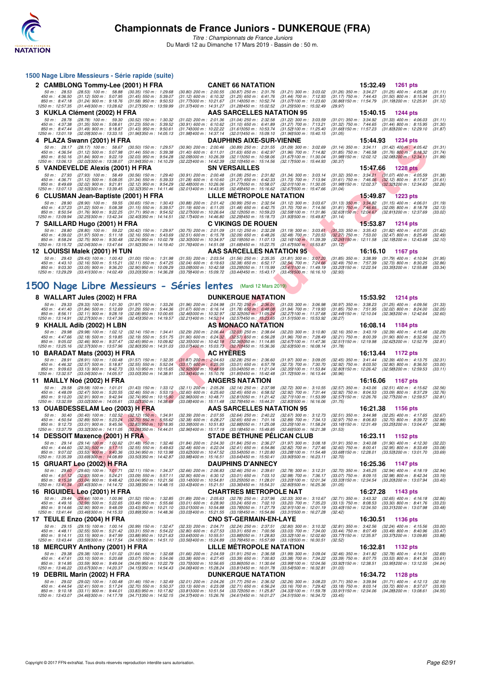

**1500 Nage Libre Messieurs - Série rapide (suite)**

## **Championnats de France Juniors - DUNKERQUE (FRA)**

|   |                                                       | 2 CAMBLONG Tommy-Lee (2001) H FRA                                                                                                                                                                            |                                                                                     |                                                                                          |                  | <b>CANET 66 NATATION</b>                                                           |                                                                                   |                                                         | 15:32.49 | 1261 pts                                                                                                                           |                               |
|---|-------------------------------------------------------|--------------------------------------------------------------------------------------------------------------------------------------------------------------------------------------------------------------|-------------------------------------------------------------------------------------|------------------------------------------------------------------------------------------|------------------|------------------------------------------------------------------------------------|-----------------------------------------------------------------------------------|---------------------------------------------------------|----------|------------------------------------------------------------------------------------------------------------------------------------|-------------------------------|
|   | 50 m: 28.53<br>450 m: 4:36.50<br>850 m : 8:47.18      | $(28.53)$ 100 m : 58.88<br>$(31.12)$ 500 m : 5:07.95<br>$(31.24)$ 900 m : 9:18.76                                                                                                                            | $(30.35)$ 150 m : 1:29.68<br>$(31.45)$ 550 m : 5:39.07<br>$(31.58)$ 950 m : 9:50.53 | $(30.80)$ 200 m : 2:00.55<br>$(31.12)$ 600 m : 6:10.32<br>(31.771000 m: 10:21.67         |                  | $(30.87)$ 250 m : 2:31.76<br>$(31.25)$ 650 m : 6:41.76<br>(31.14) 050 m : 10:52.74 | $(31.21)$ 300 m : 3:03.02<br>$(31.44)$ 700 m : 7:12.93<br>(31.07) 100 m: 11:23.60 | (30.86) 150 m : 11:54.79                                |          | (31.26) 350 m: 3:34.27 (31.25) 400 m: 4:05.38<br>(31.17) 750 m: 7:44.43 (31.50) 800 m: 8:15.94<br>(31.19 <b>)</b> 200 m : 12:25.91 | (31.11)<br>(31.51)<br>(31.12) |
|   | 1250 m : 12:57.35                                     | (31.44) 300 m : 13:28.62<br>3 KUKLA Clément (2002) H FRA                                                                                                                                                     | (31.27) 350 m : 13:59.99                                                            | (31.37) 400 m : 14:31.27                                                                 |                  | (31.28) 450 m : 15:02.52<br>AAS SARCELLES NATATION 95                              | (31.25) 500 m : 15:32.49                                                          | (29.97)                                                 | 15:40.15 | 1244 pts                                                                                                                           |                               |
|   | 50 m: 28.78                                           | $(28.78)$ 100 m : 59.30                                                                                                                                                                                      | $(30.52)$ 150 m : 1:30.32                                                           | $(31.02)$ 200 m : 2:01.36                                                                |                  | $(31.04)$ 250 m : 2:32.58                                                          | $(31.22)$ 300 m : 3:03.59                                                         | $(31.01)$ 350 m : 3:34.92                               |          | $(31.33)$ 400 m : 4:06.03                                                                                                          | (31.11)                       |
|   | 450 m : 4:37.38<br>850 m: 8:47.44<br>1250 m: 13:01.19 | $(31.35)$ 500 m : 5:08.61<br>$(31.49)$ 900 m : 9:18.87<br>(32.09) 300 m : 13:33.15                                                                                                                           | $(31.23)$ 550 m : 5:39.52<br>$(31.43)$ 950 m : 9:50.61<br>(31.961350 m: 14:05.13)   | $(30.91)$ 600 m : 6:10.62<br>(31.741000 m: 10:22.22<br>$(31.98)400 \text{ m}$ : 14:37.14 |                  | $(31.10)$ 650 m : 6:41.89<br>(31.61)050 m : 10.53.74<br>(32.011450 m: 15:09.10     | (31.27) 700 m : 7:13.21<br>(31.52) 100 m : 11:25.40<br>(31.96) 500 m : 15:40.15   | (31.32) 750 m : 7:44.65<br>(31.05)                      |          | $(31.44)$ 800 m : 8:15.95<br>(31.66) 150 m: 11.57.23 (31.83) 200 m: 12.29.10                                                       | (31.30)<br>(31.87)            |
|   |                                                       | 4 PLAZA Swann (2001) H FRA                                                                                                                                                                                   |                                                                                     |                                                                                          |                  | <b>DAUPHINS AIXE-SUR-VIENNE</b>                                                    |                                                                                   |                                                         | 15:44.93 | 1234 pts                                                                                                                           |                               |
|   | 50 m: 28.17                                           | $(28.17)$ 100 m : 58.67                                                                                                                                                                                      | $(30.50)$ 150 m : 1:29.57                                                           | $(30.90)$ 200 m : 2:00.46                                                                |                  | $(30.89)$ 250 m : 2:31.55                                                          | $(31.09)$ 300 m : 3:02.69                                                         | (31.14) 350 m : 3:34.11                                 |          | $(31.42)$ 400 m : 4:05.42                                                                                                          | (31.31)                       |
|   | 450 m: 4:36.54<br>850 m : 8:50.16                     | $(31.12)$ 500 m : 5:07.98<br>$(31.84)$ 900 m : 9:22.19                                                                                                                                                       | $(31.44)$ 550 m : 5:39.38<br>$(32.03)$ 950 m : 9:54.28                              | $(31.40)$ 600 m : 6:11.01<br>(32.09) 000 m: 10:26.39                                     |                  | $(31.63)$ 650 m : 6:42.97<br>$(32.11)050 \text{ m}$ : 10:58.06                     | (31.96) 700 m : 7:14.82<br>(31.67) 100 m: 11:30.04                                | $(31.85)$ 750 m : 7:46.58                               |          | $(31.76)$ 800 m : 8:18.32<br>(31.98) 150 m : 12:02.12 (32.08) 200 m : 12:34.11                                                     | (31.74)<br>(31.99)            |
|   | 1250 m : 13:06.13                                     | (32.02) 300 m : 13:38.07<br>5 VANDEVELDE Alexis (2001) H FRA                                                                                                                                                 | (31.941350 m : 14:10.29                                                             | $(32.22)$ 400 m : 14:42.39                                                               |                  | (32.10)450 m : 15:14.56<br><b>SN VERSAILLES</b>                                    | (32.171500 m: 15:44.93)                                                           | (30.37)                                                 | 15:47.66 | <b>1228 pts</b>                                                                                                                    |                               |
|   | 50 m: 27.93                                           | $(27.93)$ 100 m : 58.49                                                                                                                                                                                      | $(30.56)$ 150 m : 1:29.40                                                           | $(30.91)$ 200 m : 2:00.48                                                                |                  | $(31.08)$ 250 m : 2:31.82                                                          | $(31.34)$ 300 m : 3:03.14                                                         | $(31.32)$ 350 m : 3:34.21                               |          | $(31.07)$ 400 m : 4:05.59                                                                                                          | (31.38)                       |
|   | 450 m : 4:36.71<br>850 m : 8:49.69                    | $(31.12)$ 500 m : 5:08.05<br>$(32.02)$ 900 m : 9:21.81                                                                                                                                                       | $(31.34)$ 550 m : 5:39.33<br>$(32.12)$ 950 m : 9:54.29                              | $(31.28)$ 600 m : 6:10.60<br>$(32.48)000 \text{ m}$ : 10:26.06                           |                  | $(31.27)$ 650 m : 6:42.33<br>(31.77) 050 m : 10:58.07                              | $(31.73)$ 700 m : 7:13.94<br>(32.01) 100 m: 11:30.05                              | $(31.61)$ 750 m : 7:46.06<br>(31.98) 150 m : 12:02.37   |          | $(32.12)$ 800 m : 8:17.67<br>(32.32) 200 m : 12:34.63                                                                              | (31.61)<br>(32.26)            |
|   | 1250 m : 13:07.13                                     | (32.50) 300 m : 13:39.45<br>6 CLUSMAN Jean-Baptiste (2001) H FRA                                                                                                                                             | (32.32) 350 m : 14:11.46                                                            | $(32.01)400 \text{ m}$ : 14:43.95                                                        |                  | (32.49) 450 m : 15:16.62<br>LILLE METROPOLE NATATION                               | (32.671500 m: 15:47.66                                                            | (31.04)                                                 | 15:49.87 | <b>1223 pts</b>                                                                                                                    |                               |
|   | 50 m : 28.90                                          | $(28.90)$ 100 m : 59.55                                                                                                                                                                                      | $(30.65)$ 150 m : 1:30.43                                                           | $(30.88)$ 200 m : 2:01.42                                                                |                  | $(30.99)$ 250 m : 2:32.54                                                          | $(31.12)$ 300 m : 3:03.67                                                         |                                                         |          | $(31.13)$ 350 m : 3:34.82 $(31.15)$ 400 m : 4:06.01                                                                                | (31.19)                       |
|   | 450 m : 4:37.23<br>850 m: 8:50.54                     | $(31.22)$ 500 m : 5:08.38<br>$(31.76)$ 900 m : 9:22.25                                                                                                                                                       | $(31.15)$ 550 m : 5:39.57<br>$(31.71)$ 950 m : 9:54.52                              | $(31.19)$ 600 m : 6:11.05<br>(32.27) 000 m : 10:26.64                                    |                  | $(31.48)$ 650 m : 6:42.75<br>$(32.12)050 \text{ m}$ : 10:59.23                     | $(31.70)$ 700 m : 7:14.56<br>(32.59) 100 m: 11:31.86                              | (32.63) 150 m : 12:04.67                                |          | (31.81) 750 m: 7:46.65 (32.09) 800 m: 8:18.78<br>(32.81) 200 m : 12:37.69                                                          | (32.13)<br>(33.02)            |
|   | 1250 m: 13:09.94                                      | (32.25) 300 m : 13:42.34                                                                                                                                                                                     | (32.40) 350 m : 14:14.51                                                            | $(32.17)400 \text{ m}$ : 14:46.80                                                        |                  | (32.29) 450 m : 15:18.73<br><b>C VIKINGS DE ROUEN</b>                              | (31.931500 m: 15:49.87)                                                           | (31.14)                                                 | 15:53.87 | <b>1214 pts</b>                                                                                                                    |                               |
|   | 50 m: 28.80                                           | 7 SAILLARD Hugo (2001) H FRA<br>$(28.80)$ 100 m : 59.22                                                                                                                                                      | $(30.42)$ 150 m : 1:29.97                                                           | $(30.75)$ 200 m : 2:01.09                                                                |                  | $(31.12)$ 250 m : 2:32.28                                                          | $(31.19)$ 300 m : 3:03.61                                                         |                                                         |          | $(31.33)$ 350 m : 3:35.43 $(31.82)$ 400 m : 4:07.05                                                                                | (31.62)                       |
|   | 450 m: 4:39.02<br>850 m: 8:58.24                      | $(31.97)$ 500 m : 5:11.18<br>$(32.75)$ 900 m : 9:30.48                                                                                                                                                       | $(32.16)$ 550 m : 5:43.69<br>$(32.24)$ 950 m : 10:02.78                             | $(32.51)$ 600 m : 6:15.78<br>(32.30) 000 m: 10:34.97                                     |                  | $(32.09)$ 650 m : 6:48.26<br>(32.19) 050 m: 11:07.13                               | $(32.48)$ 700 m : 7:20.53<br>$(32.16)100 \text{ m}$ : 11:39.39                    | $(32.27)$ 750 m : 7:53.00<br>(32.26) 150 m : 12:11.58   |          | $(32.47)$ 800 m : 8:25.49<br>(32.19) 200 m : 12:43.68                                                                              | (32.49)<br>(32.10)            |
|   | 1250 m: 13:15.72                                      | (32.041300 m : 13:47.64                                                                                                                                                                                      | (31.92) 350 m : 14:19.40                                                            | $(31.761400 \text{ m} : 14.51.08)$                                                       |                  | (31.68)450 m : 15.22.75<br>AAS SARCELLES NATATION 95                               | $(31.67)500 \text{ m}$ : 15:53.87                                                 | (31.12)                                                 | 16:16.10 |                                                                                                                                    |                               |
|   | 50 m: 29.43                                           | 12 LOUISSI Malek (2001) H TUN<br>$(29.43)$ 100 m : 1:00.43                                                                                                                                                   | $(31.00)$ 150 m : 1:31.98                                                           | $(31.55)$ 200 m : 2:03.54                                                                |                  | $(31.56)$ 250 m : 2:35.35                                                          | $(31.81)$ 300 m : 3:07.20                                                         | $(31.85)$ 350 m : 3:38.99                               |          | 1167 pts<br>$(31.79)$ 400 m : 4:10.94                                                                                              | (31.95)                       |
|   | 450 m: 4:43.10<br>850 m : 9:03.30                     | $(32.16)$ 500 m : 5:15.21<br>$(33.05)$ 900 m : 9:36.20                                                                                                                                                       | $(32.11)$ 550 m : 5:47.25<br>$(32.90)$ 950 m : 10:09.29                             | $(32.04)$ 600 m : 6:19.63<br>(33.09) 000 m : 10:42.58                                    |                  | $(32.38)$ 650 m : 6:52.17<br>(33.29)050 m : 11:15.99                               | $(32.54)$ 700 m : 7:24.66<br>(33.41) 100 m: 11:49.19                              | (32.49) 750 m : 7:57.39<br>(33.20) 150 m : 12:22.54     |          | $(32.73)$ 800 m : 8:30.25<br>(33.35) 200 m : 12:55.88                                                                              | (32.86)<br>(33.34)            |
|   | 1250 m : 13:29.29                                     | (33.411300 m: 14:02.49)                                                                                                                                                                                      | (33.201350 m : 14:36.28                                                             | (33.79) 400 m : 15:09.72                                                                 |                  | (33.44) 450 m : 15:43.17                                                           | $(33.45)500 \text{ m}$ : 16:16.10                                                 | (32.93)                                                 |          |                                                                                                                                    |                               |
|   |                                                       | 1500 Nage Libre Messieurs - Séries lentes (Mardi 12 Mars 2019)                                                                                                                                               |                                                                                     |                                                                                          |                  |                                                                                    |                                                                                   |                                                         |          |                                                                                                                                    |                               |
|   |                                                       | 8 WALLART Jules (2002) H FRA                                                                                                                                                                                 |                                                                                     |                                                                                          |                  | <b>DUNKERQUE NATATION</b>                                                          |                                                                                   |                                                         | 15:53.92 | <b>1214 pts</b>                                                                                                                    |                               |
|   | 50 m: 29.33<br>450 m : 4:41.40                        | $(29.33)$ 100 m : 1:01.30<br>$(31.84)$ 500 m : 5:12.69                                                                                                                                                       | $(31.97)$ 150 m : 1:33.26<br>$(31.29)$ 550 m : 5:44.36                              | $(31.96)$ 200 m : 2:04.98<br>$(31.67)$ 600 m : 6:16.14                                   |                  | $(31.72)$ 250 m : 2:36.01<br>$(31.78)$ 650 m : 6:48.08                             | $(31.03)$ 300 m : 3:06.98<br>$(31.94)$ 700 m : 7:19.93                            | $(30.97)$ 350 m : 3:38.23<br>$(31.85)$ 750 m : 7:51.95  |          | $(31.25)$ 400 m : 4:09.56<br>$(32.02)$ 800 m : 8:24.00                                                                             | (31.33)<br>(32.05)            |
|   | 850 m : 8:56.11<br>1250 m : 13:14.91                  | $(32.11)$ 900 m : 9:28.19<br>(32.27) 300 m : 13:47.36                                                                                                                                                        | $(32.08)$ 950 m : 10:00.65<br>(32.451350 m: 14:19.57                                | (32.46) 000 m : 10:32.97<br>(32.211400 m : 14:52.14)                                     |                  | (32.321050 m : 11.05.24)<br>(32.57) 450 m : 15:23.65                               | (32.27) 100 m : 11:37.68<br>(31.511500 m: 15:53.92                                | (32.44) 150 m : 12:10.04<br>(30.27)                     |          | (32.361200 m : 12:42.64                                                                                                            | (32.60)                       |
| 9 |                                                       | KHALIL Adib (2002) H LBN                                                                                                                                                                                     |                                                                                     |                                                                                          |                  | AS MONACO NATATION                                                                 |                                                                                   |                                                         | 16:08.14 | 1184 pts                                                                                                                           |                               |
|   | 50 m : 29.98<br>450 m : 4:47.66                       | $(29.98)$ 100 m : 1.02.12<br>$(32.18)$ 500 m : 5:19.85                                                                                                                                                       | $(32.14)$ 150 m : 1:34.41<br>$(32.19)$ 550 m : 5:51.75                              | $(32.29)$ 200 m : 2:06.44<br>$(31.90)$ 600 m : 6:24.32                                   |                  | $(32.03)$ 250 m : 2:38.64<br>$(32.57)$ 650 m : 6:56.28                             | $(32.20)$ 300 m : 3:10.80<br>(31.96) 700 m : 7:28.49                              |                                                         |          | (32.16) 350 m: 3:43.19 (32.39) 400 m: 4:15.48<br>(32.21) 750 m: 8:00.39 (31.90) 800 m: 8:32.56                                     | (32.29)<br>(32.17)            |
|   | 850 m : 9:05.02<br>1250 m : 13:25.16                  | $(32.46)$ 900 m : 9:37.47<br>(32.37) 300 m : 13:57.96                                                                                                                                                        | (32.45) 950 m : 10:09.82<br>(32.801350 m: 14:31.03)                                 | (32.35) 000 m : 10:42.18<br>$(33.07)400 \text{ m}$ : 15:03.73                            |                  | (32.36)050 m : 11:14.85<br>(32.70) 450 m : 15:36.36                                | (32.67) 100 m : 11:47.36<br>(32.631500 m: 16:08.14                                | (32.51) 150 m : 12:19.98<br>(31.78)                     |          | (32.62) 200 m : 12:52.79                                                                                                           | (32.81)                       |
|   |                                                       | 10 BARADAT Mats (2003) H FRA                                                                                                                                                                                 |                                                                                     |                                                                                          | <b>AC HYERES</b> |                                                                                    |                                                                                   |                                                         | 16:13.44 | <b>1172 pts</b>                                                                                                                    |                               |
|   | 50 m : 28.91                                          | (28.91) 100 m : 1:00.48                                                                                                                                                                                      | $(31.57)$ 150 m : 1:32.35                                                           | $(31.87)$ 200 m : 2:04.63                                                                |                  | $(32.28)$ 250 m : 2:36.60                                                          | (31.97) 300 m : 3:09.05<br>(32.73) 700 m : 7:30.70                                | (32.45) 350 m : 3:41.44<br>$(32.92)$ 750 m : 8:03.50    |          | $(32.39)$ 400 m : 4:13.75<br>$(32.80)$ 800 m : 8:36.50                                                                             | (32.31)<br>(33.00)            |
|   |                                                       |                                                                                                                                                                                                              |                                                                                     |                                                                                          |                  |                                                                                    |                                                                                   |                                                         |          | (32.58) 200 m : 12:59.53                                                                                                           |                               |
|   | 450 m : 4:46.32<br>850 m : 9:09.63                    | $(32.57)$ 500 m : 5:18.87<br>$(33.13)$ 900 m : 9:42.73                                                                                                                                                       | $(32.55)$ 550 m : 5:52.04<br>$(33.10)$ 950 m : 10:15.65                             | $(33.17)$ 600 m : 6:25.05<br>(32.921000 m: 10:48.69)                                     |                  | $(33.01)$ 650 m : 6:57.78<br>(33.04) 050 m: 11:21.04                               | (32.35) 100 m: 11:53.84                                                           | (32.80) 150 m : 12:26.42                                |          |                                                                                                                                    | (33.11)                       |
|   | 1250 m : 13:32.57                                     | $(33.04)300 \text{ m}$ : 14:05.57                                                                                                                                                                            | (33.001350 m: 14:38.91                                                              | $(33.34)400 \text{ m}$ : 15:10.76                                                        |                  | (31.85) 450 m : 15:42.48<br><b>ANGERS NATATION</b>                                 | (31.72) 500 m : 16:13.44                                                          | (30.96)                                                 | 16:16.06 | <b>1167 pts</b>                                                                                                                    |                               |
|   | 50 m: 29.58                                           | 11 MAILLY Noé (2002) H FRA<br>$(29.58)$ 100 m : 1:01.01                                                                                                                                                      | $(31.43)$ 150 m : 1:33.12                                                           | $(32.11)$ 200 m : 2:05.26                                                                |                  | $(32.14)$ 250 m : 2:37.98                                                          | $(32.72)$ 300 m : 3:10.55                                                         | $(32.57)$ 350 m : 3:43.06                               |          | $(32.51)$ 400 m : 4:15.62                                                                                                          | (32.56)                       |
|   | 450 m: 4:48.09<br>850 m : 9:10.20                     | $(32.47)$ 500 m : 5:20.55<br>$(32.91)$ 900 m : 9:42.94                                                                                                                                                       | $(32.46)$ 550 m : 5:53.15<br>$(32.74)$ 950 m : 10:15.90                             | $(32.60)$ 600 m : 6:25.60<br>$(32.96)000 \text{ m}$ : 10:48.71                           |                  | $(32.45)$ 650 m : 6:58.52<br>(32.811050 m: 11:21.42)                               | (32.92) 700 m : 7:31.44<br>(32.71) 100 m: 11:53.99                                | $(32.92)$ 750 m : 8:04.53<br>(32.57) 150 m : 12:26.76   |          | $(33.09)$ 800 m : 8:37.29<br>(32.77) 200 m : 12:59.57                                                                              | (32.76)<br>(32.81)            |
|   | 1250 m : 13:32.59                                     | $(33.02)300 \text{ m}$ : 14:05.61                                                                                                                                                                            | (33.02) 350 m : 14:38.69                                                            | $(33.08)400 \text{ m}$ : 15:11.48                                                        |                  | (32.79) 450 m : 15:44.31<br>AAS SARCELLES NATATION 95                              | (32.831500 m: 16:16.06                                                            | (31.75)                                                 |          | 1156 pts                                                                                                                           |                               |
|   | 50 m :<br>30.40                                       | 13 OUABDESSELAM Leo (2003) H FRA<br>(30.40) 100 m : 1:02.52 (32.12) 150 m : 1:34.91                                                                                                                          |                                                                                     | $(32.39)$ 200 m : 2:07.55                                                                |                  | $(32.64)$ 250 m : 2:40.22                                                          | $(32.67)$ 300 m : 3:12.73                                                         |                                                         | 16:21.38 | (32.51) 350 m: 3:44.98 (32.25) 400 m: 4:17.65                                                                                      | (32.67)                       |
|   | 450 m : 4:50.54<br>850 m : 9:12.73                    | $(32.89)$ 500 m : 5:23.24<br>$(33.01)$ 900 m : 9:45.56                                                                                                                                                       | $(32.70)$ 550 m : 5:55.62<br>$(32.83)$ 950 m : 10:18.95                             | $(32.38)$ 600 m : 6:28.27<br>(33.39) 000 m : 10:51.83                                    |                  | $(32.65)$ 650 m : 7:01.16<br>$(32.88)050 \text{ m}$ : 11:25.08                     | $(32.89)$ 700 m : 7:34.13<br>(33.25) 100 m : 11:58.24                             |                                                         |          | (32.97) 750 m : 8:06.83 (32.70) 800 m : 8:39.72<br>(33.16) 150 m: 12:31.49 (33.25) 200 m: 13:04.47                                 | (32.89)<br>(32.98)            |
|   | 1250 m: 13:37.79                                      | (33.32) 300 m : 14:11.05<br>14 DESSOIT Maxence (2001) H FRA                                                                                                                                                  | (33.26) 350 m : 14:44.01                                                            | (32.961400 m: 15:17.19)                                                                  |                  | (33.18) 450 m : 15:49.85<br><b>STADE BETHUNE PELICAN CLUB</b>                      | (32.66) 500 m : 16:21.38                                                          | (31.53)                                                 | 16:23.11 | 1152 pts                                                                                                                           |                               |
|   |                                                       | 50 m: 29.14 (29.14) 100 m: 1:00.62 (31.48) 150 m: 1:32.46 (31.84) 200 m: 2:04.30 (31.84) 250 m: 2:36.27 (31.97) 300 m: 3:08.18 (31.91) 350 m: 3:40.08 (31.90) 400 m: 4:12.30                                 |                                                                                     |                                                                                          |                  |                                                                                    |                                                                                   |                                                         |          |                                                                                                                                    | (32.22)                       |
|   | 450 m :<br>850 m : 9:07.02                            | 4:44.60 (32.30) 500 m : 5:17.15 (32.55) 550 m : 5:49.63 (32.48) 600 m : 6:22.04 (32.41) 650 m : 6:54.86 (32.82) 700 m : 7:27.46 (32.60) 750 m : 8:00.41 (32.95) 800 m : 8:33.49<br>$(33.53)$ 900 m : 9:40.36 | $(33.34)$ 950 m : 10:13.98                                                          | (33.621000 m: 10:47.52                                                                   |                  | (33.54) 050 m: 11:20.80                                                            | (33.28) 100 m : 11:54.48                                                          | (33.68) 150 m : 12:28.01                                |          | (33.53) 200 m : 13:01.70                                                                                                           | (33.08)<br>(33.69)            |
|   | 1250 m : 13:35.39                                     | $(33.69)300 \text{ m}$ : 14:08.89<br>15 GRUART Leo (2002) H FRA                                                                                                                                              | (33.501350 m : 14:42.87                                                             | $(33.981400 \text{ m} : 15.16.51)$                                                       |                  | (33.64) 450 m : 15:50.41<br><b>DAUPHINS D'ANNECY</b>                               | $(33.901500 \text{ m} : 16.23.11)$                                                | (32.70)                                                 | 16:25.36 | 1147 pts                                                                                                                           |                               |
|   | 50 m: 29.60                                           | $(29.60)$ 100 m : 1:01.71                                                                                                                                                                                    | (32.11) 150 m: 1:34.37                                                              | $(32.66)$ 200 m : 2:06.83                                                                |                  | $(32.46)$ 250 m : 2:39.61                                                          | (32.78) 300 m: 3:12.31                                                            | $(32.70)$ 350 m : 3:45.25                               |          | $(32.94)$ 400 m : 4:18.19                                                                                                          | (32.94)                       |
|   | 450 m: 4:51.12<br>850 m: 9:15.38                      | $(32.93)$ 500 m : 5:24.21<br>$(33.04)$ 900 m : 9:48.42                                                                                                                                                       | $(33.09)$ 550 m : 5:57.11<br>$(33.04)$ 950 m : 10:21.56                             | $(32.90)$ 600 m : 6:30.12<br>(33.14) 000 m : 10:54.81                                    |                  | $(33.01)$ 650 m : 7:03.10<br>(33.25)050 m : 11.28.01                               | (32.98) 700 m : 7:36.17<br>(33.201100 m: 12.01.34                                 | $(33.07)$ 750 m : 8:09.15<br>(33.33) 150 m : 12:34.54   |          | $(32.98)$ 800 m : 8:42.34<br>(33.201200 m: 13.07.94                                                                                | (33.19)<br>(33.40)            |
|   | 1250 m: 13:41.34                                      | (33.40) 300 m : 14:14.72<br>16 RIGUIDEL Leo (2001) H FRA                                                                                                                                                     | (33.38)350 m : 14:48.15                                                             | $(33.43)400 \text{ m}$ : 15:21.51                                                        |                  | (33.36) 450 m : 15:54.31<br>CHARTRES METROPOLE NAT                                 | (32.80) 500 m : 16:25.36                                                          | (31.05)                                                 | 16:27.28 | 1143 pts                                                                                                                           |                               |
|   | 50 m: 29.44                                           | $(29.44)$ 100 m : 1:00.96                                                                                                                                                                                    | $(31.52)$ 150 m : 1:32.85                                                           | $(31.89)$ 200 m : 2:05.63                                                                |                  | $(32.78)$ 250 m : 2:37.96                                                          | $(32.33)$ 300 m : 3:10.67                                                         |                                                         |          | (32.71) 350 m: 3:43.32 (32.65) 400 m: 4:16.18                                                                                      | (32.86)                       |
|   | 450 m : 4:49.16<br>850 m: 9:14.66                     | $(32.98)$ 500 m : 5:22.65<br>$(32.90)$ 900 m : 9:48.09                                                                                                                                                       | $(33.49)$ 550 m : 5:55.66<br>$(33.43)$ 950 m : 10:21.10                             | $(33.01)$ 600 m : 6:28.90<br>(33.011000 m: 10:54.88                                      |                  | $(33.24)$ 650 m : 7:02.10<br>(33.78) 050 m : 11:27.79                              | (33.20) 700 m : 7:35.23<br>(32.911100 m: 12.01.19                                 | $(33.13)$ 750 m : $8:08.53$<br>(33.40) 150 m : 12:34.50 |          | $(33.30)$ 800 m : 8:41.76<br>(33.31) 200 m : 13:07.98                                                                              | (33.23)<br>(33.48)            |
|   | 1250 m: 13:41.44                                      | $(33.46)300 \text{ m}$ : 14:15.33<br>17 TEULE Enzo (2004) H FRA                                                                                                                                              | (33.89) 350 m : 14:48.36                                                            | (33.03) 400 m : 15:21.55                                                                 |                  | (33.19) 450 m : 15:54.86<br>CNO ST-GERMAIN-EN-LAYE                                 | (33.311500 m: 16:27.28                                                            | (32.42)                                                 | 16:30.51 | <b>1136 pts</b>                                                                                                                    |                               |
|   | 50 m: 29.15                                           | $(29.15)$ 100 m : 1:00.14                                                                                                                                                                                    | $(30.99)$ 150 m : 1:32.47                                                           | (32.33) 200 m : 2:04.71                                                                  |                  | (32.24) 250 m : 2:37.51                                                            | $(32.80)$ 300 m : 3:10.32                                                         | $(32.81)$ 350 m : 3:42.56                               |          | $(32.24)$ 400 m : 4:15.56                                                                                                          | (33.00)                       |
|   | 450 m: 4:48.11<br>850 m : 9:14.11                     | $(32.55)$ 500 m : 5:21.42<br>$(33.15)$ 900 m : 9:47.99                                                                                                                                                       | $(33.31)$ 550 m : 5:54.22<br>$(33.88)$ 950 m : 10:21.63                             | $(32.80)$ 600 m : 6:27.53<br>(33.641000 m: 10:55.51                                      |                  | $(33.31)$ 650 m : 7:00.56<br>(33.88) 050 m: 11:28.83                               | (33.03) 700 m : 7:34.00<br>(33.32) 100 m : 12:02.60                               | (33.44) 750 m : 8:07.49<br>(33.77) 150 m : 12:35.97     |          | $(33.49)$ 800 m : 8:40.96<br>(33.371200 m : 13:09.85                                                                               | (33.47)<br>(33.88)            |
|   | 1250 m: 13:43.44                                      | (33.59) 300 m : 14:17.54<br>18 MERCURY Anthony (2001) H FRA                                                                                                                                                  | (34.101350 m: 14:51.10                                                              | (33.56) 400 m : 15:24.89                                                                 |                  | (33.791450 m: 15:57.99)<br>LILLE METROPOLE NATATION                                | $(33.10)500$ m : 16:30.51                                                         | (32.52)                                                 | 16:32.81 | 1132 pts                                                                                                                           |                               |
|   | 50 m: 29.38                                           | (29.38) 100 m : 1:01.02                                                                                                                                                                                      | $(31.64)$ 150 m : 1:32.68                                                           | $(31.66)$ 200 m : 2:04.59                                                                |                  | $(31.91)$ 250 m : 2:36.58                                                          | $(31.99)$ 300 m : 3:09.04                                                         | $(32.46)$ 350 m : 3:41.82                               |          | $(32.78)$ 400 m : 4:14.51                                                                                                          | (32.69)                       |
|   | 450 m: 4:47.61<br>850 m : 9:14.95                     | $(33.10)$ 500 m : 5:20.68<br>$(33.59)$ 900 m : 9:49.04                                                                                                                                                       | $(33.07)$ 550 m : 5:54.06<br>$(34.09)$ 950 m : 10:22.79                             | $(33.38)$ 600 m : 6:27.45<br>(33.75) 000 m : 10:56.65                                    |                  | $(33.39)$ 650 m : 7:00.83<br>(33.86)050 m : 11.30.64                               | (33.38) 700 m : 7:34.22<br>(33.99) 100 m : 12:04.56                               | $(33.39)$ 750 m : 8:07.75<br>(33.92) 150 m : 12:38.51   |          | $(33.53)$ 800 m : 8:41.36<br>(33.95) 200 m : 13:12.55                                                                              | (33.61)<br>(34.04)            |
|   | 1250 m : 13:46.22                                     | (33.67) 300 m : 14:20.37<br>19 DEBRIL Marin (2002) H FRA                                                                                                                                                     | (34.15) 350 m : 14:54.43                                                            | (34.06) 400 m : 15:28.24                                                                 |                  | (33.81)450 m : 16:01.78<br><b>DUNKERQUE NATATION</b>                               | (33.54) 500 m : 16:32.81                                                          | (31.03)                                                 | 16:34.72 | 1128 pts                                                                                                                           |                               |
|   | 50 m: 29.02<br>450 m : 4:44.54                        | (29.02) 100 m: 1:00.48<br>$(32.41)$ 500 m : 5:17.24                                                                                                                                                          | $(31.46)$ 150 m : 1:32.49<br>$(32.70)$ 550 m : 5:50.37                              | $(32.01)$ 200 m : 2:04.26<br>$(33.13)$ 600 m : 6:23.08                                   |                  | $(31.77)$ 250 m : 2:36.52<br>$(32.71)$ 650 m : 6:56.24                             | $(32.26)$ 300 m : 3:08.23<br>(33.16) 700 m : 7:29.42                              | $(31.71)$ 350 m : 3:39.94                               |          | $(31.71)$ 400 m : 4:12.13<br>(33.18) 750 m : 8:03.14 (33.72) 800 m : 8:37.07                                                       | (32.19)<br>(33.93)            |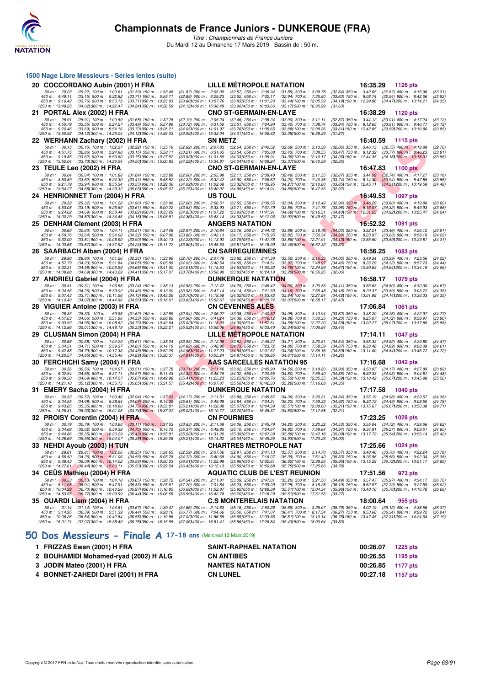

*Titre : Championnats de France Juniors* Du Mardi 12 au Dimanche 17 Mars 2019 - Bassin de : 50 m.

|                                                        | 1500 Nage Libre Messieurs - Séries lentes (suite)                                                            |                                                                                    |                                                                                 |         |                                                                                           |                                                                                                                                                    |                                                                                  |          |                                                                                                  |                               |
|--------------------------------------------------------|--------------------------------------------------------------------------------------------------------------|------------------------------------------------------------------------------------|---------------------------------------------------------------------------------|---------|-------------------------------------------------------------------------------------------|----------------------------------------------------------------------------------------------------------------------------------------------------|----------------------------------------------------------------------------------|----------|--------------------------------------------------------------------------------------------------|-------------------------------|
|                                                        | 20 COCCORDANO Aubin (2001) H FRA                                                                             |                                                                                    |                                                                                 |         | LILLE METROPOLE NATATION                                                                  |                                                                                                                                                    |                                                                                  | 16:35.29 | 1126 pts                                                                                         |                               |
| 50 m : 29.22<br>450 m : 4:49.11                        | $(29.22)$ 100 m : 1:00.61<br>$(33.15)$ 500 m : 5:22.82                                                       | $(31.39)$ 150 m : 1:32.48<br>$(33.71)$ 550 m : 5:55.71                             | $(31.87)$ 200 m : 2:05.05<br>$(32.89)$ 600 m : 6:29.23                          |         | (32.57) 250 m : 2:36.94<br>$(33.52)$ 650 m : 7:02.17                                      | $(31.89)$ 300 m : 3:09.78<br>$(32.94)$ 700 m : 7:35.80                                                                                             | $(32.84)$ 350 m : 3:42.65<br>$(33.63)$ 750 m : $8.08.74$                         |          | $(32.87)$ 400 m : 4:15.96<br>$(32.94)$ 800 m : 8:42.66                                           | (33.31)<br>(33.92)            |
| 850 m : 9:16.42<br>1250 m : 13:48.23                   | $(33.76)$ 900 m : 9:50.13<br>(34.02) 300 m : 14:22.47                                                        | (33.71) 950 m : 10:23.93<br>(34.24) 350 m : 14:56.59                               | (33.80) 000 m: 10:57.76<br>(34.12) 400 m : 15:30.49                             |         | (33.83) 050 m : 11:31.20<br>(33.90)450 m : 16:03.66                                       | (33.44) 100 m : 12:05.39<br>(33.17) 500 m : 16:35.29                                                                                               | (31.63)                                                                          |          | (34.19) 150 m : 12:39.86 (34.47) 200 m : 13:14.21                                                | (34.35)                       |
|                                                        | 21 PORTAL Alex (2002) H FRA                                                                                  |                                                                                    |                                                                                 |         | <b>CNO ST-GERMAIN-EN-LAYE</b>                                                             |                                                                                                                                                    |                                                                                  | 16:38.29 | 1120 pts                                                                                         |                               |
| 50 m : 28.91<br>450 m : 4:50.79<br>850 m : 9:20.46     | $(28.91)$ 100 m : 1:00.59<br>$(33.55)$ 500 m : 5:24.27<br>$(33.69)$ 900 m : 9:54.16                          | $(31.68)$ 150 m : 1:32.78<br>$(33.48)$ 550 m : 5:57.99<br>(33.70) 950 m : 10:28.21 | (32.19) 200 m : 2:05.24<br>$(33.72)$ 600 m : 6:31.50<br>(34.05) 000 m: 11:01.97 |         | $(32.46)$ 250 m : 2:38.24<br>$(33.51)$ 650 m : 7:04.90<br>(33.761050 m: 11:35.65          | $(33.00)$ 300 m : 3:11.11<br>$(33.40)$ 700 m : 7:38.74<br>(33.68) 100 m : 12:09.26                                                                 | (32.87) 350 m : 3:44.12<br>$(33.84)$ 750 m : 8:12.65<br>(33.61) 150 m : 12:42.85 |          | $(33.01)$ 400 m : 4:17.24<br>$(33.91)$ 800 m : 8:46.77<br>(33.591200 m: 13.16.80                 | (33.12)<br>(34.12)<br>(33.95) |
| 1250 m: 13:50.92                                       | (34.12) 300 m : 14:25.04<br>22 WERHANN Zachary (2002) H FRA                                                  | (34.12) 350 m : 14:59.03                                                           | (33.99) 400 m : 15:33.04                                                        | SN METZ | $(34.01)450 \text{ m}$ : 16:06.42                                                         | (33.381500 m : 16:38.29                                                                                                                            | (31.87)                                                                          | 16:40.59 | 1115 pts                                                                                         |                               |
| 50 m: 30.15                                            | $(30.15)$ 100 m : 1:02.37                                                                                    | $(32.22)$ 150 m : 1:35.19                                                          | $(32.82)$ 200 m : 2:07.83                                                       |         | $(32.64)$ 250 m : 2:40.52                                                                 | $(32.69)$ 300 m : 3:13.38                                                                                                                          | $(32.86)$ 350 m : 3:46.13                                                        |          | $(32.75)$ 400 m : 4:18.89                                                                        | (32.76)                       |
| 450 m: 4:51.75<br>850 m : 9:19.85<br>1250 m: 13:52.04  | $(32.86)$ 500 m : 5:24.90<br>$(33.62)$ 900 m : 9:53.60<br>(33.73) 300 m : 14:26.54                           | $(33.15)$ 550 m : 5:58.11<br>(33.75) 950 m : 10:27.52<br>(34.501350 m : 15:00.83   | $(33.21)$ 600 m : 6:31.65<br>(33.92) 000 m: 11:01.55<br>(34.291400 m: 15:34.87) |         | $(33.54)$ 650 m : 7:05.08<br>(34.03) 050 m: 11:35.91<br>$(34.04)450 \text{ m}$ : 16:08.24 | $(33.43)$ 700 m : 7:38.55<br>(34.36) 100 m : 12:10.17<br>(33.371500 m : 16:40.59                                                                   | $(33.47)$ 750 m : 8:12.32<br>(34.26) 150 m : 12:44.35<br>(32.35)                 |          | $(33.77)$ 800 m : 8:46.23<br>(34.18) 200 m : 13:18.31                                            | (33.91)<br>(33.96)            |
|                                                        | 23   TEULE Leo (2002) H FRA                                                                                  |                                                                                    |                                                                                 |         | <b>CNO ST-GERMAIN-EN-LAYE</b>                                                             |                                                                                                                                                    |                                                                                  | 16:47.83 | <b>1100 pts</b>                                                                                  |                               |
| 50 m: 30.04                                            | $(30.04)$ 100 m : 1:01.88                                                                                    | $(31.84)$ 150 m : 1:33.88                                                          | $(32.00)$ 200 m : 2:05.99                                                       |         | $(32.11)$ 250 m : 2:38.48                                                                 | $(32.49)$ 300 m : 3:11.35                                                                                                                          |                                                                                  |          | (32.87) 350 m : 3:44.09 (32.74) 400 m : 4:17.27                                                  | (33.18)                       |
| 450 m : 4:50.89<br>850 m: 9:21.79<br>1250 m : 13:54.27 | $(33.62)$ 500 m : 5:24.30<br>$(33.94)$ 900 m : 9:55.34<br>(34.68) 300 m : 14:29.32                           | $(33.41)$ 550 m : 5:58.52<br>(33.55) 950 m : 10:29.36<br>(35.05) 350 m : 15:05.07  | $(34.22)$ 600 m : 6:32.42<br>(34.021000 m: 11:02.68<br>(35.751400 m : 15:40.02  |         | $(33.90)$ 650 m : 7:06.62<br>(33.32) 050 m: 11:36.95<br>(34.95) 450 m : 16:14.91          | $(34.20)$ 700 m : 7:40.36<br>(34.27) 100 m : 12:10.80<br>(34.89) 500 m : 16:47.83                                                                  | (32.92)                                                                          |          | (33.74) 750 m: 8:14.30 (33.94) 800 m: 8:47.85<br>(33.85) 150 m: 12:45.11 (34.31) 200 m: 13:19.59 | (33.55)<br>(34.48)            |
|                                                        | 24 HENRIONNET Tom (2004) H FRA                                                                               |                                                                                    |                                                                                 | US TOUL |                                                                                           |                                                                                                                                                    |                                                                                  | 16:49.53 | 1097 pts                                                                                         |                               |
| 50 m: 29.32<br>450 m : 4:53.08                         | (29.32) 100 m : 1:01.28<br>$(33.19)$ 500 m : 5:26.69                                                         | $(31.96)$ 150 m : 1:33.96<br>$(33.61)$ 550 m : 6:00.22                             | $(32.68)$ 200 m : 2:06.51<br>$(33.53)$ 600 m : 6:33.93                          |         | $(32.55)$ 250 m : 2:39.55<br>$(33.71)$ 650 m : 7:07.79                                    | $(33.04)$ 300 m : 3:12.49<br>$(33.86)$ 700 m : 7:41.75                                                                                             | $(32.94)$ 350 m : 3:46.29                                                        |          | $(33.80)$ 400 m : 4:19.89<br>(33.96) 750 m: 8:16.07 (34.32) 800 m: 8:49.93                       | (33.60)<br>(33.86)            |
| 850 m : 9:24.62                                        | $(34.69)$ 900 m : 9:58.44                                                                                    | (33.82) 950 m : 10:33.29                                                           | (34.85) 000 m: 11:07.22                                                         |         | (33.93) 050 m: 11:41.91                                                                   | (34.69) 100 m : 12:16.31                                                                                                                           |                                                                                  |          | (34.40) 150 m : 12:51.23 (34.92) 200 m : 13:25.47                                                | (34.24)                       |
| 1250 m : 14:00.29                                      | (34.82) 300 m : 14:34.45                                                                                     | (34.16) 350 m : 15:08.81                                                           | (34.361400 m : 15:43.14)                                                        |         | (34.33) 450 m : 16:17.06                                                                  | (33.92) 500 m : 16:49.53                                                                                                                           | (32.47)                                                                          |          |                                                                                                  |                               |
| 50 m: 30.60                                            | 25 DENHAM Clement (2003) H FRA<br>$(30.60)$ 100 m : 1:04.11                                                  | $(33.51)$ 150 m : 1:37.08                                                          | (32.97) 200 m : 2:10.84                                                         |         | <b>ANGERS NATATION</b><br>(33.76) 250 m : 2:44.72                                         | $(33.88)$ 300 m : 3:18.75                                                                                                                          | $(34.03)$ 350 m : 3:52.21                                                        | 16:52.32 | 1091 pts<br>$(33.46)$ 400 m : 4:26.12                                                            | (33.91)                       |
| 450 m: 4:59.76                                         | $(33.64)$ 500 m : 5:34.08                                                                                    | $(34.32)$ 550 m : 6:07.96                                                          | $(33.88)$ 600 m : 6:42.13                                                       |         | $(34.17)$ 650 m : 7:15.95                                                                 | $(33.82)$ 700 m : 7:50.34                                                                                                                          | $(34.39)$ 750 m : 8:23.97                                                        |          | $(33.63)$ 800 m : 8:58.19                                                                        | (34.22)                       |
| 850 m : 9:32.00<br>1250 m : 14:03.68                   | $(33.81)$ 900 m : 10:05.90<br>(33.871300 m: 14:37.92)                                                        | $(33.90)$ 950 m : 10:40.13<br>(34.24) 350 m : 15:11.72                             | (34.231000 m: 11:13.92<br>$(33.80)400$ m : 15:45.53                             |         | (33.791050 m: 11:47.78<br>(33.811450 m: 16:18.99)                                         | (33.86) 100 m : 12:21.91<br>(33.46) 500 m : 16:52.32                                                                                               | (34.13) 150 m : 12:55.50<br>(33.33)                                              |          | (33.59) 200 m : 13:29.81                                                                         | (34.31)                       |
|                                                        | 26 SAARBACH Alban (2004) H FRA                                                                               |                                                                                    |                                                                                 |         | <b>CN SARREGUEMINES</b>                                                                   |                                                                                                                                                    |                                                                                  | 16:56.25 | 1083 pts                                                                                         |                               |
| 50 m: 28.90                                            | $(28.90)$ 100 m : 1:01.26                                                                                    | $(32.36)$ 150 m : 1:33.96                                                          | $(32.70)$ 200 m : 2:07.78                                                       |         | $(33.82)$ 250 m : 2:41.30                                                                 | $(33.52)$ 300 m : 3:15.35                                                                                                                          | $(34.05)$ 350 m : 3:49.34                                                        |          | $(33.99)$ 400 m : 4:23.56                                                                        | (34.22)                       |
| 450 m : 4:57.79<br>850 m : 9:32.31                     | $(34.23)$ 500 m : 5:31.84<br>$(34.58)$ 900 m : 10:06.99                                                      | $(34.05)$ 550 m : 6:05.89<br>$(34.68)$ 950 m : 10:41.00                            | $(34.05)$ 600 m : 6:40.54<br>(34.011000 m: 11:15.53)                            |         | $(34.65)$ 650 m : 7:14.51<br>(34.53) 050 m: 11:50.32                                      | $(33.97)$ 700 m : 7:48.97<br>(34.79) 100 m : 12:24.99                                                                                              | $(34.46)$ 750 m : 8:23.29                                                        |          | $(34.32)$ 800 m : 8:57.73<br>(34.67) 150 m : 12.59.63 (34.64) 200 m : 13:34.19                   | (34.44)<br>(34.56)            |
| 1250 m: 14:08.88                                       | (34.69) 300 m : 14:43.29<br>27 ANDRIEU Gabriel (2004) H FRA                                                  | (34.411350 m: 15:17.07)                                                            | (33.78) 400 m : 15:50.90                                                        |         | (33.83) 450 m : 16:24.19<br><b>DUNKERQUE NATATION</b>                                     | (33.291500 m: 16:56.25                                                                                                                             | (32.06)                                                                          | 16:58.17 | 1079 pts                                                                                         |                               |
| 50 m : 30.31                                           | $(30.31)$ 100 m : 1:03.55                                                                                    | $(33.24)$ 150 m : 1:38.13                                                          | $(34.58)$ 200 m : 2:12.42                                                       |         | $(34.29)$ 250 m : 2:46.42                                                                 | $(34.00)$ 300 m : 3:20.83                                                                                                                          | (34.41) 350 m : 3:55.63                                                          |          | $(34.80)$ 400 m : 4:30.30                                                                        | (34.67)                       |
| 450 m : 5:04.56<br>850 m: 9:37.43                      | $(34.26)$ 500 m : 5:39.02<br>$(33.71)$ 900 m : 10:11.56                                                      | $(34.46)$ 550 m : 6:13.00<br>$(34.13)$ 950 m : 10:45.26                            | $(33.98)$ 600 m : 6:47.14<br>(33.701000 m: 11:19.58                             |         | $(34.14)$ 650 m : 7:21.30<br>(34.321050 m: 11.53.42)                                      | $(34.16)$ 700 m : 7:55.48<br>(33.84) 100 m : 12:27.84                                                                                              | $(34.18)$ 750 m : 8:29.37                                                        |          | $(33.89)$ 800 m : 9:03.72<br>(34.42) 150 m : 13:01.98 (34.14) 200 m : 13:36.33                   | (34.35)<br>(34.35)            |
| 1250 m : 14:10.40                                      | (34.07) 300 m : 14:44.96                                                                                     | (34.561350 m : 15.18.61)                                                           | (33.651400 m : 15:52.67                                                         |         | (34.06) 450 m : 16:25.74                                                                  | (33.071500 m: 16:58.17                                                                                                                             | (32.43)                                                                          |          |                                                                                                  |                               |
|                                                        | 28 VIGUIER Antoine (2003) H FRA                                                                              |                                                                                    |                                                                                 |         | <b>CN CEVENNES ALES</b>                                                                   |                                                                                                                                                    |                                                                                  | 17:06.84 | 1061 pts                                                                                         |                               |
| 50 m: 28.33<br>450 m : 4:57.63                         | $(28.33)$ 100 m : 59.95<br>$(34.66)$ 500 m : 5:31.96                                                         | $(31.62)$ 150 m : 1:32.89<br>(34.33) 550 m : 6:06.86                               | (32.94) 200 m : 2:06.27<br>$(34.90)$ 600 m : 6:41.24                            |         | $(33.38)$ 250 m : 2:40.32<br>$(34.38)$ 650 m : 7:16.12                                    | (34.05) 300 m : 3:13.94<br>(34.88) 700 m : 7:50.35                                                                                                 | $(33.62)$ 350 m : 3:48.20<br>(34.23) 750 m : 8:25.07                             |          | $(34.26)$ 400 m : 4:22.97<br>$(34.72)$ 800 m : 8:58.97                                           | (34.77)<br>(33.90)            |
| 850 m : 9:33.92                                        | $(34.95)$ 900 m : 10:08.62                                                                                   | (34.70) 950 m : 10:43.64                                                           | $(35.02)000 \text{ m}$ : 11:18.03                                               |         | (34.39) 050 m: 11:52.61                                                                   | (34.58) 100 m : 12:27.20                                                                                                                           | (34.59) 150 m : 13:02.27                                                         |          | (35.07) 200 m : 13:37.85                                                                         | (35.58)                       |
| 1250 m : 14:12.86                                      | (35.01) 300 m : 14:48.19<br>29 CLUSMAN Simon (2004) H FRA                                                    | (35.33) 350 m : 15:23.21                                                           | $(35.02)$ 400 m : 15:58.06                                                      |         | (34.85)450 m : 16:33.40<br>LILLE METROPOLE NATATION                                       | (35.34) 500 m : 17:06.84                                                                                                                           | (33.44)                                                                          | 17:14.11 | 1047 pts                                                                                         |                               |
| 50 m: 30.68                                            | $(30.68)$ 100 m : 1:04.29                                                                                    | $(33.61)$ 150 m : 1:38.24                                                          | $(33.95)$ 200 m : 2:12.06                                                       |         | $(33.82)$ 250 m : 2:46.27                                                                 | $(34.21)$ 300 m : 3:20.81                                                                                                                          | $(34.54)$ 350 m : 3:55.33                                                        |          | $(34.52)$ 400 m : 4:29.80                                                                        | (34.47)                       |
| 450 m : 5:04.51<br>850 m: 9:42.88                      | $(34.71)$ 500 m : 5:39.37<br>(34.79) 900 m : 10:17.33                                                        | $(34.86)$ 550 m : 6:14.19<br>$(34.45)$ 950 m : 10:52.29                            | $(34.82)$ 600 m : 6:48.92<br>(34.961000 m: 11:27.23)                            |         | $(34.73)$ 650 m : 7:23.72<br>(34.94) 050 m : 12:01.57                                     | $(34.80)$ 700 m : 7:58.59<br>(34.34) 100 m : 12:36.16                                                                                              | $(34.87)$ 750 m : 8:33.48<br>$(34.59)150 \text{ m}$ : 13:11.00                   |          | $(34.89)$ 800 m : 9:08.09<br>(34.84) 200 m : 13:45.72                                            | (34.61)<br>(34.72)            |
| 1250 m: 14:20.57                                       | (34.85) 300 m : 14:55.46                                                                                     | (34.89) 350 m : 15:30.37                                                           | (34.911400 m: 16:05.24)                                                         |         | (34.87) 450 m : 16:39.85                                                                  | (34.611500 m: 17:14.11                                                                                                                             | (34.26)                                                                          |          |                                                                                                  |                               |
| 50 m : 30.56                                           | 30 FERCHICHI Samy (2004) H FRA<br>$(30.56)$ 100 m : 1:04.07                                                  | $(33.51)$ 150 m : 1:37.78                                                          | $(33.71)$ 200 m : 2:11.40                                                       |         | AAS SARCELLES NATATION 95<br>$(33.62)$ 250 m : 2:45.90                                    | $(34.50)$ 300 m : 3:19.80                                                                                                                          | (33.90) 350 m : 3:53.97                                                          | 17:16.68 | 1042 pts<br>$(34.17)$ 400 m : 4:27.89                                                            | (33.92)                       |
| 450 m : 5:02.54                                        | $(34.65)$ 500 m : 5:37.11                                                                                    | $(34.57)$ 550 m : 6:11.43                                                          | $(34.32)$ 600 m : 6:45.75                                                       |         | $(34.32)$ 650 m : 7:20.55                                                                 | $(34.80)$ 700 m : 7:55.40                                                                                                                          | (34.85) 750 m : 8:30.33                                                          |          | $(34.93)$ 800 m : 9:04.81                                                                        | (34.48)                       |
| 850 m : 9:39.50<br>1250 m : 14:21.10                   | $(34.69)$ 900 m : 10:14.57<br>$(35.12)300 \text{ m}$ : 14:56.15                                              | (35.07) 950 m : 10:49.98<br>(35.05) 350 m : 15:31.57                               | (35.411000 m: 11:25.23<br>(35.42) 400 m : 16:07.07                              |         | (35.25) 050 m : 12:00.76<br>(35.50) 450 m : 16:42.33                                      | (35.53) 100 m : 12:35.35<br>(35.26) 500 m : 17:16.68                                                                                               | (34.35)                                                                          |          | (34.59) 150 m : 13:10.42 (35.07) 200 m : 13:45.98                                                | (35.56)                       |
|                                                        | 31 EMERY Sacha (2004) H FRA                                                                                  |                                                                                    |                                                                                 |         | <b>DUNKERQUE NATATION</b>                                                                 |                                                                                                                                                    |                                                                                  | 17:17.58 | <b>1040 pts</b>                                                                                  |                               |
| 50 m: 30.52<br>450 m: 5:04.55                          | $(30.52)$ 100 m : 1:03.46<br>$(34.98)$ 500 m : 5:38.64                                                       | $(32.94)$ 150 m : 1:37.63<br>$(34.09)$ 550 m : 6:14.25                             | $(34.17)$ 200 m : 2:11.51<br>$(35.61)$ 600 m : 6:49.09                          |         | $(33.88)$ 250 m : 2:45.87<br>$(34.84)$ 650 m : 7:24.31                                    | $(34.36)$ 300 m : 3:20.21<br>$(35.22)$ 700 m : 7:59.23                                                                                             | $(34.34)$ 350 m : 3:55.19<br>(34.92) 750 m : 8:33.72                             |          | $(34.98)$ 400 m : 4:29.57<br>$(34.49)$ 800 m : 9:08.50                                           | (34.38)<br>(34.78)            |
| 850 m : 9:43.85                                        | $(35.35)$ 900 m : 10:18.60                                                                                   | $(34.75)$ 950 m : 10:53.81                                                         | (35.211000 m: 11:28.88                                                          |         | (35.07) 050 m: 12:04.39                                                                   | (35.511100 m: 12:39.60                                                                                                                             | (35.21) 150 m : 13:15.67                                                         |          | (36.071200 m: 13.50.38)                                                                          | (34.71)                       |
| 1250 m : 14:26.31                                      | $(35.93)300 \text{ m}$ : 15:01.05<br>32 PROISY Corentin (2004) H FRA                                         | (34.741350 m : 15:37.07                                                            | (36.02) 400 m : 16:10.77                                                        |         | (33.70) 450 m : 16:45.37<br><b>CN FOURMIES</b>                                            | (34.601500 m: 17:17.58)                                                                                                                            | (32.21)                                                                          | 17:23.25 | <b>1028 pts</b>                                                                                  |                               |
|                                                        | 50 m: 30.79 (30.79) 100 m: 1:03.90 (33.11) 150 m: 1:37.53                                                    |                                                                                    |                                                                                 |         | (33.63) 200 m : 2:11.59 (34.06) 250 m : 2:45.79                                           | $(34.20)$ 300 m : 3:20.32 $(34.53)$ 350 m : 3:55.04 $(34.72)$ 400 m : 4:29.66                                                                      |                                                                                  |          |                                                                                                  | (34.62)                       |
|                                                        | 450 m : 5:04.68 (35.02) 500 m : 5:39.38<br>850 m : 9:44.86 (35.35) 900 m : 10:20.29 (35.43) 950 m : 10:55.81 | $(34.70)$ 550 m : 6:14.75                                                          |                                                                                 |         | (35.37) 600 m : 6:49.85 (35.10) 650 m : 7:24.67                                           | (34.82) 700 m : 7:59.64<br>(35.52) 000 m: 11:31.20 (35.39) 050 m: 12:07.09 (35.89) 100 m: 12:42.18 (35.09) 150 m: 13:17.72 (35.54) 200 m: 13:53.14 |                                                                                  |          | (34.97) 750 m : 8:34.91 (35.27) 800 m : 9:09.51                                                  | (34.60)<br>(35.42)            |
|                                                        | 1250 m : 14:28.69 (35.551300 m : 15:04.07 (35.381350 m : 15:39.28                                            |                                                                                    |                                                                                 |         |                                                                                           | (35.211400 m: 16:14.32 (35.041450 m: 16:49.25 (34.931500 m: 17:23.25)                                                                              | (34.00)                                                                          |          |                                                                                                  |                               |
|                                                        | 33 NEHDI Ayoub (2003) H TUN                                                                                  |                                                                                    |                                                                                 |         | <b>CHARTRES METROPOLE NAT</b>                                                             |                                                                                                                                                    |                                                                                  | 17:25.66 | 1024 pts                                                                                         |                               |
| 50 m: 29.81<br>450 m : 4:56.50                         | $(29.81)$ 100 m : 1:02.06<br>$(34.26)$ 500 m : 5:31.06                                                       | $(32.25)$ 150 m : 1:34.65<br>$(34.56)$ 550 m : 6:05.78                             | $(32.59)$ 200 m : 2:07.56<br>$(34.72)$ 600 m : 6:40.68                          |         | $(32.91)$ 250 m : 2:41.13<br>$(34.90)$ 650 m : 7:16.07                                    | $(33.57)$ 300 m : 3:14.70<br>$(35.39)$ 700 m : 7:51.40                                                                                             | $(33.57)$ 350 m : 3:48.46<br>$(35.33)$ 750 m : 8:26.96                           |          | $(33.76)$ 400 m : 4:22.24<br>$(35.56)$ 800 m : 9:02.34                                           | (33.78)<br>(35.38)            |
| 850 m : 9:38.43                                        | $(36.09)$ 900 m : 10:14.02                                                                                   | (35.59) 950 m : 10:50.03                                                           | (36.011000 m: 11:25.99                                                          |         | (35.96)050 m : 12.02.61                                                                   | (36.62) 100 m : 12:38.56                                                                                                                           |                                                                                  |          | (35.95) 150 m : 13:15.28 (36.72) 200 m : 13:51.17                                                | (35.89)                       |
| 1250 m: 14:27.61                                       | (36.44) 300 m : 15:03.11<br>34 CEUS Mathieu (2004) H FRA                                                     | (35.501350 m: 15:39.54                                                             | (36.43) 400 m : 16:15.13                                                        |         | (35.59) 450 m : 16:50.88<br><b>AQUATIC CLUB DE L'EST REUNION</b>                          | (35.75) 500 m : 17:25.66                                                                                                                           | (34.78)                                                                          |          |                                                                                                  |                               |
| 50 m : 30.53                                           | $(30.53)$ 100 m : 1:04.18                                                                                    | $(33.65)$ 150 m : 1:38.72                                                          | $(34.54)$ 200 m : 2:11.81                                                       |         | $(33.09)$ $250$ m : $2:47.01$                                                             | $(35.20)$ 300 m : 3:21.50                                                                                                                          | $(34.49)$ 350 m : 3:57.47                                                        | 17:51.56 | 973 pts<br>$(35.97)$ 400 m : 4:34.17                                                             | (36.70)                       |
| 450 m : 5:11.08                                        | $(36.91)$ 500 m : 5:47.91                                                                                    | $(36.83)$ 550 m : 6:25.61                                                          | (37.70) 600 m : 7:01.84                                                         |         | (36.23) 650 m : 7:39.09                                                                   | (37.25) 700 m : 8:15.28                                                                                                                            | $(36.19)$ 750 m : 8:52.57                                                        |          | $(37.29)$ 800 m : 9:27.59                                                                        | (35.02)                       |
| 850 m: 10:04.29<br>1250 m: 14:53.55                    | $(36.70)$ 900 m : 10:40.26<br>(36.77) 300 m : 15:29.99                                                       | (35.97) 950 m : 11:16.95<br>(36.44) 350 m : 16:06.58                               | (36.69) 000 m: 11:52.87<br>(36.59) 400 m : 16:42.78                             |         | (35.92) 050 m : 12:28.38<br>(36.201450 m: 17:18.29)                                       | (35.51) 100 m : 13:04.34<br>$(35.511500 \text{ m} : 17.51.56)$                                                                                     | (33.27)                                                                          |          | (35.96) 150 m : 13:40.10 (35.76) 200 m : 14:16.78                                                | (36.68)                       |
|                                                        | 35 OUARDI Liam (2004) H FRA                                                                                  |                                                                                    |                                                                                 |         | <b>C.S MONTERELAIS NATATION</b>                                                           |                                                                                                                                                    |                                                                                  | 18:00.64 | 955 pts                                                                                          |                               |
| 50 m: 31.14<br>450 m : 5:14.95                         | $(31.14)$ 100 m : 1:04.81<br>$(36.39)$ 500 m : 5:51.39                                                       | $(33.67)$ 150 m : 1:39.47<br>$(36.44)$ 550 m : 6:28.16                             | $(34.66)$ 200 m : 2:14.63<br>(36.77) 600 m : 7:04.66                            |         | $(35.16)$ 250 m : 2:50.28<br>(36.50) 650 m : 7:41.07                                      | (35.65) 300 m : 3:26.07<br>(36.41) 700 m : 8:17.34                                                                                                 | (35.79) 350 m : 4:02.19<br>$(36.27)$ 750 m : 8:53.68                             |          | $(36.12)$ 400 m : 4:38.56<br>$(36.34)$ 800 m : 9:29.72                                           | (36.37)<br>(36.04)            |
| 850 m : 10:06.26                                       | $(36.54)$ 900 m : 10:42.84                                                                                   | (36.58) 950 m : 11:19.86                                                           | (37.021000 m: 11:56.55                                                          |         | (36.691050 m: 12:33.36)                                                                   | (36.811100 m: 13:10.14)                                                                                                                            | (36.78) 150 m : 13:47.45                                                         |          | (37.311200 m: 14.24.64                                                                           | (37.19)                       |
| 1250 m : 15:01.71                                      | (37.07) 300 m : 15:38.49                                                                                     | (36.781350 m: 16:15.55                                                             | (37.061400 m: 16:51.41                                                          |         | (35.861450 m: 17:26.84)                                                                   | (35.431500 m: 18:00.64                                                                                                                             | (33.80)                                                                          |          |                                                                                                  |                               |
|                                                        | 50 Dos Messieurs - Finale A 17-18 ans (Mercredi 13 Mars 2019)                                                |                                                                                    |                                                                                 |         |                                                                                           |                                                                                                                                                    |                                                                                  |          |                                                                                                  |                               |
|                                                        | 1 FRIZZAS Ewan (2001) H FRA                                                                                  |                                                                                    |                                                                                 |         | SAINT-RAPHAEL NATATION                                                                    |                                                                                                                                                    |                                                                                  | 00:26.07 | 1225 pts                                                                                         |                               |
|                                                        |                                                                                                              |                                                                                    |                                                                                 |         |                                                                                           |                                                                                                                                                    |                                                                                  |          |                                                                                                  |                               |
|                                                        | BOUHAMIDI Mohamed-ryad (2002) H ALG                                                                          |                                                                                    |                                                                                 |         | <b>CN ANTIBES</b>                                                                         |                                                                                                                                                    |                                                                                  | 00:26.55 | 1195 pts                                                                                         |                               |

**4 BONNET-ZAHEDI Darel (2001) H FRA CN LUNEL 00:27.18 1157 pts**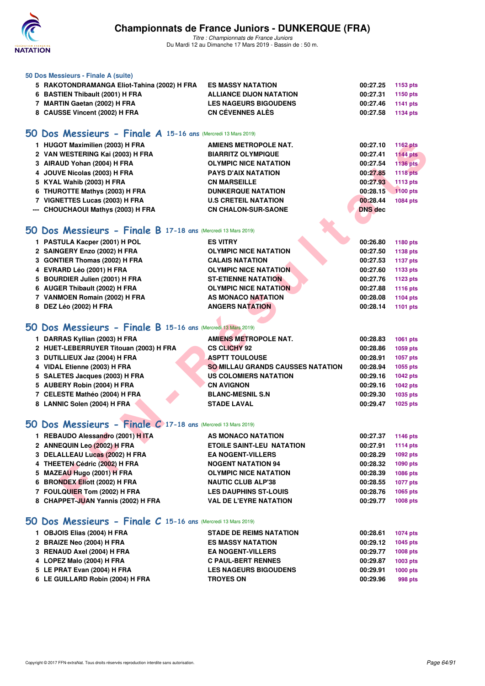

| 50 Dos Messieurs - Finale A (suite)                           |                                          |                |                 |
|---------------------------------------------------------------|------------------------------------------|----------------|-----------------|
| 5 RAKOTONDRAMANGA Eliot-Tahina (2002) H FRA                   | <b>ES MASSY NATATION</b>                 | 00:27.25       | 1153 pts        |
| 6 BASTIEN Thibault (2001) H FRA                               | <b>ALLIANCE DIJON NATATION</b>           | 00:27.31       | 1150 pts        |
| 7 MARTIN Gaetan (2002) H FRA                                  | <b>LES NAGEURS BIGOUDENS</b>             | 00:27.46       | 1141 pts        |
| 8 CAUSSE Vincent (2002) H FRA                                 | <b>CN CÉVENNES ALÉS</b>                  | 00:27.58       | 1134 pts        |
|                                                               |                                          |                |                 |
| 50 Dos Messieurs - Finale A 15-16 ans (Mercredi 13 Mars 2019) |                                          |                |                 |
| 1 HUGOT Maximilien (2003) H FRA                               | <b>AMIENS METROPOLE NAT.</b>             | 00:27.10       | <b>1162 pts</b> |
| 2 VAN WESTERING Kai (2003) H FRA                              | <b>BIARRITZ OLYMPIQUE</b>                | 00:27.41       | <b>1144 pts</b> |
| 3 AIRAUD Yohan (2004) H FRA                                   | <b>OLYMPIC NICE NATATION</b>             | 00:27.54       | 1136 pts        |
| 4 JOUVE Nicolas (2003) H FRA                                  | <b>PAYS D'AIX NATATION</b>               | 00:27.85       | <b>1118 pts</b> |
| 5 KYAL Wahib (2003) H FRA                                     | <b>CN MARSEILLE</b>                      | 00:27.93       | 1113 pts        |
| 6 THUROTTE Mathys (2003) H FRA                                | <b>DUNKERQUE NATATION</b>                | 00:28.15       | 1100 pts        |
| 7 VIGNETTES Lucas (2003) H FRA                                | <b>U.S CRETEIL NATATION</b>              | 00:28.44       | 1084 pts        |
| --- CHOUCHAOUI Mathys (2003) H FRA                            | <b>CN CHALON-SUR-SAONE</b>               | <b>DNS</b> dec |                 |
|                                                               |                                          |                |                 |
| 50 Dos Messieurs - Finale B 17-18 ans (Mercredi 13 Mars 2019) |                                          |                |                 |
| 1 PASTULA Kacper (2001) H POL                                 | <b>ES VITRY</b>                          | 00:26.80       | 1180 pts        |
| 2 SAINGERY Enzo (2002) H FRA                                  | <b>OLYMPIC NICE NATATION</b>             | 00:27.50       | 1138 pts        |
| 3 GONTIER Thomas (2002) H FRA                                 | <b>CALAIS NATATION</b>                   | 00:27.53       | <b>1137 pts</b> |
| 4 EVRARD Léo (2001) H FRA                                     | <b>OLYMPIC NICE NATATION</b>             | 00:27.60       | 1133 pts        |
| 5 BOURDIER Julien (2001) H FRA                                | <b>ST-ETIENNE NATATION</b>               | 00:27.76       | 1123 pts        |
| 6 AUGER Thibault (2002) H FRA                                 | <b>OLYMPIC NICE NATATION</b>             | 00:27.88       | 1116 pts        |
| 7 VANMOEN Romain (2002) H FRA                                 | AS MONACO NATATION                       | 00:28.08       | 1104 pts        |
| 8 DEZ Léo (2002) H FRA                                        | <b>ANGERS NATATION</b>                   | 00:28.14       | 1101 pts        |
|                                                               |                                          |                |                 |
| 50 Dos Messieurs - Finale B 15-16 ans (Mercredi 13 Mars 2019) |                                          |                |                 |
| 1 DARRAS Kyllian (2003) H FRA                                 | <b>AMIENS METROPOLE NAT.</b>             | 00:28.83       | 1061 pts        |
| 2 HUET-LEBERRUYER Titouan (2003) H FRA                        | <b>CS CLICHY 92</b>                      | 00:28.86       | 1059 pts        |
| 3 DUTILLIEUX Jaz (2004) H FRA                                 | <b>ASPTT TOULOUSE</b>                    | 00:28.91       | 1057 pts        |
| 4 VIDAL Etienne (2003) H FRA                                  | <b>SO MILLAU GRANDS CAUSSES NATATION</b> | 00:28.94       | 1055 pts        |
| 5 SALETES Jacques (2003) H FRA                                | <b>US COLOMIERS NATATION</b>             | 00:29.16       | <b>1042 pts</b> |
| 5 AUBERY Robin (2004) H FRA                                   | <b>CN AVIGNON</b>                        | 00:29.16       | <b>1042 pts</b> |
| 7 CELESTE Mathéo (2004) H FRA                                 | <b>BLANC-MESNIL S.N</b>                  | 00:29.30       | 1035 pts        |
| 8 LANNIC Solen (2004) H FRA                                   | <b>STADE LAVAL</b>                       | 00:29.47       | 1025 pts        |
|                                                               |                                          |                |                 |
| 50 Dos Messieurs - Finale C 17-18 ans (Mercredi 13 Mars 2019) |                                          |                |                 |
| 1 REBAUDO Alessandro (2001) HITA                              | AS MONACO NATATION                       | 00:27.37       | 1146 pts        |
| 2 ANNEQUIN Leo (2002) H FRA                                   | <b>ETOILE SAINT-LEU NATATION</b>         | 00:27.91       | <b>1114 pts</b> |
| 3 DELALLEAU Lucas (2002) H FRA                                | <b>EA NOGENT-VILLERS</b>                 | 00:28.29       | 1092 pts        |
| 4 THEETEN Cédric (2002) H FRA                                 | <b>NOGENT NATATION 94</b>                | 00:28.32       | 1090 pts        |
| 5 MAZEAU Hugo (2001) H FRA                                    | <b>OLYMPIC NICE NATATION</b>             | 00:28.39       | 1086 pts        |
| 6 BRONDEX Eliott (2002) H FRA                                 | <b>NAUTIC CLUB ALP'38</b>                | 00:28.55       | <b>1077 pts</b> |
| 7 FOULQUIER Tom (2002) H FRA                                  | <b>LES DAUPHINS ST-LOUIS</b>             | 00:28.76       | 1065 pts        |
| 8 CHAPPET-JUAN Yannis (2002) H FRA                            | <b>VAL DE L'EYRE NATATION</b>            | 00:29.77       | <b>1008 pts</b> |
| 50 Dos Messieurs - Finale C 15-16 ans (Mercredi 13 Mars 2019) |                                          |                |                 |
|                                                               |                                          |                |                 |
| 1 OBJOIS Elias (2004) H FRA                                   | <b>STADE DE REIMS NATATION</b>           | 00:28.61       | <b>1074 pts</b> |
| 2 BRAIZE Neo (2004) H FRA                                     | <b>ES MASSY NATATION</b>                 | 00:29.12       | 1045 pts        |

| $1.900000$ Liids (2007) $11111A$ | 917929211511091371711911     | <b>UU.LU.VI</b> | $1017 \mu s$ |
|----------------------------------|------------------------------|-----------------|--------------|
| 2 BRAIZE Neo (2004) H FRA        | <b>ES MASSY NATATION</b>     | 00:29.12        | 1045 pts     |
| 3 RENAUD Axel (2004) H FRA       | <b>EA NOGENT-VILLERS</b>     | 00:29.77        | 1008 pts     |
| 4 LOPEZ Malo (2004) H FRA        | <b>C PAUL-BERT RENNES</b>    | 00:29.87        | 1003 pts     |
| 5 LE PRAT Evan (2004) H FRA      | <b>LES NAGEURS BIGOUDENS</b> | 00:29.91        | 1000 pts     |
| 6 LE GUILLARD Robin (2004) H FRA | <b>TROYES ON</b>             | 00:29.96        | 998 pts      |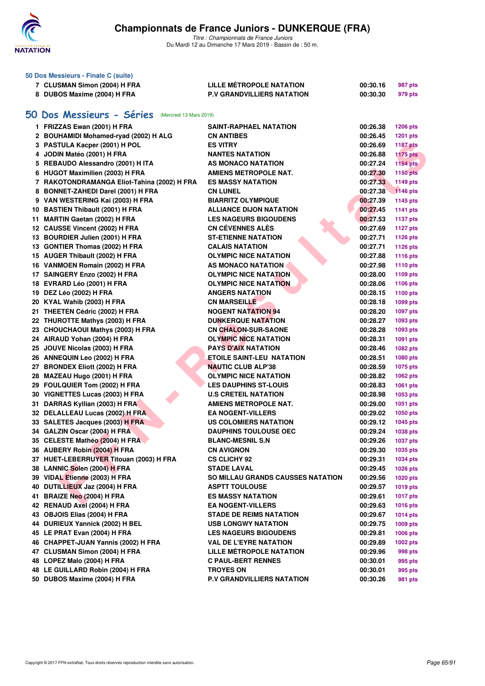

|    | 50 Dos Messieurs - Finale C (suite)               |                                          |          |                 |
|----|---------------------------------------------------|------------------------------------------|----------|-----------------|
|    | 7 CLUSMAN Simon (2004) H FRA                      | LILLE MÉTROPOLE NATATION                 | 00:30.16 | 987 pts         |
|    | 8 DUBOS Maxime (2004) H FRA                       | <b>P.V GRANDVILLIERS NATATION</b>        | 00:30.30 | 979 pts         |
|    |                                                   |                                          |          |                 |
| 50 | Dos Messieurs - Séries<br>(Mercredi 13 Mars 2019) |                                          |          |                 |
|    |                                                   |                                          |          |                 |
|    | 1 FRIZZAS Ewan (2001) H FRA                       | SAINT-RAPHAEL NATATION                   | 00:26.38 | <b>1206 pts</b> |
|    | 2 BOUHAMIDI Mohamed-ryad (2002) H ALG             | <b>CN ANTIBES</b>                        | 00:26.45 | 1201 pts        |
|    | 3 PASTULA Kacper (2001) H POL                     | <b>ES VITRY</b>                          | 00:26.69 | <b>1187 pts</b> |
|    | 4 JODIN Matéo (2001) H FRA                        | <b>NANTES NATATION</b>                   | 00:26.88 | <b>1175 pts</b> |
|    | 5 REBAUDO Alessandro (2001) H ITA                 | AS MONACO NATATION                       | 00:27.24 | <b>1154 pts</b> |
|    | 6 HUGOT Maximilien (2003) H FRA                   | <b>AMIENS METROPOLE NAT.</b>             | 00:27.30 | <b>1150 pts</b> |
|    | 7 RAKOTONDRAMANGA Eliot-Tahina (2002) H FRA       | <b>ES MASSY NATATION</b>                 | 00:27.33 | 1149 pts        |
|    | 8 BONNET-ZAHEDI Darel (2001) H FRA                | <b>CN LUNEL</b>                          | 00:27.38 | 1146 pts        |
|    | 9 VAN WESTERING Kai (2003) H FRA                  | <b>BIARRITZ OLYMPIQUE</b>                | 00:27.39 | 1145 pts        |
|    | 10 BASTIEN Thibault (2001) H FRA                  | <b>ALLIANCE DIJON NATATION</b>           | 00:27.45 | <b>1141 pts</b> |
|    | 11 MARTIN Gaetan (2002) H FRA                     | <b>LES NAGEURS BIGOUDENS</b>             | 00:27.53 | <b>1137 pts</b> |
|    | 12 CAUSSE Vincent (2002) H FRA                    | <b>CN CEVENNES ALES</b>                  | 00:27.69 | <b>1127 pts</b> |
|    | 13 BOURDIER Julien (2001) H FRA                   | <b>ST-ETIENNE NATATION</b>               | 00:27.71 | <b>1126 pts</b> |
|    | 13 GONTIER Thomas (2002) H FRA                    | <b>CALAIS NATATION</b>                   | 00:27.71 | <b>1126 pts</b> |
|    | 15 AUGER Thibault (2002) H FRA                    | <b>OLYMPIC NICE NATATION</b>             | 00:27.88 | <b>1116 pts</b> |
|    | 16 VANMOEN Romain (2002) H FRA                    | AS MONACO NATATION                       | 00:27.98 | <b>1110 pts</b> |
|    | 17 SAINGERY Enzo (2002) H FRA                     | <b>OLYMPIC NICE NATATION</b>             | 00:28.00 | 1109 pts        |
|    | 18 EVRARD Léo (2001) H FRA                        | <b>OLYMPIC NICE NATATION</b>             | 00:28.06 | 1106 pts        |
|    | 19 DEZ Léo (2002) H FRA                           | <b>ANGERS NATATION</b>                   | 00:28.15 | 1100 pts        |
|    | 20 KYAL Wahib (2003) H FRA                        | <b>CN MARSEILLE</b>                      | 00:28.18 | 1099 pts        |
|    | 21 THEETEN Cédric (2002) H FRA                    | <b>NOGENT NATATION 94</b>                | 00:28.20 | 1097 pts        |
|    | 22 THUROTTE Mathys (2003) H FRA                   | <b>DUNKERQUE NATATION</b>                | 00:28.27 | 1093 pts        |
|    | 23 CHOUCHAOUI Mathys (2003) H FRA                 | <b>CN CHALON-SUR-SAONE</b>               | 00:28.28 | 1093 pts        |
|    | 24 AIRAUD Yohan (2004) H FRA                      | <b>OLYMPIC NICE NATATION</b>             | 00:28.31 | 1091 pts        |
|    | 25 JOUVE Nicolas (2003) H FRA                     | <b>PAYS D'AIX NATATION</b>               | 00:28.46 | 1082 pts        |
|    | 26 ANNEQUIN Leo (2002) H FRA                      | ETOILE SAINT-LEU NATATION                | 00:28.51 | 1080 pts        |
|    | 27 BRONDEX Eliott (2002) H FRA                    | <b>NAUTIC CLUB ALP'38</b>                | 00:28.59 | 1075 pts        |
|    | 28 MAZEAU Hugo (2001) H FRA                       | <b>OLYMPIC NICE NATATION</b>             | 00:28.82 | 1062 pts        |
|    |                                                   |                                          |          |                 |
|    | 29 FOULQUIER Tom (2002) H FRA                     | <b>LES DAUPHINS ST-LOUIS</b>             | 00:28.83 | 1061 pts        |
|    | 30 VIGNETTES Lucas (2003) H FRA                   | <b>U.S CRETEIL NATATION</b>              | 00:28.98 | 1053 pts        |
|    | 31 DARRAS Kyllian (2003) H FRA                    | <b>AMIENS METROPOLE NAT.</b>             | 00:29.00 | 1051 pts        |
|    | 32 DELALLEAU Lucas (2002) H FRA                   | <b>EA NOGENT-VILLERS</b>                 | 00:29.02 | 1050 pts        |
|    | 33 SALETES Jacques (2003) H FRA                   | <b>US COLOMIERS NATATION</b>             | 00:29.12 | 1045 pts        |
|    | 34 GALZIN Oscar (2004) H FRA                      | <b>DAUPHINS TOULOUSE OEC</b>             | 00:29.24 | <b>1038 pts</b> |
|    | 35 CELESTE Mathéo (2004) H FRA                    | <b>BLANC-MESNIL S.N</b>                  | 00:29.26 | <b>1037 pts</b> |
|    | 36 AUBERY Robin (2004) H FRA                      | <b>CN AVIGNON</b>                        | 00:29.30 | 1035 pts        |
|    | 37 HUET-LEBERRUYER Titouan (2003) H FRA           | <b>CS CLICHY 92</b>                      | 00:29.31 | 1034 pts        |
|    | 38 LANNIC Solen (2004) H FRA                      | <b>STADE LAVAL</b>                       | 00:29.45 | 1026 pts        |
|    | 39 VIDAL Etienne (2003) H FRA                     | <b>SO MILLAU GRANDS CAUSSES NATATION</b> | 00:29.56 | 1020 pts        |
|    | 40 DUTILLIEUX Jaz (2004) H FRA                    | <b>ASPTT TOULOUSE</b>                    | 00:29.57 | 1019 pts        |
|    | 41 BRAIZE Neo (2004) H FRA                        | <b>ES MASSY NATATION</b>                 | 00:29.61 | <b>1017 pts</b> |
|    | 42 RENAUD Axel (2004) H FRA                       | <b>EA NOGENT-VILLERS</b>                 | 00:29.63 | <b>1016 pts</b> |
|    | 43 OBJOIS Elias (2004) H FRA                      | <b>STADE DE REIMS NATATION</b>           | 00:29.67 | 1014 pts        |
|    | 44 DURIEUX Yannick (2002) H BEL                   | <b>USB LONGWY NATATION</b>               | 00:29.75 | 1009 pts        |
|    | 45 LE PRAT Evan (2004) H FRA                      | <b>LES NAGEURS BIGOUDENS</b>             | 00:29.81 | 1006 pts        |
|    | 46 CHAPPET-JUAN Yannis (2002) H FRA               | <b>VAL DE L'EYRE NATATION</b>            | 00:29.89 | 1002 pts        |
|    | 47 CLUSMAN Simon (2004) H FRA                     | LILLE MÉTROPOLE NATATION                 | 00:29.96 | 998 pts         |
|    | 48 LOPEZ Malo (2004) H FRA                        | <b>C PAUL-BERT RENNES</b>                | 00:30.01 | 995 pts         |
|    | 48 LE GUILLARD Robin (2004) H FRA                 | <b>TROYES ON</b>                         | 00:30.01 | 995 pts         |
|    | 50 DUBOS Maxime (2004) H FRA                      | P.V GRANDVILLIERS NATATION               | 00:30.26 | 981 pts         |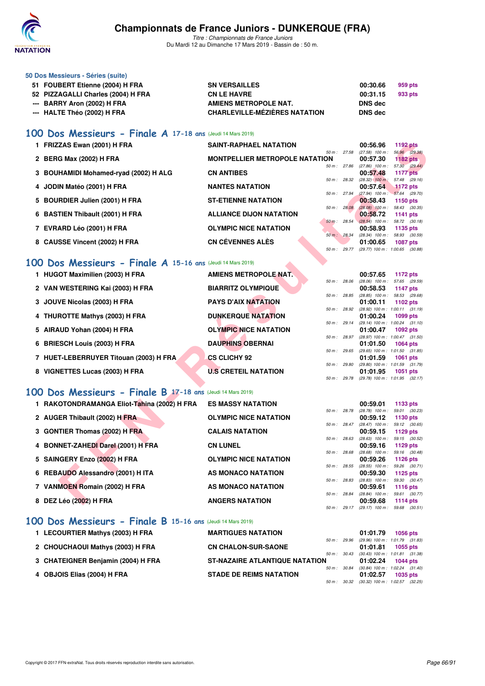

*Titre : Championnats de France Juniors* Du Mardi 12 au Dimanche 17 Mars 2019 - Bassin de : 50 m.

| 50 Dos Messieurs - Séries (suite)  |                                      |                |         |
|------------------------------------|--------------------------------------|----------------|---------|
| 51 FOUBERT Etienne (2004) H FRA    | <b>SN VERSAILLES</b>                 | 00:30.66       | 959 pts |
| 52 PIZZAGALLI Charles (2004) H FRA | <b>CN LE HAVRE</b>                   | 00:31.15       | 933 pts |
| --- BARRY Aron (2002) H FRA        | AMIENS METROPOLE NAT.                | DNS dec        |         |
| --- HALTE Théo (2002) H FRA        | <b>CHARLEVILLE-MÉZIÈRES NATATION</b> | <b>DNS</b> dec |         |

### **[100 Dos Messieurs - Finale A](http://www.ffnatation.fr/webffn/resultats.php?idact=nat&go=epr&idcpt=59271&idepr=62) 17-18 ans** (Jeudi 14 Mars 2019)

| 1 FRIZZAS Ewan (2001) H FRA           | <b>SAINT-RAPHAEL NATATION</b>         |                | 00:56.96                        | <b>1192 pts</b> |         |
|---------------------------------------|---------------------------------------|----------------|---------------------------------|-----------------|---------|
|                                       |                                       | 50 m: 27.58    | $(27.58)$ 100 m :               | 56.96 (29.38)   |         |
| 2 BERG Max (2002) H FRA               | <b>MONTPELLIER METROPOLE NATATION</b> |                | 00:57.30                        | $1182$ pts      |         |
|                                       |                                       | 50 m: 27.86    | $(27.86)$ 100 m :               | 57.30 (29.44)   |         |
| 3 BOUHAMIDI Mohamed-ryad (2002) H ALG | <b>CN ANTIBES</b>                     |                | 00:57.48                        | <b>1177 pts</b> |         |
|                                       |                                       | 50 m: 28.32    | $(28.32)$ 100 m:                | 57.48 (29.16)   |         |
| 4 JODIN Matéo (2001) H FRA            | <b>NANTES NATATION</b>                |                | 00:57.64                        | <b>1172 pts</b> |         |
|                                       |                                       | 50 m: 27.94    | $(27.94)$ 100 m : 57.64 (29.70) |                 |         |
| 5 BOURDIER Julien (2001) H FRA        | <b>ST-ETIENNE NATATION</b>            |                | 00:58.43                        | 1150 pts        |         |
|                                       |                                       | 50 m: 28.08    | $(28.08)$ 100 m :               | 58.43 (30.35)   |         |
| 6 BASTIEN Thibault (2001) H FRA       | <b>ALLIANCE DIJON NATATION</b>        |                | 00:58.72                        | 1141 $pts$      |         |
|                                       |                                       | 50 m: 28.54    | $(28.54)$ 100 m :               | 58.72 (30.18)   |         |
| 7 EVRARD Léo (2001) H FRA             | <b>OLYMPIC NICE NATATION</b>          |                | 00:58.93                        | 1135 pts        |         |
|                                       |                                       | 50 m: 28.34    | $(28.34)$ 100 m :               | 58.93 (30.59)   |         |
| 8 CAUSSE Vincent (2002) H FRA         | <b>CN CÉVENNES ALÈS</b>               |                | 01:00.65                        | <b>1087 pts</b> |         |
|                                       |                                       | $50 m$ : 29.77 | $(29.77)$ 100 m : 1:00.65       |                 | (30.88) |

### **[100 Dos Messieurs - Finale A](http://www.ffnatation.fr/webffn/resultats.php?idact=nat&go=epr&idcpt=59271&idepr=62) 15-16 ans** (Jeudi 14 Mars 2019)

|           | 1 FRIZZAS Ewan (2001) H FRA                                | <b>SAINT-RAPHAEL NATATION</b>         |                |              | 00:56.96<br><b>1192 pts</b>                                        |
|-----------|------------------------------------------------------------|---------------------------------------|----------------|--------------|--------------------------------------------------------------------|
|           | 2 BERG Max (2002) H FRA                                    | <b>MONTPELLIER METROPOLE NATATION</b> | 50 m : 27.58   |              | $(27.58)$ 100 m :<br>56.96 (29.38)<br>00:57.30<br>1182 $pts$       |
|           | 3 BOUHAMIDI Mohamed-ryad (2002) H ALG                      | <b>CN ANTIBES</b>                     | 50 m : 27.86   |              | 57.30 (29.44)<br>$(27.86)$ 100 m :<br>00:57.48<br><b>1177 pts</b>  |
|           |                                                            |                                       | 50 m: 28.32    |              | 57.48 (29.16)<br>$(28.32)$ 100 m:                                  |
|           | 4 JODIN Matéo (2001) H FRA                                 | <b>NANTES NATATION</b>                | 50 m: 27.94    |              | 00:57.64<br>1172 pts<br>$(27.94)$ 100 m : 57.64 (29.70)            |
|           | 5 BOURDIER Julien (2001) H FRA                             | <b>ST-ETIENNE NATATION</b>            |                |              | 00:58.43<br><b>1150 pts</b>                                        |
|           | 6 BASTIEN Thibault (2001) H FRA                            | <b>ALLIANCE DIJON NATATION</b>        | 50 m: 28.08    |              | $(28.08)$ 100 m : 58.43 $(30.35)$<br>00:58.72<br>1141 pts          |
|           |                                                            |                                       | $50 m$ : 28.54 |              | $(28.54)$ 100 m : 58.72 $(30.18)$                                  |
|           | 7 EVRARD Léo (2001) H FRA                                  | <b>OLYMPIC NICE NATATION</b>          | 50 m : 28.34   |              | 00:58.93<br>1135 pts<br>58.93 (30.59)                              |
|           | 8 CAUSSE Vincent (2002) H FRA                              | <b>CN CÉVENNES ALÈS</b>               |                |              | $(28.34)$ 100 m :<br>01:00.65<br><b>1087 pts</b>                   |
|           |                                                            |                                       |                | 50 m : 29.77 | (29.77) 100 m : 1:00.65 (30.88)                                    |
| <b>OO</b> | Dos Messieurs - Finale A 15-16 ans (Jeudi 14 Mars 2019)    |                                       |                |              |                                                                    |
|           | 1 HUGOT Maximilien (2003) H FRA                            | <b>AMIENS METROPOLE NAT.</b>          |                |              | 00:57.65<br>1172 pts                                               |
|           |                                                            |                                       | 50 m: 28.06    |              | 57.65 (29.59)<br>$(28.06)$ 100 m :                                 |
|           | 2 VAN WESTERING Kai (2003) H FRA                           | <b>BIARRITZ OLYMPIQUE</b>             |                |              | 00:58.53<br><b>1147 pts</b>                                        |
|           | 3 JOUVE Nicolas (2003) H FRA                               | <b>PAYS D'AIX NATATION</b>            | 50 m : 28.85   |              | $(28.85)$ 100 m : 58.53 $(29.68)$<br>01:00.11<br>1102 pts          |
|           |                                                            |                                       | 50 m : 28.92   |              | $(28.92)$ 100 m : 1:00.11 $(31.19)$                                |
|           | 4 THUROTTE Mathys (2003) H FRA                             | <b>DUNKERQUE NATATION</b>             |                |              | 01:00.24<br>1099 pts                                               |
|           | 5 AIRAUD Yohan (2004) H FRA                                | <b>OLYMPIC NICE NATATION</b>          | 50 m : 29.14   |              | $(29.14)$ 100 m : 1:00.24 $(31.10)$<br>01:00.47<br>1092 pts        |
|           |                                                            |                                       |                | 50 m : 28.97 | (28.97) 100 m: 1:00.47 (31.50)                                     |
|           | 6 BRIESCH Louis (2003) H FRA                               | <b>DAUPHINS OBERNAI</b>               |                |              | 01:01.50<br><b>1064 pts</b>                                        |
|           | 7 HUET-LEBERRUYER Titouan (2003) H FRA                     | <b>CS CLICHY 92</b>                   | 50 m: 29.65    |              | $(29.65)$ 100 m : 1:01.50 $(31.85)$<br>01:01.59<br><b>1061 pts</b> |
|           |                                                            |                                       | 50 m : 29.80   |              | (29.80) 100 m: 1:01.59 (31.79)                                     |
|           | 8 VIGNETTES Lucas (2003) H FRA                             | <b>U.S CRETEIL NATATION</b>           |                |              | 01:01.95<br>1051 pts                                               |
|           |                                                            |                                       | 50 m : 29.78   |              | $(29.78)$ 100 m : 1:01.95 $(32.17)$                                |
|           | 00 Dos Messieurs - Finale B 17-18 ans (Jeudi 14 Mars 2019) |                                       |                |              |                                                                    |
|           | 1 RAKOTONDRAMANGA Eliot-Tahina (2002) H FRA                | <b>ES MASSY NATATION</b>              |                |              | 00:59.01<br>1133 pts                                               |
|           |                                                            |                                       | 50 m : 28.78   |              | 59.01 (30.23)<br>$(28.78)$ 100 m :                                 |
|           | 2 AUGER Thibault (2002) H FRA                              | <b>OLYMPIC NICE NATATION</b>          |                | 50 m : 28.47 | 00:59.12<br>1130 pts<br>$(28.47)$ 100 m :<br>59.12 (30.65)         |
|           | 3 GONTIER Thomas (2002) H FRA                              | <b>CALAIS NATATION</b>                |                |              | 00:59.15<br>1129 pts                                               |
|           |                                                            |                                       | 50 m: 28.63    |              | (28.63) 100 m: 59.15 (30.52)                                       |
|           | 4 BONNET-ZAHEDI Darel (2001) H FRA                         | <b>CN LUNEL</b>                       | 50 m: 28.68    |              | 00:59.16<br>1129 pts<br>$(28.68)$ 100 m :<br>59.16 (30.48)         |
|           | 5 SAINGERY Enzo (2002) H FRA                               | <b>OLYMPIC NICE NATATION</b>          |                |              | 00:59.26<br>1126 pts                                               |
|           |                                                            |                                       | 50 m: 28.55    |              | 59.26 (30.71)<br>$(28.55)$ 100 m :                                 |
|           | 6 REBAUDO Alessandro (2001) H ITA                          | AS MONACO NATATION                    | 50 m: 28.83    |              | 00:59.30<br>1125 pts                                               |
|           | 7 VANMOEN Romain (2002) H FRA                              | AS MONACO NATATION                    |                |              | $(28.83)$ 100 m :<br>59.30 (30.47)<br>00:59.61<br><b>1116 pts</b>  |
|           |                                                            |                                       | 50 m : 28.84   |              | $(28.84)$ 100 m :<br>59.61 (30.77)                                 |
|           | 8 DEZ Léo (2002) H FRA                                     | <b>ANGERS NATATION</b>                |                |              | 00:59.68<br>1114 pts                                               |

## **[100 Dos Messieurs - Finale B](http://www.ffnatation.fr/webffn/resultats.php?idact=nat&go=epr&idcpt=59271&idepr=62) 17-18 ans** (Jeudi 14 Mars 2019)

| 1 RAKOTONDRAMANGA Eliot-Tahina (2002) H FRA | <b>ES MASSY NATATION</b>     |                | 00:59.01                      | 1133 pts               |  |
|---------------------------------------------|------------------------------|----------------|-------------------------------|------------------------|--|
|                                             |                              | 50 m: 28.78    | $(28.78)$ 100 m :             | 59.01 (30.             |  |
| 2 AUGER Thibault (2002) H FRA               | <b>OLYMPIC NICE NATATION</b> | $50 m$ : 28.47 | 00:59.12<br>$(28.47)$ 100 m : | 1130 pts<br>59.12 (30. |  |
| 3 GONTIER Thomas (2002) H FRA               | <b>CALAIS NATATION</b>       |                | 00:59.15                      | 1129 pts               |  |
|                                             |                              | 50 m: 28.63    | $(28.63)$ 100 m :             | 59.15 (30.             |  |
| 4 BONNET-ZAHEDI Darel (2001) H FRA          | <b>CN LUNEL</b>              |                | 00:59.16                      | 1129 pts               |  |
| 5 SAINGERY Enzo (2002) H FRA                | <b>OLYMPIC NICE NATATION</b> | 50 m: 28.68    | $(28.68)$ 100 m :<br>00:59.26 | 59.16 (30.<br>1126 pts |  |
|                                             | AS MONACO NATATION           | $50 m$ : 28.55 | $(28.55)$ 100 m :<br>00:59.30 | 59.26 (30.             |  |
| 6 REBAUDO Alessandro (2001) H ITA           |                              | 50 m: 28.83    | $(28.83)$ 100 m :             | 1125 pts<br>59.30 (30. |  |
| 7 VANMOEN Romain (2002) H FRA               | AS MONACO NATATION           |                | 00:59.61                      | 1116 pts               |  |
|                                             |                              | 50 m: 28.84    | $(28.84)$ 100 m :             | 59.61 (30.             |  |
| 8 DEZ Léo (2002) H FRA                      | <b>ANGERS NATATION</b>       |                | 00:59.68                      | <b>1114 pts</b>        |  |
|                                             |                              | 50 m : 29.17   | $(29.17)$ 100 m : 59.68 (30.  |                        |  |

#### **[100 Dos Messieurs - Finale B](http://www.ffnatation.fr/webffn/resultats.php?idact=nat&go=epr&idcpt=59271&idepr=62) 15-16 ans** (Jeudi 14 Mars 2019)

| 1 LECOURTIER Mathys (2003) H FRA   | <b>MARTIGUES NATATION</b>             |              | 01:01.79                                   | <b>1056 pts</b> |  |
|------------------------------------|---------------------------------------|--------------|--------------------------------------------|-----------------|--|
|                                    |                                       |              | 50 m: 29.96 (29.96) 100 m: 1:01.79 (31.83) |                 |  |
| 2 CHOUCHAOUI Mathys (2003) H FRA   | <b>CN CHALON-SUR-SAONE</b>            |              | 01:01.81                                   | 1055 pts        |  |
|                                    |                                       | 50 m : 30.43 | $(30.43)$ 100 m : 1:01.81 $(31.38)$        |                 |  |
| 3 CHATEIGNER Benjamin (2004) H FRA | <b>ST-NAZAIRE ATLANTIQUE NATATION</b> |              | 01:02.24                                   | 1044 pts        |  |
|                                    |                                       |              | 50 m: 30.84 (30.84) 100 m: 1:02.24 (31.40) |                 |  |
| 4 OBJOIS Elias (2004) H FRA        | <b>STADE DE REIMS NATATION</b>        |              | 01:02.57                                   | <b>1035 pts</b> |  |
|                                    |                                       |              | 50 m: 30.32 (30.32) 100 m: 1:02.57 (32.25) |                 |  |
|                                    |                                       |              |                                            |                 |  |

*50 m : 28.84 (28.84) 100 m : 59.61 (30.77)* **8 DEZ Léo (2002) H FRA ANGERS NATATION 00:59.68 1114 pts** *50 m : 29.17 (29.17) 100 m : 59.68 (30.51)*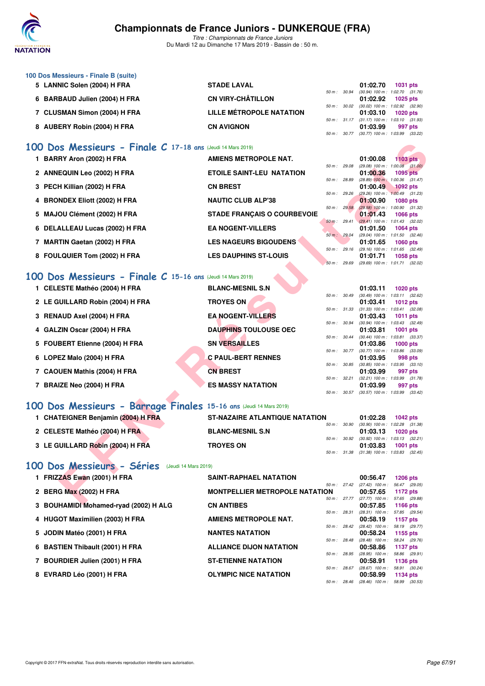

*Titre : Championnats de France Juniors* Du Mardi 12 au Dimanche 17 Mars 2019 - Bassin de : 50 m.

| 100 Dos Messieurs - Finale B (suite) |                                 |                          |                                              |                 |         |
|--------------------------------------|---------------------------------|--------------------------|----------------------------------------------|-----------------|---------|
| 5 LANNIC Solen (2004) H FRA          | <b>STADE LAVAL</b>              |                          | 01:02.70                                     | <b>1031 pts</b> |         |
|                                      |                                 | $50 \text{ m}$ : $30.94$ | $(30.94)$ 100 m : 1:02.70 $(31.76)$          |                 |         |
| 6 BARBAUD Julien (2004) H FRA        | <b>CN VIRY-CHÂTILLON</b>        |                          | 01:02.92                                     | 1025 pts        |         |
|                                      |                                 |                          | 50 m : 30.02 (30.02) 100 m : 1:02.92 (32.90) |                 |         |
| 7 CLUSMAN Simon (2004) H FRA         | <b>LILLE MÉTROPOLE NATATION</b> |                          | 01:03.10                                     | 1020 pts        |         |
|                                      |                                 |                          | 50 m: 31.17 (31.17) 100 m: 1:03.10 (31.93)   |                 |         |
| 8 AUBERY Robin (2004) H FRA          | <b>CN AVIGNON</b>               |                          | 01:03.99                                     |                 | 997 pts |
|                                      |                                 | $50 \text{ m}$ : $30.77$ | (30.77) 100 m : 1:03.99 (33.22)              |                 |         |

## **[100 Dos Messieurs - Finale C](http://www.ffnatation.fr/webffn/resultats.php?idact=nat&go=epr&idcpt=59271&idepr=62) 17-18 ans** (Jeudi 14 Mars 2019)

| 1 BARRY Aron (2002) H FRA      | AMIENS METROPOLE NAT.              |                |             | 01:00.08                                        | $1103$ pts          |  |
|--------------------------------|------------------------------------|----------------|-------------|-------------------------------------------------|---------------------|--|
|                                |                                    | 50 m: 29.08    |             | $(29.08)$ 100 m : 1:00.08 $(31.00)$             |                     |  |
| 2 ANNEQUIN Leo (2002) H FRA    | <b>ETOILE SAINT-LEU NATATION</b>   |                |             | 01:00.36                                        | <b>1095 pts</b>     |  |
| 3 PECH Killian (2002) H FRA    | <b>CN BREST</b>                    | 50 m: 28.89    |             | $(28.89)$ 100 m :                               | $1:00.36$ $(31.47)$ |  |
|                                |                                    | $50 m$ : 29.26 |             | 01:00.49<br>$(29.26)$ 100 m : 1:00.49 $(31.23)$ | $1092$ pts          |  |
| 4 BRONDEX Eliott (2002) H FRA  | <b>NAUTIC CLUB ALP'38</b>          |                |             | 01:00.90                                        | <b>1080 pts</b>     |  |
|                                |                                    |                | 50 m: 29.58 | $(29.58)$ 100 m : 1:00.90 $(31.32)$             |                     |  |
| 5 MAJOU Clément (2002) H FRA   | <b>STADE FRANCAIS O COURBEVOIE</b> |                |             | 01:01.43                                        | <b>1066 pts</b>     |  |
|                                |                                    |                | 50 m: 29.41 | $(29.41)$ 100 m : 1:01.43 (32.02)               |                     |  |
| 6 DELALLEAU Lucas (2002) H FRA | <b>EA NOGENT-VILLERS</b>           |                |             | 01:01.50                                        | <b>1064 pts</b>     |  |
|                                |                                    | 50 m: 29.04    |             | (29.04) 100 m: 1:01.50 (32.46)                  |                     |  |
| 7 MARTIN Gaetan (2002) H FRA   | <b>LES NAGEURS BIGOUDENS</b>       |                |             | 01:01.65                                        | $1060$ pts          |  |
|                                |                                    | $50 m$ : 29.16 |             | $(29.16)$ 100 m : 1:01.65 $(32.49)$             |                     |  |
| 8 FOULQUIER Tom (2002) H FRA   | <b>LES DAUPHINS ST-LOUIS</b>       |                |             | 01:01.71                                        | <b>1058 pts</b>     |  |
|                                |                                    | 50 m: 29.69    |             | $(29.69)$ 100 m : 1:01.71 $(32.02)$             |                     |  |

## **[100 Dos Messieurs - Finale C](http://www.ffnatation.fr/webffn/resultats.php?idact=nat&go=epr&idcpt=59271&idepr=62) 15-16 ans** (Jeudi 14 Mars 2019)

| Dos Messieurs - Finale C 17-18 ans (Jeudi 14 Mars 2019)<br>00     |                                       |                             |          |                                                                                   |
|-------------------------------------------------------------------|---------------------------------------|-----------------------------|----------|-----------------------------------------------------------------------------------|
| 1 BARRY Aron (2002) H FRA                                         | AMIENS METROPOLE NAT.                 |                             | 01:00.08 | $1103$ pts                                                                        |
| 2 ANNEQUIN Leo (2002) H FRA                                       | <b>ETOILE SAINT-LEU NATATION</b>      | 50 m: 29.08                 | 01:00.36 | $(29.08)$ 100 m : 1:00.08 $(31.00)$<br>1095 pts                                   |
| 3 PECH Killian (2002) H FRA                                       | <b>CN BREST</b>                       | 50 m : 28.89                | 01:00.49 | $(28.89)$ 100 m : 1:00.36 $(31.47)$<br>1092 pts                                   |
| 4 BRONDEX Eliott (2002) H FRA                                     | <b>NAUTIC CLUB ALP'38</b>             | 50 m: 29.26                 | 01:00.90 | (29.26) 100 m: 1:00.49 (31.23)<br><b>1080 pts</b>                                 |
| 5 MAJOU Clément (2002) H FRA                                      | <b>STADE FRANÇAIS O COURBEVOIE</b>    | $50 m$ : $29.58$            | 01:01.43 | $(29.58)$ 100 m : 1:00.90 $(31.32)$<br><b>1066 pts</b>                            |
| 6 DELALLEAU Lucas (2002) H FRA                                    | <b>EA NOGENT-VILLERS</b>              | 50 m: 29.41                 | 01:01.50 | $(29.41)$ 100 m : 1:01.43 $(32.02)$<br><b>1064 pts</b>                            |
| 7 MARTIN Gaetan (2002) H FRA                                      | <b>LES NAGEURS BIGOUDENS</b>          | 50 m: 29.04                 | 01:01.65 | (29.04) 100 m: 1:01.50 (32.46)<br><b>1060 pts</b>                                 |
| 8 FOULQUIER Tom (2002) H FRA                                      | <b>LES DAUPHINS ST-LOUIS</b>          | 50 m : 29.16<br>50 m: 29.69 | 01:01.71 | $(29.16)$ 100 m : 1:01.65 $(32.49)$<br>1058 pts<br>(29.69) 100 m: 1:01.71 (32.02) |
| 00 Dos Messieurs - Finale C 15-16 ans (Jeudi 14 Mars 2019)        |                                       |                             |          |                                                                                   |
| 1 CELESTE Mathéo (2004) H FRA                                     | <b>BLANC-MESNIL S.N</b>               |                             | 01:03.11 | <b>1020 pts</b>                                                                   |
| 2 LE GUILLARD Robin (2004) H FRA                                  | <b>TROYES ON</b>                      | 50 m: 30.49                 | 01:03.41 | $(30.49)$ 100 m : 1:03.11 $(32.62)$<br>1012 pts                                   |
| 3 RENAUD Axel (2004) H FRA                                        | <b>EA NOGENT-VILLERS</b>              | 50 m : 31.33                | 01:03.43 | $(31.33)$ 100 m : 1:03.41 $(32.08)$<br><b>1011 pts</b>                            |
| 4 GALZIN Oscar (2004) H FRA                                       | <b>DAUPHINS TOULOUSE OEC</b>          | 50 m: 30.94                 | 01:03.81 | $(30.94)$ 100 m : 1:03.43 $(32.49)$<br><b>1001 pts</b>                            |
| 5 FOUBERT Etienne (2004) H FRA                                    | <b>SN VERSAILLES</b>                  | 50 m : 30.44                | 01:03.86 | $(30.44)$ 100 m : 1:03.81 $(33.37)$<br>$1000$ pts                                 |
| 6 LOPEZ Malo (2004) H FRA                                         | <b>C PAUL-BERT RENNES</b>             | 50 m : 30.77                | 01:03.95 | $(30.77)$ 100 m : 1:03.86 $(33.09)$<br>998 pts                                    |
| 7 CAOUEN Mathis (2004) H FRA                                      | <b>CN BREST</b>                       | 50 m : 30.85                | 01:03.99 | $(30.85)$ 100 m : 1:03.95 $(33.10)$<br>997 pts                                    |
| 7 BRAIZE Neo (2004) H FRA                                         | <b>ES MASSY NATATION</b>              | 50 m : 32.21                | 01:03.99 | $(32.21)$ 100 m : 1:03.99 $(31.78)$                                               |
|                                                                   |                                       | 50 m: 30.57                 |          | 997 pts<br>(30.57) 100 m : 1:03.99 (33.42)                                        |
| 00 Dos Messieurs - Barrage Finales 15-16 ans (Jeudi 14 Mars 2019) |                                       |                             |          |                                                                                   |
| 1 CHATEIGNER Benjamin (2004) H FRA                                | <b>ST-NAZAIRE ATLANTIQUE NATATION</b> | 50 m : 30.90                | 01:02.28 | <b>1042 pts</b><br>$(30.90)$ 100 m : 1:02.28 $(31.38)$                            |
| 2 CELESTE Mathéo (2004) H FRA                                     | <b>BLANC-MESNIL S.N</b>               |                             | 01:03.13 | <b>1020 pts</b>                                                                   |
| 3 LE GUILLARD Robin (2004) H FRA                                  | <b>TROYES ON</b>                      | 50 m : 30.92                | 01:03.83 | $(30.92)$ 100 m : 1:03.13 $(32.21)$<br>1001 pts                                   |
|                                                                   |                                       | 50 m: 31.38                 |          | $(31.38)$ 100 m : 1:03.83 $(32.45)$                                               |
| 00 Dos Messieurs - Séries (Jeudi 14 Mars 2019)                    |                                       |                             |          |                                                                                   |
| 1 FRIZZAS Ewan (2001) H FRA                                       | <b>SAINT-RAPHAEL NATATION</b>         |                             | 00:56.47 | <b>1206 pts</b><br>50 m: 27.42 (27.42) 100 m: 56.47 (29.05)                       |
| 2 BERG Max (2002) H FRA                                           | <b>MONTPELLIER METROPOLE NATATION</b> |                             | 00:57.65 | 1172 pts                                                                          |
| 2. BOULLAMIDI Mehemad wred (2002) H.A.I.O                         | <b>CHI ANTIDEC</b>                    |                             | 00.5705  | 50 m: 27.77 (27.77) 100 m: 57.65 (29.88)<br>$-4.400 - 1.1$                        |

## **[100 Dos Messieurs - Barrage Finales](http://www.ffnatation.fr/webffn/resultats.php?idact=nat&go=epr&idcpt=59271&idepr=62) 15-16 ans** (Jeudi 14 Mars 2019)

| 1 CHATEIGNER Benjamin (2004) H FRA | <b>ST-NAZAIRE ATLANTIQUE NATATION</b> | 01:02.28                                     | $1042$ pts          |
|------------------------------------|---------------------------------------|----------------------------------------------|---------------------|
|                                    |                                       | 50 m: 30.90 (30.90) 100 m: 1:02.28 (31.38)   |                     |
| 2 CELESTE Mathéo (2004) H FRA      | <b>BLANC-MESNIL S.N</b>               |                                              | $01:03.13$ 1020 pts |
|                                    |                                       | 50 m : 30.92 (30.92) 100 m : 1:03.13 (32.21) |                     |
| 3 LE GUILLARD Robin (2004) H FRA   | <b>TROYES ON</b>                      |                                              | $01:03.83$ 1001 pts |
|                                    |                                       | 50 m: 31.38 (31.38) 100 m: 1:03.83 (32.45)   |                     |

# **[100 Dos Messieurs - Séries](http://www.ffnatation.fr/webffn/resultats.php?idact=nat&go=epr&idcpt=59271&idepr=62)** (Jeudi 14 Mars 2019)

| 1 FRIZZAS Ewan (2001) H FRA           | <b>SAINT-RAPHAEL NATATION</b>         |                        | 00:56.47                      | <b>1206 pts</b> |               |
|---------------------------------------|---------------------------------------|------------------------|-------------------------------|-----------------|---------------|
| 2 BERG Max (2002) H FRA               | <b>MONTPELLIER METROPOLE NATATION</b> | $50 \text{ m}$ : 27.42 | $(27.42)$ 100 m :<br>00:57.65 | 1172 pts        | 56.47 (29.05) |
| 3 BOUHAMIDI Mohamed-ryad (2002) H ALG | <b>CN ANTIBES</b>                     | 50 m: 27.77            | $(27.77)$ 100 m :<br>00:57.85 | 1166 pts        | 57.65 (29.88) |
| 4 HUGOT Maximilien (2003) H FRA       | <b>AMIENS METROPOLE NAT.</b>          | 50 m: 28.31            | $(28.31)$ 100 m :<br>00:58.19 | 1157 pts        | 57.85 (29.54) |
| 5 JODIN Matéo (2001) H FRA            | <b>NANTES NATATION</b>                | 50 m: 28.42            | $(28.42)$ 100 m :<br>00:58.24 | 1155 pts        | 58.19 (29.77) |
| 6 BASTIEN Thibault (2001) H FRA       | <b>ALLIANCE DIJON NATATION</b>        | 50 m: 28.48            | $(28.48)$ 100 m :<br>00:58.86 | 1137 pts        | 58.24 (29.76) |
| 7 BOURDIER Julien (2001) H FRA        | <b>ST-ETIENNE NATATION</b>            | 50 m: 28.95            | $(28.95)$ 100 m :<br>00:58.91 | 1136 pts        | 58.86 (29.91) |
| 8 EVRARD Léo (2001) H FRA             | <b>OLYMPIC NICE NATATION</b>          | 50 m: 28.67            | $(28.67)$ 100 m :<br>00:58.99 | 1134 pts        | 58.91 (30.24) |
|                                       |                                       | 50 m: 28.46            | $(28.46)$ 100 m :             | 58.99           | (30.53)       |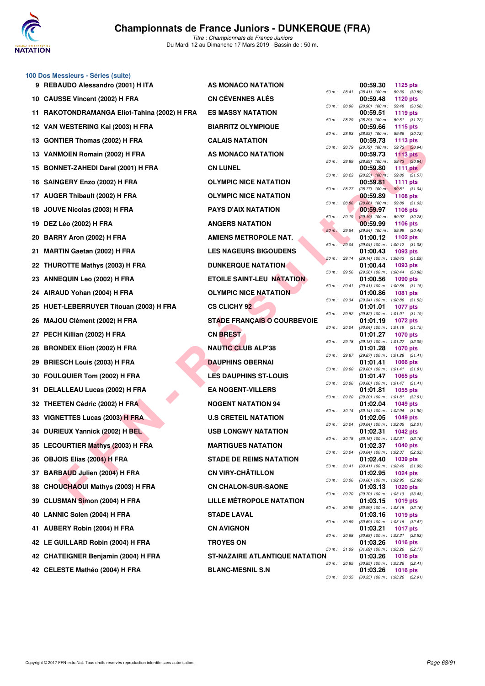

**100 Dos Messieurs - Séries (suite)**

| 9 REBAUDO Alessandro (2001) H ITA            | AS MONACO NATATION                    |              | 00:59.30<br>1125 pts                                               |
|----------------------------------------------|---------------------------------------|--------------|--------------------------------------------------------------------|
| 10 CAUSSE Vincent (2002) H FRA               | <b>CN CÉVENNES ALÈS</b>               | 50 m : 28.41 | $(28.41)$ 100 m : 59.30 $(30.89)$<br>00:59.48<br>1120 pts          |
| 11 RAKOTONDRAMANGA Eliot-Tahina (2002) H FRA | <b>ES MASSY NATATION</b>              | 50 m : 28.90 | $(28.90)$ 100 m : 59.48 $(30.58)$<br>00:59.51<br>1119 pts          |
| 12 VAN WESTERING Kai (2003) H FRA            | <b>BIARRITZ OLYMPIQUE</b>             | 50 m: 28.29  | (28.29) 100 m: 59.51 (31.22)<br>00:59.66<br><b>1115 pts</b>        |
| 13 GONTIER Thomas (2002) H FRA               | <b>CALAIS NATATION</b>                | 50 m: 28.93  | $(28.93)$ 100 m : 59.66 $(30.73)$<br>00:59.73<br>1113 $pts$        |
| 13 VANMOEN Romain (2002) H FRA               | AS MONACO NATATION                    | 50 m : 28.79 | (28.79) 100 m: 59.73 (30.94)<br>00:59.73<br>1113 pts               |
| 15 BONNET-ZAHEDI Darel (2001) H FRA          | <b>CN LUNEL</b>                       | 50 m : 28.89 | $(28.89)$ 100 m : 59.73 $(30.84)$<br>00:59.80<br>1111 $pts$        |
| 16 SAINGERY Enzo (2002) H FRA                | <b>OLYMPIC NICE NATATION</b>          | 50 m : 28.23 | $(28.23)$ 100 m : 59.80 $(31.57)$<br>00:59.81<br>1111 $pts$        |
| 17 AUGER Thibault (2002) H FRA               | <b>OLYMPIC NICE NATATION</b>          | 50 m : 28.77 | $(28.77)$ 100 m; 59.81 $(31.04)$<br>00:59.89<br><b>1108 pts</b>    |
| 18 JOUVE Nicolas (2003) H FRA                | <b>PAYS D'AIX NATATION</b>            | 50 m : 28.86 | $(28.86)$ 100 m : 59.89 $(31.03)$<br>00:59.97<br><b>1106 pts</b>   |
| 19 DEZ Léo (2002) H FRA                      | <b>ANGERS NATATION</b>                | 50 m: 29.19  | $(29.19)$ 100 m : 59.97 $(30.78)$<br>00:59.99<br><b>1106 pts</b>   |
| <b>BARRY Aron (2002) H FRA</b><br>20         | AMIENS METROPOLE NAT.                 | 50 m : 29.54 | (29.54) 100 m: 59.99 (30.45)<br>01:00.12<br>1102 $pts$             |
| 21 MARTIN Gaetan (2002) H FRA                | <b>LES NAGEURS BIGOUDENS</b>          | 50 m: 29.04  | (29.04) 100 m: 1:00.12 (31.08)<br>01:00.43<br>1093 pts             |
| 22 THUROTTE Mathys (2003) H FRA              | <b>DUNKERQUE NATATION</b>             | 50 m: 29.14  | (29.14) 100 m: 1:00.43 (31.29)<br>01:00.44<br>1093 pts             |
| 23 ANNEQUIN Leo (2002) H FRA                 | <b>ETOILE SAINT-LEU NATATION</b>      | 50 m : 29.56 | (29.56) 100 m: 1:00.44 (30.88)<br>01:00.56<br><b>1090 pts</b>      |
| 24 AIRAUD Yohan (2004) H FRA                 | <b>OLYMPIC NICE NATATION</b>          | 50 m: 29.41  | $(29.41)$ 100 m : 1:00.56 $(31.15)$<br>01:00.86<br>1081 pts        |
| HUET-LEBERRUYER Titouan (2003) H FRA<br>25   | <b>CS CLICHY 92</b>                   | 50 m: 29.34  | (29.34) 100 m: 1:00.86 (31.52)<br>01:01.01<br>1077 pts             |
| MAJOU Clément (2002) H FRA<br>26             | <b>STADE FRANÇAIS O COURBEVOIE</b>    | 50 m: 29.82  | (29.82) 100 m: 1:01.01 (31.19)<br>01:01.19<br>1072 pts             |
| 27 PECH Killian (2002) H FRA                 | <b>CN BREST</b>                       | 50 m : 30.04 | $(30.04)$ 100 m : 1:01.19 $(31.15)$<br>01:01.27<br><b>1070 pts</b> |
| <b>BRONDEX Eliott (2002) H FRA</b><br>28     | <b>NAUTIC CLUB ALP'38</b>             | 50 m : 29.18 | (29.18) 100 m: 1:01.27 (32.09)<br>01:01.28<br><b>1070 pts</b>      |
| <b>BRIESCH Louis (2003) H FRA</b><br>29      | <b>DAUPHINS OBERNAI</b>               | 50 m : 29.87 | (29.87) 100 m: 1:01.28 (31.41)<br>01:01.41<br>1066 pts             |
| 30 FOULQUIER Tom (2002) H FRA                | <b>LES DAUPHINS ST-LOUIS</b>          | 50 m: 29.60  | (29.60) 100 m: 1:01.41 (31.81)<br>01:01.47<br>1065 pts             |
| 31 DELALLEAU Lucas (2002) H FRA              | <b>EA NOGENT-VILLERS</b>              | 50 m : 30.06 | (30.06) 100 m: 1:01.47 (31.41)<br>01:01.81<br>1055 pts             |
| 32 THEETEN Cédric (2002) H FRA               | <b>NOGENT NATATION 94</b>             | 50 m : 29.20 | $(29.20)$ 100 m : 1:01.81 $(32.61)$<br>01:02.04<br>1049 pts        |
| 33 VIGNETTES Lucas (2003) H FRA              | <b>U.S CRETEIL NATATION</b>           | 50 m : 30.14 | $(30.14)$ 100 m : 1:02.04 $(31.90)$<br>01:02.05<br><b>1049 pts</b> |
| 34 DURIEUX Yannick (2002) H BEL              | <b>USB LONGWY NATATION</b>            | 50 m : 30.04 | $(30.04)$ 100 m : 1:02.05 $(32.01)$<br>01:02.31<br>1042 pts        |
| 35 LECOURTIER Mathys (2003) H FRA            | <b>MARTIGUES NATATION</b>             | 50 m : 30.15 | $(30.15)$ 100 m : 1:02.31 $(32.16)$<br>01:02.37<br><b>1040 pts</b> |
| 36 OBJOIS Elias (2004) H FRA                 | <b>STADE DE REIMS NATATION</b>        |              | 50 m: 30.04 (30.04) 100 m: 1:02.37 (32.33)<br>01:02.40<br>1039 pts |
| 37 BARBAUD Julien (2004) H FRA               | <b>CN VIRY-CHÂTILLON</b>              | 50 m : 30.41 | $(30.41)$ 100 m : 1:02.40 $(31.99)$<br>01:02.95<br><b>1024 pts</b> |
| 38 CHOUCHAOUI Mathys (2003) H FRA            | <b>CN CHALON-SUR-SAONE</b>            | 50 m : 30.06 | $(30.06)$ 100 m : 1:02.95 $(32.89)$<br>01:03.13<br><b>1020 pts</b> |
| 39 CLUSMAN Simon (2004) H FRA                | <b>LILLE MÉTROPOLE NATATION</b>       | 50 m : 29.70 | (29.70) 100 m: 1:03.13 (33.43)<br>01:03.15<br><b>1019 pts</b>      |
| 40 LANNIC Solen (2004) H FRA                 | <b>STADE LAVAL</b>                    | 50 m : 30.99 | $(30.99)$ 100 m : 1:03.15 $(32.16)$<br>01:03.16<br>1019 pts        |
| 41 AUBERY Robin (2004) H FRA                 | <b>CN AVIGNON</b>                     | 50 m : 30.69 | $(30.69)$ 100 m : 1:03.16 $(32.47)$<br>01:03.21<br><b>1017 pts</b> |
| 42 LE GUILLARD Robin (2004) H FRA            | <b>TROYES ON</b>                      | 50 m : 30.68 | $(30.68)$ 100 m : 1:03.21 $(32.53)$<br>01:03.26<br><b>1016 pts</b> |
| 42 CHATEIGNER Benjamin (2004) H FRA          | <b>ST-NAZAIRE ATLANTIQUE NATATION</b> | 50 m : 31.09 | $(31.09)$ 100 m : 1:03.26 $(32.17)$<br>01:03.26<br><b>1016 pts</b> |
| 42 CELESTE Mathéo (2004) H FRA               | <b>BLANC-MESNIL S.N</b>               | 50 m : 30.85 | $(30.85)$ 100 m : 1:03.26 $(32.41)$<br>01:03.26<br><b>1016 pts</b> |
|                                              |                                       |              | 50 m: 30.35 (30.35) 100 m: 1:03.26 (32.91)                         |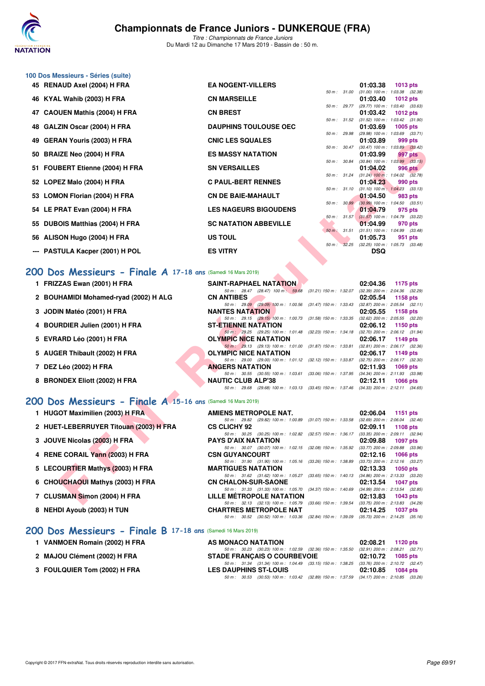

**100 Dos Messieurs - Séries (suite)**

**8 NEHDI Ayoub (2003) H TUN** 

# **Championnats de France Juniors - DUNKERQUE (FRA)**

*Titre : Championnats de France Juniors* Du Mardi 12 au Dimanche 17 Mars 2019 - Bassin de : 50 m.

|    | 45 RENAUD Axel (2004) H FRA                                  | <b>EA NOGENT-VILLERS</b>                                                                                               |                           | 01:03.38<br><b>1013 pts</b>                                        |  |  |  |  |  |
|----|--------------------------------------------------------------|------------------------------------------------------------------------------------------------------------------------|---------------------------|--------------------------------------------------------------------|--|--|--|--|--|
|    | 46 KYAL Wahib (2003) H FRA                                   | <b>CN MARSEILLE</b>                                                                                                    | 50 m: 31.00               | $(31.00)$ 100 m : 1:03.38 $(32.38)$<br>01:03.40<br>1012 pts        |  |  |  |  |  |
|    | 47 CAOUEN Mathis (2004) H FRA                                | <b>CN BREST</b>                                                                                                        | 50 m : 29.77              | $(29.77)$ 100 m : 1:03.40 $(33.63)$<br>01:03.42<br><b>1012 pts</b> |  |  |  |  |  |
| 48 | GALZIN Oscar (2004) H FRA                                    | <b>DAUPHINS TOULOUSE OEC</b>                                                                                           | 50 m: 31.52               | $(31.52)$ 100 m : 1:03.42 $(31.90)$<br>01:03.69<br>1005 pts        |  |  |  |  |  |
|    | 49 GERAN Youris (2003) H FRA                                 | <b>CNIC LES SQUALES</b>                                                                                                | 50 m : 29.98              | (29.98) 100 m: 1:03.69 (33.71)<br>01:03.89<br>999 pts              |  |  |  |  |  |
|    | 50 BRAIZE Neo (2004) H FRA                                   | <b>ES MASSY NATATION</b>                                                                                               | 50 m : 30.47              | (30.47) 100 m : 1:03.89 (33.42)<br>01:03.99<br>997 pts             |  |  |  |  |  |
|    | 51 FOUBERT Etienne (2004) H FRA                              | <b>SN VERSAILLES</b>                                                                                                   | 50 m: 30.84               | $(30.84)$ 100 m : 1:03.99 $(33.15)$<br>01:04.02<br><b>996 pts</b>  |  |  |  |  |  |
|    | 52 LOPEZ Malo (2004) H FRA                                   | <b>C PAUL-BERT RENNES</b>                                                                                              | 50 m : 31.24              | $(31.24)$ 100 m : 1:04.02 $(32.78)$<br>01:04.23<br>990 pts         |  |  |  |  |  |
|    | 53 LOMON Florian (2004) H FRA                                | <b>CN DE BAIE-MAHAULT</b>                                                                                              | 50 m : 31.10              | $(31.10)$ 100 m : 1:04.23 $(33.13)$<br>01:04.50<br>983 pts         |  |  |  |  |  |
|    | 54 LE PRAT Evan (2004) H FRA                                 | <b>LES NAGEURS BIGOUDENS</b>                                                                                           | 50 m : 30.99              | $(30.99)$ 100 m : 1:04.50 $(33.51)$<br>01:04.79<br>975 pts         |  |  |  |  |  |
|    | 55 DUBOIS Matthias (2004) H FRA                              | <b>SC NATATION ABBEVILLE</b>                                                                                           | $50 m$ : 31.57            | $(31.57)$ 100 m : 1:04.79 $(33.22)$<br>01:04.99<br>970 pts         |  |  |  |  |  |
|    | 56 ALISON Hugo (2004) H FRA                                  | US TOUL                                                                                                                | 50 m: 31.51               | $(31.51)$ 100 m : 1:04.99 $(33.48)$<br>01:05.73<br>951 pts         |  |  |  |  |  |
|    | --- PASTULA Kacper (2001) H POL                              | <b>ES VITRY</b>                                                                                                        | 32.25<br>$50 m$ :         | $(32.25)$ 100 m : 1:05.73 $(33.48)$<br><b>DSQ</b>                  |  |  |  |  |  |
|    | 200 Dos Messieurs - Finale A 17-18 ans (Samedi 16 Mars 2019) |                                                                                                                        |                           |                                                                    |  |  |  |  |  |
|    | 1 FRIZZAS Ewan (2001) H FRA                                  | <b>SAINT-RAPHAEL NATATION</b><br>50 m: 28.47 (28.47) 100 m: 59.68                                                      | $(31.21)$ 150 m : 1:32.07 | 02:04.36<br>1175 pts<br>$(32.39)$ 200 m : 2:04.36 $(32.29)$        |  |  |  |  |  |
|    | 2 BOUHAMIDI Mohamed-ryad (2002) H ALG                        | <b>CN ANTIBES</b>                                                                                                      |                           | 02:05.54<br>1158 pts                                               |  |  |  |  |  |
|    | 3 JODIN Matéo (2001) H FRA                                   | 50 m : 29.09 (29.09) 100 m : 1:00.56<br><b>NANTES NATATION</b>                                                         | $(31.47)$ 150 m : 1:33.43 | $(32.87)$ 200 m : 2:05.54 $(32.11)$<br>02:05.55<br>1158 pts        |  |  |  |  |  |
|    | 4 BOURDIER Julien (2001) H FRA                               | 50 m: 29.15 (29.15) 100 m: 1:00.73<br>ST-ETIENNE NATATION                                                              | $(31.58)$ 150 m : 1:33.35 | $(32.62)$ 200 m : 2:05.55 $(32.20)$<br>02:06.12<br>1150 pts        |  |  |  |  |  |
|    | 5 EVRARD Léo (2001) H FRA                                    | 50 m: 29.25 (29.25) 100 m: 1:01.48 (32.23) 150 m: 1:34.18<br><b>OLYMPIC NICE NATATION</b>                              |                           | $(32.70)$ 200 m : 2:06.12 $(31.94)$<br>02:06.17<br>1149 pts        |  |  |  |  |  |
|    | 5 AUGER Thibault (2002) H FRA                                | 50 m: 29.13 (29.13) 100 m: 1:01.00<br><b>OLYMPIC NICE NATATION</b>                                                     | (31.87) 150 m : 1:33.81   | (32.81) 200 m : 2:06.17 (32.36)<br>02:06.17<br>1149 pts            |  |  |  |  |  |
|    | 7 DEZ Léo (2002) H FRA                                       | 50 m: 29.00 (29.00) 100 m: 1:01.12 (32.12) 150 m: 1:33.87 (32.75) 200 m: 2:06.17 (32.30)<br><b>ANGERS NATATION</b>     |                           | 02:11.93<br>1069 pts                                               |  |  |  |  |  |
|    | 8 BRONDEX Eliott (2002) H FRA                                | 50 m: 30.55 (30.55) 100 m: 1:03.61 (33.06) 150 m: 1:37.95 (34.34) 200 m: 2:11.93 (33.98)<br><b>NAUTIC CLUB ALP'38</b>  |                           | 02:12.11<br><b>1066 pts</b>                                        |  |  |  |  |  |
|    |                                                              | 50 m: 29.68 (29.68) 100 m: 1:03.13 (33.45) 150 m: 1:37.46 (34.33) 200 m: 2:12.11 (34.65)                               |                           |                                                                    |  |  |  |  |  |
|    | 200 Dos Messieurs - Finale A 15-16 ans (Samedi 16 Mars 2019) |                                                                                                                        |                           |                                                                    |  |  |  |  |  |
|    | 1 HUGOT Maximilien (2003) H FRA                              | AMIENS METROPOLE NAT.                                                                                                  |                           | 02:06.04<br><b>1151 pts</b>                                        |  |  |  |  |  |
|    | 2 HUET-LEBERRUYER Titouan (2003) H FRA                       | 50 m: 29.82 (29.82) 100 m: 1:00.89<br><b>CS CLICHY 92</b>                                                              | $(31.07)$ 150 m : 1:33.58 | $(32.69)$ 200 m : 2:06.04 $(32.46)$<br>02:09.11<br>1108 pts        |  |  |  |  |  |
|    | 3 JOUVE Nicolas (2003) H FRA                                 | 50 m: 30.25 (30.25) 100 m: 1:02.82<br><b>PAYS D'AIX NATATION</b>                                                       | $(32.57)$ 150 m : 1:36.17 | $(33.35)$ 200 m : 2:09.11 $(32.94)$<br>02:09.88<br>1097 pts        |  |  |  |  |  |
|    | 4 RENE CORAIL Yann (2003) H FRA                              | 50 m: 30.07 (30.07) 100 m: 1:02.15<br><b>CSN GUYANCOURT</b>                                                            | (32.08) 150 m : 1:35.92   | $(33.77)$ 200 m : 2:09.88 $(33.96)$<br>02:12.16<br><b>1066 pts</b> |  |  |  |  |  |
|    | 5 LECOURTIER Mathys (2003) H FRA                             | 50 m: 31.90 (31.90) 100 m: 1:05.16 (33.26) 150 m: 1:38.89<br><b>MARTIGUES NATATION</b>                                 |                           | (33.73) 200 m : 2:12.16 (33.27)<br>02:13.33<br><b>1050 pts</b>     |  |  |  |  |  |
|    | 6 CHOUCHAOUI Mathys (2003) H FRA                             | 50 m: 31.62 (31.62) 100 m: 1:05.27 (33.65) 150 m: 1:40.13 (34.86) 200 m: 2:13.33 (33.20)<br><b>CN CHALON-SUR-SAONE</b> |                           | 02:13.54<br><b>1047 pts</b>                                        |  |  |  |  |  |
|    | 7 CLUSMAN Simon (2004) H FRA                                 | 50 m: 31.33 (31.33) 100 m: 1:05.70 (34.37) 150 m: 1:40.69 (34.99) 200 m: 2:13.54 (32.85)<br>LILLE METROPOLE NATATION   |                           | 02:13.83<br>1043 pts                                               |  |  |  |  |  |
|    |                                                              | 50 m : 32.13 (32.13) 100 m : 1:05.79 (33.66) 150 m : 1:39.54 (33.75) 200 m : 2:13.83 (34.29)                           |                           |                                                                    |  |  |  |  |  |

### **[200 Dos Messieurs - Finale A](http://www.ffnatation.fr/webffn/resultats.php?idact=nat&go=epr&idcpt=59271&idepr=63) 17-18 ans** (Samedi 16 Mars 2019)

| 1 FRIZZAS Ewan (2001) H FRA           |                            |              | <b>SAINT-RAPHAEL NATATION</b> |                                                                                          | 02:04.36 1175 pts                     |          |  |
|---------------------------------------|----------------------------|--------------|-------------------------------|------------------------------------------------------------------------------------------|---------------------------------------|----------|--|
|                                       |                            | 50 m : 28.47 |                               | $(28.47)$ 100 m : 59.68 $(31.21)$ 150 m : 1:32.07                                        | $(32.39)$ 200 m : $2:04.36$ $(32.29)$ |          |  |
| 2 BOUHAMIDI Mohamed-ryad (2002) H ALG | <b>CN ANTIBES</b>          |              |                               |                                                                                          | $02:05.54$ 1158 pts                   |          |  |
|                                       |                            |              |                               | 50 m: 29.09 (29.09) 100 m: 1:00.56 (31.47) 150 m: 1:33.43                                | $(32.87)$ 200 m : 2:05.54 $(32.11)$   |          |  |
| 3 JODIN Matéo (2001) H FRA            | <b>NANTES NATATION</b>     |              |                               |                                                                                          | 02:05.55 1158 pts                     |          |  |
|                                       |                            |              |                               | 50 m: 29.15 (29.15) 100 m: 1:00.73 (31.58) 150 m: 1:33.35                                | $(32.62)$ 200 m : $2.05.55$ $(32.20)$ |          |  |
| 4 BOURDIER Julien (2001) H FRA        | <b>ST-ETIENNE NATATION</b> |              |                               |                                                                                          | 02:06.12 1150 pts                     |          |  |
|                                       |                            |              |                               | 50 m: 29.25 (29.25) 100 m: 1:01.48 (32.23) 150 m: 1:34.18                                | $(32.70)$ 200 m : 2:06.12 $(31.94)$   |          |  |
| 5 EVRARD Léo (2001) H FRA             |                            |              | <b>OLYMPIC NICE NATATION</b>  |                                                                                          | $02:06.17$ 1149 pts                   |          |  |
|                                       |                            |              |                               | 50 m: 29.13 (29.13) 100 m: 1:01.00 (31.87) 150 m: 1:33.81                                | $(32.81)$ 200 m : 2:06.17 $(32.36)$   |          |  |
| 5 AUGER Thibault (2002) H FRA         |                            |              | <b>OLYMPIC NICE NATATION</b>  |                                                                                          | 02:06.17                              | 1149 pts |  |
|                                       |                            |              |                               | 50 m: 29.00 (29.00) 100 m: 1:01.12 (32.12) 150 m: 1:33.87                                | $(32.75)$ 200 m : 2:06.17 $(32.30)$   |          |  |
| 7 DEZ Léo (2002) H FRA                | <b>ANGERS NATATION</b>     |              |                               |                                                                                          | 02:11.93                              | 1069 pts |  |
|                                       |                            |              |                               | 50 m: 30.55 (30.55) 100 m: 1:03.61 (33.06) 150 m: 1:37.95                                | $(34.34)$ 200 m : 2:11.93 $(33.98)$   |          |  |
| 8 BRONDEX Eliott (2002) H FRA         | <b>NAUTIC CLUB ALP'38</b>  |              |                               |                                                                                          | 02:12.11                              | 1066 pts |  |
|                                       |                            |              |                               | 50 m: 29.68 (29.68) 100 m: 1:03.13 (33.45) 150 m: 1:37.46 (34.33) 200 m: 2:12.11 (34.65) |                                       |          |  |

## **[200 Dos Messieurs - Finale A](http://www.ffnatation.fr/webffn/resultats.php?idact=nat&go=epr&idcpt=59271&idepr=63) 15-16 ans** (Samedi 16 Mars 2019)

| <b>AMIENS METROPOLE NAT.</b>    |                                                              |  |                           | 02:06.04 1151 pts                   |  |
|---------------------------------|--------------------------------------------------------------|--|---------------------------|-------------------------------------|--|
|                                 | 50 m : 29.82 (29.82) 100 m : 1:00.89 (31.07) 150 m : 1:33.58 |  |                           | $(32.69)$ 200 m : 2:06.04 $(32.46)$ |  |
| <b>CS CLICHY 92</b>             |                                                              |  |                           | 02:09.11 1108 pts                   |  |
|                                 | 50 m : 30.25 (30.25) 100 m : 1:02.82 (32.57) 150 m : 1:36.17 |  |                           | (33.35) 200 m : 2:09.11 (32.94)     |  |
| <b>PAYS D'AIX NATATION</b>      |                                                              |  |                           | 02:09.88 1097 pts                   |  |
|                                 | 50 m: 30.07 (30.07) 100 m: 1:02.15 (32.08) 150 m: 1:35.92    |  |                           | (33.77) 200 m : 2:09.88 (33.96)     |  |
| <b>CSN GUYANCOURT</b>           |                                                              |  |                           | $02:12.16$ 1066 pts                 |  |
|                                 | 50 m: 31.90 (31.90) 100 m: 1:05.16 (33.26) 150 m: 1:38.89    |  |                           | $(33.73)$ 200 m : 2:12.16 $(33.27)$ |  |
| <b>MARTIGUES NATATION</b>       |                                                              |  |                           | $02:13.33$ 1050 pts                 |  |
|                                 | 50 m: 31.62 (31.62) 100 m: 1:05.27 (33.65) 150 m: 1:40.13    |  |                           | (34.86) 200 m : 2:13.33 (33.20)     |  |
| <b>CN CHALON-SUR-SAONE</b>      |                                                              |  |                           | 02:13.54 1047 pts                   |  |
|                                 | 50 m: 31.33 (31.33) 100 m: 1:05.70 (34.37) 150 m: 1:40.69    |  |                           | (34.99) 200 m : 2:13.54 (32.85)     |  |
| <b>LILLE METROPOLE NATATION</b> |                                                              |  |                           | 02:13.83 1043 pts                   |  |
|                                 | 50 m: 32.13 (32.13) 100 m: 1:05.79                           |  | $(33.66)$ 150 m : 1:39.54 | (33.75) 200 m : 2:13.83 (34.29)     |  |
| <b>CHARTRES METROPOLE NAT</b>   |                                                              |  |                           | 02:14.25 1037 pts                   |  |
|                                 | 50 m : 30.52 (30.52) 100 m : 1:03.36 (32.84) 150 m : 1:39.09 |  |                           | (35.73) 200 m : 2:14.25 (35.16)     |  |

**1120 pts 1120 pts 1120 pts** *50 m : 30.23 (30.23) 100 m : 1:02.59 (32.36) 150 m : 1:35.50 (32.91) 200 m : 2:08.21 (32.71)*<br>**DE FRANCAIS O COURBEVOIE** 02:10.72 1085 pts

#### **[200 Dos Messieurs - Finale B](http://www.ffnatation.fr/webffn/resultats.php?idact=nat&go=epr&idcpt=59271&idepr=63) 17-18 ans** (Samedi 16 Mars 2019)

|  | 1 VANMOEN Romain (2002) H FRA |  |  |  |
|--|-------------------------------|--|--|--|
|--|-------------------------------|--|--|--|

- 2 MAJOU Clément (2002) H FRA STADE FRANÇAIS O COURBEVOIE
-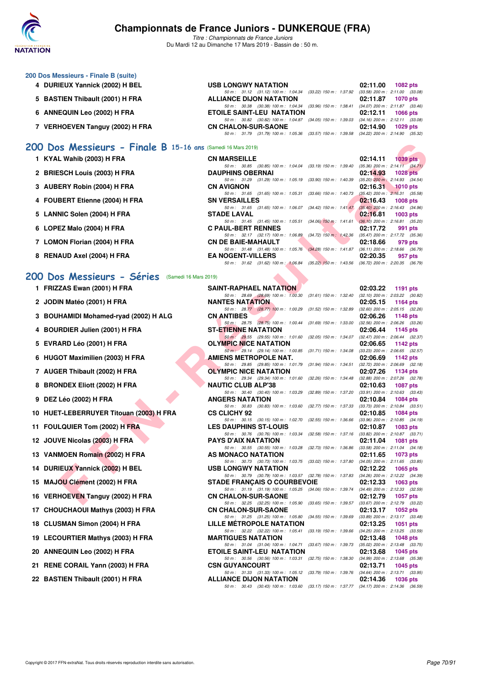

*Titre : Championnats de France Juniors* Du Mardi 12 au Dimanche 17 Mars 2019 - Bassin de : 50 m.

| 200 Dos Messieurs - Finale B (suite) |                                                                                             |                                     |
|--------------------------------------|---------------------------------------------------------------------------------------------|-------------------------------------|
| 4 DURIEUX Yannick (2002) H BEL       | <b>USB LONGWY NATATION</b>                                                                  | 02:11.00<br>1082 $pts$              |
|                                      | 50 m: 31.12 (31.12) 100 m: 1:04.34 (33.22) 150 m: 1:37.92                                   | $(33.58)$ 200 m : 2:11.00 $(33.08)$ |
| 5 BASTIEN Thibault (2001) H FRA      | <b>ALLIANCE DIJON NATATION</b>                                                              | 02:11.87<br>1070 pts                |
|                                      | 50 m: 30.38 (30.38) 100 m: 1:04.34 (33.96) 150 m: 1:38.41 (34.07) 200 m: 2:11.87 (33.46     |                                     |
| 6 ANNEQUIN Leo (2002) H FRA          | <b>ETOILE SAINT-LEU NATATION</b>                                                            | 02:12.11<br>1066 pts                |
|                                      | 50 m: 30.82 (30.82) 100 m: 1:04.87 (34.05) 150 m: 1:39.03                                   | $(34.16)$ 200 m : 2:12.11 $(33.08)$ |
| 7 VERHOEVEN Tanguy (2002) H FRA      | <b>CN CHALON-SUR-SAONE</b>                                                                  | 02:14.90<br>1029 pts                |
|                                      | 50 m : 31.79 (31.79) 100 m : 1:05.36 (33.57) 150 m : 1:39.58 (34.22) 200 m : 2:14.90 (35.32 |                                     |
|                                      |                                                                                             |                                     |

#### **[200 Dos Messieurs - Finale B](http://www.ffnatation.fr/webffn/resultats.php?idact=nat&go=epr&idcpt=59271&idepr=63) 15-16 ans** (Samedi 16 Mars 2019)

| KYAL Wahib (2003) H FRA<br><b>CN MARSEILLE</b><br>02:14.11 | <b>1039 pts</b> |
|------------------------------------------------------------|-----------------|
|------------------------------------------------------------|-----------------|

- **2 BRIESCH Louis (2003) H FRA DAUPHINS OBERNAI 02:14.93 1028 pts**
- **3 AUBERY Robin (2004) H FRA CN AVIGNON 60 CN AVIGNON 02:16.31 1010 pts 03.66 150 1:40.73 03.42 200 m: 2:16.31 1010 pts 60 m:** 31.65 **130 m:** 31.65 **130 m:** 31.65 **12.631 1010 pts 65.68**
- **4 FOUBERT Etienne (2004) H FRA** SN VERSAILLES 50m: 31.65 (31.65) 100m: 1:06.07 (34.42) 150m: 1:41.47 (35.40) 200m: 2:16.43 (34.96)
- **5 LANNIC Solen (2004) H FRA** STADE LAVAL<br>
50 m: 31.45 (31.45) 100 m: 1:05.51 (34.06) 150 m: 1:41.61 (36.10) 200 m: 2:16.81 (35.20)
- **6 LOPEZ Malo (2004) H FRA C PAUL-BERT RENNES 02:17.72 991 pts 602:17.72 991 pts 602:17.72 991 pts 602:17.72 150 c 61.842 60 <b>c 61.842 c 61.842 c 65.47 co c 65.47 co c 65.47**
- **7 LOMON Florian (2004) H FRA CN DE BAIE-MAHAULT 02:18.66**
- **8 RENAUD Axel (2004) H FRA EA NOGENT-VILLERS 02:20.35 957 pts**

#### **[200 Dos Messieurs - Séries](http://www.ffnatation.fr/webffn/resultats.php?idact=nat&go=epr&idcpt=59271&idepr=63)** (Samedi 16 Mars 2019)

| )O | Dos Messieurs - Finale B 15-16 ans (Samedi 16 Mars 2019) |                                                                                                                                                                                                                          |          |                                                        |
|----|----------------------------------------------------------|--------------------------------------------------------------------------------------------------------------------------------------------------------------------------------------------------------------------------|----------|--------------------------------------------------------|
|    | 1 KYAL Wahib (2003) H FRA                                | <b>CN MARSEILLE</b>                                                                                                                                                                                                      | 02:14.11 | <b>1039 pts</b>                                        |
|    | 2 BRIESCH Louis (2003) H FRA                             | 50 m: 30.85 (30.85) 100 m: 1:04.04<br>(33.19) 150 m : 1:39.40<br><b>DAUPHINS OBERNAI</b>                                                                                                                                 | 02:14.93 | $(35.36)$ 200 m : 2:14.11 $(34.71)$<br><b>1028 pts</b> |
|    | 3 AUBERY Robin (2004) H FRA                              | 50 m: 31.29 (31.29) 100 m: 1:05.19<br>$(33.90)$ 150 m : 1:40.39<br><b>CN AVIGNON</b>                                                                                                                                     | 02:16.31 | $(35.20)$ 200 m : 2:14.93 $(34.54)$<br>$1010$ pts      |
|    | 4 FOUBERT Etienne (2004) H FRA                           | 50 m: 31.65 (31.65) 100 m: 1:05.31<br>$(33.66)$ 150 m : 1:40.73<br><b>SN VERSAILLES</b>                                                                                                                                  | 02.16.43 | $(35.42)$ 200 m : 2:16.31 $(35.58)$<br><b>1008 pts</b> |
|    | 5 LANNIC Solen (2004) H FRA                              | 50 m: 31.65 (31.65) 100 m: 1:06.07<br>$(34.42)$ 150 m : 1:41.47<br>STADE LAVAL                                                                                                                                           | 02:16.81 | $(35.40)$ 200 m : 2:16.43 $(34.96)$<br>1003 pts        |
|    | 6 LOPEZ Malo (2004) H FRA                                | 50 m: 31.45 (31.45) 100 m: 1:05.51<br>$(34.06)$ 150 m : 1:41.61<br><b>C PAUL-BERT RENNES</b>                                                                                                                             | 02:17.72 | $(36.10)$ 200 m : 2:16.81 $(35.20)$<br>991 pts         |
|    | 7 LOMON Florian (2004) H FRA                             | 50 m: 32.17 (32.17) 100 m: 1:06.89<br>$(34.72)$ 150 m : 1:42.36<br><b>CN DE BAIE-MAHAULT</b>                                                                                                                             | 02:18.66 | $(35.47)$ 200 m : 2:17.72 $(35.36)$<br>979 pts         |
|    | 8 RENAUD Axel (2004) H FRA                               | (34.28) 150 m: 1:41.87 (36.11) 200 m: 2:18.66 (36.79)<br>50 m: 31.48 (31.48) 100 m: 1:05.76<br><b>EA NOGENT-VILLERS</b><br>50 m : 31.62 (31.62) 100 m : 1:06.84<br>(35.22) 150 m: 1:43.56 (36.72) 200 m: 2:20.35 (36.79) | 02:20.35 | 957 pts                                                |
|    | 00 Dos Messieurs - Séries<br>(Samedi 16 Mars 2019)       |                                                                                                                                                                                                                          |          |                                                        |
|    | 1 FRIZZAS Ewan (2001) H FRA                              | <b>SAINT-RAPHAEL NATATION</b>                                                                                                                                                                                            | 02:03.22 | 1191 pts                                               |
|    |                                                          | 50 m : 28.69 (28.69) 100 m : 1:00.30<br>(31.61) 150 m : 1:32.40                                                                                                                                                          |          | $(32.10)$ 200 m : 2:03.22 $(30.82)$                    |
|    | 2 JODIN Matéo (2001) H FRA                               | <b>NANTES NATATION</b><br>50 m: 28.77 (28.77) 100 m: 1:00.29<br>(31.52) 150 m : 1:32.89                                                                                                                                  | 02:05.15 | 1164 pts<br>$(32.60)$ 200 m : 2:05.15 $(32.26)$        |
|    | 3 BOUHAMIDI Mohamed-ryad (2002) H ALG                    | <b>CN ANTIBES</b>                                                                                                                                                                                                        | 02:06.26 | 1148 pts                                               |
|    |                                                          | 50 m: 28.75 (28.75) 100 m: 1:00.44<br>$(31.69)$ 150 m : 1:33.00                                                                                                                                                          |          | $(32.56)$ 200 m : 2:06.26 $(33.26)$                    |
|    | 4 BOURDIER Julien (2001) H FRA                           | ST-ETIENNE NATATION<br>50 m : 29.55 (29.55) 100 m : 1:01.60                                                                                                                                                              | 02:06.44 | 1145 pts<br>$(32.47)$ 200 m : 2:06.44 $(32.37)$        |
|    | 5 EVRARD Léo (2001) H FRA                                | (32.05) 150 m : 1:34.07<br><b>OLYMPIC NICE NATATION</b>                                                                                                                                                                  | 02:06.65 | 1142 pts                                               |
|    |                                                          | 50 m : 29.14 (29.14) 100 m : 1:00.85<br>$(31.71)$ 150 m : 1:34.08                                                                                                                                                        |          | $(33.23)$ 200 m : 2:06.65 $(32.57)$                    |
|    | 6 HUGOT Maximilien (2003) H FRA                          | AMIENS METROPOLE NAT.<br>$(31.94)$ 150 m : 1:34.51                                                                                                                                                                       | 02:06.69 | 1142 pts                                               |
|    | 7 AUGER Thibault (2002) H FRA                            | 50 m: 29.85 (29.85) 100 m: 1:01.79<br><b>OLYMPIC NICE NATATION</b>                                                                                                                                                       | 02:07.26 | (32.72) 200 m : 2:06.69 (32.18)<br>1134 pts            |
|    |                                                          | 50 m: 29.34 (29.34) 100 m: 1:01.60<br>$(32.26)$ 150 m : 1:34.48                                                                                                                                                          |          | $(32.88)$ 200 m : $2:07.26$ $(32.78)$                  |
|    | 8 BRONDEX Eliott (2002) H FRA                            | <b>NAUTIC CLUB ALP'38</b><br>50 m: 30.40 (30.40) 100 m: 1:03.29<br>$(32.89)$ 150 m : 1:37.20                                                                                                                             | 02:10.63 | <b>1087 pts</b><br>$(33.91)$ 200 m : 2:10.63 $(33.43)$ |
|    | 9 DEZ Léo (2002) H FRA                                   | <b>ANGERS NATATION</b>                                                                                                                                                                                                   | 02:10.84 | 1084 pts                                               |
|    |                                                          | 50 m: 30.83 (30.83) 100 m: 1:03.60<br>(32.77) 150 m : 1:37.33                                                                                                                                                            |          | $(33.73)$ 200 m : 2:10.84 $(33.51)$                    |
|    | 0 HUET-LEBERRUYER Titouan (2003) H FRA                   | <b>CS CLICHY 92</b><br>50 m : 30.15 (30.15) 100 m : 1:02.70<br>$(32.55)$ 150 m : 1:36.66                                                                                                                                 | 02:10.85 | 1084 pts<br>$(33.96)$ 200 m : 2:10.85 $(34.19)$        |
|    | 1 FOULQUIER Tom (2002) H FRA                             | <b>LES DAUPHINS ST-LOUIS</b>                                                                                                                                                                                             | 02:10.87 | 1083 pts                                               |
|    |                                                          | 50 m: 30.76 (30.76) 100 m: 1:03.34<br>$(32.58)$ 150 m : 1:37.16                                                                                                                                                          |          | $(33.82)$ 200 m : 2:10.87 $(33.71)$                    |
|    | 2 JOUVE Nicolas (2003) H FRA                             | PAYS D'AIX NATATION<br>50 m: 30.55 (30.55) 100 m: 1:03.28<br>$(32.73)$ 150 m : 1:36.86                                                                                                                                   | 02:11.04 | 1081 pts<br>$(33.58)$ 200 m : 2:11.04 $(34.18)$        |
|    | 3 VANMOEN Romain (2002) H FRA                            | AS MONACO NATATION                                                                                                                                                                                                       | 02:11.65 | 1073 pts                                               |
|    |                                                          | 50 m : 30.73 (30.73) 100 m : 1:03.75<br>$(33.02)$ 150 m : 1:37.80                                                                                                                                                        |          | $(34.05)$ 200 m : 2:11.65 $(33.85)$                    |
|    | 4 DURIEUX Yannick (2002) H BEL                           | <b>USB LONGWY NATATION</b><br>50 m: 30.79 (30.79) 100 m: 1:03.57 (32.78) 150 m: 1:37.83 (34.26) 200 m: 2:12.22 (34.39)                                                                                                   | 02:12.22 | 1065 pts                                               |
|    | 5 MAJOU Clément (2002) H FRA                             | <b>STADE FRANÇAIS O COURBEVOIE</b>                                                                                                                                                                                       | 02:12.33 | 1063 pts                                               |
|    | 6 VERHOEVEN Tanguy (2002) H FRA                          | 50 m: 31.19 (31.19) 100 m: 1:05.25 (34.06) 150 m: 1:39.74 (34.49) 200 m: 2:12.33 (32.59)<br><b>CN CHALON-SUR-SAONE</b>                                                                                                   | 02:12.79 | 1057 pts                                               |
|    | 7 CHOUCHAOUI Mathys (2003) H FRA                         | 50 m: 32.25 (32.25) 100 m: 1:05.90 (33.65) 150 m: 1:39.57 (33.67) 200 m: 2:12.79 (33.22)<br><b>CN CHALON-SUR-SAONE</b>                                                                                                   | 02:13.17 | 1052 pts                                               |
|    | 8 CLUSMAN Simon (2004) H FRA                             | 50 m : 31.25 (31.25) 100 m : 1:05.80<br>$(34.55)$ 150 m : 1:39.69<br>LILLE METROPOLE NATATION                                                                                                                            | 02:13.25 | $(33.89)$ 200 m : 2:13.17 $(33.48)$<br>1051 pts        |
|    | 9 LECOURTIER Mathys (2003) H FRA                         | 50 m : 32.22 (32.22) 100 m : 1:05.41<br>$(33.19)$ 150 m : 1:39.66<br><b>MARTIGUES NATATION</b>                                                                                                                           | 02:13.48 | (34.25) 200 m : 2:13.25 (33.59)<br><b>1048 pts</b>     |
|    | 20 ANNEQUIN Leo (2002) H FRA                             | 50 m: 31.04 (31.04) 100 m: 1:04.71<br>$(33.67)$ 150 m : 1:39.73<br>ETOILE SAINT-LEU NATATION                                                                                                                             | 02:13.68 | $(35.02)$ 200 m : 2:13.48 $(33.75)$<br>1045 pts        |
|    |                                                          | 50 m : 30.56 (30.56) 100 m : 1:03.31<br>$(32.75)$ 150 m : 1:38.30                                                                                                                                                        |          | $(34.99)$ 200 m : 2:13.68 $(35.38)$                    |
|    | 21 RENE CORAIL Yann (2003) H FRA                         | <b>CSN GUYANCOURT</b><br>50 m: 31.33 (31.33) 100 m: 1:05.12 (33.79) 150 m: 1:39.76 (34.64) 200 m: 2:13.71 (33.95)                                                                                                        | 02:13.71 | <b>1045 pts</b>                                        |
|    | 22 BASTIEN Thibault (2001) H FRA                         | ALLIANCE DIJON NATATION                                                                                                                                                                                                  | 02:14.36 | <b>1036 pts</b>                                        |
|    |                                                          | 50 m : 30.43 (30.43) 100 m : 1:03.60 (33.17) 150 m : 1:37.77 (34.17) 200 m : 2:14.36 (36.59)                                                                                                                             |          |                                                        |

- **9 DEZ Léo (2002) H FRA ANGERS NATATION 02:10.84 1084 pts**
- 10 HUET-LEBERRUYER Titouan (2003) H FF
- **11 FOULQUIER Tom (2002) H FRA**
- **12 JOUVE Nicolas (2003) H FRA**
- **13 VANMOEN Romain (2002) H FRA**
- **14 DURIEUX Yannick (2002) H BEL**
- 15 **MAJOU Clément (2002) H FRA**
- **16 VERHOEVEN Tanguy (2002) H FRA**
- **17 CHOUCHAOUI Mathys (2003) H FRA**
- 18 CLUSMAN Simon (2004) H FRA
- **19 LECOURTIER Mathys (2003) H FRA**
- **20 ANNEQUIN Leo (2002) H FRA**
- 21 RENE CORAIL Yann (2003) H FRA
- **22 BASTIEN Thibault (2001) H FRA**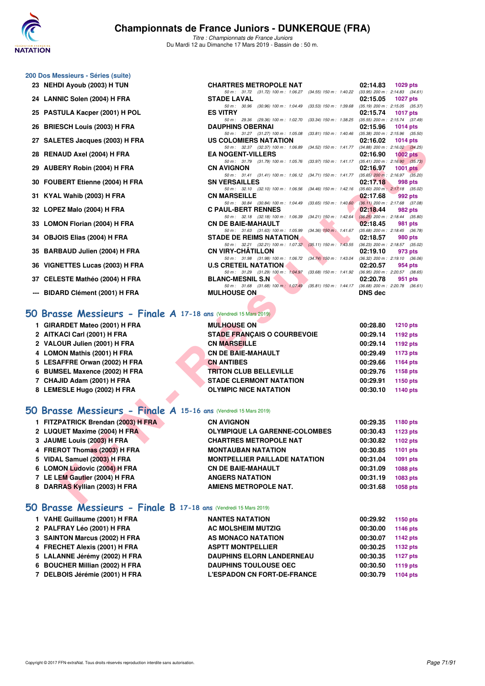

*Titre : Championnats de France Juniors* Du Mardi 12 au Dimanche 17 Mars 2019 - Bassin de : 50 m.

*50 m : 31.72 (31.72) 100 m : 1:06.27 (34.55) 150 m : 1:40.22 (33.95) 200 m : 2:14.83 (34.61)*

*50 m : 31.27 (31.27) 100 m : 1:05.08 (33.81) 150 m : 1:40.46 (35.38) 200 m : 2:15.96 (35.50)*

*50 m : 29.36 (29.36) 100 m : 1:02.70 (33.34) 150 m : 1:38.25 (35.55) 200 m : 2:15.74 (37.49)*<br> **DAUPHINS OBERNAI 02:15.96** 1014 pts

#### **200 Dos Messieurs - Séries (suite)**

- **23 NEHDI Ayoub (2003) H TUN CHARTRES METROPOLE NAT 02:14.83 1029 pts**
- **24 LANNIC Solen (2004) H FRA STADE LAVAL 02:15.05 1027 pts** *50 m : 30.96 (30.96) 100 m : 1:04.49 (33.53) 150 m : 1:39.68 (35.19) 200 m : 2:15.05 (35.37)* **25 PASTULA Kacper (2001) H POL ES VITRY 02:15.74 1017 pts**
- 
- 26 BRIESCH Louis (2003) H FRA
- **27 SALETES Jacques (2003) H FRA US COLOMIERS NATATION 02:16.02 1014 pts**
- **28 RENAUD Axel (2004) H FRA EA NOGENT-VILLERS 02:16.90 1002 pts**
- **29 AUBERY Robin (2004) H FRA CN AVIGNON 02:16.97 1001 pts**
- **30 FOUBERT Etienne (2004) H FRA SN VERSAILLES 02:17.18 998 pts**
- **31 KYAL Wahib (2003) H FRA CN MARSEILLE 62:17.68 02:17.68 092 pts 60 m**: 50.84 (30.84) 100 m: 1:04.49 (33.65) 150 m: 1:40.60 (36.11) 200 m: 2:17.68 (37.08)
- **32 LOPEZ Malo (2004) H FRA C PAUL-BERT RENNES 02:18.44 982 pts**
- **33 LOMON Florian (2004) H FRA CN DE BAIE-MAHAULT 02:18.45 981 pts**
- **34 OBJOIS Elias (2004) H FRA STADE DE REIMS NATATION 02:18.57 980 pts**
- **35 BARBAUD Julien (2004) H FRA CN VIRY-CHÂTILLON**
- **36 VIGNETTES Lucas (2003) H FRA**
- **37 CELESTE Mathéo (2004) H FRA** BLANC-MESNIL S.N 02:20.78 951 pts<br> **50 m:** 31.68 (31.68) 100 m: 1:07.49 (35.81) 150 m: 1:44.17 (36.68) 200 m: 2:20.78 (36.61)
- **--- BIDARD Clément (2001) H FRA**

#### **[50 Brasse Messieurs - Finale A](http://www.ffnatation.fr/webffn/resultats.php?idact=nat&go=epr&idcpt=59271&idepr=71) 17-18 ans** (Vendredi 15 Mars 2019)

| 1 GIRARDET Mateo (2001) H FRA | <b>MULHOUSE ON</b>                 | 00:28.80<br><b>1210 pts</b> |  |
|-------------------------------|------------------------------------|-----------------------------|--|
| 2 AITKACI Carl (2001) H FRA   | <b>STADE FRANCAIS O COURBEVOIE</b> | 00:29.14<br>1192 pts        |  |
| 2 VALOUR Julien (2001) H FRA  | <b>CN MARSEILLE</b>                | 00:29.14<br>1192 pts        |  |
| 4 LOMON Mathis (2001) H FRA   | <b>CN DE BAIE-MAHAULT</b>          | 00:29.49<br>1173 pts        |  |
| 5 LESAFFRE Orwan (2002) H FRA | <b>CN ANTIBES</b>                  | 00:29.66<br>1164 pts        |  |
| 6 BUMSEL Maxence (2002) H FRA | <b>TRITON CLUB BELLEVILLE</b>      | 00:29.76<br>1158 pts        |  |
| 7 CHAJID Adam (2001) H FRA    | <b>STADE CLERMONT NATATION</b>     | 00:29.91<br>1150 pts        |  |
| 8 LEMESLE Hugo (2002) H FRA   | <b>OLYMPIC NICE NATATION</b>       | 00:30.10<br>1140 pts        |  |

#### **[50 Brasse Messieurs - Finale A](http://www.ffnatation.fr/webffn/resultats.php?idact=nat&go=epr&idcpt=59271&idepr=71) 15-16 ans** (Vendredi 15 Mars 2019)

| $\mathbf{z}_I$ $\mathbf{SALE1E3}$ $\mathbf{0}$ $\mathbf{a}$ $\mathbf{c}$ $\mathbf{q}$ $\mathbf{u}$ $\mathbf{c}$ $\mathbf{v}$ $\mathbf{v}$ $\mathbf{v}$ $\mathbf{r}$ $\mathbf{r}$ $\mathbf{r}$ | US COLOMIERS NATATION                                                                                                       | $UL.10.02 - 101405$ |                 |
|-----------------------------------------------------------------------------------------------------------------------------------------------------------------------------------------------|-----------------------------------------------------------------------------------------------------------------------------|---------------------|-----------------|
| 28 RENAUD Axel (2004) H FRA                                                                                                                                                                   | 50 m: 32.37 (32.37) 100 m: 1:06.89 (34.52) 150 m: 1:41.77 (34.88) 200 m: 2:16.02 (34.25)<br><b>EA NOGENT-VILLERS</b>        | 02:16.90            | $1002$ pts      |
|                                                                                                                                                                                               | 50 m: 31.79 (31.79) 100 m: 1:05.76 (33.97) 150 m: 1:41.17 (35.41) 200 m: 2:16.90 (35.73)                                    |                     |                 |
| 29 AUBERY Robin (2004) H FRA                                                                                                                                                                  | <b>CN AVIGNON</b>                                                                                                           | 02:16.97            | $1001$ pts      |
| 30 FOUBERT Etienne (2004) H FRA                                                                                                                                                               | 50 m: 31.41 (31.41) 100 m: 1:06.12 (34.71) 150 m: 1:41.77 (35.65) 200 m: 2:16.97 (35.20)<br><b>SN VERSAILLES</b>            | 02:17.18            | 998 pts         |
|                                                                                                                                                                                               | 50 m: 32.10 (32.10) 100 m: 1:06.56 (34.46) 150 m: 1:42.16 (35.60) 200 m: 2:17.18 (35.02)                                    |                     |                 |
| 31 KYAL Wahib (2003) H FRA                                                                                                                                                                    | <b>CN MARSEILLE</b>                                                                                                         | 02:17.68            | 992 pts         |
|                                                                                                                                                                                               | 50 m: 30.84 (30.84) 100 m: 1:04.49 (33.65) 150 m: 1:40.60 (36.11) 200 m: 2:17.68 (37.08)                                    |                     |                 |
| 32 LOPEZ Malo (2004) H FRA                                                                                                                                                                    | <b>C PAUL-BERT RENNES</b><br>50 m: 32.18 (32.18) 100 m: 1:06.39 (34.21) 150 m: 1:42.64 (36.25) 200 m: 2:18.44 (35.80)       | 02:18.44            | 982 pts         |
| 33 LOMON Florian (2004) H FRA                                                                                                                                                                 | <b>CN DE BAIE-MAHAULT</b>                                                                                                   | 02:18.45            | 981 pts         |
|                                                                                                                                                                                               | 50 m: 31.63 (31.63) 100 m: 1:05.99 (34.36) 150 m: 1:41.67 (35.68) 200 m: 2:18.45 (36.78)                                    |                     |                 |
| 34 OBJOIS Elias (2004) H FRA                                                                                                                                                                  | <b>STADE DE REIMS NATATION.</b><br>50 m: 32.21 (32.21) 100 m: 1:07.32 (35.11) 150 m: 1:43.55 (36.23) 200 m: 2:18.57 (35.02) | 02:18.57            | 980 pts         |
| 35 BARBAUD Julien (2004) H FRA                                                                                                                                                                | <b>CN VIRY-CHATILLON</b>                                                                                                    | 02:19.10            | 973 pts         |
|                                                                                                                                                                                               | 50 m: 31.98 (31.98) 100 m: 1:06.72 (34.74) 150 m: 1:43.04 (36.32) 200 m: 2:19.10 (36.06)                                    |                     |                 |
| 36 VIGNETTES Lucas (2003) H FRA                                                                                                                                                               | <b>U.S CRETEIL NATATION</b>                                                                                                 | 02:20.57            | 954 pts         |
| 37 CELESTE Mathéo (2004) H FRA                                                                                                                                                                | 50 m: 31.29 (31.29) 100 m: 1:04.97 (33.68) 150 m: 1:41.92 (36.95) 200 m: 2:20.57 (38.65)<br><b>BLANC-MESNIL S.N</b>         | 02:20.78            | 951 pts         |
|                                                                                                                                                                                               | 50 m: 31.68 (31.68) 100 m: 1.07.49 (35.81) 150 m: 1.44.17 (36.68) 200 m: 2.20.78 (36.61)                                    |                     |                 |
| --- BIDARD Clément (2001) H FRA                                                                                                                                                               | <b>MULHOUSE ON</b>                                                                                                          | <b>DNS dec</b>      |                 |
|                                                                                                                                                                                               |                                                                                                                             |                     |                 |
| $60$ Brasse Messieurs - Finale A 17-18 ans (Vendredi 15 Mars 2019)                                                                                                                            |                                                                                                                             |                     |                 |
| 1 GIRARDET Mateo (2001) H FRA                                                                                                                                                                 | <b>MULHOUSE ON</b>                                                                                                          | 00:28.80            | <b>1210 pts</b> |
| 2 AITKACI Carl (2001) H FRA                                                                                                                                                                   | <b>STADE FRANÇAIS O COURBEVOIE</b>                                                                                          | 00:29.14            | 1192 pts        |
| 2 VALOUR Julien (2001) H FRA                                                                                                                                                                  | <b>CN MARSEILLE</b>                                                                                                         | 00:29.14            | 1192 pts        |
| 4 LOMON Mathis (2001) H FRA                                                                                                                                                                   | <b>CN DE BAIE-MAHAULT</b>                                                                                                   | 00:29.49            | 1173 pts        |
| 5 LESAFFRE Orwan (2002) H FRA                                                                                                                                                                 | <b>CN ANTIBES</b>                                                                                                           | 00:29.66            | <b>1164 pts</b> |
| 6 BUMSEL Maxence (2002) H FRA                                                                                                                                                                 | <b>TRITON CLUB BELLEVILLE</b>                                                                                               | 00:29.76            | 1158 pts        |
| 7 CHAJID Adam (2001) H FRA                                                                                                                                                                    | <b>STADE CLERMONT NATATION</b>                                                                                              | 00:29.91            | 1150 pts        |
| 8 LEMESLE Hugo (2002) H FRA                                                                                                                                                                   | <b>OLYMPIC NICE NATATION</b>                                                                                                | 00:30.10            | 1140 pts        |
|                                                                                                                                                                                               |                                                                                                                             |                     |                 |
| <b>O Brasse Messieurs - Finale A 15-16 ans (Vendredi 15 Mars 2019)</b>                                                                                                                        |                                                                                                                             |                     |                 |
|                                                                                                                                                                                               |                                                                                                                             |                     |                 |
| 1 FITZPATRICK Brendan (2003) H FRA                                                                                                                                                            | <b>CN AVIGNON</b>                                                                                                           | 00:29.35            | 1180 pts        |
| 2 LUQUET Maxime (2004) H FRA                                                                                                                                                                  | <b>OLYMPIQUE LA GARENNE-COLOMBES</b>                                                                                        | 00:30.43            | <b>1123 pts</b> |
| 3 JAUME Louis (2003) H FRA                                                                                                                                                                    | <b>CHARTRES METROPOLE NAT</b>                                                                                               | 00:30.82            | 1102 pts        |
| 4 FREROT Thomas (2003) H FRA                                                                                                                                                                  | <b>MONTAUBAN NATATION</b>                                                                                                   | 00:30.85            | <b>1101 pts</b> |
| 5 VIDAL Samuel (2003) H FRA                                                                                                                                                                   | <b>MONTPELLIER PAILLADE NATATION</b>                                                                                        | 00:31.04            | 1091 pts        |
| 6 LOMON Ludovic (2004) H FRA                                                                                                                                                                  | <b>CN DE BAIE-MAHAULT</b>                                                                                                   | 00:31.09            | <b>1088 pts</b> |
| 7 LE LEM Gautier (2004) H FRA                                                                                                                                                                 | <b>ANGERS NATATION</b>                                                                                                      | 00:31.19            | 1083 pts        |
| 8 DARRAS Kyllian (2003) H FRA                                                                                                                                                                 | <b>AMIENS METROPOLE NAT.</b>                                                                                                | 00:31.68            | <b>1058 pts</b> |
|                                                                                                                                                                                               |                                                                                                                             |                     |                 |
| ___                                                                                                                                                                                           |                                                                                                                             |                     |                 |

#### **[50 Brasse Messieurs - Finale B](http://www.ffnatation.fr/webffn/resultats.php?idact=nat&go=epr&idcpt=59271&idepr=71) 17-18 ans** (Vendredi 15 Mars 2019)

| 1 VAHE Guillaume (2001) H FRA  | <b>NANTES NATATION</b>             | 00:29.92 | 1150 pts |
|--------------------------------|------------------------------------|----------|----------|
| 2 PALFRAY Léo (2001) H FRA     | <b>AC MOLSHEIM MUTZIG</b>          | 00:30.00 | 1146 pts |
| 3 SAINTON Marcus (2002) H FRA  | AS MONACO NATATION                 | 00:30.07 | 1142 pts |
| 4 FRECHET Alexis (2001) H FRA  | <b>ASPTT MONTPELLIER</b>           | 00:30.25 | 1132 pts |
| 5 LALANNE Jérémy (2002) H FRA  | <b>DAUPHINS ELORN LANDERNEAU</b>   | 00:30.35 | 1127 pts |
| 6 BOUCHER Millian (2002) H FRA | <b>DAUPHINS TOULOUSE OEC</b>       | 00:30.50 | 1119 pts |
| 7 DELBOIS Jérémie (2001) H FRA | <b>L'ESPADON CN FORT-DE-FRANCE</b> | 00:30.79 | 1104 pts |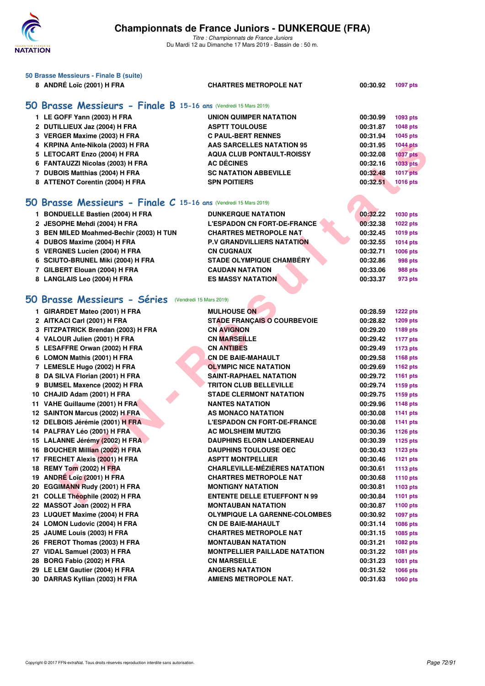

| 50 Brasse Messieurs - Finale B (suite)<br>8 ANDRÉ Loïc (2001) H FRA | <b>CHARTRES METROPOLE NAT</b>        |          |                 |  |  |  |  |
|---------------------------------------------------------------------|--------------------------------------|----------|-----------------|--|--|--|--|
| 00:30.92<br><b>1097 pts</b>                                         |                                      |          |                 |  |  |  |  |
| 50 Brasse Messieurs - Finale B 15-16 ans (Vendredi 15 Mars 2019)    |                                      |          |                 |  |  |  |  |
| 1 LE GOFF Yann (2003) H FRA                                         | <b>UNION QUIMPER NATATION</b>        | 00:30.99 | 1093 pts        |  |  |  |  |
| 2 DUTILLIEUX Jaz (2004) H FRA                                       | <b>ASPTT TOULOUSE</b>                | 00:31.87 | <b>1048 pts</b> |  |  |  |  |
| 3 VERGER Maxime (2003) H FRA                                        | <b>C PAUL-BERT RENNES</b>            | 00:31.94 | 1045 pts        |  |  |  |  |
| 4 KRPINA Ante-Nikola (2003) H FRA                                   | <b>AAS SARCELLES NATATION 95</b>     | 00:31.95 | <b>1044 pts</b> |  |  |  |  |
| 5 LETOCART Enzo (2004) H FRA                                        | <b>AQUA CLUB PONTAULT-ROISSY</b>     | 00:32.08 | <b>1037 pts</b> |  |  |  |  |
| 6 FANTAUZZI Nicolas (2003) H FRA                                    | <b>AC DÉCINES</b>                    | 00:32.16 | 1033 pts        |  |  |  |  |
| 7 DUBOIS Matthias (2004) H FRA                                      | <b>SC NATATION ABBEVILLE</b>         | 00:32.48 | <b>1017 pts</b> |  |  |  |  |
| 8 ATTENOT Corentin (2004) H FRA                                     | <b>SPN POITIERS</b>                  | 00:32.51 | 1016 pts        |  |  |  |  |
|                                                                     |                                      |          |                 |  |  |  |  |
| 50 Brasse Messieurs - Finale C 15-16 ans (Vendredi 15 Mars 2019)    |                                      |          |                 |  |  |  |  |
| 1 BONDUELLE Bastien (2004) H FRA                                    | <b>DUNKERQUE NATATION</b>            | 00:32.22 | 1030 pts        |  |  |  |  |
| 2 JESOPHE Mehdi (2004) H FRA                                        | <b>L'ESPADON CN FORT-DE-FRANCE</b>   | 00:32.38 | <b>1022 pts</b> |  |  |  |  |
| 3 BEN MILED Moahmed-Bechir (2003) H TUN                             | <b>CHARTRES METROPOLE NAT</b>        | 00:32.45 | 1019 pts        |  |  |  |  |
| 4 DUBOS Maxime (2004) H FRA                                         | <b>P.V GRANDVILLIERS NATATION</b>    | 00:32.55 | 1014 pts        |  |  |  |  |
| 5 VERGNES Lucien (2004) H FRA                                       | <b>CN CUGNAUX</b>                    | 00:32.71 | 1006 pts        |  |  |  |  |
| 6 SCIUTO-BRUNEL Miki (2004) H FRA                                   | <b>STADE OLYMPIQUE CHAMBÉRY</b>      | 00:32.86 | 998 pts         |  |  |  |  |
| 7 GILBERT Elouan (2004) H FRA                                       | <b>CAUDAN NATATION</b>               | 00:33.06 | 988 pts         |  |  |  |  |
| 8 LANGLAIS Leo (2004) H FRA                                         | <b>ES MASSY NATATION</b>             | 00:33.37 | 973 pts         |  |  |  |  |
|                                                                     |                                      |          |                 |  |  |  |  |
| 50 Brasse Messieurs - Séries                                        | (Vendredi 15 Mars 2019)              |          |                 |  |  |  |  |
| 1 GIRARDET Mateo (2001) H FRA                                       | <b>MULHOUSE ON</b>                   | 00:28.59 | <b>1222 pts</b> |  |  |  |  |
| 2 AITKACI Carl (2001) H FRA                                         | <b>STADE FRANÇAIS O COURBEVOIE</b>   | 00:28.82 | 1209 pts        |  |  |  |  |
| 3 FITZPATRICK Brendan (2003) H FRA                                  | <b>CN AVIGNON</b>                    | 00:29.20 | 1189 pts        |  |  |  |  |
| 4 VALOUR Julien (2001) H FRA                                        | <b>CN MARSEILLE</b>                  | 00:29.42 | <b>1177 pts</b> |  |  |  |  |
| 5 LESAFFRE Orwan (2002) H FRA                                       | <b>CN ANTIBES</b>                    | 00:29.49 | <b>1173 pts</b> |  |  |  |  |
| 6 LOMON Mathis (2001) H FRA                                         | <b>CN DE BAIE-MAHAULT</b>            | 00:29.58 | 1168 pts        |  |  |  |  |
| 7 LEMESLE Hugo (2002) H FRA                                         | <b>OLYMPIC NICE NATATION</b>         | 00:29.69 | 1162 pts        |  |  |  |  |
| 8 DA SILVA Florian (2001) H FRA                                     | SAINT-RAPHAEL NATATION               | 00:29.72 | <b>1161 pts</b> |  |  |  |  |
| 9 BUMSEL Maxence (2002) H FRA                                       | <b>TRITON CLUB BELLEVILLE</b>        | 00:29.74 | 1159 pts        |  |  |  |  |
| 10 CHAJID Adam (2001) H FRA                                         | <b>STADE CLERMONT NATATION</b>       | 00:29.75 | 1159 pts        |  |  |  |  |
| 11 VAHE Guillaume (2001) H FRA                                      | <b>NANTES NATATION</b>               | 00:29.96 | 1148 pts        |  |  |  |  |
| 12 SAINTON Marcus (2002) H FRA                                      | AS MONACO NATATION                   | 00:30.08 | <b>1141 pts</b> |  |  |  |  |
| 12 DELBOIS Jérémie (2001) H FRA                                     | <b>L'ESPADON CN FORT-DE-FRANCE</b>   | 00:30.08 | 1141 pts        |  |  |  |  |
| 14 PALFRAY Léo (2001) H FRA                                         | <b>AC MOLSHEIM MUTZIG</b>            | 00:30.36 | <b>1126 pts</b> |  |  |  |  |
| 15 LALANNE Jérémy (2002) H FRA                                      | <b>DAUPHINS ELORN LANDERNEAU</b>     | 00:30.39 | <b>1125 pts</b> |  |  |  |  |
| 16 BOUCHER Millian (2002) H FRA                                     | <b>DAUPHINS TOULOUSE OEC</b>         | 00:30.43 | <b>1123 pts</b> |  |  |  |  |
| 17 FRECHET Alexis (2001) H FRA                                      | <b>ASPTT MONTPELLIER</b>             | 00:30.46 | <b>1121 pts</b> |  |  |  |  |
| 18 REMY Tom (2002) H FRA                                            | <b>CHARLEVILLE-MÉZIÈRES NATATION</b> | 00:30.61 | 1113 $pts$      |  |  |  |  |
| 19 ANDRÉ Loïc (2001) H FRA                                          | <b>CHARTRES METROPOLE NAT</b>        | 00:30.68 | <b>1110 pts</b> |  |  |  |  |
| 20 EGGIMANN Rudy (2001) H FRA                                       | <b>MONTIGNY NATATION</b>             | 00:30.81 | 1103 pts        |  |  |  |  |
| 21 COLLE Théophile (2002) H FRA                                     | <b>ENTENTE DELLE ETUEFFONT N 99</b>  | 00:30.84 | 1101 pts        |  |  |  |  |
| 22 MASSOT Joan (2002) H FRA                                         | <b>MONTAUBAN NATATION</b>            | 00:30.87 | 1100 pts        |  |  |  |  |
| 23 LUQUET Maxime (2004) H FRA                                       | <b>OLYMPIQUE LA GARENNE-COLOMBES</b> | 00:30.92 | 1097 pts        |  |  |  |  |
| 24 LOMON Ludovic (2004) H FRA                                       | <b>CN DE BAIE-MAHAULT</b>            | 00:31.14 | 1086 pts        |  |  |  |  |
| 25 JAUME Louis (2003) H FRA                                         | <b>CHARTRES METROPOLE NAT</b>        | 00:31.15 | 1085 pts        |  |  |  |  |
| 26 FREROT Thomas (2003) H FRA                                       | <b>MONTAUBAN NATATION</b>            | 00:31.21 | 1082 pts        |  |  |  |  |
| 27 VIDAL Samuel (2003) H FRA                                        | <b>MONTPELLIER PAILLADE NATATION</b> | 00:31.22 | 1081 pts        |  |  |  |  |
| 28 BORG Fabio (2002) H FRA                                          | <b>CN MARSEILLE</b>                  | 00:31.23 | 1081 pts        |  |  |  |  |
| 29 LE LEM Gautier (2004) H FRA                                      | <b>ANGERS NATATION</b>               | 00:31.52 | 1066 pts        |  |  |  |  |
| 30 DARRAS Kyllian (2003) H FRA                                      | <b>AMIENS METROPOLE NAT.</b>         | 00:31.63 | 1060 pts        |  |  |  |  |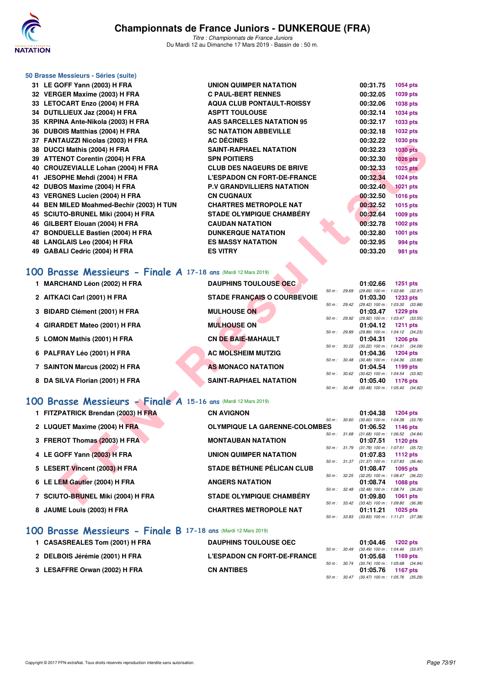

| 50 Brasse Messieurs - Séries (suite)                           |                                      |              |                                                          |                                                        |
|----------------------------------------------------------------|--------------------------------------|--------------|----------------------------------------------------------|--------------------------------------------------------|
| 31 LE GOFF Yann (2003) H FRA                                   | UNION QUIMPER NATATION               |              | 00:31.75                                                 | <b>1054 pts</b>                                        |
| 32 VERGER Maxime (2003) H FRA                                  | <b>C PAUL-BERT RENNES</b>            |              | 00:32.05                                                 | 1039 pts                                               |
| 33 LETOCART Enzo (2004) H FRA                                  | <b>AQUA CLUB PONTAULT-ROISSY</b>     |              | 00:32.06                                                 | 1038 pts                                               |
| 34 DUTILLIEUX Jaz (2004) H FRA                                 | <b>ASPTT TOULOUSE</b>                |              | 00:32.14                                                 | 1034 pts                                               |
| 35 KRPINA Ante-Nikola (2003) H FRA                             | <b>AAS SARCELLES NATATION 95</b>     |              | 00:32.17                                                 | 1033 pts                                               |
| 36 DUBOIS Matthias (2004) H FRA                                | <b>SC NATATION ABBEVILLE</b>         |              | 00:32.18                                                 | 1032 pts                                               |
| 37 FANTAUZZI Nicolas (2003) H FRA                              | <b>AC DÉCINES</b>                    |              | 00:32.22                                                 | 1030 pts                                               |
| 38 DUCCI Mathis (2004) H FRA                                   | <b>SAINT-RAPHAEL NATATION</b>        |              | 00:32.23                                                 | <b>1030 pts</b>                                        |
| 39 ATTENOT Corentin (2004) H FRA                               | <b>SPN POITIERS</b>                  |              | 00:32.30                                                 | <b>1026 pts</b>                                        |
| 40 CROUZEVIALLE Lohan (2004) H FRA                             | <b>CLUB DES NAGEURS DE BRIVE</b>     |              | 00:32.33                                                 | <b>1025 pts</b>                                        |
| 41 JESOPHE Mehdi (2004) H FRA                                  | <b>L'ESPADON CN FORT-DE-FRANCE</b>   |              | 00:32.34                                                 | 1024 pts                                               |
| 42 DUBOS Maxime (2004) H FRA                                   | <b>P.V GRANDVILLIERS NATATION</b>    |              | 00:32.40                                                 | <b>1021 pts</b>                                        |
| 43 VERGNES Lucien (2004) H FRA                                 | <b>CN CUGNAUX</b>                    |              | 00:32.50                                                 | <b>1016 pts</b>                                        |
| 44 BEN MILED Moahmed-Bechir (2003) H TUN                       | <b>CHARTRES METROPOLE NAT</b>        |              | 00:32.52                                                 | 1015 pts                                               |
| 45 SCIUTO-BRUNEL Miki (2004) H FRA                             | <b>STADE OLYMPIQUE CHAMBÉRY</b>      |              | 00:32.64                                                 | 1009 pts                                               |
| 46 GILBERT Elouan (2004) H FRA                                 | <b>CAUDAN NATATION</b>               |              | 00:32.78                                                 | 1002 pts                                               |
| 47 BONDUELLE Bastien (2004) H FRA                              | <b>DUNKERQUE NATATION</b>            |              | 00:32.80                                                 | 1001 pts                                               |
| 48 LANGLAIS Leo (2004) H FRA                                   | <b>ES MASSY NATATION</b>             |              | 00:32.95                                                 | 994 pts                                                |
| 49 GABALI Cedric (2004) H FRA                                  | <b>ES VITRY</b>                      |              | 00:33.20                                                 | 981 pts                                                |
|                                                                |                                      |              |                                                          |                                                        |
| 100 Brasse Messieurs - Finale A 17-18 ans (Mardi 12 Mars 2019) |                                      |              |                                                          |                                                        |
| 1 MARCHAND Léon (2002) H FRA                                   | <b>DAUPHINS TOULOUSE OEC.</b>        |              | 01:02.66                                                 | <b>1251 pts</b>                                        |
| 2 AITKACI Carl (2001) H FRA                                    | <b>STADE FRANÇAIS O COURBEVOIE</b>   | 50 m : 29.69 | 01:03.30                                                 | (29.69) 100 m: 1:02.66 (32.97)<br><b>1233 pts</b>      |
|                                                                |                                      |              | 50 m : 29.42 (29.42) 100 m : 1:03.30 (33.88)             |                                                        |
| 3 BIDARD Clément (2001) H FRA                                  | <b>MULHOUSE ON</b>                   |              | 01:03.47                                                 | <b>1229 pts</b>                                        |
| 4 GIRARDET Mateo (2001) H FRA                                  | <b>MULHOUSE ON</b>                   |              | 50 m : 29.92 (29.92) 100 m : 1:03.47 (33.55)<br>01:04.12 | <b>1211 pts</b>                                        |
|                                                                |                                      | 50 m : 29.89 |                                                          | (29.89) 100 m: 1:04.12 (34.23)                         |
| 5 LOMON Mathis (2001) H FRA                                    | <b>CN DE BAIE-MAHAULT</b>            |              | 01:04.31                                                 | <b>1206 pts</b>                                        |
| 6 PALFRAY Léo (2001) H FRA                                     | <b>AC MOLSHEIM MUTZIG</b>            | 50 m: 30.22  | 01:04.36                                                 | (30.22) 100 m: 1:04.31 (34.09)<br><b>1204 pts</b>      |
|                                                                |                                      | 50 m : 30.48 |                                                          | $(30.48)$ 100 m : 1:04.36 $(33.88)$                    |
| 7 SAINTON Marcus (2002) H FRA                                  | <b>AS MONACO NATATION</b>            |              | 01:04.54                                                 | 1199 pts                                               |
| 8 DA SILVA Florian (2001) H FRA                                | <b>SAINT-RAPHAEL NATATION</b>        |              | 50 m : 30.62 (30.62) 100 m : 1:04.54 (33.92)<br>01:05.40 | 1176 pts                                               |
|                                                                |                                      |              | 50 m : 30.48 (30.48) 100 m : 1:05.40 (34.92)             |                                                        |
| 100 Brasse Messieurs - Finale A 15-16 ans (Mardi 12 Mars 2019) |                                      |              |                                                          |                                                        |
|                                                                |                                      |              |                                                          |                                                        |
| 1 FITZPATRICK Brendan (2003) H FRA                             | <b>CN AVIGNON</b>                    | 50 m : 30.60 | 01:04.38                                                 | <b>1204 pts</b><br>$(30.60)$ 100 m : 1:04.38 $(33.78)$ |
| 2 LUQUET Maxime (2004) H FRA                                   | <b>OLYMPIQUE LA GARENNE-COLOMBES</b> |              | 01:06.52                                                 | 1146 pts                                               |
|                                                                |                                      |              | 50 m: 31.68 (31.68) 100 m: 1:06.52 (34.84)               |                                                        |
| 3 FREROT Thomas (2003) H FRA                                   | <b>MONTAUBAN NATATION</b>            | 50 m : 31.79 | 01:07.51                                                 | <b>1120 pts</b><br>$(31.79)$ 100 m : 1:07.51 $(35.72)$ |
| 4 LE GOFF Yann (2003) H FRA                                    | UNION QUIMPER NATATION               |              | 01:07.83                                                 | 1112 $pts$                                             |
|                                                                | <b>STADE BÉTHUNE PÉLICAN CLUB</b>    | 50 m : 31.37 |                                                          | $(31.37)$ 100 m : 1:07.83 $(36.46)$                    |
| 5 LESERT Vincent (2003) H FRA                                  |                                      | 50 m : 32.25 | 01:08.47                                                 | 1095 pts<br>(32.25) 100 m: 1:08.47 (36.22)             |
| 6 LE LEM Gautier (2004) H FRA                                  | <b>ANGERS NATATION</b>               |              | 01:08.74                                                 | <b>1088 pts</b>                                        |
|                                                                |                                      |              | 50 m: 32.48 (32.48) 100 m: 1:08.74 (36.26)               |                                                        |
| 7 SCIUTO-BRUNEL Miki (2004) H FRA                              | <b>STADE OLYMPIQUE CHAMBERY</b>      |              | 01:09.80                                                 | 1061 pts                                               |

## **[100 Brasse Messieurs - Finale A](http://www.ffnatation.fr/webffn/resultats.php?idact=nat&go=epr&idcpt=59271&idepr=72) 17-18 ans** (Mardi 12 Mars 2019)

| <b>MARCHAND Léon (2002) H FRA</b> | <b>DAUPHINS TOULOUSE OEC.</b>      |                        | 01:02.66<br>1251 pts                                         |
|-----------------------------------|------------------------------------|------------------------|--------------------------------------------------------------|
| 2 AITKACI Carl (2001) H FRA       | <b>STADE FRANCAIS O COURBEVOIE</b> | 50 m: 29.69            | (29.69) 100 m: 1:02.66 (32.97<br>01:03.30<br>1233 pts        |
|                                   |                                    | $50 \text{ m}$ : 29.42 | (29.42) 100 m: 1:03.30 (33.88                                |
| 3 BIDARD Clément (2001) H FRA     | <b>MULHOUSE ON</b>                 | 50 m: 29.92            | 01:03.47<br>1229 pts<br>(29.92) 100 m: 1:03.47 (33.55        |
| 4 GIRARDET Mateo (2001) H FRA     | <b>MULHOUSE ON</b>                 |                        | 01:04.12<br>1211 $pts$                                       |
| 5 LOMON Mathis (2001) H FRA       | <b>CN DE BAIE-MAHAULT</b>          | 50 m: 29.89            | (29.89) 100 m: 1:04.12 (34.23)<br>01:04.31<br>1206 pts       |
|                                   |                                    | $50 m$ : $30.22$       | (30.22) 100 m: 1:04.31 (34.09)                               |
| 6 PALFRAY Léo (2001) H FRA        | <b>AC MOLSHEIM MUTZIG</b>          | $50 m$ : $30.48$       | 01:04.36<br><b>1204 pts</b><br>(30.48) 100 m: 1:04.36 (33.88 |
| 7 SAINTON Marcus (2002) H FRA     | AS MONACO NATATION                 |                        | 01:04.54<br>1199 pts                                         |
| 8 DA SILVA Florian (2001) H FRA   | <b>SAINT-RAPHAEL NATATION</b>      | 50 m: 30.62            | (30.62) 100 m : 1:04.54 (33.92)<br>01:05.40<br>1176 pts      |
|                                   |                                    | $50 m$ : $30.48$       | $(30.48)$ 100 m : 1:05.40 $(34.92)$                          |

### **[100 Brasse Messieurs - Finale A](http://www.ffnatation.fr/webffn/resultats.php?idact=nat&go=epr&idcpt=59271&idepr=72) 15-16 ans** (Mardi 12 Mars 2019)

| 1 FITZPATRICK Brendan (2003) H FRA | <b>CN AVIGNON</b>                    |                          | 01:04.38                                        | 1204 pts   |
|------------------------------------|--------------------------------------|--------------------------|-------------------------------------------------|------------|
| 2 LUQUET Maxime (2004) H FRA       | <b>OLYMPIQUE LA GARENNE-COLOMBES</b> | 50 m: 30.60              | $(30.60)$ 100 m : 1:04.38 $(33.78)$<br>01:06.52 | 1146 pts   |
| 3 FREROT Thomas (2003) H FRA       | <b>MONTAUBAN NATATION</b>            | 50 m: 31.68              | $(31.68)$ 100 m : 1:06.52 $(34.84)$<br>01:07.51 | 1120 $pts$ |
|                                    |                                      | 50 m: 31.79              | $(31.79)$ 100 m : 1:07.51 $(35.72)$             |            |
| 4 LE GOFF Yann (2003) H FRA        | <b>UNION QUIMPER NATATION</b>        | $50 m$ : $31.37$         | 01:07.83<br>$(31.37)$ 100 m : 1:07.83 $(36.46)$ | 1112 $pts$ |
| 5 LESERT Vincent (2003) H FRA      | <b>STADE BÉTHUNE PÉLICAN CLUB</b>    | $50 m$ : $32.25$         | 01:08.47<br>(32.25) 100 m: 1:08.47 (36.22)      | 1095 pts   |
| 6 LE LEM Gautier (2004) H FRA      | <b>ANGERS NATATION</b>               | $50 \text{ m}$ : $32.48$ | 01:08.74<br>$(32.48)$ 100 m : 1:08.74 $(36.26)$ | 1088 pts   |
| 7 SCIUTO-BRUNEL Miki (2004) H FRA  | <b>STADE OLYMPIQUE CHAMBÉRY</b>      |                          | 01:09.80                                        | 1061 $pts$ |
| 8 JAUME Louis (2003) H FRA         | <b>CHARTRES METROPOLE NAT</b>        | $50 m$ : $33.42$         | $(33.42)$ 100 m : 1:09.80 $(36.38)$<br>01:11.21 | 1025 pts   |
|                                    |                                      | 50 m : 33.83             | $(33.83)$ 100 m : 1:11.21 $(37.38)$             |            |

#### **[100 Brasse Messieurs - Finale B](http://www.ffnatation.fr/webffn/resultats.php?idact=nat&go=epr&idcpt=59271&idepr=72) 17-18 ans** (Mardi 12 Mars 2019)

| 1 CASASREALES Tom (2001) H FRA | <b>DAUPHINS TOULOUSE OEC</b>       |  | 01:04.46                                                          | 1202 pts |  |
|--------------------------------|------------------------------------|--|-------------------------------------------------------------------|----------|--|
| 2 DELBOIS Jérémie (2001) H FRA | <b>L'ESPADON CN FORT-DE-FRANCE</b> |  | 50 m : 30.49 (30.49) 100 m : 1:04.46 (33.97)<br>01:05.68 1169 pts |          |  |
| 3 LESAFFRE Orwan (2002) H FRA  | <b>CN ANTIBES</b>                  |  | 50 m : 30.74 (30.74) 100 m : 1:05.68 (34.94)<br>01:05.76 1167 pts |          |  |
|                                |                                    |  | 50 m : 30.47 (30.47) 100 m : 1:05.76 (35.29)                      |          |  |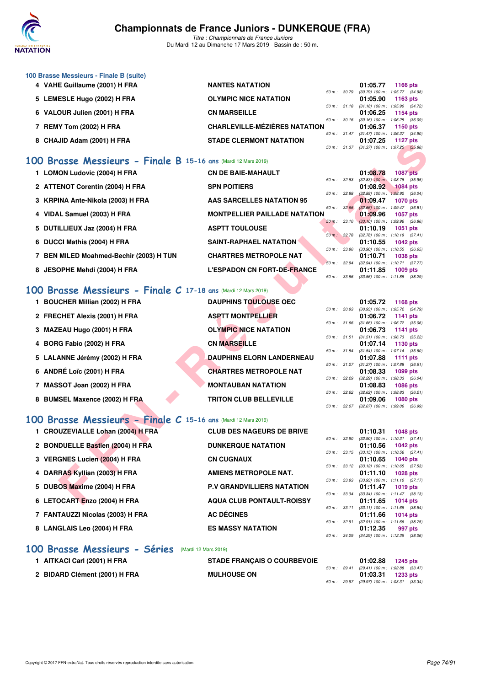

*Titre : Championnats de France Juniors* Du Mardi 12 au Dimanche 17 Mars 2019 - Bassin de : 50 m.

| 100 Brasse Messieurs - Finale B (suite) |                                      |                  |                                            |             |
|-----------------------------------------|--------------------------------------|------------------|--------------------------------------------|-------------|
| 4 VAHE Guillaume (2001) H FRA           | <b>NANTES NATATION</b>               |                  | 01:05.77                                   | 1166 $pts$  |
|                                         |                                      |                  | 50 m: 30.79 (30.79) 100 m: 1:05.77 (34.98) |             |
| 5 LEMESLE Hugo (2002) H FRA             | <b>OLYMPIC NICE NATATION</b>         |                  | 01:05.90                                   | 1163 $pts$  |
|                                         |                                      |                  | 50 m: 31.18 (31.18) 100 m: 1:05.90 (34.72) |             |
| 6 VALOUR Julien (2001) H FRA            | <b>CN MARSEILLE</b>                  |                  | 01:06.25                                   | 1154 pts    |
|                                         |                                      |                  | 50 m: 30.16 (30.16) 100 m: 1:06.25 (36.09  |             |
| 7 REMY Tom (2002) H FRA                 | <b>CHARLEVILLE-MÉZIÈRES NATATION</b> |                  | 01:06.37                                   | 1150 $pts$  |
|                                         |                                      |                  | 50 m: 31.47 (31.47) 100 m: 1:06.37 (34.90  |             |
| 8 CHAJID Adam (2001) H FRA              | <b>STADE CLERMONT NATATION</b>       |                  | 01:07.25                                   | 1127 $p$ ts |
|                                         |                                      | $50 m$ : $31.37$ | $(31.37)$ 100 m : 1:07.25 $(35.88)$        |             |

#### **[100 Brasse Messieurs - Finale B](http://www.ffnatation.fr/webffn/resultats.php?idact=nat&go=epr&idcpt=59271&idepr=72) 15-16 ans** (Mardi 12 Mars 2019)

| 0 UTAULU AUGHI (2001) ILENA                                   | <b>JIADE ULENWUNT NATATIUT</b>       |                |              | U I .U I .ZJ<br>50 m: 31.37 (31.37) 100 m: 1:07.25 (35.88) | בוע וגוו        |  |
|---------------------------------------------------------------|--------------------------------------|----------------|--------------|------------------------------------------------------------|-----------------|--|
|                                                               |                                      |                |              |                                                            |                 |  |
| OO Brasse Messieurs - Finale B 15-16 ans (Mardi 12 Mars 2019) |                                      |                |              |                                                            |                 |  |
| 1 LOMON Ludovic (2004) H FRA                                  | <b>CN DE BAIE-MAHAULT</b>            |                |              | 01:08.78                                                   | <b>1087 pts</b> |  |
| 2 ATTENOT Corentin (2004) H FRA                               | <b>SPN POITIERS</b>                  | 50 m: 32.83    |              | $(32.83)$ 100 m : 1:08.78 $(35.95)$<br>01:08.92            | <b>1084 pts</b> |  |
|                                                               |                                      | 50 m : 32.88   |              | $(32.88)$ 100 m : 1:08.92 $(36.04)$                        |                 |  |
| 3 KRPINA Ante-Nikola (2003) H FRA                             | AAS SARCELLES NATATION 95            |                |              | 01:09.47                                                   | <b>1070 pts</b> |  |
| 4 VIDAL Samuel (2003) H FRA                                   | <b>MONTPELLIER PAILLADE NATATION</b> | 50 m: 32.66    |              | $(32.66)$ 100 m : 1:09.47 $(36.81)$<br>01:09.96            | <b>1057 pts</b> |  |
|                                                               |                                      | $50 m$ : 33.10 |              | $(33.10)$ 100 m : 1:09.96 $(36.86)$                        |                 |  |
| 5 DUTILLIEUX Jaz (2004) H FRA                                 | <b>ASPTT TOULOUSE</b>                |                |              | 01:10.19                                                   | <b>1051 pts</b> |  |
| 6 DUCCI Mathis (2004) H FRA                                   | SAINT-RAPHAEL NATATION               | 50 m: 32.78    |              | $(32.78)$ 100 m : 1:10.19 $(37.41)$<br>01:10.55            |                 |  |
|                                                               |                                      |                | 50 m : 33.90 | $(33.90)$ 100 m : 1:10.55 $(36.65)$                        | <b>1042 pts</b> |  |
| 7 BEN MILED Moahmed-Bechir (2003) H TUN                       | <b>CHARTRES METROPOLE NAT</b>        |                |              | 01:10.71                                                   | 1038 pts        |  |
|                                                               |                                      | 50 m : 32.94   |              | $(32.94)$ 100 m : 1:10.71 $(37.77)$                        |                 |  |
| 8 JESOPHE Mehdi (2004) H FRA                                  | <b>L'ESPADON CN FORT-DE-FRANCE</b>   | 50 m: 33.56    |              | 01:11.85<br>$(33.56)$ 100 m : 1:11.85 $(38.29)$            | <b>1009 pts</b> |  |
|                                                               |                                      |                |              |                                                            |                 |  |
| OO Brasse Messieurs - Finale C 17-18 ans (Mardi 12 Mars 2019) |                                      |                |              |                                                            |                 |  |
| 1 BOUCHER Millian (2002) H FRA                                | <b>DAUPHINS TOULOUSE OEC</b>         |                |              | 01:05.72                                                   | 1168 pts        |  |
|                                                               |                                      |                | 50 m : 30.93 | $(30.93)$ 100 m : 1:05.72 $(34.79)$                        |                 |  |
| 2 FRECHET Alexis (2001) H FRA                                 | <b>ASPTT MONTPELLIER</b>             |                |              | 01:06.72                                                   | 1141 pts        |  |
|                                                               | <b>OLYMPIC NICE NATATION</b>         | 50 m : 31.66   |              | $(31.66)$ 100 m : 1:06.72 $(35.06)$                        |                 |  |
| 3 MAZEAU Hugo (2001) H FRA                                    |                                      |                | 50 m: 31.51  | 01:06.73<br>$(31.51)$ 100 m : 1:06.73 $(35.22)$            | 1141 pts        |  |
| 4 BORG Fabio (2002) H FRA                                     | <b>CN MARSEILLE</b>                  |                |              | 01:07.14                                                   | 1130 pts        |  |
|                                                               |                                      |                | 50 m : 31.54 | $(31.54)$ 100 m : 1:07.14 $(35.60)$                        |                 |  |
| 5 LALANNE Jérémy (2002) H FRA                                 | <b>DAUPHINS ELORN LANDERNEAU</b>     |                |              | 01:07.88                                                   | <b>1111 pts</b> |  |
| 6 ANDRÉ Loïc (2001) H FRA                                     | <b>CHARTRES METROPOLE NAT</b>        | 50 m: 31.27    |              | $(31.27)$ 100 m : 1:07.88 $(36.61)$<br>01:08.33            | 1099 pts        |  |
|                                                               |                                      | 50 m : 32.29   |              | $(32.29)$ 100 m : 1:08.33 $(36.04)$                        |                 |  |
| 7 MASSOT Joan (2002) H FRA                                    | <b>MONTAUBAN NATATION</b>            |                |              | 01:08.83                                                   | <b>1086 pts</b> |  |
|                                                               |                                      | 50 m: 32.62    |              | $(32.62)$ 100 m : 1:08.83 $(36.21)$                        |                 |  |
| 8 BUMSEL Maxence (2002) H FRA                                 | <b>TRITON CLUB BELLEVILLE</b>        |                | 50 m: 32.07  | 01:09.06<br>$(32.07)$ 100 m : 1:09.06 $(36.99)$            | <b>1080 pts</b> |  |
|                                                               |                                      |                |              |                                                            |                 |  |
| OO Brasse Messieurs - Finale C 15-16 ans (Mardi 12 Mars 2019) |                                      |                |              |                                                            |                 |  |
| 1 CROUZEVIALLE Lohan (2004) H FRA                             | <b>CLUB DES NAGEURS DE BRIVE</b>     |                |              | 01:10.31                                                   | <b>1048 pts</b> |  |
|                                                               |                                      |                | 50 m : 32.90 | $(32.90)$ 100 m : 1:10.31 $(37.41)$                        |                 |  |
| 2 BONDUELLE Bastien (2004) H FRA                              | <b>DUNKERQUE NATATION</b>            |                |              | 01:10.56                                                   | <b>1042 pts</b> |  |
| 3 VERGNES Lucien (2004) H FRA                                 | <b>CN CUGNAUX</b>                    | 50 m: 33.15    |              | $(33.15)$ 100 m : 1:10.56 $(37.41)$<br>01:10.65            | <b>1040 pts</b> |  |
|                                                               |                                      | 50 m: 33.12    |              | $(33.12)$ 100 m : 1:10.65 $(37.53)$                        |                 |  |
| 4 DARRAS Kyllian (2003) H FRA                                 | AMIENS METROPOLE NAT.                |                |              | 01:11.10                                                   | <b>1028 pts</b> |  |
|                                                               | <b>P.V GRANDVILLIERS NATATION</b>    | 50 m: 33.93    |              | $(33.93)$ 100 m : 1:11.10 $(37.17)$                        |                 |  |
| 5 DUBOS Maxime (2004) H FRA                                   |                                      | 50 m : 33.34   |              | 01:11.47<br>$(33.34)$ 100 m : 1:11.47 $(38.13)$            | 1019 pts        |  |
| 6 LETOCART Enzo (2004) H FRA                                  | <b>AQUA CLUB PONTAULT-ROISSY</b>     |                |              | 01:11.65                                                   | <b>1014 pts</b> |  |
|                                                               |                                      |                |              |                                                            |                 |  |

## **[100 Brasse Messieurs - Finale C](http://www.ffnatation.fr/webffn/resultats.php?idact=nat&go=epr&idcpt=59271&idepr=72) 17-18 ans** (Mardi 12 Mars 2019)

| 1 BOUCHER Millian (2002) H FRA | <b>DAUPHINS TOULOUSE OEC</b>     |                  | 01:05.72                                        |            | 1168 pts        |
|--------------------------------|----------------------------------|------------------|-------------------------------------------------|------------|-----------------|
| 2 FRECHET Alexis (2001) H FRA  | <b>ASPTT MONTPELLIER</b>         | 50 m: 30.93      | (30.93) 100 m : 1:05.72 (34.79)<br>01:06.72     | 1141 $pts$ |                 |
| 3 MAZEAU Hugo (2001) H FRA     | <b>OLYMPIC NICE NATATION</b>     | 50 m: 31.66      | $(31.66)$ 100 m : 1:06.72 $(35.06)$<br>01:06.73 | 1141 pts   |                 |
| 4 BORG Fabio (2002) H FRA      | <b>CN MARSEILLE</b>              | $50 m$ : $31.51$ | $(31.51)$ 100 m : 1:06.73 $(35.22)$<br>01:07.14 | 1130 pts   |                 |
| 5 LALANNE Jérémy (2002) H FRA  | <b>DAUPHINS ELORN LANDERNEAU</b> | $50 m$ : $31.54$ | $(31.54)$ 100 m : 1:07.14 $(35.60)$<br>01:07.88 |            | 1111 $pts$      |
| 6 ANDRÉ Loïc (2001) H FRA      | <b>CHARTRES METROPOLE NAT</b>    | 50 m: 31.27      | $(31.27)$ 100 m : 1:07.88 $(36.61)$<br>01:08.33 |            | $1099$ pts      |
| 7 MASSOT Joan (2002) H FRA     | <b>MONTAUBAN NATATION</b>        | 50 m: 32.29      | $(32.29)$ 100 m : 1:08.33 $(36.04)$<br>01:08.83 |            | <b>1086 pts</b> |
| 8 BUMSEL Maxence (2002) H FRA  | <b>TRITON CLUB BELLEVILLE</b>    | 50 m: 32.62      | $(32.62)$ 100 m : 1:08.83 $(36.21)$<br>01:09.06 |            | <b>1080 pts</b> |
|                                |                                  | 50 m: 32.07      | $(32.07)$ 100 m : 1:09.06 $(36.99)$             |            |                 |

### **[100 Brasse Messieurs - Finale C](http://www.ffnatation.fr/webffn/resultats.php?idact=nat&go=epr&idcpt=59271&idepr=72) 15-16 ans** (Mardi 12 Mars 2019)

| 1 CROUZEVIALLE Lohan (2004) H FRA | <b>CLUB DES NAGEURS DE BRIVE</b>  |                        | 01:10.31                                        | 1048 pts   |  |
|-----------------------------------|-----------------------------------|------------------------|-------------------------------------------------|------------|--|
| 2 BONDUELLE Bastien (2004) H FRA  | <b>DUNKERQUE NATATION</b>         | 50 m: 32.90            | $(32.90)$ 100 m : 1:10.31 $(37.41)$<br>01:10.56 | 1042 pts   |  |
|                                   |                                   | $50 m$ : $33.15$       | $(33.15)$ 100 m : 1:10.56 $(37.41)$             |            |  |
| 3 VERGNES Lucien (2004) H FRA     | <b>CN CUGNAUX</b>                 |                        | 01:10.65                                        | 1040 pts   |  |
|                                   |                                   |                        | 50 m: 33.12 (33.12) 100 m: 1:10.65 (37.53       |            |  |
| 4 DARRAS Kyllian (2003) H FRA     | AMIENS METROPOLE NAT.             |                        | 01:11.10                                        | 1028 pts   |  |
|                                   |                                   | 50 m: 33.93            | $(33.93)$ 100 m : 1:11.10 $(37.17)$             |            |  |
| 5 DUBOS Maxime (2004) H FRA       | <b>P.V GRANDVILLIERS NATATION</b> | 50 m: 33.34            | 01:11.47                                        | 1019 pts   |  |
| 6 LETOCART Enzo (2004) H FRA      | <b>AQUA CLUB PONTAULT-ROISSY</b>  |                        | (33.34) 100 m: 1:11.47 (38.13<br>01:11.65       | 1014 $pts$ |  |
|                                   |                                   | $50 m$ : $33.11$       | $(33.11)$ 100 m : 1:11.65 $(38.54)$             |            |  |
| 7 FANTAUZZI Nicolas (2003) H FRA  | <b>AC DÉCINES</b>                 |                        | 01:11.66                                        | 1014 $pts$ |  |
|                                   |                                   | 50 m: 32.91            | (32.91) 100 m: 1:11.66 (38.75                   |            |  |
| 8 LANGLAIS Leo (2004) H FRA       | <b>ES MASSY NATATION</b>          |                        | 01:12.35                                        | 997 pts    |  |
|                                   |                                   | $50 \text{ m}$ : 34.29 | $(34.29)$ 100 m : 1:12.35 $(38.06)$             |            |  |
|                                   |                                   |                        |                                                 |            |  |

#### **[100 Brasse Messieurs - Séries](http://www.ffnatation.fr/webffn/resultats.php?idact=nat&go=epr&idcpt=59271&idepr=72)** (Mardi 12 Mars 2019)

| 1 AITKACI Carl (2001) H FRA   | <b>STADE FRANCAIS O COURBEVOIE</b> |  | 01:02.88                                                            | 1245 pts |  |
|-------------------------------|------------------------------------|--|---------------------------------------------------------------------|----------|--|
| 2 BIDARD Clément (2001) H FRA | <b>MULHOUSE ON</b>                 |  | 50 m : 29.41 (29.41) 100 m : 1:02.88 (33.47)<br>$01:03.31$ 1233 pts |          |  |
|                               |                                    |  | 50 m : 29.97 (29.97) 100 m : 1:03.31 (33.34)                        |          |  |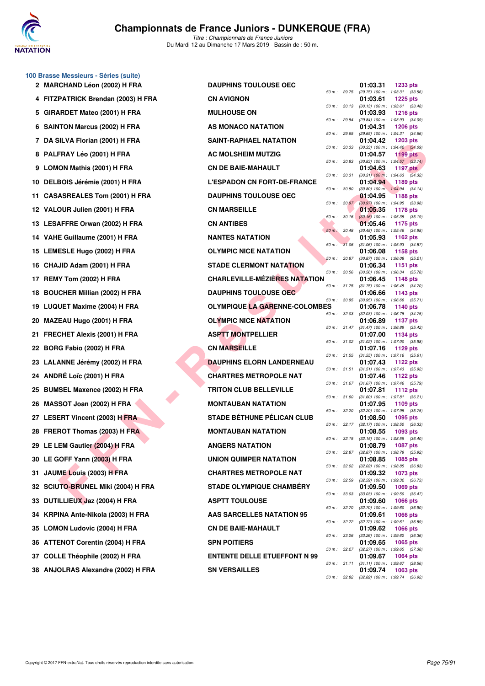

**100 Brasse Messieurs - Séries (suite)**

*Titre : Championnats de France Juniors* Du Mardi 12 au Dimanche 17 Mars 2019 - Bassin de : 50 m.

|    | 2 MARCHAND Léon (2002) H FRA        | <b>DAUPHINS TOULOUSE OEC</b>         |                  |              | 01:03.31<br><b>1233 pts</b>                                               |
|----|-------------------------------------|--------------------------------------|------------------|--------------|---------------------------------------------------------------------------|
|    | 4 FITZPATRICK Brendan (2003) H FRA  | <b>CN AVIGNON</b>                    | 50 m : 29.75     |              | (29.75) 100 m : 1:03.31 (33.56)<br>01:03.61<br><b>1225 pts</b>            |
|    | 5 GIRARDET Mateo (2001) H FRA       | <b>MULHOUSE ON</b>                   |                  | 50 m : 30.13 | $(30.13)$ 100 m : 1:03.61 $(33.48)$<br>01:03.93<br><b>1216 pts</b>        |
|    | 6 SAINTON Marcus (2002) H FRA       | AS MONACO NATATION                   | 50 m : 29.84     |              | (29.84) 100 m: 1:03.93 (34.09)<br>01:04.31<br><b>1206 pts</b>             |
|    | 7 DA SILVA Florian (2001) H FRA     | <b>SAINT-RAPHAEL NATATION</b>        | 50 m : 29.65     |              | $(29.65)$ 100 m : 1:04.31 $(34.66)$<br>01:04.42<br><b>1203 pts</b>        |
|    | 8 PALFRAY Léo (2001) H FRA          | AC MOLSHEIM MUTZIG                   | 50 m : 30.33     |              | (30.33) 100 m: 1:04.42 (34.09)<br>01:04.57<br>1199 pts                    |
|    | 9 LOMON Mathis (2001) H FRA         | <b>CN DE BAIE-MAHAULT</b>            | 50 m : 30.83     |              | $(30.83)$ 100 m : 1:04.57 $(33.74)$<br>01:04.63<br>1197 $p$ ts            |
|    | 10 DELBOIS Jérémie (2001) H FRA     | <b>L'ESPADON CN FORT-DE-FRANCE</b>   | 50 m: 30.31      |              | $(30.31)$ 100 m : 1:04.63 $(34.32)$<br>01:04.94<br>1189 pts               |
|    | 11 CASASREALES Tom (2001) H FRA     | <b>DAUPHINS TOULOUSE OEC</b>         | 50 m: 30.80      |              | $(30.80)$ 100 m : 1:04.94 $(34.14)$<br><b>1188 pts</b><br>01:04.95        |
|    | 12 VALOUR Julien (2001) H FRA       | <b>CN MARSEILLE</b>                  | 50 m : 30.97     |              | $(30.97)$ 100 m : 1:04.95 $(33.98)$<br>01:05.35<br>1178 pts               |
|    | 13 LESAFFRE Orwan (2002) H FRA      | <b>CN ANTIBES</b>                    | 50 m: 30.16      |              | $(30.16)$ 100 m : 1:05.35 $(35.19)$<br>01:05.46<br>1175 pts               |
|    | 14 VAHE Guillaume (2001) H FRA      | <b>NANTES NATATION</b>               | 50 m : 30.48     |              | (30.48) 100 m: 1:05.46 (34.98)<br>01:05.93<br>1162 $pts$                  |
|    | 15 LEMESLE Hugo (2002) H FRA        | <b>OLYMPIC NICE NATATION</b>         | 50 m :           | 31.06        | $(31.06)$ 100 m : 1:05.93 $(34.87)$<br>01:06.08<br>1158 pts               |
|    | 16 CHAJID Adam (2001) H FRA         | <b>STADE CLERMONT NATATION</b>       | $50 m$ : $30.87$ |              | $(30.87)$ 100 m : 1:06.08 $(35.21)$<br>01:06.34<br>1151 pts               |
|    | 17 REMY Tom (2002) H FRA            | <b>CHARLEVILLE-MÉZIÈRES NATATION</b> | 50 m : 30.56     |              | $(30.56)$ 100 m : 1:06.34 $(35.78)$<br>01:06.45<br>1148 pts               |
|    | 18 BOUCHER Millian (2002) H FRA     | DAUPHINS TOULOUSE OEC                | 50 m : 31.75     |              | $(31.75)$ 100 m : 1:06.45 $(34.70)$<br>01:06.66<br>1143 pts               |
|    | 19 LUQUET Maxime (2004) H FRA       | <b>OLYMPIQUE LA GARENNE-COLOMBES</b> | 50 m : 30.95     |              | $(30.95)$ 100 m : 1:06.66 $(35.71)$<br>01:06.78<br>1140 pts               |
|    | 20 MAZEAU Hugo (2001) H FRA         | <b>OLYMPIC NICE NATATION</b>         | 50 m : 32.03     |              | $(32.03)$ 100 m : 1:06.78 $(34.75)$<br>01:06.89<br>1137 pts               |
|    | 21 FRECHET Alexis (2001) H FRA      | <b>ASPTT MONTPELLIER</b>             | 50 m : 31.47     |              | $(31.47)$ 100 m : 1:06.89 $(35.42)$<br>01:07.00<br>1134 pts               |
|    | 22 BORG Fabio (2002) H FRA          | <b>CN MARSEILLE</b>                  | 50 m: 31.02      |              | $(31.02)$ 100 m : 1:07.00 $(35.98)$<br>01:07.16<br>1129 pts               |
|    | 23 LALANNE Jérémy (2002) H FRA      | <b>DAUPHINS ELORN LANDERNEAU</b>     |                  | 50 m : 31.55 | $(31.55)$ 100 m : 1:07.16 $(35.61)$<br>01:07.43<br>1122 $pts$             |
|    | 24 ANDRÉ Loïc (2001) H FRA          | <b>CHARTRES METROPOLE NAT</b>        |                  | 50 m : 31.51 | $(31.51)$ 100 m : 1:07.43 $(35.92)$<br>01:07.46<br>1122 $pts$             |
|    | 25 BUMSEL Maxence (2002) H FRA      | <b>TRITON CLUB BELLEVILLE</b>        | 50 m : 31.67     |              | $(31.67)$ 100 m : 1:07.46 $(35.79)$<br>01:07.81<br>1112 $pts$             |
|    | 26 MASSOT Joan (2002) H FRA         | <b>MONTAUBAN NATATION</b>            | 50 m : 31.60     |              | $(31.60)$ 100 m : 1:07.81 $(36.21)$<br>01:07.95<br>1109 $pts$             |
|    | 27 LESERT Vincent (2003) H FRA      | <b>STADE BÉTHUNE PÉLICAN CLUB</b>    | 50 m: 32.20      |              | (32.20) 100 m: 1:07.95 (35.75)<br>01:08.50<br>1095 pts                    |
|    | 28 FREROT Thomas (2003) H FRA       | <b>MONTAUBAN NATATION</b>            | 50 m : 32.17     |              | $(32.17)$ 100 m : 1:08.50 $(36.33)$<br>01:08.55<br>1093 pts               |
|    | 29 LE LEM Gautier (2004) H FRA      | <b>ANGERS NATATION</b>               |                  |              | 50 m: 32.15 (32.15) 100 m: 1:08.55 (36.40)<br>01:08.79<br>1087 pts        |
|    | 30 LE GOFF Yann (2003) H FRA        | UNION QUIMPER NATATION               |                  | 50 m : 32.87 | $(32.87)$ 100 m : 1:08.79 $(35.92)$<br>01:08.85<br><b>1085 pts</b>        |
|    | 31 JAUME Louis (2003) H FRA         | <b>CHARTRES METROPOLE NAT</b>        |                  | 50 m : 32.02 | $(32.02)$ 100 m : 1:08.85 $(36.83)$<br>01:09.32<br>1073 pts               |
|    | 32 SCIUTO-BRUNEL Miki (2004) H FRA  | <b>STADE OLYMPIQUE CHAMBERY</b>      | 50 m : 32.59     |              | (32.59) 100 m : 1:09.32 (36.73)<br>01:09.50<br>1069 pts                   |
|    | 33 DUTILLIEUX Jaz (2004) H FRA      | <b>ASPTT TOULOUSE</b>                | 50 m : 33.03     |              | $(33.03)$ 100 m : 1:09.50 $(36.47)$<br>01:09.60<br><b>1066 pts</b>        |
|    | 34 KRPINA Ante-Nikola (2003) H FRA  | AAS SARCELLES NATATION 95            | 50 m : 32.70     |              | (32.70) 100 m : 1:09.60 (36.90)<br>01:09.61<br><b>1066 pts</b>            |
|    | 35 LOMON Ludovic (2004) H FRA       | <b>CN DE BAIE-MAHAULT</b>            |                  |              | 50 m: 32.72 (32.72) 100 m: 1:09.61 (36.89)<br>01:09.62<br><b>1066 pts</b> |
|    | 36 ATTENOT Corentin (2004) H FRA    | <b>SPN POITIERS</b>                  | 50 m : 33.26     |              | (33.26) 100 m : 1:09.62 (36.36)<br>01:09.65<br>1065 pts                   |
| 37 | <b>COLLE Théophile (2002) H FRA</b> | <b>ENTENTE DELLE ETUEFFONT N 99</b>  |                  | 50 m : 32.27 | $(32.27)$ 100 m : 1:09.65 $(37.38)$<br>01:09.67<br>1064 pts               |
|    | 38 ANJOLRAS Alexandre (2002) H FRA  | <b>SN VERSAILLES</b>                 |                  | 50 m : 31.11 | $(31.11)$ 100 m : 1:09.67 $(38.56)$<br>01:09.74<br>1063 pts               |
|    |                                     |                                      |                  | 50 m : 32.82 | (32.82) 100 m : 1:09.74 (36.92)                                           |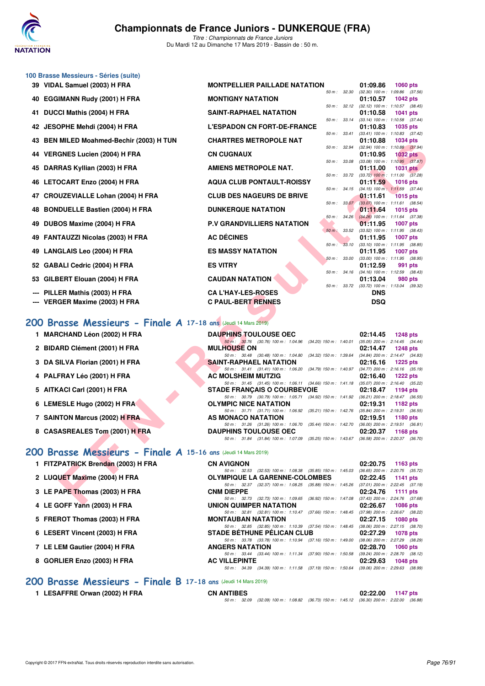

*Titre : Championnats de France Juniors* Du Mardi 12 au Dimanche 17 Mars 2019 - Bassin de : 50 m.

| 39 VIDAL Samuel (2003) H FRA                                                                   | <b>MONTPELLIER PAILLADE NATATION</b>                                                                                             |                  |             | 01:09.86                              | <b>1060 pts</b>                                               |
|------------------------------------------------------------------------------------------------|----------------------------------------------------------------------------------------------------------------------------------|------------------|-------------|---------------------------------------|---------------------------------------------------------------|
| 40 EGGIMANN Rudy (2001) H FRA                                                                  | <b>MONTIGNY NATATION</b>                                                                                                         | 50 m: 32.30      |             | 01:10.57                              | $(32.30)$ 100 m : 1:09.86 $(37.56)$<br>1042 pts               |
| 41 DUCCI Mathis (2004) H FRA                                                                   | SAINT-RAPHAEL NATATION                                                                                                           |                  |             | 01:10.58                              | 50 m: 32.12 (32.12) 100 m: 1:10.57 (38.45)<br><b>1041 pts</b> |
| 42 JESOPHE Mehdi (2004) H FRA                                                                  | <b>L'ESPADON CN FORT-DE-FRANCE</b>                                                                                               | 50 m: 33.14      |             | 01:10.83                              | (33.14) 100 m: 1:10.58 (37.44)<br>1035 pts                    |
| 43 BEN MILED Moahmed-Bechir (2003) H TUN                                                       | <b>CHARTRES METROPOLE NAT</b>                                                                                                    | 50 m: 33.41      |             | 01:10.88                              | $(33.41)$ 100 m : 1:10.83 $(37.42)$<br><b>1034 pts</b>        |
|                                                                                                | <b>CN CUGNAUX</b>                                                                                                                | 50 m : 32.94     |             | 01:10.95                              | (32.94) 100 m: 1:10.88 (37.94)<br><b>1032 pts</b>             |
| 44 VERGNES Lucien (2004) H FRA                                                                 |                                                                                                                                  | 50 m : 33.08     |             |                                       | $(33.08)$ 100 m : 1:10.95 $(37.87)$                           |
| 45 DARRAS Kyllian (2003) H FRA                                                                 | <b>AMIENS METROPOLE NAT.</b>                                                                                                     | 50 m : 33.72     |             | 01:11.00                              | <b>1031 pts</b><br>$(33.72)$ 100 m : 1:11.00 $(37.28)$        |
| 46 LETOCART Enzo (2004) H FRA                                                                  | <b>AQUA CLUB PONTAULT-ROISSY</b>                                                                                                 |                  |             | 01:11.59                              | <b>1016 pts</b>                                               |
| 47 CROUZEVIALLE Lohan (2004) H FRA                                                             | <b>CLUB DES NAGEURS DE BRIVE</b>                                                                                                 |                  |             | 01:11.61                              | 50 m: 34.15 (34.15) 100 m: 1:11.59 (37.44)<br><b>1015 pts</b> |
| 48 BONDUELLE Bastien (2004) H FRA                                                              | <b>DUNKERQUE NATATION</b>                                                                                                        |                  | 50 m: 33.07 | 01:11.64                              | $(33.07)$ 100 m : 1:11.61 $(38.54)$<br>1015 pts               |
| 49 DUBOS Maxime (2004) H FRA                                                                   | <b>P.V GRANDVILLIERS NATATION</b>                                                                                                | 50 m: 34.26      |             | 01:11.95                              | $(34.26)$ 100 m : 1:11.64 $(37.38)$<br><b>1007 pts</b>        |
|                                                                                                |                                                                                                                                  | 50 m : 33.52     |             |                                       | $(33.52)$ 100 m : 1:11.95 $(38.43)$                           |
| 49 FANTAUZZI Nicolas (2003) H FRA                                                              | <b>AC DÉCINES</b>                                                                                                                | 50 m: 33.10      |             | 01:11.95                              | <b>1007 pts</b><br>$(33.10)$ 100 m : 1:11.95 $(38.85)$        |
| 49 LANGLAIS Leo (2004) H FRA                                                                   | <b>ES MASSY NATATION</b>                                                                                                         |                  |             | 01:11.95                              | 1007 pts                                                      |
| 52 GABALI Cedric (2004) H FRA                                                                  | <b>ES VITRY</b>                                                                                                                  | 50 m : 33.00     |             | $(33.00)$ 100 m : 1:11.95<br>01:12.59 | (38.95)<br>991 pts                                            |
| 53 GILBERT Elouan (2004) H FRA                                                                 | <b>CAUDAN NATATION</b>                                                                                                           | $50 m$ : $34.16$ |             | 01:13.04                              | (34.16) 100 m: 1:12.59 (38.43)<br>980 pts                     |
|                                                                                                |                                                                                                                                  |                  |             |                                       | 50 m: 33.72 (33.72) 100 m: 1:13.04 (39.32)                    |
| PILLER Mathis (2003) H FRA<br>--- VERGER Maxime (2003) H FRA                                   | <b>CA L'HAY-LES-ROSES</b><br><b>C PAUL-BERT RENNES</b>                                                                           |                  |             | <b>DNS</b><br><b>DSQ</b>              |                                                               |
| 200 Brasse Messieurs - Finale A 17-18 ans (Jeudi 14 Mars 2019)<br>1 MARCHAND Léon (2002) H FRA | <b>DAUPHINS TOULOUSE OEC</b><br>50 m: 30.76 (30.76) 100 m: 1:04.96 (34.20) 150 m: 1:40.01                                        |                  |             | 02:14.45                              | <b>1248 pts</b><br>$(35.05)$ 200 m : 2:14.45 $(34.44)$        |
| 2 BIDARD Clément (2001) H FRA                                                                  | <b>MULHOUSE ON</b>                                                                                                               |                  |             | 02:14.47                              | <b>1248 pts</b>                                               |
| 3 DA SILVA Florian (2001) H FRA                                                                | 50 m: 30.48 (30.48) 100 m: 1:04.80 (34.32) 150 m: 1:39.64<br><b>SAINT-RAPHAEL NATATION</b>                                       |                  |             | 02:16.16                              | $(34.84)$ 200 m : 2:14.47 $(34.83)$<br><b>1225 pts</b>        |
| 4 PALFRAY Léo (2001) H FRA                                                                     | 50 m: 31.41 (31.41) 100 m: 1:06.20 (34.79) 150 m: 1:40.97<br><b>AC MOLSHEIM MUTZIG</b>                                           |                  |             | 02:16.40                              | $(34.77)$ 200 m : 2:16.16 $(35.19)$<br><b>1222 pts</b>        |
|                                                                                                | 50 m: 31.45 (31.45) 100 m: 1:06.11 (34.66) 150 m: 1:41.18 (35.07) 200 m: 2:16.40 (35.22)                                         |                  |             |                                       |                                                               |
| 5 AITKACI Carl (2001) H FRA                                                                    | <b>STADE FRANCAIS O COURBEVOIE</b><br>50 m: 30.79 (30.79) 100 m: 1:05.71 (34.92) 150 m: 1:41.92 (36.21) 200 m: 2:18.47 (36.55)   |                  |             | 02:18.47                              | 1194 pts                                                      |
| 6 LEMESLE Hugo (2002) H FRA                                                                    | <b>OLYMPIC NICE NATATION</b><br>50 m: 31.71 (31.71) 100 m: 1:06.92 (35.21) 150 m: 1:42.76 (35.84) 200 m: 2:19.31 (36.55)         |                  |             | 02:19.31                              | 1182 pts                                                      |
| 7 SAINTON Marcus (2002) H FRA                                                                  | AS MONACO NATATION                                                                                                               |                  |             |                                       | 1180 pts                                                      |
|                                                                                                |                                                                                                                                  |                  |             | 02:19.51                              |                                                               |
|                                                                                                | 50 m: 31.26 (31.26) 100 m: 1:06.70 (35.44) 150 m: 1:42.70 (36.00) 200 m: 2:19.51 (36.81)                                         |                  |             |                                       |                                                               |
| 8 CASASREALES Tom (2001) H FRA                                                                 | <b>DAUPHINS TOULOUSE OEC</b><br>50 m: 31.84 (31.84) 100 m: 1:07.09 (35.25) 150 m: 1:43.67 (36.58) 200 m: 2:20.37 (36.70)         |                  |             | 02:20.37                              | 1168 pts                                                      |
| 200 Brasse Messieurs - Finale A 15-16 ans (Jeudi 14 Mars 2019)                                 |                                                                                                                                  |                  |             |                                       |                                                               |
| 1 FITZPATRICK Brendan (2003) H FRA                                                             | <b>CN AVIGNON</b>                                                                                                                |                  |             | 02:20.75                              | 1163 pts                                                      |
|                                                                                                | 50 m: 32.53 (32.53) 100 m: 1:08.38 (35.85) 150 m: 1:45.03                                                                        |                  |             |                                       | (36.65) 200 m : 2:20.75 (35.72)                               |
| 2 LUQUET Maxime (2004) H FRA                                                                   | <b>OLYMPIQUE LA GARENNE-COLOMBES</b><br>50 m: 32.37 (32.37) 100 m: 1:08.25 (35.88) 150 m: 1:45.26 (37.01) 200 m: 2:22.45 (37.19) |                  |             | 02:22.45                              | 1141 pts                                                      |
| 3 LE PAPE Thomas (2003) H FRA                                                                  | <b>CNM DIEPPE</b><br>50 m: 32.73 (32.73) 100 m: 1:09.65 (36.92) 150 m: 1:47.08 (37.43) 200 m: 2:24.76 (37.68)                    |                  |             | 02:24.76                              | <b>1111 pts</b>                                               |

#### **[200 Brasse Messieurs - Finale A](http://www.ffnatation.fr/webffn/resultats.php?idact=nat&go=epr&idcpt=59271&idepr=73) 17-18 ans** (Jeudi 14 Mars 2019)

| 1 MARCHAND Léon (2002) H FRA |  |  |
|------------------------------|--|--|
|                              |  |  |

**100 Brasse Messieurs - Séries (suite)**

- **3 DA SILVA Florian (2001) H FRA**
- **4 PALFRAY Léo (2001) H FRA AC MOLSHEIM MUTZIG 02:16.40 1222 pts**
- 
- 
- 
- 

## **[200 Brasse Messieurs - Finale A](http://www.ffnatation.fr/webffn/resultats.php?idact=nat&go=epr&idcpt=59271&idepr=73) 15-16 ans** (Jeudi 14 Mars 2019)

- **1 FITZPATRICK Brendan (2003) H FRA CN AVIGNON 602:33)** 100 m: 1:08.38 (35.85) 150 m: 1:45.03 (36.65) 200 m: 2:20.75 1163 pts
- **2 LUQUET Maxime (2004) H FRA OLYMPIQUE LA GARENNE-COLOMBES 02:22.45 1141 pts**<br> **2 DEVINPIQUE LA GARENNE-COLOMBES 03.23 100 m**: 1:08.25 (35.88) 150 m: 1:45.26 (37.01) 200 m: 2:22.45 (37.19)
- **3 LE PAPE Thomas (2003) H FRA CNM DIEPPE 02:24.76 02:24.76 1111 pts 60m:** 32.73 (32.73) 100 m: 1:09.65 (36.92) 150 m: 1:47.08 (37.43) 200 m: 2:24.76 (37.68)
- **4 LE GOFF Yann (2003) H FRA** UNION QUIMPER NATATION 02:26.67 **1086** pts<br>
50 m i 32.81 (32.81) 100 m i 1:10.47 (37.66) 150 m i 1:48.45 (37.98) 200 m i 2:26.67 (38.22)
- **5 FREROT Thomas (2003) H FRA MONTAUBAN NATATION 02:27.15 1080 pts**
- **6 LESERT Vincent (2003) H FRA STADE BÉTHUNE PÉLICAN CLUB 02:27.29 1078 pts**
- **7 LE LEM Gautier (2004) H FRA**
- **8 GORLIER Enzo (2003) H FRA**

#### **[200 Brasse Messieurs - Finale B](http://www.ffnatation.fr/webffn/resultats.php?idact=nat&go=epr&idcpt=59271&idepr=73) 17-18 ans** (Jeudi 14 Mars 2019)

**1 LESAFFRE Orwan (2002) H FRA CN ANTIBES 02:22.00 1147 pts**

*50 m : 32.09 (32.09) 100 m : 1:08.82 (36.73) 150 m : 1:45.12 (36.30) 200 m : 2:22.00 (36.88)*

*50 m : 34.39 (34.39) 100 m : 1:11.58 (37.19) 150 m : 1:50.64 (39.06) 200 m : 2:29.63 (38.99)*

| 1 MARCHAND Léon (2002) H FRA    | <b>DAUPHINS TOULOUSE OEC</b><br>02:14.45                                                                                                                    | 1248 pts   |
|---------------------------------|-------------------------------------------------------------------------------------------------------------------------------------------------------------|------------|
| 2 BIDARD Clément (2001) H FRA   | $(35.05)$ 200 m : 2:14.45 $(34.44)$<br>50 m : 30.76 (30.76) 100 m : 1:04.96 (34.20) 150 m : 1:40.01<br><b>MULHOUSE ON</b><br>02:14.47 1248 pts              |            |
|                                 | $(34.84)$ 200 m : 2:14.47 $(34.83)$<br>50 m : 30.48 (30.48) 100 m : 1:04.80 (34.32) 150 m : 1:39.64                                                         |            |
| 3 DA SILVA Florian (2001) H FRA | <b>SAINT-RAPHAEL NATATION</b><br>$02:16.16$ 1225 pts<br>$(34.77)$ 200 m : 2:16.16 $(35.19)$<br>50 m: 31.41 (31.41) 100 m: 1:06.20 (34.79) 150 m: 1:40.97    |            |
| 4 PALFRAY Léo (2001) H FRA      | <b>AC MOLSHEIM MUTZIG</b><br>$02:16.40$ 1222 pts                                                                                                            |            |
| 5 AITKACI Carl (2001) H FRA     | $(35.07)$ 200 m : 2:16.40 $(35.22)$<br>50 m: 31.45 (31.45) 100 m: 1:06.11 (34.66) 150 m: 1:41.18<br><b>STADE FRANCAIS O COURBEVOIE</b><br>02:18.47 1194 pts |            |
| 6 LEMESLE Hugo (2002) H FRA     | 50 m: 30.79 (30.79) 100 m: 1:05.71 (34.92) 150 m: 1:41.92 (36.21) 200 m: 2:18.47 (36.55)<br><b>OLYMPIC NICE NATATION</b><br>02:19.31 1182 pts               |            |
| 7 SAINTON Marcus (2002) H FRA   | $(35.84)$ 200 m : 2:19.31 $(36.55)$<br>50 m: 31.71 (31.71) 100 m: 1:06.92<br>(35.21) 150 m : 1:42.76<br>AS MONACO NATATION<br>02:19.51                      | 1180 $pts$ |
| 8 CASASREALES Tom (2001) H FRA  | $(36.00)$ 200 m : 2:19.51 $(36.81)$<br>50 m: 31.26 (31.26) 100 m: 1:06.70 (35.44) 150 m: 1:42.70<br><b>DAUPHINS TOULOUSE OEC</b><br>02:20.37                | 1168 $pts$ |
|                                 | $(35.25)$ 150 m : 1:43.67 $(36.58)$ 200 m : 2:20.37 $(36.70)$<br>50 m : 31.84 (31.84) 100 m : 1:07.09                                                       |            |

*50 m : 32.73* (32.73) 100 m : 1:09.65 (36.92) 150 m : 1:47.08 (37.43) 200 m : 2:24.76 (37.6<br>**UNION QUIMPER NATATION** 02:26.67 1086 pts

*50 m : 32.85 (32.85) 100 m : 1:10.39 (37.54) 150 m : 1:48.45 (38.06) 200 m : 2:27.15 (38.70)*<br>**STADE BÉTHUNE PÉLICAN CLUB** 02:27.29 1078 pts

*50 m : 33.78 (33.78) 100 m : 1:10.94 (37.16) 150 m : 1:49.00 (38.06) 200 m : 2:27.29 (38.29)*<br>**ANGERS NATATION** 02:28.70 1060 pts

*50 m : 33.44 (33.44) 100 m : 1:11.34 (37.90) 150 m : 1:50.58 (39.24) 200 m : 2:28.70 (38.12)*<br>**AC VILLEPINTE** 02:29.63 1048 pts

*50 m : 32.81 (32.81) 100 m : 1:10.47 (37.66) 150 m : 1:48.45 (37.98) 200 m : 2:26.67 (38.22)*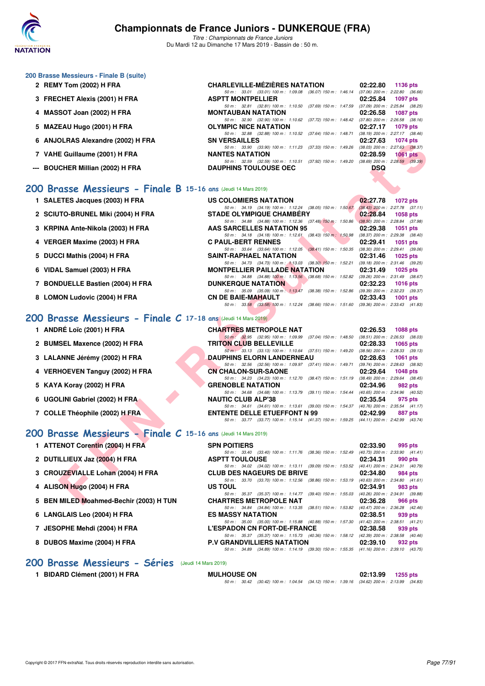

*Titre : Championnats de France Juniors* Du Mardi 12 au Dimanche 17 Mars 2019 - Bassin de : 50 m.

#### **200 Brasse Messieurs - Finale B (suite)**

- **2 REMY Tom (2002) H FRA CHARLEVILLE-MÉZIÈRES NATATION 02:22.80 1136 pts**
- **3 FRECHET Alexis (2001) H FRA ASPTT MONTPELLIER 02:25.84 1097 pts**
- **4 MASSOT Joan (2002) H FRA** MONTAUBAN NATATION **02:26.58 1087 pts 1087 pts 69 m 11082 69 m 11082 69 m 11082 69 m 11082 69 m 11082 69 m 11082 67.72 150 m 11082 67.80 200 m 226.58 6**
- **5 MAZEAU Hugo (2001) H FRA OLYMPIC NICE NATATION 02:27.17 1079 pts**<br> **50 m** 32.88 (32.88) 100 m 1:10.52 (37.64) 150 m 1:48.71 (38.19) 200 m 2:27.17 (38.46)
- **6 ANJOLRAS Alexandre (2002) H FRA** SN VERSAILLES **1074 pts 02:27.63 1074 pts 69.37.33 1074 pts 69.37.33 1074 pts 69.37.33 1074 pts 69.37.33 1074 pts 69.37.33 1074 pts 69.37.33 1074 pts 69.37**
- **7 VAHE Guillaume (2001) H FRA NANTES NATATION 02:28.59 1061 pts**
- **--- BOUCHER Millian (2002) H FRA DAUPHINS TOULOUSE OEC DSQ**

#### **[200 Brasse Messieurs - Finale B](http://www.ffnatation.fr/webffn/resultats.php?idact=nat&go=epr&idcpt=59271&idepr=73) 15-16 ans** (Jeudi 14 Mars 2019)

- **1 SALETES Jacques (2003) H FRA** US COLOMIERS NATATION 02:27.78 1072 pts<br>  $\frac{50 \text{ m} \div 34.19 + (34.19) + 100 \text{ m} \div 1.12.24}{(34.19) + 100 \text{ m} \div 1.12.24}$  (38.05) 150 m : 1:50.67 (38.43) 200 m : 2:27.78 (37.11)
- **2 SCIUTO-BRUNEL Miki (2004) H FRA** STADE OLYMPIQUE CHAMBÉRY **02:28.84 1058 pts**<br>
50 m : 34.88 (34.88) 100 m : 1:12.36 (37.48) 150 m : 1:50.86 (38.50) 200 m : 2:28.84 (37.98)
- **3 KRPINA Ante-Nikola (2003) H FRA AAS SARCELLES NATATION 95** 02:29.38 1051 pts<br>
50 m: 34.18 (34.18) 100 m: 1:12.61 (38.43) 150 m: 1:50.98 (38.37) 200 m: 2:29.38 (38.40)
- **4 VERGER Maxime (2003) H FRA C PAUL-BERT RENNES 02:29.41 1051 pts 02:29.41 1051 pts 69.641 1061 <b>cm**: 33.64 **(33.64) 100 m:** 1:12.05 **(38.41**) **150 m:** 1:50.35 **(38.30) 200 m:** 2:29.41 **(39.06)**
- **5 DUCCI Mathis (2004) H FRA** SAINT-RAPHAEL NATATION 02:31.46 1025 pts 50 m: 34.73 (34.73) 100 m: 1:13.03 (38.30) 150 m: 1:52.21 (39.18) 200 m: 2:31.46 (39.25)
- **6 VIDAL Samuel (2003) H FRA** MONTPELLIER PAILLADE NATATION 02:31.49 1025 pts<br>  $50 \text{ m}: 34.88 \text{ (34.88) } 100 \text{ m}: 1:13.56 \text{ (38.68) } 150 \text{ m}: 1:52.82 \text{ (39.26) } 200 \text{ m}: 2:31.49 \text{ (38.67) }$
- *50 m : 34.88 (34.88) 100 m : 1:13.56 (38.68) 150 m : 1:52.82 (39.26) 200 m : 2:31.49 (38.67)* **7 BONDUELLE Bastien (2004) H FRA DUNKERQUE NATATION 02:32.23 1016 pts**
- 8 LOMON Ludovic (2004) H FRA CN D

#### **[200 Brasse Messieurs - Finale C](http://www.ffnatation.fr/webffn/resultats.php?idact=nat&go=epr&idcpt=59271&idepr=73) 17-18 ans (G**

- **1 ANDRÉ Loïc (2001) H FRA CHARTRES METALE CHARTER METALE NATURE CHARTER OF A CHART**
- 2 BUMSEL Maxence (2002) H FRA **TRIT**
- **3 LALANNE Jérémy (2002) H FRA DAUF**
- **4 VERHOEVEN Tanguy (2002) H FRA CN CHALON-SUR-SAONE 02:39.64 PTS**
- 
- 
- 

#### **[200 Brasse Messieurs - Finale C](http://www.ffnatation.fr/webffn/resultats.php?idact=nat&go=epr&idcpt=59271&idepr=73) 15-16 ans** (Jeudi 14 Mars 2019)

- **1 ATTENOT Corentin (2004) H FRA** SPN POITIERS 02:33.90 995 pts 602:33.90 995 pts 602:33.90 995 pts
- **2 DUTILLIEUX Jaz (2004) H FRA ASPTT TOULOUSE 02:34.31 090 pts 02:34.31 990 pts 60m**: 34.02 (34.02) 100m: 1:13.11 (39.09) 150m: 1:53.52 (40.41) 200m: 2:34.31 (40.79)
- **3 CROUZEVIALLE Lohan (2004) H FRA** CLUB DES NAGEURS DE BRIVE 02:34.80 984 pts<br>  $\frac{50 \text{ m} \cdot 33.70}{33.70}$  (33.70) 100 m: 1:12.56 (38.86) 150 m: 1:53.19 (40.63) 200 m: 2:34.80 (41.61)
- **4 ALISON Hugo (2004) H FRA US TOUL 02:34.91 983 pts**
- **5 BEN MILED Moahmed-Bechir (2003) H TUN CHARTRES METROPOLE NAT 02:36.28 966 pts**<br>  $\frac{50 \text{ m} \div 34.84}$   $\frac{(34.84) \cdot 100 \text{ m} \div 1.13.35}$   $\frac{(38.51) \cdot 150 \text{ m} \div 1.53.82}{(40.47) \cdot 200 \text{ m} \div 2.36.28}$   $\frac{966 \text{ pts}}{(4$
- **6 LANGLAIS Leo (2004) H FRA ES MASSY NATATION 92:38.51 92:38.51 92:38.51 93.60 93.60 93.60 93.60 93.60 93.60 93.60 93.60 93.60 93.60 93.60 93.60 93.60 93.60 93.60 93.60 93.60 93**
- **7 JESOPHE Mehdi (2004) H FRA** L'ESPADON CN FORT-DE-FRANCE 238.58 939 pts<br>  $\frac{50 \text{ m}}{50 \text{ m}}$  35.37 (35.37 100 m 1.15.73 (40.38) 150 m 1.58.12 (42.39) 200 m 2.38.58 (40.4
- 8 DUBOS Maxime (2004) H FRA **P.V GRANDVILLIERS NATATION** 02:39.10

#### **[200 Brasse Messieurs - Séries](http://www.ffnatation.fr/webffn/resultats.php?idact=nat&go=epr&idcpt=59271&idepr=73)** (Jeudi 14 Mars 2019)

*50 m : 35.00 (35.00) 100 m : 1:15.88 (40.88) 150 m : 1:57.30 (41.42) 200 m : 2:38.51 (41.21)*

| 1 BIDARD Clément (2001) H FRA | <b>MULHOUSE ON</b> |  |                                                                                              | 02:13.99 1255 pts |  |
|-------------------------------|--------------------|--|----------------------------------------------------------------------------------------------|-------------------|--|
|                               |                    |  | 50 m : 30.42 (30.42) 100 m : 1:04.54 (34.12) 150 m : 1:39.16 (34.62) 200 m : 2:13.99 (34.83) |                   |  |

| OLNAS AIEXANDIE (2002) II FRA                              | ON VEROAILLEO                                                                                                                   | <b>UZ.ZI.UJ UITUS</b>       |
|------------------------------------------------------------|---------------------------------------------------------------------------------------------------------------------------------|-----------------------------|
| E Guillaume (2001) H FRA                                   | 50 m: 33.90 (33.90) 100 m: 1:11.23 (37.33) 150 m: 1:49.26 (38.03) 200 m: 2:27.63 (38.37)<br><b>NANTES NATATION</b>              | 02:28.59<br><b>1061 pts</b> |
|                                                            | 50 m: 32.59 (32.59) 100 m: 1:10.51 (37.92) 150 m: 1:49.20 (38.69) 200 m: 2:28.59 (39.39)                                        |                             |
| CHER Millian (2002) H FRA                                  | <b>DAUPHINS TOULOUSE OEC</b>                                                                                                    | <b>DSQ</b>                  |
|                                                            |                                                                                                                                 |                             |
| asse Messieurs - Finale B 15-16 ans (Jeudi 14 Mars 2019)   |                                                                                                                                 |                             |
|                                                            |                                                                                                                                 |                             |
| ETES Jacques (2003) H FRA                                  | US COLOMIERS NATATION                                                                                                           | 02:27.78<br>1072 pts        |
| <b>TO-BRUNEL Miki (2004) H FRA</b>                         | 50 m: 34.19 (34.19) 100 m: 1:12.24 (38.05) 150 m: 1:50.67 (38.43) 200 m: 2:27.78 (37.11)<br><b>STADE OLYMPIQUE CHAMBERY</b>     | 02:28.84<br>1058 pts        |
|                                                            | 50 m: 34.88 (34.88) 100 m: 1:12.36 (37.48) 150 m: 1:50.86 (38.50) 200 m: 2:28.84 (37.98)                                        |                             |
| INA Ante-Nikola (2003) H FRA                               | AAS SARCELLES NATATION 95                                                                                                       | 02:29.38<br>1051 pts        |
|                                                            | 50 m: 34.18 (34.18) 100 m: 1:12.61 (38.43) 150 m: 1:50.98 (38.37) 200 m: 2:29.38 (38.40)                                        |                             |
| GER Maxime (2003) H FRA                                    | <b>C PAUL-BERT RENNES</b>                                                                                                       | 02:29.41<br>1051 pts        |
|                                                            | 50 m: 33.64 (33.64) 100 m: 1:12.05 (38.41) 150 m: 1:50.35 (38.30) 200 m: 2:29.41 (39.06)                                        |                             |
| CI Mathis (2004) H FRA                                     | SAINT-RAPHAEL NATATION                                                                                                          | $02:31.46$ 1025 pts         |
|                                                            | 50 m: 34.73 (34.73) 100 m: 1:13.03 (38.30) 150 m: 1:52.21 (39.18) 200 m: 2:31.46 (39.25)                                        |                             |
| L Samuel (2003) H FRA                                      | <b>MONTPELLIER PAILLADE NATATION</b>                                                                                            | 02:31.49<br>1025 pts        |
|                                                            | 50 m: 34.88 (34.88) 100 m: 1:13.56 (38.68) 150 m: 1:52.82 (39.26) 200 m: 2:31.49 (38.67)                                        |                             |
| DUELLE Bastien (2004) H FRA                                | <b>DUNKERQUE NATATION</b>                                                                                                       | 02:32.23<br>1016 pts        |
| ON Ludovic (2004) H FRA                                    | 50 m: 35.09 (35.09) 100 m: 1:13.47 (38.38) 150 m: 1:52.86 (39.39) 200 m: 2:32.23 (39.37)<br><b>CN DE BAIE-MAHAULT</b>           | 02:33.43<br>1001 pts        |
|                                                            | 50 m: 33.58 (33.58) 100 m: 1:12.24 (38.66) 150 m: 1:51.60 (39.36) 200 m: 2:33.43 (41.83)                                        |                             |
|                                                            |                                                                                                                                 |                             |
| asse Messieurs - Finale C 17-18 ans (Jeudi 14 Mars 2019)   |                                                                                                                                 |                             |
| RÉ Loïc (2001) H FRA                                       | <b>CHARTRES METROPOLE NAT</b>                                                                                                   | 02:26.53<br>1088 pts        |
|                                                            | 50 m: 32.95 (32.95) 100 m: 1.09.99 (37.04) 150 m: 1.48.50 (38.51) 200 m: 2.26.53 (38.03)                                        |                             |
| <b>SEL Maxence (2002) H FRA</b>                            | <b>TRITON CLUB BELLEVILLE</b>                                                                                                   | 02:28.33<br>1065 pts        |
|                                                            | 50 m: 33.13 (33.13) 100 m: 1:10.64 (37.51) 150 m: 1:49.20 (38.56) 200 m: 2:28.33 (39.13)                                        |                             |
| ANNE Jérémy (2002) H FRA                                   | <b>DAUPHINS ELORN LANDERNEAU</b>                                                                                                | 02:28.63<br>1061 pts        |
|                                                            | 50 m: 32.56 (32.56) 100 m: 1:09.97 (37.41) 150 m: 1:49.71 (39.74) 200 m: 2:28.63 (38.92)                                        |                             |
| HOEVEN Tanguy (2002) H FRA                                 | <b>CN CHALON-SUR-SAONE</b>                                                                                                      | 02:29.64<br>1048 pts        |
|                                                            | 50 m: 34.23 (34.23) 100 m: 1:12.70 (38.47) 150 m: 1:51.19 (38.49) 200 m: 2:29.64 (38.45)                                        |                             |
| A Koray (2002) H FRA                                       | <b>GRENOBLE NATATION</b>                                                                                                        | 02:34.96<br>982 pts         |
|                                                            | 50 m: 34.68 (34.68) 100 m: 1:13.79 (39.11) 150 m: 1:54.44 (40.65) 200 m: 2:34.96 (40.52)                                        |                             |
| LINI Gabriel (2002) H FRA                                  | <b>NAUTIC CLUB ALP'38</b>                                                                                                       | 02:35.54<br>975 pts         |
| LE Théophile (2002) H FRA                                  | 50 m: 34.61 (34.61) 100 m: 1:13.61 (39.00) 150 m: 1:54.37 (40.76) 200 m: 2:35.54 (41.17)                                        | 02:42.99                    |
|                                                            | <b>ENTENTE DELLE ETUEFFONT N 99</b><br>50 m: 33.77 (33.77) 100 m: 1:15.14 (41.37) 150 m: 1:59.25 (44.11) 200 m: 2:42.99 (43.74) | 887 pts                     |
|                                                            |                                                                                                                                 |                             |
| asse Messieurs - Finale $C$ 15-16 ans (Jeudi 14 Mars 2019) |                                                                                                                                 |                             |
|                                                            |                                                                                                                                 |                             |
| ENOT Corentin (2004) H FRA                                 | <b>SPN POITIERS</b>                                                                                                             | 02:33.90<br>995 pts         |
|                                                            | 50 m: 33.40 (33.40) 100 m: 1:11.76 (38.36) 150 m: 1:52.49 (40.73) 200 m: 2:33.90 (41.41)                                        |                             |
| ILLIEUX Jaz (2004) H FRA                                   | <b>ASPTT TOULOUSE</b>                                                                                                           | 02:34.31<br>990 pts         |
|                                                            | 50 m: 34.02 (34.02) 100 m: 1:13.11 (39.09) 150 m: 1:53.52 (40.41) 200 m: 2:34.31 (40.79)<br><b>CLUB DES NAGEURS DE BRIVE</b>    |                             |
| UZEVIALLE Lohan (2004) H FRA                               | 50 m: 33.70 (33.70) 100 m: 1:12.56 (38.86) 150 m: 1:53.19 (40.63) 200 m: 2:34.80 (41.61)                                        | 02:34.80<br>984 pts         |
| <b>ON Hugo (2004) H FRA</b>                                | US TOUL                                                                                                                         | 02:34.91<br>983 pts         |
|                                                            | 50 m: 35.37 (35.37) 100 m: 1:14.77 (39.40) 150 m: 1:55.03 (40.26) 200 m: 2:34.91 (39.88)                                        |                             |
| MILED Moahmed-Bechir (2003) H TUN                          | <b>CHARTRES METROPOLE NAT</b>                                                                                                   | 02:36.28<br><b>966 pts</b>  |
|                                                            |                                                                                                                                 |                             |

*50 m : 33.01 (33.01) 100 m : 1:09.08 (36.07) 150 m : 1:46.14 (37.06) 200 m : 2:22.80 (36.66)*

*50 m : 32.81 (32.81) 100 m : 1:10.50 (37.69) 150 m : 1:47.59 (37.09) 200 m : 2:25.84 (38.25)* **MONTAUBAN NATATION** 02:26.58 1087 pts

*50 m : 32.90 (32.90) 100 m : 1:10.62 (37.72) 150 m : 1:48.42* **OLYMPIC NICE NATATION** 

*50 m : 32.88 (32.88) 100 m : 1:10.52 (37.64) 150 m : 1:48.71 (38.19) 200 m : 2:27.17 (38.46)*

**5 KAYA Koray (2002) H FRA GRENOBLE NATATION 02:34.96** *50 m : 34.68 (34.68) 100 m : 1:13.79 (39.11) 150 m : 1:54.44 (40.65) 200 m : 2:34.96 (40.52)* **NAIITIC CLUB ALP'38 02:35.54** 975 pts **6 UGOLINI Gabriel (2002) H FRA NAUTIC CLUB ALP'38** 02:35.54 975 pts 02:35.54 975 pts 50m; 34.61 (34.61) 100 m; 1:13.61 (39.00) 150 m; 1:54.37 (40.76) 200 m; 2:35.54 (41.17) *50 m : 34.61 (34.61) 100 m : 1:13.61 (39.00) 150 m : 1:54.37 (40.76) 200 m : 2:35.54 (41.1*<br>**ENTENTE DELLE ETUEFFONT N 99** 02:42.99 887 pts **7 COLLE Théophile (2002) H FRA ENTENTE DELLE ETUEFFONT N 99 02:42.99** 

*50 m : 34.84 (34.84) 100 m : 1:13.35 (38.51) 150 m : 1:53.82 (40.47) 200 m : 2:36.28 (42.46)*<br>**ES MASSY NATATION** 02:38.51 939 pts

*50 m : 35.37 (35.37) 100 m : 1:15.73 (40.36) 150 m : 1:58.12 (42.39) 200 m : 2:38.58 (40.46)*

*50 m : 34.89 (34.89) 100 m : 1:14.19 (39.30) 150 m : 1:55.35 (41.16) 200 m : 2:39.10 (43.75)*

Copyright © 2017 FFN-extraNat. Tous droits réservés reproduction interdite sans autorisation. **Page 77/91 Page 77/91**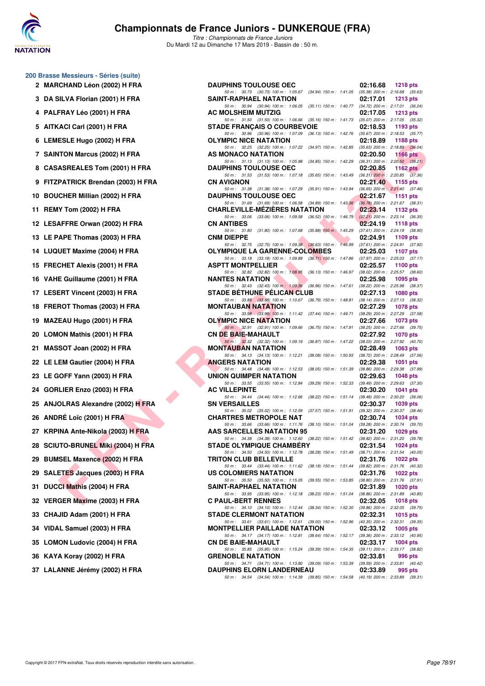

| 2  | 200 Brasse Messieurs - Séries (suite)<br><b>MARCHAND Léon (2002) H FRA</b> |
|----|----------------------------------------------------------------------------|
| 3  | DA SILVA Florian (2001) H FRA                                              |
| 4  | PALFRAY Léo (2001) H FRA                                                   |
| 5  | AITKACI Carl (2001) H FRA                                                  |
| 6  | LEMESLE Hugo (2002) H FRA                                                  |
| 7  | <b>SAINTON Marcus (2002) H FRA</b>                                         |
| 8  | <b>CASASREALES Tom (2001) H FRA</b>                                        |
| 9  | FITZPATRICK Brendan (2003) H FRA                                           |
| 10 | <b>BOUCHER Millian (2002) H FRA</b>                                        |
| 11 | REMY Tom (2002) H FRA                                                      |
| 12 | <b>LESAFFRE Orwan (2002) H FRA</b>                                         |
| 13 | LE PAPE Thomas (2003) H FRA                                                |
| 14 | <b>LUQUET Maxime (2004) H FRA</b>                                          |
| 15 | <b>FRECHET Alexis (2001) H FRA</b>                                         |
| 16 | VAHE Guillaume (2001) H FRA                                                |
| 17 | <b>LESERT Vincent (2003) H FRA</b>                                         |
| 18 | FREROT Thomas (2003) H FRA                                                 |
| 19 | MAZEAU Hugo (2001) H FRA                                                   |
| 20 | <b>LOMON Mathis (2001) H FRA</b>                                           |
| 21 | MASSOT Joan (2002) H FRA                                                   |
| 22 | LE LEM Gautier (2004) H FRA                                                |
| 23 | LE GOFF Yann (2003) H FRA                                                  |
| 24 | GORLIER Enzo (2003) H FRA                                                  |
| 25 | <b>ANJOLRAS Alexandre (2002) H FRA</b>                                     |
| 26 | <b>ANDRÉ Loïc (2001) H FRA</b>                                             |
| 27 | KRPINA Ante-Nikola (2003) H FRA                                            |
| 28 | SCIUTO-BRUNEL Miki (2004) H FRA                                            |
| 29 | <b>BUMSEL Maxence (2002) H FRA</b>                                         |
| 29 | <b>SALETES Jacques (2003) H FRA</b>                                        |
| 31 | DUCCI Mathis (2004) H FRA                                                  |
| 32 | VERGER Maxime (2003) H FRA                                                 |
| 33 | CHAJID Adam (2001) H FRA                                                   |
| 34 | VIDAL Samuel (2003) H FRA                                                  |
| 35 | <b>LOMON Ludovic (2004) H FRA</b>                                          |
| 36 | KAYA Koray (2002) H FRA                                                    |
| 37 | LALANNE Jérémy (2002) H FRA                                                |

| 2 MARCHAND Léon (2002) H FRA         | <b>DAUPHINS TOULOUSE OEC</b>                                                                                                                                                                                                 | 02:16.68 | <b>1218 pts</b> |
|--------------------------------------|------------------------------------------------------------------------------------------------------------------------------------------------------------------------------------------------------------------------------|----------|-----------------|
| 3 DA SILVA Florian (2001) H FRA      | 50 m: 30.73 (30.73) 100 m: 1:05.67 (34.94) 150 m: 1:41.05 (35.38) 200 m: 2:16.68 (35.63)<br><b>SAINT-RAPHAEL NATATION</b>                                                                                                    | 02:17.01 | 1213 $pts$      |
| 4 PALFRAY Léo (2001) H FRA           | 50 m: 30.94 (30.94) 100 m: 1:06.05 (35.11) 150 m: 1:40.77 (34.72) 200 m: 2:17.01 (36.24)<br>AC MOLSHEIM MUTZIG                                                                                                               | 02:17.05 | 1213 pts        |
| 5 AITKACI Carl (2001) H FRA          | 50 m: 31.50 (31.50) 100 m: 1:06.66 (35.16) 150 m: 1:41.73 (35.07) 200 m: 2:17.05 (35.32)<br><b>STADE FRANÇAIS O COURBEVOIE</b>                                                                                               | 02:18.53 | 1193 pts        |
| 6 LEMESLE Hugo (2002) H FRA          | 50 m: 30.96 (30.96) 100 m: 1:07.09 (36.13) 150 m: 1:42.76 (35.67) 200 m: 2:18.53 (35.77)<br><b>OLYMPIC NICE NATATION</b>                                                                                                     | 02:18.89 | 1188 $pts$      |
| 7 SAINTON Marcus (2002) H FRA        | 50 m: 32.25 (32.25) 100 m: 1:07.22 (34.97) 150 m: 1:42.85 (35.63) 200 m: 2:18.89 (36.04)<br>AS MONACO NATATION                                                                                                               | 02:20.50 | 1166 pts        |
| 8 CASASREALES Tom (2001) H FRA       | 50 m: 31.13 (31.13) 100 m: 1:05.98 (34.85) 150 m: 1:42.29 (36.31) 200 m: 2:20.50 (38.21)<br><b>DAUPHINS TOULOUSE OEC</b>                                                                                                     | 02:20.85 | 1162 $pts$      |
| 9 FITZPATRICK Brendan (2003) H FRA   | 50 m: 31.53 (31.53) 100 m: 1:07.18 (35.65) 150 m: 1:43.49 (36.31) 200 m: 2:20.85 (37.36)<br><b>CN AVIGNON</b>                                                                                                                | 02:21.40 | $1155$ pts      |
| 10 BOUCHER Millian (2002) H FRA      | 50 m: 31.38 (31.38) 100 m: 1:07.29 (35.91) 150 m: 1:43.94 (36.65) 200 m: 2:21.40 (37.46)<br><b>DAUPHINS TOULOUSE OEC</b>                                                                                                     | 02:21.67 | $1151$ pts      |
| 11 REMY Tom (2002) H FRA             | 50 m: 31.69 (31.69) 100 m: 1:06.58 (34.89) 150 m: 1:43.36 (36.78) 200 m: 2:21.67 (38.31)<br><b>CHARLEVILLE-MEZIERES NATATION</b>                                                                                             | 02:23.14 | 1132 pts        |
| 12 LESAFFRE Orwan (2002) H FRA       | 50 m: 33.06 (33.06) 100 m: 1:09.58 (36.52) 150 m: 1:46.79 (37.21) 200 m: 2:23.14 (36.35)<br><b>CN ANTIBES</b>                                                                                                                | 02:24.19 | 1118 pts        |
| 13 LE PAPE Thomas (2003) H FRA       | 50 m: 31.80 (31.80) 100 m: 1:07.68 (35.88) 150 m: 1:45.29 (37.61) 200 m: 2:24.19 (38.90)<br><b>CNM DIEPPE</b>                                                                                                                | 02:24.91 | 1109 pts        |
| 14 LUQUET Maxime (2004) H FRA        | 50 m: 32.75 (32.75) 100 m: 1:09.38 (36.63) 150 m: 1:46.99 (37.61) 200 m: 2:24.91 (37.92)<br><b>OLYMPIQUE LA GARENNE-COLOMBES</b>                                                                                             | 02:25.03 | 1107 pts        |
| 15 FRECHET Alexis (2001) H FRA       | 50 m: 33.18 (33.18) 100 m: 1:09.89 (36.71) 150 m: 1:47.86 (37.97) 200 m: 2:25.03 (37.17)<br><b>ASPTT MONTPELLIER</b>                                                                                                         | 02:25.57 | 1100 pts        |
| 16 VAHE Guillaume (2001) H FRA       | 50 m: 32.82 (32.82) 100 m: 1:08.95 (36.13) 150 m: 1:46.97 (38.02) 200 m: 2:25.57 (38.60)<br><b>NANTES NATATION</b>                                                                                                           | 02:25.98 | 1095 pts        |
| 17 LESERT Vincent (2003) H FRA       | 50 m: 32.43 (32.43) 100 m: 1:09.39 (36.96) 150 m: 1:47.61 (38.22) 200 m: 2:25.98 (38.37)<br><b>STADE BETHUNE PELICAN CLUB</b>                                                                                                | 02:27.13 | 1080 pts        |
| 18 FREROT Thomas (2003) H FRA        | 50 m: 33.88 (33.88) 100 m: 1:10.67 (36.79) 150 m: 1:48.81 (38.14) 200 m: 2:27.13 (38.32)<br><b>MONTAUBAN NATATION</b>                                                                                                        | 02:27.29 | 1078 pts        |
| 19 MAZEAU Hugo (2001) H FRA          | 50 m: 33.98 (33.98) 100 m: 1:11.42 (37.44) 150 m: 1:49.71 (38.29) 200 m: 2:27.29 (37.58)<br><b>OLYMPIC NICE NATATION</b>                                                                                                     | 02:27.66 | 1073 pts        |
| 20 LOMON Mathis (2001) H FRA         | 50 m: 32.91 (32.91) 100 m: 1.09.66 (36.75) 150 m: 1.47.91 (38.25) 200 m: 2.27.66 (39.75)<br><b>CN DE BAIE-MAHAULT</b>                                                                                                        | 02:27.92 | 1070 pts        |
| 21 MASSOT Joan (2002) H FRA          | 50 m: 32.32 (32.32) 100 m: 1.09.19 (36.87) 150 m: 1.47.22 (38.03) 200 m: 2.27.92 (40.70)<br><b>MONTAUBAN NATATION</b>                                                                                                        | 02:28.49 | 1063 $pts$      |
| 22 LE LEM Gautier (2004) H FRA       | 50 m: 34.13 (34.13) 100 m: 1:12.21 (38.08) 150 m: 1:50.93 (38.72) 200 m: 2:28.49 (37.56)<br><b>ANGERS NATATION</b>                                                                                                           | 02:29.38 | 1051 pts        |
| 23 LE GOFF Yann (2003) H FRA         | 50 m: 34.48 (34.48) 100 m: 1:12.53 (38.05) 150 m: 1:51.39 (38.86) 200 m: 2:29.38 (37.99)<br>UNION QUIMPER NATATION                                                                                                           | 02:29.63 | <b>1048 pts</b> |
| 24 GORLIER Enzo (2003) H FRA         | 50 m: 33.55 (33.55) 100 m: 1:12.84 (39.29) 150 m: 1:52.33 (39.49) 200 m: 2:29.63 (37.30)<br><b>AC VILLEPINTE</b>                                                                                                             | 02:30.20 | 1041 pts        |
| 25 ANJOLRAS Alexandre (2002) H FRA   | 50 m: 34.44 (34.44) 100 m: 1:12.66 (38.22) 150 m: 1:51.14 (38.48) 200 m: 2:30.20 (39.06)<br><b>SN VERSAILLES</b>                                                                                                             | 02:30.37 | 1039 pts        |
| 26 ANDRÉ Loïc (2001) H FRA           | 50 m: 35.02 (35.02) 100 m: 1:12.59 (37.57) 150 m: 1:51.91 (39.32) 200 m: 2:30.37 (38.46)<br><b>CHARTRES METROPOLE NAT</b>                                                                                                    | 02:30.74 | 1034 pts        |
| 27   KRPINA Ante-Nikola (2003) H FRA | 50 m: 33.66 (33.66) 100 m: 1:11.76 (38.10) 150 m: 1:51.04 (39.28) 200 m: 2:30.74 (39.70)<br>AAS SARCELLES NATATION 95                                                                                                        | 02:31.20 | 1029 pts        |
| 28 SCIUTO-BRUNEL Miki (2004) H FRA   | 50 m: 34.38 (34.38) 100 m: 1:12.60 (38.22) 150 m: 1:51.42 (38.82) 200 m: 2:31.20 (39.78)<br><b>STADE OLYMPIQUE CHAMBERY</b>                                                                                                  | 02:31.54 | 1024 pts        |
| 29 BUMSEL Maxence (2002) H FRA       | 50 m: 34.50 (34.50) 100 m: 1:12.78 (38.28) 150 m: 1:51.49 (38.71) 200 m: 2:31.54 (40.05)<br><b>TRITON CLUB BELLEVILLE</b>                                                                                                    | 02:31.76 | 1022 $pts$      |
| 29   SALETES Jacques (2003) H FRA    | 50 m: 33.44 (33.44) 100 m: 1:11.62 (38.18) 150 m: 1:51.44 (39.82) 200 m: 2:31.76 (40.32)<br>US COLOMIERS NATATION                                                                                                            | 02:31.76 | 1022 pts        |
| 31 DUCCI Mathis (2004) H FRA         | 50 m: 35.50 (35.50) 100 m: 1:15.05 (39.55) 150 m: 1:53.85 (38.80) 200 m: 2:31.76 (37.91)<br>SAINT-RAPHAEL NATATION                                                                                                           | 02:31.89 | 1020 pts        |
| 32 VERGER Maxime (2003) H FRA        | 50 m: 33.95 (33.95) 100 m: 1:12.18 (38.23) 150 m: 1:51.04 (38.86) 200 m: 2:31.89 (40.85)<br><b>C PAUL-BERT RENNES</b><br>50 m: 34.10 (34.10) 100 m: 1:12.44 (38.34) 150 m: 1:52.30 (39.86) 200 m: 2:32.05 (39.75)            | 02:32.05 | <b>1018 pts</b> |
| 33 CHAJID Adam (2001) H FRA          | <b>STADE CLERMONT NATATION</b>                                                                                                                                                                                               | 02:32.31 | $1015$ pts      |
| 34 VIDAL Samuel (2003) H FRA         | 50 m: 33.61 (33.61) 100 m: 1:12.61 (39.00) 150 m: 1:52.96 (40.35) 200 m: 2:32.31 (39.35)<br><b>MONTPELLIER PAILLADE NATATION</b><br>50 m: 34.17 (34.17) 100 m: 1:12.81 (38.64) 150 m: 1:52.17 (39.36) 200 m: 2:33.12 (40.95) | 02:33.12 | 1005 pts        |
| 35 LOMON Ludovic (2004) H FRA        | <b>CN DE BAIE-MAHAULT</b>                                                                                                                                                                                                    | 02:33.17 | 1004 pts        |
| 36 KAYA Koray (2002) H FRA           | 50 m: 35.85 (35.85) 100 m: 1:15.24 (39.39) 150 m: 1:54.35 (39.11) 200 m: 2:33.17 (38.82)<br><b>GRENOBLE NATATION</b>                                                                                                         | 02:33.81 | 996 pts         |
| 37 LALANNE Jérémy (2002) H FRA       | 50 m: 34.71 (34.71) 100 m: 1:13.80 (39.09) 150 m: 1:53.39 (39.59) 200 m: 2:33.81 (40.42)<br><b>DAUPHINS ELORN LANDERNEAU</b>                                                                                                 | 02:33.89 | 995 pts         |
|                                      | 50 m: 34.54 (34.54) 100 m: 1:14.39 (39.85) 150 m: 1:54.58 (40.19) 200 m: 2:33.89 (39.31)                                                                                                                                     |          |                 |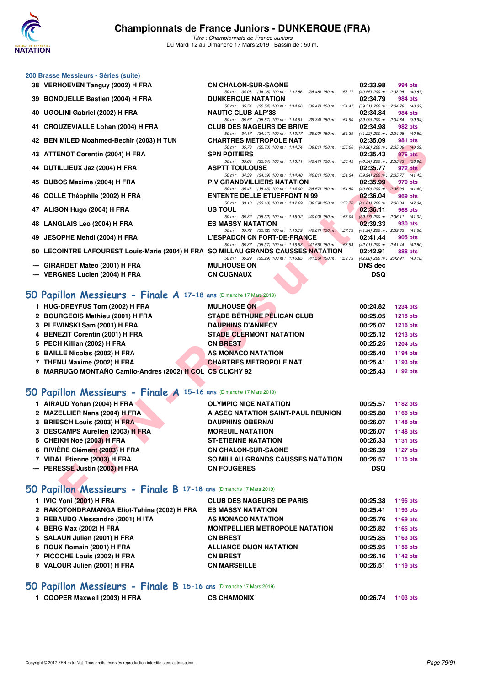

*Titre : Championnats de France Juniors* Du Mardi 12 au Dimanche 17 Mars 2019 - Bassin de : 50 m.

| 200 Brasse Messieurs - Séries (suite)                                                    |                                                                                                                                 |                |                                                |  |  |
|------------------------------------------------------------------------------------------|---------------------------------------------------------------------------------------------------------------------------------|----------------|------------------------------------------------|--|--|
| 38 VERHOEVEN Tanguy (2002) H FRA                                                         | <b>CN CHALON-SUR-SAONE</b>                                                                                                      | 02:33.98       | 994 pts                                        |  |  |
| 39 BONDUELLE Bastien (2004) H FRA                                                        | 50 m: 34.08 (34.08) 100 m: 1:12.56 (38.48) 150 m: 1:53.11 (40.55) 200 m: 2:33.98 (40.87)<br><b>DUNKERQUE NATATION</b>           | 02:34.79       | 984 pts                                        |  |  |
| 40 UGOLINI Gabriel (2002) H FRA                                                          | 50 m: 35.54 (35.54) 100 m: 1:14.96 (39.42) 150 m: 1:54.47 (39.51) 200 m: 2:34.79 (40.32)<br><b>NAUTIC CLUB ALP'38</b>           | 02:34.84       | 984 pts                                        |  |  |
| 41 CROUZEVIALLE Lohan (2004) H FRA                                                       | 50 m: 35.57 (35.57) 100 m: 1:14.91 (39.34) 150 m: 1:54.90 (39.99) 200 m: 2:34.84 (39.94)<br><b>CLUB DES NAGEURS DE BRIVE</b>    | 02:34.98       | 982 pts                                        |  |  |
| 42 BEN MILED Moahmed-Bechir (2003) H TUN                                                 | 50 m: 34.17 (34.17) 100 m: 1:13.17 (39.00) 150 m: 1:54.39 (41.22) 200 m: 2:34.98 (40.59)                                        |                |                                                |  |  |
|                                                                                          | <b>CHARTRES METROPOLE NAT</b><br>50 m: 35.73 (35.73) 100 m: 1:14.74 (39.01) 150 m: 1:55.00 (40.26) 200 m: 2:35.09 (40.09)       | 02:35.09       | 981 pts                                        |  |  |
| 43 ATTENOT Corentin (2004) H FRA                                                         | <b>SPN POITIERS</b><br>50 m: 35.64 (35.64) 100 m: 1:16.11 (40.47) 150 m: 1:56.45 (40.34) 200 m: 2:35.43 (38.98)                 | 02:35.43       | 976 pts                                        |  |  |
| 44 DUTILLIEUX Jaz (2004) H FRA                                                           | <b>ASPTT TOULOUSE</b>                                                                                                           | 02:35.77       | 972 pts                                        |  |  |
| 45 DUBOS Maxime (2004) H FRA                                                             | 50 m: 34.39 (34.39) 100 m: 1:14.40 (40.01) 150 m: 1:54.34 (39.94) 200 m: 2:35.77 (41.43)<br><b>P.V GRANDVILLIERS NATATION</b>   | 02:35.99       | 970 pts                                        |  |  |
| 46 COLLE Théophile (2002) H FRA                                                          | 50 m: 35.43 (35.43) 100 m: 1:14.00 (38.57) 150 m: 1:54.50 (40.50) 200 m: 2:35.99 (41.49)<br><b>ENTENTE DELLE ETUEFFONT N 99</b> | 02:36.04       | 969 pts                                        |  |  |
| 47 ALISON Hugo (2004) H FRA                                                              | 50 m: 33.10 (33.10) 100 m: 1:12.69 (39.59) 150 m: 1:53.70 (41.01) 200 m: 2:36.04 (42.34)<br>US TOUL                             | 02:36.11       | 968 pts                                        |  |  |
| 48 LANGLAIS Leo (2004) H FRA                                                             | 50 m: 35.32 (35.32) 100 m: 1:15.32 (40.00) 150 m: 1:55.09<br><b>ES MASSY NATATION</b>                                           | 02:39.33       | $(39.77)$ 200 m : 2:36.11 $(41.02)$<br>930 pts |  |  |
|                                                                                          | 50 m: 35.72 (35.72) 100 m: 1:15.79 (40.07) 150 m: 1:57.73 (41.94) 200 m: 2:39.33 (41.60)                                        |                |                                                |  |  |
| 49 JESOPHE Mehdi (2004) H FRA                                                            | <b>L'ESPADON CN FORT-DE-FRANCE</b><br>50 m: 35.37 (35.37) 100 m: 1:16.93 (41.56) 150 m: 1:58.94 (42.01) 200 m: 2:41.44 (42.50)  | 02:41.44       | 905 pts                                        |  |  |
| 50 LECOINTRE LAFOUREST Louis-Marie (2004) H FRA SO MILLAU GRANDS CAUSSES NATATION        |                                                                                                                                 | 02:42.91       | 888 pts                                        |  |  |
| GIRARDET Mateo (2001) H FRA                                                              | 50 m: 35.29 (35.29) 100 m: 1:16.85 (41.56) 150 m: 1:59.73 (42.88) 200 m: 2:42.91 (43.18)<br><b>MULHOUSE ON</b>                  | <b>DNS dec</b> |                                                |  |  |
| --- VERGNES Lucien (2004) H FRA                                                          | <b>CN CUGNAUX</b>                                                                                                               | <b>DSQ</b>     |                                                |  |  |
|                                                                                          |                                                                                                                                 |                |                                                |  |  |
|                                                                                          |                                                                                                                                 |                |                                                |  |  |
|                                                                                          |                                                                                                                                 |                |                                                |  |  |
| 50 Papillon Messieurs - Finale A 17-18 ans (Dimanche 17 Mars 2019)                       | <b>MULHOUSE ON</b>                                                                                                              | 00:24.82       | <b>1234 pts</b>                                |  |  |
| 1 HUG-DREYFUS Tom (2002) H FRA                                                           | <b>STADE BETHUNE PELICAN CLUB</b>                                                                                               | 00:25.05       |                                                |  |  |
| 2 BOURGEOIS Mathieu (2001) H FRA<br>3 PLEWINSKI Sam (2001) H FRA                         | <b>DAUPHINS D'ANNECY</b>                                                                                                        | 00:25.07       | <b>1218 pts</b><br><b>1216 pts</b>             |  |  |
|                                                                                          | <b>STADE CLERMONT NATATION</b>                                                                                                  | 00:25.12       | <b>1213 pts</b>                                |  |  |
| 4 BENEZIT Corentin (2001) H FRA                                                          | <b>CN BREST</b>                                                                                                                 | 00:25.25       | <b>1204 pts</b>                                |  |  |
| 5 PECH Killian (2002) H FRA                                                              | <b>AS MONACO NATATION</b>                                                                                                       | 00:25.40       |                                                |  |  |
| 6 BAILLE Nicolas (2002) H FRA                                                            | <b>CHARTRES METROPOLE NAT</b>                                                                                                   | 00:25.41       | 1194 pts                                       |  |  |
| 7 THENU Maxime (2002) H FRA<br>8 MARRUGO MONTAÑO Camilo-Andres (2002) H COL CS CLICHY 92 |                                                                                                                                 | 00:25.43       | 1193 pts<br>1192 pts                           |  |  |
|                                                                                          |                                                                                                                                 |                |                                                |  |  |
| 50 Papillon Messieurs - Finale A 15-16 ans (Dimanche 17 Mars 2019)                       |                                                                                                                                 |                |                                                |  |  |
| 1 AIRAUD Yohan (2004) H FRA                                                              | <b>OLYMPIC NICE NATATION</b>                                                                                                    | 00:25.57       | 1182 pts                                       |  |  |
|                                                                                          | A ASEC NATATION SAINT-PAUL REUNION                                                                                              | 00:25.80       | <b>1166 pts</b>                                |  |  |
| 2 MAZELLIER Nans (2004) H FRA<br>3 BRIESCH Louis (2003) H FRA                            | <b>DAUPHINS OBERNAI</b>                                                                                                         | 00:26.07       | <b>1148 pts</b>                                |  |  |
| 3 DESCAMPS Aurelien (2003) H FRA                                                         | <b>MOREUIL NATATION</b>                                                                                                         | 00:26.07       | <b>1148 pts</b>                                |  |  |
| 5 CHEIKH Noé (2003) H FRA                                                                | <b>ST-ETIENNE NATATION</b>                                                                                                      | 00:26.33       | <b>1131 pts</b>                                |  |  |
| 6 RIVIÈRE Clément (2003) H FRA                                                           | <b>CN CHALON-SUR-SAONE</b>                                                                                                      | 00:26.39       | <b>1127 pts</b>                                |  |  |
| 7 VIDAL Etienne (2003) H FRA                                                             | <b>SO MILLAU GRANDS CAUSSES NATATION</b>                                                                                        | 00:26.57       | 1115 pts                                       |  |  |
| --- PERESSE Justin (2003) H FRA                                                          | <b>CN FOUGERES</b>                                                                                                              | <b>DSQ</b>     |                                                |  |  |
|                                                                                          |                                                                                                                                 |                |                                                |  |  |
| 50 Papillon Messieurs - Finale B 17-18 ans (Dimanche 17 Mars 2019)                       |                                                                                                                                 |                |                                                |  |  |

### **[50 Papillon Messieurs - Finale A](http://www.ffnatation.fr/webffn/resultats.php?idact=nat&go=epr&idcpt=59271&idepr=81) 17-18 ans** (Dimanche 17 Mars 2019)

| 1 HUG-DREYFUS Tom (2002) H FRA                            | <b>MULHOUSE ON</b>                | 00:24.82 | 1234 pts        |
|-----------------------------------------------------------|-----------------------------------|----------|-----------------|
| 2 BOURGEOIS Mathieu (2001) H FRA                          | <b>STADE BÉTHUNE PÉLICAN CLUB</b> | 00:25.05 | <b>1218 pts</b> |
| 3 PLEWINSKI Sam (2001) H FRA                              | <b>DAUPHINS D'ANNECY</b>          | 00:25.07 | <b>1216 pts</b> |
| 4 BENEZIT Corentin (2001) H FRA                           | <b>STADE CLERMONT NATATION</b>    | 00:25.12 | <b>1213 pts</b> |
| 5 PECH Killian (2002) H FRA                               | <b>CN BREST</b>                   | 00:25.25 | <b>1204 pts</b> |
| 6 BAILLE Nicolas (2002) H FRA                             | <b>AS MONACO NATATION</b>         | 00:25.40 | 1194 pts        |
| 7 THENU Maxime (2002) H FRA                               | <b>CHARTRES METROPOLE NAT</b>     | 00:25.41 | 1193 pts        |
| 8 MARRUGO MONTAÑO Camilo-Andres (2002) H COL CS CLICHY 92 |                                   | 00:25.43 | 1192 pts        |
|                                                           |                                   |          |                 |

#### **[50 Papillon Messieurs - Finale A](http://www.ffnatation.fr/webffn/resultats.php?idact=nat&go=epr&idcpt=59271&idepr=81) 15-16 ans** (Dimanche 17 Mars 2019)

| 1 AIRAUD Yohan (2004) H FRA      | <b>OLYMPIC NICE NATATION</b>             | 00:25.57   | 1182 pts        |
|----------------------------------|------------------------------------------|------------|-----------------|
| 2 MAZELLIER Nans (2004) H FRA    | A ASEC NATATION SAINT-PAUL REUNION       | 00:25.80   | 1166 pts        |
| 3 BRIESCH Louis (2003) H FRA     | <b>DAUPHINS OBERNAI</b>                  | 00:26.07   | 1148 pts        |
| 3 DESCAMPS Aurelien (2003) H FRA | <b>MOREUIL NATATION</b>                  | 00:26.07   | <b>1148 pts</b> |
| 5 CHEIKH Noé (2003) H FRA        | <b>ST-ETIENNE NATATION</b>               | 00:26.33   | 1131 pts        |
| 6 RIVIÈRE Clément (2003) H FRA   | <b>CN CHALON-SUR-SAONE</b>               | 00:26.39   | <b>1127 pts</b> |
| 7 VIDAL Etienne (2003) H FRA     | <b>SO MILLAU GRANDS CAUSSES NATATION</b> | 00:26.57   | 1115 pts        |
| --- PERESSE Justin (2003) H FRA  | <b>CN FOUGÈRES</b>                       | <b>DSQ</b> |                 |
|                                  |                                          |            |                 |

## **[50 Papillon Messieurs - Finale B](http://www.ffnatation.fr/webffn/resultats.php?idact=nat&go=epr&idcpt=59271&idepr=81) 17-18 ans** (Dimanche 17 Mars 2019)

| 1 IVIC Yoni (2001) H FRA                    | <b>CLUB DES NAGEURS DE PARIS</b>      | 00:25.38 | 1195 pts        |
|---------------------------------------------|---------------------------------------|----------|-----------------|
| 2 RAKOTONDRAMANGA Eliot-Tahina (2002) H FRA | <b>ES MASSY NATATION</b>              | 00:25.41 | 1193 pts        |
| 3 REBAUDO Alessandro (2001) H ITA           | AS MONACO NATATION                    | 00:25.76 | 1169 pts        |
| 4 BERG Max (2002) H FRA                     | <b>MONTPELLIER METROPOLE NATATION</b> | 00:25.82 | 1165 pts        |
| 5 SALAUN Julien (2001) H FRA                | <b>CN BREST</b>                       | 00:25.85 | 1163 pts        |
| 6 ROUX Romain (2001) H FRA                  | <b>ALLIANCE DIJON NATATION</b>        | 00:25.95 | 1156 pts        |
| 7 PICOCHE Louis (2002) H FRA                | <b>CN BREST</b>                       | 00:26.16 | 1142 pts        |
| 8 VALOUR Julien (2001) H FRA                | <b>CN MARSEILLE</b>                   | 00:26.51 | <b>1119 pts</b> |
|                                             |                                       |          |                 |

## **[50 Papillon Messieurs - Finale B](http://www.ffnatation.fr/webffn/resultats.php?idact=nat&go=epr&idcpt=59271&idepr=81) 15-16 ans** (Dimanche 17 Mars 2019)

| 1 COOPER Maxwell (2003) H FRA | <b>CS CHAMONIX</b> | 00:26.74 | 1103 pts |
|-------------------------------|--------------------|----------|----------|
|                               |                    |          |          |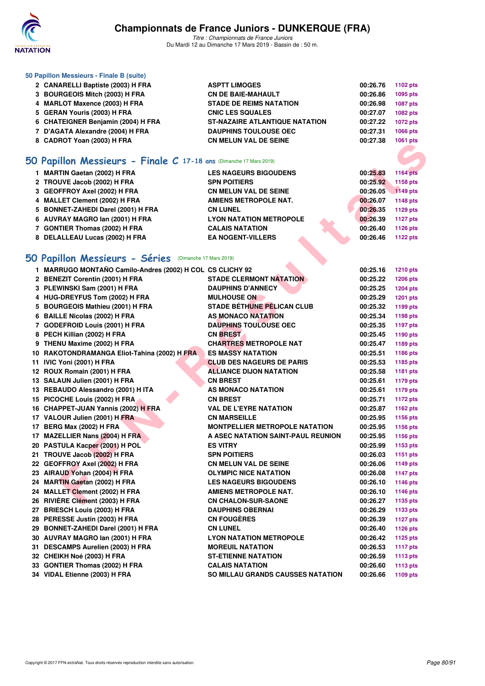

*Titre : Championnats de France Juniors* Du Mardi 12 au Dimanche 17 Mars 2019 - Bassin de : 50 m.

| 50 Papillon Messieurs - Finale B (suite) |                                       |          |          |
|------------------------------------------|---------------------------------------|----------|----------|
| 2 CANARELLI Baptiste (2003) H FRA        | <b>ASPTT LIMOGES</b>                  | 00:26.76 | 1102 pts |
| 3 BOURGEOIS Mitch (2003) H FRA           | <b>CN DE BAIE-MAHAULT</b>             | 00:26.86 | 1095 pts |
| 4 MARLOT Maxence (2003) H FRA            | <b>STADE DE REIMS NATATION</b>        | 00:26.98 | 1087 pts |
| 5 GERAN Youris (2003) H FRA              | <b>CNIC LES SQUALES</b>               | 00:27.07 | 1082 pts |
| 6 CHATEIGNER Benjamin (2004) H FRA       | <b>ST-NAZAIRE ATLANTIQUE NATATION</b> | 00:27.22 | 1072 pts |
| 7 D'AGATA Alexandre (2004) H FRA         | <b>DAUPHINS TOULOUSE OEC</b>          | 00:27.31 | 1066 pts |
| 8 CADROT Yoan (2003) H FRA               | <b>CN MELUN VAL DE SEINE</b>          | 00:27.38 | 1061 pts |
|                                          |                                       |          |          |

#### **[50 Papillon Messieurs - Finale C](http://www.ffnatation.fr/webffn/resultats.php?idact=nat&go=epr&idcpt=59271&idepr=81) 17-18 ans** (Dimanche 17 Mars 2019)

| 1 MARTIN Gaetan (2002) H FRA       | <b>LES NAGEURS BIGOUDENS</b>   | 00:25.83 | 1164 pts |
|------------------------------------|--------------------------------|----------|----------|
| 2 TROUVE Jacob (2002) H FRA        | <b>SPN POITIERS</b>            | 00:25.92 | 1158 pts |
| 3 GEOFFROY Axel (2002) H FRA       | <b>CN MELUN VAL DE SEINE</b>   | 00:26.05 | 1149 pts |
| 4 MALLET Clement (2002) H FRA      | AMIENS METROPOLE NAT.          | 00:26.07 | 1148 pts |
| 5 BONNET-ZAHEDI Darel (2001) H FRA | <b>CN LUNEL</b>                | 00:26.35 | 1129 pts |
| 6 AUVRAY MAGRO Ian (2001) H FRA    | <b>LYON NATATION METROPOLE</b> | 00:26.39 | 1127 pts |
| 7 GONTIER Thomas (2002) H FRA      | <b>CALAIS NATATION</b>         | 00:26.40 | 1126 pts |
| 8 DELALLEAU Lucas (2002) H FRA     | <b>EA NOGENT-VILLERS</b>       | 00:26.46 | 1122 pts |
|                                    |                                |          |          |

## **[50 Papillon Messieurs - Séries](http://www.ffnatation.fr/webffn/resultats.php?idact=nat&go=epr&idcpt=59271&idepr=81)** (Dimanche 17 Mars 2019)

| O Papillon Messieurs - Finale C 17-18 ans (Dimanche 17 Mars 2019)<br>1 MARTIN Gaetan (2002) H FRA<br><b>LES NAGEURS BIGOUDENS</b><br>00:25.83<br><b>1164 pts</b><br>2 TROUVE Jacob (2002) H FRA<br><b>SPN POITIERS</b><br>00:25.92<br>1158 pts<br>3 GEOFFROY Axel (2002) H FRA<br>00:26.05<br>1149 pts<br><b>CN MELUN VAL DE SEINE</b><br>4 MALLET Clement (2002) H FRA<br><b>AMIENS METROPOLE NAT.</b><br>00:26.07<br>1148 pts<br>5 BONNET-ZAHEDI Darel (2001) H FRA<br>00:26.35<br>1129 pts<br><b>CN LUNEL</b><br>6 AUVRAY MAGRO lan (2001) H FRA<br><b>LYON NATATION METROPOLE</b><br>00:26.39<br><b>1127 pts</b><br>7 GONTIER Thomas (2002) H FRA<br><b>CALAIS NATATION</b><br>00:26.40<br><b>1126 pts</b><br>8 DELALLEAU Lucas (2002) H FRA<br><b>EA NOGENT-VILLERS</b><br>00:26.46<br><b>1122 pts</b><br>O Papillon Messieurs - Séries (Dimanche 17 Mars 2019)<br>1 MARRUGO MONTAÑO Camilo-Andres (2002) H COL CS CLICHY 92<br>00:25.16<br><b>1210 pts</b><br>2 BENEZIT Corentin (2001) H FRA<br><b>STADE CLERMONT NATATION</b><br>00:25.22<br><b>1206 pts</b><br>3 PLEWINSKI Sam (2001) H FRA<br><b>DAUPHINS D'ANNECY</b><br>00:25.25<br>1204 pts<br>4 HUG-DREYFUS Tom (2002) H FRA<br><b>MULHOUSE ON</b><br>00:25.29<br><b>1201 pts</b><br><b>STADE BÉTHUNE PÉLICAN CLUB</b><br>5 BOURGEOIS Mathieu (2001) H FRA<br>00:25.32<br>1199 pts<br><b>AS MONACO NATATION</b><br>6 BAILLE Nicolas (2002) H FRA<br>00:25.34<br>1198 pts<br>7 GODEFROID Louis (2001) H FRA<br><b>DAUPHINS TOULOUSE OEC</b><br>00:25.35<br>1197 pts<br>8 PECH Killian (2002) H FRA<br><b>CN BREST</b><br>00:25.45<br>1190 pts<br>9 THENU Maxime (2002) H FRA<br><b>CHARTRES METROPOLE NAT</b><br>00:25.47<br>1189 pts<br>10 RAKOTONDRAMANGA Eliot-Tahina (2002) H FRA<br><b>ES MASSY NATATION</b><br>00:25.51<br>1186 pts<br>11 IVIC Yoni (2001) H FRA<br><b>CLUB DES NAGEURS DE PARIS</b><br>00:25.53<br>1185 pts<br>12 ROUX Romain (2001) H FRA<br><b>ALLIANCE DIJON NATATION</b><br>00:25.58<br>1181 pts<br>13 SALAUN Julien (2001) H FRA<br><b>CN BREST</b><br>00:25.61<br>1179 pts<br><b>AS MONACO NATATION</b><br>13 REBAUDO Alessandro (2001) H ITA<br>00:25.61<br>1179 pts<br>15 PICOCHE Louis (2002) H FRA<br><b>CN BREST</b><br>00:25.71<br><b>1172 pts</b><br><b>VAL DE L'EYRE NATATION</b><br>16 CHAPPET-JUAN Yannis (2002) H FRA<br>00:25.87<br>1162 pts<br>17 VALOUR Julien (2001) H FRA<br><b>CN MARSEILLE</b><br>00:25.95<br>1156 pts<br>MONTPELLIER METROPOLE NATATION<br>17 BERG Max (2002) H FRA<br>00:25.95<br>1156 pts<br>17 MAZELLIER Nans (2004) H FRA<br>A ASEC NATATION SAINT-PAUL REUNION<br>00:25.95<br>1156 pts<br>20 PASTULA Kacper (2001) H POL<br>00:25.99<br><b>ES VITRY</b><br>1153 pts<br>21 TROUVE Jacob (2002) H FRA<br>00:26.03<br><b>SPN POITIERS</b><br><b>1151 pts</b><br>22 GEOFFROY Axel (2002) H FRA<br><b>CN MELUN VAL DE SEINE</b><br>00:26.06<br>1149 pts<br>23 AIRAUD Yohan (2004) H FRA<br><b>OLYMPIC NICE NATATION</b><br>00:26.08<br><b>1147 pts</b><br>24 MARTIN Gaetan (2002) H FRA<br><b>LES NAGEURS BIGOUDENS</b><br>00:26.10<br><b>1146 pts</b><br>24 MALLET Clement (2002) H FRA<br>00:26.10<br>AMIENS METROPOLE NAT.<br><b>1146 pts</b><br>26 RIVIERE Clément (2003) H FRA<br><b>CN CHALON-SUR-SAONE</b><br>00:26.27<br>1135 pts<br>27 BRIESCH Louis (2003) H FRA<br><b>DAUPHINS OBERNAI</b><br>00:26.29<br>1133 pts<br>28 PERESSE Justin (2003) H FRA<br><b>CN FOUGERES</b><br>00:26.39<br><b>1127 pts</b><br>29 BONNET-ZAHEDI Darel (2001) H FRA<br><b>CN LUNEL</b><br>00:26.40<br><b>1126 pts</b><br>30 AUVRAY MAGRO lan (2001) H FRA<br>00:26.42<br><b>LYON NATATION METROPOLE</b><br><b>1125 pts</b><br>31 DESCAMPS Aurelien (2003) H FRA<br><b>MOREUIL NATATION</b><br>00:26.53<br><b>1117 pts</b><br>32 CHEIKH Noé (2003) H FRA<br><b>ST-ETIENNE NATATION</b><br>00:26.59<br>1113 pts<br>33 GONTIER Thomas (2002) H FRA<br><b>CALAIS NATATION</b><br>00:26.60<br><b>1113 pts</b><br>34 VIDAL Etienne (2003) H FRA<br>SO MILLAU GRANDS CAUSSES NATATION<br>00:26.66<br>1109 pts | 0 UADNUT TUAII (2003) II FRA |  | <b>TUUT PIS</b> |
|-----------------------------------------------------------------------------------------------------------------------------------------------------------------------------------------------------------------------------------------------------------------------------------------------------------------------------------------------------------------------------------------------------------------------------------------------------------------------------------------------------------------------------------------------------------------------------------------------------------------------------------------------------------------------------------------------------------------------------------------------------------------------------------------------------------------------------------------------------------------------------------------------------------------------------------------------------------------------------------------------------------------------------------------------------------------------------------------------------------------------------------------------------------------------------------------------------------------------------------------------------------------------------------------------------------------------------------------------------------------------------------------------------------------------------------------------------------------------------------------------------------------------------------------------------------------------------------------------------------------------------------------------------------------------------------------------------------------------------------------------------------------------------------------------------------------------------------------------------------------------------------------------------------------------------------------------------------------------------------------------------------------------------------------------------------------------------------------------------------------------------------------------------------------------------------------------------------------------------------------------------------------------------------------------------------------------------------------------------------------------------------------------------------------------------------------------------------------------------------------------------------------------------------------------------------------------------------------------------------------------------------------------------------------------------------------------------------------------------------------------------------------------------------------------------------------------------------------------------------------------------------------------------------------------------------------------------------------------------------------------------------------------------------------------------------------------------------------------------------------------------------------------------------------------------------------------------------------------------------------------------------------------------------------------------------------------------------------------------------------------------------------------------------------------------------------------------------------------------------------------------------------------------------------------------------------------------------------------------------------------------------------------------------------------------------------------------------------------------------------------------------------------------------------------------------------------------------------------------------------------------------------------------------------------------------------------------------------------------------------------------------------------------|------------------------------|--|-----------------|
|                                                                                                                                                                                                                                                                                                                                                                                                                                                                                                                                                                                                                                                                                                                                                                                                                                                                                                                                                                                                                                                                                                                                                                                                                                                                                                                                                                                                                                                                                                                                                                                                                                                                                                                                                                                                                                                                                                                                                                                                                                                                                                                                                                                                                                                                                                                                                                                                                                                                                                                                                                                                                                                                                                                                                                                                                                                                                                                                                                                                                                                                                                                                                                                                                                                                                                                                                                                                                                                                                                                                                                                                                                                                                                                                                                                                                                                                                                                                                                                                                             |                              |  |                 |
|                                                                                                                                                                                                                                                                                                                                                                                                                                                                                                                                                                                                                                                                                                                                                                                                                                                                                                                                                                                                                                                                                                                                                                                                                                                                                                                                                                                                                                                                                                                                                                                                                                                                                                                                                                                                                                                                                                                                                                                                                                                                                                                                                                                                                                                                                                                                                                                                                                                                                                                                                                                                                                                                                                                                                                                                                                                                                                                                                                                                                                                                                                                                                                                                                                                                                                                                                                                                                                                                                                                                                                                                                                                                                                                                                                                                                                                                                                                                                                                                                             |                              |  |                 |
|                                                                                                                                                                                                                                                                                                                                                                                                                                                                                                                                                                                                                                                                                                                                                                                                                                                                                                                                                                                                                                                                                                                                                                                                                                                                                                                                                                                                                                                                                                                                                                                                                                                                                                                                                                                                                                                                                                                                                                                                                                                                                                                                                                                                                                                                                                                                                                                                                                                                                                                                                                                                                                                                                                                                                                                                                                                                                                                                                                                                                                                                                                                                                                                                                                                                                                                                                                                                                                                                                                                                                                                                                                                                                                                                                                                                                                                                                                                                                                                                                             |                              |  |                 |
|                                                                                                                                                                                                                                                                                                                                                                                                                                                                                                                                                                                                                                                                                                                                                                                                                                                                                                                                                                                                                                                                                                                                                                                                                                                                                                                                                                                                                                                                                                                                                                                                                                                                                                                                                                                                                                                                                                                                                                                                                                                                                                                                                                                                                                                                                                                                                                                                                                                                                                                                                                                                                                                                                                                                                                                                                                                                                                                                                                                                                                                                                                                                                                                                                                                                                                                                                                                                                                                                                                                                                                                                                                                                                                                                                                                                                                                                                                                                                                                                                             |                              |  |                 |
|                                                                                                                                                                                                                                                                                                                                                                                                                                                                                                                                                                                                                                                                                                                                                                                                                                                                                                                                                                                                                                                                                                                                                                                                                                                                                                                                                                                                                                                                                                                                                                                                                                                                                                                                                                                                                                                                                                                                                                                                                                                                                                                                                                                                                                                                                                                                                                                                                                                                                                                                                                                                                                                                                                                                                                                                                                                                                                                                                                                                                                                                                                                                                                                                                                                                                                                                                                                                                                                                                                                                                                                                                                                                                                                                                                                                                                                                                                                                                                                                                             |                              |  |                 |
|                                                                                                                                                                                                                                                                                                                                                                                                                                                                                                                                                                                                                                                                                                                                                                                                                                                                                                                                                                                                                                                                                                                                                                                                                                                                                                                                                                                                                                                                                                                                                                                                                                                                                                                                                                                                                                                                                                                                                                                                                                                                                                                                                                                                                                                                                                                                                                                                                                                                                                                                                                                                                                                                                                                                                                                                                                                                                                                                                                                                                                                                                                                                                                                                                                                                                                                                                                                                                                                                                                                                                                                                                                                                                                                                                                                                                                                                                                                                                                                                                             |                              |  |                 |
|                                                                                                                                                                                                                                                                                                                                                                                                                                                                                                                                                                                                                                                                                                                                                                                                                                                                                                                                                                                                                                                                                                                                                                                                                                                                                                                                                                                                                                                                                                                                                                                                                                                                                                                                                                                                                                                                                                                                                                                                                                                                                                                                                                                                                                                                                                                                                                                                                                                                                                                                                                                                                                                                                                                                                                                                                                                                                                                                                                                                                                                                                                                                                                                                                                                                                                                                                                                                                                                                                                                                                                                                                                                                                                                                                                                                                                                                                                                                                                                                                             |                              |  |                 |
|                                                                                                                                                                                                                                                                                                                                                                                                                                                                                                                                                                                                                                                                                                                                                                                                                                                                                                                                                                                                                                                                                                                                                                                                                                                                                                                                                                                                                                                                                                                                                                                                                                                                                                                                                                                                                                                                                                                                                                                                                                                                                                                                                                                                                                                                                                                                                                                                                                                                                                                                                                                                                                                                                                                                                                                                                                                                                                                                                                                                                                                                                                                                                                                                                                                                                                                                                                                                                                                                                                                                                                                                                                                                                                                                                                                                                                                                                                                                                                                                                             |                              |  |                 |
|                                                                                                                                                                                                                                                                                                                                                                                                                                                                                                                                                                                                                                                                                                                                                                                                                                                                                                                                                                                                                                                                                                                                                                                                                                                                                                                                                                                                                                                                                                                                                                                                                                                                                                                                                                                                                                                                                                                                                                                                                                                                                                                                                                                                                                                                                                                                                                                                                                                                                                                                                                                                                                                                                                                                                                                                                                                                                                                                                                                                                                                                                                                                                                                                                                                                                                                                                                                                                                                                                                                                                                                                                                                                                                                                                                                                                                                                                                                                                                                                                             |                              |  |                 |
|                                                                                                                                                                                                                                                                                                                                                                                                                                                                                                                                                                                                                                                                                                                                                                                                                                                                                                                                                                                                                                                                                                                                                                                                                                                                                                                                                                                                                                                                                                                                                                                                                                                                                                                                                                                                                                                                                                                                                                                                                                                                                                                                                                                                                                                                                                                                                                                                                                                                                                                                                                                                                                                                                                                                                                                                                                                                                                                                                                                                                                                                                                                                                                                                                                                                                                                                                                                                                                                                                                                                                                                                                                                                                                                                                                                                                                                                                                                                                                                                                             |                              |  |                 |
|                                                                                                                                                                                                                                                                                                                                                                                                                                                                                                                                                                                                                                                                                                                                                                                                                                                                                                                                                                                                                                                                                                                                                                                                                                                                                                                                                                                                                                                                                                                                                                                                                                                                                                                                                                                                                                                                                                                                                                                                                                                                                                                                                                                                                                                                                                                                                                                                                                                                                                                                                                                                                                                                                                                                                                                                                                                                                                                                                                                                                                                                                                                                                                                                                                                                                                                                                                                                                                                                                                                                                                                                                                                                                                                                                                                                                                                                                                                                                                                                                             |                              |  |                 |
|                                                                                                                                                                                                                                                                                                                                                                                                                                                                                                                                                                                                                                                                                                                                                                                                                                                                                                                                                                                                                                                                                                                                                                                                                                                                                                                                                                                                                                                                                                                                                                                                                                                                                                                                                                                                                                                                                                                                                                                                                                                                                                                                                                                                                                                                                                                                                                                                                                                                                                                                                                                                                                                                                                                                                                                                                                                                                                                                                                                                                                                                                                                                                                                                                                                                                                                                                                                                                                                                                                                                                                                                                                                                                                                                                                                                                                                                                                                                                                                                                             |                              |  |                 |
|                                                                                                                                                                                                                                                                                                                                                                                                                                                                                                                                                                                                                                                                                                                                                                                                                                                                                                                                                                                                                                                                                                                                                                                                                                                                                                                                                                                                                                                                                                                                                                                                                                                                                                                                                                                                                                                                                                                                                                                                                                                                                                                                                                                                                                                                                                                                                                                                                                                                                                                                                                                                                                                                                                                                                                                                                                                                                                                                                                                                                                                                                                                                                                                                                                                                                                                                                                                                                                                                                                                                                                                                                                                                                                                                                                                                                                                                                                                                                                                                                             |                              |  |                 |
|                                                                                                                                                                                                                                                                                                                                                                                                                                                                                                                                                                                                                                                                                                                                                                                                                                                                                                                                                                                                                                                                                                                                                                                                                                                                                                                                                                                                                                                                                                                                                                                                                                                                                                                                                                                                                                                                                                                                                                                                                                                                                                                                                                                                                                                                                                                                                                                                                                                                                                                                                                                                                                                                                                                                                                                                                                                                                                                                                                                                                                                                                                                                                                                                                                                                                                                                                                                                                                                                                                                                                                                                                                                                                                                                                                                                                                                                                                                                                                                                                             |                              |  |                 |
|                                                                                                                                                                                                                                                                                                                                                                                                                                                                                                                                                                                                                                                                                                                                                                                                                                                                                                                                                                                                                                                                                                                                                                                                                                                                                                                                                                                                                                                                                                                                                                                                                                                                                                                                                                                                                                                                                                                                                                                                                                                                                                                                                                                                                                                                                                                                                                                                                                                                                                                                                                                                                                                                                                                                                                                                                                                                                                                                                                                                                                                                                                                                                                                                                                                                                                                                                                                                                                                                                                                                                                                                                                                                                                                                                                                                                                                                                                                                                                                                                             |                              |  |                 |
|                                                                                                                                                                                                                                                                                                                                                                                                                                                                                                                                                                                                                                                                                                                                                                                                                                                                                                                                                                                                                                                                                                                                                                                                                                                                                                                                                                                                                                                                                                                                                                                                                                                                                                                                                                                                                                                                                                                                                                                                                                                                                                                                                                                                                                                                                                                                                                                                                                                                                                                                                                                                                                                                                                                                                                                                                                                                                                                                                                                                                                                                                                                                                                                                                                                                                                                                                                                                                                                                                                                                                                                                                                                                                                                                                                                                                                                                                                                                                                                                                             |                              |  |                 |
|                                                                                                                                                                                                                                                                                                                                                                                                                                                                                                                                                                                                                                                                                                                                                                                                                                                                                                                                                                                                                                                                                                                                                                                                                                                                                                                                                                                                                                                                                                                                                                                                                                                                                                                                                                                                                                                                                                                                                                                                                                                                                                                                                                                                                                                                                                                                                                                                                                                                                                                                                                                                                                                                                                                                                                                                                                                                                                                                                                                                                                                                                                                                                                                                                                                                                                                                                                                                                                                                                                                                                                                                                                                                                                                                                                                                                                                                                                                                                                                                                             |                              |  |                 |
|                                                                                                                                                                                                                                                                                                                                                                                                                                                                                                                                                                                                                                                                                                                                                                                                                                                                                                                                                                                                                                                                                                                                                                                                                                                                                                                                                                                                                                                                                                                                                                                                                                                                                                                                                                                                                                                                                                                                                                                                                                                                                                                                                                                                                                                                                                                                                                                                                                                                                                                                                                                                                                                                                                                                                                                                                                                                                                                                                                                                                                                                                                                                                                                                                                                                                                                                                                                                                                                                                                                                                                                                                                                                                                                                                                                                                                                                                                                                                                                                                             |                              |  |                 |
|                                                                                                                                                                                                                                                                                                                                                                                                                                                                                                                                                                                                                                                                                                                                                                                                                                                                                                                                                                                                                                                                                                                                                                                                                                                                                                                                                                                                                                                                                                                                                                                                                                                                                                                                                                                                                                                                                                                                                                                                                                                                                                                                                                                                                                                                                                                                                                                                                                                                                                                                                                                                                                                                                                                                                                                                                                                                                                                                                                                                                                                                                                                                                                                                                                                                                                                                                                                                                                                                                                                                                                                                                                                                                                                                                                                                                                                                                                                                                                                                                             |                              |  |                 |
|                                                                                                                                                                                                                                                                                                                                                                                                                                                                                                                                                                                                                                                                                                                                                                                                                                                                                                                                                                                                                                                                                                                                                                                                                                                                                                                                                                                                                                                                                                                                                                                                                                                                                                                                                                                                                                                                                                                                                                                                                                                                                                                                                                                                                                                                                                                                                                                                                                                                                                                                                                                                                                                                                                                                                                                                                                                                                                                                                                                                                                                                                                                                                                                                                                                                                                                                                                                                                                                                                                                                                                                                                                                                                                                                                                                                                                                                                                                                                                                                                             |                              |  |                 |
|                                                                                                                                                                                                                                                                                                                                                                                                                                                                                                                                                                                                                                                                                                                                                                                                                                                                                                                                                                                                                                                                                                                                                                                                                                                                                                                                                                                                                                                                                                                                                                                                                                                                                                                                                                                                                                                                                                                                                                                                                                                                                                                                                                                                                                                                                                                                                                                                                                                                                                                                                                                                                                                                                                                                                                                                                                                                                                                                                                                                                                                                                                                                                                                                                                                                                                                                                                                                                                                                                                                                                                                                                                                                                                                                                                                                                                                                                                                                                                                                                             |                              |  |                 |
|                                                                                                                                                                                                                                                                                                                                                                                                                                                                                                                                                                                                                                                                                                                                                                                                                                                                                                                                                                                                                                                                                                                                                                                                                                                                                                                                                                                                                                                                                                                                                                                                                                                                                                                                                                                                                                                                                                                                                                                                                                                                                                                                                                                                                                                                                                                                                                                                                                                                                                                                                                                                                                                                                                                                                                                                                                                                                                                                                                                                                                                                                                                                                                                                                                                                                                                                                                                                                                                                                                                                                                                                                                                                                                                                                                                                                                                                                                                                                                                                                             |                              |  |                 |
|                                                                                                                                                                                                                                                                                                                                                                                                                                                                                                                                                                                                                                                                                                                                                                                                                                                                                                                                                                                                                                                                                                                                                                                                                                                                                                                                                                                                                                                                                                                                                                                                                                                                                                                                                                                                                                                                                                                                                                                                                                                                                                                                                                                                                                                                                                                                                                                                                                                                                                                                                                                                                                                                                                                                                                                                                                                                                                                                                                                                                                                                                                                                                                                                                                                                                                                                                                                                                                                                                                                                                                                                                                                                                                                                                                                                                                                                                                                                                                                                                             |                              |  |                 |
|                                                                                                                                                                                                                                                                                                                                                                                                                                                                                                                                                                                                                                                                                                                                                                                                                                                                                                                                                                                                                                                                                                                                                                                                                                                                                                                                                                                                                                                                                                                                                                                                                                                                                                                                                                                                                                                                                                                                                                                                                                                                                                                                                                                                                                                                                                                                                                                                                                                                                                                                                                                                                                                                                                                                                                                                                                                                                                                                                                                                                                                                                                                                                                                                                                                                                                                                                                                                                                                                                                                                                                                                                                                                                                                                                                                                                                                                                                                                                                                                                             |                              |  |                 |
|                                                                                                                                                                                                                                                                                                                                                                                                                                                                                                                                                                                                                                                                                                                                                                                                                                                                                                                                                                                                                                                                                                                                                                                                                                                                                                                                                                                                                                                                                                                                                                                                                                                                                                                                                                                                                                                                                                                                                                                                                                                                                                                                                                                                                                                                                                                                                                                                                                                                                                                                                                                                                                                                                                                                                                                                                                                                                                                                                                                                                                                                                                                                                                                                                                                                                                                                                                                                                                                                                                                                                                                                                                                                                                                                                                                                                                                                                                                                                                                                                             |                              |  |                 |
|                                                                                                                                                                                                                                                                                                                                                                                                                                                                                                                                                                                                                                                                                                                                                                                                                                                                                                                                                                                                                                                                                                                                                                                                                                                                                                                                                                                                                                                                                                                                                                                                                                                                                                                                                                                                                                                                                                                                                                                                                                                                                                                                                                                                                                                                                                                                                                                                                                                                                                                                                                                                                                                                                                                                                                                                                                                                                                                                                                                                                                                                                                                                                                                                                                                                                                                                                                                                                                                                                                                                                                                                                                                                                                                                                                                                                                                                                                                                                                                                                             |                              |  |                 |
|                                                                                                                                                                                                                                                                                                                                                                                                                                                                                                                                                                                                                                                                                                                                                                                                                                                                                                                                                                                                                                                                                                                                                                                                                                                                                                                                                                                                                                                                                                                                                                                                                                                                                                                                                                                                                                                                                                                                                                                                                                                                                                                                                                                                                                                                                                                                                                                                                                                                                                                                                                                                                                                                                                                                                                                                                                                                                                                                                                                                                                                                                                                                                                                                                                                                                                                                                                                                                                                                                                                                                                                                                                                                                                                                                                                                                                                                                                                                                                                                                             |                              |  |                 |
|                                                                                                                                                                                                                                                                                                                                                                                                                                                                                                                                                                                                                                                                                                                                                                                                                                                                                                                                                                                                                                                                                                                                                                                                                                                                                                                                                                                                                                                                                                                                                                                                                                                                                                                                                                                                                                                                                                                                                                                                                                                                                                                                                                                                                                                                                                                                                                                                                                                                                                                                                                                                                                                                                                                                                                                                                                                                                                                                                                                                                                                                                                                                                                                                                                                                                                                                                                                                                                                                                                                                                                                                                                                                                                                                                                                                                                                                                                                                                                                                                             |                              |  |                 |
|                                                                                                                                                                                                                                                                                                                                                                                                                                                                                                                                                                                                                                                                                                                                                                                                                                                                                                                                                                                                                                                                                                                                                                                                                                                                                                                                                                                                                                                                                                                                                                                                                                                                                                                                                                                                                                                                                                                                                                                                                                                                                                                                                                                                                                                                                                                                                                                                                                                                                                                                                                                                                                                                                                                                                                                                                                                                                                                                                                                                                                                                                                                                                                                                                                                                                                                                                                                                                                                                                                                                                                                                                                                                                                                                                                                                                                                                                                                                                                                                                             |                              |  |                 |
|                                                                                                                                                                                                                                                                                                                                                                                                                                                                                                                                                                                                                                                                                                                                                                                                                                                                                                                                                                                                                                                                                                                                                                                                                                                                                                                                                                                                                                                                                                                                                                                                                                                                                                                                                                                                                                                                                                                                                                                                                                                                                                                                                                                                                                                                                                                                                                                                                                                                                                                                                                                                                                                                                                                                                                                                                                                                                                                                                                                                                                                                                                                                                                                                                                                                                                                                                                                                                                                                                                                                                                                                                                                                                                                                                                                                                                                                                                                                                                                                                             |                              |  |                 |
|                                                                                                                                                                                                                                                                                                                                                                                                                                                                                                                                                                                                                                                                                                                                                                                                                                                                                                                                                                                                                                                                                                                                                                                                                                                                                                                                                                                                                                                                                                                                                                                                                                                                                                                                                                                                                                                                                                                                                                                                                                                                                                                                                                                                                                                                                                                                                                                                                                                                                                                                                                                                                                                                                                                                                                                                                                                                                                                                                                                                                                                                                                                                                                                                                                                                                                                                                                                                                                                                                                                                                                                                                                                                                                                                                                                                                                                                                                                                                                                                                             |                              |  |                 |
|                                                                                                                                                                                                                                                                                                                                                                                                                                                                                                                                                                                                                                                                                                                                                                                                                                                                                                                                                                                                                                                                                                                                                                                                                                                                                                                                                                                                                                                                                                                                                                                                                                                                                                                                                                                                                                                                                                                                                                                                                                                                                                                                                                                                                                                                                                                                                                                                                                                                                                                                                                                                                                                                                                                                                                                                                                                                                                                                                                                                                                                                                                                                                                                                                                                                                                                                                                                                                                                                                                                                                                                                                                                                                                                                                                                                                                                                                                                                                                                                                             |                              |  |                 |
|                                                                                                                                                                                                                                                                                                                                                                                                                                                                                                                                                                                                                                                                                                                                                                                                                                                                                                                                                                                                                                                                                                                                                                                                                                                                                                                                                                                                                                                                                                                                                                                                                                                                                                                                                                                                                                                                                                                                                                                                                                                                                                                                                                                                                                                                                                                                                                                                                                                                                                                                                                                                                                                                                                                                                                                                                                                                                                                                                                                                                                                                                                                                                                                                                                                                                                                                                                                                                                                                                                                                                                                                                                                                                                                                                                                                                                                                                                                                                                                                                             |                              |  |                 |
|                                                                                                                                                                                                                                                                                                                                                                                                                                                                                                                                                                                                                                                                                                                                                                                                                                                                                                                                                                                                                                                                                                                                                                                                                                                                                                                                                                                                                                                                                                                                                                                                                                                                                                                                                                                                                                                                                                                                                                                                                                                                                                                                                                                                                                                                                                                                                                                                                                                                                                                                                                                                                                                                                                                                                                                                                                                                                                                                                                                                                                                                                                                                                                                                                                                                                                                                                                                                                                                                                                                                                                                                                                                                                                                                                                                                                                                                                                                                                                                                                             |                              |  |                 |
|                                                                                                                                                                                                                                                                                                                                                                                                                                                                                                                                                                                                                                                                                                                                                                                                                                                                                                                                                                                                                                                                                                                                                                                                                                                                                                                                                                                                                                                                                                                                                                                                                                                                                                                                                                                                                                                                                                                                                                                                                                                                                                                                                                                                                                                                                                                                                                                                                                                                                                                                                                                                                                                                                                                                                                                                                                                                                                                                                                                                                                                                                                                                                                                                                                                                                                                                                                                                                                                                                                                                                                                                                                                                                                                                                                                                                                                                                                                                                                                                                             |                              |  |                 |
|                                                                                                                                                                                                                                                                                                                                                                                                                                                                                                                                                                                                                                                                                                                                                                                                                                                                                                                                                                                                                                                                                                                                                                                                                                                                                                                                                                                                                                                                                                                                                                                                                                                                                                                                                                                                                                                                                                                                                                                                                                                                                                                                                                                                                                                                                                                                                                                                                                                                                                                                                                                                                                                                                                                                                                                                                                                                                                                                                                                                                                                                                                                                                                                                                                                                                                                                                                                                                                                                                                                                                                                                                                                                                                                                                                                                                                                                                                                                                                                                                             |                              |  |                 |
|                                                                                                                                                                                                                                                                                                                                                                                                                                                                                                                                                                                                                                                                                                                                                                                                                                                                                                                                                                                                                                                                                                                                                                                                                                                                                                                                                                                                                                                                                                                                                                                                                                                                                                                                                                                                                                                                                                                                                                                                                                                                                                                                                                                                                                                                                                                                                                                                                                                                                                                                                                                                                                                                                                                                                                                                                                                                                                                                                                                                                                                                                                                                                                                                                                                                                                                                                                                                                                                                                                                                                                                                                                                                                                                                                                                                                                                                                                                                                                                                                             |                              |  |                 |
|                                                                                                                                                                                                                                                                                                                                                                                                                                                                                                                                                                                                                                                                                                                                                                                                                                                                                                                                                                                                                                                                                                                                                                                                                                                                                                                                                                                                                                                                                                                                                                                                                                                                                                                                                                                                                                                                                                                                                                                                                                                                                                                                                                                                                                                                                                                                                                                                                                                                                                                                                                                                                                                                                                                                                                                                                                                                                                                                                                                                                                                                                                                                                                                                                                                                                                                                                                                                                                                                                                                                                                                                                                                                                                                                                                                                                                                                                                                                                                                                                             |                              |  |                 |
|                                                                                                                                                                                                                                                                                                                                                                                                                                                                                                                                                                                                                                                                                                                                                                                                                                                                                                                                                                                                                                                                                                                                                                                                                                                                                                                                                                                                                                                                                                                                                                                                                                                                                                                                                                                                                                                                                                                                                                                                                                                                                                                                                                                                                                                                                                                                                                                                                                                                                                                                                                                                                                                                                                                                                                                                                                                                                                                                                                                                                                                                                                                                                                                                                                                                                                                                                                                                                                                                                                                                                                                                                                                                                                                                                                                                                                                                                                                                                                                                                             |                              |  |                 |
|                                                                                                                                                                                                                                                                                                                                                                                                                                                                                                                                                                                                                                                                                                                                                                                                                                                                                                                                                                                                                                                                                                                                                                                                                                                                                                                                                                                                                                                                                                                                                                                                                                                                                                                                                                                                                                                                                                                                                                                                                                                                                                                                                                                                                                                                                                                                                                                                                                                                                                                                                                                                                                                                                                                                                                                                                                                                                                                                                                                                                                                                                                                                                                                                                                                                                                                                                                                                                                                                                                                                                                                                                                                                                                                                                                                                                                                                                                                                                                                                                             |                              |  |                 |
|                                                                                                                                                                                                                                                                                                                                                                                                                                                                                                                                                                                                                                                                                                                                                                                                                                                                                                                                                                                                                                                                                                                                                                                                                                                                                                                                                                                                                                                                                                                                                                                                                                                                                                                                                                                                                                                                                                                                                                                                                                                                                                                                                                                                                                                                                                                                                                                                                                                                                                                                                                                                                                                                                                                                                                                                                                                                                                                                                                                                                                                                                                                                                                                                                                                                                                                                                                                                                                                                                                                                                                                                                                                                                                                                                                                                                                                                                                                                                                                                                             |                              |  |                 |
|                                                                                                                                                                                                                                                                                                                                                                                                                                                                                                                                                                                                                                                                                                                                                                                                                                                                                                                                                                                                                                                                                                                                                                                                                                                                                                                                                                                                                                                                                                                                                                                                                                                                                                                                                                                                                                                                                                                                                                                                                                                                                                                                                                                                                                                                                                                                                                                                                                                                                                                                                                                                                                                                                                                                                                                                                                                                                                                                                                                                                                                                                                                                                                                                                                                                                                                                                                                                                                                                                                                                                                                                                                                                                                                                                                                                                                                                                                                                                                                                                             |                              |  |                 |
|                                                                                                                                                                                                                                                                                                                                                                                                                                                                                                                                                                                                                                                                                                                                                                                                                                                                                                                                                                                                                                                                                                                                                                                                                                                                                                                                                                                                                                                                                                                                                                                                                                                                                                                                                                                                                                                                                                                                                                                                                                                                                                                                                                                                                                                                                                                                                                                                                                                                                                                                                                                                                                                                                                                                                                                                                                                                                                                                                                                                                                                                                                                                                                                                                                                                                                                                                                                                                                                                                                                                                                                                                                                                                                                                                                                                                                                                                                                                                                                                                             |                              |  |                 |
|                                                                                                                                                                                                                                                                                                                                                                                                                                                                                                                                                                                                                                                                                                                                                                                                                                                                                                                                                                                                                                                                                                                                                                                                                                                                                                                                                                                                                                                                                                                                                                                                                                                                                                                                                                                                                                                                                                                                                                                                                                                                                                                                                                                                                                                                                                                                                                                                                                                                                                                                                                                                                                                                                                                                                                                                                                                                                                                                                                                                                                                                                                                                                                                                                                                                                                                                                                                                                                                                                                                                                                                                                                                                                                                                                                                                                                                                                                                                                                                                                             |                              |  |                 |
|                                                                                                                                                                                                                                                                                                                                                                                                                                                                                                                                                                                                                                                                                                                                                                                                                                                                                                                                                                                                                                                                                                                                                                                                                                                                                                                                                                                                                                                                                                                                                                                                                                                                                                                                                                                                                                                                                                                                                                                                                                                                                                                                                                                                                                                                                                                                                                                                                                                                                                                                                                                                                                                                                                                                                                                                                                                                                                                                                                                                                                                                                                                                                                                                                                                                                                                                                                                                                                                                                                                                                                                                                                                                                                                                                                                                                                                                                                                                                                                                                             |                              |  |                 |
|                                                                                                                                                                                                                                                                                                                                                                                                                                                                                                                                                                                                                                                                                                                                                                                                                                                                                                                                                                                                                                                                                                                                                                                                                                                                                                                                                                                                                                                                                                                                                                                                                                                                                                                                                                                                                                                                                                                                                                                                                                                                                                                                                                                                                                                                                                                                                                                                                                                                                                                                                                                                                                                                                                                                                                                                                                                                                                                                                                                                                                                                                                                                                                                                                                                                                                                                                                                                                                                                                                                                                                                                                                                                                                                                                                                                                                                                                                                                                                                                                             |                              |  |                 |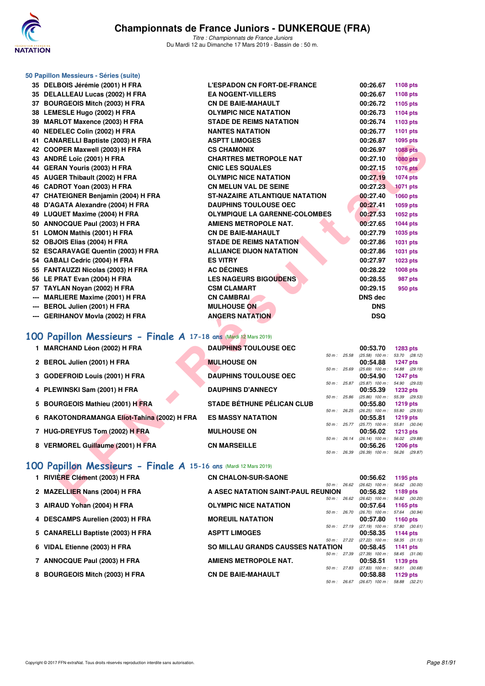

| 50 Papillon Messieurs - Séries (suite)                           |                                       |              |              |                                                        |                 |
|------------------------------------------------------------------|---------------------------------------|--------------|--------------|--------------------------------------------------------|-----------------|
| 35 DELBOIS Jérémie (2001) H FRA                                  | <b>L'ESPADON CN FORT-DE-FRANCE</b>    |              |              | 00:26.67                                               | <b>1108 pts</b> |
| 35 DELALLEAU Lucas (2002) H FRA                                  | <b>EA NOGENT-VILLERS</b>              |              |              | 00:26.67                                               | 1108 pts        |
| 37 BOURGEOIS Mitch (2003) H FRA                                  | <b>CN DE BAIE-MAHAULT</b>             |              |              | 00:26.72                                               | 1105 pts        |
| 38 LEMESLE Hugo (2002) H FRA                                     | <b>OLYMPIC NICE NATATION</b>          |              |              | 00:26.73                                               | 1104 pts        |
| 39 MARLOT Maxence (2003) H FRA                                   | <b>STADE DE REIMS NATATION</b>        |              |              | 00:26.74                                               | 1103 pts        |
| 40 NEDELEC Colin (2002) H FRA                                    | <b>NANTES NATATION</b>                |              |              | 00:26.77                                               | 1101 pts        |
| 41 CANARELLI Baptiste (2003) H FRA                               | <b>ASPTT LIMOGES</b>                  |              |              | 00:26.87                                               | 1095 pts        |
| 42 COOPER Maxwell (2003) H FRA                                   | <b>CS CHAMONIX</b>                    |              |              | 00:26.97                                               | <b>1088 pts</b> |
| 43 ANDRÉ Loïc (2001) H FRA                                       | <b>CHARTRES METROPOLE NAT</b>         |              |              | 00:27.10                                               | <b>1080 pts</b> |
| 44 GERAN Youris (2003) H FRA                                     | <b>CNIC LES SQUALES</b>               |              |              | 00:27.15                                               | <b>1076 pts</b> |
| 45 AUGER Thibault (2002) H FRA                                   | <b>OLYMPIC NICE NATATION</b>          |              |              | 00:27.19                                               | 1074 pts        |
| 46 CADROT Yoan (2003) H FRA                                      | <b>CN MELUN VAL DE SEINE</b>          |              |              | 00:27.23                                               | <b>1071 pts</b> |
| 47 CHATEIGNER Benjamin (2004) H FRA                              | <b>ST-NAZAIRE ATLANTIQUE NATATION</b> |              |              | 00:27.40                                               | <b>1060 pts</b> |
| 48 D'AGATA Alexandre (2004) H FRA                                | <b>DAUPHINS TOULOUSE OEC</b>          |              |              | 00:27.41                                               | 1059 pts        |
| 49 LUQUET Maxime (2004) H FRA                                    | <b>OLYMPIQUE LA GARENNE-COLOMBES</b>  |              |              | 00:27.53                                               | 1052 pts        |
| 50 ANNOCQUE Paul (2003) H FRA                                    | <b>AMIENS METROPOLE NAT.</b>          |              |              | 00:27.65                                               | <b>1044 pts</b> |
| 51 LOMON Mathis (2001) H FRA                                     | <b>CN DE BAIE-MAHAULT</b>             |              |              | 00:27.79                                               | 1035 pts        |
| 52 OBJOIS Elias (2004) H FRA                                     | <b>STADE DE REIMS NATATION</b>        |              |              | 00:27.86                                               | 1031 pts        |
| 52 ESCARAVAGE Quentin (2003) H FRA                               | <b>ALLIANCE DIJON NATATION</b>        |              |              | 00:27.86                                               | 1031 pts        |
| 54 GABALI Cedric (2004) H FRA                                    | <b>ES VITRY</b>                       |              |              | 00:27.97                                               | 1023 pts        |
| 55 FANTAUZZI Nicolas (2003) H FRA                                | <b>AC DÉCINES</b>                     |              |              | 00:28.22                                               | 1008 pts        |
| 56 LE PRAT Evan (2004) H FRA                                     | <b>LES NAGEURS BIGOUDENS</b>          |              |              | 00:28.55                                               | 987 pts         |
| 57 TAYLAN Noyan (2002) H FRA                                     | <b>CSM CLAMART</b>                    |              |              | 00:29.15                                               | 950 pts         |
| <b>MARLIERE Maxime (2001) H FRA</b>                              | <b>CN CAMBRAI</b>                     |              |              | DNS dec                                                |                 |
| BEROL Julien (2001) H FRA                                        | <b>MULHOUSE ON</b>                    |              |              | <b>DNS</b>                                             |                 |
| --- GERIHANOV Movia (2002) H FRA                                 | <b>ANGERS NATATION</b>                |              |              | <b>DSQ</b>                                             |                 |
|                                                                  |                                       |              |              |                                                        |                 |
| 100 Papillon Messieurs - Finale A 17-18 ans (Mardi 12 Mars 2019) |                                       |              |              |                                                        |                 |
|                                                                  |                                       |              |              |                                                        |                 |
| 1 MARCHAND Léon (2002) H FRA                                     | <b>DAUPHINS TOULOUSE OEC</b>          | 50 m : 25.58 |              | 00:53.70<br>(25.58) 100 m: 53.70 (28.12)               | <b>1283 pts</b> |
| 2 BEROL Julien (2001) H FRA                                      | <b>MULHOUSE ON</b>                    |              |              | 00:54.88                                               | <b>1247 pts</b> |
|                                                                  |                                       |              | 50 m : 25.69 | $(25.69)$ 100 m : 54.88 $(29.19)$                      |                 |
| 3 GODEFROID Louis (2001) H FRA                                   | <b>DAUPHINS TOULOUSE OEC</b>          |              | 50 m : 25.87 | 00:54.90<br>$(25.87)$ 100 m : 54.90 $(29.03)$          | <b>1247 pts</b> |
| 4 PLEWINSKI Sam (2001) H FRA                                     | <b>DAUPHINS D'ANNECY</b>              |              |              | 00:55.39                                               | <b>1232 pts</b> |
|                                                                  |                                       |              | 50 m : 25.86 | $(25.86)$ 100 m : 55.39 (29.53)                        |                 |
| 5 BOURGEOIS Mathieu (2001) H FRA                                 | <b>STADE BÉTHUNE PÉLICAN CLUB</b>     |              |              | 00:55.80                                               | <b>1219 pts</b> |
| 6 RAKOTONDRAMANGA Eliot-Tahina (2002) H FRA                      | <b>ES MASSY NATATION</b>              |              | 50 m : 26.25 | $(26.25)$ 100 m : 55.80 $(29.55)$<br>00:55.81          | <b>1219 pts</b> |
|                                                                  |                                       |              | 50 m : 25.77 | $(25.77)$ 100 m : 55.81 $(30.04)$                      |                 |
| 7 HUG-DREYFUS Tom (2002) H FRA                                   | <b>MULHOUSE ON</b>                    |              |              | 00:56.02                                               | <b>1213 pts</b> |
| 8 VERMOREL Guillaume (2001) H FRA                                | <b>CN MARSEILLE</b>                   |              |              | 50 m: 26.14 (26.14) 100 m: 56.02 (29.88)<br>00:56.26   | <b>1206 pts</b> |
|                                                                  |                                       |              |              | 50 m: 26.39 (26.39) 100 m: 56.26 (29.87)               |                 |
|                                                                  |                                       |              |              |                                                        |                 |
| 100 Papillon Messieurs - Finale A 15-16 ans (Mardi 12 Mars 2019) |                                       |              |              |                                                        |                 |
| 1 RIVIÈRE Clément (2003) H FRA                                   | <b>CN CHALON-SUR-SAONE</b>            |              |              | 00:56.62                                               | 1195 pts        |
| 2 MAZELLIER Nans (2004) H FRA                                    | A ASEC NATATION SAINT-PAUL REUNION    |              |              | 50 m : 26.62 (26.62) 100 m : 56.62 (30.00)<br>00:56.82 | 1189 pts        |
|                                                                  |                                       |              |              | 50 m : 26.62 (26.62) 100 m : 56.82 (30.20)             |                 |
| $0.$ AID ALID V-L-4 (000 A) ILED A                               | OI VMDIO MIOE MATATION                |              |              | 00.57C1                                                |                 |

- **6 RAKOTONDRAMANGA Eliot-Tahina (2002) H FRA ES**
- **7 HUG-DREYFUS Tom (2002) H FRA MULHOUSE ON 00:56.000 PTS**

| $\text{IIB}$ (Maidi 12 Mais 2019) |          |                |                                   |               |
|-----------------------------------|----------|----------------|-----------------------------------|---------------|
| <b>AUPHINS TOULOUSE OEC</b>       |          |                | 00:53.70                          | 1283 pts      |
|                                   |          | 50 m : 25.58   | $(25.58)$ 100 m :                 | 53.70 (28.12) |
| <b>ULHOUSE ON</b>                 |          |                | 00:54.88 1247 pts                 |               |
|                                   |          | 50 m: 25.69    | $(25.69)$ 100 m :                 | 54.88 (29.19) |
| <b>AUPHINS TOULOUSE OEC</b>       |          |                | 00:54.90 1247 pts                 |               |
|                                   |          | $50 m$ : 25.87 | $(25.87)$ 100 m :                 | 54.90 (29.03) |
| <b>AUPHINS D'ANNECY</b>           |          |                | 00:55.39 1232 pts                 |               |
|                                   |          | 50 m: 25.86    | $(25.86)$ 100 m :                 | 55.39 (29.53) |
| <b>TADE BÉTHUNE PÉLICAN CLUB</b>  |          |                | 00:55.80 1219 pts                 |               |
|                                   |          | 50 m : 26.25   | $(26.25)$ 100 m : 55.80 $(29.55)$ |               |
| <b>S MASSY NATATION</b>           |          |                | 00:55.81 1219 pts                 |               |
|                                   |          | $50 m$ : 25.77 | $(25.77)$ 100 m :                 | 55.81 (30.04) |
| <b>ULHOUSE ON</b>                 |          |                | 00:56.02                          | 1213 $pts$    |
|                                   | $50 m$ : | 26.14          | $(26.14)$ 100 m :                 | 56.02 (29.88) |
| <b>N MARSEILLE</b>                |          |                | 00:56.26 1206 pts                 |               |
|                                   |          | 50 m : 26.39   | $(26.39)$ 100 m :                 | 56.26 (29.87) |

#### **[100 Papillon Messieurs - Finale A](http://www.ffnatation.fr/webffn/resultats.php?idact=nat&go=epr&idcpt=59271&idepr=82) 15-16 ans** (Mardi 12 Mars 2019)

| 1 RIVIÈRE Clément (2003) H FRA    | <b>CN CHALON-SUR-SAONE</b>               | 00:56.62          | 1195 pts        |
|-----------------------------------|------------------------------------------|-------------------|-----------------|
| 2 MAZELLIER Nans (2004) H FRA     | $50 m$ : 26.62                           | $(26.62)$ 100 m : | 56.62 (30.00)   |
|                                   | A ASEC NATATION SAINT-PAUL REUNION       | 00:56.82          | 1189 pts        |
|                                   | 50 m: 26.62                              | $(26.62)$ 100 m : | 56.82 (30.20)   |
| 3 AIRAUD Yohan (2004) H FRA       | <b>OLYMPIC NICE NATATION</b>             | 00:57.64          | 1165 $pts$      |
|                                   | $50 m$ : 26.70                           | $(26.70)$ 100 m : | 57.64 (30.94)   |
| 4 DESCAMPS Aurelien (2003) H FRA  | <b>MOREUIL NATATION</b>                  | 00:57.80          | 1160 $pts$      |
|                                   | 50 m: 27.19                              | $(27.19)$ 100 m : | 57.80 (30.61)   |
| 5 CANARELLI Baptiste (2003) H FRA | <b>ASPTT LIMOGES</b>                     | 00:58.35          | <b>1144 pts</b> |
| 6 VIDAL Etienne (2003) H FRA      | 50 m: 27.22                              | $(27.22)$ 100 m : | 58.35 (31.13)   |
|                                   | <b>SO MILLAU GRANDS CAUSSES NATATION</b> | 00:58.45          | 1141 $pts$      |
| 7 ANNOCQUE Paul (2003) H FRA      | 50 m: 27.39                              | $(27.39)$ 100 m : | 58.45 (31.06)   |
|                                   | <b>AMIENS METROPOLE NAT.</b>             | 00:58.51          | 1139 pts        |
|                                   | 50 m: 27.83                              | $(27.83)$ 100 m : | 58.51 (30.68)   |
| 8 BOURGEOIS Mitch (2003) H FRA    | <b>CN DE BAIE-MAHAULT</b>                | 00:58.88          | 1129 $pts$      |
|                                   | 50 m: 26.67                              | $(26.67)$ 100 m : | 58.88 (32.21)   |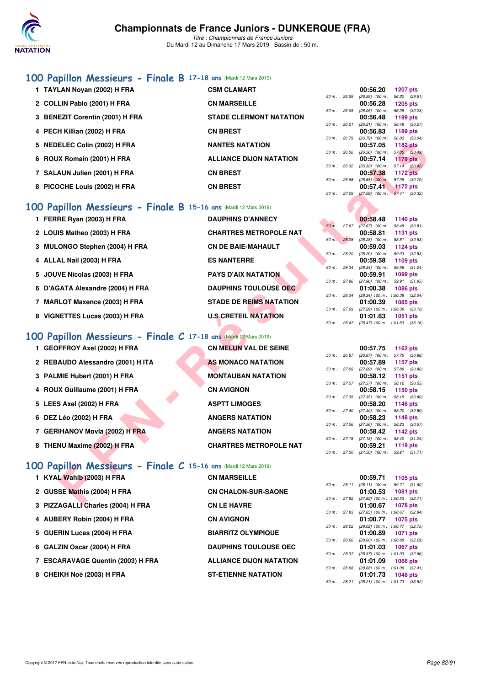

#### **[100 Papillon Messieurs - Finale B](http://www.ffnatation.fr/webffn/resultats.php?idact=nat&go=epr&idcpt=59271&idepr=82) 17-18 ans** (Mardi 12 Mars 2019)

| 1 TAYLAN Noyan (2002) H FRA     | <b>CSM CLAMART</b>             |                | 00:56.20                                 | 1207 pts                       |
|---------------------------------|--------------------------------|----------------|------------------------------------------|--------------------------------|
| 2 COLLIN Pablo (2001) H FRA     | <b>CN MARSEILLE</b>            | $50 m$ : 26.59 | $(26.59)$ 100 m :<br>00:56.28            | 56.20 (29.6<br>$1205$ pts      |
| 3 BENEZIT Corentin (2001) H FRA | <b>STADE CLERMONT NATATION</b> |                | 50 m : 26.05 (26.05) 100 m :<br>00:56.48 | 56.28 (30.2<br>1199 pts        |
| 4 PECH Killian (2002) H FRA     | <b>CN BREST</b>                | $50 m$ : 26.21 | $(26.21)$ 100 m :<br>00:56.83            | 56.48 (30.2<br>1189 pts        |
| 5 NEDELEC Colin (2002) H FRA    | <b>NANTES NATATION</b>         |                | 50 m : 26.79 (26.79) 100 m :<br>00:57.05 | 56.83 (30.0<br>1182 pts        |
| 6 ROUX Romain (2001) H FRA      | <b>ALLIANCE DIJON NATATION</b> | $50 m$ : 26.56 | $(26.56)$ 100 m :<br>00:57.14            | 57.05 (30.4<br>$1179$ pts      |
|                                 |                                | 50 m: 26.32    | $(26.32)$ 100 m :                        | 57.14 (30.8)                   |
| 7 SALAUN Julien (2001) H FRA    | <b>CN BREST</b>                | 50 m: 26.68    | 00:57.38<br>$(26.68)$ 100 m :            | <b>1172 pts</b><br>57.38 (30.7 |
| 8 PICOCHE Louis (2002) H FRA    | <b>CN BREST</b>                |                | 00:57.41                                 | $1172$ pts                     |

# **100 Papillon Messieurs - Finale B** 15-16 ans (Mardi 12 Mars 2019)<br>**1 FERRE Ryan (2003) H FRA** DAUPHINS D'ANNECY

| 5 NEDELEC Colin (2002) H FRA                                     | <b>NANTES NATATION</b>         |              | 00:57.05<br><b>1182 pts</b>                                        |
|------------------------------------------------------------------|--------------------------------|--------------|--------------------------------------------------------------------|
| 6 ROUX Romain (2001) H FRA                                       | <b>ALLIANCE DIJON NATATION</b> | 50 m: 26.56  | $(26.56)$ 100 m : 57.05 (30.49)<br>$1179$ pts<br>00:57.14          |
|                                                                  |                                | 50 m : 26.32 | $(26.32)$ 100 m : 57.14 $(30.82)$                                  |
| 7 SALAUN Julien (2001) H FRA                                     | <b>CN BREST</b>                | 50 m : 26.68 | 00:57.38<br><b>1172 pts</b><br>57.38 (30.70)<br>$(26.68)$ 100 m:   |
| 8 PICOCHE Louis (2002) H FRA                                     | <b>CN BREST</b>                |              | 00:57.41<br><b>1172 pts</b>                                        |
|                                                                  |                                | 50 m : 27.09 | $(27.09)$ 100 m : 57.41 (30.32)                                    |
| 100 Papillon Messieurs - Finale B 15-16 ans (Mardi 12 Mars 2019) |                                |              |                                                                    |
| 1 FERRE Ryan (2003) H FRA                                        | <b>DAUPHINS D'ANNECY</b>       |              | 00:58.48<br>1140 $pts$                                             |
|                                                                  |                                | 50 m: 27.67  | $(27.67)$ 100 m : 58.48 $(30.81)$                                  |
| 2 LOUIS Matheo (2003) H FRA                                      | <b>CHARTRES METROPOLE NAT</b>  | 50 m: 28.28  | 00:58.81<br><b>1131 pts</b><br>(28.28) 100 m: 58.81 (30.53)        |
| 3 MULONGO Stephen (2004) H FRA                                   | <b>CN DE BAIE-MAHAULT</b>      |              | 00:59.03<br>1124 $pts$                                             |
| 4 ALLAL Nail (2003) H FRA                                        | <b>ES NANTERRE</b>             | 50 m : 28.20 | (28.20) 100 m: 59.03 (30.83)<br>00:59.58<br>1109 pts               |
|                                                                  |                                | 50 m : 28.34 | $(28.34)$ 100 m : 59.58 $(31.24)$                                  |
| 5 JOUVE Nicolas (2003) H FRA                                     | <b>PAYS D'AIX NATATION</b>     |              | 00:59.91<br>1099 pts                                               |
| 6 D'AGATA Alexandre (2004) H FRA                                 | <b>DAUPHINS TOULOUSE OEC</b>   | 50 m : 27.96 | $(27.96)$ 100 m : 59.91 $(31.95)$<br>1086 pts<br>01:00.38          |
|                                                                  |                                | 50 m : 28.34 | (28.34) 100 m: 1:00.38 (32.04)                                     |
| 7 MARLOT Maxence (2003) H FRA                                    | <b>STADE DE REIMS NATATION</b> |              | 01:00.39<br>1085 pts                                               |
| 8 VIGNETTES Lucas (2003) H FRA                                   | <b>U.S CRETEIL NATATION</b>    | 50 m : 27.29 | $(27.29)$ 100 m : 1:00.39 $(33.10)$<br>01:01.63                    |
|                                                                  |                                | 50 m : 28.47 | <b>1051 pts</b><br>$(28.47)$ 100 m : 1:01.63 $(33.16)$             |
|                                                                  |                                |              |                                                                    |
| 100 Papillon Messieurs - Finale C 17-18 ans (Mardi 12 Mars 2019) |                                |              |                                                                    |
| 1 GEOFFROY Axel (2002) H FRA                                     | <b>CN MELUN VAL DE SEINE</b>   |              | 00:57.75<br>1162 $pts$                                             |
| 2 REBAUDO Alessandro (2001) H ITA                                | <b>AS MONACO NATATION</b>      | 50 m: 26.87  | (26.87) 100 m: 57.75 (30.88)<br>00:57.89<br><b>1157 pts</b>        |
|                                                                  |                                | 50 m : 27.09 | $(27.09)$ 100 m : 57.89 $(30.80)$                                  |
| 3 PALMIE Hubert (2001) H FRA                                     | <b>MONTAUBAN NATATION</b>      |              | 00:58.12<br><b>1151 pts</b>                                        |
| 4 ROUX Guillaume (2001) H FRA                                    | <b>CN AVIGNON</b>              | 50 m: 27.57  | $(27.57)$ 100 m : 58.12 $(30.55)$                                  |
|                                                                  |                                | 50 m : 27.35 | 00:58.15<br>1150 pts<br>$(27.35)$ 100 m : 58.15 $(30.80)$          |
| 5 LEES Axel (2002) H FRA                                         | <b>ASPTT LIMOGES</b>           |              | 00:58.20<br><b>1148 pts</b>                                        |
|                                                                  |                                | 50 m : 27.40 | $(27.40)$ 100 m : 58.20 $(30.80)$                                  |
| 6 DEZ Léo (2002) H FRA                                           | <b>ANGERS NATATION</b>         | 50 m : 27.56 | 00:58.23<br><b>1148 pts</b><br>(27.56) 100 m: 58.23 (30.67)        |
| 7 GERIHANOV Movla (2002) H FRA                                   | <b>ANGERS NATATION</b>         |              | 00:58.42<br>1142 pts                                               |
|                                                                  |                                |              | 50 m: 27.18 (27.18) 100 m: 58.42 (31.24)                           |
| 8 THENU Maxime (2002) H FRA                                      | <b>CHARTRES METROPOLE NAT</b>  | 50 m: 27.50  | 00:59.21<br>1119 pts<br>$(27.50)$ 100 m : 59.21 $(31.71)$          |
|                                                                  |                                |              |                                                                    |
| 100 Papillon Messieurs - Finale C 15-16 ans (Mardi 12 Mars 2019) |                                |              |                                                                    |
| 1 KYAL Wahib (2003) H FRA                                        | <b>CN MARSEILLE</b>            |              | 00:59.71<br>1105 pts                                               |
|                                                                  |                                |              | 50 m: 28.11 (28.11) 100 m: 59.71 (31.60)                           |
| 2 GUSSE Mathis (2004) H FRA                                      | <b>CN CHALON-SUR-SAONE</b>     |              | 01:00.53<br>1081 pts<br>50 m: 27.82 (27.82) 100 m: 1:00.53 (32.71) |
| $2.0777A$ CALLO Angeles (2004) HEDA                              | CHILE UAVDE                    |              | 04.00.CZ<br>$1070 - 1$                                             |

|  | 3 PALMIE Hubert (2001) H FRA |  |  |  |
|--|------------------------------|--|--|--|
|--|------------------------------|--|--|--|

- **4 ROUX Guillaume (2001) H FRA**
- **5 LEES Axel (2002) H FRA**
- **6 DEZ Léo (2002) H FRA ANGERS NATATION 00:58.23 1148 pts**
- **7 GERIHANOV Movla (2002) H FRA**
- **8 THENU Maxime (2002) H FRA**

## **100 Papillon Messieurs - Fina**

| 1 KYAL Wahib (2003) H FRA         | <b>CN MARSEILLE</b>        | 00:59.71                                | 1105 pts |  |
|-----------------------------------|----------------------------|-----------------------------------------|----------|--|
|                                   |                            | 50 m : 28.11 (28.11) 100 m : 59.71 (31. |          |  |
| 2 GUSSE Mathis (2004) H FRA       | <b>CN CHALON-SUR-SAONE</b> | 01:00.53                                | 1081 pts |  |
|                                   |                            | 50 m: 27.82 (27.82) 100 m: 1:00.53 (32. |          |  |
| 3 PIZZAGALLI Charles (2004) H FRA | <b>CN LE HAVRE</b>         | 01:00.67                                | 1078 pts |  |

- **4 AUBERY Robin (2004) H FRA CN AVIGNON 01:00.77 1075 pts**
- **5 GUERIN Lucas (2004) H FRA**
- **6 GALZIN Oscar (2004) H FRA**
- **7 ESCARAVAGE Quentin (2003) H FRA ALLIANCE DIJON NATATION**
- **8 CHEIKH Noé (2003) H FRA**

| 1 GEOFFROY Axel (2002) H FRA     | <b>CN MELUN VAL DE SEINE</b>  |                | 00:57.75                                 | 1162 pts               |  |
|----------------------------------|-------------------------------|----------------|------------------------------------------|------------------------|--|
|                                  |                               | 50 m: 26.87    | $(26.87)$ 100 m :                        | 57.75 (30.             |  |
| 2 REBAUDO Alessandro (2001) HITA | AS MONACO NATATION            |                | 00:57.89                                 | 1157 pts               |  |
| 3 PALMIE Hubert (2001) H FRA     | <b>MONTAUBAN NATATION</b>     | 50 m: 27.09    | $(27.09)$ 100 m :<br>00:58.12            | 57.89 (30.<br>1151 pts |  |
|                                  |                               |                | $50 m$ : 27.57 (27.57) 100 m :           | 58.12 (30.             |  |
| 4 ROUX Guillaume (2001) H FRA    | <b>CN AVIGNON</b>             |                | 00:58.15                                 | 1150 pts               |  |
| 5 LEES Axel (2002) H FRA         | <b>ASPTT LIMOGES</b>          |                | 50 m : 27.35 (27.35) 100 m :<br>00:58.20 | 58.15 (30.<br>1148 pts |  |
|                                  |                               | 50 m : 27.40   | $(27.40)$ 100 m :                        | 58.20 (30.             |  |
| 6 DEZ Léo (2002) H FRA           | <b>ANGERS NATATION</b>        |                | 00:58.23                                 | 1148 pts               |  |
|                                  |                               | $50 m$ : 27.56 | $(27.56)$ 100 m :                        | 58.23 (30.             |  |
| 7 GERIHANOV Movia (2002) H FRA   | <b>ANGERS NATATION</b>        | 50 m: 27.18    | 00:58.42<br>$(27.18)$ 100 m :            | 1142 pts               |  |
| 8 THENU Maxime (2002) H FRA      | <b>CHARTRES METROPOLE NAT</b> |                | 00:59.21                                 | 58.42 (31.<br>1119 pts |  |
|                                  |                               |                | 50 m : 27.50 (27.50) 100 m :             | 59.21 (31.             |  |
|                                  |                               |                |                                          |                        |  |

|                     |  | $\ e\ C\ $ 15-16 ans (Mardi 12 Mars 2019) |  |  |  |
|---------------------|--|-------------------------------------------|--|--|--|
| <b>CN MARSEILLE</b> |  |                                           |  |  |  |

| <b>CN CHALON-SUR-SAONE</b>     |
|--------------------------------|
| <b>CN LE HAVRE</b>             |
| <b>CN AVIGNON</b>              |
| <b>BIARRITZ OLYMPIQUE</b>      |
| <b>DAUPHINS TOULOUSE OEC</b>   |
| <b>ALLIANCE DIJON NATATION</b> |
| <b>ST-ETIENNE NATATION</b>     |

|                |       | UU:56.20          | 1207 pts        |
|----------------|-------|-------------------|-----------------|
| $50 m$ :       | 26.59 | $(26.59)$ 100 m : | 56.20 (29.61)   |
|                |       | 00:56.28          | <b>1205 pts</b> |
| $50 m$ :       | 26.05 | $(26.05)$ 100 m : | 56.28 (30.23)   |
|                |       | 00:56.48          | 1199 pts        |
| $50 m$ : 26.21 |       | $(26.21)$ 100 m : | 56.48 (30.27)   |
|                |       | 00:56.83          | 1189 pts        |
| $50 m$ :       | 26.79 | $(26.79)$ 100 m : | 56.83 (30.04)   |
|                |       | 00:57.05          | <b>1182 pts</b> |
| 50 m:          | 26.56 | $(26.56)$ 100 m : | 57.05 (30.49)   |
|                |       | 00:57.14          | $1179$ pts      |
| $50 m$ :       | 26.32 | $(26.32)$ 100 m : | 57.14 (30.82)   |
|                |       | 00:57.38          | <b>1172 pts</b> |
| $50 m$ :       | 26.68 | $(26.68)$ 100 m;  | 57.38 (30.70)   |
|                |       | 00:57.41          | 1172 pts        |
| $50 m$ :       | 27.09 | (27.09) 100 m :   | 57.41 (30.32)   |
|                |       |                   |                 |

|              |                        | 00:58.48          | 1140 pts            |  |
|--------------|------------------------|-------------------|---------------------|--|
|              | $50 \text{ m}$ : 27.67 | $(27.67)$ 100 m : | 58.48 (30.81)       |  |
|              |                        | 00:58.81          | 1131 pts            |  |
| 50 m: 28.28  |                        | $(28.28)$ 100 m : | 58.81 (30.53)       |  |
|              |                        | 00:59.03          | 1124 pts            |  |
| 50 m: 28.20  |                        | $(28.20)$ 100 m : | 59.03 (30.83)       |  |
|              |                        | 00:59.58          | $1109$ pts          |  |
| 50 m: 28.34  |                        | $(28.34)$ 100 m : | 59.58 (31.24)       |  |
|              |                        | 00:59.91          | 1099 pts            |  |
| 50 m : 27.96 |                        | $(27.96)$ 100 m : | 59.91 (31.95)       |  |
|              |                        | 01:00.38          | 1086 pts            |  |
| 50 m: 28.34  |                        | $(28.34)$ 100 m : | 1:00.38 (32.04)     |  |
|              |                        | 01:00.39          | 1085 pts            |  |
| 50 m: 27.29  |                        | $(27.29)$ 100 m : | $1:00.39$ $(33.10)$ |  |
|              |                        | 01:01.63          | 1051 pts            |  |
| 50 m: 28.47  |                        | (28.47) 100 m :   | $1:01.63$ $(33.16)$ |  |

|                |       | 00:57.75          | 1162 pts        |
|----------------|-------|-------------------|-----------------|
| $50 m$ :       | 26.87 | $(26.87)$ 100 m : | 57.75 (30.88)   |
|                |       | 00:57.89          | 1157 pts        |
| 50 m :         | 27.09 | $(27.09)$ 100 m : | 57.89 (30.80)   |
|                |       | 00:58.12          | 1151 pts        |
| $50 m$ : 27.57 |       | $(27.57)$ 100 m : | 58.12 (30.55)   |
|                |       | 00:58.15          | 1150 pts        |
| $50 m$ : 27.35 |       | $(27.35)$ 100 m : | 58.15 (30.80)   |
|                |       | 00:58.20          | <b>1148 pts</b> |
| $50 m$ : 27.40 |       | $(27.40)$ 100 m : | 58.20 (30.80)   |
|                |       | 00:58.23          | <b>1148 pts</b> |
| 50 m :         | 27.56 | $(27.56)$ 100 m : | 58.23 (30.67)   |
|                |       | 00:58.42          | 1142 $pts$      |
| 50 m: 27.18    |       | $(27.18)$ 100 m : | 58.42 (31.24)   |
|                |       | 00:59.21          | 1119 pts        |
| 50 m: 27.50    |       | $(27.50)$ 100 m : | 59.21 (31.71)   |

|             |                | 00:59.71                            | $1105$ pts          |  |
|-------------|----------------|-------------------------------------|---------------------|--|
|             | $50 m$ : 28.11 | $(28.11)$ 100 m :                   | 59.71 (31.60)       |  |
|             |                | 01:00.53                            | 1081 pts            |  |
| 50 m: 27.82 |                | $(27.82)$ 100 m :                   | $1:00.53$ $(32.71)$ |  |
|             |                | 01:00.67                            | 1078 pts            |  |
| 50 m: 27.83 |                | $(27.83)$ 100 m :                   | $1:00.67$ $(32.84)$ |  |
|             |                | 01:00.77 1075 pts                   |                     |  |
| 50 m: 28.02 |                | $(28.02)$ 100 m :                   | $1:00.77$ $(32.75)$ |  |
|             |                | 01:00.89                            | 1071 pts            |  |
| 50 m: 28.60 |                | $(28.60)$ 100 m :                   | 1:00.89 (32.29)     |  |
|             |                | 01:01.03                            | 1067 pts            |  |
| 50 m: 28.37 |                | $(28.37)$ 100 m :                   | $1:01.03$ $(32.66)$ |  |
|             |                | 01:01.09 1066 pts                   |                     |  |
| 50 m: 28.68 |                | $(28.68)$ 100 m : 1:01.09 $(32.41)$ |                     |  |
|             |                | 01:01.73                            | 1048 pts            |  |
| 50 m: 28.21 |                | (28.21) 100 m: 1:01.73 (33.52)      |                     |  |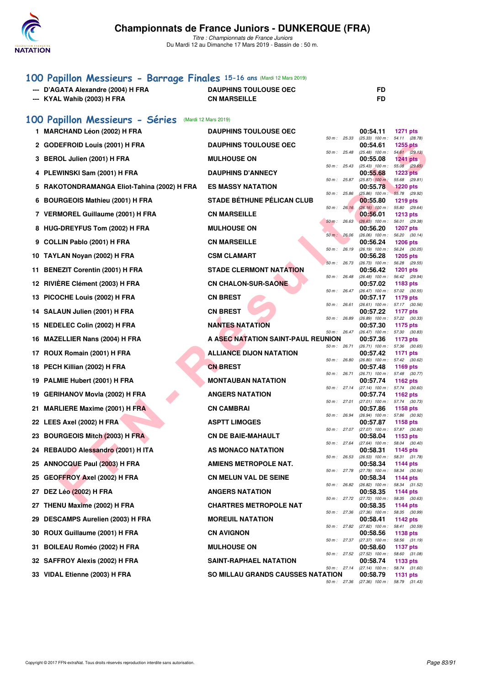

### **[100 Papillon Messieurs - Barrage Finales](http://www.ffnatation.fr/webffn/resultats.php?idact=nat&go=epr&idcpt=59271&idepr=82) 15-16 ans** (Mardi 12 Mars 2019)

| --- D'AGATA Alexandre (2004) H FRA | <b>DAUPHINS TOULOUSE OEC</b> |  |
|------------------------------------|------------------------------|--|
| --- KYAL Wahib (2003) H FRA        | <b>CN MARSEILLE</b>          |  |
|                                    |                              |  |

#### **[100 Papillon Messieurs - Séries](http://www.ffnatation.fr/webffn/resultats.php?idact=nat&go=epr&idcpt=59271&idepr=82)** (Mardi 12 Mars 2019)

|     | 1 MARCHAND Léon (2002) H FRA                | <b>DAUPHINS TOULOUSE OEC</b>             |              |              | 00:54.11                                             | <b>1271 pts</b>                  |  |
|-----|---------------------------------------------|------------------------------------------|--------------|--------------|------------------------------------------------------|----------------------------------|--|
|     | 2 GODEFROID Louis (2001) H FRA              | <b>DAUPHINS TOULOUSE OEC</b>             | 50 m: 25.33  |              | (25.33) 100 m: 54.11 (28.78)<br>00:54.61             | <b>1255 pts</b>                  |  |
|     | 3 BEROL Julien (2001) H FRA                 | <b>MULHOUSE ON</b>                       | 50 m: 25.48  |              | (25.48) 100 m :<br>00:55.08                          | 54.61 (29.13)<br>1241 pts        |  |
|     | 4 PLEWINSKI Sam (2001) H FRA                | <b>DAUPHINS D'ANNECY</b>                 | 50 m: 25.43  |              | $(25.43)$ 100 m :<br>00:55.68                        | 55.08 (29.65)<br><b>1223 pts</b> |  |
|     | 5 RAKOTONDRAMANGA Eliot-Tahina (2002) H FRA | <b>ES MASSY NATATION</b>                 | 50 m: 25.87  |              | $(25.87)$ 100 m:<br>00:55.78                         | 55.68 (29.81)<br><b>1220 pts</b> |  |
|     | 6 BOURGEOIS Mathieu (2001) H FRA            | <b>STADE BÉTHUNE PÉLICAN CLUB</b>        | 50 m: 25.86  |              | $(25.86)$ 100 m :<br>00:55.80                        | 55.78 (29.92)<br><b>1219 pts</b> |  |
|     | 7 VERMOREL Guillaume (2001) H FRA           | <b>CN MARSEILLE</b>                      | 50 m: 26.16  |              | $(26.16)$ 100 m :<br>00:56.01                        | 55.80 (29.64)<br><b>1213 pts</b> |  |
|     | 8 HUG-DREYFUS Tom (2002) H FRA              | <b>MULHOUSE ON</b>                       | 50 m: 26.63  |              | $(26.63)$ 100 m :<br>00:56.20                        | 56.01 (29.38)<br><b>1207 pts</b> |  |
|     |                                             | <b>CN MARSEILLE</b>                      | 50 m: 26.06  |              | $(26.06)$ 100 m : 56.20 $(30.14)$                    |                                  |  |
|     | 9 COLLIN Pablo (2001) H FRA                 |                                          | 50 m: 26.19  |              | 00:56.24<br>$(26.19)$ 100 m : 56.24 $(30.05)$        | <b>1206 pts</b>                  |  |
|     | 10 TAYLAN Noyan (2002) H FRA                | <b>CSM CLAMART</b>                       | 50 m: 26.73  |              | 00:56.28<br>$(26.73)$ 100 m :                        | <b>1205 pts</b><br>56.28 (29.55) |  |
|     | 11 BENEZIT Corentin (2001) H FRA            | <b>STADE CLERMONT NATATION</b>           | 50 m : 26.48 |              | 00:56.42<br>(26.48) 100 m :                          | <b>1201 pts</b><br>56.42 (29.94) |  |
|     | 12 RIVIERE Clément (2003) H FRA             | <b>CN CHALON-SUR-SAONE</b>               |              |              | 00:57.02                                             | 1183 pts                         |  |
|     | 13 PICOCHE Louis (2002) H FRA               | <b>CN BREST</b>                          | 50 m: 26.47  |              | $(26.47)$ 100 m : 57.02 $(30.55)$<br>00:57.17        | 1179 pts                         |  |
|     | 14 SALAUN Julien (2001) H FRA               | <b>CN BREST</b>                          | 50 m: 26.61  |              | (26.61) 100 m: 57.17 (30.56)<br>00:57.22             | <b>1177 pts</b>                  |  |
|     |                                             |                                          | 50 m: 26.89  |              | (26.89) 100 m: 57.22 (30.33)                         |                                  |  |
|     | 15 NEDELEC Colin (2002) H FRA               | <b>NANTES NATATION</b>                   | 50 m: 26.47  |              | 00:57.30<br>$(26.47)$ 100 m : 57.30 $(30.83)$        | 1175 pts                         |  |
| 16. | <b>MAZELLIER Nans (2004) H FRA</b>          | A ASEC NATATION SAINT-PAUL REUNION       |              | 50 m : 26.71 | 00:57.36                                             | 1173 pts                         |  |
|     | 17 ROUX Romain (2001) H FRA                 | <b>ALLIANCE DIJON NATATION</b>           |              |              | (26.71) 100 m: 57.36 (30.65)<br>00:57.42             | 1171 pts                         |  |
|     | 18 PECH Killian (2002) H FRA                | <b>CN BREST</b>                          | 50 m : 26.80 |              | $(26.80)$ 100 m :<br>00:57.48                        | 57.42 (30.62)<br>1169 pts        |  |
|     | 19 PALMIE Hubert (2001) H FRA               | <b>MONTAUBAN NATATION</b>                | 50 m: 26.71  |              | $(26.71)$ 100 m : 57.48 $(30.77)$<br>00:57.74        | 1162 pts                         |  |
|     | 19 GERIHANOV Movia (2002) H FRA             | <b>ANGERS NATATION</b>                   | 50 m: 27.14  |              | $(27.14)$ 100 m :<br>00:57.74                        | 57.74 (30.60)<br>1162 pts        |  |
| 21  | <b>MARLIERE Maxime (2001) H FRA</b>         | <b>CN CAMBRAI</b>                        | 50 m: 27.01  |              | (27.01) 100 m: 57.74 (30.73)<br>00:57.86             | 1158 pts                         |  |
|     | 22 LEES Axel (2002) H FRA                   | <b>ASPTT LIMOGES</b>                     | 50 m : 26.94 |              | (26.94) 100 m: 57.86 (30.92)<br>00:57.87             | 1158 pts                         |  |
|     |                                             |                                          | 50 m: 27.07  |              | $(27.07)$ 100 m :                                    | 57.87 (30.80)                    |  |
|     | 23 BOURGEOIS Mitch (2003) H FRA             | <b>CN DE BAIE-MAHAULT</b>                | 50 m: 27.64  |              | 00:58.04<br>$(27.64)$ 100 m :                        | 1153 pts<br>58.04 (30.40)        |  |
|     | 24 REBAUDO Alessandro (2001) H ITA          | AS MONACO NATATION                       |              |              | 00:58.31                                             | 1145 pts                         |  |
|     | 25 ANNOCQUE Paul (2003) H FRA               | <b>AMIENS METROPOLE NAT.</b>             | 50 m: 26.53  |              | $(26.53)$ 100 m :<br>00:58.34                        | 58.31 (31.78)<br><b>1144 pts</b> |  |
|     | 25 GEOFFROY Axel (2002) H FRA               | <b>CN MELUN VAL DE SEINE</b>             | 50 m: 27.78  |              | $(27.78)$ 100 m :<br>00:58.34                        | 58.34 (30.56)<br>1144 pts        |  |
|     | 27 DEZ Léo (2002) H FRA                     |                                          | 50 m : 26.82 |              | (26.82) 100 m: 58.34 (31.52)                         |                                  |  |
|     |                                             | <b>ANGERS NATATION</b>                   |              |              | 00:58.35<br>50 m: 27.72 (27.72) 100 m: 58.35 (30.63) | 1144 pts                         |  |
|     | 27 THENU Maxime (2002) H FRA                | <b>CHARTRES METROPOLE NAT</b>            | 50 m: 27.36  |              | 00:58.35<br>$(27.36)$ 100 m :                        | 1144 pts<br>58.35 (30.99)        |  |
| 29. | <b>DESCAMPS Aurelien (2003) H FRA</b>       | <b>MOREUIL NATATION</b>                  |              |              | 00:58.41                                             | 1142 pts                         |  |
| 30  | ROUX Guillaume (2001) H FRA                 | <b>CN AVIGNON</b>                        |              | 50 m : 27.82 | $(27.82)$ 100 m :<br>00:58.56                        | 58.41 (30.59)<br><b>1138 pts</b> |  |
|     | 31 BOILEAU Roméo (2002) H FRA               | <b>MULHOUSE ON</b>                       | 50 m: 27.37  |              | $(27.37)$ 100 m :<br>00:58.60                        | 58.56 (31.19)<br><b>1137 pts</b> |  |
|     | 32 SAFFROY Alexis (2002) H FRA              |                                          | 50 m: 27.52  |              | $(27.52)$ 100 m :                                    | 58.60 (31.08)                    |  |
|     |                                             | SAINT-RAPHAEL NATATION                   | 50 m : 27.14 |              | 00:58.74<br>$(27.14)$ 100 m :                        | 1133 pts<br>58.74 (31.60)        |  |
|     | 33 VIDAL Etienne (2003) H FRA               | <b>SO MILLAU GRANDS CAUSSES NATATION</b> |              | 50 m : 27.36 | 00:58.79<br>$(27.36)$ 100 m : 58.79 $(31.43)$        | 1131 pts                         |  |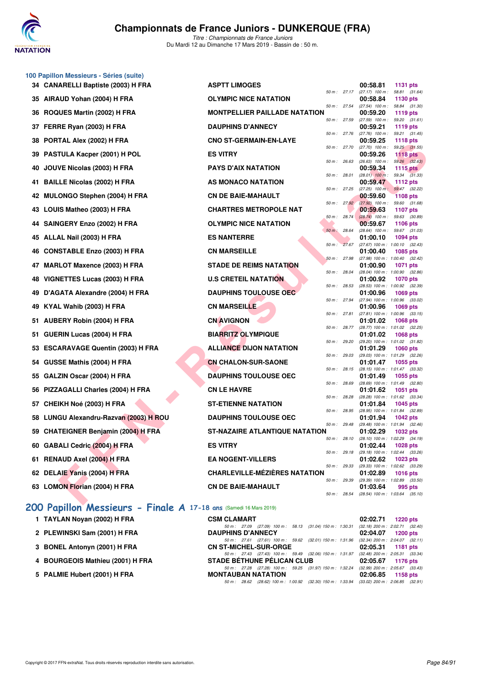

*Titre : Championnats de France Juniors* Du Mardi 12 au Dimanche 17 Mars 2019 - Bassin de : 50 m.

|    | 100 Papillon Messieurs - Séries (suite) |                                      |                |                                                 |                                  |  |
|----|-----------------------------------------|--------------------------------------|----------------|-------------------------------------------------|----------------------------------|--|
|    | 34 CANARELLI Baptiste (2003) H FRA      | <b>ASPTT LIMOGES</b>                 |                | 00:58.81                                        | <b>1131 pts</b>                  |  |
|    | 35 AIRAUD Yohan (2004) H FRA            | <b>OLYMPIC NICE NATATION</b>         |                | 50 m: 27.17 (27.17) 100 m:<br>00:58.84          | 58.81 (31.64)<br>1130 pts        |  |
|    | 36 ROQUES Martin (2002) H FRA           | <b>MONTPELLIER PAILLADE NATATION</b> | 50 m: 27.54    | $(27.54)$ 100 m :<br>00:59.20                   | 58.84 (31.30)<br>1119 pts        |  |
|    | 37 FERRE Ryan (2003) H FRA              | <b>DAUPHINS D'ANNECY</b>             | 50 m: 27.59    | $(27.59)$ 100 m :<br>00:59.21                   | 59.20 (31.61)<br>1119 pts        |  |
|    | 38 PORTAL Alex (2002) H FRA             | <b>CNO ST-GERMAIN-EN-LAYE</b>        | 50 m: 27.76    | $(27.76)$ 100 m :<br>00:59.25                   | 59.21 (31.45)<br><b>1118 pts</b> |  |
|    | 39 PASTULA Kacper (2001) H POL          | <b>ES VITRY</b>                      | 50 m: 27.70    | $(27.70)$ 100 m :<br>00:59.26                   | 59.25 (31.55)<br><b>1118 pts</b> |  |
| 40 | JOUVE Nicolas (2003) H FRA              | <b>PAYS D'AIX NATATION</b>           | 50 m: 26.63    | $(26.63)$ 100 m : 59.26 $(32.63)$<br>00:59.34   | 1115 pts                         |  |
| 41 | <b>BAILLE Nicolas (2002) H FRA</b>      | AS MONACO NATATION                   | 50 m : 28.01   | $(28.01)$ 100 m :<br>00:59.47                   | 59.34 (31.33)<br>1112 pts        |  |
|    | 42 MULONGO Stephen (2004) H FRA         | <b>CN DE BAIE-MAHAULT</b>            | 50 m: 27.25    | $(27.25)$ 100 m:<br>00:59.60                    | 59.47 (32.22)<br><b>1108 pts</b> |  |
|    | 43 LOUIS Matheo (2003) H FRA            | <b>CHARTRES METROPOLE NAT</b>        | 50 m: 27.92    | $(27.92)$ 100 m :<br>00:59.63                   | 59.60 (31.68)<br>1107 pts        |  |
|    | 44 SAINGERY Enzo (2002) H FRA           | <b>OLYMPIC NICE NATATION</b>         | 50 m: 28.74    | $(28.74)$ 100 m :<br>00:59.67                   | 59.63 (30.89)<br>1106 pts        |  |
|    | 45 ALLAL Nail (2003) H FRA              | <b>ES NANTERRE</b>                   | $50 m$ : 28.64 | (28.64) 100 m :<br>01:00.10                     | 59.67 (31.03)<br>1094 pts        |  |
|    | 46 CONSTABLE Enzo (2003) H FRA          | <b>CN MARSEILLE</b>                  | 50 m : 27.67   | (27.67) 100 m : 1:00.10 (32.43)<br>01:00.40     | 1085 pts                         |  |
|    |                                         | <b>STADE DE REIMS NATATION</b>       | 50 m: 27.98    | (27.98) 100 m: 1:00.40 (32.42)                  |                                  |  |
|    | 47 MARLOT Maxence (2003) H FRA          |                                      | 50 m : 28.04   | 01:00.90<br>(28.04) 100 m: 1:00.90 (32.86)      | 1071 pts                         |  |
|    | 48 VIGNETTES Lucas (2003) H FRA         | <b>U.S CRETEIL NATATION</b>          | 50 m: 28.53    | 01:00.92<br>(28.53) 100 m: 1:00.92 (32.39)      | <b>1070 pts</b>                  |  |
|    | 49 D'AGATA Alexandre (2004) H FRA       | <b>DAUPHINS TOULOUSE OEC</b>         | 50 m: 27.94    | 01:00.96<br>(27.94) 100 m: 1:00.96 (33.02)      | 1069 pts                         |  |
|    | 49 KYAL Wahib (2003) H FRA              | <b>CN MARSEILLE</b>                  | 50 m: 27.81    | 01:00.96<br>(27.81) 100 m: 1:00.96 (33.15)      | 1069 pts                         |  |
| 51 | AUBERY Robin (2004) H FRA               | <b>CN AVIGNON</b>                    | 50 m : 28.77   | 01:01.02<br>(28.77) 100 m : 1:01.02 (32.25)     | 1068 pts                         |  |
| 51 | GUERIN Lucas (2004) H FRA               | <b>BIARRITZ OLYMPIQUE</b>            | 50 m : 29.20   | 01:01.02<br>(29.20) 100 m: 1:01.02 (31.82)      | 1068 pts                         |  |
|    | 53 ESCARAVAGE Quentin (2003) H FRA      | <b>ALLIANCE DIJON NATATION</b>       |                | 01:01.29                                        | <b>1060 pts</b>                  |  |
|    | 54 GUSSE Mathis (2004) H FRA            | <b>CN CHALON-SUR-SAONE</b>           | 50 m: 29.03    | (29.03) 100 m: 1:01.29 (32.26)<br>01:01.47      | 1055 pts                         |  |
| 55 | GALZIN Oscar (2004) H FRA               | <b>DAUPHINS TOULOUSE OEC</b>         | 50 m: 28.15    | (28.15) 100 m: 1:01.47 (33.32)<br>01:01.49      | 1055 pts                         |  |
|    | 56 PIZZAGALLI Charles (2004) H FRA      | <b>CN LE HAVRE</b>                   | 50 m : 28.69   | (28.69) 100 m: 1:01.49 (32.80)<br>01:01.62      | 1051 pts                         |  |
| 57 | CHEIKH Noé (2003) H FRA                 | <b>ST-ETIENNE NATATION</b>           | 50 m : 28.28   | (28.28) 100 m: 1:01.62 (33.34)<br>01:01.84      | 1045 pts                         |  |
|    | 58 LUNGU Alexandru-Razvan (2003) H ROU  | <b>DAUPHINS TOULOUSE OEC</b>         | 50 m : 28.95   | (28.95) 100 m: 1:01.84 (32.89)<br>01:01.94      | <b>1042 pts</b>                  |  |
|    | 59 CHATEIGNER Benjamin (2004) H FRA     | ST-NAZAIRE ATLANTIQUE NATATION       | 50 m : 29.48   | $(29.48)$ 100 m : 1:01.94 $(32.46)$<br>01:02.29 | 1032 pts                         |  |
|    | 60 GABALI Cedric (2004) H FRA           | <b>ES VITRY</b>                      | 50 m : 28.10   | (28.10) 100 m : 1:02.29 (34.19)<br>01:02.44     | 1028 pts                         |  |
|    | 61 RENAUD Axel (2004) H FRA             | <b>EA NOGENT-VILLERS</b>             | 50 m: 29.18    | (29.18) 100 m: 1:02.44 (33.26)<br>01:02.62      | 1023 pts                         |  |
|    | 62 DELAIE Yanis (2004) H FRA            | <b>CHARLEVILLE-MÉZIÈRES NATATION</b> | 50 m: 29.33    | (29.33) 100 m: 1:02.62 (33.29)<br>01:02.89      | <b>1016 pts</b>                  |  |
|    | 63 LOMON Florian (2004) H FRA           | <b>CN DE BAIE-MAHAULT</b>            | 50 m : 29.39   | (29.39) 100 m : 1:02.89 (33.50)<br>01:03.64     | 995 pts                          |  |
|    |                                         |                                      | 50 m : 28.54   | (28.54) 100 m: 1:03.64 (35.10)                  |                                  |  |

### **[200 Papillon Messieurs - Finale A](http://www.ffnatation.fr/webffn/resultats.php?idact=nat&go=epr&idcpt=59271&idepr=83) 17-18 ans** (Samedi 16 Mars 2019)

| 1 TAYLAN Novan (2002) H FRA  | <b>CSM</b> |
|------------------------------|------------|
| 2 PLEWINSKI Sam (2001) H FRA | <b>DAU</b> |

- **3 BONEL Antonyn (2001) H FRA**
- **4 BOURGEOIS Mathieu (2001) H FRA**
- **5 PALMIE Hubert (2001) H FRA**

| 1 TAYLAN Novan (2002) H FRA      | <b>CSM CLAMART</b>                |  |                                                                                              | 02:02.71 1220 pts                                        |  |
|----------------------------------|-----------------------------------|--|----------------------------------------------------------------------------------------------|----------------------------------------------------------|--|
|                                  |                                   |  | 50 m: 27.09 (27.09) 100 m: 58.13 (31.04) 150 m: 1:30.31 (32.18) 200 m: 2:02.71 (32.40)       |                                                          |  |
| 2 PLEWINSKI Sam (2001) H FRA     | <b>DAUPHINS D'ANNECY</b>          |  |                                                                                              | 02:04.07 1200 pts                                        |  |
| 3 BONEL Antonyn (2001) H FRA     | <b>CN ST-MICHEL-SUR-ORGE</b>      |  | 50 m: 27.61 (27.61) 100 m: 59.62 (32.01) 150 m: 1:31.96                                      | $(32.34)$ 200 m : 2:04.07 $(32.11)$<br>02:05.31 1181 pts |  |
|                                  |                                   |  | 50 m: 27.43 (27.43) 100 m: 59.49 (32.06) 150 m: 1:31.97 (32.48) 200 m: 2:05.31 (33.34)       |                                                          |  |
| 4 BOURGEOIS Mathieu (2001) H FRA | <b>STADE BÉTHUNE PELICAN CLUB</b> |  |                                                                                              | 02:05.67 1176 pts                                        |  |
|                                  |                                   |  | 50 m: 27.28 (27.28) 100 m: 59.25 (31.97) 150 m: 1:32.24 (32.99) 200 m: 2:05.67 (33.43)       |                                                          |  |
| 5 PALMIE Hubert (2001) H FRA     | <b>MONTAUBAN NATATION</b>         |  |                                                                                              | 02:06.85 1158 pts                                        |  |
|                                  |                                   |  | 50 m : 28.62 (28.62) 100 m : 1:00.92 (32.30) 150 m : 1:33.94 (33.02) 200 m : 2:06.85 (32.91) |                                                          |  |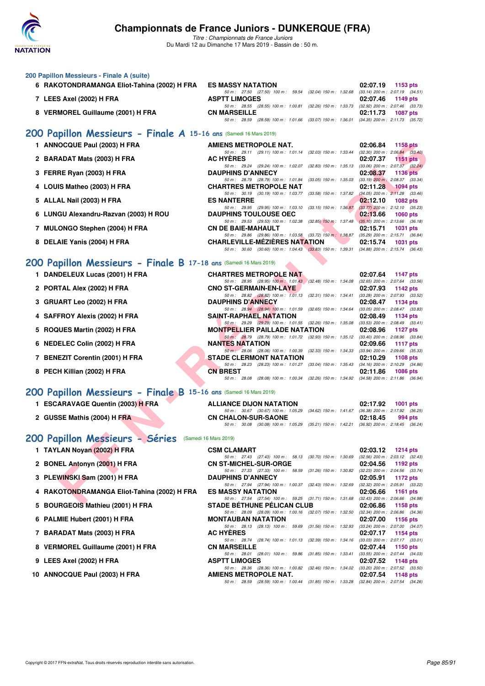

| 200 Papillon Messieurs - Finale A (suite)                                                         |                                                                                                                        |                                                                      |
|---------------------------------------------------------------------------------------------------|------------------------------------------------------------------------------------------------------------------------|----------------------------------------------------------------------|
| 6 RAKOTONDRAMANGA Eliot-Tahina (2002) H FRA                                                       | <b>ES MASSY NATATION</b>                                                                                               | 02:07.19<br>1153 pts                                                 |
| 7 LEES Axel (2002) H FRA                                                                          | 50 m: 27.50 (27.50) 100 m: 59.54 (32.04) 150 m: 1:32.68<br><b>ASPTT LIMOGES</b>                                        | $(33.14)$ 200 m : 2:07.19 $(34.51)$<br>02:07.46<br>1149 pts          |
| 8 VERMOREL Guillaume (2001) H FRA                                                                 | 50 m : 28.55 (28.55) 100 m : 1:00.81 (32.26) 150 m : 1:33.73<br><b>CN MARSEILLE</b>                                    | (32.92) 200 m : 2:07.46 (33.73)<br>02:11.73<br><b>1087 pts</b>       |
|                                                                                                   | 50 m : 28.59 (28.59) 100 m : 1:01.66 (33.07) 150 m : 1:36.01                                                           | $(34.35)$ 200 m : 2:11.73 $(35.72)$                                  |
| 200 Papillon Messieurs - Finale A 15-16 ans (Samedi 16 Mars 2019)<br>1 ANNOCQUE Paul (2003) H FRA | AMIENS METROPOLE NAT.                                                                                                  |                                                                      |
|                                                                                                   | 50 m: 29.11 (29.11) 100 m: 1:01.14 (32.03) 150 m: 1:33.44                                                              | 02:06.84<br><b>1158 pts</b><br>$(32.30)$ 200 m : $2.06.84$ $(33.40)$ |
| 2 BARADAT Mats (2003) H FRA                                                                       | <b>AC HYERES</b><br>50 m: 29.24 (29.24) 100 m: 1:02.07 (32.83) 150 m: 1:35.13                                          | 02:07.37<br>1151 $pts$<br>$(33.06)$ 200 m : 2:07.37 $(32.24)$        |
| 3 FERRE Ryan (2003) H FRA                                                                         | <b>DAUPHINS D'ANNECY</b><br>50 m : 28.79 (28.79) 100 m : 1:01.84<br>$(33.05)$ 150 m : 1:35.03                          | 02:08.37<br><b>1136 pts</b><br>$(33.19)$ 200 m : 2:08.37 $(33.34)$   |
| 4 LOUIS Matheo (2003) H FRA                                                                       | <b>CHARTRES METROPOLE NAT</b><br>50 m: 30.19 (30.19) 100 m: 1:03.77 (33.58) 150 m: 1:37.82                             | 02:11.28<br><b>1094 pts</b><br>$(34.05)$ 200 m : 2:11.28 $(33.46)$   |
| 5 ALLAL Nail (2003) H FRA                                                                         | <b>ES NANTERRE</b><br>50 m: 29.95 (29.95) 100 m: 1:03.10 (33.15) 150 m: 1:36.87                                        | 02:12.10<br><b>1082 pts</b><br>$(33.77)$ 200 m : 2:12.10 $(35.23)$   |
| 6 LUNGU Alexandru-Razvan (2003) H ROU                                                             | <b>DAUPHINS TOULOUSE OEC</b><br>50 m: 29.53 (29.53) 100 m: 1:02.38<br>$(32.85)$ 150 m : 1:37.48                        | 02:13.66<br><b>1060 pts</b><br>$(35.10)$ 200 m : 2:13.66 $(36.18)$   |
| 7 MULONGO Stephen (2004) H FRA                                                                    | <b>CN DE BAIE-MAHAULT</b><br>50 m: 29.86 (29.86) 100 m: 1:03.58 (33.72) 150 m: 1:38.87                                 | 02:15.71<br><b>1031 pts</b><br>$(35.29)$ 200 m : 2:15.71 $(36.84)$   |
| 8 DELAIE Yanis (2004) H FRA                                                                       | <b>CHARLEVILLE-MEZIERES NATATION</b><br>50 m: 30.60 (30.60) 100 m: 1:04.43 (33.83) 150 m: 1:39.31                      | 02:15.74<br><b>1031 pts</b><br>$(34.88)$ 200 m : 2:15.74 $(36.43)$   |
| 200 Papillon Messieurs - Finale B 17-18 ans (Samedi 16 Mars 2019)                                 |                                                                                                                        |                                                                      |
| 1 DANDELEUX Lucas (2001) H FRA                                                                    | <b>CHARTRES METROPOLE NAT</b>                                                                                          | 02:07.64<br><b>1147 pts</b>                                          |
| 2 PORTAL Alex (2002) H FRA                                                                        | 50 m: 28.95 (28.95) 100 m: 1:01.43 (32.48) 150 m: 1:34.08<br><b>CNO ST-GERMAIN-EN-LAYE</b>                             | $(32.65)$ 200 m : 2:07.64 $(33.56)$<br>02:07.93<br>1142 pts          |
| 3 GRUART Leo (2002) H FRA                                                                         | 50 m: 28.82 (28.82) 100 m: 1:01.13 (32.31) 150 m: 1:34.41<br><b>DAUPHINS D'ANNECY</b>                                  | (33.28) 200 m : 2:07.93 (33.52)<br>02:08.47<br><b>1134 pts</b>       |
|                                                                                                   | 50 m: 28.94 (28.94) 100 m: 1:01.59 (32.65) 150 m: 1:34.64                                                              | $(33.05)$ 200 m : 2:08.47 $(33.83)$                                  |
| 4 SAFFROY Alexis (2002) H FRA                                                                     | SAINT-RAPHAEL NATATION<br>50 m: 29.29 (29.29) 100 m: 1:01.55 (32.26) 150 m: 1:35.08                                    | 02:08.49<br>1134 pts<br>$(33.53)$ 200 m : 2:08.49 $(33.41)$          |
| 5 ROQUES Martin (2002) H FRA                                                                      | <b>MONTPELLIER PAILLADE NATATION</b><br>50 m : 28.79 (28.79) 100 m : 1:01.72 (32.93) 150 m : 1:35.12                   | 02:08.96<br><b>1127 pts</b><br>$(33.40)$ 200 m : 2:08.96 $(33.84)$   |
| 6 NEDELEC Colin (2002) H FRA                                                                      | <b>NANTES NATATION</b><br>50 m : 28.06 (28.06) 100 m : 1:00.39 (32.33) 150 m : 1:34.33                                 | 02:09.66<br><b>1117 pts</b><br>(33.94) 200 m : 2:09.66 (35.33)       |
| 7 BENEZIT Corentin (2001) H FRA                                                                   | <b>STADE CLERMONT NATATION</b><br>50 m : 28.23 (28.23) 100 m : 1:01.27 (33.04) 150 m : 1:35.43                         | 02:10.29<br><b>1108 pts</b><br>$(34.16)$ 200 m : 2:10.29 $(34.86)$   |
| 8 PECH Killian (2002) H FRA                                                                       | <b>CN BREST</b><br>50 m: 28.08 (28.08) 100 m: 1:00.34 (32.26) 150 m: 1:34.92                                           | 02:11.86<br><b>1086 pts</b><br>$(34.58)$ 200 m : 2:11.86 $(36.94)$   |
| 200 Papillon Messieurs - Finale B 15-16 ans (Samedi 16 Mars 2019)                                 |                                                                                                                        |                                                                      |
| 1 ESCARAVAGE Quentin (2003) H FRA                                                                 | <b>ALLIANCE DIJON NATATION</b>                                                                                         | 02:17.92<br>1001 pts                                                 |
| 2 GUSSE Mathis (2004) H FRA                                                                       | 50 m: 30.67 (30.67) 100 m: 1:05.29<br>(34.62) 150 m : 1:41.67<br><b>CN CHALON-SUR-SAONE</b>                            | $(36.38)$ 200 m : 2:17.92<br>(36.25)<br>02:18.45<br>994 pts          |
|                                                                                                   | 50 m : 30.08 (30.08) 100 m : 1:05.29 (35.21) 150 m : 1:42.21                                                           | (36.92) 200 m : 2:18.45 (36.24)                                      |
| 200 Papillon Messieurs - Séries (Samedi 16 Mars 2019)                                             |                                                                                                                        |                                                                      |
| 1 TAYLAN Noyan (2002) H FRA                                                                       | <b>CSM CLAMART</b><br>50 m : 27.43 (27.43) 100 m : 58.13 (30.70) 150 m : 1:30.69                                       | 02:03.12<br><b>1214 pts</b><br>(32.56) 200 m : 2:03.12 (32.43)       |
| 2 BONEL Antonyn (2001) H FRA                                                                      | <b>CN ST-MICHEL-SUR-ORGE</b><br>50 m: 27.33 (27.33) 100 m: 58.59 (31.26) 150 m: 1:30.82 (32.23) 200 m: 2:04.56 (33.74) | 02:04.56<br>1192 pts                                                 |
| 3 PLEWINSKI Sam (2001) H FRA                                                                      | <b>DAUPHINS D'ANNECY</b><br>50 m : 27.94 (27.94) 100 m : 1:00.37 (32.43) 150 m : 1:32.69                               | 02:05.91<br>1172 pts<br>(32.32) 200 m : 2:05.91 (33.22)              |
| 4 RAKOTONDRAMANGA Eliot-Tahina (2002) H FRA                                                       | <b>ES MASSY NATATION</b><br>50 m: 27.54 (27.54) 100 m: 59.25 (31.71) 150 m: 1:31.68                                    | 02:06.66<br>1161 pts<br>(32.43) 200 m : 2:06.66 (34.98)              |
| <b>BOURGEOIS Mathieu (2001) H FRA</b><br>5                                                        | <b>STADE BETHUNE PELICAN CLUB</b><br>50 m: 28.09 (28.09) 100 m: 1:00.16 (32.07) 150 m: 1:32.50                         | 02:06.86<br>1158 pts<br>(32.34) 200 m : 2:06.86 (34.36)              |
| 6 PALMIE Hubert (2001) H FRA                                                                      | <b>MONTAUBAN NATATION</b><br>50 m: 28.13 (28.13) 100 m: 59.69 (31.56) 150 m: 1:32.93                                   | 02:07.00<br><b>1156 pts</b>                                          |
| 7 BARADAT Mats (2003) H FRA                                                                       | <b>AC HYERES</b>                                                                                                       | $(33.24)$ 200 m : 2:07.00 $(34.07)$<br>02:07.17<br>1154 pts          |
| 8 VERMOREL Guillaume (2001) H FRA                                                                 | 50 m: 28.74 (28.74) 100 m: 1:01.13 (32.39) 150 m: 1:34.16 (33.03) 200 m: 2:07.17 (33.01)<br><b>CN MARSEILLE</b>        | 02:07.44<br>1150 pts                                                 |
| 9 LEES Axel (2002) H FRA                                                                          | 50 m : 28.01 (28.01) 100 m : 59.86 (31.85) 150 m : 1:33.41<br><b>ASPTT LIMOGES</b>                                     | $(33.55)$ 200 m : 2:07.44 $(34.03)$<br>02:07.52<br>1148 pts          |
| 10 ANNOCQUE Paul (2003) H FRA                                                                     | 50 m : 28.36 (28.36) 100 m : 1:00.82 (32.46) 150 m : 1:34.02<br>AMIENS METROPOLE NAT.                                  | $(33.20)$ 200 m : 2:07.52 $(33.50)$<br>02:07.54<br>1148 pts          |
|                                                                                                   | 50 m: 28.59 (28.59) 100 m: 1:00.44 (31.85) 150 m: 1:33.28 (32.84) 200 m: 2:07.54 (34.26)                               |                                                                      |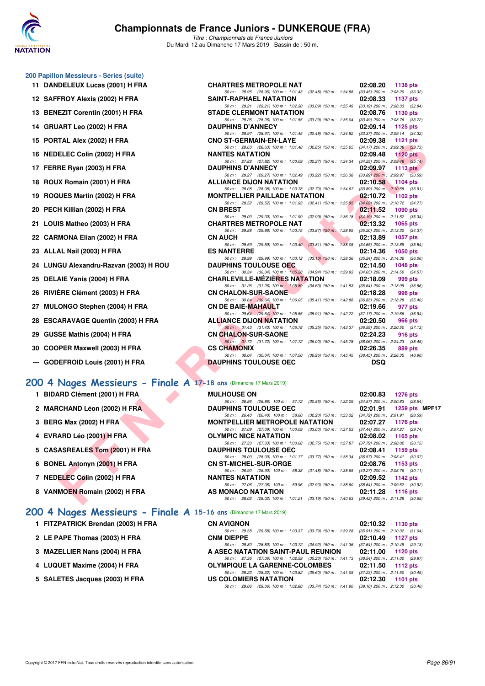

*Titre : Championnats de France Juniors* Du Mardi 12 au Dimanche 17 Mars 2019 - Bassin de : 50 m.

#### **200 Papillon Messieurs - Séries (suite)**

- **11 DANDELEUX Lucas (2001) H FRA**
- 12 SAFFROY Alexis (2002) H FRA
- **13 BENEZIT Corentin (2001) H FRA**
- **14 GRUART Leo (2002) H FRA**
- **15 PORTAL Alex (2002) H FRA**
- 16 NEDELEC Colin (2002) H FRA
- **17 FERRE Ryan (2003) H FRA**
- **18 ROUX Romain (2001) H FRA**
- **19 ROQUES Martin (2002) H FRA**
- **20 PECH Killian (2002) H FRA**
- 21 LOUIS Matheo (2003) **H FRA**
- **22 CARMONA Elian (2002) H FRA**
- 23 ALLAL Nail (2003) H FRA
- 24 LUNGU Alexandru-Razvan (2003) H ROU
- 25 DELAIE Yanis (2004) H FRA
- 26 RIVIÈRE Clément (2003) H FRA
- 27 MULONGO Stephen (2004) H FRA
- 28 ESCARAVAGE Quentin (2003) H FRA
- **29 GUSSE Mathis (2004) H FRA**
- **30 COOPER Maxwell (2003) H FRA**
- **--- GODEFROID Louis (2001) H FRA**

#### **[200 4 Nages Messieurs - Finale A](http://www.ffnatation.fr/webffn/resultats.php?idact=nat&go=epr&idcpt=59271&idepr=91) 17-18 ans** (Dimanche 17 Mars 2019)

- **1 BIDARD Clément (2001) H FRA**
- 2 MARCHAND Léon (2002) H FRA
- **3 BERG Max (2002) H FRA**
- **4 EVRARD Léo (2001) H FRA**
- **5 CASASREALES Tom (2001) H FRA**
- **6 BONEL Antonyn (2001) H FRA**
- **7 NEDELEC Colin (2002) H FRA NANTES NATATION 02:09.52 1142 pts**
- **8 VANMOEN Romain (2002) H FRA**
- - **1 FITZPATRICK Brendan (2003) H FRA**
	- **2 LE PAPE Thomas (2003) H FRA**
	- **3 MAZELLIER Nans (2004) H FRA**
	- **4 LUQUET Maxime (2004) H FRA**
	-

| <b>DELEUX Lucas (2001) H FRA</b>                             | <b>CHARTRES METROPOLE NAT</b>                                                                                                    | 02:08.20<br>1138 pts                                          |
|--------------------------------------------------------------|----------------------------------------------------------------------------------------------------------------------------------|---------------------------------------------------------------|
|                                                              | 50 m: 28.95 (28.95) 100 m: 1:01.43 (32.48) 150 m: 1:34.88                                                                        | $(33.45)$ 200 m : 2:08.20 $(33.32)$                           |
| FROY Alexis (2002) H FRA                                     | <b>SAINT-RAPHAEL NATATION</b><br>50 m: 29.21 (29.21) 100 m: 1:02.30 (33.09) 150 m: 1:35.49 (33.19) 200 m: 2:08.33 (32.84)        | 02:08.33<br>1137 pts                                          |
| EZIT Corentin (2001) H FRA                                   | <b>STADE CLERMONT NATATION</b>                                                                                                   | 02:08.76<br>1130 pts                                          |
|                                                              | 50 m: 28.26 (28.26) 100 m: 1:01.55 (33.29) 150 m: 1:35.04 (33.49) 200 m: 2:08.76 (33.72)                                         |                                                               |
| ART Leo (2002) H FRA                                         | <b>DAUPHINS D'ANNECY</b>                                                                                                         | 02:09.14<br>1125 $p$ ts                                       |
| TAL Alex (2002) H FRA                                        | 50 m: 28.97 (28.97) 100 m: 1:01.45 (32.48) 150 m: 1:34.82 (33.37) 200 m: 2:09.14 (34.32)<br><b>CNO ST-GERMAIN-EN-LAYE</b>        | 02:09.38<br>1121 $pts$                                        |
| ELEC Colin (2002) H FRA                                      | 50 m: 28.63 (28.63) 100 m: 1:01.48 (32.85) 150 m: 1:35.65 (34.17) 200 m: 2:09.38 (33.73)<br><b>NANTES NATATION</b>               | 02:09.48<br>$1120$ pts                                        |
| RE Ryan (2003) H FRA                                         | 50 m: 27.82 (27.82) 100 m: 1:00.09 (32.27) 150 m: 1:34.34 (34.25) 200 m: 2:09.48 (35.14)<br><b>DAUPHINS D'ANNECY</b>             | 02:09.97<br>1113 $pts1$                                       |
| X Romain (2001) H FRA                                        | 50 m: 29.27 (29.27) 100 m: 1:02.49 (33.22) 150 m: 1:36.38 (33.89) 200 m: 2:09.97 (33.59)<br><b>ALLIANCE DIJON NATATION</b>       | 02:10.58<br>1104 pts                                          |
|                                                              | 50 m: 28.08 (28.08) 100 m: 1:00.78 (32.70) 150 m: 1:34.67 (33.89) 200 m: 2:10.58 (35.91)                                         |                                                               |
| UES Martin (2002) H FRA                                      | <b>MONTPELLIER PAILLADE NATATION</b>                                                                                             | 02:10.72<br>1102 pts                                          |
| H Killian (2002) H FRA                                       | 50 m: 29.52 (29.52) 100 m: 1:01.93 (32.41) 150 m: 1:35.95 (34.02) 200 m: 2:10.72 (34.77)<br><b>CN BREST</b>                      | 02:11.52<br>1090 pts                                          |
|                                                              | 50 m: 29.00 (29.00) 100 m: 1:01.99 (32.99) 150 m: 1:36.18 (34.19) 200 m: 2:11.52 (35.34)                                         |                                                               |
| IS Matheo (2003) H FRA                                       | <b>CHARTRES METROPOLE NAT</b>                                                                                                    | 02:13.32<br><b>1065 pts</b>                                   |
| MONA Elian (2002) H FRA                                      | 50 m: 29.88 (29.88) 100 m: 1:03.75 (33.87) 150 m: 1:38.95 (35.20) 200 m: 2:13.32 (34.37)<br><b>CN AUCH</b>                       | 02:13.89<br><b>1057 pts</b>                                   |
| AL Nail (2003) H FRA                                         | 50 m: 29.59 (29.59) 100 m: 1:03.40 (33.81) 150 m: 1:38.05 (34.65) 200 m: 2:13.89 (35.84)<br><b>ES NANTERRE</b>                   | 02:14.36<br>$1050$ pts                                        |
|                                                              | 50 m: 29.99 (29.99) 100 m: 1:03.12 (33.13) 150 m: 1:38.36 (35.24) 200 m: 2:14.36 (36.00)                                         |                                                               |
| GU Alexandru-Razvan (2003) H ROU                             | <b>DAUPHINS TOULOUSE OEC</b>                                                                                                     | 02:14.50<br>1048 pts                                          |
| AIE Yanis (2004) H FRA                                       | 50 m: 30.34 (30.34) 100 m: 1:05.28 (34.94) 150 m: 1:39.93 (34.65) 200 m: 2:14.50 (34.57)<br><b>CHARLEVILLE-MEZIERES NATATION</b> | 02:18.09<br>999 pts                                           |
| ERE Clément (2003) H FRA                                     | 50 m: 31.26 (31.26) 100 m: 1:05.89 (34.63) 150 m: 1:41.53 (35.64) 200 m: 2:18.09 (36.56)<br><b>CN CHALON-SUR-SAONE</b>           | 02:18.28<br>996 pts                                           |
| ONGO Stephen (2004) H FRA                                    | 50 m: 30.64 (30.64) 100 m: 1:06.05 (35.41) 150 m: 1:42.88 (36.83) 200 m: 2:18.28 (35.40)<br><b>CN DE BAIE-MAHAULT</b>            | 02:19.66<br>977 pts                                           |
|                                                              | 50 m: 29.64 (29.64) 100 m: 1:05.55 (35.91) 150 m: 1:42.72 (37.17) 200 m: 2:19.66 (36.94)                                         |                                                               |
| ARAVAGE Quentin (2003) H FRA                                 | <b>ALLIANCE DIJON NATATION</b>                                                                                                   | 02:20.50<br><b>966 pts</b>                                    |
| SE Mathis (2004) H FRA                                       | 50 m: 31.43 (31.43) 100 m: 1:06.78 (35.35) 150 m: 1:43.37 (36.59) 200 m: 2:20.50 (37.13)<br><b>CN CHALON-SUR-SAONE</b>           | 02:24.23<br>916 pts                                           |
|                                                              | 50 m: 31.72 (31.72) 100 m: 1.07.72 (36.00) 150 m: 1.45.78 (38.06) 200 m: 2.24.23 (38.45)                                         |                                                               |
| PER Maxwell (2003) H FRA                                     | <b>CS CHAMONIX</b><br>50 m: 30.04 (30.04) 100 m: 1:07.00 (36.96) 150 m: 1:45.45 (38.45) 200 m: 2:26.35 (40.90)                   | 02:26.35<br>889 pts                                           |
| <b>EFROID Louis (2001) H FRA</b>                             | <b>DAUPHINS TOULOUSE OEC</b>                                                                                                     | <b>DSQ</b>                                                    |
|                                                              |                                                                                                                                  |                                                               |
| Nages Messieurs - Finale A 17-18 ans (Dimanche 17 Mars 2019) |                                                                                                                                  |                                                               |
| <b>ARD Clément (2001) H FRA</b>                              | <b>MULHOUSE ON</b>                                                                                                               | 02:00.83<br>1276 pts                                          |
|                                                              | 50 m: 26.86 (26.86) 100 m: 57.72 (30.86) 150 m: 1:32.29 (34.57) 200 m: 2:00.83 (28.54)                                           |                                                               |
| <b>CHAND Léon (2002) H FRA</b>                               | <b>DAUPHINS TOULOUSE OEC</b>                                                                                                     | 02:01.91<br>1259 pts MPF1                                     |
| G Max (2002) H FRA                                           | 50 m: 26.40 (26.40) 100 m: 58.60 (32.20) 150 m: 1:33.32 (34.72) 200 m: 2:01.91 (28.59)<br><b>MONTPELLIER METROPOLE NATATION</b>  | 02:07.27<br><b>1176 pts</b>                                   |
| ARD Léo (2001) H FRA                                         | 50 m: 27.09 (27.09) 100 m: 1:00.09 (33.00) 150 m: 1:37.53 (37.44) 200 m: 2:07.27 (29.74)<br><b>OLYMPIC NICE NATATION</b>         | 02:08.02<br>1165 $pts$                                        |
| <b>ASREALES Tom (2001) H FRA</b>                             | 50 m: 27.33 (27.33) 100 m: 1:00.08 (32.75) 150 m: 1:37.87 (37.79) 200 m: 2:08.02 (30.15)<br><b>DAUPHINS TOULOUSE OEC</b>         | 02:08.41<br>1159 $pts$                                        |
|                                                              | 50 m: 28.00 (28.00) 100 m: 1:01.77 (33.77) 150 m: 1:38.34 (36.57) 200 m: 2:08.41 (30.07)                                         |                                                               |
| EL Antonyn (2001) H FRA                                      | <b>CN ST-MICHEL-SUR-ORGE</b>                                                                                                     | 02:08.76<br>1153 pts                                          |
| ELEC Colin (2002) H FRA                                      | 50 m: 26.90 (26.90) 100 m: 58.38 (31.48) 150 m: 1:38.65<br><b>NANTES NATATION</b>                                                | $(40.27)$ 200 m : 2:08.76 $(30.11)$<br>02:09.52<br>1142 $pts$ |
| MOEN Romain (2002) H FRA                                     | 50 m: 27.06 (27.06) 100 m: 59.96 (32.90) 150 m: 1:38.60 (38.64) 200 m: 2:09.52 (30.92)<br>AS MONACO NATATION                     | 02:11.28<br>1116 pts                                          |
|                                                              | 50 m: 28.02 (28.02) 100 m: 1:01.21 (33.19) 150 m: 1:40.63 (39.42) 200 m: 2:11.28 (30.65)                                         |                                                               |
|                                                              |                                                                                                                                  |                                                               |

| <b>MULHOUSE ON</b>     |  |                              |                                                         |  |                                                              | 02:00.83 1276 pts                                                                        |                         |  |
|------------------------|--|------------------------------|---------------------------------------------------------|--|--------------------------------------------------------------|------------------------------------------------------------------------------------------|-------------------------|--|
|                        |  |                              |                                                         |  | 50 m: 26.86 (26.86) 100 m: 57.72 (30.86) 150 m: 1:32.29      | $(34.57)$ 200 m : 2:00.83 $(28.54)$                                                      |                         |  |
|                        |  | <b>DAUPHINS TOULOUSE OEC</b> |                                                         |  |                                                              |                                                                                          | 02:01.91 1259 pts MPF17 |  |
|                        |  |                              | 50 m: 26.40 (26.40) 100 m: 58.60 (32.20) 150 m: 1:33.32 |  |                                                              | $(34.72)$ 200 m : 2:01.91 $(28.59)$                                                      |                         |  |
|                        |  |                              | <b>MONTPELLIER METROPOLE NATATION</b>                   |  |                                                              | 02:07.27 1176 pts                                                                        |                         |  |
|                        |  |                              |                                                         |  | 50 m : 27.09 (27.09) 100 m : 1:00.09 (33.00) 150 m : 1:37.53 | $(37.44)$ 200 m : 2:07.27 $(29.74)$                                                      |                         |  |
|                        |  | <b>OLYMPIC NICE NATATION</b> |                                                         |  |                                                              | 02:08.02 1165 pts                                                                        |                         |  |
|                        |  |                              |                                                         |  |                                                              | 50 m: 27.33 (27.33) 100 m: 1:00.08 (32.75) 150 m: 1:37.87 (37.79) 200 m: 2:08.02 (30.15) |                         |  |
|                        |  | <b>DAUPHINS TOULOUSE OEC</b> |                                                         |  |                                                              | 02:08.41 1159 pts                                                                        |                         |  |
|                        |  |                              |                                                         |  |                                                              | 50 m: 28.00 (28.00) 100 m: 1:01.77 (33.77) 150 m: 1:38.34 (36.57) 200 m: 2:08.41 (30.07) |                         |  |
|                        |  | <b>CN ST-MICHEL-SUR-ORGE</b> |                                                         |  |                                                              | 02:08.76 1153 pts                                                                        |                         |  |
|                        |  |                              |                                                         |  |                                                              | 50 m: 26.90 (26.90) 100 m: 58.38 (31.48) 150 m: 1:38.65 (40.27) 200 m: 2:08.76 (30.11)   |                         |  |
| <b>NANTES NATATION</b> |  |                              |                                                         |  |                                                              | 02:09.52 1142 pts                                                                        |                         |  |
|                        |  |                              |                                                         |  |                                                              | 50 m: 27.06 (27.06) 100 m: 59.96 (32.90) 150 m: 1:38.60 (38.64) 200 m: 2:09.52 (30.92)   |                         |  |
| AS MONACO NATATION     |  |                              |                                                         |  |                                                              | 02:11.28 1116 pts                                                                        |                         |  |
|                        |  |                              |                                                         |  |                                                              | 50 m: 28.02 (28.02) 100 m: 1:01.21 (33.19) 150 m: 1:40.63 (39.42) 200 m: 2:11.28 (30.65) |                         |  |
|                        |  |                              |                                                         |  |                                                              |                                                                                          |                         |  |

#### **[200 4 Nages Messieurs - Finale A](http://www.ffnatation.fr/webffn/resultats.php?idact=nat&go=epr&idcpt=59271&idepr=91) 15-16 ans** (Dimanche 17 Mars 2019)

| 1 FITZPATRICK Brendan (2003) H FRA | <b>CN AVIGNON</b>                                                                                                                                                                                             | 02:10.32 1130 pts                                          |
|------------------------------------|---------------------------------------------------------------------------------------------------------------------------------------------------------------------------------------------------------------|------------------------------------------------------------|
| 2 LE PAPE Thomas (2003) H FRA      | (29.58) 100 m : 1:03.37 (33.79) 150 m : 1:39.28<br>50 m: 29.58<br><b>CNM DIEPPE</b>                                                                                                                           | $(35.91)$ 200 m : 2:10.32 $(31.04)$<br>$02:10.49$ 1127 pts |
| 3 MAZELLIER Nans (2004) H FRA      | 50 m : 28.80 (28.80) 100 m : 1:03.72 (34.92) 150 m : 1:41.36<br>A ASEC NATATION SAINT-PAUL REUNION                                                                                                            | $(37.64)$ 200 m : 2:10.49 $(29.13)$<br>02:11.00 1120 pts   |
| 4 LUQUET Maxime (2004) H FRA       | 50 m: 27.36 (27.36) 100 m: 1:02.59 (35.23) 150 m: 1:41.13<br><b>OLYMPIQUE LA GARENNE-COLOMBES</b>                                                                                                             | $(38.54)$ 200 m : 2:11.00 $(29.87)$<br>$02:11.50$ 1112 pts |
| 5 SALETES Jacques (2003) H FRA     | 50 m: 28.22 (28.22) 100 m: 1:03.82 (35.60) 150 m: 1:41.05 (37.23) 200 m: 2:11.50 (30.45)<br>US COLOMIERS NATATION<br>50 m: 29.06 (29.06) 100 m: 1:02.80 (33.74) 150 m: 1:41.90 (39.10) 200 m: 2:12.30 (30.40) | $02:12.30$ 1101 pts                                        |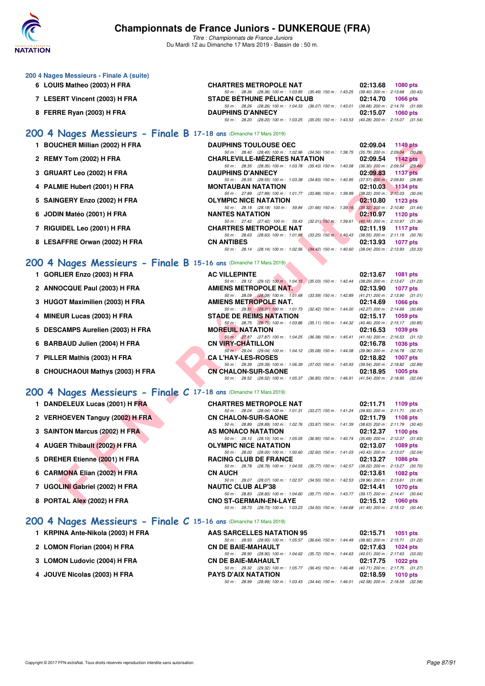

| 200 4 Nages Messieurs - Finale A (suite)<br>6 LOUIS Matheo (2003) H FRA | <b>CHARTRES METROPOLE NAT</b>                                                                                                 | 02:13.68<br><b>1080 pts</b>                                                   |
|-------------------------------------------------------------------------|-------------------------------------------------------------------------------------------------------------------------------|-------------------------------------------------------------------------------|
| 7 LESERT Vincent (2003) H FRA                                           | 50 m: 28.36 (28.36) 100 m: 1:03.85 (35.49) 150 m: 1:43.25 (39.40) 200 m: 2:13.68 (30.43)<br><b>STADE BETHUNE PELICAN CLUB</b> | 02:14.70<br><b>1066 pts</b>                                                   |
| 8 FERRE Ryan (2003) H FRA                                               | 50 m: 28.26 (28.26) 100 m: 1:04.33 (36.07) 150 m: 1:43.01 (38.68) 200 m: 2:14.70 (31.69)<br><b>DAUPHINS D'ANNECY</b>          | 02:15.07<br><b>1060 pts</b>                                                   |
|                                                                         | 50 m: 28.20 (28.20) 100 m: 1:03.25 (35.05) 150 m: 1:43.53 (40.28) 200 m: 2:15.07 (31.54)                                      |                                                                               |
| 200 4 Nages Messieurs - Finale B 17-18 ans (Dimanche 17 Mars 2019)      |                                                                                                                               |                                                                               |
| 1 BOUCHER Millian (2002) H FRA                                          | <b>DAUPHINS TOULOUSE OEC</b><br>50 m: 28.40 (28.40) 100 m: 1:02.96 (34.56) 150 m: 1:38.75                                     | 02:09.04<br><b>1149 pts</b><br>$(35.79)$ 200 m : 2:09.04 $(30.29)$            |
| 2 REMY Tom (2002) H FRA                                                 | <b>CHARLEVILLE-MEZIERES NATATION</b>                                                                                          | 02:09.54<br>1142 $pts$                                                        |
| 3 GRUART Leo (2002) H FRA                                               | 50 m: 28.35 (28.35) 100 m: 1:03.78 (35.43) 150 m: 1:40.08 (36.30) 200 m: 2:09.54 (29.46)<br><b>DAUPHINS D'ANNECY</b>          | 02:09.83<br><b>1137 pts</b>                                                   |
| 4 PALMIE Hubert (2001) H FRA                                            | 50 m: 28.55 (28.55) 100 m: 1.03.38 (34.83) 150 m: 1.40.95 (37.57) 200 m: 2.09.83 (28.88)<br><b>MONTAUBAN NATATION</b>         | 02:10.03<br>$1134$ pts                                                        |
| 5 SAINGERY Enzo (2002) H FRA                                            | 50 m: 27.89 (27.89) 100 m: 1:01.77 (33.88) 150 m: 1:39.99<br><b>OLYMPIC NICE NATATION</b>                                     | $(38.22)$ 200 m : 2:10.03 $(30.04)$<br>02:10.80<br>1123 $pts$                 |
| 6 JODIN Matéo (2001) H FRA                                              | 50 m: 28.18 (28.18) 100 m: 59.84 (31.66) 150 m: 1:39.16 (39.32) 200 m: 2:10.80 (31.64)<br><b>NANTES NATATION</b>              | 02:10.97<br>1120 pts                                                          |
| 7 RIGUIDEL Leo (2001) H FRA                                             | 50 m: 27.42 (27.42) 100 m: 59.43 (32.01) 150 m: 1:39.61 (40.18) 200 m: 2:10.97 (31.36)<br><b>CHARTRES METROPOLE NAT</b>       | 02:11.19<br><b>1117 pts</b>                                                   |
| 8 LESAFFRE Orwan (2002) H FRA                                           | 50 m: 28.63 (28.63) 100 m: 1:01.88 (33.25) 150 m: 1:40.43 (38.55) 200 m: 2:11.19 (30.76)<br><b>CN ANTIBES</b>                 | 02:13.93<br><b>1077 pts</b>                                                   |
|                                                                         | 50 m: 28.14 (28.14) 100 m: 1:02.56 (34.42) 150 m: 1:40.60 (38.04) 200 m: 2:13.93 (33.33)                                      |                                                                               |
| 200 4 Nages Messieurs - Finale B 15-16 ans (Dimanche 17 Mars 2019)      |                                                                                                                               |                                                                               |
| 1 GORLIER Enzo (2003) H FRA                                             | <b>AC VILLEPINTE</b><br>50 m: 29.12 (29.12) 100 m: 1:04.15 (35.03) 150 m: 1:42.44 (38.29) 200 m: 2:13.67 (31.23)              | 02:13.67<br><b>1081 pts</b>                                                   |
| 2 ANNOCQUE Paul (2003) H FRA                                            | <b>AMIENS METROPOLE NAT.</b><br>50 m: 28.09 (28.09) 100 m: 1.01.68 (33.59) 150 m: 1.42.89 (41.21) 200 m: 2.13.90 (31.01)      | 02:13.90<br><b>1077 pts</b>                                                   |
| 3 HUGOT Maximilien (2003) H FRA                                         | AMIENS METROPOLE NAT.                                                                                                         | 02:14.69<br><b>1066 pts</b>                                                   |
| 4 MINEUR Lucas (2003) H FRA                                             | 50 m : 29.31 (29.31) 100 m : 1:01.73 (32.42) 150 m : 1:44.00<br><b>STADE DE REIMS NATATION</b>                                | $(42.27)$ 200 m : 2:14.69 $(30.69)$<br>02:15.17<br>1059 pts                   |
| 5 DESCAMPS Aurelien (2003) H FRA                                        | 50 m : 28.75 (28.75) 100 m : 1:03.86 (35.11) 150 m : 1:44.32 (40.46) 200 m : 2:15.17 (30.85)<br><b>MOREUIL NATATION</b>       | 02:16.53<br>1039 pts                                                          |
| 6 BARBAUD Julien (2004) H FRA                                           | 50 m : 27.87 (27.87) 100 m : 1:04.25 (36.38) 150 m : 1:45.41<br><b>CN VIRY-CHATILLON</b>                                      | $(41.16)$ 200 m : 2:16.53 $(31.12)$<br>02:16.78<br><b>1036 pts</b>            |
| 7 PILLER Mathis (2003) H FRA                                            | 50 m : 29.04 (29.04) 100 m : 1:04.12 (35.08) 150 m : 1:44.08 (39.96) 200 m : 2:16.78 (32.70)<br><b>CA L'HAY-LES-ROSES</b>     | 02:18.82<br><b>1007 pts</b>                                                   |
| 8 CHOUCHAOUI Mathys (2003) H FRA                                        | 50 m: 29.39 (29.39) 100 m: 1:06.39 (37.00) 150 m: 1:45.93 (39.54) 200 m: 2:18.82 (32.89)<br><b>CN CHALON-SUR-SAONE</b>        | 02:18.95<br>$1005$ pts                                                        |
|                                                                         | 50 m: 28.52 (28.52) 100 m: 1:05.37 (36.85) 150 m: 1:46.91 (41.54) 200 m: 2:18.95 (32.04)                                      |                                                                               |
| 200 4 Nages Messieurs - Finale C 17-18 ans (Dimanche 17 Mars 2019)      |                                                                                                                               |                                                                               |
| 1 DANDELEUX Lucas (2001) H FRA                                          | <b>CHARTRES METROPOLE NAT</b><br>50 m : 28.04 (28.04) 100 m : 1:01.31                                                         | 02:11.71<br>1109 pts<br>(33.27) 150 m: 1:41.24 (39.93) 200 m: 2:11.71 (30.47) |
| 2 VERHOEVEN Tanguy (2002) H FRA                                         | <b>CN CHALON-SUR-SAONE</b><br>50 m: 28.89 (28.89) 100 m: 1:02.76 (33.87) 150 m: 1:41.39 (38.63) 200 m: 2:11.79 (30.40)        | 02:11.79<br>1108 $pts$                                                        |
| 3 SAINTON Marcus (2002) H FRA                                           | AS MONACO NATATION                                                                                                            | 02:12.37<br>1100 pts                                                          |
| 4 AUGER Thibault (2002) H FRA                                           | 50 m: 28.10 (28.10) 100 m: 1:05.05 (36.95) 150 m: 1:40.74 (35.69) 200 m: 2:12.37 (31.63)<br><b>OLYMPIC NICE NATATION</b>      | 02:13.07<br>1089 pts                                                          |
| 5 DREHER Etienne (2001) H FRA                                           | 50 m : 28.00 (28.00) 100 m : 1:00.60 (32.60) 150 m : 1:41.03 (40.43) 200 m : 2:13.07 (32.04)<br><b>RACING CLUB DE FRANCE</b>  | 02:13.27<br><b>1086 pts</b>                                                   |
| 6 CARMONA Elian (2002) H FRA                                            | 50 m: 28.78 (28.78) 100 m: 1:04.55 (35.77) 150 m: 1:42.57 (38.02) 200 m: 2:13.27 (30.70)<br><b>CN AUCH</b>                    | 02:13.61<br>1082 pts                                                          |
| 7 UGOLINI Gabriel (2002) H FRA                                          | 50 m: 28.07 (28.07) 100 m: 1:02.57 (34.50) 150 m: 1:42.53 (39.96) 200 m: 2:13.61 (31.08)<br><b>NAUTIC CLUB ALP'38</b>         | 02:14.41<br><b>1070 pts</b>                                                   |
| 8 PORTAL Alex (2002) H FRA                                              | 50 m: 28.83 (28.83) 100 m: 1:04.60 (35.77) 150 m: 1:43.77 (39.17) 200 m: 2:14.41 (30.64)<br><b>CNO ST-GERMAIN-EN-LAYE</b>     | 02:15.12<br><b>1060 pts</b>                                                   |
|                                                                         | 50 m: 28.73 (28.73) 100 m: 1:03.23 (34.50) 150 m: 1:44.68 (41.45) 200 m: 2:15.12 (30.44)                                      |                                                                               |
| 200 4 Nages Messieurs - Finale C 15-16 ans (Dimanche 17 Mars 2019)      |                                                                                                                               |                                                                               |
| 1 KRPINA Ante-Nikola (2003) H FRA                                       | AAS SARCELLES NATATION 95<br>50 m: 28.93 (28.93) 100 m: 1:05.57 (36.64) 150 m: 1:44.49 (38.92) 200 m: 2:15.71 (31.22)         | 02:15.71<br>1051 pts                                                          |
| 2 LOMON Florian (2004) H FRA                                            | <b>CN DE BAIE-MAHAULT</b>                                                                                                     | 02:17.63<br>1024 pts                                                          |
| 3 LOMON Ludovic (2004) H FRA                                            | 50 m: 28.90 (28.90) 100 m: 1:04.62 (35.72) 150 m: 1:44.63 (40.01) 200 m: 2:17.63 (33.00)<br><b>CN DE BAIE-MAHAULT</b>         | 02:17.75<br>1022 pts                                                          |
| 4 JOUVE Nicolas (2003) H FRA                                            | 50 m : 29.32 (29.32) 100 m : 1:05.77 (36.45) 150 m : 1:46.48<br><b>PAYS D'AIX NATATION</b>                                    | (40.71) 200 m : 2:17.75 (31.27)<br>02:18.59<br>1010 pts                       |
|                                                                         | 50 m: 28.99 (28.99) 100 m: 1:03.43 (34.44) 150 m: 1:46.01 (42.58) 200 m: 2:18.59 (32.58)                                      |                                                                               |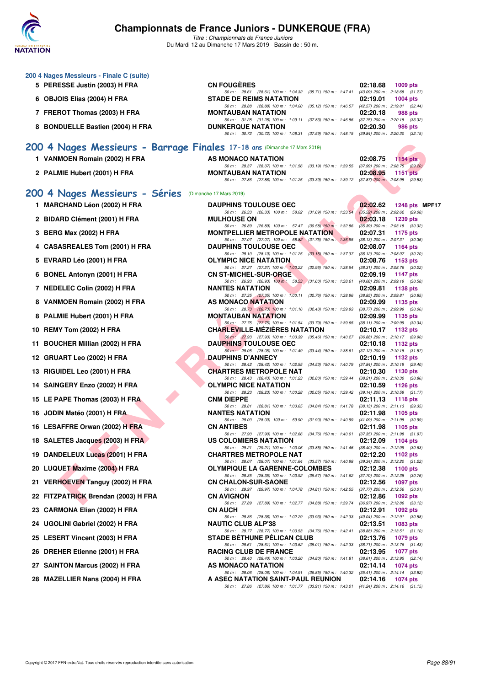

| 200 4 Nages Messieurs - Finale C (suite)                                  |                                                                                                                                  |          |                                                        |
|---------------------------------------------------------------------------|----------------------------------------------------------------------------------------------------------------------------------|----------|--------------------------------------------------------|
| 5 PERESSE Justin (2003) H FRA                                             | <b>CN FOUGERES</b>                                                                                                               | 02:18.68 | 1009 pts                                               |
| 6 OBJOIS Elias (2004) H FRA                                               | 50 m: 28.61 (28.61) 100 m: 1:04.32 (35.71) 150 m: 1:47.41 (43.09) 200 m: 2:18.68 (31.27)<br><b>STADE DE REIMS NATATION</b>       | 02:19.01 | 1004 pts                                               |
| 7 FREROT Thomas (2003) H FRA                                              | 50 m: 28.88 (28.88) 100 m: 1:04.00 (35.12) 150 m: 1:46.57 (42.57) 200 m: 2:19.01 (32.44)<br><b>MONTAUBAN NATATION</b>            | 02:20.18 | 988 pts                                                |
| 8 BONDUELLE Bastien (2004) H FRA                                          | 50 m: 31.28 (31.28) 100 m: 1:09.11 (37.83) 150 m: 1:46.86 (37.75) 200 m: 2:20.18 (33.32)<br><b>DUNKERQUE NATATION</b>            | 02:20.30 | 986 pts                                                |
|                                                                           | 50 m: 30.72 (30.72) 100 m: 1:08.31 (37.59) 150 m: 1:48.15 (39.84) 200 m: 2:20.30 (32.15)                                         |          |                                                        |
| 200 4 Nages Messieurs - Barrage Finales 17-18 ans (Dimanche 17 Mars 2019) |                                                                                                                                  |          |                                                        |
| 1 VANMOEN Romain (2002) H FRA                                             | AS MONACO NATATION                                                                                                               | 02:08.75 | 1154 pts                                               |
| 2 PALMIE Hubert (2001) H FRA                                              | 50 m: 28.37 (28.37) 100 m: 1:01.56 (33.19) 150 m: 1:39.55 (37.99) 200 m: 2:08.75 (29.20)<br><b>MONTAUBAN NATATION</b>            | 02:08.95 | <b>1151 pts</b>                                        |
|                                                                           | 50 m : 27.86 (27.86) 100 m : 1:01.25 (33.39) 150 m : 1:39.12 (37.87) 200 m : 2:08.95 (29.83)                                     |          |                                                        |
| 200 4 Nages Messieurs - Séries                                            | (Dimanche 17 Mars 2019)                                                                                                          |          |                                                        |
| 1 MARCHAND Léon (2002) H FRA                                              | <b>DAUPHINS TOULOUSE OEC</b><br>50 m: 26.33 (26.33) 100 m: 58.02 (31.69) 150 m: 1:33.54                                          | 02:02.62 | 1248 pts MPF17<br>$(35.52)$ 200 m : 2:02.62 (29.08)    |
| 2 BIDARD Clément (2001) H FRA                                             | <b>MULHOUSE ON</b>                                                                                                               | 02:03.18 | <b>1239 pts</b>                                        |
| 3 BERG Max (2002) H FRA                                                   | 50 m : 26.89 (26.89) 100 m : 57.47 (30.58) 150 m : 1:32.86<br><b>MONTPELLIER METROPOLE NATATION</b>                              | 02:07.31 | $(35.39)$ 200 m : 2:03.18 $(30.32)$<br>1175 pts        |
| 4 CASASREALES Tom (2001) H FRA                                            | 50 m : 27.07 (27.07) 100 m : 58.82 (31.75) 150 m : 1:36.95 (38.13) 200 m : 2:07.31 (30.36)<br><b>DAUPHINS TOULOUSE OEC</b>       | 02:08.07 | 1164 pts                                               |
| 5 EVRARD Léo (2001) H FRA                                                 | 50 m : 28.10 (28.10) 100 m : 1:01.25 (33.15) 150 m : 1:37.37 (36.12) 200 m : 2:08.07 (30.70)<br><b>OLYMPIC NICE NATATION</b>     | 02:08.76 | 1153 pts                                               |
|                                                                           | 50 m : 27.27 (27.27) 100 m : 1:00.23 (32.96) 150 m : 1:38.54 (38.31) 200 m : 2:08.76 (30.22)                                     |          |                                                        |
| 6 BONEL Antonyn (2001) H FRA                                              | <b>CN ST-MICHEL-SUR-ORGE</b><br>50 m: 26.93 (26.93) 100 m: 58.53 (31.60) 150 m: 1:38.61 (40.08) 200 m: 2:09.19 (30.58)           | 02:09.19 | 1147 pts                                               |
| 7 NEDELEC Colin (2002) H FRA                                              | <b>NANTES NATATION</b><br>50 m: 27.35 (27.35) 100 m: 1:00.11 (32.76) 150 m: 1:38.96 (38.85) 200 m: 2:09.81 (30.85)               | 02:09.81 | 1138 pts                                               |
| 8 VANMOEN Romain (2002) H FRA                                             | AS MONACO NATATION<br>50 m : 28.73 (28.73) 100 m : 1:01.16 (32.43) 150 m : 1:39.93 (38.77) 200 m : 2:09.99 (30.06)               | 02:09.99 | 1135 pts                                               |
| 8 PALMIE Hubert (2001) H FRA                                              | <b>MONTAUBAN NATATION</b>                                                                                                        | 02:09.99 | 1135 pts                                               |
| 10 REMY Tom (2002) H FRA                                                  | 50 m: 27.75 (27.75) 100 m: 1:01.54 (33.79) 150 m: 1:39.65 (38.11) 200 m: 2:09.99 (30.34)<br><b>CHARLEVILLE-MEZIERES NATATION</b> | 02:10.17 | 1132 pts                                               |
| 11 BOUCHER Millian (2002) H FRA                                           | 50 m : 27.93 (27.93) 100 m : 1:03.39 (35.46) 150 m : 1:40.27 (36.88) 200 m : 2:10.17 (29.90)<br><b>DAUPHINS TOULOUSE OEC</b>     | 02:10.18 | 1132 pts                                               |
| 12 GRUART Leo (2002) H FRA                                                | 50 m : 28.05 (28.05) 100 m : 1:01.49 (33.44) 150 m : 1:38.61<br><b>DAUPHINS D'ANNECY</b>                                         | 02:10.19 | $(37.12)$ 200 m : 2:10.18 $(31.57)$<br>1132 pts        |
| 13 RIGUIDEL Leo (2001) H FRA                                              | 50 m : 28.42 (28.42) 100 m : 1:02.95 (34.53) 150 m : 1:40.79<br><b>CHARTRES METROPOLE NAT</b>                                    | 02:10.30 | $(37.84)$ 200 m : 2:10.19 $(29.40)$<br>1130 pts        |
|                                                                           | 50 m: 28.43 (28.43) 100 m: 1:01.23<br>(32.80) 150 m : 1:39.44                                                                    |          | $(38.21)$ 200 m : 2:10.30 $(30.86)$                    |
| 14 SAINGERY Enzo (2002) H FRA                                             | OLYMPIC NICE NATATION<br>50 m: 28.23 (28.23) 100 m: 1:00.28<br>(32.05) 150 m: 1:39.42 (39.14) 200 m: 2:10.59 (31.17)             | 02:10.59 | <b>1126 pts</b>                                        |
| 15 LE PAPE Thomas (2003) H FRA                                            | <b>CNM DIEPPE</b><br>50 m: 28.81 (28.81) 100 m: 1:03.65<br>(34.84) 150 m : 1:41.78 (38.13) 200 m : 2:11.13 (29.35)               | 02:11.13 | <b>1118 pts</b>                                        |
| 16 JODIN Matéo (2001) H FRA                                               | <b>NANTES NATATION</b><br>50 m: 28.00 (28.00) 100 m: 59.90 (31.90) 150 m: 1:40.99 (41.09) 200 m: 2:11.98 (30.99)                 | 02:11.98 | 1105 pts                                               |
| 16 LESAFFRE Orwan (2002) H FRA                                            | <b>CN ANTIBES</b>                                                                                                                | 02:11.98 | 1105 pts                                               |
| 18 SALETES Jacques (2003) H FRA                                           | 50 m: 27.90 (27.90) 100 m: 1:02.66 (34.76) 150 m: 1:40.01 (37.35) 200 m: 2:11.98 (31.97)<br>US COLOMIERS NATATION                | 02:12.09 | 1104 pts                                               |
| 19 DANDELEUX Lucas (2001) H FRA                                           | 50 m : 29.21 (29.21) 100 m : 1:03.06 (33.85) 150 m : 1:41.46<br><b>CHARTRES METROPOLE NAT</b>                                    | 02:12.20 | $(38.40)$ 200 m : 2:12.09 $(30.63)$<br>1102 pts        |
| 20 LUQUET Maxime (2004) H FRA                                             | 50 m : 28.07 (28.07) 100 m : 1:01.64 (33.57) 150 m : 1:40.98<br><b>OLYMPIQUE LA GARENNE-COLOMBES</b>                             | 02:12.38 | (39.34) 200 m : 2:12.20 (31.22)<br>1100 $pts$          |
| 21 VERHOEVEN Tanguy (2002) H FRA                                          | 50 m : 28.35 (28.35) 100 m : 1:03.92 (35.57) 150 m : 1:41.62 (37.70) 200 m : 2:12.38 (30.76)<br><b>CN CHALON-SUR-SAONE</b>       | 02:12.56 | <b>1097 pts</b>                                        |
|                                                                           | 50 m : 29.97 (29.97) 100 m : 1:04.78 (34.81) 150 m : 1:42.55 (37.77) 200 m : 2:12.56 (30.01)                                     |          |                                                        |
| 22 FITZPATRICK Brendan (2003) H FRA                                       | <b>CN AVIGNON</b><br>50 m : 27.89 (27.89) 100 m : 1:02.77 (34.88) 150 m : 1:39.74                                                | 02:12.86 | 1092 pts<br>$(36.97)$ 200 m : 2:12.86 $(33.12)$        |
| 23 CARMONA Elian (2002) H FRA                                             | <b>CN AUCH</b><br>50 m: 28.36 (28.36) 100 m: 1:02.29<br>(33.93) 150 m : 1:42.33                                                  | 02:12.91 | 1092 pts<br>(40.04) 200 m : 2:12.91 (30.58)            |
| 24 UGOLINI Gabriel (2002) H FRA                                           | <b>NAUTIC CLUB ALP'38</b><br>50 m : 28.77 (28.77) 100 m : 1:03.53 (34.76) 150 m : 1:42.41                                        | 02:13.51 | 1083 pts<br>$(38.88)$ 200 m : 2:13.51 $(31.10)$        |
| 25 LESERT Vincent (2003) H FRA                                            | <b>STADE BETHUNE PELICAN CLUB</b>                                                                                                | 02:13.76 | 1079 pts                                               |
| 26 DREHER Etienne (2001) H FRA                                            | 50 m : 28.61 (28.61) 100 m : 1:03.62 (35.01) 150 m : 1:42.33 (38.71) 200 m : 2:13.76 (31.43)<br><b>RACING CLUB DE FRANCE</b>     | 02:13.95 | 1077 pts                                               |
| 27 SAINTON Marcus (2002) H FRA                                            | 50 m : 28.40 (28.40) 100 m : 1:03.20 (34.80) 150 m : 1:41.81 (38.61) 200 m : 2:13.95 (32.14)<br>AS MONACO NATATION               | 02:14.14 | 1074 pts                                               |
| 28 MAZELLIER Nans (2004) H FRA                                            | 50 m : 28.06 (28.06) 100 m : 1:04.91 (36.85) 150 m : 1:40.32<br>A ASEC NATATION SAINT-PAUL REUNION                               | 02:14.16 | $(35.41)$ 200 m : 2:14.14 $(33.82)$<br><b>1074 pts</b> |
|                                                                           | 50 m : 27.86 (27.86) 100 m : 1:01.77 (33.91) 150 m : 1:43.01 (41.24) 200 m : 2:14.16 (31.15)                                     |          |                                                        |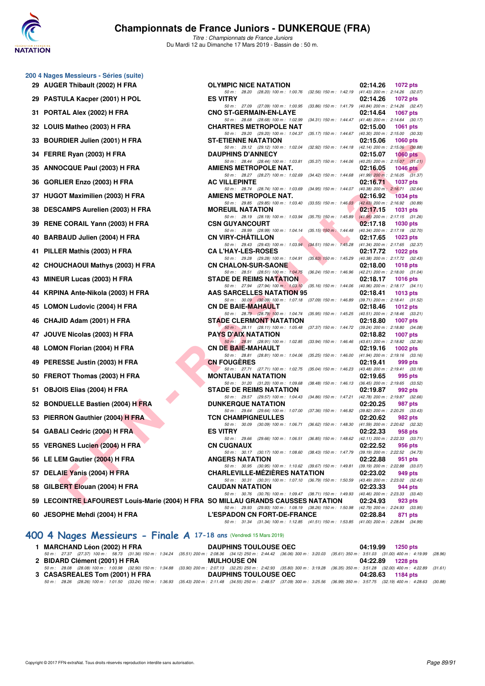

*Titre : Championnats de France Juniors* Du Mardi 12 au Dimanche 17 Mars 2019 - Bassin de : 50 m.

|     | 200 4 Nages Messieurs - Séries (suite)<br>29 AUGER Thibault (2002) H FRA          | <b>OLYMPIC NICE NATATION</b>                                                                                                         | 02:14.26<br><b>1072 pts</b>                               |
|-----|-----------------------------------------------------------------------------------|--------------------------------------------------------------------------------------------------------------------------------------|-----------------------------------------------------------|
|     |                                                                                   | 50 m: 28.20 (28.20) 100 m: 1:00.76 (32.56) 150 m: 1:42.19 (41.43) 200 m: 2:14.26 (32.07)                                             |                                                           |
|     | 29 PASTULA Kacper (2001) H POL                                                    | <b>ES VITRY</b><br>50 m : 27.09 (27.09) 100 m : 1:00.95 (33.86) 150 m : 1:41.79 (40.84) 200 m : 2:14.26 (32.47)                      | 02:14.26<br><b>1072 pts</b>                               |
|     | 31 PORTAL Alex (2002) H FRA                                                       | <b>CNO ST-GERMAIN-EN-LAYE</b>                                                                                                        | 02:14.64<br>1067 pts                                      |
|     | 32 LOUIS Matheo (2003) H FRA                                                      | 50 m : 28.68 (28.68) 100 m : 1:02.99 (34.31) 150 m : 1:44.47 (41.48) 200 m : 2:14.64 (30.17)<br><b>CHARTRES METROPOLE NAT</b>        | 02:15.00<br><b>1061 pts</b>                               |
|     | 33 BOURDIER Julien (2001) H FRA                                                   | 50 m : 29.20 (29.20) 100 m : 1:04.37 (35.17) 150 m : 1:44.67 (40.30) 200 m : 2:15.00 (30.33)<br><b>ST-ETIENNE NATATION</b>           | 02:15.06<br><b>1060 pts</b>                               |
|     |                                                                                   | 50 m : 29.12 (29.12) 100 m : 1:02.04 (32.92) 150 m : 1:44.18 (42.14) 200 m : 2:15.06 (30.88)<br><b>DAUPHINS D'ANNECY</b>             | $1060$ pts                                                |
|     | 34 FERRE Ryan (2003) H FRA                                                        | 50 m: 28.44 (28.44) 100 m: 1:03.81 (35.37) 150 m: 1:44.06 (40.25) 200 m: 2:15.07 (31.01)                                             | 02:15.07                                                  |
|     | 35 ANNOCQUE Paul (2003) H FRA                                                     | AMIENS METROPOLE NAT.<br>50 m: 28.27 (28.27) 100 m: 1:02.69 (34.42) 150 m: 1:44.68 (41.99) 200 m: 2:16.05 (31.37)                    | 02:16.05<br>1046 $pts$                                    |
| 36  | GORLIER Enzo (2003) H FRA                                                         | <b>AC VILLEPINTE</b>                                                                                                                 | 02:16.71<br>1037 pts                                      |
|     | 37 HUGOT Maximilien (2003) H FRA                                                  | 50 m : 28.74 (28.74) 100 m : 1:03.69 (34.95) 150 m : 1:44.07 (40.38) 200 m : 2:16.71 (32.64)<br>AMIENS METROPOLE NAT.                | 02:16.92<br><b>1034 pts</b>                               |
|     | 38 DESCAMPS Aurelien (2003) H FRA                                                 | 50 m : 29.85 (29.85) 100 m : 1:03.40 (33.55) 150 m : 1:46.03 (42.63) 200 m : 2:16.92 (30.89)<br><b>MOREUIL NATATION</b>              | 02:17.15<br>1031 pts                                      |
|     |                                                                                   | 50 m : 28.19 (28.19) 100 m : 1:03.94 (35.75) 150 m : 1:45.89 (41.95) 200 m : 2:17.15 (31.26)                                         |                                                           |
|     | 39 RENE CORAIL Yann (2003) H FRA                                                  | <b>CSN GUYANCOURT</b><br>50 m : 28.99 (28.99) 100 m : 1:04.14 (35.15) 150 m : 1:44.48                                                | 02:17.18<br>1030 pts<br>(40.34) 200 m : 2:17.18 (32.70)   |
|     | 40 BARBAUD Julien (2004) H FRA                                                    | <b>CN VIRY-CHATILLON</b><br>50 m: 29.43 (29.43) 100 m: 1:03.94 (34.51) 150 m: 1:45.28 (41.34) 200 m: 2:17.65 (32.37)                 | 02:17.65<br>1023 pts                                      |
|     | 41 PILLER Mathis (2003) H FRA                                                     | <b>CA L'HAY-LES-ROSES</b>                                                                                                            | 02:17.72<br>1022 pts                                      |
|     | 42 CHOUCHAOUI Mathys (2003) H FRA                                                 | 50 m: 29.28 (29.28) 100 m: 1:04.91 (35.63) 150 m: 1:45.29<br><b>CN CHALON-SUR-SAONE</b>                                              | (40.38) 200 m : 2:17.72 (32.43)<br>02:18.00<br>1018 pts   |
|     | 43 MINEUR Lucas (2003) H FRA                                                      | 50 m: 28.51 (28.51) 100 m: 1:04.75 (36.24) 150 m: 1:46.96 (42.21) 200 m: 2:18.00 (31.04)<br><b>STADE DE REIMS NATATION</b>           | 02:18.17<br><b>1016 pts</b>                               |
|     | 44 KRPINA Ante-Nikola (2003) H FRA                                                | 50 m : 27.94 (27.94) 100 m : 1.03.10 (35.16) 150 m : 1.44.06 (40.96) 200 m : 2:18.17 (34.11)<br>AAS SARCELLES NATATION 95            | 02:18.41<br><b>1013 pts</b>                               |
|     |                                                                                   | 50 m: 30.09 (30.09) 100 m: 1:07.18 (37.09) 150 m: 1:46.89 (39.71) 200 m: 2:18.41 (31.52)                                             |                                                           |
|     | 45 LOMON Ludovic (2004) H FRA                                                     | <b>CN DE BAIE-MAHAULT</b><br>50 m : 28.79 (28.79) 100 m : 1:04.74 (35.95) 150 m : 1:45.25 (40.51) 200 m : 2:18.46 (33.21)            | 02:18.46<br><b>1012 pts</b>                               |
|     | 46 CHAJID Adam (2001) H FRA                                                       | <b>STADE CLERMONT NATATION</b><br>50 m : 28.11 (28.11) 100 m : 1:05.48 (37.37) 150 m : 1:44.72 (39.24) 200 m : 2:18.80 (34.08)       | 02:18.80<br><b>1007 pts</b>                               |
| 47  | JOUVE Nicolas (2003) H FRA                                                        | <b>PAYS D'AIX NATATION</b>                                                                                                           | 02:18.82<br><b>1007 pts</b>                               |
|     | 48 LOMON Florian (2004) H FRA                                                     | 50 m : 28.91 (28.91) 100 m : 1:02.85 (33.94) 150 m : 1:46.46<br><b>CN DE BAIE-MAHAULT</b>                                            | (43.61) 200 m : 2:18.82 (32.36)<br>02:19.16<br>1002 $pts$ |
|     | 49 PERESSE Justin (2003) H FRA                                                    | 50 m : 28.81 (28.81) 100 m : 1:04.06 (35.25) 150 m : 1:46.00 (41.94) 200 m : 2:19.16 (33.16)<br><b>CN FOUGERES</b>                   | 02:19.41<br>999 pts                                       |
|     |                                                                                   | 50 m: 27.71 (27.71) 100 m: 1:02.75 (35.04) 150 m: 1:46.23 (43.48) 200 m: 2:19.41 (33.18)                                             |                                                           |
|     | 50 FREROT Thomas (2003) H FRA                                                     | <b>MONTAUBAN NATATION</b><br>50 m : 31.20 (31.20) 100 m : 1:09.68 (38.48) 150 m : 1:46.13 (36.45) 200 m : 2:19.65 (33.52)            | 02:19.65<br>995 pts                                       |
| 51. | OBJOIS Elias (2004) H FRA                                                         | <b>STADE DE REIMS NATATION</b><br>50 m : 29.57 (29.57) 100 m : 1:04.43 (34.86) 150 m : 1:47.21 (42.78) 200 m : 2:19.87 (32.66)       | 02:19.87<br>992 pts                                       |
|     | 52 BONDUELLE Bastien (2004) H FRA                                                 | <b>DUNKERQUE NATATION</b>                                                                                                            | 02:20.25<br>987 pts                                       |
|     | 53 PIERRON Gauthier (2004) H FRA                                                  | 50 m : 29.64 (29.64) 100 m : 1:07.00 (37.36) 150 m : 1:46.82 (39.82) 200 m : 2:20.25 (33.43)<br><b>TCN CHAMPIGNEULLES</b>            | 02:20.62<br>982 pts                                       |
|     | 54 GABALI Cedric (2004) H FRA                                                     | 50 m: 30.09 (30.09) 100 m: 1:06.71 (36.62) 150 m: 1:48.30 (41.59) 200 m: 2:20.62 (32.32)<br><b>ES VITRY</b>                          | 02:22.33<br>958 pts                                       |
|     | 55 VERGNES Lucien (2004) H FRA                                                    | 50 m: 29.66 (29.66) 100 m: 1:06.51 (36.85) 150 m: 1:48.62 (42.11) 200 m: 2:22.33 (33.71)<br><b>CN CUGNAUX</b>                        | 02:22.52<br>956 pts                                       |
|     |                                                                                   | 50 m: 30.17 (30.17) 100 m: 1:08.60 (38.43) 150 m: 1:47.79 (39.19) 200 m: 2:22.52 (34.73)                                             |                                                           |
|     | 56 LE LEM Gautier (2004) H FRA                                                    | <b>ANGERS NATATION</b><br>50 m : 30.95 (30.95) 100 m : 1:10.62 (39.67) 150 m : 1:49.81 (39.19) 200 m : 2:22.88 (33.07)               | 02:22.88<br>951 pts                                       |
|     | 57 DELAIE Yanis (2004) H FRA                                                      | <b>CHARLEVILLE-MEZIERES NATATION</b><br>50 m : 30.31 (30.31) 100 m : 1:07.10 (36.79) 150 m : 1:50.59 (43.49) 200 m : 2:23.02 (32.43) | 02:23.02<br>949 pts                                       |
| 58  | GILBERT Elouan (2004) H FRA                                                       | <b>CAUDAN NATATION</b>                                                                                                               | 02:23.33<br>944 pts                                       |
|     | 59 LECOINTRE LAFOUREST Louis-Marie (2004) H FRA SO MILLAU GRANDS CAUSSES NATATION | 50 m : 30.76 (30.76) 100 m : 1:09.47 (38.71) 150 m : 1:49.93 (40.46) 200 m : 2:23.33 (33.40)                                         | 02:24.93<br>923 pts                                       |
|     | 60 JESOPHE Mehdi (2004) H FRA                                                     | 50 m : 29.93 (29.93) 100 m : 1:08.19 (38.26) 150 m : 1:50.98 (42.79) 200 m : 2:24.93 (33.95)<br><b>L'ESPADON CN FORT-DE-FRANCE</b>   | 02:28.84<br>871 pts                                       |
|     |                                                                                   | 50 m : 31.34 (31.34) 100 m : 1:12.85 (41.51) 150 m : 1:53.85 (41.00) 200 m : 2:28.84 (34.99)                                         |                                                           |
|     |                                                                                   |                                                                                                                                      |                                                           |

#### **[400 4 Nages Messieurs - Finale A](http://www.ffnatation.fr/webffn/resultats.php?idact=nat&go=epr&idcpt=59271&idepr=92) 17-18 ans** (Vendredi 15 Mars 2019)

| <b>MARCHAND Léon (2002) H FRA</b> | <b>DAUPHINS TOULOUSE OEC</b>                                                                                                                                                                 | 04:19.99 1250 pts |
|-----------------------------------|----------------------------------------------------------------------------------------------------------------------------------------------------------------------------------------------|-------------------|
|                                   | 50 m: 27.37 (27.37) 100 m: 58.73 (31.36) 150 m: 1:34.24 (35.51) 200 m: 2:08.36 (34.12) 250 m: 2:44.42 (36.06) 300 m: 3:20.03 (35.61) 350 m: 3:51.03 (31.00) 400 m: 4:19.99 (28.96)           |                   |
| 2 BIDARD Clément (2001) H FRA     | <b>MULHOUSE ON</b>                                                                                                                                                                           | 04:22.89 1228 pts |
|                                   | 50 m : 28.08 (28.08) 100 m : 1:00.98 (32.90) 150 m : 1:34.88 (33.90) 200 m : 2:07.13 (32.25) 250 m : 2:42.93 (35.80) 300 m : 3:19.28 (36.35) 350 m : 3:51.28 (32.00) 400 m : 4:22.89 (31.61) |                   |
| 3 CASASREALES Tom (2001) H FRA    | <b>DAUPHINS TOULOUSE OEC</b>                                                                                                                                                                 | 04:28.63 1184 pts |
|                                   | 50 m : 28.26 (28.26) 100 m : 1:01.50 (33.24) 150 m : 1:36.93 (35.43) 200 m : 2:11.48 (34.55) 250 m : 2:48.57 (37.09) 300 m : 3:25.56 (36.99) 350 m : 3:57.75 (32.19) 400 m : 4:28.63 (30.88) |                   |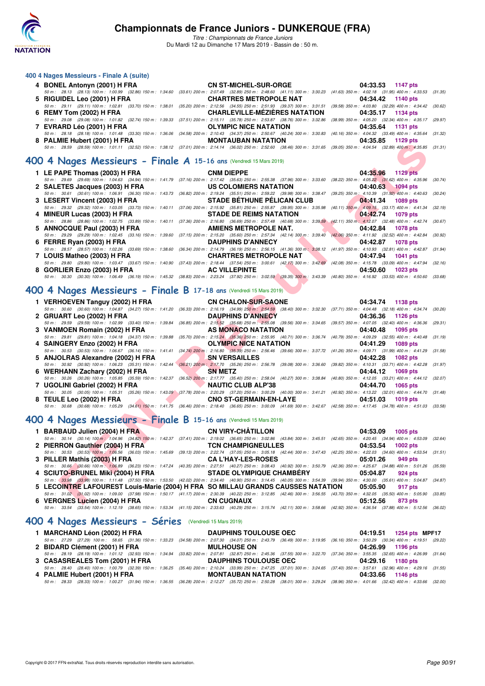

*Titre : Championnats de France Juniors* Du Mardi 12 au Dimanche 17 Mars 2019 - Bassin de : 50 m.

| 400 4 Nages Messieurs - Finale A (suite)                           |                                                                                                                                                                                                                                     |                   |
|--------------------------------------------------------------------|-------------------------------------------------------------------------------------------------------------------------------------------------------------------------------------------------------------------------------------|-------------------|
|                                                                    | 4 BONEL Antonyn (2001) H FRA CN ST-MICHEL-SUR-ORGE 04:33.53 1147 pts                                                                                                                                                                |                   |
|                                                                    | 50 m: 28.13 (28.13) 100 m: 1:00.99 (32.86) 150 m: 1:34.60 (33.61) 200 m: 2:07.49 (32.89) 250 m: 2:48.60 (41.11) 300 m: 3:30.23 (41.63) 350 m: 4:02.18 (31.95) 400 m: 4:33.53 (31.35)                                                |                   |
|                                                                    | 5 RIGUIDEL Leo (2001) H FRA <b>CHARTRES METROPOLE NAT</b> 04:34.42 1140 pts                                                                                                                                                         |                   |
|                                                                    | 50 m: 29.11 (29.11) 100 m: 1:02.81 (33.70) 150 m: 1:38.01 (35.20) 200 m: 2:12.56 (34.55) 250 m: 2:51.93 (39.37) 300 m: 3:31.51 (39.58) 350 m: 4:03.80 (32.29) 400 m: 4:34.42 (30.62)                                                |                   |
|                                                                    | 6 REMY Tom (2002) H FRA CHARLEVILLE-MEZIERES NATATION 04:35.17 1134 pts                                                                                                                                                             |                   |
|                                                                    | 50 m: 29.08 (29.08) 100 m: 1:01.82 (32.74) 150 m: 1:39.33 (37.51) 200 m: 2:15.11 (35.78) 250 m: 2:53.87 (38.76) 300 m: 3:32.86 (38.99) 350 m: 4:05.20 (32.34) 400 m: 4:35.17 (29.97)                                                |                   |
|                                                                    | 7 EVRARD Léo (2001) H FRA <b>CONTAINERTY OF SEAL CONTRACTER SERVISTEES</b> ON THE RESERVE OF STATES OF STATES OF STATES OF STATES OF STATES OF STATES OF STATES OF STATES OF STATES OF STATES OF STATES OF STATES OF STATES OF STAT |                   |
|                                                                    | 50 m: 28.18 (28.18) 100 m: 1:01.48 (33.30) 150 m: 1:36.06 (34.58) 200 m: 2:10.43 (34.37) 250 m: 2:50.67 (40.24) 300 m: 3:30.83 (40.16) 350 m: 4:04.32 (33.49) 400 m: 4:35.64 (31.32)                                                |                   |
|                                                                    | 8 PALMIE Hubert (2001) H FRA MONTAUBAN NATATION 04:35.85 1129 pts                                                                                                                                                                   |                   |
|                                                                    | 50 m: 28.59 (28.59) 100 m: 1:01.11 (32.52) 150 m: 1:38.12 (37.01) 200 m: 2:14.14 (36.02) 250 m: 2:52.60 (38.46) 300 m: 3:31.65 (39.05) 350 m: 4:04.54 (32.89) 400 m: 4:35.85 (31.31                                                 |                   |
| 400 4 Nages Messieurs - Finale A 15-16 ans (Vendredi 15 Mars 2019) |                                                                                                                                                                                                                                     |                   |
|                                                                    | 1 LE PAPE Thomas (2003) H FRA CNM DIEPPE                                                                                                                                                                                            | 04:35.96 1129 pts |
|                                                                    | 50 m: 29.69 (29.69) 100 m: 1:04.63 (34.94) 150 m: 1:41.79 (37.16) 200 m: 2:17.42 (35.63) 250 m: 2:55.38 (37.96) 300 m: 3:33.60 (38.22) 350 m: 4:05.22 (31.62) 400 m: 4:35.96 (30.74                                                 |                   |
|                                                                    | 2 SALETES Jacques (2003) H FRA US COLOMIERS NATATION 04:40.63 1094 pts                                                                                                                                                              |                   |
|                                                                    | 50 m: 30.61 (30.61) 100 m: 1:06.91 (36.30) 150 m: 1:43.73 (36.82) 200 m: 2:19.24 (35.51) 250 m: 2:59.22 (39.98) 300 m: 3:38.47 (39.25) 350 m: 4:10.39 (31.92) 400 m: 4:40.63 (30.24)                                                |                   |
|                                                                    | 3 LESERT Vincent (2003) H FRA STADE BÉTHUNE PÉLICAN CLUB 04:41.34 1089 pts                                                                                                                                                          |                   |
|                                                                    | 50 m: 29.32 (29.32) 100 m: 1:03.05 (33.73) 150 m: 1:40.11 (37.06) 200 m: 2:15.92 (35.81) 250 m: 2:55.87 (39.95) 300 m: 3:35.98 (40.11) 350 m; 4:09.15 (33.17) 400 m: 4:41.34 (32.19)                                                |                   |

| <b>7. LOUIS Mathen (2002) H EDA</b> | $C$ <b>UADTDEC METDODOLE NAT</b>                                                                                                                                                             | $0.4 - 4.704$ $10.41$ ptc. |
|-------------------------------------|----------------------------------------------------------------------------------------------------------------------------------------------------------------------------------------------|----------------------------|
|                                     | 50 m: 28.57 (28.57) 100 m: 1:02.26 (33.69) 150 m: 1:38.60 (36.34) 200 m: 2:14.79 (36.19) 250 m: 2:56.15 (41.36) 300 m: 3:38.12 (41.97) 350 m: 4:10.93 (32.81) 400 m: 4:42.87 (31.94          |                            |
| 6 FERRE Ryan (2003) H FRA           | <b>DAUPHINS D'ANNECY</b>                                                                                                                                                                     | 04:42.87 1078 pts          |
|                                     | 50 m : 29.29 (29.29) 100 m : 1:02.45 (33.16) 150 m : 1:39.60 (37.15) 200 m : 2:15.20 (35.60) 250 m : 2:57.34 (42.14) 300 m : 3:39.40 (42.06) 350 m : 4:11.92 (32.52) 400 m : 4:42.84 (30.92  |                            |
| 5 ANNOCQUE Paul (2003) H FRA        | AMIENS METROPOLE NAT.                                                                                                                                                                        | 04:42.84 1078 pts          |
|                                     | 50 m : 28.86 (28.86) 100 m : 1:02.75 (33.89) 150 m : 1:40.11 (37.36) 200 m : 2:16.80 (36.69) 250 m : 2:57.48 (40.68) 300 m : 3:39.59 (42.11) 350 m : 4:12.07 (32.48) 400 m : 4:42.74 (30.67) |                            |
| 4 MINEUR Lucas (2003) H FRA         | <b>STADE DE REIMS NATATION</b>                                                                                                                                                               | $04:42.74$ 1079 pts        |
|                                     |                                                                                                                                                                                              |                            |

| 7 LOUIS Matheo (2003) H FRA                                                                                                                                                                  | <b>CHARTRES METROPOLE NAT</b> | 04:47.94 1041 pts |
|----------------------------------------------------------------------------------------------------------------------------------------------------------------------------------------------|-------------------------------|-------------------|
| 50 m : 29.80 (29.80) 100 m : 1:03.47 (33.67) 150 m : 1:40.90 (37.43) 200 m : 2:18.44 (37.54) 250 m : 3:00.61 (42.17) 300 m : 3:42.69 (42.08) 350 m : 4:15.78 (33.09) 400 m : 4:47.94 (32.16) |                               |                   |
| 8 GORLIER Enzo (2003) H FRA                                                                                                                                                                  | <b>AC VILLEPINTE</b>          | 04:50.60 1023 pts |
| 50 m : 30.30 (30.30) 100 m : 1:06.49 (36.19) 150 m : 1:45.32 (38.83) 200 m : 2:23.24 (37.92) 250 m : 3:02.59 (39.35) 300 m : 3:43.39 (40.80) 350 m : 4:16.92 (33.53) 400 m : 4:50.60 (33.68) |                               |                   |

#### **[400 4 Nages Messieurs - Finale B](http://www.ffnatation.fr/webffn/resultats.php?idact=nat&go=epr&idcpt=59271&idepr=92) 17-18 ans** (Vendredi 15 Mars 2019)

| 0 FALMIL HUDER (2001) ILFRA<br>50 m: 28.59 (28.59) 100 m: 1:01.11 (32.52) 150 m: 1:38.12 (37.01) 200 m: 2:14.14 (36.02) 250 m: 2:52.60 (38.46) 300 m: 3:31.65 (39.05) 350 m: 4:04.54 (32.89) 400 m: 4:35.85 (31.31)    |   | <b>MUNTAUDAN NATATION</b>         | U4.JJ.OJ<br>בוע כגו ו       |         |
|------------------------------------------------------------------------------------------------------------------------------------------------------------------------------------------------------------------------|---|-----------------------------------|-----------------------------|---------|
| 00 4 Nages Messieurs - Finale A 15-16 ans (Vendredi 15 Mars 2019)                                                                                                                                                      |   |                                   |                             |         |
|                                                                                                                                                                                                                        |   |                                   |                             |         |
| 1 LE PAPE Thomas (2003) H FRA                                                                                                                                                                                          |   | <b>CNM DIEPPE</b>                 | 04:35.96<br>1129 pts        |         |
| 50 m: 29.69 (29.69) 100 m: 1:04.63 (34.94) 150 m: 1:41.79 (37.16) 200 m: 2:17.42 (35.63) 250 m: 2:55.38 (37.96) 300 m: 3:33.60 (38.22) 350 m: 4:05.22 (31.62) 400 m: 4:35.96                                           |   |                                   |                             | (30.74) |
| 2 SALETES Jacques (2003) H FRA                                                                                                                                                                                         |   | <b>US COLOMIERS NATATION</b>      | 04:40.63<br><b>1094 pts</b> |         |
| 50 m : 30.61 (30.61) 100 m : 1:06.91 (36.30) 150 m : 1:43.73 (36.82) 200 m : 2:19.24 (35.51) 250 m : 2:59.22 (39.98) 300 m : 3:38.47 (39.25) 350 m : 4:10.39 (31.92) 400 m : 4:40.63<br>3 LESERT Vincent (2003) H FRA  |   | <b>STADE BETHUNE PELICAN CLUB</b> | 04:41.34<br><b>1089 pts</b> | (30.24) |
| 50 m : 29.32 (29.32) 100 m : 1:03.05 (33.73) 150 m : 1:40.11 (37.06) 200 m : 2:15.92 (35.81) 250 m : 2:55.87 (39.95) 300 m : 3:35.98 (40.11) 350 m : 4:09.15 (33.17) 400 m : 4:41.34                                   |   |                                   |                             | (32.19) |
| 4 MINEUR Lucas (2003) H FRA                                                                                                                                                                                            |   | <b>STADE DE REIMS NATATION</b>    | 04:42.74<br>1079 pts        |         |
| 50 m: 28.86 (28.86) 100 m: 1:02.75 (33.89) 150 m: 1:40.11 (37.36) 200 m: 2:16.80 (36.69) 250 m: 2:57.48 (40.68) 300 m: 3:39.59 (42.11) 350 m: 4:12.07 (32.48) 400 m: 4:42.74                                           |   |                                   |                             | (30.67) |
| 5 ANNOCQUE Paul (2003) H FRA                                                                                                                                                                                           |   | <b>AMIENS METROPOLE NAT.</b>      | 04:42.84<br><b>1078 pts</b> |         |
| 50 m : 29.29 (29.29) 100 m : 1:02.45 (33.16) 150 m : 1:39.60 (37.15) 200 m : 2:15.20 (35.60) 250 m : 2:57.34 (42.14) 300 m : 3:39.40 (42.06) 350 m : 4:11.92 (32.52) 400 m : 4:42.84                                   |   |                                   |                             | (30.92) |
| 6 FERRE Ryan (2003) H FRA                                                                                                                                                                                              |   | <b>DAUPHINS D'ANNECY</b>          | 04:42.87<br><b>1078 pts</b> |         |
| 50 m: 28.57 (28.57) 100 m: 1:02.26 (33.69) 150 m: 1:38.60 (36.34) 200 m: 2:14.79 (36.19) 250 m: 2:56.15 (41.36) 300 m: 3:38.12 (41.97) 350 m: 4:10.93 (32.81) 400 m: 4:42.87 (31.94)                                   |   |                                   |                             |         |
| 7 LOUIS Matheo (2003) H FRA                                                                                                                                                                                            |   | <b>CHARTRES METROPOLE NAT</b>     | 04:47.94<br><b>1041 pts</b> |         |
| 50 m: 29.80 (29.80) 100 m: 1:03.47 (33.67) 150 m: 1:40.90 (37.43) 200 m: 2:18.44 (37.54) 250 m: 3:00.61 (42.17) 300 m: 3:42.69 (42.08) 350 m: 4:15.78 (33.09) 400 m: 4:47.94                                           |   |                                   |                             | (32.16) |
| 8 GORLIER Enzo (2003) H FRA                                                                                                                                                                                            |   | <b>AC VILLEPINTE</b>              | 04:50.60<br>1023 pts        |         |
| 50 m: 30.30 (30.30) 100 m: 1:06.49 (36.19) 150 m: 1:45.32 (38.83) 200 m: 2:23.24 (37.92) 250 m: 3:02.59 (39.35) 300 m: 3:43.39 (40.80) 350 m: 4:16.92 (33.53) 400 m: 4:50.60 (33.68)                                   |   |                                   |                             |         |
|                                                                                                                                                                                                                        |   |                                   |                             |         |
| 00 4 Nages Messieurs - Finale B 17-18 ans (Vendredi 15 Mars 2019)                                                                                                                                                      |   |                                   |                             |         |
| 1 VERHOEVEN Tanguy (2002) H FRA                                                                                                                                                                                        |   | <b>CN CHALON-SUR-SAONE</b>        | 04:34.74<br>1138 pts        |         |
| 50 m: 30.60 (30.60) 100 m: 1:04.87 (34.27) 150 m: 1:41.20 (36.33) 200 m: 2:16.19 (34.99) 250 m: 2:54.59 (38.40) 300 m: 3:32.30 (37.71) 350 m: 4:04.48 (32.18) 400 m: 4:34.74                                           |   |                                   |                             | (30.26) |
| 2 GRUART Leo (2002) H FRA                                                                                                                                                                                              |   | <b>DAUPHINS D'ANNECY</b>          | 04:36.36<br>1126 pts        |         |
| 50 m: 29.59 (29.59) 100 m: 1:02.99 (33.40) 150 m: 1:39.84 (36.85) 200 m: 2:15.52 (35.68) 250 m: 2:55.08 (39.56) 300 m: 3:34.65 (39.57) 350 m: 4:07.05 (32.40) 400 m: 4:36.36                                           |   |                                   |                             | (29.31) |
| 3 VANMOEN Romain (2002) H FRA                                                                                                                                                                                          |   | AS MONACO NATATION                | 04:40.48<br>1095 pts        |         |
| 50 m: 29.81 (29.81) 100 m: 1:04.18 (34.37) 150 m: 1:39.88 (35.70) 200 m: 2:15.24 (35.36) 250 m: 2:55.95 (40.71) 300 m: 3:36.74 (40.79) 350 m: 4:09.29 (32.55) 400 m: 4:40.48                                           |   |                                   |                             | (31.19) |
| 4 SAINGERY Enzo (2002) H FRA                                                                                                                                                                                           |   | <b>OLYMPIC NICE NATATION</b>      | 04:41.29<br>1089 pts        |         |
| 50 m: 30.53 (30.53) 100 m: 1:06.67 (36.14) 150 m: 1:41.41 (34.74) 200 m: 2:16.80 (35.39) 250 m: 2:56.46 (39.66) 300 m: 3:37.72 (41.26) 350 m: 4:09.71 (31.99) 400 m: 4:41.29 (31.58)                                   |   |                                   |                             |         |
| 5 ANJOLRAS Alexandre (2002) H FRA                                                                                                                                                                                      |   | <b>SN VERSAILLES</b>              | 04:42.28<br>1082 pts        |         |
| 50 m: 30.92 (30.92) 100 m: 1:06.23 (35.31) 150 m: 1:42.44 (36.21) 200 m: 2:17.70 (35.26) 250 m: 2:56.78 (39.08) 300 m: 3:36.60 (39.82) 350 m: 4:10.31 (33.71) 400 m: 4:42.28                                           |   |                                   |                             | (31.97) |
| 6 WERHANN Zachary (2002) H FRA                                                                                                                                                                                         |   | <b>SN METZ</b>                    | 04:44.12<br>1069 pts        |         |
| 50 m: 30.26 (30.26) 100 m: 1:05.85 (35.59) 150 m: 1:42.37 (36.52) 200 m: 2:17.77 (35.40) 250 m: 2:58.04 (40.27) 300 m: 3:38.84 (40.80) 350 m: 4:12.05 (33.21) 400 m: 4:44.12 (32.07)<br>7 UGOLINI Gabriel (2002) H FRA | v | <b>NAUTIC CLUB ALP'38</b>         | 04:44.70<br><b>1065 pts</b> |         |
| 50 m: 30.05 (30.05) 100 m: 1:05.31 (35.26) 150 m: 1:43.09 (37.78) 200 m: 2:20.29 (37.20) 250 m: 3:00.29 (40.00) 300 m: 3:41.21 (40.92) 350 m: 4:13.22 (32.01) 400 m: 4:44.70 (31.48)                                   |   |                                   |                             |         |
| 8 TEULE Leo (2002) H FRA                                                                                                                                                                                               |   | <b>CNO ST-GERMAIN-EN-LAYE</b>     | 04:51.03<br><b>1019 pts</b> |         |
| 50 m: 30.68 (30.68) 100 m: 1:05.29 (34.61) 150 m: 1:41.75 (36.46) 200 m: 2:18.40 (36.65) 250 m: 3:00.09 (41.69) 300 m: 3:42.67 (42.58) 350 m: 4:17.45 (34.78) 400 m: 4:51.03 (33.58)                                   |   |                                   |                             |         |
|                                                                                                                                                                                                                        |   |                                   |                             |         |
| 00 4 Nages Messieurs - Finale B 15-16 ans (Vendredi 15 Mars 2019)                                                                                                                                                      |   |                                   |                             |         |
| 1 BARBAUD Julien (2004) H FRA                                                                                                                                                                                          |   | <b>CN VIRY-CHATILLON</b>          | 04:53.09<br>1005 pts        |         |
| 50 m: 30.14 (30.14) 100 m: 1:04.96 (34.82) 150 m: 1:42.37 (37.41) 200 m: 2:19.02 (36.65) 250 m: 3:02.86 (43.84) 300 m: 3:45.51 (42.65) 350 m: 4:20.45 (34.94) 400 m: 4:53.09                                           |   |                                   |                             | (32.64) |
| 2 PIERRON Gauthier (2004) H FRA                                                                                                                                                                                        |   | <b>TCN CHAMPIGNEULLES</b>         | 04:53.54<br><b>1002 pts</b> |         |
| 50 m: 30.53 (30.53) 100 m: 1:06.56 (36.03) 150 m: 1:45.69 (39.13) 200 m: 2:22.74 (37.05) 250 m: 3:05.18 (42.44) 300 m: 3:47.43 (42.25) 350 m: 4:22.03 (34.60) 400 m: 4:53.54                                           |   |                                   |                             | (31.51) |
| 3 PILLER Mathis (2003) H FRA                                                                                                                                                                                           |   | <b>CA L'HAY-LES-ROSES</b>         | 05:01.26<br>949 pts         |         |
| 50 m: 30.66 (30.66) 100 m: 1:06.89 (36.23) 150 m: 1:47.24 (40.35) 200 m: 2:27.51 (40.27) 250 m: 3:08.43 (40.92) 300 m: 3:50.79 (42.36) 350 m: 4:25.67 (34.88) 400 m: 5:01.26                                           |   |                                   |                             | (35.59) |
| 4 SCIUTO-BRUNEL Miki (2004) H FRA                                                                                                                                                                                      |   | <b>STADE OLYMPIQUE CHAMBERY</b>   | 05:04.87<br>924 pts         |         |
| 50 m: 33.98 (33.98) 100 m: 1:11.48 (37.50) 150 m: 1:53.50 (42.02) 200 m: 2:34.40 (40.90) 250 m: 3:14.45 (40.05) 300 m: 3:54.39 (39.94) 350 m: 4:30.00 (35.61) 400 m: 5:04.87                                           |   |                                   |                             | (34.87) |
| 5 LECOINTRE LAFOUREST Louis-Marie (2004) H FRA SO MILLAU GRANDS CAUSSES NATATION                                                                                                                                       |   |                                   | 05:05.90<br>917 pts         |         |
| 50 m: 31.02 (31.02) 100 m: 1:09.00 (37.98) 150 m: 1:50.17 (41.17) 200 m: 2:30.39 (40.22) 250 m: 3:12.85 (42.46) 300 m: 3:56.55 (43.70) 350 m: 4:32.05 (35.50) 400 m: 5:05.90 (33.85)                                   |   |                                   |                             |         |
| 6 VERGNES Lucien (2004) H FRA                                                                                                                                                                                          |   | <b>CN CUGNAUX</b>                 | 05:12.56<br>873 pts         |         |

### **[400 4 Nages Messieurs - Finale B](http://www.ffnatation.fr/webffn/resultats.php?idact=nat&go=epr&idcpt=59271&idepr=92) 15-16 ans** (Vendredi 15 Mars 2019)

|  | 1 BARBAUD Julien (2004) H FRANTIL CONVIRY-CHÂTILLON                                                                                                                                           | 04:53.09 1005 pts   |
|--|-----------------------------------------------------------------------------------------------------------------------------------------------------------------------------------------------|---------------------|
|  | 50 m: 30.14 (30.14) 100 m; 1:04.96 (34.82) 150 m; 1:42.37 (37.41) 200 m; 2:19.02 (36.65) 250 m; 3:02.86 (43.84) 300 m; 3:45.51 (42.65) 350 m; 4:20.45 (34.94) 400 m; 4:53.09 (32.64)          |                     |
|  | 2 PIERRON Gauthier (2004) H FRA TCN CHAMPIGNEULLES                                                                                                                                            | 04:53.54 1002 pts   |
|  | 50 m: 30.53 (30.53) 100 m: 1:06.56 (36.03) 150 m: 1:45.69 (39.13) 200 m: 2:22.74 (37.05) 250 m: 3:05.18 (42.44) 300 m: 3:47.43 (42.25) 350 m: 4:22.03 (34.60) 400 m: 4:53.54 (31.51)          |                     |
|  | 3 PILLER Mathis (2003) H FRA CA L'HAY-LES-ROSES                                                                                                                                               | 05:01.26 949 pts    |
|  | 50 m : 30.66 (30.66) 100 m : 1:06.89 (36.23) 150 m : 1:47.24 (40.35) 200 m : 2:27.51 (40.27) 250 m : 3:08.43 (40.92) 300 m : 3:50.79 (42.36) 350 m : 4:25.67 (34.88) 400 m : 5:01.26 (35.59)  |                     |
|  | 4 SCIUTO-BRUNEL Miki (2004) H FRA STADE OLYMPIQUE CHAMBÉRY 65:04.87 924 pts                                                                                                                   |                     |
|  | 50 m : (33.98 (33.98) 100 m : 1:11.48 (37.50) 150 m : 1:53.50 (42.02) 200 m : 2:34.40 (40.90) 250 m : 3:14.45 (40.05) 300 m : 3:54.39 (39.94) 350 m : 4:30.00 (35.61) 400 m : 5:04.87 (34.87) |                     |
|  | 5 LECOINTRE LAFOUREST Louis-Marie (2004) H FRA SO MILLAU GRANDS CAUSSES NATATION 05:05.90                                                                                                     | 917 pts             |
|  | 50 m: 31.02 (31.02) 100 m: 1:09.00 (37.98) 150 m: 1:50.17 (41.17) 200 m: 2:30.39 (40.22) 250 m: 3:12.85 (42.46) 300 m: 3:56.55 (43.70) 350 m: 4:32.05 (35.50) 400 m: 5:05.90 (33.85)          |                     |
|  |                                                                                                                                                                                               | 05:12.56<br>873 pts |
|  | 50 m: 33.54 (33.54) 100 m: 1:12.19 (38.65) 150 m: 1:53.34 (41.15) 200 m: 2:33.63 (40.29) 250 m: 3:15.74 (42.11) 300 m: 3:58.66 (42.92) 350 m: 4:36.54 (37.88) 400 m: 5:12.56 (36.02)          |                     |
|  |                                                                                                                                                                                               |                     |

#### **[400 4 Nages Messieurs - Séries](http://www.ffnatation.fr/webffn/resultats.php?idact=nat&go=epr&idcpt=59271&idepr=92)** (Vendredi 15 Mars 2019)

| 1 MARCHAND Léon (2002) H FRA   | <b>DAUPHINS TOULOUSE OEC</b>                                                                                                                                                               | 04:19.51 1254 pts MPF17 |
|--------------------------------|--------------------------------------------------------------------------------------------------------------------------------------------------------------------------------------------|-------------------------|
|                                | 50 m : 27.29 (27.29) 100 m : 58.65 (31.36) 150 m : 1:33.23 (34.58) 200 m : 2:07.30 (34.07) 250 m : 2:43.79 (36.49) 300 m : 3:19.95 (36.16) 350 m : 3:50.29 (30.34) 400 m : 4:19.51 (29.22) |                         |
| 2 BIDARD Clément (2001) H FRA  | <b>MULHOUSE ON</b>                                                                                                                                                                         | 04:26.99 1196 pts       |
|                                | 50 m: 28.19 (28.19) 100 m: 1:01.12 (32.93) 150 m: 1:34.94 (33.82) 200 m: 2:07.81 (32.87) 250 m: 2:45.36 (37.55) 300 m: 3:22.70 (37.34) 350 m: 3:55.35 (32.65) 400 m: 4:26.99 (31.64)       |                         |
| 3 CASASREALES Tom (2001) H FRA | <b>DAUPHINS TOULOUSE OEC</b>                                                                                                                                                               | 04:29.16 1180 pts       |
|                                | 50 m: 28.40 (28.40) 100 m: 1:00.79 (32.39) 150 m: 1:36.25 (35.46) 200 m: 2:10.24 (33.99) 250 m: 2:47.25 (37.01) 300 m: 3:24.65 (37.40) 350 m: 3:57.61 (32.96) 400 m: 4:29.16 (31.55)       |                         |
| 4 PALMIE Hubert (2001) H FRA   | <b>MONTAUBAN NATATION</b>                                                                                                                                                                  | 04:33.66 1146 pts       |
|                                | 50 m: 28.33 (28.33) 100 m: 1:00.27 (31.94) 150 m: 1:36.55 (36.28) 200 m: 2:12.27 (35.72) 250 m: 2:50.28 (38.01) 300 m: 3:29.24 (38.96) 350 m: 4:01.66 (32.42) 400 m: 4:33.66 (32.00)       |                         |